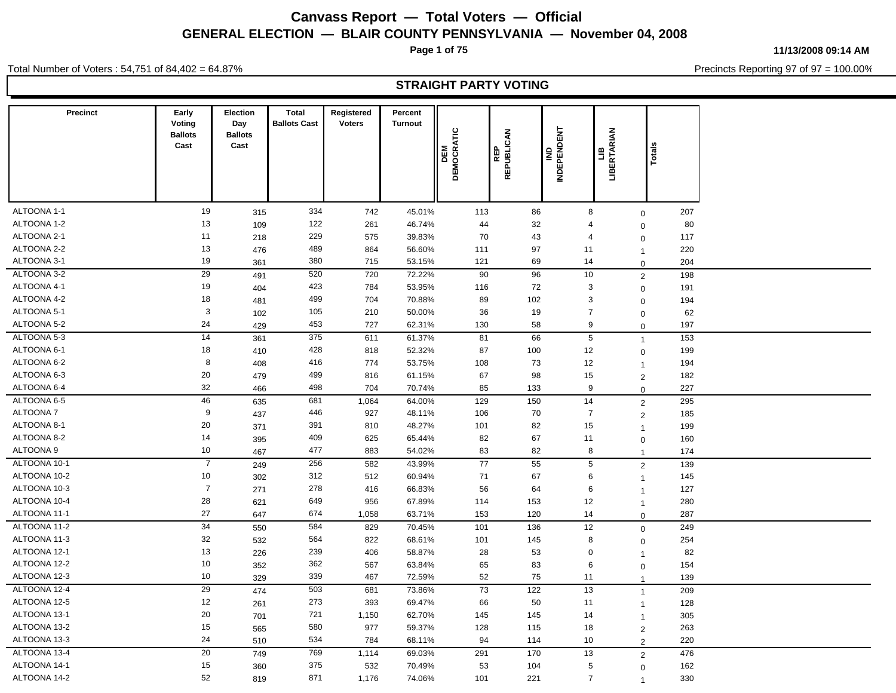**Page 1 of 75**

**11/13/2008 09:14 AM**

Precincts Reporting 97 of 97 = 100.00%

Total Number of Voters : 54,751 of 84,402 = 64.87%

### **STRAIGHT PARTY VOTING**

| <b>Precinct</b>            | Early<br>Voting<br><b>Ballots</b> | Election<br>Day<br><b>Ballots</b> | <b>Total</b><br><b>Ballots Cast</b> | Registered<br><b>Voters</b> | Percent<br><b>Turnout</b> |                   |                          |                                |                               |                                  |           |  |
|----------------------------|-----------------------------------|-----------------------------------|-------------------------------------|-----------------------------|---------------------------|-------------------|--------------------------|--------------------------------|-------------------------------|----------------------------------|-----------|--|
|                            | Cast                              | Cast                              |                                     |                             |                           | DEMOCRATIC<br>DEM | REPUBLICAN<br><b>REP</b> | <b>INDEPENDENT</b><br>을        | ERTARIAN<br>۹<br>$\mathbf{e}$ | $ \vec{B} $                      |           |  |
|                            |                                   |                                   |                                     |                             |                           |                   |                          |                                |                               |                                  |           |  |
| ALTOONA 1-1                | 19                                | 315                               | 334                                 | 742                         | 45.01%                    | 113               | 86                       | 8                              |                               | $\mathbf 0$                      | 207       |  |
| ALTOONA 1-2                | 13                                | 109                               | 122                                 | 261                         | 46.74%                    | 44                | 32                       | $\overline{4}$                 |                               | $\mathbf 0$                      | 80        |  |
| ALTOONA 2-1                | 11                                | 218                               | 229                                 | 575                         | 39.83%                    | 70                | 43                       | $\overline{4}$                 |                               | $\mathbf 0$                      | 117       |  |
| ALTOONA 2-2                | 13                                | 476                               | 489                                 | 864                         | 56.60%                    | 111               | 97                       | 11                             |                               | $\overline{1}$                   | 220       |  |
| ALTOONA 3-1<br>ALTOONA 3-2 | 19                                | 361                               | 380                                 | 715                         | 53.15%                    | 121               | 69                       | 14                             |                               | $\mathbf 0$                      | 204       |  |
|                            | 29                                | 491                               | 520                                 | 720                         | 72.22%                    | 90                | 96                       | 10                             |                               | $\overline{2}$                   | 198       |  |
| ALTOONA 4-1<br>ALTOONA 4-2 | 19<br>18                          | 404                               | 423                                 | 784                         | 53.95%                    | 116               | 72                       | 3                              |                               | $\mathbf 0$                      | 191       |  |
| ALTOONA 5-1                | 3                                 | 481                               | 499<br>105                          | 704<br>210                  | 70.88%<br>50.00%          | 89                | 102<br>19                | $\mathbf{3}$<br>$\overline{7}$ |                               | $\mathbf 0$                      | 194<br>62 |  |
| ALTOONA 5-2                | 24                                | 102<br>429                        | 453                                 | 727                         | 62.31%                    | 36<br>130         | 58                       |                                | 9                             | $\mathbf 0$                      | 197       |  |
| ALTOONA 5-3                | 14                                | 361                               | 375                                 | 611                         | 61.37%                    | 81                | 66                       | 5                              |                               | $\mathbf 0$                      | 153       |  |
| ALTOONA 6-1                | 18                                | 410                               | 428                                 | 818                         | 52.32%                    | 87                | 100                      | 12                             |                               | $\overline{1}$                   | 199       |  |
| ALTOONA 6-2                | 8                                 | 408                               | 416                                 | 774                         | 53.75%                    | 108               | 73                       | 12                             |                               | $\mathbf 0$                      | 194       |  |
| ALTOONA 6-3                | 20                                | 479                               | 499                                 | 816                         | 61.15%                    | 67                | 98                       | 15                             |                               | $\overline{1}$<br>$\overline{2}$ | 182       |  |
| ALTOONA 6-4                | 32                                | 466                               | 498                                 | 704                         | 70.74%                    | 85                | 133                      | 9                              |                               | $\mathbf 0$                      | 227       |  |
| ALTOONA 6-5                | 46                                | 635                               | 681                                 | 1,064                       | 64.00%                    | 129               | 150                      | 14                             |                               | $\overline{2}$                   | 295       |  |
| <b>ALTOONA7</b>            | $9\,$                             | 437                               | 446                                 | 927                         | 48.11%                    | 106               | 70                       | $\overline{7}$                 |                               | $\overline{2}$                   | 185       |  |
| ALTOONA 8-1                | 20                                | 371                               | 391                                 | 810                         | 48.27%                    | 101               | 82                       | 15                             |                               | $\overline{1}$                   | 199       |  |
| ALTOONA 8-2                | 14                                | 395                               | 409                                 | 625                         | 65.44%                    | 82                | 67                       | 11                             |                               | $\mathbf 0$                      | 160       |  |
| ALTOONA 9                  | 10                                | 467                               | 477                                 | 883                         | 54.02%                    | 83                | 82                       | 8                              |                               | $\overline{1}$                   | 174       |  |
| ALTOONA 10-1               | $\overline{7}$                    | 249                               | 256                                 | 582                         | 43.99%                    | 77                | 55                       | $5\phantom{.0}$                |                               | $\overline{2}$                   | 139       |  |
| ALTOONA 10-2               | 10                                | 302                               | 312                                 | 512                         | 60.94%                    | 71                | 67                       |                                | 6                             | $\overline{1}$                   | 145       |  |
| ALTOONA 10-3               | $\overline{7}$                    | 271                               | 278                                 | 416                         | 66.83%                    | 56                | 64                       |                                | 6                             | $\overline{1}$                   | 127       |  |
| ALTOONA 10-4               | 28                                | 621                               | 649                                 | 956                         | 67.89%                    | 114               | 153                      | 12                             |                               | $\overline{1}$                   | 280       |  |
| ALTOONA 11-1               | 27                                | 647                               | 674                                 | 1,058                       | 63.71%                    | 153               | 120                      | 14                             |                               | $\mathbf 0$                      | 287       |  |
| ALTOONA 11-2               | $\overline{34}$                   | 550                               | 584                                 | 829                         | 70.45%                    | 101               | 136                      | 12                             |                               | $\mathbf 0$                      | 249       |  |
| ALTOONA 11-3               | 32                                | 532                               | 564                                 | 822                         | 68.61%                    | 101               | 145                      | 8                              |                               | $\mathbf 0$                      | 254       |  |
| ALTOONA 12-1               | 13                                | 226                               | 239                                 | 406                         | 58.87%                    | 28                | 53                       | $\mathbf 0$                    |                               | $\overline{1}$                   | 82        |  |
| ALTOONA 12-2               | 10                                | 352                               | 362                                 | 567                         | 63.84%                    | 65                | 83                       | 6                              |                               | $\pmb{0}$                        | 154       |  |
| ALTOONA 12-3               | 10                                | 329                               | 339                                 | 467                         | 72.59%                    | 52                | 75                       | 11                             |                               | $\overline{1}$                   | 139       |  |
| ALTOONA 12-4               | 29                                | 474                               | 503                                 | 681                         | 73.86%                    | 73                | 122                      | 13                             |                               | $\overline{1}$                   | 209       |  |
| ALTOONA 12-5               | 12                                | 261                               | 273                                 | 393                         | 69.47%                    | 66                | 50                       | 11                             |                               | $\overline{1}$                   | 128       |  |
| ALTOONA 13-1               | 20                                | 701                               | 721                                 | 1,150                       | 62.70%                    | 145               | 145                      | 14                             |                               | $\overline{1}$                   | 305       |  |
| ALTOONA 13-2               | 15                                | 565                               | 580                                 | 977                         | 59.37%                    | 128               | 115                      | 18                             |                               | $\overline{2}$                   | 263       |  |
| ALTOONA 13-3               | 24                                | 510                               | 534                                 | 784                         | 68.11%                    | 94                | 114                      | 10                             |                               | $\overline{2}$                   | 220       |  |
| ALTOONA 13-4               | 20                                | 749                               | 769                                 | 1,114                       | 69.03%                    | 291               | 170                      | 13                             |                               | $\overline{2}$                   | 476       |  |
| ALTOONA 14-1               | 15                                | 360                               | 375                                 | 532                         | 70.49%                    | 53                | 104                      | $5\phantom{.0}$                |                               | $\overline{0}$                   | 162       |  |
| ALTOONA 14-2               | 52                                | 819                               | 871                                 | 1,176                       | 74.06%                    | 101               | 221                      | $\overline{7}$                 |                               | $\overline{1}$                   | 330       |  |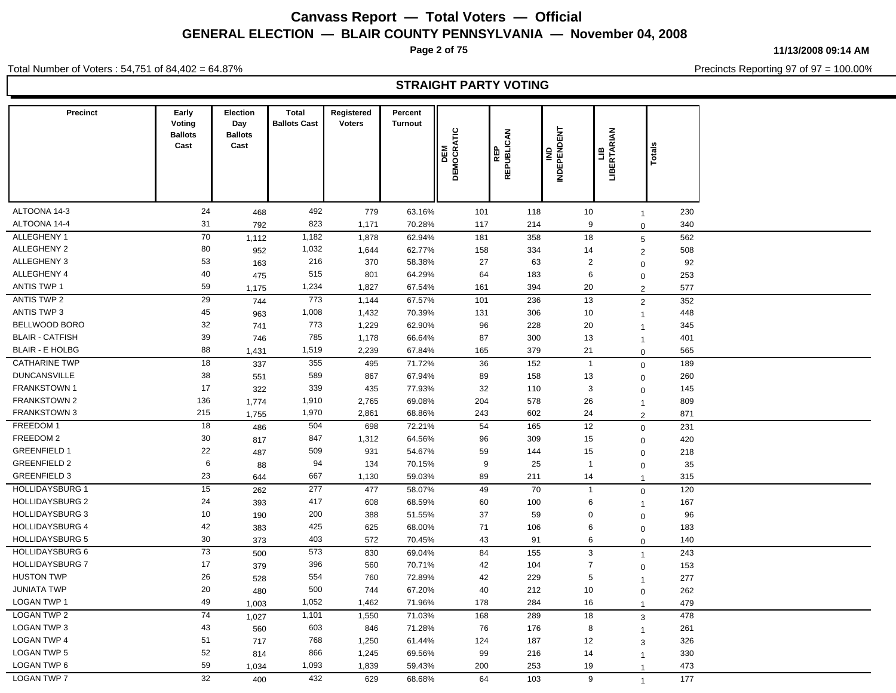**Page 2 of 75**

**11/13/2008 09:14 AM**

Precincts Reporting 97 of 97 = 100.00%

Total Number of Voters : 54,751 of 84,402 = 64.87%

### **STRAIGHT PARTY VOTING**

| <b>Precinct</b>        | Early<br>Voting<br><b>Ballots</b><br>Cast | Election<br>Day<br><b>Ballots</b><br>Cast | <b>Total</b><br><b>Ballots Cast</b> | Registered<br><b>Voters</b> | Percent<br><b>Turnout</b> | <b>DEM</b><br>DEMOCRATIC | REPUBLICAN<br>REP | <b>INDEPENDENT</b><br>을 | LIB<br>ERTARIAN<br>兽 | <b>Total</b>                   |  |
|------------------------|-------------------------------------------|-------------------------------------------|-------------------------------------|-----------------------------|---------------------------|--------------------------|-------------------|-------------------------|----------------------|--------------------------------|--|
| ALTOONA 14-3           | 24                                        | 468                                       | 492                                 | 779                         | 63.16%                    | 101                      | 118               | 10                      |                      | 230<br>$\overline{1}$          |  |
| ALTOONA 14-4           | 31                                        | 792                                       | 823                                 | 1,171                       | 70.28%                    | 117                      | 214               | 9                       |                      | 340<br>$\Omega$                |  |
| ALLEGHENY 1            | 70                                        | 1,112                                     | 1,182                               | 1,878                       | 62.94%                    | 181                      | 358               | 18                      |                      | 562<br>5                       |  |
| ALLEGHENY 2            | 80                                        | 952                                       | 1,032                               | 1,644                       | 62.77%                    | 158                      | 334               | 14                      |                      | 508<br>$\overline{c}$          |  |
| ALLEGHENY 3            | 53                                        | 163                                       | 216                                 | 370                         | 58.38%                    | 27                       | 63                | $\overline{2}$          |                      | 92<br>$\mathbf 0$              |  |
| ALLEGHENY 4            | 40                                        | 475                                       | 515                                 | 801                         | 64.29%                    | 64                       | 183               | 6                       |                      | 253<br>$\mathbf 0$             |  |
| <b>ANTIS TWP 1</b>     | 59                                        | 1,175                                     | 1,234                               | 1,827                       | 67.54%                    | 161                      | 394               | 20                      |                      | 577<br>$\overline{2}$          |  |
| ANTIS TWP 2            | 29                                        | 744                                       | 773                                 | 1,144                       | 67.57%                    | 101                      | 236               | 13                      |                      | 352<br>$\overline{2}$          |  |
| <b>ANTIS TWP 3</b>     | 45                                        | 963                                       | 1,008                               | 1,432                       | 70.39%                    | 131                      | 306               | 10                      |                      | 448<br>$\overline{\mathbf{1}}$ |  |
| BELLWOOD BORO          | 32                                        | 741                                       | 773                                 | 1,229                       | 62.90%                    | 96                       | 228               | 20                      |                      | 345<br>$\overline{1}$          |  |
| <b>BLAIR - CATFISH</b> | 39                                        | 746                                       | 785                                 | 1,178                       | 66.64%                    | 87                       | 300               | 13                      |                      | 401<br>$\overline{1}$          |  |
| <b>BLAIR - E HOLBG</b> | 88                                        | 1,431                                     | 1,519                               | 2,239                       | 67.84%                    | 165                      | 379               | 21                      |                      | 565<br>$\mathbf 0$             |  |
| <b>CATHARINE TWP</b>   | 18                                        | 337                                       | 355                                 | 495                         | 71.72%                    | 36                       | 152               | $\overline{1}$          |                      | 189<br>$\mathbf 0$             |  |
| <b>DUNCANSVILLE</b>    | 38                                        | 551                                       | 589                                 | 867                         | 67.94%                    | 89                       | 158               | 13                      |                      | 260<br>$\mathbf 0$             |  |
| <b>FRANKSTOWN 1</b>    | 17                                        | 322                                       | 339                                 | 435                         | 77.93%                    | 32                       | 110               | 3                       |                      | 145<br>$\mathbf 0$             |  |
| FRANKSTOWN 2           | 136                                       | 1,774                                     | 1,910                               | 2,765                       | 69.08%                    | 204                      | 578               | 26                      |                      | 809<br>$\overline{1}$          |  |
| <b>FRANKSTOWN 3</b>    | 215                                       | 1,755                                     | 1,970                               | 2,861                       | 68.86%                    | 243                      | 602               | 24                      |                      | 871<br>2                       |  |
| FREEDOM 1              | 18                                        | 486                                       | 504                                 | 698                         | 72.21%                    | 54                       | 165               | 12                      |                      | 231<br>$\mathbf 0$             |  |
| FREEDOM 2              | 30                                        | 817                                       | 847                                 | 1,312                       | 64.56%                    | 96                       | 309               | 15                      |                      | 420<br>$\mathbf 0$             |  |
| <b>GREENFIELD 1</b>    | 22                                        | 487                                       | 509                                 | 931                         | 54.67%                    | 59                       | 144               | 15                      |                      | 218<br>$\mathbf 0$             |  |
| <b>GREENFIELD 2</b>    | 6                                         | 88                                        | 94                                  | 134                         | 70.15%                    | 9                        | 25                | $\overline{1}$          |                      | 35<br>$\mathbf 0$              |  |
| <b>GREENFIELD 3</b>    | 23                                        | 644                                       | 667                                 | 1,130                       | 59.03%                    | 89                       | 211               | 14                      |                      | 315<br>$\overline{1}$          |  |
| <b>HOLLIDAYSBURG 1</b> | 15                                        | 262                                       | 277                                 | 477                         | 58.07%                    | 49                       | 70                | $\overline{1}$          |                      | 120<br>$\mathbf 0$             |  |
| <b>HOLLIDAYSBURG 2</b> | 24                                        | 393                                       | 417                                 | 608                         | 68.59%                    | 60                       | 100               | 6                       |                      | 167<br>$\overline{1}$          |  |
| <b>HOLLIDAYSBURG 3</b> | 10                                        | 190                                       | 200                                 | 388                         | 51.55%                    | 37                       | 59                | $\mathbf 0$             |                      | 96<br>$\mathbf 0$              |  |
| <b>HOLLIDAYSBURG 4</b> | 42                                        | 383                                       | 425                                 | 625                         | 68.00%                    | 71                       | 106               | 6                       |                      | 183<br>$\overline{0}$          |  |
| <b>HOLLIDAYSBURG 5</b> | 30                                        | 373                                       | 403                                 | 572                         | 70.45%                    | 43                       | 91                | 6                       |                      | 140<br>$\Omega$                |  |
| <b>HOLLIDAYSBURG 6</b> | $\overline{73}$                           | 500                                       | 573                                 | 830                         | 69.04%                    | 84                       | 155               | 3                       |                      | 243<br>$\overline{1}$          |  |
| <b>HOLLIDAYSBURG 7</b> | 17                                        | 379                                       | 396                                 | 560                         | 70.71%                    | 42                       | 104               | $\overline{7}$          |                      | 153<br>$\mathbf 0$             |  |
| <b>HUSTON TWP</b>      | 26                                        | 528                                       | 554                                 | 760                         | 72.89%                    | 42                       | 229               | 5                       |                      | 277<br>$\overline{1}$          |  |
| <b>JUNIATA TWP</b>     | 20                                        | 480                                       | 500                                 | 744                         | 67.20%                    | 40                       | 212               | 10                      |                      | 262<br>$\mathbf 0$             |  |
| <b>LOGAN TWP 1</b>     | 49                                        | 1,003                                     | 1,052                               | 1,462                       | 71.96%                    | 178                      | 284               | 16                      |                      | 479<br>$\overline{1}$          |  |
| <b>LOGAN TWP 2</b>     | 74                                        | 1,027                                     | 1,101                               | 1,550                       | 71.03%                    | 168                      | 289               | 18                      |                      | 478<br>$\mathbf{3}$            |  |
| LOGAN TWP 3            | 43                                        | 560                                       | 603                                 | 846                         | 71.28%                    | 76                       | 176               | 8                       |                      | 261<br>$\overline{1}$          |  |
| <b>LOGAN TWP 4</b>     | 51                                        | 717                                       | 768                                 | 1,250                       | 61.44%                    | 124                      | 187               | 12                      |                      | 326<br>3                       |  |
| LOGAN TWP 5            | 52                                        | 814                                       | 866                                 | 1,245                       | 69.56%                    | 99                       | 216               | 14                      |                      | 330<br>$\overline{1}$          |  |
| LOGAN TWP 6            | 59                                        | 1,034                                     | 1,093                               | 1,839                       | 59.43%                    | 200                      | 253               | 19                      |                      | 473<br>-1                      |  |
| <b>LOGAN TWP 7</b>     | 32                                        | 400                                       | 432                                 | 629                         | 68.68%                    | 64                       | 103               | 9                       |                      | 177<br>$\overline{1}$          |  |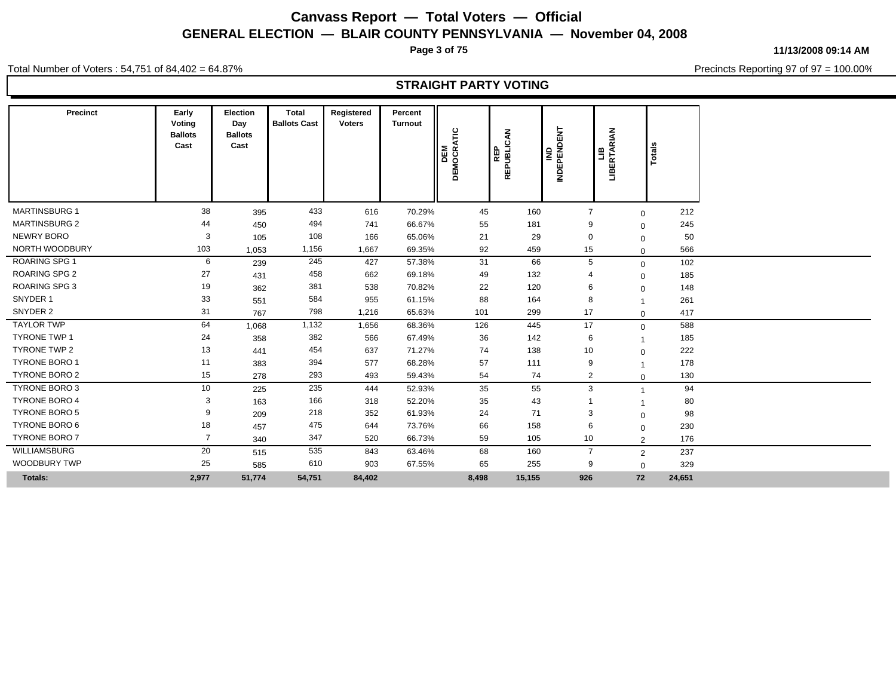**Page 3 of 75**

**11/13/2008 09:14 AM**

Precincts Reporting 97 of 97 = 100.00%

Total Number of Voters : 54,751 of 84,402 = 64.87%

### **STRAIGHT PARTY VOTING**

| Precinct             | Early<br>Voting<br><b>Ballots</b><br>Cast | <b>Election</b><br>Day<br><b>Ballots</b><br>Cast | Total<br><b>Ballots Cast</b> | Registered<br><b>Voters</b> | Percent<br><b>Turnout</b> | DEMOCRATIC<br>DEM | <b>REP<br/>REPUBLICAN</b> | IND<br>REPENDENT<br>ē | <b>RIAN</b><br>ERTAI<br>兽 | otals  |  |
|----------------------|-------------------------------------------|--------------------------------------------------|------------------------------|-----------------------------|---------------------------|-------------------|---------------------------|-----------------------|---------------------------|--------|--|
| <b>MARTINSBURG 1</b> | 38                                        | 395                                              | 433                          | 616                         | 70.29%                    | 45                | 160                       | $\overline{7}$        | $\mathbf 0$               | 212    |  |
| <b>MARTINSBURG 2</b> | 44                                        | 450                                              | 494                          | 741                         | 66.67%                    | 55                | 181                       | 9                     | $\mathbf 0$               | 245    |  |
| NEWRY BORO           | 3                                         | 105                                              | 108                          | 166                         | 65.06%                    | 21                | 29                        | $\mathbf 0$           | $\mathbf 0$               | 50     |  |
| NORTH WOODBURY       | 103                                       | 1,053                                            | 1,156                        | 1,667                       | 69.35%                    | 92                | 459                       | 15                    | $\Omega$                  | 566    |  |
| ROARING SPG 1        | 6                                         | 239                                              | 245                          | 427                         | 57.38%                    | 31                | 66                        | 5                     | $\mathbf 0$               | 102    |  |
| <b>ROARING SPG 2</b> | 27                                        | 431                                              | 458                          | 662                         | 69.18%                    | 49                | 132                       |                       | $\mathbf 0$               | 185    |  |
| <b>ROARING SPG 3</b> | 19                                        | 362                                              | 381                          | 538                         | 70.82%                    | 22                | 120                       | 6                     | $\mathbf 0$               | 148    |  |
| SNYDER 1             | 33                                        | 551                                              | 584                          | 955                         | 61.15%                    | 88                | 164                       | 8                     |                           | 261    |  |
| SNYDER 2             | 31                                        | 767                                              | 798                          | 1,216                       | 65.63%                    | 101               | 299                       | 17                    | $\mathbf 0$               | 417    |  |
| <b>TAYLOR TWP</b>    | 64                                        | 1,068                                            | 1,132                        | 1,656                       | 68.36%                    | 126               | 445                       | 17                    | $\mathbf 0$               | 588    |  |
| <b>TYRONE TWP 1</b>  | 24                                        | 358                                              | 382                          | 566                         | 67.49%                    | 36                | 142                       | 6                     |                           | 185    |  |
| <b>TYRONE TWP 2</b>  | 13                                        | 441                                              | 454                          | 637                         | 71.27%                    | 74                | 138                       | 10                    | $\mathbf 0$               | 222    |  |
| <b>TYRONE BORO 1</b> | 11                                        | 383                                              | 394                          | 577                         | 68.28%                    | 57                | 111                       | 9                     | $\overline{1}$            | 178    |  |
| <b>TYRONE BORO 2</b> | 15                                        | 278                                              | 293                          | 493                         | 59.43%                    | 54                | 74                        | 2                     | $\mathbf 0$               | 130    |  |
| TYRONE BORO 3        | 10                                        | 225                                              | 235                          | 444                         | 52.93%                    | 35                | 55                        | 3                     |                           | 94     |  |
| <b>TYRONE BORO 4</b> | 3                                         | 163                                              | 166                          | 318                         | 52.20%                    | 35                | 43                        |                       |                           | 80     |  |
| <b>TYRONE BORO 5</b> | -9                                        | 209                                              | 218                          | 352                         | 61.93%                    | 24                | 71                        | 3                     | $\mathbf 0$               | 98     |  |
| <b>TYRONE BORO 6</b> | 18                                        | 457                                              | 475                          | 644                         | 73.76%                    | 66                | 158                       | 6                     | $\Omega$                  | 230    |  |
| <b>TYRONE BORO 7</b> | $\overline{7}$                            | 340                                              | 347                          | 520                         | 66.73%                    | 59                | 105                       | 10                    | 2                         | 176    |  |
| WILLIAMSBURG         | 20                                        | 515                                              | 535                          | 843                         | 63.46%                    | 68                | 160                       | $\overline{7}$        | $\overline{2}$            | 237    |  |
| WOODBURY TWP         | 25                                        | 585                                              | 610                          | 903                         | 67.55%                    | 65                | 255                       | 9                     | $\mathbf 0$               | 329    |  |
| Totals:              | 2,977                                     | 51,774                                           | 54,751                       | 84,402                      |                           | 8,498             | 15,155                    | 926                   | 72                        | 24,651 |  |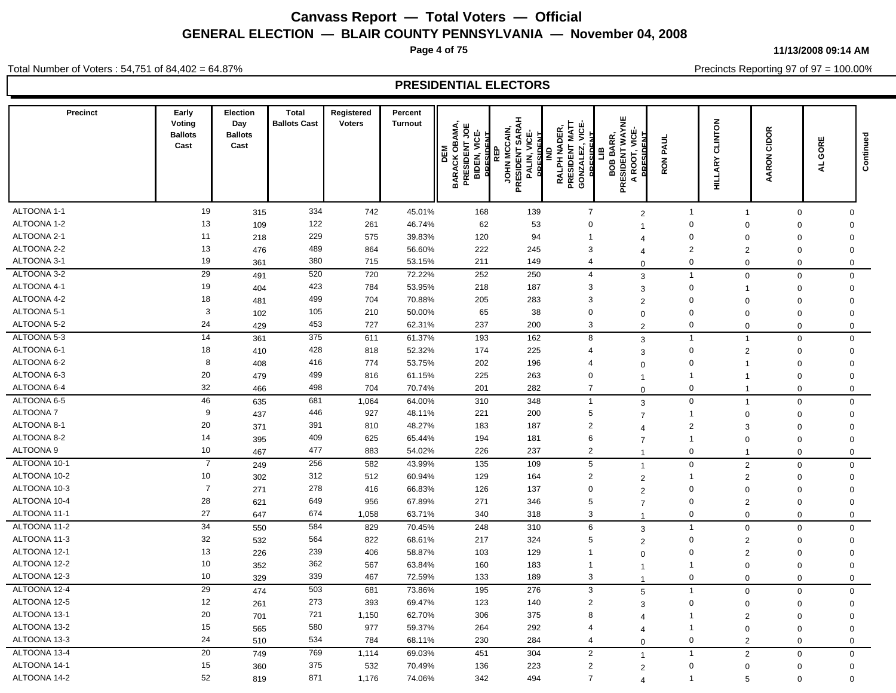**Page 4 of 75**

**11/13/2008 09:14 AM**

Precincts Reporting 97 of 97 = 100.00%

Total Number of Voters : 54,751 of 84,402 = 64.87%

| <b>Precinct</b> | Early<br>Voting<br><b>Ballots</b><br>Cast | Election<br>Day<br><b>Ballots</b><br>Cast | <b>Total</b><br><b>Ballots Cast</b> | Registered<br><b>Voters</b> | Percent<br><b>Turnout</b> | <b>OBAMA</b><br>JОE<br>ن<br>الا<br>PRESIDENT<br>DEM<br>BIDEN,<br><b>BARACK</b><br>g | PRESIDENT SARAH<br>JOHN MCCAIN<br>ENE<br>E<br>PALIN, VIC<br><b>DRES</b> | ய்<br>PRESIDENT MATT<br><b>NADER</b><br>≧<br>GONZALEZ<br><b>DIDECT</b><br>RALPH I | ш<br>PRESIDENT WAYN<br>VICE-<br>R.<br>≨<br>$\overline{0}$<br>ā<br>Ō.<br>œ<br>$\blacktriangleleft$ | PAUL<br><b>RON</b>          | CLINTON<br><b>HILLARY</b> | CIDOR<br>AARON          | GORE<br>$\overline{\mathbf{A}}$ | Continued                  |
|-----------------|-------------------------------------------|-------------------------------------------|-------------------------------------|-----------------------------|---------------------------|-------------------------------------------------------------------------------------|-------------------------------------------------------------------------|-----------------------------------------------------------------------------------|---------------------------------------------------------------------------------------------------|-----------------------------|---------------------------|-------------------------|---------------------------------|----------------------------|
| ALTOONA 1-1     | 19                                        |                                           | 334                                 |                             |                           |                                                                                     |                                                                         |                                                                                   |                                                                                                   |                             |                           |                         |                                 |                            |
| ALTOONA 1-2     | 13                                        | 315<br>109                                | 122                                 | 742<br>261                  | 45.01%<br>46.74%          | 168<br>62                                                                           | 139<br>53                                                               | $\overline{7}$<br>$\mathbf 0$                                                     | $\overline{2}$                                                                                    | $\mathbf{1}$<br>$\mathbf 0$ | $\mathbf{1}$<br>$\Omega$  | $\mathbf 0$<br>$\Omega$ |                                 | $\mathbf 0$<br>$\mathbf 0$ |
| ALTOONA 2-1     | 11                                        | 218                                       | 229                                 | 575                         | 39.83%                    | 120                                                                                 | 94                                                                      | $\overline{1}$                                                                    | $\overline{1}$                                                                                    | $\mathbf 0$                 | $\mathbf 0$               | $\mathbf 0$             |                                 | $\mathbf 0$                |
| ALTOONA 2-2     | 13                                        | 476                                       | 489                                 | 864                         | 56.60%                    | 222                                                                                 | 245                                                                     | 3                                                                                 | 4                                                                                                 | $\overline{2}$              | $\overline{2}$            | $\mathbf 0$             |                                 | $\mathbf 0$                |
| ALTOONA 3-1     | 19                                        | 361                                       | 380                                 | 715                         | 53.15%                    | 211                                                                                 | 149                                                                     | $\overline{4}$                                                                    | $\overline{4}$<br>$\Omega$                                                                        | $\mathbf 0$                 | $\Omega$                  | $\Omega$                |                                 | $\mathbf 0$                |
| ALTOONA 3-2     | 29                                        |                                           | 520                                 | 720                         | 72.22%                    | 252                                                                                 | 250                                                                     | $\overline{4}$                                                                    |                                                                                                   | $\overline{1}$              |                           | $\mathbf 0$             |                                 |                            |
| ALTOONA 4-1     | 19                                        | 491<br>404                                | 423                                 | 784                         | 53.95%                    | 218                                                                                 | 187                                                                     | 3                                                                                 | 3<br>3                                                                                            | $\mathbf 0$                 | $\mathbf 0$               | $\mathbf 0$             |                                 | $\mathbf 0$<br>$\mathbf 0$ |
| ALTOONA 4-2     | 18                                        | 481                                       | 499                                 | 704                         | 70.88%                    | 205                                                                                 | 283                                                                     | 3                                                                                 | $\overline{2}$                                                                                    | $\mathbf 0$                 | $\mathbf 0$               | $\mathbf 0$             |                                 | $\mathbf 0$                |
| ALTOONA 5-1     | 3                                         | 102                                       | 105                                 | 210                         | 50.00%                    | 65                                                                                  | 38                                                                      | $\mathbf 0$                                                                       | $\mathbf 0$                                                                                       | $\mathsf 0$                 | $\mathbf 0$               | $\mathbf 0$             |                                 | $\mathbf 0$                |
| ALTOONA 5-2     | 24                                        | 429                                       | 453                                 | 727                         | 62.31%                    | 237                                                                                 | 200                                                                     | 3                                                                                 | $\mathcal{P}$                                                                                     | $\mathbf 0$                 | $\Omega$                  | $\Omega$                |                                 | $\mathbf 0$                |
| ALTOONA 5-3     | 14                                        | 361                                       | 375                                 | 611                         | 61.37%                    | 193                                                                                 | 162                                                                     | 8                                                                                 | 3                                                                                                 | $\overline{1}$              | $\overline{1}$            | 0                       |                                 | $\mathbf 0$                |
| ALTOONA 6-1     | 18                                        | 410                                       | 428                                 | 818                         | 52.32%                    | 174                                                                                 | 225                                                                     | $\overline{4}$                                                                    | 3                                                                                                 | $\mathbf 0$                 | $\overline{2}$            | $\Omega$                |                                 | $\mathbf 0$                |
| ALTOONA 6-2     | 8                                         | 408                                       | 416                                 | 774                         | 53.75%                    | 202                                                                                 | 196                                                                     | $\overline{4}$                                                                    | $\mathbf 0$                                                                                       | $\mathbf 0$                 |                           | $\Omega$                |                                 | $\mathbf 0$                |
| ALTOONA 6-3     | 20                                        | 479                                       | 499                                 | 816                         | 61.15%                    | 225                                                                                 | 263                                                                     | $\mathbf 0$                                                                       | $\mathbf 1$                                                                                       | $\mathbf{1}$                | -1                        | $\Omega$                |                                 | $\mathbf 0$                |
| ALTOONA 6-4     | 32                                        | 466                                       | 498                                 | 704                         | 70.74%                    | 201                                                                                 | 282                                                                     | $\overline{7}$                                                                    | $\Omega$                                                                                          | $\mathbf 0$                 | $\mathbf 1$               | $\mathbf 0$             |                                 | $\mathbf 0$                |
| ALTOONA 6-5     | 46                                        | 635                                       | 681                                 | 1,064                       | 64.00%                    | 310                                                                                 | 348                                                                     | $\overline{1}$                                                                    | 3                                                                                                 | $\mathbf 0$                 | $\overline{1}$            | 0                       |                                 | $\mathbf 0$                |
| <b>ALTOONA7</b> | 9                                         | 437                                       | 446                                 | 927                         | 48.11%                    | 221                                                                                 | 200                                                                     | 5                                                                                 | $\overline{7}$                                                                                    | $\overline{1}$              | $\mathbf 0$               | $\mathbf 0$             |                                 | $\mathbf 0$                |
| ALTOONA 8-1     | 20                                        | 371                                       | 391                                 | 810                         | 48.27%                    | 183                                                                                 | 187                                                                     | $\overline{2}$                                                                    | $\overline{4}$                                                                                    | 2                           | 3                         | $\Omega$                |                                 | $\mathbf 0$                |
| ALTOONA 8-2     | 14                                        | 395                                       | 409                                 | 625                         | 65.44%                    | 194                                                                                 | 181                                                                     | 6                                                                                 | $\overline{7}$                                                                                    | $\overline{1}$              | $\mathbf 0$               | $\mathbf 0$             |                                 | $\mathbf 0$                |
| ALTOONA 9       | 10                                        | 467                                       | 477                                 | 883                         | 54.02%                    | 226                                                                                 | 237                                                                     | $\overline{2}$                                                                    | $\overline{1}$                                                                                    | $\mathbf 0$                 |                           | $\Omega$                |                                 | $\mathbf 0$                |
| ALTOONA 10-1    | $\overline{7}$                            | 249                                       | 256                                 | 582                         | 43.99%                    | 135                                                                                 | 109                                                                     | 5                                                                                 | $\overline{1}$                                                                                    | $\mathbf 0$                 | 2                         | 0                       |                                 | $\mathbf 0$                |
| ALTOONA 10-2    | 10                                        | 302                                       | 312                                 | 512                         | 60.94%                    | 129                                                                                 | 164                                                                     | $\overline{2}$                                                                    | $\overline{2}$                                                                                    | -1                          | $\overline{2}$            | $\mathbf 0$             |                                 | $\mathbf 0$                |
| ALTOONA 10-3    | $\overline{7}$                            | 271                                       | 278                                 | 416                         | 66.83%                    | 126                                                                                 | 137                                                                     | $\mathbf 0$                                                                       | $\overline{2}$                                                                                    | $\mathbf 0$                 | $\mathbf 0$               | $\mathbf 0$             |                                 | $\mathbf 0$                |
| ALTOONA 10-4    | 28                                        | 621                                       | 649                                 | 956                         | 67.89%                    | 271                                                                                 | 346                                                                     | 5                                                                                 | $\overline{7}$                                                                                    | $\mathsf 0$                 | $\overline{2}$            | $\mathbf 0$             |                                 | $\mathsf 0$                |
| ALTOONA 11-1    | 27                                        | 647                                       | 674                                 | 1,058                       | 63.71%                    | 340                                                                                 | 318                                                                     | 3                                                                                 | 1                                                                                                 | $\mathbf 0$                 | $\Omega$                  | $\Omega$                |                                 | $\mathbf 0$                |
| ALTOONA 11-2    | $\overline{34}$                           | 550                                       | 584                                 | 829                         | 70.45%                    | 248                                                                                 | 310                                                                     | 6                                                                                 | 3                                                                                                 | $\overline{1}$              | $\mathbf 0$               | $\Omega$                |                                 | $\mathbf 0$                |
| ALTOONA 11-3    | 32                                        | 532                                       | 564                                 | 822                         | 68.61%                    | 217                                                                                 | 324                                                                     | 5                                                                                 | $\overline{2}$                                                                                    | $\mathbf 0$                 | $\overline{2}$            | $\Omega$                |                                 | $\mathbf 0$                |
| ALTOONA 12-1    | 13                                        | 226                                       | 239                                 | 406                         | 58.87%                    | 103                                                                                 | 129                                                                     | $\overline{1}$                                                                    | $\Omega$                                                                                          | $\mathbf 0$                 | $\overline{2}$            | $\Omega$                |                                 | $\mathbf 0$                |
| ALTOONA 12-2    | 10                                        | 352                                       | 362                                 | 567                         | 63.84%                    | 160                                                                                 | 183                                                                     | $\overline{1}$                                                                    | $\mathbf{1}$                                                                                      | $\overline{1}$              | $\mathbf 0$               | $\mathbf 0$             |                                 | $\mathsf 0$                |
| ALTOONA 12-3    | 10                                        | 329                                       | 339                                 | 467                         | 72.59%                    | 133                                                                                 | 189                                                                     | 3                                                                                 | $\overline{1}$                                                                                    | $\mathbf 0$                 | $\mathbf 0$               | $\mathbf 0$             |                                 | $\mathbf 0$                |
| ALTOONA 12-4    | 29                                        | 474                                       | 503                                 | 681                         | 73.86%                    | 195                                                                                 | 276                                                                     | 3                                                                                 | 5                                                                                                 | $\overline{1}$              | $\mathbf 0$               | $\mathbf 0$             |                                 | $\mathbf{0}$               |
| ALTOONA 12-5    | 12                                        | 261                                       | 273                                 | 393                         | 69.47%                    | 123                                                                                 | 140                                                                     | $\overline{2}$                                                                    | 3                                                                                                 | $\mathbf 0$                 | $\mathbf 0$               | $\Omega$                |                                 | $\mathbf 0$                |
| ALTOONA 13-1    | 20                                        | 701                                       | 721                                 | 1,150                       | 62.70%                    | 306                                                                                 | 375                                                                     | 8                                                                                 | $\overline{\mathcal{A}}$                                                                          | $\overline{1}$              | $\overline{2}$            | $\Omega$                |                                 | $\mathbf 0$                |
| ALTOONA 13-2    | 15                                        | 565                                       | 580                                 | 977                         | 59.37%                    | 264                                                                                 | 292                                                                     | $\overline{4}$                                                                    | $\overline{4}$                                                                                    | $\mathbf{1}$                | $\mathbf 0$               | $\mathbf 0$             |                                 | $\mathbf 0$                |
| ALTOONA 13-3    | 24                                        | 510                                       | 534                                 | 784                         | 68.11%                    | 230                                                                                 | 284                                                                     | $\overline{4}$                                                                    | $\Omega$                                                                                          | $\mathbf 0$                 | $\overline{2}$            | $\mathbf 0$             |                                 | $\mathbf 0$                |
| ALTOONA 13-4    | 20                                        | 749                                       | 769                                 | 1,114                       | 69.03%                    | 451                                                                                 | 304                                                                     | $\overline{2}$                                                                    | $\overline{1}$                                                                                    | $\overline{1}$              | $\overline{2}$            | $\mathbf 0$             |                                 | $\mathbf 0$                |
| ALTOONA 14-1    | 15                                        | 360                                       | 375                                 | 532                         | 70.49%                    | 136                                                                                 | 223                                                                     | $\overline{2}$                                                                    | 2                                                                                                 | $\mathbf 0$                 | $\mathbf 0$               | $\mathbf 0$             |                                 | $\mathbf 0$                |
| ALTOONA 14-2    | 52                                        | 819                                       | 871                                 | 1,176                       | 74.06%                    | 342                                                                                 | 494                                                                     | $\overline{7}$                                                                    | $\overline{4}$                                                                                    | $\overline{1}$              | 5                         | $\mathbf 0$             |                                 | $\Omega$                   |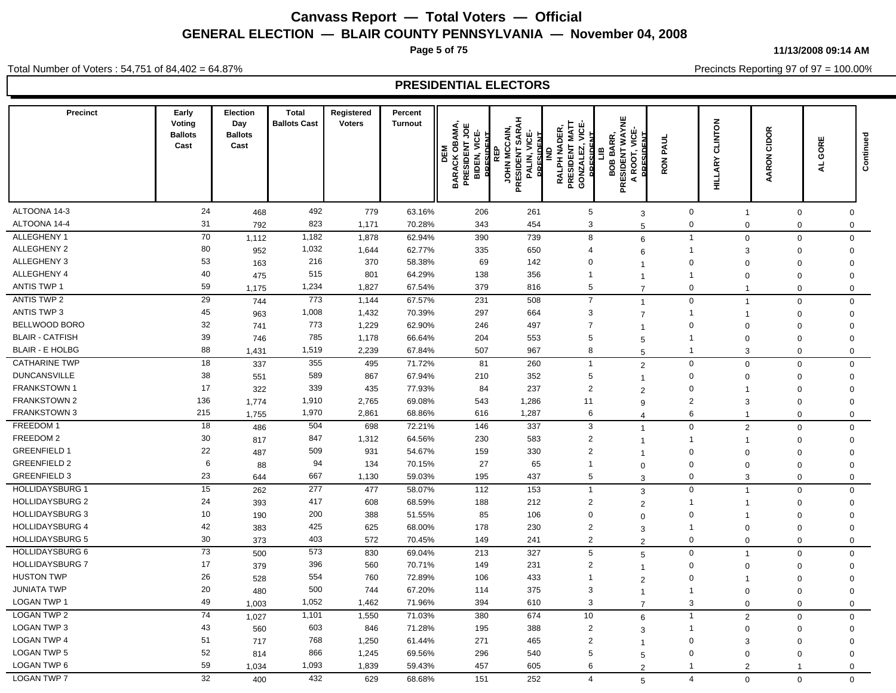**Page 5 of 75**

**11/13/2008 09:14 AM**

Precincts Reporting 97 of 97 = 100.00%

Total Number of Voters : 54,751 of 84,402 = 64.87%

| <b>Precinct</b>        | Early<br>Voting<br><b>Ballots</b><br>Cast | Election<br>Day<br><b>Ballots</b><br>Cast | <b>Total</b><br><b>Ballots Cast</b> | Registered<br><b>Voters</b> | Percent<br><b>Turnout</b> | OBAMA,<br>ENT JOE<br><b>PRESIDENT</b><br>BIDEN, VIC<br>PRESIDENT<br>DEM<br><b>BARACK</b> | PRESIDENT SARAH<br>JOHN MCCAIN<br>PALIN, VICE<br>DRESIDENT<br>œ | PRESIDENT MATT<br>VICE-<br><b>NADER</b><br>GONZALEZ,<br><b>RALPH</b> | PRESIDENT WAYNE<br>œ<br>š<br>≃<br>ã<br>A ROOT,<br>Ō<br>ဝ္စ | PAUL<br>RON <sub>I</sub>   | <b>CLINTON</b><br><b>HILLARY</b> | CIDOR<br>AARON | GORE<br>₹                  | Continued |
|------------------------|-------------------------------------------|-------------------------------------------|-------------------------------------|-----------------------------|---------------------------|------------------------------------------------------------------------------------------|-----------------------------------------------------------------|----------------------------------------------------------------------|------------------------------------------------------------|----------------------------|----------------------------------|----------------|----------------------------|-----------|
| ALTOONA 14-3           | 24                                        |                                           | 492                                 | 779                         |                           |                                                                                          |                                                                 |                                                                      |                                                            |                            |                                  |                |                            |           |
| ALTOONA 14-4           | 31                                        | 468<br>792                                | 823                                 | 1,171                       | 63.16%<br>70.28%          | 206<br>343                                                                               | 261<br>454                                                      | $\sqrt{5}$<br>3                                                      | 3                                                          | $\mathsf 0$<br>$\mathsf 0$ | $\overline{1}$<br>$\Omega$       | 0<br>0         | $\mathbf 0$<br>$\mathsf 0$ |           |
| ALLEGHENY 1            | 70                                        | 1,112                                     | 1,182                               | 1,878                       | 62.94%                    | 390                                                                                      | 739                                                             | 8                                                                    | 5                                                          | $\mathbf{1}$               | $\mathbf 0$                      | 0              | $\mathsf{O}\xspace$        |           |
| ALLEGHENY 2            | 80                                        | 952                                       | 1,032                               | 1,644                       | 62.77%                    | 335                                                                                      | 650                                                             | $\overline{4}$                                                       | 6<br>6                                                     | $\mathbf{1}$               | 3                                | $\mathbf 0$    | $\mathbf 0$                |           |
| ALLEGHENY 3            | 53                                        | 163                                       | 216                                 | 370                         | 58.38%                    | 69                                                                                       | 142                                                             | $\mathbf 0$                                                          | $\overline{1}$                                             | $\Omega$                   | $\Omega$                         | $\Omega$       | $\mathbf 0$                |           |
| ALLEGHENY 4            | 40                                        | 475                                       | 515                                 | 801                         | 64.29%                    | 138                                                                                      | 356                                                             | $\overline{1}$                                                       | $\overline{1}$                                             | $\mathbf{1}$               | $\Omega$                         | $\Omega$       | $\mathbf 0$                |           |
| <b>ANTIS TWP 1</b>     | 59                                        | 1,175                                     | 1,234                               | 1,827                       | 67.54%                    | 379                                                                                      | 816                                                             | 5                                                                    | $\overline{7}$                                             | $\Omega$                   | -1                               | $\Omega$       | $\mathsf 0$                |           |
| <b>ANTIS TWP 2</b>     | 29                                        | 744                                       | 773                                 | 1,144                       | 67.57%                    | 231                                                                                      | 508                                                             | $\overline{7}$                                                       | $\overline{1}$                                             | $\mathbf 0$                | $\overline{1}$                   | $\mathbf 0$    | $\mathbf 0$                |           |
| <b>ANTIS TWP 3</b>     | 45                                        | 963                                       | 1,008                               | 1,432                       | 70.39%                    | 297                                                                                      | 664                                                             | 3                                                                    | $\overline{7}$                                             | $\mathbf{1}$               | 1                                | $\Omega$       | $\mathbf 0$                |           |
| BELLWOOD BORO          | 32                                        | 741                                       | 773                                 | 1,229                       | 62.90%                    | 246                                                                                      | 497                                                             | $\overline{7}$                                                       | $\overline{\mathbf{1}}$                                    | $\Omega$                   | $\Omega$                         | $\Omega$       | $\mathbf 0$                |           |
| <b>BLAIR - CATFISH</b> | 39                                        | 746                                       | 785                                 | 1,178                       | 66.64%                    | 204                                                                                      | 553                                                             | 5                                                                    | 5                                                          | $\mathbf{1}$               | $\mathbf 0$                      | $\Omega$       | $\mathbf 0$                |           |
| <b>BLAIR - E HOLBG</b> | 88                                        | 1,431                                     | 1,519                               | 2,239                       | 67.84%                    | 507                                                                                      | 967                                                             | 8                                                                    | 5                                                          | $\mathbf{1}$               | 3                                | $\mathbf 0$    | $\mathbf 0$                |           |
| <b>CATHARINE TWP</b>   | 18                                        | 337                                       | 355                                 | 495                         | 71.72%                    | 81                                                                                       | 260                                                             | $\overline{1}$                                                       | $\overline{2}$                                             | $\mathbf 0$                | $\Omega$                         | $\mathbf 0$    | $\mathbf 0$                |           |
| <b>DUNCANSVILLE</b>    | 38                                        | 551                                       | 589                                 | 867                         | 67.94%                    | 210                                                                                      | 352                                                             | 5                                                                    | $\overline{1}$                                             | $\mathbf 0$                | $\Omega$                         | $\Omega$       | $\mathbf 0$                |           |
| <b>FRANKSTOWN1</b>     | 17                                        | 322                                       | 339                                 | 435                         | 77.93%                    | 84                                                                                       | 237                                                             | $\overline{2}$                                                       | $\overline{2}$                                             | $\mathbf 0$                | $\overline{1}$                   | $\Omega$       | $\mathbf 0$                |           |
| <b>FRANKSTOWN 2</b>    | 136                                       | 1,774                                     | 1,910                               | 2,765                       | 69.08%                    | 543                                                                                      | 1,286                                                           | 11                                                                   | 9                                                          | $\overline{2}$             | 3                                | $\mathbf 0$    | $\mathbf 0$                |           |
| FRANKSTOWN 3           | 215                                       | 1,755                                     | 1,970                               | 2,861                       | 68.86%                    | 616                                                                                      | 1,287                                                           | 6                                                                    | $\overline{4}$                                             | 6                          | $\mathbf{1}$                     | $\mathbf 0$    | $\mathbf 0$                |           |
| FREEDOM 1              | 18                                        | 486                                       | 504                                 | 698                         | 72.21%                    | 146                                                                                      | 337                                                             | 3                                                                    | $\overline{\mathbf{1}}$                                    | $\mathbf 0$                | 2                                | $\mathbf 0$    | $\mathbf 0$                |           |
| FREEDOM 2              | 30                                        | 817                                       | 847                                 | 1,312                       | 64.56%                    | 230                                                                                      | 583                                                             | $\overline{2}$                                                       | $\overline{1}$                                             | $\mathbf{1}$               | -1                               | $\mathbf 0$    | $\mathbf 0$                |           |
| <b>GREENFIELD 1</b>    | 22                                        | 487                                       | 509                                 | 931                         | 54.67%                    | 159                                                                                      | 330                                                             | $\overline{2}$                                                       | $\overline{1}$                                             | $\mathbf 0$                | 0                                | $\Omega$       | $\mathbf 0$                |           |
| <b>GREENFIELD 2</b>    | 6                                         | 88                                        | 94                                  | 134                         | 70.15%                    | 27                                                                                       | 65                                                              | $\overline{1}$                                                       | $\Omega$                                                   | $\mathbf 0$                | $\mathbf 0$                      | $\mathbf 0$    | $\mathbf 0$                |           |
| <b>GREENFIELD 3</b>    | 23                                        | 644                                       | 667                                 | 1,130                       | 59.03%                    | 195                                                                                      | 437                                                             | 5                                                                    | 3                                                          | $\mathbf 0$                | 3                                | $\mathbf 0$    | $\mathbf 0$                |           |
| <b>HOLLIDAYSBURG 1</b> | 15                                        | 262                                       | 277                                 | 477                         | 58.07%                    | 112                                                                                      | 153                                                             | $\overline{1}$                                                       | 3                                                          | $\mathbf 0$                | $\overline{1}$                   | $\mathbf 0$    | $\mathbf 0$                |           |
| <b>HOLLIDAYSBURG 2</b> | 24                                        | 393                                       | 417                                 | 608                         | 68.59%                    | 188                                                                                      | 212                                                             | $\overline{2}$                                                       | $\overline{2}$                                             | $\mathbf{1}$               | -1                               | 0              | $\mathbf 0$                |           |
| <b>HOLLIDAYSBURG 3</b> | 10                                        | 190                                       | 200                                 | 388                         | 51.55%                    | 85                                                                                       | 106                                                             | $\mathbf 0$                                                          | $\Omega$                                                   | $\mathbf 0$                | -1                               | $\mathbf 0$    | $\mathbf 0$                |           |
| <b>HOLLIDAYSBURG 4</b> | 42                                        | 383                                       | 425                                 | 625                         | 68.00%                    | 178                                                                                      | 230                                                             | $\overline{2}$                                                       | 3                                                          | $\mathbf{1}$               | $\mathbf 0$                      | $\mathbf 0$    | $\mathbf 0$                |           |
| <b>HOLLIDAYSBURG 5</b> | 30                                        | 373                                       | 403                                 | 572                         | 70.45%                    | 149                                                                                      | 241                                                             | $\overline{2}$                                                       | $\overline{2}$                                             | $\mathbf 0$                | $\Omega$                         | $\mathbf 0$    | $\mathbf 0$                |           |
| <b>HOLLIDAYSBURG 6</b> | 73                                        | 500                                       | 573                                 | 830                         | 69.04%                    | 213                                                                                      | 327                                                             | $\,$ 5 $\,$                                                          | 5                                                          | $\mathbf 0$                | $\overline{1}$                   | 0              | $\mathbf 0$                |           |
| <b>HOLLIDAYSBURG 7</b> | 17                                        | 379                                       | 396                                 | 560                         | 70.71%                    | 149                                                                                      | 231                                                             | $\overline{2}$                                                       | $\overline{1}$                                             | $\mathbf 0$                | $\mathbf 0$                      | $\mathbf 0$    | $\mathbf 0$                |           |
| <b>HUSTON TWP</b>      | 26                                        | 528                                       | 554                                 | 760                         | 72.89%                    | 106                                                                                      | 433                                                             | $\overline{1}$                                                       | $\overline{2}$                                             | 0                          | -1                               | $\mathbf 0$    | $\mathbf 0$                |           |
| <b>JUNIATA TWP</b>     | $20\,$                                    | 480                                       | 500                                 | 744                         | 67.20%                    | 114                                                                                      | 375                                                             | 3                                                                    | $\overline{1}$                                             | $\mathbf{1}$               | $\mathbf 0$                      | $\mathbf 0$    | $\mathbf 0$                |           |
| <b>LOGAN TWP 1</b>     | 49                                        | 1,003                                     | 1,052                               | 1,462                       | 71.96%                    | 394                                                                                      | 610                                                             | 3                                                                    | $\overline{7}$                                             | 3                          | $\mathbf 0$                      | $\mathbf 0$    | $\mathbf 0$                |           |
| <b>LOGAN TWP 2</b>     | $\overline{74}$                           | 1,027                                     | 1,101                               | 1,550                       | 71.03%                    | 380                                                                                      | 674                                                             | 10                                                                   | 6                                                          | $\mathbf{1}$               | 2                                | 0              | $\mathsf 0$                |           |
| <b>LOGAN TWP 3</b>     | 43                                        | 560                                       | 603                                 | 846                         | 71.28%                    | 195                                                                                      | 388                                                             | $\overline{2}$                                                       | 3                                                          | 1                          | $\mathbf 0$                      | $\mathbf 0$    | $\mathbf 0$                |           |
| <b>LOGAN TWP 4</b>     | 51                                        | 717                                       | 768                                 | 1,250                       | 61.44%                    | 271                                                                                      | 465                                                             | $\overline{2}$                                                       | -1                                                         | 0                          | 3                                | $\mathbf 0$    | $\mathbf 0$                |           |
| <b>LOGAN TWP 5</b>     | 52                                        | 814                                       | 866                                 | 1,245                       | 69.56%                    | 296                                                                                      | 540                                                             | 5                                                                    | 5                                                          | $\Omega$                   | $\Omega$                         | $\Omega$       | $\mathbf 0$                |           |
| LOGAN TWP 6            | 59                                        | 1,034                                     | 1,093                               | 1,839                       | 59.43%                    | 457                                                                                      | 605                                                             | 6                                                                    | 2                                                          | -1                         | $\overline{2}$                   | 1              | $\mathsf 0$                |           |
| <b>LOGAN TWP 7</b>     | 32                                        | 400                                       | 432                                 | 629                         | 68.68%                    | 151                                                                                      | 252                                                             | $\overline{4}$                                                       | 5                                                          | $\overline{4}$             | $\mathbf 0$                      | $\mathbf{0}$   | $\mathbf{0}$               |           |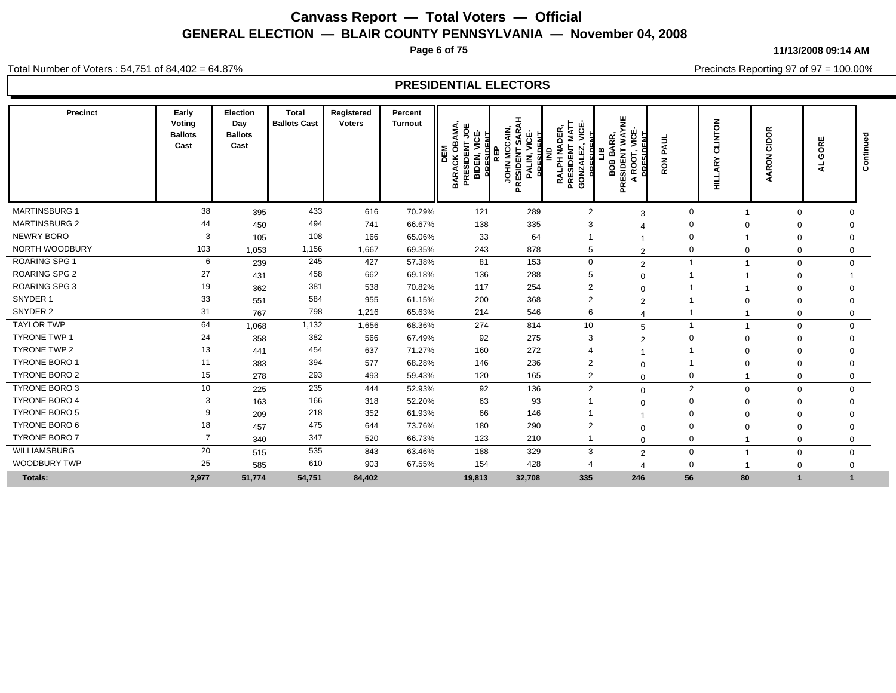**Page 6 of 75**

**11/13/2008 09:14 AM**

Precincts Reporting 97 of 97 = 100.00%

Total Number of Voters : 54,751 of 84,402 = 64.87%

| Precinct             | Early<br>Voting<br><b>Ballots</b><br>Cast | Election<br>Day<br><b>Ballots</b><br>Cast | <b>Total</b><br><b>Ballots Cast</b> | Registered<br><b>Voters</b> | Percent<br><b>Turnout</b> | BAMA,<br>TJOE<br>VICE-<br><b>PRESIDENT</b><br>PRESIDENT<br>ō<br>DEM<br>BIDEN,<br><b>BARACK</b> | <b>SARAH</b><br><b>JOHN MCCAIN</b><br><b>PRESIDENT</b><br><b>PALIN, VICE-</b><br>PALIN, VICE-<br>밑<br>$\overline{\mathbf{a}}$ | <b>PRESIDENT MATT<br/>GONZALEZ, VICE-</b><br>RALPH NADER<br><b>DRESIDENT</b><br>≩<br><b>GONZ</b> | WAYNE<br>уiс<br><br>BARR,<br>PRESIDENT<br>≞<br>ROOT,<br>808<br>$\blacktriangleleft$ | PAUL<br><b>RON</b> | <b>NOLNIT</b><br>ပ<br>হূ<br>륖 | CIDOR<br><b>ARON</b><br>∢ | ш<br><b>RI</b><br>Ō<br>₹ | Contin |
|----------------------|-------------------------------------------|-------------------------------------------|-------------------------------------|-----------------------------|---------------------------|------------------------------------------------------------------------------------------------|-------------------------------------------------------------------------------------------------------------------------------|--------------------------------------------------------------------------------------------------|-------------------------------------------------------------------------------------|--------------------|-------------------------------|---------------------------|--------------------------|--------|
| <b>MARTINSBURG 1</b> | 38                                        | 395                                       | 433                                 | 616                         | 70.29%                    | 121                                                                                            | 289                                                                                                                           | $\overline{2}$                                                                                   | 3                                                                                   | $\Omega$           |                               | $\Omega$                  | $\Omega$                 |        |
| <b>MARTINSBURG 2</b> | 44                                        | 450                                       | 494                                 | 741                         | 66.67%                    | 138                                                                                            | 335                                                                                                                           | 3                                                                                                |                                                                                     |                    |                               |                           | $\Omega$                 |        |
| NEWRY BORO           | 3                                         | 105                                       | 108                                 | 166                         | 65.06%                    | 33                                                                                             | 64                                                                                                                            |                                                                                                  |                                                                                     |                    |                               | 0                         | $\Omega$                 |        |
| NORTH WOODBURY       | 103                                       | 1,053                                     | 1,156                               | 1,667                       | 69.35%                    | 243                                                                                            | 878                                                                                                                           | 5                                                                                                | $\overline{2}$                                                                      |                    |                               | 0                         | $\mathbf 0$              |        |
| <b>ROARING SPG 1</b> | 6                                         | 239                                       | 245                                 | 427                         | 57.38%                    | 81                                                                                             | 153                                                                                                                           | $\mathbf 0$                                                                                      | $\overline{2}$                                                                      |                    |                               | $\mathbf 0$               | $\mathbf 0$              |        |
| <b>ROARING SPG 2</b> | 27                                        | 431                                       | 458                                 | 662                         | 69.18%                    | 136                                                                                            | 288                                                                                                                           | 5                                                                                                | $\Omega$                                                                            |                    |                               | $\mathbf 0$               |                          |        |
| <b>ROARING SPG 3</b> | 19                                        | 362                                       | 381                                 | 538                         | 70.82%                    | 117                                                                                            | 254                                                                                                                           | $\overline{2}$                                                                                   | $\Omega$                                                                            |                    |                               | $\Omega$                  |                          |        |
| SNYDER 1             | 33                                        | 551                                       | 584                                 | 955                         | 61.15%                    | 200                                                                                            | 368                                                                                                                           | $\overline{2}$                                                                                   | $\overline{2}$                                                                      |                    |                               | 0                         | $\mathbf 0$              |        |
| SNYDER 2             | 31                                        | 767                                       | 798                                 | 1,216                       | 65.63%                    | 214                                                                                            | 546                                                                                                                           | 6                                                                                                |                                                                                     |                    |                               | $\mathbf 0$               | 0                        |        |
| <b>TAYLOR TWP</b>    | 64                                        | 1,068                                     | 1,132                               | 1,656                       | 68.36%                    | 274                                                                                            | 814                                                                                                                           | 10                                                                                               | 5                                                                                   |                    |                               | $\mathbf 0$               | $\mathbf 0$              |        |
| <b>TYRONE TWP 1</b>  | 24                                        | 358                                       | 382                                 | 566                         | 67.49%                    | 92                                                                                             | 275                                                                                                                           | 3                                                                                                | $\overline{2}$                                                                      |                    |                               | 0                         | $\Omega$                 |        |
| <b>TYRONE TWP 2</b>  | 13                                        | 441                                       | 454                                 | 637                         | 71.27%                    | 160                                                                                            | 272                                                                                                                           | 4                                                                                                |                                                                                     |                    |                               | 0                         |                          |        |
| TYRONE BORO 1        | 11                                        | 383                                       | 394                                 | 577                         | 68.28%                    | 146                                                                                            | 236                                                                                                                           | $\overline{2}$                                                                                   | $\Omega$                                                                            |                    |                               | $\Omega$                  | 0                        |        |
| TYRONE BORO 2        | 15                                        | 278                                       | 293                                 | 493                         | 59.43%                    | 120                                                                                            | 165                                                                                                                           | $\overline{2}$                                                                                   | $\Omega$                                                                            | 0                  |                               | 0                         | 0                        |        |
| TYRONE BORO 3        | 10                                        | 225                                       | 235                                 | 444                         | 52.93%                    | 92                                                                                             | 136                                                                                                                           | $\overline{2}$                                                                                   | $\Omega$                                                                            | $\overline{2}$     |                               | $\mathbf 0$<br>$\Omega$   | $\Omega$                 |        |
| <b>TYRONE BORO 4</b> | 3                                         | 163                                       | 166                                 | 318                         | 52.20%                    | 63                                                                                             | 93                                                                                                                            |                                                                                                  | $\Omega$                                                                            |                    | $\Omega$                      | 0                         | $\Omega$                 |        |
| <b>TYRONE BORO 5</b> |                                           | 209                                       | 218                                 | 352                         | 61.93%                    | 66                                                                                             | 146                                                                                                                           |                                                                                                  |                                                                                     |                    |                               | 0                         | $\Omega$                 |        |
| TYRONE BORO 6        | 18                                        | 457                                       | 475                                 | 644                         | 73.76%                    | 180                                                                                            | 290                                                                                                                           | $\overline{2}$                                                                                   | $\Omega$                                                                            |                    |                               | 0                         | $\Omega$                 |        |
| TYRONE BORO 7        | $\overline{7}$                            | 340                                       | 347                                 | 520                         | 66.73%                    | 123                                                                                            | 210                                                                                                                           |                                                                                                  | $\Omega$                                                                            | 0                  |                               | $\Omega$                  | $\Omega$                 |        |
| <b>WILLIAMSBURG</b>  | 20                                        | 515                                       | 535                                 | 843                         | 63.46%                    | 188                                                                                            | 329                                                                                                                           | 3                                                                                                | $\overline{2}$                                                                      | $\mathbf 0$        |                               | $\mathbf 0$               | $\mathbf 0$              |        |
| <b>WOODBURY TWP</b>  | 25                                        | 585                                       | 610                                 | 903                         | 67.55%                    | 154                                                                                            | 428                                                                                                                           | $\overline{4}$                                                                                   |                                                                                     | $\mathbf 0$        |                               | 0                         | 0                        |        |
| <b>Totals:</b>       | 2,977                                     | 51,774                                    | 54,751                              | 84,402                      |                           | 19,813                                                                                         | 32,708                                                                                                                        | 335                                                                                              | 246                                                                                 | 56                 | 80                            |                           | $\blacktriangleleft$     |        |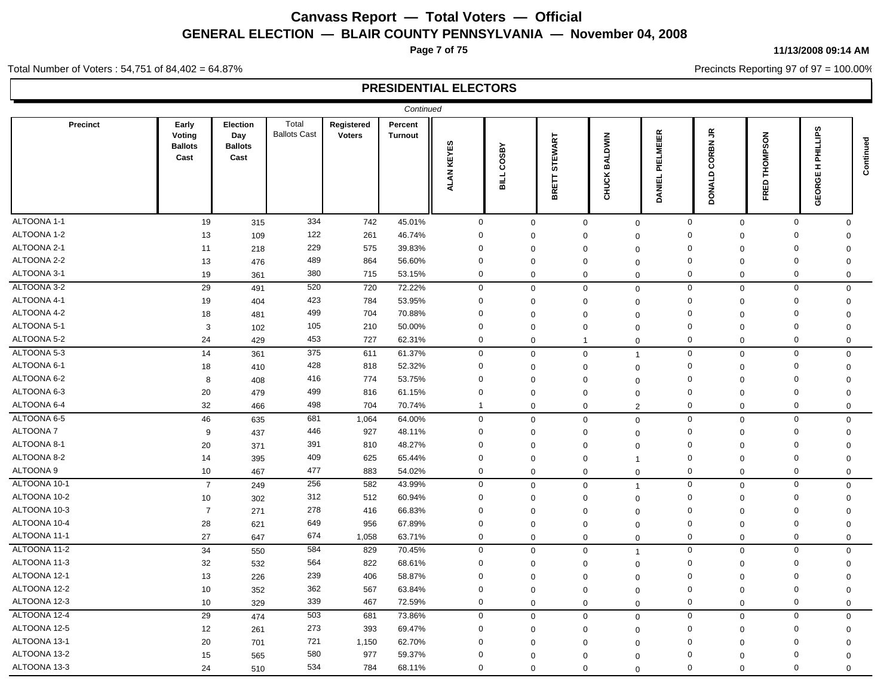**Page 7 of 75**

#### **11/13/2008 09:14 AM**

Precincts Reporting 97 of 97 = 100.00%

Total Number of Voters : 54,751 of 84,402 = 64.87%

|                 |                                           |                                           |                              |                             | Continued                 |                      |                            |                   |                         |                                  |                                             |                    |                                              |             |
|-----------------|-------------------------------------------|-------------------------------------------|------------------------------|-----------------------------|---------------------------|----------------------|----------------------------|-------------------|-------------------------|----------------------------------|---------------------------------------------|--------------------|----------------------------------------------|-------------|
| <b>Precinct</b> | Early<br>Voting<br><b>Ballots</b><br>Cast | Election<br>Day<br><b>Ballots</b><br>Cast | Total<br><b>Ballots Cast</b> | Registered<br><b>Voters</b> | Percent<br><b>Turnout</b> | KEYES<br><b>ALAN</b> | <b>COSBY</b><br><b>HIE</b> | STEWART<br>BRETT: | <b>BALDWIN</b><br>CHUCK | <b>ELMEIER</b><br>ᇎ<br>긊<br>DANI | $\tilde{\vec{r}}$<br><b>CORBN</b><br>DONALD | THOMPSON<br>읎<br>뚠 | <b>ILLIPS</b><br>론<br>T.<br>₩<br><b>GEOR</b> | Continued   |
| ALTOONA 1-1     | 19                                        | 315                                       | 334                          | 742                         | 45.01%                    | $\mathbf 0$          |                            | $\mathbf 0$       | $\mathbf 0$             | $\mathbf 0$                      | $\mathbf 0$                                 | $\mathbf 0$        | $\mathbf 0$                                  | $\Omega$    |
| ALTOONA 1-2     | 13                                        | 109                                       | 122                          | 261                         | 46.74%                    | $\mathbf 0$          |                            | $\mathbf 0$       | $\Omega$                | $\Omega$                         | $\Omega$                                    | $\mathbf 0$        | $\mathbf 0$                                  | $\mathbf 0$ |
| ALTOONA 2-1     | 11                                        | 218                                       | 229                          | 575                         | 39.83%                    | $\Omega$             |                            | $\mathbf 0$       | $\Omega$                | $\Omega$                         | $\Omega$                                    | $\Omega$           | $\mathbf 0$                                  | $\Omega$    |
| ALTOONA 2-2     | 13                                        | 476                                       | 489                          | 864                         | 56.60%                    | $\mathbf 0$          |                            | $\mathbf 0$       | $\Omega$                | $\overline{0}$                   | $\Omega$                                    | $\mathbf 0$        | $\mathbf 0$                                  | $\mathbf 0$ |
| ALTOONA 3-1     | 19                                        | 361                                       | 380                          | 715                         | 53.15%                    | $\mathbf 0$          |                            | $\mathbf 0$       | $\mathbf 0$             | $\mathbf 0$                      | $\mathbf 0$                                 | $\mathbf 0$        | $\mathbf 0$                                  | $\mathbf 0$ |
| ALTOONA 3-2     | 29                                        | 491                                       | 520                          | 720                         | 72.22%                    | $\mathbf 0$          |                            | $\mathbf 0$       | $\mathbf 0$             | $\mathbf 0$                      | $\mathbf 0$                                 | $\mathbf 0$        | $\mathbf 0$                                  | $\mathbf 0$ |
| ALTOONA 4-1     | 19                                        | 404                                       | 423                          | 784                         | 53.95%                    | $\Omega$             |                            | $\mathbf 0$       | $\mathbf 0$             | $\mathbf 0$                      | $\mathbf 0$                                 | $\mathbf 0$        | $\mathbf 0$                                  | $\mathbf 0$ |
| ALTOONA 4-2     | 18                                        | 481                                       | 499                          | 704                         | 70.88%                    | $\mathbf 0$          |                            | $\mathbf 0$       | $\Omega$                | $\overline{0}$                   | $\mathbf 0$                                 | $\Omega$           | $\mathbf 0$                                  | $\mathbf 0$ |
| ALTOONA 5-1     | 3                                         | 102                                       | 105                          | 210                         | 50.00%                    | $\mathbf 0$          |                            | $\mathbf 0$       | $\Omega$                | $\Omega$                         | 0                                           | $\mathbf 0$        | $\mathbf 0$                                  | $\Omega$    |
| ALTOONA 5-2     | 24                                        | 429                                       | 453                          | 727                         | 62.31%                    | $\Omega$             |                            | $\mathbf 0$       | $\overline{1}$          | $\mathbf 0$                      | $\mathbf 0$                                 | $\mathbf 0$        | $\mathbf 0$                                  | $\mathbf 0$ |
| ALTOONA 5-3     | 14                                        | 361                                       | 375                          | 611                         | 61.37%                    | $\mathbf 0$          |                            | $\mathbf 0$       | $\mathbf 0$             | $\overline{1}$                   | $\mathbf 0$                                 | $\mathbf 0$        | $\mathbf 0$                                  | $\mathbf 0$ |
| ALTOONA 6-1     | 18                                        | 410                                       | 428                          | 818                         | 52.32%                    | $\Omega$             |                            | $\mathbf 0$       | $\Omega$                | $\Omega$                         | $\Omega$                                    | $\mathbf 0$        | $\mathbf 0$                                  | $\Omega$    |
| ALTOONA 6-2     | 8                                         | 408                                       | 416                          | 774                         | 53.75%                    | $\Omega$             |                            | $\mathbf 0$       | $\Omega$                | $\Omega$                         | $\Omega$                                    | $\mathbf 0$        | $\mathbf 0$                                  | $\mathbf 0$ |
| ALTOONA 6-3     | 20                                        | 479                                       | 499                          | 816                         | 61.15%                    | $\mathbf 0$          |                            | $\mathbf 0$       | $\Omega$                | $\Omega$                         | $\mathbf 0$                                 | $\mathbf 0$        | $\mathbf 0$                                  | $\mathbf 0$ |
| ALTOONA 6-4     | 32                                        | 466                                       | 498                          | 704                         | 70.74%                    | $\overline{1}$       |                            | $\mathbf 0$       | $\mathbf 0$             | $\overline{2}$                   | $\mathbf 0$                                 | $\mathbf 0$        | $\mathbf 0$                                  | $\mathbf 0$ |
| ALTOONA 6-5     | 46                                        | 635                                       | 681                          | 1,064                       | 64.00%                    | $\mathbf 0$          |                            | $\mathbf 0$       | $\mathbf 0$             | $\mathbf 0$                      | $\mathbf 0$                                 | $\mathbf 0$        | $\mathbf 0$                                  | $\mathbf 0$ |
| ALTOONA 7       | 9                                         | 437                                       | 446                          | 927                         | 48.11%                    | $\mathbf 0$          |                            | $\mathbf 0$       | $\mathbf 0$             | $\mathbf 0$                      | $\mathbf 0$                                 | $\mathbf 0$        | $\mathbf 0$                                  | $\mathbf 0$ |
| ALTOONA 8-1     | 20                                        | 371                                       | 391                          | 810                         | 48.27%                    | $\mathbf 0$          |                            | $\Omega$          | $\Omega$                | $\Omega$                         | $\Omega$                                    | $\Omega$           | $\mathbf 0$                                  | $\Omega$    |
| ALTOONA 8-2     | 14                                        | 395                                       | 409                          | 625                         | 65.44%                    | $\Omega$             |                            | $\mathbf 0$       | $\Omega$                | $\overline{1}$                   | $\Omega$                                    | $\mathbf 0$        | $\mathbf 0$                                  | 0           |
| ALTOONA 9       | 10                                        | 467                                       | 477                          | 883                         | 54.02%                    | $\mathbf 0$          |                            | $\mathbf 0$       | $\mathbf 0$             | $\mathbf 0$                      | $\mathbf 0$                                 | $\mathbf 0$        | $\mathbf 0$                                  | $\mathbf 0$ |
| ALTOONA 10-1    | $\overline{7}$                            | 249                                       | 256                          | 582                         | 43.99%                    | $\mathbf 0$          |                            | $\mathbf 0$       | $\mathbf 0$             | $\overline{1}$                   | $\mathbf 0$                                 | $\mathbf 0$        | $\mathsf 0$                                  | $\mathbf 0$ |
| ALTOONA 10-2    | 10                                        | 302                                       | 312                          | 512                         | 60.94%                    | $\mathbf 0$          |                            | $\mathbf 0$       | $\Omega$                | $\mathbf 0$                      | $\Omega$                                    | $\mathbf 0$        | $\mathbf 0$                                  | $\mathbf 0$ |
| ALTOONA 10-3    | $\overline{7}$                            | 271                                       | 278                          | 416                         | 66.83%                    | $\Omega$             |                            | $\mathbf 0$       | $\Omega$                | $\Omega$                         | $\mathbf 0$                                 | $\mathbf 0$        | $\mathbf 0$                                  | $\Omega$    |
| ALTOONA 10-4    | 28                                        | 621                                       | 649                          | 956                         | 67.89%                    | $\mathbf 0$          |                            | $\mathbf 0$       | $\mathbf 0$             | $\mathbf 0$                      | 0                                           | $\mathbf 0$        | $\mathbf 0$                                  | $\Omega$    |
| ALTOONA 11-1    | 27                                        | 647                                       | 674                          | 1,058                       | 63.71%                    | $\boldsymbol{0}$     |                            | $\mathbf 0$       | $\mathbf 0$             | $\mathbf 0$                      | $\mathbf 0$                                 | $\mathbf 0$        | $\mathbf 0$                                  | 0           |
| ALTOONA 11-2    | 34                                        | 550                                       | 584                          | 829                         | 70.45%                    | $\mathbf 0$          |                            | $\mathbf 0$       | $\mathbf 0$             | $\overline{1}$                   | $\mathbf 0$                                 | $\mathbf 0$        | $\mathbf 0$                                  | $\mathbf 0$ |
| ALTOONA 11-3    | 32                                        | 532                                       | 564                          | 822                         | 68.61%                    | $\Omega$             |                            | $\mathbf 0$       | $\Omega$                | $\Omega$                         | $\Omega$                                    | $\mathbf 0$        | $\mathbf 0$                                  | $\Omega$    |
| ALTOONA 12-1    | 13                                        | 226                                       | 239                          | 406                         | 58.87%                    | $\Omega$             |                            | $\mathbf 0$       | $\Omega$                | $\overline{0}$                   | $\Omega$                                    | $\mathbf 0$        | $\mathbf 0$                                  | 0           |
| ALTOONA 12-2    | 10                                        | 352                                       | 362                          | 567                         | 63.84%                    | $\mathbf 0$          |                            | $\Omega$          | $\Omega$                | $\Omega$                         | $\mathbf 0$                                 | $\mathbf 0$        | $\mathbf 0$                                  | $\mathbf 0$ |
| ALTOONA 12-3    | 10                                        | 329                                       | 339                          | 467                         | 72.59%                    | $\mathbf 0$          |                            | $\mathbf 0$       | $\mathbf 0$             | $\mathbf 0$                      | 0                                           | $\mathbf 0$        | $\mathbf 0$                                  | $\Omega$    |
| ALTOONA 12-4    | 29                                        | 474                                       | 503                          | 681                         | 73.86%                    | $\pmb{0}$            |                            | $\mathbf 0$       | $\mathbf 0$             | $\mathbf 0$                      | $\mathbf 0$                                 | $\mathbf 0$        | $\mathbf 0$                                  | $\mathbf 0$ |
| ALTOONA 12-5    | 12                                        | 261                                       | 273                          | 393                         | 69.47%                    | $\Omega$             |                            | $\mathbf 0$       | $\Omega$                | $\overline{0}$                   | $\Omega$                                    | $\mathbf 0$        | $\mathbf 0$                                  | $\mathbf 0$ |
| ALTOONA 13-1    | 20                                        | 701                                       | 721                          | 1,150                       | 62.70%                    | $\Omega$             |                            | $\Omega$          | $\Omega$                | $\Omega$                         | $\Omega$                                    | $\Omega$           | 0                                            | $\Omega$    |
| ALTOONA 13-2    | 15                                        | 565                                       | 580                          | 977                         | 59.37%                    | 0                    |                            | $\mathbf 0$       | $\Omega$                | $\Omega$                         | $\Omega$                                    | $\Omega$           | 0                                            | $\Omega$    |
| ALTOONA 13-3    | 24                                        | 510                                       | 534                          | 784                         | 68.11%                    | $\Omega$             |                            | $\Omega$          | $\Omega$                | $\Omega$                         | $\mathbf 0$                                 | $\Omega$           | $\mathbf 0$                                  | $\Omega$    |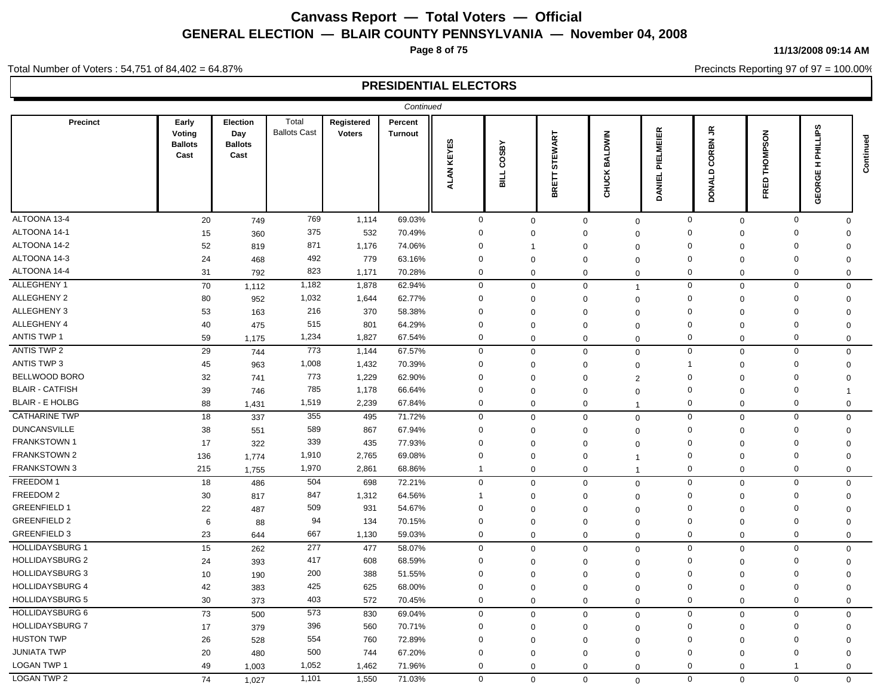**Page 8 of 75**

#### **11/13/2008 09:14 AM**

Precincts Reporting 97 of 97 = 100.00%

Total Number of Voters : 54,751 of 84,402 = 64.87%

|                        |                                           |                                           |                              |                             | Continued          |                      |              |                    |                               |                                        |                               |                           |                                           |           |
|------------------------|-------------------------------------------|-------------------------------------------|------------------------------|-----------------------------|--------------------|----------------------|--------------|--------------------|-------------------------------|----------------------------------------|-------------------------------|---------------------------|-------------------------------------------|-----------|
| Precinct               | Early<br>Voting<br><b>Ballots</b><br>Cast | Election<br>Day<br><b>Ballots</b><br>Cast | Total<br><b>Ballots Cast</b> | Registered<br><b>Voters</b> | Percent<br>Turnout | KEYES<br><b>ALAN</b> | COSBY<br>lls | STEWART<br>BRETT : | <b>NIMU</b><br>BAL<br>CHUCK   | 臣<br>ΜEΙ<br>ᇚ<br>ᄘ<br>ᇚ<br><b>DANI</b> | CORBN JR<br>DONALD            | <b>THOMPSON</b><br>品<br>뚠 | <b>PHILLIPS</b><br>Ŧ.<br>෪<br><b>GEOR</b> | Continued |
| ALTOONA 13-4           | 20                                        | 749                                       | 769                          | 1,114                       | 69.03%             | $\mathbf 0$          | 0            |                    | $\mathbf 0$                   | $\mathbf 0$                            | $\mathbf 0$<br>$\mathbf 0$    | $\mathbf 0$               | $\Omega$                                  |           |
| ALTOONA 14-1           | 15                                        | 360                                       | 375                          | 532                         | 70.49%             | $\mathbf 0$          | $\Omega$     | $\mathbf 0$        | $\Omega$                      |                                        | $\Omega$<br>$\Omega$          | $\Omega$                  | $\Omega$                                  |           |
| ALTOONA 14-2           | 52                                        | 819                                       | 871                          | 1,176                       | 74.06%             | 0                    | 1            | $\mathbf 0$        | $\Omega$                      |                                        | $\Omega$<br>0                 | 0                         | 0                                         |           |
| ALTOONA 14-3           | 24                                        | 468                                       | 492                          | 779                         | 63.16%             | $\mathbf 0$          | $\mathbf 0$  | $\mathbf 0$        | $\mathbf 0$                   |                                        | $\Omega$<br>$\mathbf 0$       | $\Omega$                  | 0                                         |           |
| ALTOONA 14-4           | 31                                        | 792                                       | 823                          | 1,171                       | 70.28%             | $\mathbf 0$          | $\Omega$     |                    | $\mathbf 0$<br>$\mathbf 0$    |                                        | $\mathbf 0$<br>0              | $\mathbf 0$               | 0                                         |           |
| ALLEGHENY 1            | 70                                        | 1,112                                     | 1,182                        | 1,878                       | 62.94%             | $\mathbf 0$          | $\mathbf{0}$ |                    | $\mathbf 0$<br>$\overline{1}$ |                                        | $\mathbf 0$<br>$\mathbf 0$    | $\mathbf 0$               | $\mathbf 0$                               |           |
| <b>ALLEGHENY 2</b>     | 80                                        | 952                                       | 1,032                        | 1,644                       | 62.77%             | $\mathbf 0$          | $\Omega$     | $\Omega$           | $\Omega$                      |                                        | $\Omega$<br>$\Omega$          | $\mathbf 0$               | $\Omega$                                  |           |
| ALLEGHENY 3            | 53                                        | 163                                       | 216                          | 370                         | 58.38%             | $\mathbf 0$          | $\Omega$     | $\mathbf 0$        | $\mathbf 0$                   |                                        | $\Omega$<br>$\Omega$          | $\Omega$                  | $\Omega$                                  |           |
| ALLEGHENY 4            | 40                                        | 475                                       | 515                          | 801                         | 64.29%             | $\mathbf 0$          | $\Omega$     | $\Omega$           | $\mathbf 0$                   |                                        | $\Omega$<br>$\Omega$          | $\Omega$                  | $\Omega$                                  |           |
| <b>ANTIS TWP 1</b>     | 59                                        | 1,175                                     | 1,234                        | 1,827                       | 67.54%             | $\mathbf 0$          | $\mathbf{0}$ | $\Omega$           | $\mathbf 0$                   |                                        | $\mathbf 0$<br>$\mathbf 0$    | $\mathbf 0$               | $\Omega$                                  |           |
| <b>ANTIS TWP 2</b>     | 29                                        | 744                                       | 773                          | 1,144                       | 67.57%             | $\mathbf 0$          | $\Omega$     |                    | $\mathbf 0$<br>$\Omega$       |                                        | $\mathbf 0$<br>$\mathbf 0$    | $\mathbf 0$               | $\mathbf 0$                               |           |
| <b>ANTIS TWP 3</b>     | 45                                        | 963                                       | 1,008                        | 1,432                       | 70.39%             | $\mathbf 0$          | $\Omega$     | $\mathbf 0$        | $\Omega$                      |                                        | $\overline{1}$<br>$\mathbf 0$ | $\mathbf 0$               | $\Omega$                                  |           |
| BELLWOOD BORO          | 32                                        | 741                                       | 773                          | 1,229                       | 62.90%             | $\mathbf 0$          | $\Omega$     | $\mathbf 0$        | $\overline{2}$                |                                        | $\Omega$<br>$\mathbf 0$       | $\Omega$                  | $\Omega$                                  |           |
| <b>BLAIR - CATFISH</b> | 39                                        | 746                                       | 785                          | 1,178                       | 66.64%             | $\mathbf 0$          | $\Omega$     | $\Omega$           | $\Omega$                      |                                        | $\mathbf 0$<br>$\Omega$       | $\mathbf 0$               | 1                                         |           |
| <b>BLAIR - E HOLBG</b> | 88                                        | 1,431                                     | 1,519                        | 2,239                       | 67.84%             | $\mathbf 0$          | $\mathbf 0$  |                    | $\mathbf 0$<br>$\overline{1}$ |                                        | 0<br>$\mathbf 0$              | $\mathbf 0$               | $\mathbf 0$                               |           |
| <b>CATHARINE TWP</b>   | 18                                        | 337                                       | 355                          | 495                         | 71.72%             | $\mathbf 0$          | $\mathbf 0$  |                    | $\mathbf 0$<br>$\mathbf{0}$   |                                        | $\mathbf 0$<br>$\mathbf 0$    | $\mathbf 0$               | $\mathbf 0$                               |           |
| <b>DUNCANSVILLE</b>    | 38                                        | 551                                       | 589                          | 867                         | 67.94%             | $\mathbf 0$          | $\Omega$     | $\Omega$           | $\Omega$                      |                                        | $\Omega$<br>$\mathbf 0$       | $\Omega$                  | $\mathbf 0$                               |           |
| <b>FRANKSTOWN1</b>     | 17                                        | 322                                       | 339                          | 435                         | 77.93%             | $\mathbf 0$          | $\Omega$     | $\mathbf 0$        | $\Omega$                      |                                        | $\mathbf 0$<br>$\Omega$       | $\mathbf 0$               | $\Omega$                                  |           |
| <b>FRANKSTOWN 2</b>    | 136                                       | 1,774                                     | 1,910                        | 2,765                       | 69.08%             | 0                    | $\mathbf 0$  | $\mathbf 0$        | $\mathbf 1$                   |                                        | $\mathbf 0$<br>$\mathbf 0$    | $\mathbf 0$               | $\mathbf 0$                               |           |
| FRANKSTOWN 3           | 215                                       | 1,755                                     | 1,970                        | 2,861                       | 68.86%             | -1                   | $\Omega$     |                    | $\mathbf 0$<br>$\overline{1}$ |                                        | $\mathbf 0$<br>$\mathbf 0$    | $\mathbf 0$               | $\mathbf 0$                               |           |
| FREEDOM 1              | 18                                        | 486                                       | 504                          | 698                         | 72.21%             | $\mathbf 0$          | $\mathbf 0$  |                    | $\mathbf 0$<br>$\mathbf{0}$   |                                        | $\mathbf{0}$<br>$\mathbf 0$   | $\mathbf 0$               | $\mathbf 0$                               |           |
| FREEDOM 2              | 30                                        | 817                                       | 847                          | 1,312                       | 64.56%             |                      | $\Omega$     | $\mathbf 0$        | $\Omega$                      |                                        | $\mathbf 0$<br>0              | $\mathbf 0$               | 0                                         |           |
| <b>GREENFIELD 1</b>    | 22                                        | 487                                       | 509                          | 931                         | 54.67%             | $\mathbf 0$          | $\Omega$     | $\mathbf 0$        | $\Omega$                      |                                        | $\mathbf 0$<br>$\Omega$       | $\mathbf 0$               | $\mathbf 0$                               |           |
| <b>GREENFIELD 2</b>    | 6                                         | 88                                        | 94                           | 134                         | 70.15%             | 0                    | $\mathbf 0$  | $\mathbf 0$        | $\mathbf 0$                   |                                        | $\mathbf 0$<br>$\mathbf 0$    | $\mathbf 0$               | $\mathbf 0$                               |           |
| <b>GREENFIELD 3</b>    | 23                                        | 644                                       | 667                          | 1,130                       | 59.03%             | $\mathbf 0$          | $\mathbf{0}$ |                    | 0<br>$\mathbf 0$              |                                        | $\mathbf 0$<br>$\mathbf 0$    | $\mathbf 0$               | $\mathbf 0$                               |           |
| <b>HOLLIDAYSBURG 1</b> | 15                                        | 262                                       | 277                          | 477                         | 58.07%             | $\mathbf 0$          | $\mathbf 0$  |                    | $\mathbf 0$<br>$\mathbf 0$    |                                        | $\mathbf 0$<br>$\mathbf 0$    | $\mathsf 0$               | $\mathbf 0$                               |           |
| <b>HOLLIDAYSBURG 2</b> | 24                                        | 393                                       | 417                          | 608                         | 68.59%             | $\mathbf 0$          | $\Omega$     | $\mathbf 0$        | $\Omega$                      |                                        | $\Omega$<br>$\mathbf 0$       | $\mathbf 0$               | $\mathbf 0$                               |           |
| <b>HOLLIDAYSBURG 3</b> | 10                                        | 190                                       | 200                          | 388                         | 51.55%             | 0                    | $\Omega$     | $\mathbf 0$        | $\mathbf 0$                   |                                        | $\Omega$<br>$\mathbf 0$       | 0                         | 0                                         |           |
| <b>HOLLIDAYSBURG 4</b> | 42                                        | 383                                       | 425                          | 625                         | 68.00%             | $\mathbf 0$          | $\Omega$     | 0                  | $\mathbf 0$                   |                                        | $\Omega$<br>0                 | $\Omega$                  | $\Omega$                                  |           |
| <b>HOLLIDAYSBURG 5</b> | 30                                        | 373                                       | 403                          | 572                         | 70.45%             | $\mathbf 0$          | 0            |                    | $\mathbf 0$<br>$\mathbf 0$    |                                        | $\mathbf 0$<br>$\mathbf 0$    | $\mathbf 0$               | $\Omega$                                  |           |
| <b>HOLLIDAYSBURG 6</b> | 73                                        | 500                                       | 573                          | 830                         | 69.04%             | $\mathbf 0$          | $\mathbf{0}$ |                    | $\mathbf 0$<br>$\Omega$       |                                        | $\mathbf 0$<br>$\mathbf 0$    | $\mathbf 0$               | $\mathbf 0$                               |           |
| <b>HOLLIDAYSBURG 7</b> | 17                                        | 379                                       | 396                          | 560                         | 70.71%             | $\mathbf 0$          | $\Omega$     | 0                  | $\mathbf 0$                   |                                        | $\Omega$<br>$\mathbf 0$       | $\mathbf 0$               | 0                                         |           |
| <b>HUSTON TWP</b>      | 26                                        | 528                                       | 554                          | 760                         | 72.89%             | $\Omega$             | $\Omega$     | $\Omega$           | $\Omega$                      |                                        | $\Omega$<br>$\Omega$          | $\Omega$                  | $\Omega$                                  |           |
| <b>JUNIATA TWP</b>     | 20                                        | 480                                       | 500                          | 744                         | 67.20%             | $\mathbf 0$          | $\Omega$     | $\Omega$           | $\Omega$                      |                                        | $\Omega$<br>$\Omega$          | $\Omega$                  | $\Omega$                                  |           |
| <b>LOGAN TWP 1</b>     | 49                                        | 1,003                                     | 1,052                        | 1,462                       | 71.96%             | $\mathbf 0$          | $\Omega$     |                    | $\mathbf 0$<br>$\Omega$       |                                        | $\mathbf{0}$<br>$\mathbf 0$   | $\overline{1}$            | $\mathbf 0$                               |           |
| <b>LOGAN TWP 2</b>     | 74                                        | 1,027                                     | 1,101                        | 1,550                       | 71.03%             | $\mathbf 0$          | $\mathbf 0$  |                    | $\mathbf 0$<br>$\Omega$       |                                        | $\mathbf{0}$<br>$\mathbf 0$   | $\mathbf 0$               | $\mathbf 0$                               |           |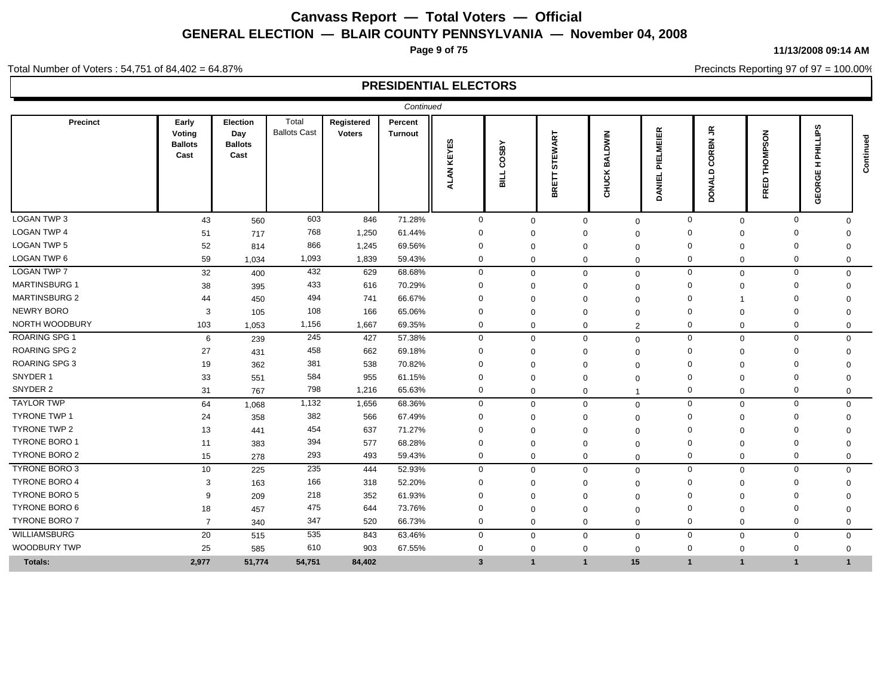**Page 9 of 75**

**11/13/2008 09:14 AM**

Precincts Reporting 97 of 97 = 100.00%

Total Number of Voters : 54,751 of 84,402 = 64.87%

|                      |                                           |                                                  |                              |                             | Continued                 |               |                    |                         |                                              |                                      |                             |                                                          |              |                                                                         |           |
|----------------------|-------------------------------------------|--------------------------------------------------|------------------------------|-----------------------------|---------------------------|---------------|--------------------|-------------------------|----------------------------------------------|--------------------------------------|-----------------------------|----------------------------------------------------------|--------------|-------------------------------------------------------------------------|-----------|
| Precinct             | Early<br>Voting<br><b>Ballots</b><br>Cast | <b>Election</b><br>Day<br><b>Ballots</b><br>Cast | Total<br><b>Ballots Cast</b> | Registered<br><b>Voters</b> | Percent<br><b>Turnout</b> | KEYES<br>ALAN | COSBY<br>TTE<br>19 | EWART<br>5<br>⊢<br>BRET | <b>NIMU</b><br>₹<br>≃<br>$\mathfrak{S}$<br>롡 | 띥<br>画<br>Σ<br>面<br>ᇍ<br>ш<br>ξ<br>o | ҕ<br>$\Xi$<br>COR<br>DONALD | SON<br>$\ddot{\bm{\epsilon}}$<br>훋<br>$\Omega$<br>面<br>Æ |              | ΓS<br>ᇍ<br><b>I</b><br>ш<br>O<br>œ<br>$\overline{\mathbf{o}}$<br>ш<br>Ō | Continued |
| LOGAN TWP 3          | 43                                        | 560                                              | 603                          | 846                         | 71.28%                    | $\mathbf 0$   | $\mathbf 0$        |                         | $\mathbf 0$                                  | $\mathbf 0$                          | $\mathbf 0$                 | $\mathbf 0$                                              | $\mathbf 0$  | $\Omega$                                                                |           |
| <b>LOGAN TWP 4</b>   | 51                                        | 717                                              | 768                          | 1,250                       | 61.44%                    | $\Omega$      | $\Omega$           |                         | $\Omega$                                     | $\Omega$                             | $\Omega$                    | $\Omega$                                                 | $\Omega$     | $\Omega$                                                                |           |
| <b>LOGAN TWP 5</b>   | 52                                        | 814                                              | 866                          | 1,245                       | 69.56%                    | $\Omega$      | $\Omega$           |                         | $\Omega$                                     | $\Omega$                             | $\Omega$                    | $\Omega$                                                 | $\Omega$     | $\Omega$                                                                |           |
| LOGAN TWP 6          | 59                                        | 1,034                                            | 1,093                        | 1,839                       | 59.43%                    | $\mathbf 0$   | $\mathbf{0}$       |                         | $\mathbf 0$                                  | $\mathbf 0$                          | 0                           | $\mathbf 0$                                              | $\mathbf 0$  | $\mathbf 0$                                                             |           |
| <b>LOGAN TWP 7</b>   | 32                                        | 400                                              | 432                          | 629                         | 68.68%                    | $\mathbf 0$   | $\mathbf 0$        |                         | $\Omega$                                     | $\mathbf 0$                          | $\mathbf 0$                 | $\mathbf 0$                                              | $\mathbf 0$  | $\mathbf 0$                                                             |           |
| <b>MARTINSBURG 1</b> | 38                                        | 395                                              | 433                          | 616                         | 70.29%                    | $\Omega$      | $\Omega$           |                         | $\Omega$                                     | $\Omega$                             | $\Omega$                    | $\Omega$                                                 | $\Omega$     | $\Omega$                                                                |           |
| <b>MARTINSBURG 2</b> | 44                                        | 450                                              | 494                          | 741                         | 66.67%                    | $\Omega$      | $\Omega$           |                         | $\Omega$                                     | $\Omega$                             | $\Omega$                    |                                                          | $\Omega$     |                                                                         |           |
| <b>NEWRY BORO</b>    | 3                                         | 105                                              | 108                          | 166                         | 65.06%                    | $\Omega$      | $\Omega$           |                         | $\Omega$                                     | $\Omega$                             | $\Omega$                    | $\Omega$                                                 | $\Omega$     | $\Omega$                                                                |           |
| NORTH WOODBURY       | 103                                       | 1,053                                            | 1,156                        | 1,667                       | 69.35%                    | $\mathbf{0}$  | $\mathbf{0}$       |                         | $\Omega$                                     | $\overline{2}$                       | $\mathbf 0$                 | $\mathbf 0$                                              | $\mathbf 0$  | $\mathbf 0$                                                             |           |
| <b>ROARING SPG 1</b> | 6                                         | 239                                              | 245                          | 427                         | 57.38%                    | $\mathbf 0$   | $\mathbf 0$        |                         | $\mathbf 0$                                  | $\mathbf 0$                          | $\mathbf 0$                 | $\mathbf 0$                                              | $\mathbf 0$  | $\mathbf 0$                                                             |           |
| <b>ROARING SPG 2</b> | 27                                        | 431                                              | 458                          | 662                         | 69.18%                    | $\Omega$      | $\Omega$           |                         | $\Omega$                                     | $\Omega$                             | $\Omega$                    | $\Omega$                                                 | $\Omega$     | $\Omega$                                                                |           |
| <b>ROARING SPG 3</b> | 19                                        | 362                                              | 381                          | 538                         | 70.82%                    | $\Omega$      | $\Omega$           |                         | $\Omega$                                     | $\Omega$                             | $\Omega$                    | $\Omega$                                                 | $\Omega$     | $\Omega$                                                                |           |
| SNYDER 1             | 33                                        | 551                                              | 584                          | 955                         | 61.15%                    | $\Omega$      | $\Omega$           |                         | $\Omega$                                     | $\Omega$                             | $\Omega$                    | $\Omega$                                                 | $\Omega$     | $\Omega$                                                                |           |
| SNYDER 2             | 31                                        | 767                                              | 798                          | 1,216                       | 65.63%                    | $\mathbf 0$   | $\mathbf 0$        |                         | $\Omega$                                     | -1                                   | $\mathbf 0$                 | $\mathbf 0$                                              | $\mathbf 0$  | $\mathbf 0$                                                             |           |
| <b>TAYLOR TWP</b>    | 64                                        | 1,068                                            | 1,132                        | 1,656                       | 68.36%                    | $\mathbf 0$   | $\mathbf 0$        |                         | $\Omega$                                     | $\mathbf 0$                          | $\mathbf 0$                 | $\mathbf 0$                                              | $\mathbf 0$  | $\Omega$                                                                |           |
| <b>TYRONE TWP 1</b>  | 24                                        | 358                                              | 382                          | 566                         | 67.49%                    | $\Omega$      | $\Omega$           |                         | $\Omega$                                     | $\Omega$                             | $\Omega$                    | $\Omega$                                                 | $\Omega$     | $\Omega$                                                                |           |
| <b>TYRONE TWP 2</b>  | 13                                        | 441                                              | 454                          | 637                         | 71.27%                    | $\Omega$      | $\Omega$           |                         | $\Omega$                                     | $\Omega$                             | $\Omega$                    | $\Omega$                                                 | $\Omega$     | $\Omega$                                                                |           |
| <b>TYRONE BORO 1</b> | 11                                        | 383                                              | 394                          | 577                         | 68.28%                    | $\Omega$      | $\Omega$           |                         | $\Omega$                                     | $\Omega$                             | $\Omega$                    | $\Omega$                                                 | $\Omega$     | $\Omega$                                                                |           |
| <b>TYRONE BORO 2</b> | 15                                        | 278                                              | 293                          | 493                         | 59.43%                    | $\mathbf 0$   | $\mathbf 0$        |                         | $\mathbf 0$                                  | $\mathbf 0$                          | $\mathbf 0$                 | $\mathbf 0$                                              | $\mathbf 0$  | $\Omega$                                                                |           |
| TYRONE BORO 3        | 10                                        | 225                                              | 235                          | 444                         | 52.93%                    | $\mathbf 0$   | $\mathbf{0}$       |                         | $\Omega$                                     | $\mathbf 0$                          | $\mathbf 0$                 | $\mathbf 0$                                              | $\mathbf 0$  | $\mathbf 0$                                                             |           |
| <b>TYRONE BORO 4</b> | 3                                         | 163                                              | 166                          | 318                         | 52.20%                    | $\Omega$      | $\Omega$           |                         | $\Omega$                                     | $\Omega$                             | $\Omega$                    | $\Omega$                                                 | $\Omega$     | $\Omega$                                                                |           |
| <b>TYRONE BORO 5</b> | 9                                         | 209                                              | 218                          | 352                         | 61.93%                    | $\Omega$      | $\Omega$           |                         | $\Omega$                                     | $\Omega$                             | $\Omega$                    | $\Omega$                                                 | $\Omega$     |                                                                         |           |
| TYRONE BORO 6        | 18                                        | 457                                              | 475                          | 644                         | 73.76%                    | $\Omega$      | $\Omega$           |                         | $\Omega$                                     | $\Omega$                             | $\Omega$                    | $\Omega$                                                 | $\Omega$     | $\Omega$                                                                |           |
| <b>TYRONE BORO 7</b> | $\overline{7}$                            | 340                                              | 347                          | 520                         | 66.73%                    | $\mathbf{0}$  | $\mathbf{0}$       |                         | $\mathbf 0$                                  | $\mathbf 0$                          | $\mathbf 0$                 | $\mathbf 0$                                              | $\mathbf 0$  | $\Omega$                                                                |           |
| <b>WILLIAMSBURG</b>  | 20                                        | 515                                              | 535                          | 843                         | 63.46%                    | $\mathbf 0$   | $\mathbf 0$        |                         | $\mathbf 0$                                  | $\mathbf 0$                          | $\mathbf 0$                 | $\mathbf 0$                                              | $\mathbf 0$  | $\mathbf 0$                                                             |           |
| <b>WOODBURY TWP</b>  | 25                                        | 585                                              | 610                          | 903                         | 67.55%                    | 0             | $\Omega$           |                         | $\Omega$                                     | $\mathbf 0$                          | $\mathbf 0$                 | $\mathbf 0$                                              | $\Omega$     | $\mathbf 0$                                                             |           |
| Totals:              | 2,977                                     | 51,774                                           | 54,751                       | 84,402                      |                           | $\mathbf{3}$  | $\mathbf{1}$       |                         | $\mathbf{1}$                                 | 15                                   | $\mathbf{1}$                | $\overline{1}$                                           | $\mathbf{1}$ |                                                                         |           |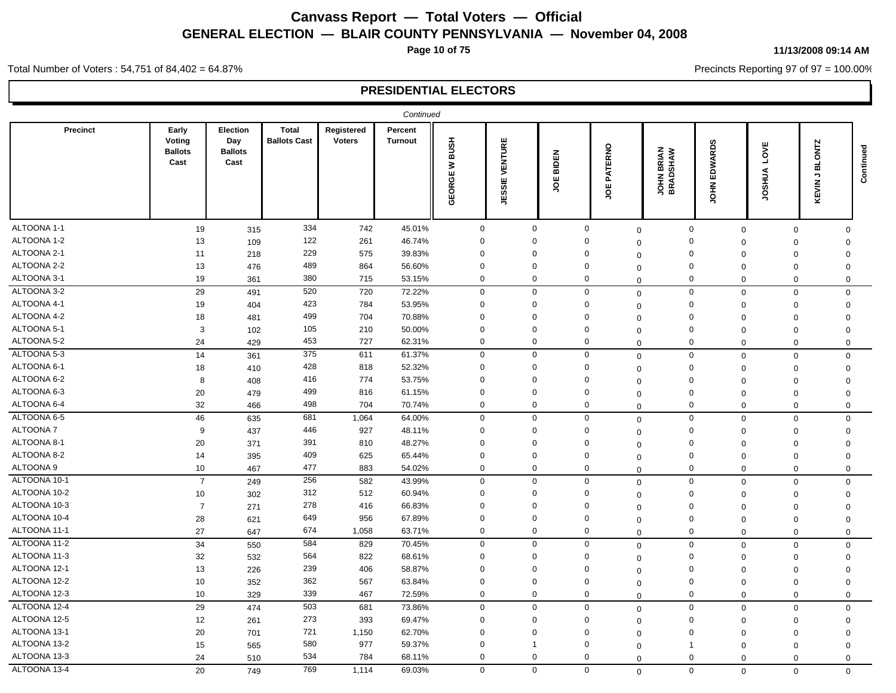**Page 10 of 75**

#### **11/13/2008 09:14 AM**

Precincts Reporting 97 of 97 = 100.00%

Total Number of Voters : 54,751 of 84,402 = 64.87%

|                 |                                           |                                           |                                     |                             | Continued                 |                            |                                                 |                 |              |                               |                                    |                   |                                     |           |
|-----------------|-------------------------------------------|-------------------------------------------|-------------------------------------|-----------------------------|---------------------------|----------------------------|-------------------------------------------------|-----------------|--------------|-------------------------------|------------------------------------|-------------------|-------------------------------------|-----------|
| <b>Precinct</b> | Early<br>Voting<br><b>Ballots</b><br>Cast | Election<br>Day<br><b>Ballots</b><br>Cast | <b>Total</b><br><b>Ballots Cast</b> | Registered<br><b>Voters</b> | Percent<br><b>Turnout</b> | <b>HSUB</b><br>₹<br>GEORGE | ENTURE<br>><br>ш<br><u>ທ</u><br><b>ÜD</b><br>Ψj | BIDEN<br>ш<br>S | PATERNO<br>ă | <b>JOHN BRIAN</b><br>BRADSHAW | EDWARDS<br>$rac{1}{2}$             | LOVE<br>SHUA<br>ğ | <b>BLONTZ</b><br>٦,<br><b>KEVIN</b> | Continued |
| ALTOONA 1-1     | 19                                        | 315                                       | 334                                 | 742                         | 45.01%                    | $\mathbf 0$                | $\mathbf 0$                                     |                 | $\mathbf 0$  | $\mathbf 0$                   | $\mathsf 0$<br>$\mathbf 0$         | $\mathbf 0$       | $\Omega$                            |           |
| ALTOONA 1-2     | 13                                        | 109                                       | 122                                 | 261                         | 46.74%                    | $\mathbf 0$                | $\Omega$                                        |                 | $\mathbf 0$  | $\Omega$                      | $\mathbf 0$<br>$\mathbf 0$         | $\mathbf 0$       | $\mathbf 0$                         |           |
| ALTOONA 2-1     | 11                                        | 218                                       | 229                                 | 575                         | 39.83%                    | $\mathbf 0$                | $\Omega$                                        |                 | $\Omega$     | $\Omega$                      | $\Omega$<br>$\mathbf 0$            | $\mathbf 0$       | $\Omega$                            |           |
| ALTOONA 2-2     | 13                                        | 476                                       | 489                                 | 864                         | 56.60%                    | $\mathbf 0$                | $\mathbf 0$                                     |                 | $\mathbf 0$  | $\Omega$                      | $\mathbf 0$<br>$\mathbf 0$         | $\Omega$          | $\Omega$                            |           |
| ALTOONA 3-1     | 19                                        | 361                                       | 380                                 | 715                         | 53.15%                    | $\mathbf 0$                | $\Omega$                                        |                 | 0            | $\mathbf 0$                   | $\mathbf 0$<br>$\mathbf 0$         | $\Omega$          | $\mathbf 0$                         |           |
| ALTOONA 3-2     | 29                                        | 491                                       | 520                                 | 720                         | 72.22%                    | $\mathbf 0$                | $\mathbf 0$                                     |                 | $\mathbf 0$  | $\mathbf 0$                   | $\mathbf 0$<br>$\mathbf 0$         | $\mathbf 0$       | $\mathbf 0$                         |           |
| ALTOONA 4-1     | 19                                        | 404                                       | 423                                 | 784                         | 53.95%                    | $\mathbf 0$                | 0                                               |                 | $\mathbf 0$  | $\Omega$                      | $\mathbf 0$<br>$\mathbf 0$         | $\Omega$          | $\mathbf 0$                         |           |
| ALTOONA 4-2     | 18                                        | 481                                       | 499                                 | 704                         | 70.88%                    | $\mathbf 0$                | $\Omega$                                        |                 | $\Omega$     | $\Omega$                      | $\mathbf 0$<br>$\mathbf 0$         | $\mathbf 0$       | $\mathbf 0$                         |           |
| ALTOONA 5-1     | 3                                         | 102                                       | 105                                 | 210                         | 50.00%                    | $\mathbf 0$                | $\mathbf 0$                                     |                 | 0            | $\mathbf 0$                   | $\mathbf 0$<br>$\mathbf 0$         | $\mathbf 0$       | $\mathbf 0$                         |           |
| ALTOONA 5-2     | 24                                        | 429                                       | 453                                 | 727                         | 62.31%                    | $\mathbf 0$                | $\mathbf{0}$                                    |                 | 0            | $\mathbf 0$                   | $\mathbf 0$<br>$\mathbf 0$         | 0                 | $\mathbf 0$                         |           |
| ALTOONA 5-3     | 14                                        | 361                                       | 375                                 | 611                         | 61.37%                    | $\mathbf 0$                | $\mathbf 0$                                     |                 | $\mathbf 0$  | $\mathbf 0$                   | $\mathbf 0$<br>$\mathbf 0$         | $\mathbf 0$       | $\mathbf 0$                         |           |
| ALTOONA 6-1     | 18                                        | 410                                       | 428                                 | 818                         | 52.32%                    | $\mathbf 0$                | $\mathbf 0$                                     |                 | $\mathbf 0$  | $\Omega$                      | $\mathbf 0$<br>$\mathbf 0$         | $\mathbf 0$       | $\Omega$                            |           |
| ALTOONA 6-2     | 8                                         | 408                                       | 416                                 | 774                         | 53.75%                    | $\mathbf 0$                | $\Omega$                                        |                 | $\Omega$     | $\Omega$                      | $\mathbf 0$<br>$\mathbf 0$         | $\mathbf 0$       | $\Omega$                            |           |
| ALTOONA 6-3     | 20                                        | 479                                       | 499                                 | 816                         | 61.15%                    | $\mathbf 0$                | $\Omega$                                        |                 | $\Omega$     | $\mathbf 0$                   | $\mathbf 0$<br>$\mathbf{0}$        | $\Omega$          | $\Omega$                            |           |
| ALTOONA 6-4     | 32                                        | 466                                       | 498                                 | 704                         | 70.74%                    | $\mathbf 0$                | $\mathbf{0}$                                    |                 | 0            | $\mathbf 0$                   | $\mathbf 0$<br>$\mathbf 0$         | $\Omega$          | $\mathbf 0$                         |           |
| ALTOONA 6-5     | 46                                        | 635                                       | 681                                 | 1,064                       | 64.00%                    | $\mathbf 0$                | $\mathbf 0$                                     |                 | $\mathbf 0$  | $\mathbf 0$                   | $\mathsf{O}\xspace$<br>$\mathbf 0$ | $\mathbf 0$       | $\mathbf 0$                         |           |
| ALTOONA 7       | 9                                         | 437                                       | 446                                 | 927                         | 48.11%                    | $\mathbf 0$                | $\mathbf 0$                                     |                 | $\Omega$     | $\Omega$                      | $\mathbf 0$<br>$\mathbf 0$         | $\mathbf 0$       | $\mathbf 0$                         |           |
| ALTOONA 8-1     | 20                                        | 371                                       | 391                                 | 810                         | 48.27%                    | $\mathbf 0$                | $\mathbf 0$                                     |                 | $\mathbf 0$  | $\Omega$                      | $\mathbf 0$<br>$\mathbf{0}$        | $\Omega$          | $\mathbf 0$                         |           |
| ALTOONA 8-2     | 14                                        | 395                                       | 409                                 | 625                         | 65.44%                    | $\mathbf 0$                | $\Omega$                                        |                 | $\Omega$     | $\mathbf 0$                   | $\Omega$<br>$\mathbf{0}$           | $\Omega$          | $\Omega$                            |           |
| ALTOONA 9       | 10                                        | 467                                       | 477                                 | 883                         | 54.02%                    | $\mathbf{0}$               | $\mathbf{0}$                                    |                 | $\mathbf 0$  | $\mathbf 0$                   | $\mathbf 0$<br>$\mathbf 0$         | $\mathbf 0$       | $\mathbf 0$                         |           |
| ALTOONA 10-1    | $\overline{7}$                            | 249                                       | 256                                 | 582                         | 43.99%                    | $\mathbf 0$                | $\mathbf 0$                                     |                 | $\mathbf 0$  | $\mathbf 0$                   | $\mathbf 0$<br>$\mathbf 0$         | $\mathbf 0$       | $\mathbf 0$                         |           |
| ALTOONA 10-2    | 10                                        | 302                                       | 312                                 | 512                         | 60.94%                    | $\mathbf 0$                | $\Omega$                                        |                 | $\Omega$     | $\Omega$                      | $\mathbf 0$<br>$\mathbf 0$         | $\mathbf 0$       | $\Omega$                            |           |
| ALTOONA 10-3    | $\overline{7}$                            | 271                                       | 278                                 | 416                         | 66.83%                    | $\mathbf 0$                | $\Omega$                                        |                 | $\Omega$     | $\Omega$                      | $\mathbf 0$<br>$\mathbf{0}$        | $\Omega$          | $\mathbf 0$                         |           |
| ALTOONA 10-4    | 28                                        | 621                                       | 649                                 | 956                         | 67.89%                    | 0                          | $\Omega$                                        |                 | 0            | 0                             | 0<br>$\mathbf 0$                   | $\Omega$          | $\Omega$                            |           |
| ALTOONA 11-1    | 27                                        | 647                                       | 674                                 | 1,058                       | 63.71%                    | $\mathbf 0$                | $\mathbf{0}$                                    |                 | $\mathbf 0$  | $\mathbf 0$                   | $\mathbf 0$<br>$\mathbf 0$         | $\Omega$          | $\mathbf 0$                         |           |
| ALTOONA 11-2    | 34                                        | 550                                       | 584                                 | 829                         | 70.45%                    | $\mathbf 0$                | $\mathbf 0$                                     |                 | $\mathbf 0$  | $\mathbf 0$                   | $\mathbf 0$<br>$\mathbf 0$         | $\Omega$          | $\mathbf 0$                         |           |
| ALTOONA 11-3    | 32                                        | 532                                       | 564                                 | 822                         | 68.61%                    | $\mathbf 0$                | $\mathbf 0$                                     |                 | 0            | $\Omega$                      | $\mathbf 0$<br>$\mathbf 0$         | $\mathbf 0$       | $\Omega$                            |           |
| ALTOONA 12-1    | 13                                        | 226                                       | 239                                 | 406                         | 58.87%                    | $\mathbf 0$                | $\Omega$                                        |                 | $\Omega$     | $\Omega$                      | $\Omega$<br>$\mathbf 0$            | $\Omega$          | $\Omega$                            |           |
| ALTOONA 12-2    | 10                                        | 352                                       | 362                                 | 567                         | 63.84%                    | $\mathbf 0$                | $\Omega$                                        |                 | $\Omega$     | $\mathbf 0$                   | $\mathbf 0$<br>$\mathbf 0$         | $\Omega$          | $\Omega$                            |           |
| ALTOONA 12-3    | 10                                        | 329                                       | 339                                 | 467                         | 72.59%                    | $\mathbf 0$                | $\mathbf{0}$                                    |                 | 0            | $\Omega$                      | $\mathbf 0$<br>$\mathbf 0$         | $\mathbf 0$       | $\mathbf 0$                         |           |
| ALTOONA 12-4    | 29                                        | 474                                       | 503                                 | 681                         | 73.86%                    | $\mathbf 0$                | $\mathbf 0$                                     |                 | $\mathbf 0$  | $\mathbf 0$                   | $\mathbf 0$<br>$\mathbf 0$         | 0                 | $\mathbf 0$                         |           |
| ALTOONA 12-5    | 12                                        | 261                                       | 273                                 | 393                         | 69.47%                    | $\mathbf 0$                | $\mathbf 0$                                     |                 | $\mathbf 0$  | $\Omega$                      | $\mathbf 0$<br>$\mathbf 0$         | 0                 | $\mathbf 0$                         |           |
| ALTOONA 13-1    | 20                                        | 701                                       | 721                                 | 1,150                       | 62.70%                    | 0                          | $\Omega$                                        |                 | $\Omega$     | $\Omega$                      | $\mathbf 0$<br>$\mathbf 0$         | $\mathbf 0$       | $\Omega$                            |           |
| ALTOONA 13-2    | 15                                        | 565                                       | 580                                 | 977                         | 59.37%                    | $\mathbf{0}$               | $\mathbf 1$                                     |                 | $\Omega$     | -1<br>$\Omega$                | $\Omega$                           | $\Omega$          | $\Omega$                            |           |
| ALTOONA 13-3    | 24                                        | 510                                       | 534                                 | 784                         | 68.11%                    | $\mathbf 0$                | 0                                               |                 | 0            | $\mathbf 0$                   | $\Omega$<br>$\mathbf 0$            | $\mathbf 0$       | $\mathbf 0$                         |           |
| ALTOONA 13-4    | 20                                        | 749                                       | 769                                 | 1,114                       | 69.03%                    | $\mathbf 0$                | $\mathbf 0$                                     |                 | $\mathbf 0$  | $\Omega$                      | $\mathbf 0$<br>$\Omega$            | $\Omega$          | $\Omega$                            |           |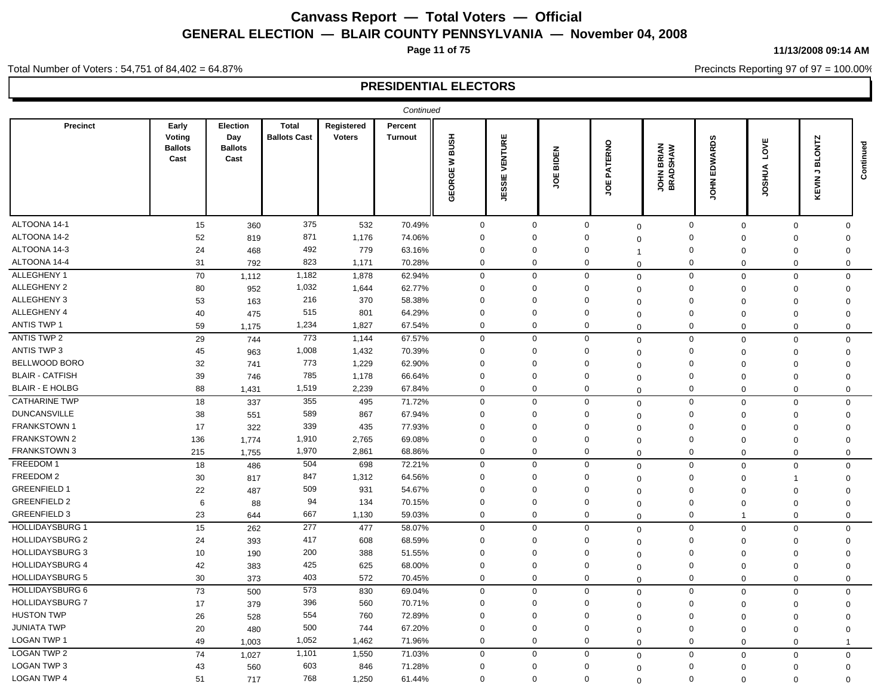**Page 11 of 75**

#### **11/13/2008 09:14 AM**

Precincts Reporting 97 of 97 = 100.00%

Total Number of Voters : 54,751 of 84,402 = 64.87%

|                        |                                           |                                           |                                     |                             | Continued                        |                                 |                        |                            |                        |                                |                               |                         |                                                    |           |
|------------------------|-------------------------------------------|-------------------------------------------|-------------------------------------|-----------------------------|----------------------------------|---------------------------------|------------------------|----------------------------|------------------------|--------------------------------|-------------------------------|-------------------------|----------------------------------------------------|-----------|
| <b>Precinct</b>        | Early<br>Voting<br><b>Ballots</b><br>Cast | Election<br>Day<br><b>Ballots</b><br>Cast | <b>Total</b><br><b>Ballots Cast</b> | Registered<br><b>Voters</b> | <b>Percent</b><br><b>Turnout</b> | <b>BUSH</b><br>$\geq$<br>GEORGE | VENTURE<br>ш<br>အ<br>ÿ | <b>IDEN</b><br>ᅆ<br>ш<br>ς | ATERNO<br>o.<br>ш<br>g | <b>JOHN BRIAN<br/>BRADSHAW</b> | EDWARDS<br>ĔЯ                 | 삊<br>ġ<br><b>AURSOL</b> | <b>BLONTZ</b><br>$\overline{\phantom{a}}$<br>KEVIN | Continued |
| ALTOONA 14-1           | 15                                        | 360                                       | 375                                 | 532                         | 70.49%                           | $\mathbf 0$                     | $\mathbf 0$            |                            | $\mathbf 0$            | $\mathbf 0$                    | $\mathbf 0$<br>$\mathbf 0$    | $\mathbf 0$             | $\mathbf 0$                                        |           |
| ALTOONA 14-2           | 52                                        | 819                                       | 871                                 | 1,176                       | 74.06%                           | $\Omega$                        | $\Omega$               |                            | $\Omega$               | 0                              | $\Omega$<br>$\Omega$          | $\Omega$                | $\Omega$                                           |           |
| ALTOONA 14-3           | 24                                        | 468                                       | 492                                 | 779                         | 63.16%                           | $\mathbf 0$                     | $\Omega$               |                            | $\Omega$               |                                | $\mathbf 0$<br>$\Omega$       | $\Omega$                | $\Omega$                                           |           |
| ALTOONA 14-4           | 31                                        | 792                                       | 823                                 | 1,171                       | 70.28%                           | $\mathbf 0$                     | $\mathbf 0$            |                            | 0                      | $\Omega$                       | $\mathbf 0$<br>$\Omega$       | $\Omega$                | $\mathbf 0$                                        |           |
| ALLEGHENY 1            | 70                                        | 1,112                                     | 1,182                               | 1,878                       | 62.94%                           | $\mathbf 0$                     | $\mathbf 0$            |                            | $\mathbf 0$            | $\mathbf 0$                    | $\mathbf 0$<br>$\mathbf 0$    | $\mathbf 0$             | $\mathbf 0$                                        |           |
| ALLEGHENY 2            | 80                                        | 952                                       | 1,032                               | 1,644                       | 62.77%                           | $\Omega$                        | $\mathbf 0$            |                            | $\Omega$               | $\Omega$                       | $\mathbf 0$<br>$\mathbf 0$    | $\mathbf 0$             | $\Omega$                                           |           |
| ALLEGHENY 3            | 53                                        | 163                                       | 216                                 | 370                         | 58.38%                           | $\Omega$                        | $\mathbf 0$            |                            | $\Omega$               | $\Omega$                       | $\mathbf 0$<br>$\Omega$       | $\Omega$                | $\Omega$                                           |           |
| ALLEGHENY 4            | 40                                        | 475                                       | 515                                 | 801                         | 64.29%                           | $\Omega$                        | $\mathbf 0$            |                            | $\Omega$               | $\Omega$                       | $\mathbf 0$<br>$\Omega$       | $\mathbf 0$             | $\Omega$                                           |           |
| <b>ANTIS TWP 1</b>     | 59                                        | 1,175                                     | 1,234                               | 1,827                       | 67.54%                           | $\mathbf 0$                     | $\mathbf 0$            |                            | $\mathbf 0$            | $\Omega$                       | $\mathbf 0$<br>$\Omega$       | $\Omega$                | $\mathbf 0$                                        |           |
| <b>ANTIS TWP 2</b>     | 29                                        | 744                                       | 773                                 | 1,144                       | 67.57%                           | $\mathbf 0$                     | $\Omega$               |                            | $\Omega$               | $\Omega$                       | $\mathbf 0$<br>$\mathbf 0$    | $\Omega$                | $\Omega$                                           |           |
| <b>ANTIS TWP 3</b>     | 45                                        | 963                                       | 1,008                               | 1,432                       | 70.39%                           | $\mathbf 0$                     | $\mathbf 0$            |                            | $\Omega$               | $\Omega$                       | $\mathbf 0$<br>$\Omega$       | $\Omega$                | $\Omega$                                           |           |
| BELLWOOD BORO          | 32                                        | 741                                       | 773                                 | 1,229                       | 62.90%                           | $\mathbf 0$                     | $\mathbf 0$            |                            | $\Omega$               | $\Omega$                       | 0<br>$\Omega$                 | $\mathbf 0$             | $\Omega$                                           |           |
| <b>BLAIR - CATFISH</b> | 39                                        | 746                                       | 785                                 | 1,178                       | 66.64%                           | $\Omega$                        | $\Omega$               |                            | $\Omega$               | 0                              | $\mathbf 0$<br>$\Omega$       | $\Omega$                | $\Omega$                                           |           |
| <b>BLAIR - E HOLBG</b> | 88                                        | 1,431                                     | 1,519                               | 2,239                       | 67.84%                           | $\mathbf 0$                     | $\mathbf 0$            |                            | $\mathbf 0$            | $\Omega$                       | $\mathbf 0$<br>$\mathbf 0$    | $\Omega$                | $\mathbf 0$                                        |           |
| <b>CATHARINE TWP</b>   | 18                                        | 337                                       | 355                                 | 495                         | 71.72%                           | $\mathbf 0$                     | $\mathbf 0$            |                            | $\mathbf 0$            | $\mathbf 0$                    | $\mathbf 0$<br>$\mathbf 0$    | $\Omega$                | $\mathbf 0$                                        |           |
| <b>DUNCANSVILLE</b>    | 38                                        | 551                                       | 589                                 | 867                         | 67.94%                           | $\mathbf 0$                     | $\mathbf 0$            |                            | $\Omega$               | $\Omega$                       | $\mathbf 0$<br>$\Omega$       | $\mathbf 0$             | $\mathbf 0$                                        |           |
| <b>FRANKSTOWN1</b>     | 17                                        | 322                                       | 339                                 | 435                         | 77.93%                           | $\Omega$                        | $\Omega$               |                            | $\Omega$               | $\Omega$                       | $\mathbf 0$<br>$\Omega$       | 0                       | $\Omega$                                           |           |
| <b>FRANKSTOWN 2</b>    | 136                                       | 1,774                                     | 1,910                               | 2,765                       | 69.08%                           | $\Omega$                        | $\Omega$               |                            | $\Omega$               | $\Omega$                       | $\mathbf 0$<br>$\Omega$       | $\Omega$                | $\Omega$                                           |           |
| FRANKSTOWN 3           | 215                                       | 1,755                                     | 1,970                               | 2,861                       | 68.86%                           | $\mathbf 0$                     | $\mathbf 0$            |                            | $\mathbf 0$            | $\Omega$                       | $\mathbf 0$<br>$\mathbf 0$    | $\mathbf 0$             | $\mathbf 0$                                        |           |
| FREEDOM 1              | 18                                        | 486                                       | 504                                 | 698                         | 72.21%                           | 0                               | 0                      |                            | 0                      | $\Omega$                       | $\mathbf 0$<br>$\mathbf 0$    | $\mathbf 0$             | $\mathbf 0$                                        |           |
| FREEDOM 2              | 30                                        | 817                                       | 847                                 | 1,312                       | 64.56%                           | $\Omega$                        | $\Omega$               |                            | $\Omega$               | $\Omega$                       | $\mathbf 0$<br>$\Omega$       | -1                      | $\Omega$                                           |           |
| <b>GREENFIELD 1</b>    | 22                                        | 487                                       | 509                                 | 931                         | 54.67%                           | $\Omega$                        | $\Omega$               |                            | $\Omega$               | $\Omega$                       | $\mathbf 0$<br>$\Omega$       | $\Omega$                | $\Omega$                                           |           |
| <b>GREENFIELD 2</b>    | 6                                         | 88                                        | 94                                  | 134                         | 70.15%                           | $\mathbf 0$                     | $\mathbf 0$            |                            | 0                      | $\Omega$                       | $\mathbf 0$<br>$\Omega$       | $\Omega$                | $\Omega$                                           |           |
| <b>GREENFIELD 3</b>    | 23                                        | 644                                       | 667                                 | 1,130                       | 59.03%                           | $\mathbf 0$                     | $\mathbf 0$            |                            | $\mathbf 0$            | $\mathbf 0$                    | $\mathbf 0$<br>$\overline{1}$ | $\Omega$                | $\mathbf 0$                                        |           |
| <b>HOLLIDAYSBURG 1</b> | 15                                        | 262                                       | 277                                 | 477                         | 58.07%                           | $\mathbf 0$                     | $\mathbf 0$            |                            | $\mathbf 0$            | $\mathbf 0$                    | $\mathbf 0$<br>$\mathbf 0$    | $\Omega$                | $\Omega$                                           |           |
| <b>HOLLIDAYSBURG 2</b> | 24                                        | 393                                       | 417                                 | 608                         | 68.59%                           | $\Omega$                        | $\Omega$               |                            | $\Omega$               | $\Omega$                       | $\mathbf 0$<br>$\mathbf 0$    | $\Omega$                | $\Omega$                                           |           |
| <b>HOLLIDAYSBURG 3</b> | 10                                        | 190                                       | 200                                 | 388                         | 51.55%                           | $\Omega$                        | $\mathbf 0$            |                            | $\Omega$               | $\Omega$                       | $\mathbf 0$<br>$\Omega$       | $\Omega$                | $\Omega$                                           |           |
| <b>HOLLIDAYSBURG 4</b> | 42                                        | 383                                       | 425                                 | 625                         | 68.00%                           | $\Omega$                        | $\Omega$               |                            | $\Omega$               | $\mathbf 0$                    | $\mathbf 0$<br>$\mathbf 0$    | $\Omega$                | $\Omega$                                           |           |
| <b>HOLLIDAYSBURG 5</b> | 30                                        | 373                                       | 403                                 | 572                         | 70.45%                           | $\mathbf 0$                     | $\mathbf 0$            |                            | $\mathbf 0$            | $\Omega$                       | $\mathbf 0$<br>$\Omega$       | $\Omega$                | $\mathbf 0$                                        |           |
| <b>HOLLIDAYSBURG 6</b> | 73                                        | 500                                       | 573                                 | 830                         | 69.04%                           | $\mathbf 0$                     | $\mathbf 0$            |                            | $\mathbf 0$            | $\Omega$                       | $\mathbf 0$<br>$\mathbf 0$    | $\mathbf{0}$            | $\mathbf 0$                                        |           |
| <b>HOLLIDAYSBURG 7</b> | 17                                        | 379                                       | 396                                 | 560                         | 70.71%                           | $\Omega$                        | $\Omega$               |                            | $\Omega$               | $\Omega$                       | 0<br>$\Omega$                 | $\Omega$                | $\Omega$                                           |           |
| <b>HUSTON TWP</b>      | 26                                        | 528                                       | 554                                 | 760                         | 72.89%                           | $\Omega$                        | $\Omega$               |                            | $\Omega$               | 0                              | $\mathbf 0$<br>$\Omega$       | $\Omega$                | $\Omega$                                           |           |
| <b>JUNIATA TWP</b>     | 20                                        | 480                                       | 500                                 | 744                         | 67.20%                           | $\mathbf 0$                     | $\overline{0}$         |                            | 0                      | $\Omega$                       | $\mathbf 0$<br>$\Omega$       | $\Omega$                | $\Omega$                                           |           |
| <b>LOGAN TWP 1</b>     | 49                                        | 1,003                                     | 1,052                               | 1,462                       | 71.96%                           | $\mathbf 0$                     | $\Omega$               |                            | $\Omega$               | $\Omega$                       | $\mathbf 0$<br>$\mathbf 0$    | $\Omega$                |                                                    |           |
| <b>LOGAN TWP 2</b>     | 74                                        | 1,027                                     | 1,101                               | 1,550                       | 71.03%                           | $\mathbf 0$                     | $\mathbf{0}$           |                            | $\mathbf 0$            | $\mathbf 0$                    | $\mathbf 0$<br>$\mathbf 0$    | $\Omega$                | $\mathbf 0$                                        |           |
| <b>LOGAN TWP 3</b>     | 43                                        | 560                                       | 603                                 | 846                         | 71.28%                           | $\Omega$                        | $\overline{0}$         |                            | $\mathbf 0$            | 0                              | $\mathbf 0$<br>$\Omega$       | $\Omega$                | $\Omega$                                           |           |
| LOGAN TWP 4            | 51                                        | 717                                       | 768                                 | 1,250                       | 61.44%                           | $\mathbf 0$                     | $\mathbf 0$            |                            | $\mathbf 0$            | $\Omega$                       | $\mathbf 0$<br>$\mathbf 0$    | $\Omega$                | $\Omega$                                           |           |
|                        |                                           |                                           |                                     |                             |                                  |                                 |                        |                            |                        |                                |                               |                         |                                                    |           |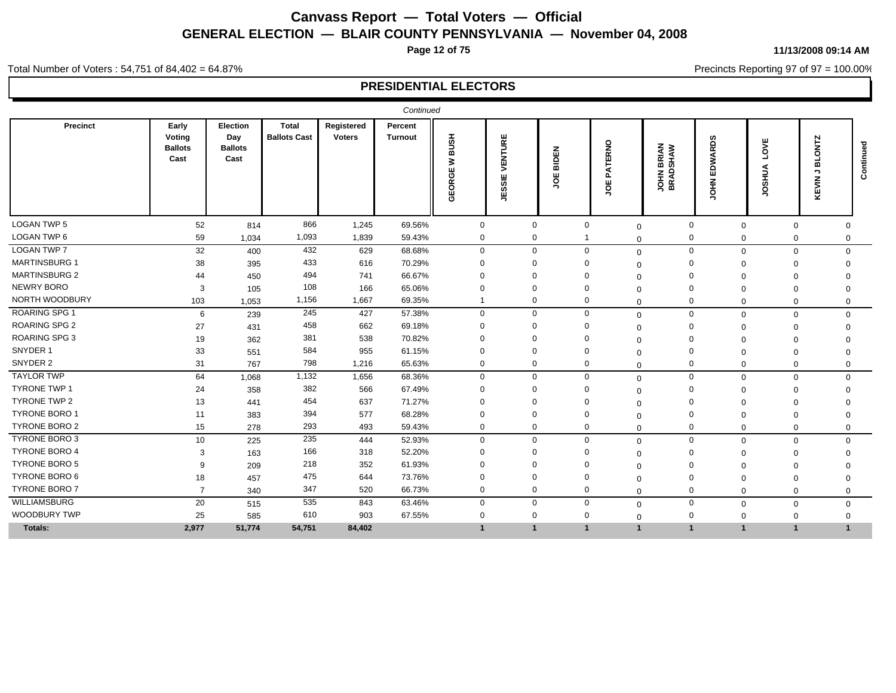**Page 12 of 75**

#### **11/13/2008 09:14 AM**

Precincts Reporting 97 of 97 = 100.00%

Total Number of Voters : 54,751 of 84,402 = 64.87%

|                      |                                           |                                           |                                     |                             | Continued          |                            |                                           |                 |                   |                               |                               |                           |                                          |              |
|----------------------|-------------------------------------------|-------------------------------------------|-------------------------------------|-----------------------------|--------------------|----------------------------|-------------------------------------------|-----------------|-------------------|-------------------------------|-------------------------------|---------------------------|------------------------------------------|--------------|
| Precinct             | Early<br>Voting<br><b>Ballots</b><br>Cast | Election<br>Day<br><b>Ballots</b><br>Cast | <b>Total</b><br><b>Ballots Cast</b> | Registered<br><b>Voters</b> | Percent<br>Turnout | <b>HSNB</b><br>3<br>GEORGE | VENTURE<br>ш<br>ಕಾ<br><b>ÜD</b><br>ш<br>⋾ | BIDEN<br>ш<br>ğ | PATERNO<br>ш<br>ş | <b>JOHN BRIAN</b><br>BRADSHAW | <b>ARDS</b><br><b>NG</b><br>₹ | 삊<br>'n<br>SHUA<br>O<br>∍ | <b>ONTZ</b><br>∞<br>っ<br><b>MIX</b><br>⊻ | 공<br>Continu |
| <b>LOGAN TWP 5</b>   | 52                                        | 814                                       | 866                                 | 1,245                       | 69.56%             | $\mathbf 0$                | $\mathbf{0}$                              | $\mathbf 0$     | $\Omega$          | $\mathbf 0$                   | $\mathbf 0$                   | $\Omega$                  | $\mathbf 0$                              |              |
| LOGAN TWP 6          | 59                                        | 1,034                                     | 1,093                               | 1,839                       | 59.43%             | $\mathbf 0$                | $\mathbf 0$                               |                 | $\Omega$          | $\mathbf 0$                   | $\mathbf 0$                   | $\Omega$                  | $\Omega$                                 |              |
| <b>LOGAN TWP 7</b>   | 32                                        | 400                                       | 432                                 | 629                         | 68.68%             | $\mathbf 0$                | $\mathbf{0}$                              | $\mathbf 0$     | $\mathbf 0$       | $\mathbf 0$                   | $\mathbf 0$                   | $\mathbf 0$               | $\Omega$                                 |              |
| <b>MARTINSBURG 1</b> | 38                                        | 395                                       | 433                                 | 616                         | 70.29%             | $\mathbf 0$                | $\Omega$                                  |                 | $\Omega$          | $\Omega$                      | $\Omega$                      | $\Omega$                  |                                          |              |
| <b>MARTINSBURG 2</b> | 44                                        | 450                                       | 494                                 | 741                         | 66.67%             | $\Omega$                   | $\Omega$                                  | $\Omega$        | $\Omega$          | $\Omega$                      | $\Omega$                      | $\Omega$                  |                                          |              |
| <b>NEWRY BORO</b>    | 3                                         | 105                                       | 108                                 | 166                         | 65.06%             | $\Omega$                   | $\Omega$                                  | $\Omega$        | $\Omega$          | $\Omega$                      | $\Omega$                      | $\Omega$                  |                                          |              |
| NORTH WOODBURY       | 103                                       | 1,053                                     | 1,156                               | 1,667                       | 69.35%             |                            | $\mathbf{0}$                              | $\Omega$        | $\Omega$          | $\Omega$                      | $\Omega$                      | $\Omega$                  | $\Omega$                                 |              |
| ROARING SPG 1        | 6                                         | 239                                       | 245                                 | 427                         | 57.38%             | $\mathbf 0$                | 0                                         | $\mathbf 0$     | $\mathbf 0$       | $\mathbf 0$                   | $\mathbf 0$                   | $\Omega$                  | $\Omega$                                 |              |
| <b>ROARING SPG 2</b> | 27                                        | 431                                       | 458                                 | 662                         | 69.18%             | $\Omega$                   | $\Omega$                                  |                 | $\Omega$          | $\Omega$                      | $\mathbf 0$                   | $\Omega$                  |                                          |              |
| ROARING SPG 3        | 19                                        | 362                                       | 381                                 | 538                         | 70.82%             | $\Omega$                   | $\Omega$                                  |                 | $\Omega$          | $\Omega$                      | $\Omega$                      | $\Omega$                  |                                          |              |
| SNYDER 1             | 33                                        | 551                                       | 584                                 | 955                         | 61.15%             | $\mathbf 0$                | $\Omega$                                  |                 | $\Omega$          | $\Omega$                      | $\Omega$                      | $\Omega$                  |                                          |              |
| SNYDER 2             | 31                                        | 767                                       | 798                                 | 1,216                       | 65.63%             | $\mathbf 0$                | $\mathbf{0}$                              | $\mathbf 0$     | $\Omega$          | $\Omega$                      | $\mathbf 0$                   | $\Omega$                  | 0                                        |              |
| <b>TAYLOR TWP</b>    | 64                                        | 1,068                                     | 1,132                               | 1,656                       | 68.36%             | $\mathbf 0$                | $\mathbf{0}$                              | $\Omega$        | $\Omega$          | $\mathbf 0$                   | $\mathbf 0$                   | $\mathbf 0$               | $\Omega$                                 |              |
| <b>TYRONE TWP 1</b>  | 24                                        | 358                                       | 382                                 | 566                         | 67.49%             | $\mathbf 0$                | $\Omega$                                  | $\Omega$        | $\Omega$          | $\Omega$                      | $\mathbf 0$                   | $\Omega$                  | $\Omega$                                 |              |
| <b>TYRONE TWP 2</b>  | 13                                        | 441                                       | 454                                 | 637                         | 71.27%             | $\Omega$                   | $\Omega$                                  | $\Omega$        | $\Omega$          | $\Omega$                      | $\Omega$                      | $\Omega$                  |                                          |              |
| TYRONE BORO 1        | 11                                        | 383                                       | 394                                 | 577                         | 68.28%             | $\Omega$                   | $\Omega$                                  | $\Omega$        | $\Omega$          | $\Omega$                      | $\Omega$                      | $\mathbf 0$               |                                          |              |
| <b>TYRONE BORO 2</b> | 15                                        | 278                                       | 293                                 | 493                         | 59.43%             | $\mathbf 0$                | $\mathbf{0}$                              | $\Omega$        | $\Omega$          | $\Omega$                      | $\mathbf 0$                   | $\Omega$                  | $\mathbf 0$                              |              |
| TYRONE BORO 3        | 10                                        | 225                                       | 235                                 | 444                         | 52.93%             | $\mathbf 0$                | 0                                         | $\mathbf 0$     | $\mathbf 0$       | $\mathbf 0$                   | $\mathbf 0$                   | $\mathbf 0$               | $\Omega$                                 |              |
| <b>TYRONE BORO 4</b> | 3                                         | 163                                       | 166                                 | 318                         | 52.20%             | $\Omega$                   | $\Omega$                                  |                 | $\Omega$          | $\Omega$                      | $\Omega$                      | $\Omega$                  |                                          |              |
| <b>TYRONE BORO 5</b> | 9                                         | 209                                       | 218                                 | 352                         | 61.93%             | $\Omega$                   | $\Omega$                                  |                 | $\Omega$          | $\Omega$                      | $\Omega$                      | $\Omega$                  |                                          |              |
| <b>TYRONE BORO 6</b> | 18                                        | 457                                       | 475                                 | 644                         | 73.76%             | $\Omega$                   | $\Omega$                                  | $\Omega$        | $\Omega$          | $\Omega$                      | $\Omega$                      | $\Omega$                  | $\Omega$                                 |              |
| <b>TYRONE BORO 7</b> | $\overline{7}$                            | 340                                       | 347                                 | 520                         | 66.73%             | $\mathbf 0$                | $\mathbf{0}$                              | $\mathbf 0$     | $\Omega$          | $\Omega$                      | $\mathbf 0$                   | $\mathbf 0$               | 0                                        |              |
| WILLIAMSBURG         | 20                                        | 515                                       | 535                                 | 843                         | 63.46%             | $\mathbf 0$                | $\mathbf{0}$                              | $\Omega$        | $\Omega$          | $\mathbf 0$                   | $\mathbf 0$                   | $\mathbf 0$               | $\Omega$                                 |              |
| WOODBURY TWP         | 25                                        | 585                                       | 610                                 | 903                         | 67.55%             | $\Omega$                   | $\Omega$                                  | $\Omega$        | $\Omega$          | $\mathbf 0$                   | $\Omega$                      | $\mathbf 0$               | $\Omega$                                 |              |
| Totals:              | 2,977                                     | 51,774                                    | 54,751                              | 84,402                      |                    | $\mathbf{1}$               | $\mathbf{1}$                              | $\mathbf{1}$    | $\overline{1}$    | $\mathbf{1}$                  | $\overline{1}$                | $\overline{1}$            |                                          |              |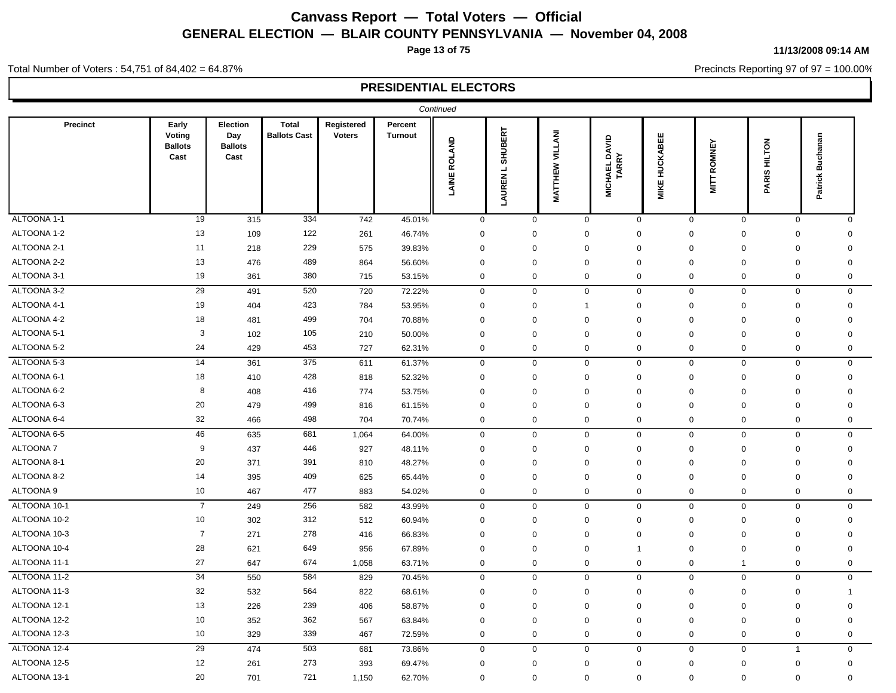**Page 13 of 75**

#### **11/13/2008 09:14 AM**

Precincts Reporting 97 of 97 = 100.00%

#### Total Number of Voters : 54,751 of 84,402 = 64.87%

|              |                                           |                                           |                                     |                             |                           | Continued    |                        |                        |                  |                                      |                      |                               |                             |                     |  |
|--------------|-------------------------------------------|-------------------------------------------|-------------------------------------|-----------------------------|---------------------------|--------------|------------------------|------------------------|------------------|--------------------------------------|----------------------|-------------------------------|-----------------------------|---------------------|--|
| Precinct     | Early<br>Voting<br><b>Ballots</b><br>Cast | Election<br>Day<br><b>Ballots</b><br>Cast | <b>Total</b><br><b>Ballots Cast</b> | Registered<br><b>Voters</b> | Percent<br><b>Turnout</b> | LAINE ROLAND | SHUBERT<br>┙<br>LAUREN | <b>MATTHEW VILLANI</b> |                  | DAVID<br><b>MICHAEL DA<br/>TARRY</b> | <b>MIKE HUCKABEE</b> | ROMNEY<br>$\frac{1}{2}$       | PARIS HILTON                | Buchanan<br>Patrick |  |
| ALTOONA 1-1  | 19                                        | 315                                       | 334                                 | 742                         | 45.01%                    |              | $\mathbf 0$            | $\mathbf 0$            | $\mathsf 0$      | $\mathbf 0$                          |                      | $\mathbf 0$                   | $\mathbf 0$<br>$\mathbf 0$  | $\mathbf 0$         |  |
| ALTOONA 1-2  | 13                                        | 109                                       | 122                                 | 261                         | 46.74%                    |              | $\mathbf 0$            | $\mathbf 0$            | $\boldsymbol{0}$ | $\mathbf 0$                          |                      | $\overline{0}$<br>0           | $\mathbf 0$                 | $\Omega$            |  |
| ALTOONA 2-1  | 11                                        | 218                                       | 229                                 | 575                         | 39.83%                    |              | $\mathbf 0$            | $\mathbf 0$            | $\mathbf 0$      | $\mathbf 0$                          |                      | $\mathbf 0$                   | $\mathsf 0$<br>$\mathbf 0$  | $\mathbf 0$         |  |
| ALTOONA 2-2  | 13                                        | 476                                       | 489                                 | 864                         | 56.60%                    |              | $\mathbf 0$            | $\mathbf 0$            | $\mathbf 0$      | $\Omega$                             |                      | $\mathbf 0$<br>$\Omega$       | $\mathbf 0$                 | $\Omega$            |  |
| ALTOONA 3-1  | 19                                        | 361                                       | 380                                 | 715                         | 53.15%                    |              | $\mathbf 0$            | $\mathbf 0$            | $\mathbf 0$      | $\mathbf 0$                          |                      | 0                             | $\mathbf 0$<br>$\mathbf 0$  | 0                   |  |
| ALTOONA 3-2  | 29                                        | 491                                       | 520                                 | 720                         | 72.22%                    |              | $\pmb{0}$              | $\mathsf 0$            | $\mathsf 0$      | $\mathbf 0$                          |                      | 0                             | $\mathbf 0$<br>$\mathbf 0$  | $\mathbf 0$         |  |
| ALTOONA 4-1  | 19                                        | 404                                       | 423                                 | 784                         | 53.95%                    |              | $\mathbf 0$            | $\mathbf 0$            | $\mathbf{1}$     | $\mathbf 0$                          |                      | $\mathbf 0$                   | $\mathbf 0$<br>$\mathbf 0$  | $\mathbf 0$         |  |
| ALTOONA 4-2  | 18                                        | 481                                       | 499                                 | 704                         | 70.88%                    |              | $\mathbf 0$            | $\mathbf 0$            | $\mathbf 0$      | $\mathbf 0$                          |                      | $\mathbf 0$<br>$\overline{0}$ | $\mathbf 0$                 | $\mathbf 0$         |  |
| ALTOONA 5-1  | 3                                         | 102                                       | 105                                 | 210                         | 50.00%                    |              | $\mathbf 0$            | $\mathbf 0$            | $\mathbf 0$      | $\mathbf 0$                          |                      | $\mathbf 0$<br>$\overline{0}$ | $\mathbf 0$                 | $\Omega$            |  |
| ALTOONA 5-2  | 24                                        | 429                                       | 453                                 | 727                         | 62.31%                    |              | $\mathbf 0$            | $\mathbf 0$            | $\mathbf 0$      | $\mathbf 0$                          |                      | 0                             | $\mathbf 0$<br>$\mathbf 0$  | 0                   |  |
| ALTOONA 5-3  | 14                                        | 361                                       | 375                                 | 611                         | 61.37%                    |              | $\pmb{0}$              | $\mathbf 0$            | $\mathbf 0$      | $\mathbf 0$                          |                      | 0                             | $\mathbf 0$<br>$\mathbf 0$  | $\mathbf 0$         |  |
| ALTOONA 6-1  | 18                                        | 410                                       | 428                                 | 818                         | 52.32%                    |              | $\mathbf 0$            | $\mathbf 0$            | $\mathbf 0$      | $\mathbf 0$                          |                      | $\mathbf 0$<br>$\mathbf 0$    | $\mathbf 0$                 | $\mathbf 0$         |  |
| ALTOONA 6-2  | 8                                         | 408                                       | 416                                 | 774                         | 53.75%                    |              | $\mathbf 0$            | $\mathbf 0$            | $\mathbf 0$      | $\mathbf 0$                          |                      | $\mathbf 0$<br>$\overline{0}$ | $\mathbf 0$                 | $\mathbf 0$         |  |
| ALTOONA 6-3  | 20                                        | 479                                       | 499                                 | 816                         | 61.15%                    |              | $\mathbf 0$            | $\mathbf 0$            | $\mathbf 0$      | $\Omega$                             |                      | $\mathbf 0$<br>$\Omega$       | $\mathbf 0$                 | $\Omega$            |  |
| ALTOONA 6-4  | 32                                        | 466                                       | 498                                 | 704                         | 70.74%                    |              | $\pmb{0}$              | $\pmb{0}$              | $\mathbf 0$      | $\mathbf 0$                          |                      | 0                             | $\pmb{0}$<br>$\mathbf 0$    | $\mathbf 0$         |  |
| ALTOONA 6-5  | 46                                        | 635                                       | 681                                 | 1,064                       | 64.00%                    |              | $\mathbf 0$            | $\mathbf 0$            | $\mathbf 0$      | $\mathbf 0$                          |                      | $\mathbf 0$                   | $\mathbf 0$<br>$\mathbf 0$  | $\mathbf 0$         |  |
| ALTOONA 7    | 9                                         | 437                                       | 446                                 | 927                         | 48.11%                    |              | $\mathbf 0$            | $\mathbf 0$            | $\mathbf 0$      | $\mathbf 0$                          |                      | $\Omega$                      | $\mathbf 0$<br>$\mathbf 0$  | 0                   |  |
| ALTOONA 8-1  | 20                                        | 371                                       | 391                                 | 810                         | 48.27%                    |              | $\mathbf 0$            | $\mathbf 0$            | $\mathbf 0$      | $\mathbf 0$                          |                      | $\mathbf 0$<br>$\mathbf 0$    | $\mathbf 0$                 | $\mathbf 0$         |  |
| ALTOONA 8-2  | 14                                        | 395                                       | 409                                 | 625                         | 65.44%                    |              | $\mathbf 0$            | $\mathbf 0$            | $\mathbf 0$      | $\mathbf 0$                          |                      | $\overline{0}$<br>$\mathbf 0$ | $\mathbf 0$                 | $\mathbf 0$         |  |
| ALTOONA 9    | 10                                        | 467                                       | 477                                 | 883                         | 54.02%                    |              | $\mathbf 0$            | $\mathbf 0$            | $\mathbf 0$      | $\mathbf 0$                          |                      | $\mathbf 0$                   | $\mathbf 0$<br>$\mathbf 0$  | $\mathbf 0$         |  |
| ALTOONA 10-1 | $\overline{7}$                            | 249                                       | 256                                 | 582                         | 43.99%                    |              | $\mathbf 0$            | $\mathbf 0$            | $\mathsf 0$      | $\mathbf 0$                          |                      | $\mathbf 0$                   | $\mathbf 0$<br>$\mathbf 0$  | $\mathbf 0$         |  |
| ALTOONA 10-2 | 10                                        | 302                                       | 312                                 | 512                         | 60.94%                    |              | $\mathbf 0$            | $\mathbf 0$            | $\mathsf 0$      | $\mathbf 0$                          |                      | $\mathbf 0$<br>$\Omega$       | $\mathbf 0$                 | $\Omega$            |  |
| ALTOONA 10-3 | $\overline{7}$                            | 271                                       | 278                                 | 416                         | 66.83%                    |              | $\mathbf 0$            | $\mathbf 0$            | $\mathbf 0$      | $\mathbf 0$                          |                      | $\mathbf 0$<br>$\mathbf 0$    | $\mathbf 0$                 | $\mathbf 0$         |  |
| ALTOONA 10-4 | 28                                        | 621                                       | 649                                 | 956                         | 67.89%                    |              | $\mathbf 0$            | $\mathbf 0$            | $\mathbf 0$      | $\overline{1}$                       |                      | $\mathbf 0$<br>$\mathbf 0$    | $\mathbf 0$                 | $\mathbf 0$         |  |
| ALTOONA 11-1 | 27                                        | 647                                       | 674                                 | 1,058                       | 63.71%                    |              | $\mathbf 0$            | $\mathbf 0$            | $\mathbf 0$      | $\mathbf 0$                          |                      | 0<br>$\overline{1}$           | $\mathbf 0$                 | $\mathbf 0$         |  |
| ALTOONA 11-2 | 34                                        | 550                                       | 584                                 | 829                         | 70.45%                    |              | $\mathbf 0$            | $\mathbf 0$            | $\mathsf 0$      | $\mathbf 0$                          |                      | $\mathbf 0$                   | $\mathbf 0$<br>$\mathbf 0$  | $\mathbf 0$         |  |
| ALTOONA 11-3 | 32                                        | 532                                       | 564                                 | 822                         | 68.61%                    |              | $\mathbf 0$            | $\mathbf 0$            | $\boldsymbol{0}$ | $\Omega$                             |                      | $\overline{0}$<br>$\Omega$    | $\mathbf 0$                 | -1                  |  |
| ALTOONA 12-1 | 13                                        | 226                                       | 239                                 | 406                         | 58.87%                    |              | $\mathbf 0$            | $\mathbf 0$            | $\mathbf 0$      | $\Omega$                             |                      | $\mathbf 0$<br>$\Omega$       | $\mathbf 0$                 | $\mathbf 0$         |  |
| ALTOONA 12-2 | 10                                        | 352                                       | 362                                 | 567                         | 63.84%                    |              | $\mathbf 0$            | $\mathbf 0$            | $\mathbf 0$      | $\mathbf 0$                          |                      | 0                             | $\mathbf 0$<br>$\mathbf 0$  | $\mathbf 0$         |  |
| ALTOONA 12-3 | 10                                        | 329                                       | 339                                 | 467                         | 72.59%                    |              | $\pmb{0}$              | $\mathsf 0$            | $\boldsymbol{0}$ | $\mathbf 0$                          |                      | 0                             | $\mathbf 0$<br>$\mathbf 0$  | 0                   |  |
| ALTOONA 12-4 | 29                                        | 474                                       | 503                                 | 681                         | 73.86%                    |              | $\mathbf 0$            | $\mathbf 0$            | $\mathbf 0$      | $\mathbf 0$                          |                      | 0                             | $\mathbf 0$<br>$\mathbf{1}$ | $\mathbf 0$         |  |
| ALTOONA 12-5 | 12                                        | 261                                       | 273                                 | 393                         | 69.47%                    |              | $\mathbf 0$            | $\mathbf 0$            | $\mathbf 0$      | $\mathbf 0$                          |                      | $\mathbf 0$<br>$\mathbf 0$    | $\pmb{0}$                   | $\mathbf 0$         |  |
| ALTOONA 13-1 | 20                                        | 701                                       | 721                                 | 1,150                       | 62.70%                    |              | $\mathbf 0$            | $\mathbf 0$            | $\mathbf 0$      | $\mathbf 0$                          |                      | $\mathbf 0$                   | $\mathbf 0$<br>$\mathbf 0$  | $\mathbf 0$         |  |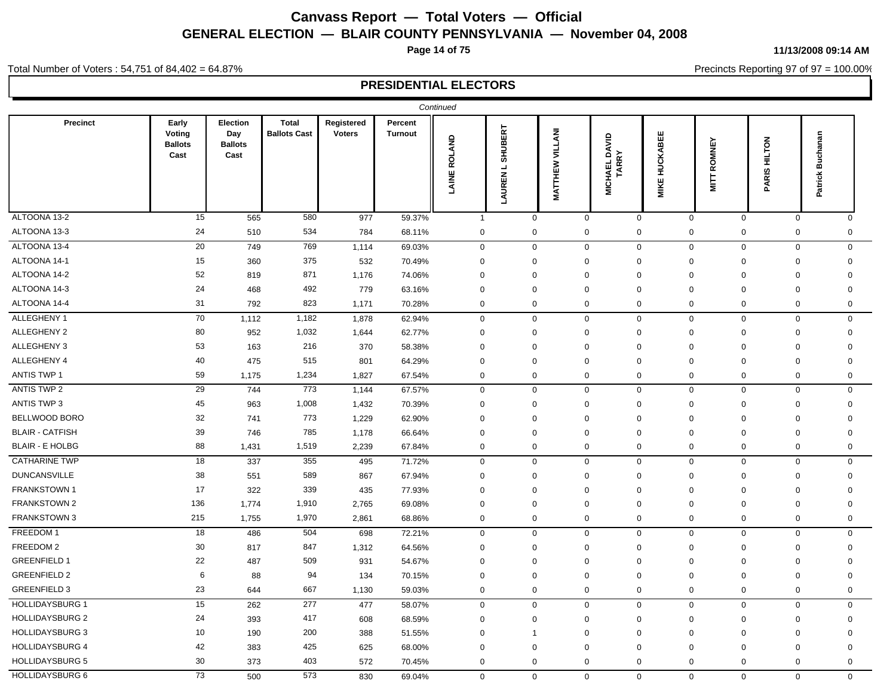**Page 14 of 75**

#### **11/13/2008 09:14 AM**

Precincts Reporting 97 of 97 = 100.00%

#### Total Number of Voters : 54,751 of 84,402 = 64.87%

|                        |                                           |                                           |                                     |                             |                           | Continued           |                                                           |                    |              |                                      |                      |                             |                               |                     |
|------------------------|-------------------------------------------|-------------------------------------------|-------------------------------------|-----------------------------|---------------------------|---------------------|-----------------------------------------------------------|--------------------|--------------|--------------------------------------|----------------------|-----------------------------|-------------------------------|---------------------|
| Precinct               | Early<br>Voting<br><b>Ballots</b><br>Cast | Election<br>Day<br><b>Ballots</b><br>Cast | <b>Total</b><br><b>Ballots Cast</b> | Registered<br><b>Voters</b> | Percent<br><b>Turnout</b> | <b>LAINE ROLAND</b> | ERT<br><b>SHUBI</b><br>$\overline{\phantom{0}}$<br>LAUREN | VILLANI<br>MATTHEW |              | <b>MICHAEL DAVID</b><br><b>TARRY</b> | <b>MIKE HUCKABEE</b> | ROMNEY<br>$\frac{1}{2}$     | <b>HILTON</b><br><b>PARIS</b> | Buchanan<br>Patrick |
| ALTOONA 13-2           | 15                                        | 565                                       | 580                                 | 977                         | 59.37%                    |                     | $\mathbf{1}$                                              | $\mathbf 0$        | $\mathbf 0$  | $\mathbf 0$                          |                      | $\mathbf 0$<br>$\mathbf 0$  | $\mathbf 0$                   | $\mathbf 0$         |
| ALTOONA 13-3           | 24                                        | 510                                       | 534                                 | 784                         | 68.11%                    |                     | $\mathbf 0$                                               | $\mathbf 0$        | $\mathbf 0$  | 0                                    |                      | $\mathbf 0$<br>0            | $\mathbf 0$                   | 0                   |
| ALTOONA 13-4           | $\overline{20}$                           | 749                                       | 769                                 | 1,114                       | 69.03%                    |                     | $\mathbf 0$                                               | $\mathbf 0$        | $\mathbf 0$  | $\mathbf 0$                          |                      | $\mathbf{0}$<br>$\mathbf 0$ | $\mathbf 0$                   | $\mathbf 0$         |
| ALTOONA 14-1           | 15                                        | 360                                       | 375                                 | 532                         | 70.49%                    |                     | $\mathbf 0$                                               | $\mathbf 0$        | $\mathbf 0$  | 0                                    |                      | $\mathbf 0$<br>0            | $\mathbf 0$                   | $\mathbf 0$         |
| ALTOONA 14-2           | 52                                        | 819                                       | 871                                 | 1,176                       | 74.06%                    |                     | $\mathbf 0$                                               | $\mathbf 0$        | $\mathbf 0$  | $\mathbf 0$                          |                      | $\mathbf 0$<br>0            | $\mathbf 0$                   | $\mathbf 0$         |
| ALTOONA 14-3           | 24                                        | 468                                       | 492                                 | 779                         | 63.16%                    |                     | $\overline{0}$                                            | $\Omega$           | $\mathbf 0$  | $\Omega$                             | $\Omega$             | $\mathbf 0$                 | $\mathbf 0$                   | $\Omega$            |
| ALTOONA 14-4           | 31                                        | 792                                       | 823                                 | 1,171                       | 70.28%                    |                     | $\mathbf 0$                                               | $\mathbf 0$        | $\mathbf 0$  | $\mathbf 0$                          |                      | 0<br>$\mathbf 0$            | $\mathbf 0$                   | 0                   |
| ALLEGHENY 1            | 70                                        | 1,112                                     | 1,182                               | 1,878                       | 62.94%                    |                     | $\mathbf 0$                                               | $\mathbf 0$        | $\mathbf 0$  | $\mathbf 0$                          |                      | $\Omega$<br>$\Omega$        | $\mathbf 0$                   | $\mathbf 0$         |
| ALLEGHENY 2            | 80                                        | 952                                       | 1,032                               | 1,644                       | 62.77%                    |                     | $\mathbf 0$                                               | $\mathbf 0$        | $\mathbf 0$  | 0                                    |                      | $\Omega$<br>0               | $\mathbf 0$                   | $\mathbf 0$         |
| ALLEGHENY 3            | 53                                        | 163                                       | 216                                 | 370                         | 58.38%                    |                     | $\mathbf 0$                                               | $\mathbf 0$        | $\mathbf 0$  | $\Omega$                             |                      | $\mathbf 0$<br>$\Omega$     | $\mathbf 0$                   | $\Omega$            |
| ALLEGHENY 4            | 40                                        | 475                                       | 515                                 | 801                         | 64.29%                    |                     | $\mathbf 0$                                               | $\mathbf 0$        | $\mathbf 0$  | $\Omega$                             | $\Omega$             | $\Omega$                    | $\mathbf 0$                   | $\Omega$            |
| <b>ANTIS TWP 1</b>     | 59                                        | 1,175                                     | 1,234                               | 1,827                       | 67.54%                    |                     | $\mathbf 0$                                               | $\mathbf 0$        | $\mathbf 0$  | 0                                    |                      | $\mathbf 0$<br>0            | $\mathbf 0$                   | 0                   |
| <b>ANTIS TWP 2</b>     | 29                                        | 744                                       | 773                                 | 1,144                       | 67.57%                    |                     | $\mathbf 0$                                               | $\mathbf 0$        | 0            | $\mathbf{0}$                         |                      | $\mathbf 0$<br>0            | $\mathbf 0$                   | $\mathbf{0}$        |
| <b>ANTIS TWP 3</b>     | 45                                        | 963                                       | 1,008                               | 1,432                       | 70.39%                    |                     | $\mathbf 0$                                               | $\mathbf 0$        | $\mathbf 0$  | $\Omega$                             |                      | $\Omega$<br>$\mathbf 0$     | $\mathbf 0$                   | $\mathbf 0$         |
| BELLWOOD BORO          | 32                                        | 741                                       | 773                                 | 1,229                       | 62.90%                    |                     | $\Omega$                                                  | $\Omega$           | $\mathbf 0$  | $\Omega$                             | $\Omega$             | $\mathbf 0$                 | $\mathbf 0$                   | $\Omega$            |
| <b>BLAIR - CATFISH</b> | 39                                        | 746                                       | 785                                 | 1,178                       | 66.64%                    |                     | $\mathbf 0$                                               | $\mathbf 0$        | $\mathbf 0$  | $\Omega$                             |                      | $\Omega$<br>$\Omega$        | $\mathbf 0$                   | $\Omega$            |
| <b>BLAIR - E HOLBG</b> | 88                                        | 1,431                                     | 1,519                               | 2,239                       | 67.84%                    |                     | $\mathbf 0$                                               | $\mathbf 0$        | $\mathbf{0}$ | 0                                    |                      | 0<br>$\mathbf 0$            | $\mathbf 0$                   | 0                   |
| <b>CATHARINE TWP</b>   | 18                                        | 337                                       | 355                                 | 495                         | 71.72%                    |                     | $\mathbf 0$                                               | $\mathbf 0$        | $\mathbf 0$  | 0                                    |                      | 0<br>$\mathbf 0$            | $\mathbf 0$                   | 0                   |
| <b>DUNCANSVILLE</b>    | 38                                        | 551                                       | 589                                 | 867                         | 67.94%                    |                     | $\mathbf 0$                                               | $\mathbf 0$        | $\mathbf 0$  | $\Omega$                             |                      | $\Omega$<br>$\mathbf 0$     | $\mathbf 0$                   | $\Omega$            |
| FRANKSTOWN 1           | 17                                        | 322                                       | 339                                 | 435                         | 77.93%                    |                     | 0                                                         | 0                  | $\mathbf 0$  | 0                                    | 0                    | $\mathbf 0$                 | $\mathbf 0$                   | $\mathbf 0$         |
| FRANKSTOWN 2           | 136                                       | 1,774                                     | 1,910                               | 2,765                       | 69.08%                    |                     | 0                                                         | $\Omega$           | $\mathbf 0$  | $\Omega$                             | $\Omega$             | $\Omega$                    | $\mathbf 0$                   | $\Omega$            |
| FRANKSTOWN 3           | 215                                       | 1,755                                     | 1,970                               | 2,861                       | 68.86%                    |                     | $\mathbf 0$                                               | $\mathbf 0$        | $\mathbf 0$  | 0                                    |                      | $\mathbf 0$<br>0            | $\mathbf 0$                   | 0                   |
| FREEDOM 1              | 18                                        | 486                                       | 504                                 | 698                         | 72.21%                    |                     | $\mathbf 0$                                               | $\mathbf 0$        | $\mathbf 0$  | $\mathbf 0$                          |                      | $\mathbf 0$<br>$\mathbf 0$  | $\mathbf 0$                   | 0                   |
| FREEDOM 2              | 30                                        | 817                                       | 847                                 | 1,312                       | 64.56%                    |                     | $\mathbf 0$                                               | $\mathbf 0$        | $\mathbf 0$  | 0                                    |                      | $\mathbf 0$<br>0            | $\mathbf 0$                   | $\mathbf 0$         |
| <b>GREENFIELD 1</b>    | 22                                        | 487                                       | 509                                 | 931                         | 54.67%                    |                     | $\mathbf 0$                                               | $\mathbf 0$        | $\mathbf 0$  | 0                                    | $\mathbf 0$          | $\Omega$                    | $\mathbf 0$                   | $\Omega$            |
| <b>GREENFIELD 2</b>    | 6                                         | 88                                        | 94                                  | 134                         | 70.15%                    |                     | $\mathbf 0$                                               | $\mathbf 0$        | $\mathbf 0$  | $\mathbf 0$                          |                      | 0<br>$\mathbf 0$            | $\mathbf 0$                   | $\mathbf 0$         |
| <b>GREENFIELD 3</b>    | 23                                        | 644                                       | 667                                 | 1,130                       | 59.03%                    |                     | $\mathbf 0$                                               | $\mathbf 0$        | $\mathbf 0$  | 0                                    |                      | $\mathbf 0$<br>0            | $\mathbf 0$                   | 0                   |
| HOLLIDAYSBURG 1        | 15                                        | 262                                       | 277                                 | 477                         | 58.07%                    |                     | $\mathbf 0$                                               | $\mathbf 0$        | $\mathbf 0$  | $\mathbf 0$                          |                      | $\mathbf 0$<br>$\mathbf 0$  | $\mathbf 0$                   | $\mathbf 0$         |
| <b>HOLLIDAYSBURG 2</b> | 24                                        | 393                                       | 417                                 | 608                         | 68.59%                    |                     | $\mathbf 0$                                               | $\mathbf 0$        | $\mathbf 0$  | $\mathbf 0$                          | $\Omega$             | $\mathbf 0$                 | $\mathbf 0$                   | $\mathbf 0$         |
| <b>HOLLIDAYSBURG 3</b> | 10                                        | 190                                       | 200                                 | 388                         | 51.55%                    |                     | $\mathbf 0$                                               | $\overline{1}$     | $\mathbf 0$  | $\Omega$                             | $\mathbf 0$          | $\mathbf 0$                 | $\mathbf 0$                   | $\mathbf 0$         |
| <b>HOLLIDAYSBURG 4</b> | 42                                        | 383                                       | 425                                 | 625                         | 68.00%                    |                     | $\mathbf 0$                                               | $\mathbf 0$        | $\mathbf 0$  | $\mathbf 0$                          |                      | $\mathbf 0$<br>$\Omega$     | $\mathbf 0$                   | $\mathbf 0$         |
| <b>HOLLIDAYSBURG 5</b> | 30                                        | 373                                       | 403                                 | 572                         | 70.45%                    |                     | $\mathbf 0$                                               | $\mathbf 0$        | $\mathbf 0$  | 0                                    |                      | $\mathbf 0$<br>0            | $\mathbf 0$                   | 0                   |
| <b>HOLLIDAYSBURG 6</b> | $\overline{73}$                           | 500                                       | 573                                 | 830                         | 69.04%                    |                     | $\mathbf 0$                                               | $\mathbf 0$        | $\mathbf 0$  | $\mathbf 0$                          |                      | $\mathbf 0$<br>0            | $\mathbf 0$                   | $\Omega$            |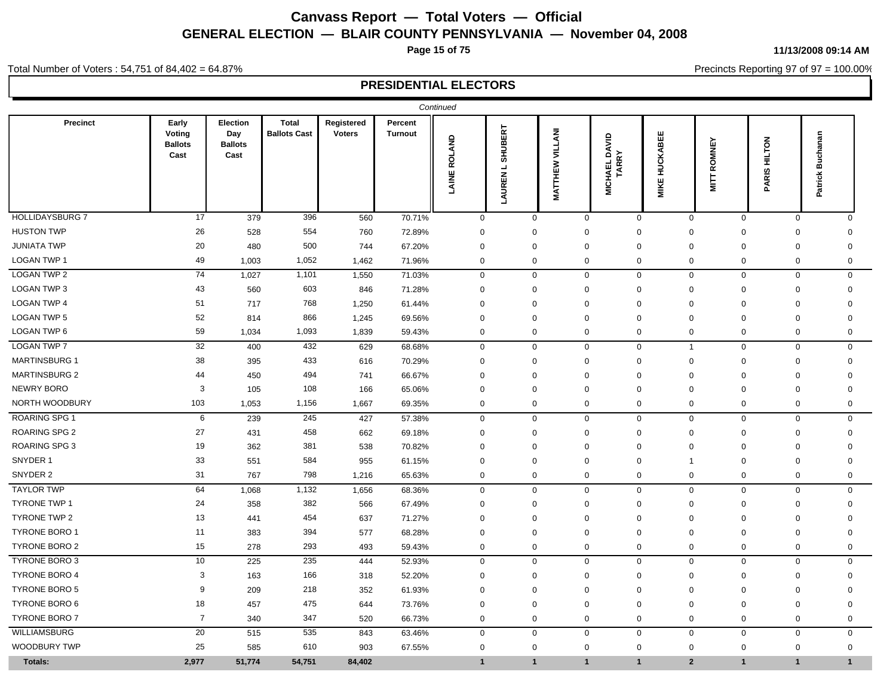**Page 15 of 75**

#### **11/13/2008 09:14 AM**

Precincts Reporting 97 of 97 = 100.00%

#### Total Number of Voters : 54,751 of 84,402 = 64.87%

|                        |                                           |                                           |                                     |                             |                           | Continued           |                        |                    |                                             |                      |                             |                                |                              |
|------------------------|-------------------------------------------|-------------------------------------------|-------------------------------------|-----------------------------|---------------------------|---------------------|------------------------|--------------------|---------------------------------------------|----------------------|-----------------------------|--------------------------------|------------------------------|
| Precinct               | Early<br>Voting<br><b>Ballots</b><br>Cast | Election<br>Day<br><b>Ballots</b><br>Cast | <b>Total</b><br><b>Ballots Cast</b> | Registered<br><b>Voters</b> | Percent<br><b>Turnout</b> | <b>LAINE ROLAND</b> | SHUBERT<br>ᆜ<br>LAUREN | VILLANI<br>MATTHEW | <b>OAVID</b><br><b>MICHAEL DA<br/>TARRY</b> | <b>MIKE HUCKABEE</b> | <b>ROMNEY</b><br><b>NIL</b> | <b>HILTON</b><br><b>PARISI</b> | <b>Buchanan</b><br>Patrick I |
| <b>HOLLIDAYSBURG 7</b> | 17                                        | 379                                       | 396                                 | 560                         | 70.71%                    | $\mathbf 0$         | $\mathbf 0$            |                    | 0<br>$\mathbf 0$                            | $\mathbf 0$          | $\mathbf 0$                 | $\mathbf 0$                    | $\mathbf 0$                  |
| <b>HUSTON TWP</b>      | 26                                        | 528                                       | 554                                 | 760                         | 72.89%                    | $\Omega$            | $\mathbf 0$            | $\mathbf 0$        | 0                                           | $\mathbf 0$          | $\mathbf 0$                 | $\mathbf 0$                    | 0                            |
| <b>JUNIATA TWP</b>     | 20                                        | 480                                       | 500                                 | 744                         | 67.20%                    | $\Omega$            | $\mathbf 0$            | 0                  | $\Omega$                                    | $\Omega$             | $\mathbf 0$                 | 0                              | $\Omega$                     |
| <b>LOGAN TWP 1</b>     | 49                                        | 1,003                                     | 1,052                               | 1,462                       | 71.96%                    | $\Omega$            | $\mathbf 0$            | $\mathbf 0$        | $\Omega$                                    | $\mathbf 0$          | $\mathbf 0$                 | $\mathbf 0$                    | $\Omega$                     |
| <b>LOGAN TWP 2</b>     | 74                                        | 1,027                                     | 1,101                               | 1,550                       | 71.03%                    | $\mathbf 0$         | $\mathbf 0$            |                    | $\mathbf 0$<br>$\mathbf 0$                  | $\mathbf 0$          | $\mathbf 0$                 | $\mathbf 0$                    | 0                            |
| LOGAN TWP 3            | 43                                        | 560                                       | 603                                 | 846                         | 71.28%                    | $\mathbf 0$         | 0                      | 0                  | $\Omega$                                    | $\mathbf 0$          | $\mathbf 0$                 | 0                              | $\mathbf 0$                  |
| <b>LOGAN TWP 4</b>     | 51                                        | 717                                       | 768                                 | 1,250                       | 61.44%                    | $\Omega$            | $\mathbf 0$            | $\mathbf 0$        | $\mathbf 0$                                 | $\mathbf 0$          | $\mathbf 0$                 | $\mathbf 0$                    | $\Omega$                     |
| <b>LOGAN TWP 5</b>     | 52                                        | 814                                       | 866                                 | 1,245                       | 69.56%                    | $\Omega$            | $\mathbf 0$            | $\mathbf 0$        | $\Omega$                                    | $\mathbf 0$          | $\mathbf 0$                 | $\mathbf 0$                    | $\mathbf 0$                  |
| LOGAN TWP 6            | 59                                        | 1,034                                     | 1,093                               | 1,839                       | 59.43%                    | $\mathbf 0$         | $\mathbf 0$            | 0                  | 0                                           | $\mathbf 0$          | $\mathbf 0$                 | 0                              | 0                            |
| <b>LOGAN TWP 7</b>     | 32                                        | 400                                       | 432                                 | 629                         | 68.68%                    | $\mathbf 0$         | $\mathsf 0$            |                    | $\mathbf 0$<br>$\mathbf 0$                  | $\mathbf{1}$         | $\mathbf 0$                 | $\mathbf 0$                    | $\mathbf 0$                  |
| <b>MARTINSBURG 1</b>   | 38                                        | 395                                       | 433                                 | 616                         | 70.29%                    | $\mathbf 0$         | $\mathbf 0$            | 0                  | $\mathbf 0$                                 | $\mathbf 0$          | $\mathbf 0$                 | 0                              | $\mathbf 0$                  |
| <b>MARTINSBURG 2</b>   | 44                                        | 450                                       | 494                                 | 741                         | 66.67%                    | $\Omega$            | $\mathbf 0$            | $\mathbf 0$        | $\mathbf 0$                                 | $\mathbf 0$          | $\mathbf 0$                 | $\mathbf 0$                    | $\mathbf 0$                  |
| NEWRY BORO             | $\mathsf 3$                               | 105                                       | 108                                 | 166                         | 65.06%                    | $\Omega$            | $\mathbf 0$            | 0                  | $\Omega$                                    | $\mathbf 0$          | $\mathbf 0$                 | 0                              | 0                            |
| NORTH WOODBURY         | 103                                       | 1,053                                     | 1,156                               | 1,667                       | 69.35%                    | $\mathbf 0$         | $\mathbf 0$            | $\mathbf 0$        | $\mathbf 0$                                 | $\mathbf 0$          | $\mathbf 0$                 | $\mathbf 0$                    | $\mathbf 0$                  |
| <b>ROARING SPG 1</b>   | 6                                         | 239                                       | 245                                 | 427                         | 57.38%                    | $\mathbf 0$         | $\mathbf 0$            |                    | $\mathbf 0$<br>$\mathbf 0$                  | $\mathbf 0$          | $\mathbf 0$                 | $\mathbf 0$                    | 0                            |
| <b>ROARING SPG 2</b>   | 27                                        | 431                                       | 458                                 | 662                         | 69.18%                    | $\mathbf 0$         | $\mathbf 0$            | 0                  | $\Omega$                                    | $\mathbf 0$          | $\mathbf 0$                 | 0                              | $\Omega$                     |
| <b>ROARING SPG 3</b>   | 19                                        | 362                                       | 381                                 | 538                         | 70.82%                    | $\Omega$            | $\mathbf 0$            | $\mathbf 0$        | $\mathbf 0$                                 | $\mathbf 0$          | $\mathbf 0$                 | $\mathbf 0$                    | $\Omega$                     |
| SNYDER 1               | 33                                        | 551                                       | 584                                 | 955                         | 61.15%                    | $\mathbf 0$         | $\mathbf 0$            | $\mathbf 0$        | $\mathbf 0$                                 | 1                    | $\mathbf 0$                 | $\mathbf 0$                    | $\mathbf 0$                  |
| SNYDER 2               | 31                                        | 767                                       | 798                                 | 1,216                       | 65.63%                    | $\mathbf 0$         | $\mathbf 0$            | $\mathbf 0$        | 0                                           | $\mathbf 0$          | $\mathbf 0$                 | $\mathbf 0$                    | 0                            |
| <b>TAYLOR TWP</b>      | 64                                        | 1,068                                     | 1,132                               | 1,656                       | 68.36%                    | $\mathbf 0$         | $\mathbf{0}$           | $\mathbf 0$        | $\mathbf{0}$                                | $\mathbf 0$          | $\mathbf 0$                 | $\mathbf 0$                    | $\mathbf 0$                  |
| <b>TYRONE TWP 1</b>    | 24                                        | 358                                       | 382                                 | 566                         | 67.49%                    | $\mathbf 0$         | $\mathbf 0$            | 0                  | $\mathbf 0$                                 | $\mathbf 0$          | $\mathbf 0$                 | 0                              | 0                            |
| TYRONE TWP 2           | 13                                        | 441                                       | 454                                 | 637                         | 71.27%                    | $\Omega$            | $\mathbf 0$            | $\mathbf 0$        | $\Omega$                                    | $\Omega$             | $\mathbf 0$                 | $\mathbf 0$                    | $\Omega$                     |
| <b>TYRONE BORO 1</b>   | 11                                        | 383                                       | 394                                 | 577                         | 68.28%                    | $\Omega$            | $\mathbf 0$            | 0                  | $\Omega$                                    | $\Omega$             | $\mathbf 0$                 | 0                              | $\Omega$                     |
| <b>TYRONE BORO 2</b>   | 15                                        | 278                                       | 293                                 | 493                         | 59.43%                    | $\mathbf 0$         | $\mathbf 0$            | $\mathbf 0$        | $\Omega$                                    | $\mathbf 0$          | $\mathbf 0$                 | $\mathbf 0$                    | $\Omega$                     |
| <b>TYRONE BORO 3</b>   | 10                                        | 225                                       | 235                                 | 444                         | 52.93%                    | $\mathbf 0$         | $\mathbf 0$            | $\mathbf 0$        | $\mathbf 0$                                 | $\mathbf{0}$         | $\mathbf 0$                 | $\mathbf 0$                    | $\mathbf 0$                  |
| <b>TYRONE BORO 4</b>   | 3                                         | 163                                       | 166                                 | 318                         | 52.20%                    | $\mathbf 0$         | $\mathbf 0$            | 0                  | 0                                           | $\mathbf 0$          | $\mathbf 0$                 | 0                              | 0                            |
| <b>TYRONE BORO 5</b>   | 9                                         | 209                                       | 218                                 | 352                         | 61.93%                    | $\Omega$            | $\mathbf 0$            | $\mathbf 0$        | $\mathbf 0$                                 | $\mathbf 0$          | $\mathbf 0$                 | $\mathbf 0$                    | $\Omega$                     |
| <b>TYRONE BORO 6</b>   | 18                                        | 457                                       | 475                                 | 644                         | 73.76%                    | $\mathbf 0$         | $\mathbf 0$            | $\mathbf 0$        | $\mathbf 0$                                 | $\mathbf 0$          | $\mathbf 0$                 | $\mathbf 0$                    | $\mathbf 0$                  |
| <b>TYRONE BORO 7</b>   | $\overline{7}$                            | 340                                       | 347                                 | 520                         | 66.73%                    | $\mathbf 0$         | $\mathsf 0$            | $\mathbf 0$        | $\mathbf 0$                                 | $\mathbf 0$          | $\mathbf 0$                 | $\mathbf 0$                    | $\mathbf 0$                  |
| WILLIAMSBURG           | 20                                        | 515                                       | 535                                 | 843                         | 63.46%                    | $\mathbf 0$         | $\mathbf 0$            |                    | $\mathbf 0$<br>$\mathbf{0}$                 | $\mathbf 0$          | $\mathbf 0$                 | $\mathbf 0$                    | $\mathbf 0$                  |
| <b>WOODBURY TWP</b>    | 25                                        | 585                                       | 610                                 | 903                         | 67.55%                    | $\mathbf 0$         | $\mathbf 0$            | $\mathbf 0$        | $\mathbf 0$                                 | $\mathbf 0$          | $\mathbf 0$                 | 0                              | $\mathbf 0$                  |
| Totals:                | 2,977                                     | 51,774                                    | 54,751                              | 84,402                      |                           | $\mathbf{1}$        | $\mathbf{1}$           | $\mathbf{1}$       | $\mathbf{1}$                                | 2 <sup>1</sup>       | $\mathbf{1}$                | $\mathbf{1}$                   | $\mathbf{1}$                 |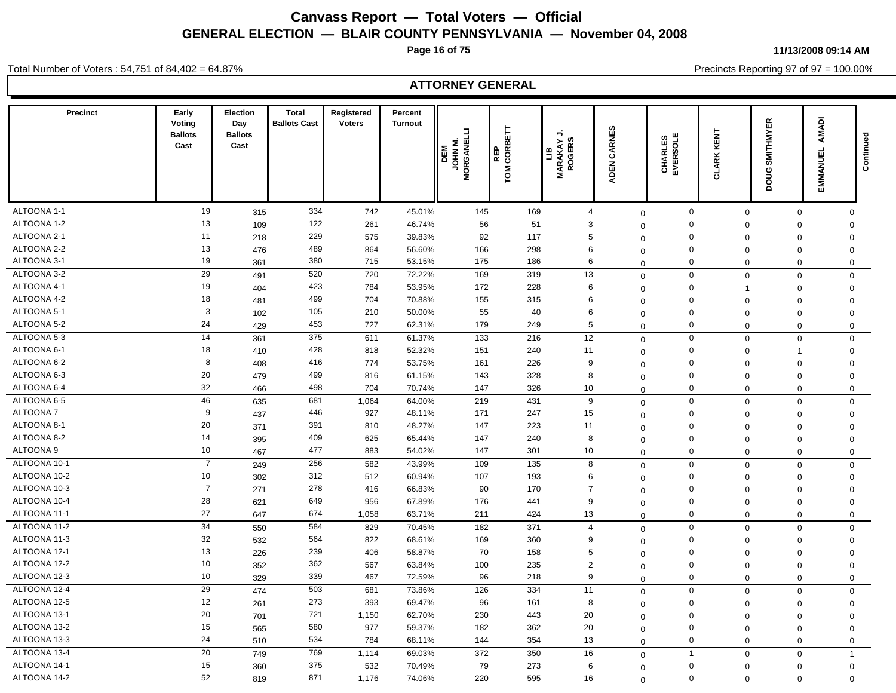**Page 16 of 75**

**11/13/2008 09:14 AM**

Total Number of Voters : 54,751 of 84,402 = 64.87%

Precincts Reporting 97 of 97 = 100.00%

| <b>Precinct</b> | Early<br>Voting<br><b>Ballots</b><br>Cast | <b>Election</b><br>Day<br><b>Ballots</b><br>Cast | Total<br><b>Ballots Cast</b> | Registered<br><b>Voters</b> | Percent<br><b>Turnout</b> | ⊐<br>JOHN M.<br>MORGANEL<br>DEM | CORBETT<br>퓙<br>ГOМ | ⊸<br><b>MARAKAY.</b><br>ROGERS<br>$\mathbf{e}$ | CARNES<br>ADEN | CHARLES<br>EVERSOLE | <b>CLARK KENT</b> | <b>SMITHMYER</b><br>poug | AMADI<br>EMMANUEI   | Continued |
|-----------------|-------------------------------------------|--------------------------------------------------|------------------------------|-----------------------------|---------------------------|---------------------------------|---------------------|------------------------------------------------|----------------|---------------------|-------------------|--------------------------|---------------------|-----------|
|                 |                                           |                                                  |                              |                             |                           |                                 |                     |                                                |                |                     |                   |                          |                     |           |
| ALTOONA 1-1     | 19                                        | 315                                              | 334                          | 742                         | 45.01%                    | 145                             | 169                 | $\overline{4}$                                 | $\mathbf 0$    | $\mathbf 0$         | $\mathbf 0$       | $\mathbf 0$              | $\Omega$            |           |
| ALTOONA 1-2     | 13                                        | 109                                              | 122                          | 261                         | 46.74%                    | 56                              | 51                  | 3                                              | $\mathbf 0$    | $\Omega$            | $\Omega$          | $\Omega$                 | $\mathbf{0}$        |           |
| ALTOONA 2-1     | 11                                        | 218                                              | 229                          | 575                         | 39.83%                    | 92                              | 117                 | 5                                              | $\mathbf{0}$   | 0                   | $\Omega$          | $\mathbf 0$              | $\mathbf 0$         |           |
| ALTOONA 2-2     | 13                                        | 476                                              | 489                          | 864                         | 56.60%                    | 166                             | 298                 | 6                                              | $\mathbf 0$    | $\Omega$            | $\Omega$          | $\mathbf 0$              | $\mathbf 0$         |           |
| ALTOONA 3-1     | 19                                        | 361                                              | 380                          | 715                         | 53.15%                    | 175                             | 186                 | 6                                              | $\mathbf{0}$   | $\mathbf 0$         | $\mathbf 0$       | $\mathbf 0$              | $\mathbf 0$         |           |
| ALTOONA 3-2     | 29                                        | 491                                              | 520                          | 720                         | 72.22%                    | 169                             | 319                 | 13                                             | $\mathbf 0$    | $\mathbf 0$         | $\mathbf 0$       | $\mathbf 0$              | $\mathbf 0$         |           |
| ALTOONA 4-1     | 19                                        | 404                                              | 423                          | 784                         | 53.95%                    | 172                             | 228                 | 6                                              | $\mathbf 0$    | $\mathbf 0$         | -1                | $\Omega$                 | $\mathsf{O}\xspace$ |           |
| ALTOONA 4-2     | 18                                        | 481                                              | 499                          | 704                         | 70.88%                    | 155                             | 315                 | 6                                              | $\mathbf 0$    | $\Omega$            | $\Omega$          | $\mathbf 0$              | $\mathbf 0$         |           |
| ALTOONA 5-1     | 3                                         | 102                                              | 105                          | 210                         | 50.00%                    | 55                              | 40                  | 6                                              | $\mathbf 0$    | $\mathbf 0$         | $\Omega$          | $\mathbf 0$              | $\mathbf 0$         |           |
| ALTOONA 5-2     | 24                                        | 429                                              | 453                          | 727                         | 62.31%                    | 179                             | 249                 | 5                                              | $\Omega$       | $\mathbf 0$         | $\Omega$          | $\mathbf 0$              | $\mathbf 0$         |           |
| ALTOONA 5-3     | 14                                        | 361                                              | 375                          | 611                         | 61.37%                    | 133                             | 216                 | 12                                             | $\mathbf 0$    | $\mathbf 0$         | $\mathbf 0$       | $\mathbf 0$              | $\mathbf 0$         |           |
| ALTOONA 6-1     | 18                                        | 410                                              | 428                          | 818                         | 52.32%                    | 151                             | 240                 | 11                                             | $\mathbf 0$    | $\mathbf 0$         | $\Omega$          | 1                        | $\mathbf 0$         |           |
| ALTOONA 6-2     | 8                                         | 408                                              | 416                          | 774                         | 53.75%                    | 161                             | 226                 | 9                                              | $\mathbf 0$    | $\Omega$            | $\Omega$          | $\mathbf 0$              | $\mathbf 0$         |           |
| ALTOONA 6-3     | 20                                        | 479                                              | 499                          | 816                         | 61.15%                    | 143                             | 328                 | 8                                              | $\mathbf 0$    | $\mathbf 0$         | $\Omega$          | $\Omega$                 | $\mathbf 0$         |           |
| ALTOONA 6-4     | 32                                        | 466                                              | 498                          | 704                         | 70.74%                    | 147                             | 326                 | 10                                             | $\mathbf 0$    | $\Omega$            | $\Omega$          | $\Omega$                 | $\mathbf{0}$        |           |
| ALTOONA 6-5     | 46                                        | 635                                              | 681                          | 1,064                       | 64.00%                    | 219                             | 431                 | 9                                              | $\mathbf 0$    | $\mathbf 0$         | $\Omega$          | $\mathbf{0}$             | $\mathbf 0$         |           |
| <b>ALTOONA7</b> | 9                                         | 437                                              | 446                          | 927                         | 48.11%                    | 171                             | 247                 | 15                                             | $\mathbf 0$    | 0                   | $\Omega$          | 0                        | $\mathbf 0$         |           |
| ALTOONA 8-1     | 20                                        | 371                                              | 391                          | 810                         | 48.27%                    | 147                             | 223                 | 11                                             | $\mathbf 0$    | $\mathbf 0$         | $\Omega$          | $\mathbf 0$              | $\mathbf 0$         |           |
| ALTOONA 8-2     | 14                                        | 395                                              | 409                          | 625                         | 65.44%                    | 147                             | 240                 | 8                                              | $\mathbf 0$    | $\mathbf 0$         | $\Omega$          | $\mathbf 0$              | $\mathbf 0$         |           |
| ALTOONA 9       | 10                                        | 467                                              | 477                          | 883                         | 54.02%                    | 147                             | 301                 | 10                                             | $\mathbf 0$    | 0                   | $\Omega$          | $\mathbf 0$              | $\mathbf 0$         |           |
| ALTOONA 10-1    | $\overline{7}$                            | 249                                              | 256                          | 582                         | 43.99%                    | 109                             | 135                 | 8                                              | $\mathbf 0$    | $\mathbf 0$         | $\Omega$          | $\mathbf 0$              | $\mathbf 0$         |           |
| ALTOONA 10-2    | 10                                        | 302                                              | 312                          | 512                         | 60.94%                    | 107                             | 193                 | 6                                              | $\mathbf 0$    | 0                   | $\Omega$          | $\Omega$                 | 0                   |           |
| ALTOONA 10-3    | $\overline{7}$                            | 271                                              | 278                          | 416                         | 66.83%                    | 90                              | 170                 | $\overline{7}$                                 | $\mathbf 0$    | $\Omega$            | $\Omega$          | $\Omega$                 | $\mathbf 0$         |           |
| ALTOONA 10-4    | 28                                        | 621                                              | 649                          | 956                         | 67.89%                    | 176                             | 441                 | 9                                              | $\mathbf 0$    | $\mathbf 0$         | $\Omega$          | $\mathbf 0$              | $\mathbf 0$         |           |
| ALTOONA 11-1    | 27                                        | 647                                              | 674                          | 1,058                       | 63.71%                    | 211                             | 424                 | 13                                             | $\Omega$       | $\mathbf 0$         | $\Omega$          | $\mathbf 0$              | $\mathbf 0$         |           |
| ALTOONA 11-2    | 34                                        | 550                                              | 584                          | 829                         | 70.45%                    | 182                             | 371                 | $\overline{4}$                                 | $\mathbf 0$    | $\mathbf 0$         | $\Omega$          | $\mathbf 0$              | $\mathbf 0$         |           |
| ALTOONA 11-3    | 32                                        | 532                                              | 564                          | 822                         | 68.61%                    | 169                             | 360                 | 9                                              | $\mathbf 0$    | $\mathbf 0$         | $\Omega$          | 0                        | $\mathbf{0}$        |           |
| ALTOONA 12-1    | 13                                        | 226                                              | 239                          | 406                         | 58.87%                    | 70                              | 158                 | 5                                              | $\mathbf 0$    | 0                   | $\Omega$          | $\mathbf 0$              | $\mathbf 0$         |           |
| ALTOONA 12-2    | 10                                        | 352                                              | 362                          | 567                         | 63.84%                    | 100                             | 235                 | $\overline{2}$                                 | $\mathbf 0$    | 0                   | $\Omega$          | $\mathbf 0$              | $\mathbf 0$         |           |
| ALTOONA 12-3    | 10                                        | 329                                              | 339                          | 467                         | 72.59%                    | 96                              | 218                 | 9                                              | $\mathbf 0$    | $\Omega$            | $\Omega$          | $\Omega$                 | $\mathbf 0$         |           |
| ALTOONA 12-4    | 29                                        | 474                                              | 503                          | 681                         | 73.86%                    | 126                             | 334                 | 11                                             | $\mathbf 0$    | $\mathbf 0$         | $\Omega$          | $\mathbf 0$              | $\mathbf 0$         |           |
| ALTOONA 12-5    | 12                                        | 261                                              | 273                          | 393                         | 69.47%                    | 96                              | 161                 | 8                                              | $\mathbf 0$    | 0                   | $\Omega$          | $\Omega$                 | $\mathbf{0}$        |           |
| ALTOONA 13-1    | 20                                        | 701                                              | 721                          | 1,150                       | 62.70%                    | 230                             | 443                 | 20                                             | $\mathbf 0$    | 0                   | $\Omega$          | $\mathbf 0$              | $\mathbf 0$         |           |
| ALTOONA 13-2    | 15                                        | 565                                              | 580                          | 977                         | 59.37%                    | 182                             | 362                 | 20                                             | $\mathbf 0$    | $\mathbf 0$         | $\Omega$          | $\mathbf 0$              | $\mathbf 0$         |           |
| ALTOONA 13-3    | 24                                        | 510                                              | 534                          | 784                         | 68.11%                    | 144                             | 354                 | 13                                             | $\mathbf 0$    | 0                   | $\Omega$          | $\mathbf 0$              | $\mathbf 0$         |           |
| ALTOONA 13-4    | 20                                        | 749                                              | 769                          | 1,114                       | 69.03%                    | 372                             | 350                 | 16                                             | $\mathbf 0$    | $\overline{1}$      | $\mathbf 0$       | $\mathbf 0$              | $\mathbf{1}$        |           |
| ALTOONA 14-1    | 15                                        | 360                                              | 375                          | 532                         | 70.49%                    | 79                              | 273                 | 6                                              | $\mathbf 0$    | $\mathbf 0$         | $\Omega$          | $\mathbf 0$              | $\mathbf 0$         |           |
| ALTOONA 14-2    | 52                                        | 819                                              | 871                          | 1,176                       | 74.06%                    | 220                             | 595                 | 16                                             | $\Omega$       | $\mathbf 0$         | $\Omega$          | $\Omega$                 | $\Omega$            |           |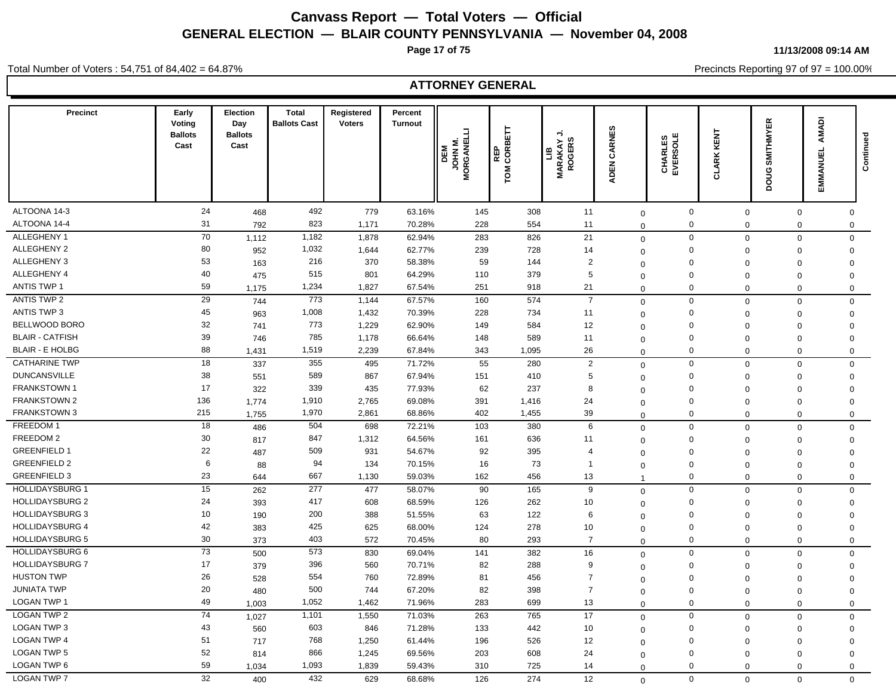**Page 17 of 75**

**11/13/2008 09:14 AM**

Precincts Reporting 97 of 97 = 100.00%

Total Number of Voters : 54,751 of 84,402 = 64.87%

| <b>Precinct</b>        | Early<br>Voting<br><b>Ballots</b><br>Cast | Election<br>Day<br><b>Ballots</b><br>Cast | <b>Total</b><br><b>Ballots Cast</b> | Registered<br><b>Voters</b> | Percent<br><b>Turnout</b> | E<br><b>MORGANEL</b><br><b>N NHOL</b><br>DEM | REP<br>CORBETT<br>TOM <sub>1</sub> | ⇒<br>S.<br><b>LIB</b><br>MARAKAY.<br>MARAKAY. | <b>&amp;</b><br>CARN<br><b>ADEN</b> | CHARLES<br>EVERSOLE | <b>CLARK KENT</b> | <b>SMITHMYER</b><br>poug | AMADI<br>EMMANUEL   | Continued |
|------------------------|-------------------------------------------|-------------------------------------------|-------------------------------------|-----------------------------|---------------------------|----------------------------------------------|------------------------------------|-----------------------------------------------|-------------------------------------|---------------------|-------------------|--------------------------|---------------------|-----------|
| ALTOONA 14-3           | 24                                        | 468                                       | 492                                 | 779                         | 63.16%                    | 145                                          | 308                                | 11                                            | $\mathbf 0$                         | $\mathbf 0$         | $\mathbf 0$       | 0                        | 0                   |           |
| ALTOONA 14-4           | 31                                        | 792                                       | 823                                 | 1,171                       | 70.28%                    | 228                                          | 554                                | 11                                            | $\mathbf 0$                         | $\pmb{0}$           | $\mathbf 0$       | 0                        | $\mathbf 0$         |           |
| ALLEGHENY 1            | 70                                        | 1,112                                     | 1,182                               | 1,878                       | 62.94%                    | 283                                          | 826                                | 21                                            | $\mathbf 0$                         | $\mathbf 0$         | $\mathbf 0$       | 0                        | $\mathbf 0$         |           |
| <b>ALLEGHENY 2</b>     | 80                                        | 952                                       | 1,032                               | 1,644                       | 62.77%                    | 239                                          | 728                                | 14                                            | $\mathbf 0$                         | $\mathsf 0$         | $\mathbf 0$       | $\mathbf 0$              | $\mathbf 0$         |           |
| ALLEGHENY 3            | 53                                        | 163                                       | 216                                 | 370                         | 58.38%                    | 59                                           | 144                                | $\overline{2}$                                | $\mathbf 0$                         | $\Omega$            | $\Omega$          | $\Omega$                 | $\mathbf 0$         |           |
| ALLEGHENY 4            | 40                                        | 475                                       | 515                                 | 801                         | 64.29%                    | 110                                          | 379                                | 5                                             | $\mathbf 0$                         | $\Omega$            | $\mathbf 0$       | $\Omega$                 | $\Omega$            |           |
| <b>ANTIS TWP 1</b>     | 59                                        | 1,175                                     | 1,234                               | 1,827                       | 67.54%                    | 251                                          | 918                                | 21                                            | $\Omega$                            | $\mathbf 0$         | $\mathbf 0$       | $\mathbf 0$              | $\mathbf 0$         |           |
| <b>ANTIS TWP 2</b>     | $\overline{29}$                           | 744                                       | 773                                 | 1,144                       | 67.57%                    | 160                                          | 574                                | $\overline{7}$                                | $\mathbf 0$                         | $\mathbf 0$         | $\Omega$          | $\mathbf 0$              | $\mathsf{O}\xspace$ |           |
| <b>ANTIS TWP 3</b>     | 45                                        | 963                                       | 1,008                               | 1,432                       | 70.39%                    | 228                                          | 734                                | 11                                            | $\mathbf 0$                         | $\mathbf 0$         | $\Omega$          | $\Omega$                 | $\mathbf 0$         |           |
| BELLWOOD BORO          | 32                                        | 741                                       | 773                                 | 1,229                       | 62.90%                    | 149                                          | 584                                | 12                                            | $\Omega$                            | $\mathbf 0$         | $\Omega$          | $\Omega$                 | $\mathbf 0$         |           |
| <b>BLAIR - CATFISH</b> | 39                                        | 746                                       | 785                                 | 1,178                       | 66.64%                    | 148                                          | 589                                | 11                                            | $\mathbf 0$                         | $\mathbf 0$         | $\mathbf 0$       | $\mathbf 0$              | $\mathbf 0$         |           |
| <b>BLAIR - E HOLBG</b> | 88                                        | 1,431                                     | 1,519                               | 2,239                       | 67.84%                    | 343                                          | 1,095                              | 26                                            | $\mathbf 0$                         | $\mathbf 0$         | $\Omega$          | $\mathbf 0$              | $\mathsf 0$         |           |
| <b>CATHARINE TWP</b>   | 18                                        | 337                                       | 355                                 | 495                         | 71.72%                    | 55                                           | 280                                | $\overline{2}$                                | $\mathbf 0$                         | $\mathbf 0$         | $\mathbf 0$       | $\mathbf 0$              | $\mathsf 0$         |           |
| <b>DUNCANSVILLE</b>    | 38                                        | 551                                       | 589                                 | 867                         | 67.94%                    | 151                                          | 410                                | 5                                             | $\mathbf 0$                         | $\mathbf 0$         | $\Omega$          | $\mathbf 0$              | $\mathbf 0$         |           |
| <b>FRANKSTOWN1</b>     | 17                                        | 322                                       | 339                                 | 435                         | 77.93%                    | 62                                           | 237                                | 8                                             | $\Omega$                            | $\Omega$            | $\mathbf 0$       | $\mathbf 0$              | $\mathbf 0$         |           |
| <b>FRANKSTOWN 2</b>    | 136                                       | 1,774                                     | 1,910                               | 2,765                       | 69.08%                    | 391                                          | 1,416                              | 24                                            | $\mathbf 0$                         | $\Omega$            | $\mathbf 0$       | $\Omega$                 | $\mathsf 0$         |           |
| <b>FRANKSTOWN 3</b>    | 215                                       | 1,755                                     | 1,970                               | 2,861                       | 68.86%                    | 402                                          | 1,455                              | 39                                            | $\Omega$                            | $\Omega$            | $\Omega$          | $\mathbf 0$              | $\mathsf 0$         |           |
| FREEDOM 1              | 18                                        | 486                                       | 504                                 | 698                         | 72.21%                    | 103                                          | 380                                | 6                                             | $\mathbf 0$                         | $\mathbf 0$         | $\Omega$          | $\Omega$                 | $\mathbf{0}$        |           |
| FREEDOM 2              | 30                                        | 817                                       | 847                                 | 1,312                       | 64.56%                    | 161                                          | 636                                | 11                                            | $\Omega$                            | $\mathbf 0$         | $\Omega$          | $\Omega$                 | $\mathsf 0$         |           |
| <b>GREENFIELD 1</b>    | 22                                        | 487                                       | 509                                 | 931                         | 54.67%                    | 92                                           | 395                                | $\overline{4}$                                | $\Omega$                            | $\mathbf 0$         | $\Omega$          | $\Omega$                 | $\mathbf 0$         |           |
| <b>GREENFIELD 2</b>    | 6                                         | 88                                        | 94                                  | 134                         | 70.15%                    | 16                                           | 73                                 | $\overline{1}$                                | $\mathbf 0$                         | $\mathbf 0$         | $\mathbf 0$       | $\mathbf 0$              | $\mathbf 0$         |           |
| <b>GREENFIELD 3</b>    | 23                                        | 644                                       | 667                                 | 1,130                       | 59.03%                    | 162                                          | 456                                | 13                                            | 1                                   | $\mathbf 0$         | $\Omega$          | $\mathbf 0$              | $\mathbf 0$         |           |
| <b>HOLLIDAYSBURG 1</b> | 15                                        | 262                                       | 277                                 | 477                         | 58.07%                    | 90                                           | 165                                | 9                                             | $\mathbf 0$                         | $\mathbf 0$         | $\Omega$          | $\mathbf 0$              | $\mathbf 0$         |           |
| <b>HOLLIDAYSBURG 2</b> | 24                                        | 393                                       | 417                                 | 608                         | 68.59%                    | 126                                          | 262                                | 10                                            | $\mathbf 0$                         | $\mathbf 0$         | $\mathbf 0$       | 0                        | $\mathbf 0$         |           |
| <b>HOLLIDAYSBURG 3</b> | 10                                        | 190                                       | 200                                 | 388                         | 51.55%                    | 63                                           | 122                                | 6                                             | $\Omega$                            | $\mathbf 0$         | $\mathbf 0$       | $\mathbf 0$              | $\mathbf 0$         |           |
| <b>HOLLIDAYSBURG 4</b> | 42                                        | 383                                       | 425                                 | 625                         | 68.00%                    | 124                                          | 278                                | 10                                            | $\mathbf 0$                         | $\Omega$            | $\mathbf 0$       | 0                        | $\mathbf 0$         |           |
| <b>HOLLIDAYSBURG 5</b> | 30                                        | 373                                       | 403                                 | 572                         | 70.45%                    | 80                                           | 293                                | $\overline{7}$                                | $\mathbf 0$                         | $\mathbf 0$         | $\Omega$          | $\mathbf 0$              | $\mathbf 0$         |           |
| <b>HOLLIDAYSBURG 6</b> | 73                                        | 500                                       | 573                                 | 830                         | 69.04%                    | 141                                          | 382                                | 16                                            | $\mathbf 0$                         | $\mathsf 0$         | $\mathbf 0$       | $\mathbf 0$              | $\mathbf 0$         |           |
| <b>HOLLIDAYSBURG 7</b> | 17                                        | 379                                       | 396                                 | 560                         | 70.71%                    | 82                                           | 288                                | 9                                             | $\mathbf 0$                         | $\mathbf 0$         | $\Omega$          | $\Omega$                 | $\mathsf 0$         |           |
| <b>HUSTON TWP</b>      | 26                                        | 528                                       | 554                                 | 760                         | 72.89%                    | 81                                           | 456                                | $\overline{7}$                                | $\Omega$                            | $\mathbf 0$         | $\Omega$          | $\Omega$                 | $\mathbf 0$         |           |
| <b>JUNIATA TWP</b>     | 20                                        | 480                                       | 500                                 | 744                         | 67.20%                    | 82                                           | 398                                | $\overline{7}$                                | $\Omega$                            | $\mathbf 0$         | $\Omega$          | $\Omega$                 | $\mathbf 0$         |           |
| <b>LOGAN TWP 1</b>     | 49                                        | 1,003                                     | 1,052                               | 1,462                       | 71.96%                    | 283                                          | 699                                | 13                                            | $\Omega$                            | $\mathbf 0$         | $\Omega$          | $\mathbf 0$              | $\mathbf 0$         |           |
| <b>LOGAN TWP 2</b>     | $\overline{74}$                           | 1,027                                     | 1,101                               | 1,550                       | 71.03%                    | 263                                          | 765                                | 17                                            | $\mathbf 0$                         | $\mathbf 0$         | $\mathbf 0$       | $\mathbf 0$              | $\mathbf 0$         |           |
| LOGAN TWP 3            | 43                                        | 560                                       | 603                                 | 846                         | 71.28%                    | 133                                          | 442                                | 10                                            | $\mathbf 0$                         | $\mathbf 0$         | $\mathbf 0$       | 0                        | $\mathbf 0$         |           |
| <b>LOGAN TWP 4</b>     | 51                                        | 717                                       | 768                                 | 1,250                       | 61.44%                    | 196                                          | 526                                | 12                                            | $\Omega$                            | $\mathbf 0$         | $\mathbf 0$       | $\mathbf 0$              | $\mathbf 0$         |           |
| <b>LOGAN TWP 5</b>     | 52                                        | 814                                       | 866                                 | 1,245                       | 69.56%                    | 203                                          | 608                                | 24                                            | $\mathbf 0$                         | $\mathbf 0$         | $\Omega$          | $\Omega$                 | $\mathbf 0$         |           |
| <b>LOGAN TWP 6</b>     | 59                                        | 1,034                                     | 1,093                               | 1,839                       | 59.43%                    | 310                                          | 725                                | 14                                            | $\mathbf 0$                         | $\Omega$            | $\mathbf 0$       | $\mathbf 0$              | $\mathbf 0$         |           |
| <b>LOGAN TWP 7</b>     | $\overline{32}$                           | 400                                       | 432                                 | 629                         | 68.68%                    | 126                                          | 274                                | 12                                            | $\Omega$                            | $\Omega$            | $\Omega$          | $\Omega$                 | $\Omega$            |           |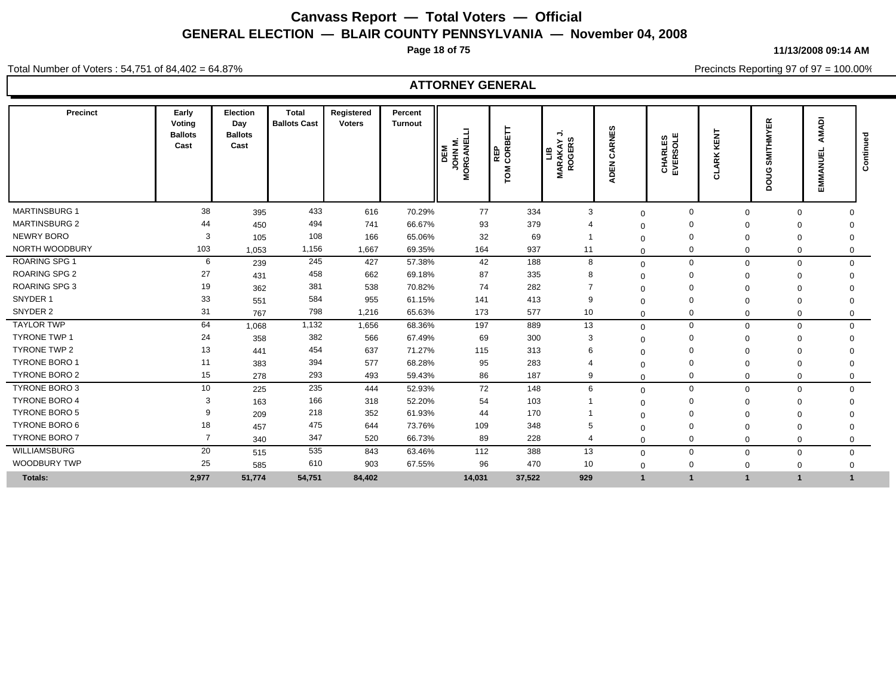**Page 18 of 75**

**11/13/2008 09:14 AM**

Total Number of Voters : 54,751 of 84,402 = 64.87%

Precincts Reporting 97 of 97 = 100.00%

| <b>Precinct</b>      | Early<br>Voting<br><b>Ballots</b><br>Cast | Election<br>Day<br><b>Ballots</b><br>Cast | Total<br><b>Ballots Cast</b> | Registered<br><b>Voters</b> | Percent<br><b>Turnout</b> | <b>M NHOL</b><br>DEM<br>$\overline{3}$<br>$\tilde{g}$ | ÌН<br>CORBI<br>퓙<br>Šδ | ∍<br><b>ROGERS</b><br>≻<br>ARAKA<br>В<br>Σ | 69<br>ARNI<br>ပ<br><b>DEN</b> | CHARLES<br>EVERSOLE | <b>KENT</b><br>ARK<br>ੌ | <b>SMITHMYER</b><br>Sno<br>Δ | <b>MADI</b><br>∢<br>ш<br>EMMANU | ទី<br>Continu |
|----------------------|-------------------------------------------|-------------------------------------------|------------------------------|-----------------------------|---------------------------|-------------------------------------------------------|------------------------|--------------------------------------------|-------------------------------|---------------------|-------------------------|------------------------------|---------------------------------|---------------|
| <b>MARTINSBURG 1</b> | 38                                        | 395                                       | 433                          | 616                         | 70.29%                    | 77                                                    | 334                    | 3                                          | $\mathbf 0$                   | $\Omega$            | $\Omega$                | $\Omega$                     | $\Omega$                        |               |
| <b>MARTINSBURG 2</b> | 44                                        | 450                                       | 494                          | 741                         | 66.67%                    | 93                                                    | 379                    |                                            | $\Omega$                      |                     | $\Omega$                | $\Omega$                     | $\Omega$                        |               |
| NEWRY BORO           | 3                                         | 105                                       | 108                          | 166                         | 65.06%                    | 32                                                    | 69                     |                                            | $\Omega$                      |                     | $\Omega$                | $\mathbf 0$                  | $\Omega$                        |               |
| NORTH WOODBURY       | 103                                       | 1,053                                     | 1,156                        | 1,667                       | 69.35%                    | 164                                                   | 937                    | 11                                         | $\Omega$                      |                     | $\Omega$                | 0                            | $\Omega$                        |               |
| <b>ROARING SPG 1</b> | 6                                         | 239                                       | 245                          | 427                         | 57.38%                    | 42                                                    | 188                    | 8                                          | $\mathbf 0$                   | $\mathbf 0$         | $\Omega$                | $\mathbf 0$                  | $\mathbf 0$                     |               |
| <b>ROARING SPG 2</b> | 27                                        | 431                                       | 458                          | 662                         | 69.18%                    | 87                                                    | 335                    | 8                                          | $\Omega$                      |                     | $\Omega$                | $\mathbf 0$                  | 0                               |               |
| ROARING SPG 3        | 19                                        | 362                                       | 381                          | 538                         | 70.82%                    | 74                                                    | 282                    |                                            | $\Omega$                      |                     |                         | 0                            |                                 |               |
| SNYDER 1             | 33                                        | 551                                       | 584                          | 955                         | 61.15%                    | 141                                                   | 413                    | 9                                          | $\Omega$                      |                     |                         | $\Omega$                     | $\Omega$                        |               |
| SNYDER 2             | 31                                        | 767                                       | 798                          | 1,216                       | 65.63%                    | 173                                                   | 577                    | 10                                         | $\Omega$                      | $\mathbf 0$         | $\Omega$                | $\mathbf 0$                  | 0                               |               |
| <b>TAYLOR TWP</b>    | 64                                        | 1,068                                     | 1,132                        | 1,656                       | 68.36%                    | 197                                                   | 889                    | 13                                         | $\mathbf 0$                   | $\mathbf 0$         | $\Omega$                | 0                            | $\mathbf 0$                     |               |
| <b>TYRONE TWP 1</b>  | 24                                        | 358                                       | 382                          | 566                         | 67.49%                    | 69                                                    | 300                    | 3                                          | $\Omega$                      |                     |                         | 0                            | $\Omega$                        |               |
| TYRONE TWP 2         | 13                                        | 441                                       | 454                          | 637                         | 71.27%                    | 115                                                   | 313                    | 6                                          | $\Omega$                      |                     |                         | 0                            |                                 |               |
| <b>TYRONE BORO 1</b> | 11                                        | 383                                       | 394                          | 577                         | 68.28%                    | 95                                                    | 283                    |                                            | $\Omega$                      |                     | $\Omega$                | $\mathbf 0$                  | 0                               |               |
| <b>TYRONE BORO 2</b> | 15                                        | 278                                       | 293                          | 493                         | 59.43%                    | 86                                                    | 187                    | 9                                          | $\Omega$                      | $\Omega$            | $\Omega$                | $\Omega$                     | $\mathbf 0$                     |               |
| <b>TYRONE BORO 3</b> | 10                                        | 225                                       | 235                          | 444                         | 52.93%                    | 72                                                    | 148                    | 6                                          | $\mathbf 0$                   | $\Omega$            | $\Omega$                | $\mathbf 0$                  | $\mathbf 0$                     |               |
| <b>TYRONE BORO 4</b> | 3                                         | 163                                       | 166                          | 318                         | 52.20%                    | 54                                                    | 103                    |                                            | $\Omega$                      |                     |                         | 0                            | $\Omega$                        |               |
| <b>TYRONE BORO 5</b> |                                           | 209                                       | 218                          | 352                         | 61.93%                    | 44                                                    | 170                    |                                            | $\Omega$                      |                     | $\Omega$                | $\Omega$                     | $\Omega$                        |               |
| TYRONE BORO 6        | 18                                        | 457                                       | 475                          | 644                         | 73.76%                    | 109                                                   | 348                    | 5                                          | $\Omega$                      |                     | $\Omega$                | $\Omega$                     | $\Omega$                        |               |
| <b>TYRONE BORO 7</b> | $\overline{7}$                            | 340                                       | 347                          | 520                         | 66.73%                    | 89                                                    | 228                    | $\overline{4}$                             | $\Omega$                      | 0                   | $\Omega$                | $\mathbf 0$                  | $\mathbf 0$                     |               |
| <b>WILLIAMSBURG</b>  | 20                                        | 515                                       | 535                          | 843                         | 63.46%                    | 112                                                   | 388                    | 13                                         | $\mathbf 0$                   | $\mathbf 0$         | $\mathbf 0$             | $\mathbf 0$                  | $\mathbf 0$                     |               |
| <b>WOODBURY TWP</b>  | 25                                        | 585                                       | 610                          | 903                         | 67.55%                    | 96                                                    | 470                    | 10                                         | $\mathbf 0$                   | 0                   | $\Omega$                | $\mathbf 0$                  | $\Omega$                        |               |
| <b>Totals:</b>       | 2,977                                     | 51,774                                    | 54,751                       | 84,402                      |                           | 14,031                                                | 37,522                 | 929                                        |                               |                     |                         |                              |                                 |               |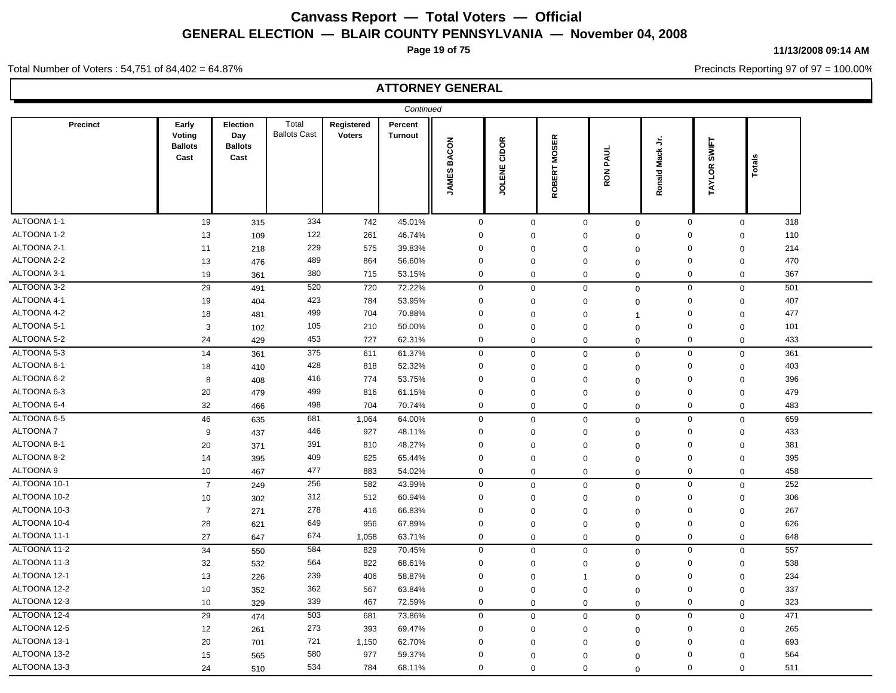**Page 19 of 75**

**11/13/2008 09:14 AM**

Precincts Reporting 97 of 97 = 100.00%

#### Total Number of Voters : 54,751 of 84,402 = 64.87%

|                 |                                           |                                           |                              |                             | Continued                 |                    |                 |                               |                            |                    |              |                         |  |
|-----------------|-------------------------------------------|-------------------------------------------|------------------------------|-----------------------------|---------------------------|--------------------|-----------------|-------------------------------|----------------------------|--------------------|--------------|-------------------------|--|
| Precinct        | Early<br>Voting<br><b>Ballots</b><br>Cast | Election<br>Day<br><b>Ballots</b><br>Cast | Total<br><b>Ballots Cast</b> | Registered<br><b>Voters</b> | Percent<br><b>Turnout</b> | <b>JAMES BACON</b> | CIDOR<br>JOLENE | ROBERT MOSER                  | RON PAUL                   | Mack Jr.<br>Ronald | TAYLOR SWIFT | Totals                  |  |
| ALTOONA 1-1     | 19                                        | 315                                       | 334                          | 742                         | 45.01%                    | $\mathbf 0$        |                 | $\mathbf 0$                   | $\mathbf 0$<br>$\mathbf 0$ | $\mathbf 0$        |              | 318<br>$\mathbf 0$      |  |
| ALTOONA 1-2     | 13                                        | 109                                       | 122                          | 261                         | 46.74%                    | 0                  |                 | $\mathbf 0$                   | 0<br>$\mathbf 0$           | $\mathbf 0$        |              | 110<br>$\mathbf 0$      |  |
| ALTOONA 2-1     | 11                                        | 218                                       | 229                          | 575                         | 39.83%                    | $\mathbf 0$        |                 | $\mathbf 0$                   | 0<br>$\mathbf 0$           | $\mathbf 0$        | $\mathbf 0$  | 214                     |  |
| ALTOONA 2-2     | 13                                        | 476                                       | 489                          | 864                         | 56.60%                    | $\mathbf 0$        |                 | $\mathbf 0$                   | 0<br>$\mathbf 0$           | $\mathbf 0$        | $\mathbf 0$  | 470                     |  |
| ALTOONA 3-1     | 19                                        | 361                                       | 380                          | 715                         | 53.15%                    | $\mathbf 0$        |                 | $\mathbf 0$                   | 0<br>0                     | $\mathbf 0$        |              | $\mathbf 0$<br>367      |  |
| ALTOONA 3-2     | 29                                        | 491                                       | 520                          | 720                         | 72.22%                    | $\mathbf 0$        |                 | $\mathbf 0$<br>$\mathbf 0$    | $\mathbf 0$                | $\mathbf 0$        |              | $\mathbf 0$<br>501      |  |
| ALTOONA 4-1     | 19                                        | 404                                       | 423                          | 784                         | 53.95%                    | 0                  |                 | $\mathbf 0$                   | $\mathbf 0$<br>$\mathbf 0$ | $\mathbf 0$        |              | 407<br>$\mathbf 0$      |  |
| ALTOONA 4-2     | 18                                        | 481                                       | 499                          | 704                         | 70.88%                    | $\mathbf 0$        |                 | $\mathbf 0$                   | 0<br>$\overline{1}$        | $\mathbf 0$        | $\mathbf 0$  | 477                     |  |
| ALTOONA 5-1     | 3                                         | 102                                       | 105                          | 210                         | 50.00%                    | $\mathbf 0$        |                 | $\mathbf 0$                   | 0<br>$\mathsf 0$           | $\mathbf 0$        |              | $\mathbf 0$<br>101      |  |
| ALTOONA 5-2     | 24                                        | 429                                       | 453                          | 727                         | 62.31%                    | 0                  |                 | $\mathbf 0$                   | 0<br>$\mathbf 0$           | $\mathbf 0$        | $\mathbf 0$  | 433                     |  |
| ALTOONA 5-3     | 14                                        | 361                                       | 375                          | 611                         | 61.37%                    | $\mathbf 0$        |                 | $\mathbf 0$                   | $\mathbf 0$<br>$\mathbf 0$ | $\mathbf 0$        |              | 361<br>$\mathbf 0$      |  |
| ALTOONA 6-1     | 18                                        | 410                                       | 428                          | 818                         | 52.32%                    | $\mathbf 0$        |                 | $\mathbf 0$                   | 0<br>$\mathbf 0$           | $\mathbf 0$        | $\mathbf 0$  | 403                     |  |
| ALTOONA 6-2     | 8                                         | 408                                       | 416                          | 774                         | 53.75%                    | $\mathbf 0$        |                 | $\mathbf 0$                   | 0<br>$\mathsf 0$           | $\mathbf 0$        | $\mathbf 0$  | 396                     |  |
| ALTOONA 6-3     | 20                                        | 479                                       | 499                          | 816                         | 61.15%                    | $\mathbf 0$        |                 | $\mathbf 0$                   | 0<br>$\Omega$              | $\mathbf 0$        | $\mathbf 0$  | 479                     |  |
| ALTOONA 6-4     | 32                                        | 466                                       | 498                          | 704                         | 70.74%                    | $\mathbf 0$        |                 | $\mathbf 0$                   | 0<br>$\mathbf 0$           | $\mathbf 0$        |              | 483<br>$\boldsymbol{0}$ |  |
| ALTOONA 6-5     | 46                                        | 635                                       | 681                          | 1,064                       | 64.00%                    | $\mathbf 0$        |                 | $\mathbf 0$                   | $\mathbf 0$<br>$\Omega$    | $\mathbf 0$        |              | $\mathsf 0$<br>659      |  |
| <b>ALTOONA7</b> | 9                                         | 437                                       | 446                          | 927                         | 48.11%                    | 0                  |                 | $\mathbf 0$                   | 0<br>$\mathbf 0$           | $\mathbf 0$        | $\mathbf 0$  | 433                     |  |
| ALTOONA 8-1     | 20                                        | 371                                       | 391                          | 810                         | 48.27%                    | $\mathbf 0$        |                 | $\mathbf 0$                   | 0<br>$\mathbf 0$           | $\mathbf 0$        | $\mathbf 0$  | 381                     |  |
| ALTOONA 8-2     | 14                                        | 395                                       | 409                          | 625                         | 65.44%                    | $\mathbf 0$        |                 | $\mathbf 0$                   | $\mathbf 0$<br>$\Omega$    | $\mathbf 0$        | $\mathbf 0$  | 395                     |  |
| ALTOONA 9       | 10                                        | 467                                       | 477                          | 883                         | 54.02%                    | $\mathbf 0$        |                 | $\mathbf 0$                   | 0<br>0                     | $\mathbf 0$        |              | 458<br>$\boldsymbol{0}$ |  |
| ALTOONA 10-1    | $\overline{7}$                            | 249                                       | 256                          | 582                         | 43.99%                    | $\mathbf 0$        |                 | $\mathbf 0$                   | 0<br>$\mathbf 0$           | $\mathbf 0$        |              | 252<br>$\mathbf 0$      |  |
| ALTOONA 10-2    | 10                                        | 302                                       | 312                          | 512                         | 60.94%                    | $\mathbf 0$        |                 | $\mathbf 0$                   | 0<br>$\mathbf 0$           | $\mathbf 0$        | $\mathbf 0$  | 306                     |  |
| ALTOONA 10-3    | $\overline{7}$                            | 271                                       | 278                          | 416                         | 66.83%                    | $\mathbf 0$        |                 | $\mathbf 0$                   | $\mathbf 0$<br>$\mathsf 0$ | $\mathbf 0$        | $\pmb{0}$    | 267                     |  |
| ALTOONA 10-4    | 28                                        | 621                                       | 649                          | 956                         | 67.89%                    | 0                  |                 | $\mathbf 0$                   | 0<br>$\mathbf 0$           | $\boldsymbol{0}$   | $\mathbf 0$  | 626                     |  |
| ALTOONA 11-1    | 27                                        | 647                                       | 674                          | 1,058                       | 63.71%                    | $\mathbf 0$        |                 | $\mathbf 0$                   | 0<br>$\Omega$              | $\mathbf 0$        |              | 648<br>$\mathbf 0$      |  |
| ALTOONA 11-2    | 34                                        | 550                                       | 584                          | 829                         | 70.45%                    | $\mathbf 0$        |                 | $\mathbf 0$<br>$\mathbf 0$    | $\mathbf 0$                | $\mathbf 0$        |              | 557<br>$\mathbf 0$      |  |
| ALTOONA 11-3    | 32                                        | 532                                       | 564                          | 822                         | 68.61%                    | $\mathbf 0$        |                 | $\mathbf 0$                   | 0<br>$\mathbf 0$           | $\mathbf 0$        |              | 538<br>$\boldsymbol{0}$ |  |
| ALTOONA 12-1    | 13                                        | 226                                       | 239                          | 406                         | 58.87%                    | $\mathbf 0$        |                 | $\mathbf 0$<br>$\overline{1}$ | $\mathbf 0$                | $\mathbf 0$        | $\mathbf 0$  | 234                     |  |
| ALTOONA 12-2    | 10                                        | 352                                       | 362                          | 567                         | 63.84%                    | $\mathbf 0$        |                 | $\mathbf 0$                   | 0<br>$\mathbf 0$           | $\mathbf 0$        | $\mathbf 0$  | 337                     |  |
| ALTOONA 12-3    | 10                                        | 329                                       | 339                          | 467                         | 72.59%                    | $\mathbf 0$        |                 | $\mathbf 0$                   | 0<br>$\mathbf 0$           | $\mathbf 0$        |              | 323<br>$\mathbf 0$      |  |
| ALTOONA 12-4    | 29                                        | 474                                       | 503                          | 681                         | 73.86%                    | $\mathbf 0$        |                 | $\mathbf 0$                   | $\mathbf 0$<br>0           | $\mathbf 0$        |              | 471<br>$\pmb{0}$        |  |
| ALTOONA 12-5    | 12                                        | 261                                       | 273                          | 393                         | 69.47%                    | 0                  |                 | $\mathbf 0$                   | 0<br>$\Omega$              | $\mathbf 0$        |              | 265<br>$\boldsymbol{0}$ |  |
| ALTOONA 13-1    | 20                                        | 701                                       | 721                          | 1,150                       | 62.70%                    | 0                  |                 | $\mathbf 0$<br>$\Omega$       | $\Omega$                   | $\mathbf 0$        | $\mathbf 0$  | 693                     |  |
| ALTOONA 13-2    | 15                                        | 565                                       | 580                          | 977                         | 59.37%                    | $\Omega$           |                 | $\mathbf 0$                   | 0<br>$\mathbf 0$           | $\Omega$           | $\mathbf 0$  | 564                     |  |
| ALTOONA 13-3    | 24                                        | 510                                       | 534                          | 784                         | 68.11%                    | $\mathbf 0$        |                 | $\Omega$                      | $\Omega$<br>$\Omega$       | $\Omega$           | $\Omega$     | 511                     |  |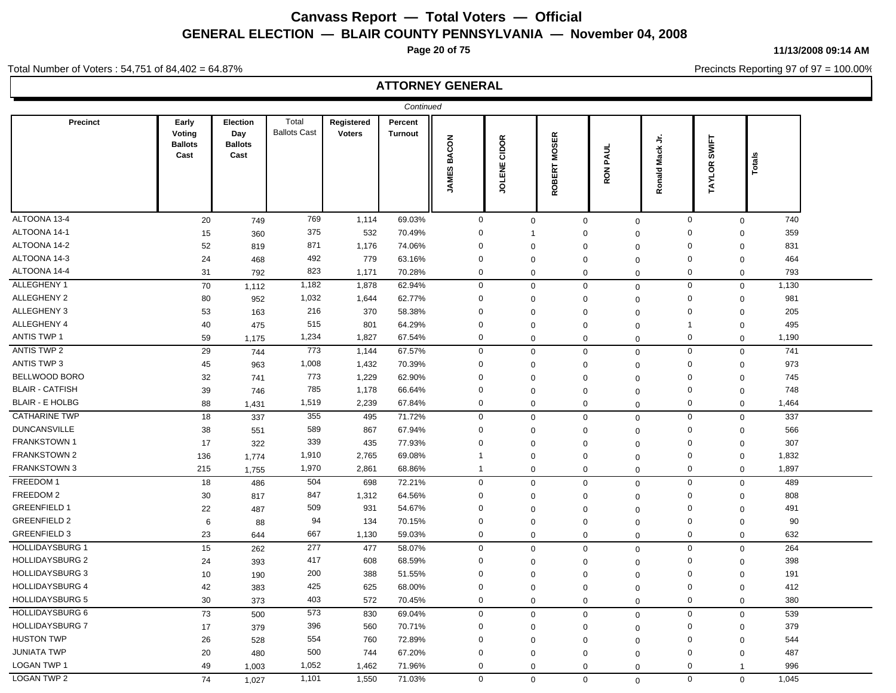**Page 20 of 75**

**11/13/2008 09:14 AM**

Precincts Reporting 97 of 97 = 100.00%

### Total Number of Voters : 54,751 of 84,402 = 64.87%

|                        |                                           |                                                  |                              |                             | Continued                 |                              |                |                        |                |                 |                |        |  |
|------------------------|-------------------------------------------|--------------------------------------------------|------------------------------|-----------------------------|---------------------------|------------------------------|----------------|------------------------|----------------|-----------------|----------------|--------|--|
| Precinct               | Early<br>Voting<br><b>Ballots</b><br>Cast | <b>Election</b><br>Day<br><b>Ballots</b><br>Cast | Total<br><b>Ballots Cast</b> | Registered<br><b>Voters</b> | Percent<br><b>Turnout</b> | <b>BACON</b><br><b>JAMES</b> | JOLENE CIDOR   | <b>MOSER</b><br>ROBERT | RON PAUL       | Ronald Mack Jr. | TAYLOR SWIFT   | Totals |  |
| ALTOONA 13-4           | 20                                        | 749                                              | 769                          | 1,114                       | 69.03%                    | $\mathbf 0$                  | $\mathbf 0$    | $\mathbf 0$            | $\mathbf 0$    | $\mathbf 0$     | $\mathbf 0$    | 740    |  |
| ALTOONA 14-1           | 15                                        | 360                                              | 375                          | 532                         | 70.49%                    | $\Omega$                     | $\overline{1}$ | $\mathbf 0$            | $\mathbf 0$    | $\Omega$        | $\mathbf 0$    | 359    |  |
| ALTOONA 14-2           | 52                                        | 819                                              | 871                          | 1,176                       | 74.06%                    | 0                            | 0              | $\mathbf 0$            | $\overline{0}$ | $\mathbf 0$     | $\mathbf 0$    | 831    |  |
| ALTOONA 14-3           | 24                                        | 468                                              | 492                          | 779                         | 63.16%                    | 0                            | $\mathbf 0$    | $\Omega$               | $\Omega$       | $\mathbf 0$     | $\mathbf 0$    | 464    |  |
| ALTOONA 14-4           | 31                                        | 792                                              | 823                          | 1,171                       | 70.28%                    | 0                            | 0              | $\mathbf 0$            | $\Omega$       | $\mathbf 0$     | $\mathbf 0$    | 793    |  |
| ALLEGHENY 1            | $70\,$                                    | 1,112                                            | 1,182                        | 1,878                       | 62.94%                    | $\mathsf 0$                  | $\mathbf 0$    | $\mathbf 0$            | $\mathbf 0$    | $\mathsf 0$     | $\pmb{0}$      | 1,130  |  |
| <b>ALLEGHENY 2</b>     | 80                                        | 952                                              | 1,032                        | 1,644                       | 62.77%                    | 0                            | $\Omega$       | $\mathbf 0$            | $\overline{0}$ | $\mathbf 0$     | $\pmb{0}$      | 981    |  |
| ALLEGHENY 3            | 53                                        | 163                                              | 216                          | 370                         | 58.38%                    | 0                            | $\Omega$       | $\Omega$               | $\Omega$       | $\mathbf 0$     | $\mathbf 0$    | 205    |  |
| ALLEGHENY 4            | 40                                        | 475                                              | 515                          | 801                         | 64.29%                    | 0                            | $\mathbf 0$    | $\mathbf 0$            | $\Omega$       | $\mathbf{1}$    | $\mathbf 0$    | 495    |  |
| <b>ANTIS TWP 1</b>     | 59                                        | 1,175                                            | 1,234                        | 1,827                       | 67.54%                    | 0                            | $\mathbf 0$    | $\mathbf 0$            | $\Omega$       | $\mathbf 0$     | $\mathbf 0$    | 1,190  |  |
| <b>ANTIS TWP 2</b>     | 29                                        | 744                                              | 773                          | 1,144                       | 67.57%                    | $\mathbf 0$                  | $\mathbf 0$    | $\mathbf 0$            | $\mathbf 0$    | $\mathsf 0$     | $\pmb{0}$      | 741    |  |
| ANTIS TWP 3            | 45                                        | 963                                              | 1,008                        | 1,432                       | 70.39%                    | 0                            | $\mathbf 0$    | $\Omega$               | $\Omega$       | $\mathbf 0$     | $\pmb{0}$      | 973    |  |
| BELLWOOD BORO          | 32                                        | 741                                              | 773                          | 1,229                       | 62.90%                    | 0                            | $\mathbf 0$    | $\mathbf 0$            | $\Omega$       | $\mathbf 0$     | $\mathbf 0$    | 745    |  |
| <b>BLAIR - CATFISH</b> | 39                                        | 746                                              | 785                          | 1,178                       | 66.64%                    | 0                            | $\mathbf 0$    | $\mathbf 0$            | $\overline{0}$ | $\mathbf 0$     | $\pmb{0}$      | 748    |  |
| <b>BLAIR - E HOLBG</b> | 88                                        | 1,431                                            | 1,519                        | 2,239                       | 67.84%                    | 0                            | $\mathbf 0$    | $\mathbf 0$            | $\mathbf 0$    | $\mathbf 0$     | $\mathbf 0$    | 1,464  |  |
| <b>CATHARINE TWP</b>   | $18$                                      | 337                                              | 355                          | 495                         | 71.72%                    | $\mathbf 0$                  | 0              | $\mathbf 0$            | $\mathbf 0$    | $\mathsf 0$     | $\pmb{0}$      | 337    |  |
| <b>DUNCANSVILLE</b>    | 38                                        | 551                                              | 589                          | 867                         | 67.94%                    | $\mathbf 0$                  | 0              | $\mathbf 0$            | $\overline{0}$ | $\mathbf 0$     | $\pmb{0}$      | 566    |  |
| <b>FRANKSTOWN1</b>     | 17                                        | 322                                              | 339                          | 435                         | 77.93%                    | 0                            | $\Omega$       | $\Omega$               | $\overline{0}$ | $\mathbf 0$     | $\pmb{0}$      | 307    |  |
| <b>FRANKSTOWN 2</b>    | 136                                       | 1,774                                            | 1,910                        | 2,765                       | 69.08%                    | $\mathbf{1}$                 | $\mathbf 0$    | $\mathbf 0$            | $\Omega$       | $\mathbf 0$     | $\mathsf 0$    | 1,832  |  |
| <b>FRANKSTOWN 3</b>    | 215                                       | 1,755                                            | 1,970                        | 2,861                       | 68.86%                    | $\mathbf{1}$                 | 0              | $\mathbf 0$            | $\Omega$       | $\mathbf 0$     | $\mathbf 0$    | 1,897  |  |
| FREEDOM 1              | $18$                                      | 486                                              | 504                          | 698                         | 72.21%                    | $\mathbf 0$                  | $\mathbf 0$    | $\mathbf 0$            | $\mathsf 0$    | $\mathsf 0$     | $\pmb{0}$      | 489    |  |
| FREEDOM 2              | 30                                        | 817                                              | 847                          | 1,312                       | 64.56%                    | 0                            | $\Omega$       | $\mathbf 0$            | $\overline{0}$ | $\mathbf 0$     | $\mathbf 0$    | 808    |  |
| <b>GREENFIELD 1</b>    | 22                                        | 487                                              | 509                          | 931                         | 54.67%                    | 0                            | $\Omega$       | $\Omega$               | $\mathbf 0$    | $\mathbf 0$     | $\pmb{0}$      | 491    |  |
| <b>GREENFIELD 2</b>    | 6                                         | 88                                               | 94                           | 134                         | 70.15%                    | 0                            | 0              | $\mathbf 0$            | $\Omega$       | $\mathbf 0$     | $\mathbf 0$    | 90     |  |
| <b>GREENFIELD 3</b>    | 23                                        | 644                                              | 667                          | 1,130                       | 59.03%                    | 0                            | 0              | $\mathbf 0$            | $\mathbf 0$    | $\mathbf 0$     | $\mathbf 0$    | 632    |  |
| <b>HOLLIDAYSBURG 1</b> | 15                                        | 262                                              | 277                          | 477                         | 58.07%                    | $\mathbf 0$                  | $\mathbf 0$    | $\mathbf 0$            | $\mathbf 0$    | $\mathbf 0$     | $\pmb{0}$      | 264    |  |
| <b>HOLLIDAYSBURG 2</b> | 24                                        | 393                                              | 417                          | 608                         | 68.59%                    | 0                            | $\Omega$       | $\Omega$               | $\Omega$       | $\mathbf 0$     | $\pmb{0}$      | 398    |  |
| <b>HOLLIDAYSBURG 3</b> | 10                                        | 190                                              | 200                          | 388                         | 51.55%                    | 0                            | $\mathbf 0$    | $\mathbf 0$            | $\Omega$       | $\mathbf 0$     | $\mathbf 0$    | 191    |  |
| <b>HOLLIDAYSBURG 4</b> | 42                                        | 383                                              | 425                          | 625                         | 68.00%                    | 0                            | $\Omega$       | $\mathbf 0$            | $\Omega$       | $\mathbf 0$     | $\mathbf 0$    | 412    |  |
| <b>HOLLIDAYSBURG 5</b> | 30                                        | 373                                              | 403                          | 572                         | 70.45%                    | 0                            | $\mathbf 0$    | $\mathbf 0$            | $\mathbf 0$    | $\mathbf 0$     | $\mathbf 0$    | 380    |  |
| <b>HOLLIDAYSBURG 6</b> | 73                                        | 500                                              | 573                          | 830                         | 69.04%                    | $\mathbf 0$                  | $\mathbf 0$    | $\mathbf 0$            | $\mathbf 0$    | $\mathbf 0$     | $\mathbf 0$    | 539    |  |
| <b>HOLLIDAYSBURG 7</b> | 17                                        | 379                                              | 396                          | 560                         | 70.71%                    | 0                            | 0              | $\mathbf 0$            | $\Omega$       | $\mathbf 0$     | $\mathbf 0$    | 379    |  |
| <b>HUSTON TWP</b>      | 26                                        | 528                                              | 554                          | 760                         | 72.89%                    | 0                            | $\Omega$       | $\Omega$               | $\Omega$       | $\mathbf 0$     | $\mathbf 0$    | 544    |  |
| <b>JUNIATA TWP</b>     | 20                                        | 480                                              | 500                          | 744                         | 67.20%                    | 0                            | $\Omega$       | $\mathbf 0$            | $\mathbf 0$    | $\mathbf 0$     | $\mathbf 0$    | 487    |  |
| <b>LOGAN TWP 1</b>     | 49                                        | 1,003                                            | 1,052                        | 1,462                       | 71.96%                    | 0                            | 0              | $\mathbf 0$            | $\Omega$       | $\mathbf 0$     | $\overline{1}$ | 996    |  |
| <b>LOGAN TWP 2</b>     | 74                                        | 1,027                                            | 1,101                        | 1,550                       | 71.03%                    | $\mathbf 0$                  | $\mathbf 0$    | $\mathbf 0$            | $\Omega$       | $\mathbf 0$     | $\mathbf 0$    | 1,045  |  |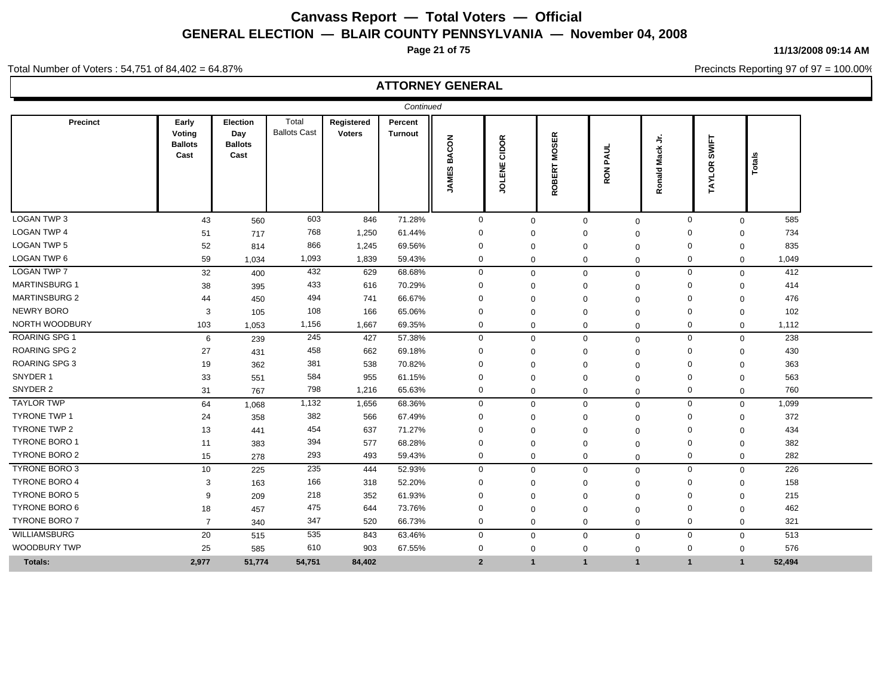**Page 21 of 75**

**11/13/2008 09:14 AM**

Precincts Reporting 97 of 97 = 100.00%

### Total Number of Voters : 54,751 of 84,402 = 64.87%

| <b>Precinct</b>      | Early<br>Voting<br><b>Ballots</b><br>Cast | Election<br>Day<br><b>Ballots</b><br>Cast | Total<br><b>Ballots Cast</b> | Registered<br><b>Voters</b> | Percent<br><b>Turnout</b> | <b>JAMES BACON</b> | CIDOR<br>JOLENE | ROBERT MOSER | PAUL<br>RON <sub>I</sub> | $\frac{1}{2}$<br>Ronald Mack | TAYLOR SWIFT   | Totals         |        |
|----------------------|-------------------------------------------|-------------------------------------------|------------------------------|-----------------------------|---------------------------|--------------------|-----------------|--------------|--------------------------|------------------------------|----------------|----------------|--------|
| LOGAN TWP 3          | 43                                        | 560                                       | 603                          | 846                         | 71.28%                    | $\mathbf 0$        | $\mathbf{0}$    | $\mathbf 0$  |                          | $\mathbf 0$                  | $\mathbf 0$    | $\mathbf 0$    | 585    |
| <b>LOGAN TWP 4</b>   | 51                                        | 717                                       | 768                          | 1,250                       | 61.44%                    | $\Omega$           | $\Omega$        | $\mathbf 0$  |                          | $\Omega$                     | $\mathbf 0$    | $\mathbf 0$    | 734    |
| <b>LOGAN TWP 5</b>   | 52                                        | 814                                       | 866                          | 1,245                       | 69.56%                    | $\mathbf 0$        | $\mathbf 0$     | $\mathbf 0$  |                          | 0                            | $\mathbf 0$    | $\mathbf 0$    | 835    |
| LOGAN TWP 6          | 59                                        | 1,034                                     | 1,093                        | 1,839                       | 59.43%                    | 0                  | 0               | 0            |                          | $\mathbf 0$                  | 0              | $\mathbf 0$    | 1,049  |
| <b>LOGAN TWP 7</b>   | 32                                        | 400                                       | 432                          | 629                         | 68.68%                    | $\mathbf 0$        | $\mathbf 0$     | $\mathbf 0$  |                          | $\mathbf 0$                  | $\mathbf 0$    | $\mathbf 0$    | 412    |
| <b>MARTINSBURG 1</b> | 38                                        | 395                                       | 433                          | 616                         | 70.29%                    | 0                  | $\Omega$        | $\mathbf 0$  |                          | $\mathbf 0$                  | 0              | 0              | 414    |
| <b>MARTINSBURG 2</b> | 44                                        | 450                                       | 494                          | 741                         | 66.67%                    | $\mathbf 0$        | $\mathbf 0$     | $\mathbf 0$  |                          | $\Omega$                     | $\mathbf 0$    | $\mathbf 0$    | 476    |
| <b>NEWRY BORO</b>    | 3                                         | 105                                       | 108                          | 166                         | 65.06%                    | $\mathbf 0$        | 0               | $\mathbf 0$  |                          | $\Omega$                     | $\mathbf 0$    | $\mathbf 0$    | 102    |
| NORTH WOODBURY       | 103                                       | 1,053                                     | 1,156                        | 1,667                       | 69.35%                    | 0                  | $\mathbf 0$     | $\mathbf 0$  |                          | $\mathbf 0$                  | $\mathbf 0$    | $\mathbf 0$    | 1,112  |
| <b>ROARING SPG 1</b> | 6                                         | 239                                       | 245                          | 427                         | 57.38%                    | $\mathbf 0$        | $\mathbf 0$     | $\mathbf 0$  |                          | $\mathbf 0$                  | $\mathbf{0}$   | $\mathbf 0$    | 238    |
| ROARING SPG 2        | 27                                        | 431                                       | 458                          | 662                         | 69.18%                    | $\mathbf 0$        | $\Omega$        | $\mathbf 0$  |                          | 0                            | 0              | $\mathbf 0$    | 430    |
| <b>ROARING SPG 3</b> | 19                                        | 362                                       | 381                          | 538                         | 70.82%                    | 0                  | $\Omega$        | $\mathbf 0$  |                          | $\Omega$                     | 0              | 0              | 363    |
| SNYDER 1             | 33                                        | 551                                       | 584                          | 955                         | 61.15%                    | 0                  | $\Omega$        | $\Omega$     |                          | $\Omega$                     | $\mathbf 0$    | 0              | 563    |
| SNYDER 2             | 31                                        | 767                                       | 798                          | 1,216                       | 65.63%                    | 0                  | $\mathbf 0$     | $\mathbf 0$  |                          | $\mathbf 0$                  | 0              | $\mathbf 0$    | 760    |
| <b>TAYLOR TWP</b>    | 64                                        | 1,068                                     | 1,132                        | 1,656                       | 68.36%                    | $\mathbf 0$        | $\mathbf 0$     | $\Omega$     |                          | $\mathbf 0$                  | $\mathbf 0$    | $\mathbf 0$    | 1,099  |
| <b>TYRONE TWP 1</b>  | 24                                        | 358                                       | 382                          | 566                         | 67.49%                    | $\mathbf 0$        | $\Omega$        | $\mathbf 0$  |                          | $\Omega$                     | $\mathbf 0$    | $\mathbf 0$    | 372    |
| TYRONE TWP 2         | 13                                        | 441                                       | 454                          | 637                         | 71.27%                    | $\Omega$           | $\Omega$        | $\mathbf 0$  |                          | $\Omega$                     | $\Omega$       | $\mathbf 0$    | 434    |
| <b>TYRONE BORO 1</b> | 11                                        | 383                                       | 394                          | 577                         | 68.28%                    | $\Omega$           | $\Omega$        | $\mathbf 0$  |                          | $\Omega$                     | $\Omega$       | $\mathbf 0$    | 382    |
| <b>TYRONE BORO 2</b> | 15                                        | 278                                       | 293                          | 493                         | 59.43%                    | $\mathbf 0$        | $\mathbf 0$     | $\mathbf 0$  |                          | $\mathbf 0$                  | 0              | $\mathbf 0$    | 282    |
| <b>TYRONE BORO 3</b> | 10                                        | 225                                       | 235                          | 444                         | 52.93%                    | $\mathbf 0$        | $\mathbf 0$     | $\mathbf 0$  |                          | $\mathbf 0$                  | $\mathbf 0$    | $\mathbf 0$    | 226    |
| <b>TYRONE BORO 4</b> | 3                                         | 163                                       | 166                          | 318                         | 52.20%                    | 0                  | $\Omega$        | $\mathbf 0$  |                          | $\Omega$                     | 0              | 0              | 158    |
| <b>TYRONE BORO 5</b> | 9                                         | 209                                       | 218                          | 352                         | 61.93%                    | $\mathbf 0$        | $\Omega$        | $\mathbf 0$  |                          | $\Omega$                     | 0              | $\mathbf 0$    | 215    |
| <b>TYRONE BORO 6</b> | 18                                        | 457                                       | 475                          | 644                         | 73.76%                    | $\mathbf 0$        | $\Omega$        | $\mathbf 0$  |                          | $\mathbf 0$                  | $\mathbf 0$    | $\mathbf 0$    | 462    |
| TYRONE BORO 7        | $\overline{7}$                            | 340                                       | 347                          | 520                         | 66.73%                    | 0                  | $\mathbf 0$     | $\mathbf 0$  |                          | $\mathbf 0$                  | 0              | $\mathbf 0$    | 321    |
| <b>WILLIAMSBURG</b>  | 20                                        | 515                                       | 535                          | 843                         | 63.46%                    | $\mathbf 0$        | $\mathbf 0$     |              | $\mathbf 0$              | $\mathbf 0$                  | $\mathbf 0$    | $\mathbf 0$    | 513    |
| <b>WOODBURY TWP</b>  | 25                                        | 585                                       | 610                          | 903                         | 67.55%                    | 0                  | $\mathbf 0$     | $\mathbf 0$  |                          | $\mathbf 0$                  | 0              | $\mathbf 0$    | 576    |
| Totals:              | 2,977                                     | 51,774                                    | 54,751                       | 84,402                      |                           | $\overline{2}$     | $\overline{1}$  | $\mathbf{1}$ | $\overline{1}$           |                              | $\overline{1}$ | $\overline{1}$ | 52,494 |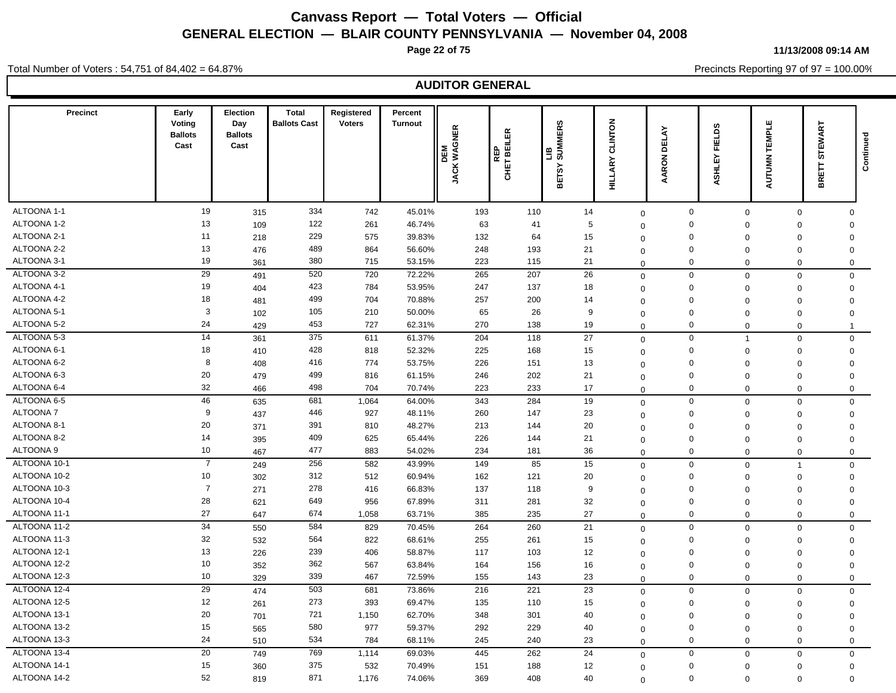**Page 22 of 75**

**11/13/2008 09:14 AM**

Precincts Reporting 97 of 97 = 100.00%

Total Number of Voters : 54,751 of 84,402 = 64.87%

| <b>Precinct</b>                | Early<br>Voting<br><b>Ballots</b><br>Cast | Election<br>Day<br><b>Ballots</b><br>Cast | <b>Total</b><br><b>Ballots Cast</b> | Registered<br><b>Voters</b> | Percent<br><b>Turnout</b> | <b>JACK WAGNER</b><br>DEM | REILER<br>BEILER<br>l or<br>CHET | LIB<br>SUMMERS<br><b>BETSY</b> | CLINTON<br>ARY<br>늘        | $\tilde{\mathbf{A}}$<br>ᇛ<br>$\epsilon$<br>œ | <b>FIELDS</b><br>ASHLEY | <b>AUTUMN TEMPLE</b>       | STEWART<br>BRETT           | Continued |
|--------------------------------|-------------------------------------------|-------------------------------------------|-------------------------------------|-----------------------------|---------------------------|---------------------------|----------------------------------|--------------------------------|----------------------------|----------------------------------------------|-------------------------|----------------------------|----------------------------|-----------|
|                                |                                           |                                           |                                     |                             |                           |                           |                                  |                                |                            |                                              |                         |                            |                            |           |
| ALTOONA 1-1                    | 19                                        | 315                                       | 334                                 | 742                         | 45.01%                    | 193                       | 110                              | 14                             | $\mathbf 0$                | 0                                            | $\mathbf 0$             | $\mathbf{0}$               | $\mathbf 0$                |           |
| ALTOONA 1-2                    | 13                                        | 109                                       | 122                                 | 261                         | 46.74%                    | 63                        | 41                               | 5                              | $\mathbf 0$                | $\Omega$                                     | $\Omega$                | $\Omega$                   | $\Omega$                   |           |
| ALTOONA 2-1                    | 11                                        | 218                                       | 229                                 | 575                         | 39.83%                    | 132                       | 64                               | 15                             | $\mathbf 0$                | $\Omega$                                     | $\Omega$                | $\Omega$                   | $\mathbf 0$                |           |
| ALTOONA 2-2                    | 13                                        | 476                                       | 489                                 | 864                         | 56.60%                    | 248                       | 193                              | 21                             | $\mathbf 0$                | $\mathbf 0$                                  | $\Omega$                | $\mathbf 0$                | $\mathbf 0$                |           |
| ALTOONA 3-1                    | 19                                        | 361                                       | 380                                 | 715                         | 53.15%                    | 223                       | 115                              | 21                             | $\overline{0}$             | $\Omega$                                     | $\Omega$                | $\Omega$                   | $\mathbf 0$                |           |
| ALTOONA 3-2                    | 29                                        | 491                                       | 520                                 | 720                         | 72.22%                    | 265                       | 207                              | 26                             | $\mathbf 0$                | $\Omega$                                     | $\mathbf 0$             | $\mathbf{0}$               | $\mathbf 0$                |           |
| ALTOONA 4-1                    | 19                                        | 404                                       | 423                                 | 784                         | 53.95%                    | 247                       | 137                              | 18                             | $\mathbf 0$                | $\mathbf 0$                                  | $\Omega$                | $\mathbf 0$                | $\mathbf 0$                |           |
| ALTOONA 4-2                    | 18<br>3                                   | 481                                       | 499                                 | 704                         | 70.88%                    | 257                       | 200                              | 14                             | $\overline{0}$             | $\Omega$                                     | $\Omega$                | $\mathbf 0$                | $\mathbf 0$                |           |
| ALTOONA 5-1                    |                                           | 102                                       | 105                                 | 210                         | 50.00%                    | 65                        | 26                               | 9                              | $\overline{0}$             | $\Omega$                                     | $\Omega$                | $\mathbf 0$                | $\mathbf 0$                |           |
| ALTOONA 5-2                    | 24<br>$\overline{14}$                     | 429                                       | 453<br>375                          | 727                         | 62.31%                    | 270                       | 138                              | 19                             | $\Omega$                   | $\Omega$                                     | $\mathbf 0$             | $\mathbf 0$                | $\mathbf{1}$               |           |
| ALTOONA 5-3                    |                                           | 361                                       |                                     | 611                         | 61.37%                    | 204                       | 118                              | 27                             | $\mathbf{0}$               | 0                                            | $\overline{1}$          | $\mathbf{0}$               | $\mathbf 0$                |           |
| ALTOONA 6-1                    | 18                                        | 410                                       | 428                                 | 818                         | 52.32%                    | 225                       | 168                              | 15                             | $\mathbf 0$                | $\mathbf 0$                                  | $\mathbf 0$             | $\mathbf 0$                | $\mathbf 0$                |           |
| ALTOONA 6-2<br>ALTOONA 6-3     | 8<br>20                                   | 408                                       | 416<br>499                          | 774                         | 53.75%                    | 226                       | 151                              | 13                             | $\mathbf 0$                | $\mathbf 0$                                  | $\Omega$                | $\mathbf 0$                | $\mathbf 0$                |           |
| ALTOONA 6-4                    | 32                                        | 479                                       | 498                                 | 816                         | 61.15%                    | 246                       | 202                              | 21                             | $\pmb{0}$                  | $\mathbf 0$                                  | $\Omega$                | $\mathbf 0$                | $\mathbf 0$                |           |
|                                | 46                                        | 466                                       |                                     | 704                         | 70.74%                    | 223                       | 233                              | 17                             | $\mathbf 0$                | $\Omega$                                     | $\mathbf 0$             | $\mathbf 0$                | $\mathbf 0$                |           |
| ALTOONA 6-5<br><b>ALTOONA7</b> | 9                                         | 635                                       | 681                                 | 1,064                       | 64.00%                    | 343                       | 284                              | 19                             | $\mathbf 0$                | $\mathbf 0$                                  | $\Omega$                | $\mathbf 0$                | $\mathbf 0$                |           |
| ALTOONA 8-1                    | 20                                        | 437                                       | 446<br>391                          | 927                         | 48.11%                    | 260                       | 147                              | 23                             | $\mathbf 0$                | $\Omega$                                     | $\Omega$                | $\Omega$                   | $\mathbf 0$                |           |
| ALTOONA 8-2                    | 14                                        | 371                                       | 409                                 | 810<br>625                  | 48.27%                    | 213                       | 144                              | 20<br>21                       | $\mathbf 0$                | $\Omega$<br>$\Omega$                         | $\Omega$                | $\Omega$                   | $\mathbf 0$                |           |
| <b>ALTOONA 9</b>               | 10                                        | 395                                       | 477                                 |                             | 65.44%                    | 226                       | 144                              |                                | $\overline{0}$             | $\Omega$                                     | $\Omega$                | $\mathbf 0$                | $\mathbf 0$                |           |
| ALTOONA 10-1                   | $\overline{7}$                            | 467                                       | 256                                 | 883                         | 54.02%                    | 234                       | 181                              | 36                             | $\Omega$                   |                                              | $\mathbf 0$             | $\Omega$                   | $\mathbf 0$                |           |
| ALTOONA 10-2                   |                                           | 249                                       |                                     | 582                         | 43.99%                    | 149                       | 85                               | 15                             | $\mathbf 0$                | $\mathbf 0$                                  | $\mathbf 0$             | $\overline{1}$             | $\mathbf 0$                |           |
| ALTOONA 10-3                   | 10<br>$\overline{7}$                      | 302                                       | 312                                 | 512                         | 60.94%                    | 162                       | 121                              | 20                             | $\mathbf 0$                | $\Omega$                                     | $\mathbf 0$             | $\mathbf 0$                | $\mathbf 0$                |           |
| ALTOONA 10-4                   | 28                                        | 271                                       | 278<br>649                          | 416                         | 66.83%                    | 137                       | 118                              | 9<br>32                        | $\mathbf 0$                | $\Omega$<br>$\Omega$                         | $\Omega$                | $\mathbf 0$                | $\mathbf 0$                |           |
| ALTOONA 11-1                   | 27                                        | 621                                       | 674                                 | 956<br>1,058                | 67.89%<br>63.71%          | 311<br>385                | 281<br>235                       | 27                             | $\overline{0}$             | $\mathbf 0$                                  | $\mathbf 0$             | $\mathbf 0$                | $\mathbf 0$                |           |
| ALTOONA 11-2                   | 34                                        | 647                                       | 584                                 | 829                         | 70.45%                    | 264                       | 260                              | 21                             | $\Omega$                   | $\mathbf 0$                                  | $\mathbf 0$             | $\mathbf 0$                | $\mathbf 0$<br>$\mathbf 0$ |           |
| ALTOONA 11-3                   | 32                                        | 550                                       | 564                                 | 822                         | 68.61%                    | 255                       | 261                              | 15                             | $\mathbf 0$                | $\mathbf 0$                                  | $\mathbf 0$<br>$\Omega$ | $\mathbf 0$                |                            |           |
| ALTOONA 12-1                   | 13                                        | 532<br>226                                | 239                                 | 406                         | 58.87%                    | 117                       | 103                              | 12                             | $\overline{0}$             | $\mathbf 0$                                  | $\Omega$                | $\mathbf 0$<br>$\mathbf 0$ | $\mathbf 0$<br>$\mathbf 0$ |           |
| ALTOONA 12-2                   | 10                                        | 352                                       | 362                                 | 567                         | 63.84%                    | 164                       | 156                              | 16                             | $\mathbf 0$                | $\mathbf 0$                                  | $\mathbf 0$             | $\mathbf 0$                | $\mathbf 0$                |           |
| ALTOONA 12-3                   | 10                                        | 329                                       | 339                                 | 467                         | 72.59%                    | 155                       | 143                              | 23                             | $\Omega$<br>$\Omega$       | $\mathbf 0$                                  | $\mathbf 0$             | $\mathbf 0$                | $\mathbf 0$                |           |
| ALTOONA 12-4                   | 29                                        |                                           | 503                                 | 681                         | 73.86%                    | 216                       | 221                              | 23                             |                            | $\mathbf 0$                                  | $\Omega$                | $\mathbf 0$                | $\mathbf 0$                |           |
| ALTOONA 12-5                   | 12                                        | 474<br>261                                | 273                                 | 393                         | 69.47%                    | 135                       | 110                              | 15                             | $\mathbf 0$                | $\Omega$                                     | $\Omega$                | $\mathbf 0$                | $\mathbf 0$                |           |
| ALTOONA 13-1                   | 20                                        |                                           | 721                                 | 1,150                       | 62.70%                    | 348                       | 301                              | 40                             | $\mathbf 0$                | $\mathbf 0$                                  | $\Omega$                | $\mathbf 0$                |                            |           |
| ALTOONA 13-2                   | 15                                        | 701<br>565                                | 580                                 | 977                         | 59.37%                    | 292                       | 229                              | 40                             | $\mathbf 0$                | $\Omega$                                     | $\Omega$                | $\mathbf 0$                | $\mathbf 0$<br>$\mathbf 0$ |           |
| ALTOONA 13-3                   | 24                                        | 510                                       | 534                                 | 784                         | 68.11%                    | 245                       | 240                              | 23                             | $\overline{0}$<br>$\Omega$ | $\Omega$                                     | $\Omega$                | $\mathbf 0$                | $\mathbf 0$                |           |
| ALTOONA 13-4                   | 20                                        | 749                                       | 769                                 | 1,114                       | 69.03%                    | 445                       | 262                              | 24                             |                            | $\Omega$                                     | $\mathbf 0$             | $\mathbf 0$                | $\mathbf 0$                |           |
| ALTOONA 14-1                   | 15                                        | 360                                       | 375                                 | 532                         | 70.49%                    | 151                       | 188                              | 12                             | $\mathbf 0$                | $\Omega$                                     | $\mathbf 0$             | $\mathbf 0$                | $\mathbf 0$                |           |
| ALTOONA 14-2                   | 52                                        | 819                                       | 871                                 | 1,176                       | 74.06%                    | 369                       | 408                              | 40                             | $\mathbf 0$                | $\Omega$                                     | $\mathbf 0$             | $\mathbf 0$                | $\mathbf 0$                |           |
|                                |                                           |                                           |                                     |                             |                           |                           |                                  |                                | $\Omega$                   |                                              |                         |                            |                            |           |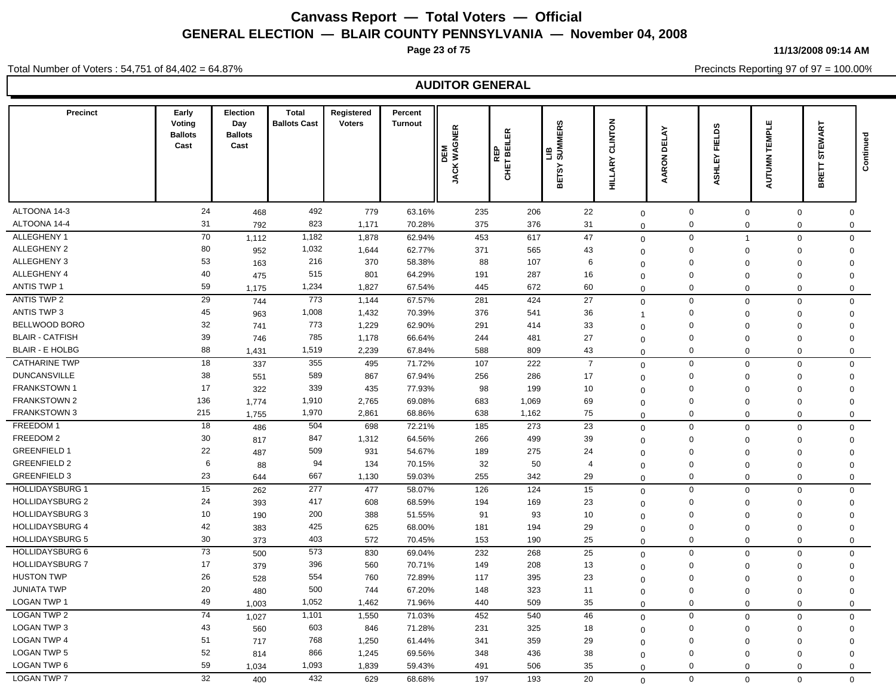**Page 23 of 75**

**11/13/2008 09:14 AM**

Total Number of Voters : 54,751 of 84,402 = 64.87%

Precincts Reporting 97 of 97 = 100.00%

| <b>Precinct</b>        | Early<br>Voting<br><b>Ballots</b><br>Cast | Election<br>Day<br><b>Ballots</b><br>Cast | <b>Total</b><br><b>Ballots Cast</b> | Registered<br><b>Voters</b> | Percent<br><b>Turnout</b> | <b>JACK WAGNER</b><br>DEM | REILER<br>BEILER<br><b>GHET</b> | <b>MERS</b><br>SUMI<br>≞<br>$\lambda$ S.<br>Ы<br>≃ | <b>CLINTON</b><br><b>HILLARY</b> | <b>DELAY</b><br>RON<br>ৱ | <b>FIELDS</b><br>ASHLEY | <b>AUTUMN TEMPLE</b> | STEWART<br>BRETT                           | Continued    |
|------------------------|-------------------------------------------|-------------------------------------------|-------------------------------------|-----------------------------|---------------------------|---------------------------|---------------------------------|----------------------------------------------------|----------------------------------|--------------------------|-------------------------|----------------------|--------------------------------------------|--------------|
| ALTOONA 14-3           | 24                                        | 468                                       | 492                                 | 779                         | 63.16%                    | 235                       | 206                             | 22                                                 | $\mathbf 0$                      | $\mathbf 0$              | $\mathbf 0$             |                      | 0                                          | 0            |
| ALTOONA 14-4           | 31                                        | 792                                       | 823                                 | 1,171                       | 70.28%                    | 375                       | 376                             | 31                                                 | $\mathbf 0$                      | $\pmb{0}$                | $\mathbf 0$             |                      | 0<br>$\mathbf 0$                           |              |
| ALLEGHENY 1            | 70                                        | 1,112                                     | 1,182                               | 1,878                       | 62.94%                    | 453                       | 617                             | 47                                                 | $\mathbf 0$                      | $\mathbf 0$              | $\overline{1}$          |                      | 0<br>$\mathbf 0$                           |              |
| ALLEGHENY 2            | 80                                        | 952                                       | 1,032                               | 1,644                       | 62.77%                    | 371                       | 565                             | 43                                                 | $\mathbf 0$                      | $\mathsf 0$              | $\mathbf 0$             | $\mathbf 0$          | $\mathbf 0$                                |              |
| ALLEGHENY 3            | 53                                        | 163                                       | 216                                 | 370                         | 58.38%                    | 88                        | 107                             | 6                                                  | $\mathbf 0$                      | $\Omega$                 | $\Omega$                | $\Omega$             | $\mathbf 0$                                |              |
| ALLEGHENY 4            | 40                                        | 475                                       | 515                                 | 801                         | 64.29%                    | 191                       | 287                             | 16                                                 | $\mathbf 0$                      | $\Omega$                 | $\mathbf 0$             | $\Omega$             | $\Omega$                                   |              |
| <b>ANTIS TWP 1</b>     | 59                                        | 1,175                                     | 1,234                               | 1,827                       | 67.54%                    | 445                       | 672                             | 60                                                 | $\Omega$                         | $\mathbf 0$              | $\mathbf 0$             |                      | $\mathbf 0$<br>$\mathbf 0$                 |              |
| ANTIS TWP 2            | 29                                        | 744                                       | 773                                 | 1,144                       | 67.57%                    | 281                       | 424                             | 27                                                 | $\mathbf 0$                      | $\mathbf 0$              | $\Omega$                |                      | $\mathsf{O}\xspace$<br>$\mathbf 0$         |              |
| <b>ANTIS TWP 3</b>     | 45                                        | 963                                       | 1,008                               | 1,432                       | 70.39%                    | 376                       | 541                             | 36                                                 | -1                               | $\mathbf 0$              | $\Omega$                | $\Omega$             | $\mathbf 0$                                |              |
| BELLWOOD BORO          | 32                                        | 741                                       | 773                                 | 1,229                       | 62.90%                    | 291                       | 414                             | 33                                                 | $\mathbf 0$                      | $\mathbf 0$              | $\Omega$                | $\Omega$             | $\mathbf 0$                                |              |
| <b>BLAIR - CATFISH</b> | 39                                        | 746                                       | 785                                 | 1,178                       | 66.64%                    | 244                       | 481                             | 27                                                 | $\mathbf 0$                      | $\mathbf 0$              | $\mathbf 0$             |                      | 0<br>$\mathbf 0$                           |              |
| <b>BLAIR - E HOLBG</b> | 88                                        | 1,431                                     | 1,519                               | 2,239                       | 67.84%                    | 588                       | 809                             | 43                                                 | $\mathbf 0$                      | $\mathbf 0$              | $\Omega$                |                      | $\mathbf 0$<br>$\mathsf 0$                 |              |
| <b>CATHARINE TWP</b>   | 18                                        | 337                                       | 355                                 | 495                         | 71.72%                    | 107                       | 222                             | $\overline{7}$                                     | $\mathbf 0$                      | $\mathbf 0$              | $\mathbf 0$             |                      | $\mathsf 0$<br>$\mathbf 0$                 |              |
| <b>DUNCANSVILLE</b>    | 38                                        | 551                                       | 589                                 | 867                         | 67.94%                    | 256                       | 286                             | 17                                                 | $\mathbf 0$                      | $\mathbf 0$              | $\Omega$                | $\mathbf 0$          | $\mathbf 0$                                |              |
| <b>FRANKSTOWN1</b>     | 17                                        | 322                                       | 339                                 | 435                         | 77.93%                    | 98                        | 199                             | 10                                                 | $\Omega$                         | $\Omega$                 | $\mathbf 0$             | $\mathbf 0$          | $\mathbf 0$                                |              |
| <b>FRANKSTOWN 2</b>    | 136                                       | 1,774                                     | 1,910                               | 2,765                       | 69.08%                    | 683                       | 1,069                           | 69                                                 | $\mathbf 0$                      | $\Omega$                 | $\mathbf 0$             | $\Omega$             | $\mathbf 0$                                |              |
| <b>FRANKSTOWN 3</b>    | 215                                       | 1,755                                     | 1,970                               | 2,861                       | 68.86%                    | 638                       | 1,162                           | 75                                                 | $\Omega$                         | $\Omega$                 | $\Omega$                |                      | $\mathbf 0$<br>$\mathsf 0$                 |              |
| FREEDOM 1              | 18                                        | 486                                       | 504                                 | 698                         | 72.21%                    | 185                       | 273                             | 23                                                 | $\mathbf 0$                      | $\mathbf 0$              | $\Omega$                |                      | $\Omega$<br>$\mathbf{0}$                   |              |
| FREEDOM 2              | 30                                        | 817                                       | 847                                 | 1,312                       | 64.56%                    | 266                       | 499                             | 39                                                 | $\Omega$                         | $\mathbf 0$              | $\Omega$                | $\Omega$             | $\mathsf 0$                                |              |
| <b>GREENFIELD 1</b>    | 22                                        | 487                                       | 509                                 | 931                         | 54.67%                    | 189                       | 275                             | 24                                                 | $\Omega$                         | $\mathbf 0$              | $\Omega$                | $\Omega$             | $\mathbf 0$                                |              |
| <b>GREENFIELD 2</b>    | 6                                         | 88                                        | 94                                  | 134                         | 70.15%                    | 32                        | 50                              | $\overline{4}$                                     | $\mathbf 0$                      | $\mathbf 0$              | $\mathbf 0$             | $\mathbf 0$          | $\mathbf 0$                                |              |
| <b>GREENFIELD 3</b>    | 23                                        | 644                                       | 667                                 | 1,130                       | 59.03%                    | 255                       | 342                             | 29                                                 | $\Omega$                         | $\mathbf 0$              | $\mathbf 0$             |                      | $\mathbf 0$<br>$\mathbf 0$                 |              |
| <b>HOLLIDAYSBURG 1</b> | 15                                        | 262                                       | 277                                 | 477                         | 58.07%                    | 126                       | 124                             | 15                                                 | $\Omega$                         | $\mathbf 0$              | $\Omega$                |                      | $\mathbf 0$<br>$\mathbf 0$                 |              |
| <b>HOLLIDAYSBURG 2</b> | 24                                        | 393                                       | 417                                 | 608                         | 68.59%                    | 194                       | 169                             | 23                                                 | $\mathbf 0$                      | $\mathbf 0$              | $\mathbf 0$             |                      | $\mathbf 0$<br>0                           |              |
| <b>HOLLIDAYSBURG 3</b> | 10                                        | 190                                       | 200                                 | 388                         | 51.55%                    | 91                        | 93                              | 10                                                 | $\mathbf 0$                      | $\mathbf 0$              | $\mathbf 0$             | $\mathbf 0$          | $\mathbf 0$                                |              |
| <b>HOLLIDAYSBURG 4</b> | 42                                        | 383                                       | 425                                 | 625                         | 68.00%                    | 181                       | 194                             | 29                                                 | $\mathbf 0$                      | $\Omega$                 | $\mathbf 0$             |                      | 0<br>$\mathbf 0$                           |              |
| <b>HOLLIDAYSBURG 5</b> | 30                                        | 373                                       | 403                                 | 572                         | 70.45%                    | 153                       | 190                             | 25                                                 | $\mathbf 0$                      | $\mathbf 0$              | $\Omega$                |                      | $\mathbf 0$                                | $\mathbf{0}$ |
| <b>HOLLIDAYSBURG 6</b> | 73                                        | 500                                       | 573                                 | 830                         | 69.04%                    | 232                       | 268                             | 25                                                 | $\mathbf 0$                      | $\mathsf 0$              | $\mathbf 0$             |                      | $\mathbf 0$<br>$\mathbf 0$                 |              |
| <b>HOLLIDAYSBURG 7</b> | 17                                        | 379                                       | 396                                 | 560                         | 70.71%                    | 149                       | 208                             | 13                                                 | $\mathbf 0$                      | $\mathbf 0$              | $\Omega$                | $\Omega$             | $\mathsf 0$                                |              |
| <b>HUSTON TWP</b>      | 26                                        | 528                                       | 554                                 | 760                         | 72.89%                    | 117                       | 395                             | 23                                                 | $\Omega$                         | $\mathbf 0$              | $\Omega$                | $\Omega$             | $\mathbf 0$                                |              |
| <b>JUNIATA TWP</b>     | 20                                        | 480                                       | 500                                 | 744                         | 67.20%                    | 148                       | 323                             | 11                                                 | $\mathbf 0$                      | $\mathbf 0$              | $\Omega$                | $\Omega$             | $\mathbf 0$                                |              |
| <b>LOGAN TWP 1</b>     | 49                                        | 1,003                                     | 1,052                               | 1,462                       | 71.96%                    | 440                       | 509                             | 35                                                 | $\mathbf 0$                      | $\mathbf 0$              | $\Omega$                |                      | $\mathbf 0$<br>$\mathbf 0$                 |              |
| <b>LOGAN TWP 2</b>     | $\overline{74}$                           | 1,027                                     | 1,101                               | 1,550                       | 71.03%                    | 452                       | 540                             | 46                                                 | $\mathbf 0$                      | $\mathbf 0$              | $\mathbf 0$             |                      | $\mathbf 0$<br>$\mathbf 0$                 |              |
| LOGAN TWP 3            | 43                                        | 560                                       | 603                                 | 846                         | 71.28%                    | 231                       | 325                             | 18                                                 | $\mathbf 0$                      | $\mathbf 0$              | $\mathbf 0$             |                      | $\mathbf 0$<br>0                           |              |
| <b>LOGAN TWP 4</b>     | 51                                        | 717                                       | 768                                 | 1,250                       | 61.44%                    | 341                       | 359                             | 29                                                 | $\Omega$                         | $\mathbf 0$              | $\mathbf 0$             | $\mathbf 0$          | $\mathbf 0$                                |              |
| <b>LOGAN TWP 5</b>     |                                           |                                           |                                     |                             |                           |                           |                                 |                                                    |                                  |                          |                         |                      |                                            |              |
|                        | 52                                        |                                           | 866                                 |                             |                           | 348                       | 436                             |                                                    |                                  | $\mathbf 0$              | $\Omega$                | $\Omega$             |                                            |              |
| <b>LOGAN TWP 6</b>     | 59                                        | 814<br>1,034                              | 1,093                               | 1,245<br>1,839              | 69.56%<br>59.43%          | 491                       | 506                             | 38<br>35                                           | $\mathbf 0$<br>$\mathbf 0$       | $\Omega$                 | $\mathbf 0$             |                      | $\mathbf 0$<br>$\mathbf{0}$<br>$\mathbf 0$ |              |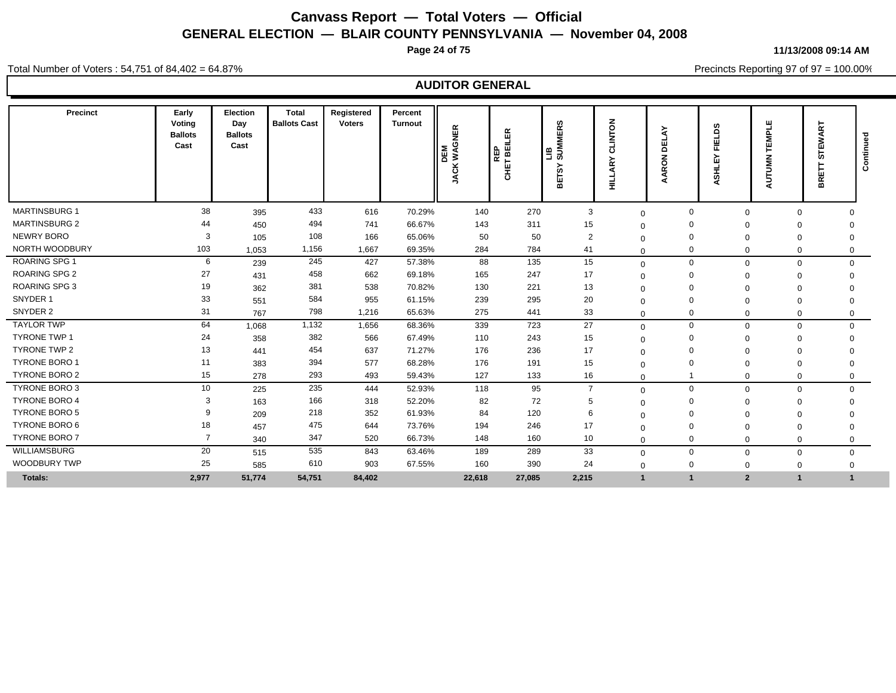**Page 24 of 75**

**11/13/2008 09:14 AM**

Total Number of Voters : 54,751 of 84,402 = 64.87%

Precincts Reporting 97 of 97 = 100.00%

| Precinct             | Early<br>Voting<br><b>Ballots</b><br>Cast | <b>Election</b><br>Day<br><b>Ballots</b><br>Cast | Total<br><b>Ballots Cast</b> | Registered<br><b>Voters</b> | Percent<br><b>Turnout</b> | <b>WAGNER</b><br>DEM<br><b>ACK</b><br>∽ | REP<br>T BEILER<br>ц<br>동 | ဖာ<br>$\alpha$<br>画<br><b>IMMUS</b><br>≞<br>≻<br><b>SC</b><br>區<br>⋒ | z<br>ō<br>c١<br>릝 | ш<br>≏<br>중<br>$\alpha$ | ξq<br>ш<br>ᇎ<br>íп<br>동<br>ä | EMPLE<br>⊢<br><b>AUTUMN</b> | EWART<br>U.<br>BRET | gau<br>Contin |
|----------------------|-------------------------------------------|--------------------------------------------------|------------------------------|-----------------------------|---------------------------|-----------------------------------------|---------------------------|----------------------------------------------------------------------|-------------------|-------------------------|------------------------------|-----------------------------|---------------------|---------------|
| MARTINSBURG 1        | 38                                        | 395                                              | 433                          | 616                         | 70.29%                    | 140                                     | 270                       | 3                                                                    | $\mathbf 0$       | $\Omega$                | $\Omega$                     | $\mathbf 0$                 |                     |               |
| <b>MARTINSBURG 2</b> | 44                                        | 450                                              | 494                          | 741                         | 66.67%                    | 143                                     | 311                       | 15                                                                   | $\Omega$          |                         |                              | 0                           | $\Omega$            |               |
| NEWRY BORO           | 3                                         | 105                                              | 108                          | 166                         | 65.06%                    | 50                                      | 50                        | $\overline{2}$                                                       | $\Omega$          |                         | $\Omega$                     | 0                           | $\Omega$            |               |
| NORTH WOODBURY       | 103                                       | 1,053                                            | 1,156                        | 1,667                       | 69.35%                    | 284                                     | 784                       | 41                                                                   | $\mathbf 0$       |                         | $\Omega$                     | 0                           | $\Omega$            |               |
| <b>ROARING SPG 1</b> | 6                                         | 239                                              | 245                          | 427                         | 57.38%                    | 88                                      | 135                       | 15                                                                   | $\mathbf 0$       | $\Omega$                | $\Omega$                     | $\mathbf 0$                 |                     | $\Omega$      |
| <b>ROARING SPG 2</b> | 27                                        | 431                                              | 458                          | 662                         | 69.18%                    | 165                                     | 247                       | 17                                                                   | $\Omega$          |                         |                              | $\mathbf 0$                 | $\Omega$            |               |
| <b>ROARING SPG 3</b> | 19                                        | 362                                              | 381                          | 538                         | 70.82%                    | 130                                     | 221                       | 13                                                                   | $\Omega$          |                         |                              | 0                           |                     |               |
| SNYDER 1             | 33                                        | 551                                              | 584                          | 955                         | 61.15%                    | 239                                     | 295                       | 20                                                                   | $\Omega$          |                         |                              | 0                           | $\Omega$            |               |
| SNYDER 2             | 31                                        | 767                                              | 798                          | 1,216                       | 65.63%                    | 275                                     | 441                       | 33                                                                   | $\Omega$          | 0                       | $\Omega$                     | 0                           |                     | 0             |
| <b>TAYLOR TWP</b>    | 64                                        | 1,068                                            | 1,132                        | 1,656                       | 68.36%                    | 339                                     | 723                       | 27                                                                   | $\Omega$          | $\mathbf 0$             | $\Omega$                     | $\mathbf 0$                 |                     | $\mathbf 0$   |
| <b>TYRONE TWP 1</b>  | 24                                        | 358                                              | 382                          | 566                         | 67.49%                    | 110                                     | 243                       | 15                                                                   | $\Omega$          |                         |                              | 0                           | $\Omega$            |               |
| <b>TYRONE TWP 2</b>  | 13                                        | 441                                              | 454                          | 637                         | 71.27%                    | 176                                     | 236                       | 17                                                                   | $\Omega$          |                         |                              | 0                           |                     |               |
| <b>TYRONE BORO 1</b> | 11                                        | 383                                              | 394                          | 577                         | 68.28%                    | 176                                     | 191                       | 15                                                                   | $\Omega$          |                         |                              | $\Omega$                    | $\Omega$            |               |
| TYRONE BORO 2        | 15                                        | 278                                              | 293                          | 493                         | 59.43%                    | 127                                     | 133                       | 16                                                                   | $\Omega$          |                         | $\Omega$                     | $\mathbf 0$                 | $\mathbf 0$         |               |
| <b>TYRONE BORO 3</b> | 10                                        | 225                                              | 235                          | 444                         | 52.93%                    | 118                                     | 95                        | $\overline{7}$                                                       | $\mathbf 0$       | $\Omega$                | $\Omega$                     | $\mathbf 0$                 | $\Omega$            |               |
| <b>TYRONE BORO 4</b> | 3                                         | 163                                              | 166                          | 318                         | 52.20%                    | 82                                      | 72                        | 5                                                                    | $\Omega$          |                         |                              | 0                           | $\Omega$            |               |
| <b>TYRONE BORO 5</b> | 9                                         | 209                                              | 218                          | 352                         | 61.93%                    | 84                                      | 120                       | 6                                                                    | $\Omega$          |                         | $\Omega$                     | $\mathbf 0$                 | $\Omega$            |               |
| TYRONE BORO 6        | 18                                        | 457                                              | 475                          | 644                         | 73.76%                    | 194                                     | 246                       | 17                                                                   | $\Omega$          |                         | $\Omega$                     | $\mathbf 0$                 | $\Omega$            |               |
| <b>TYRONE BORO 7</b> | $\overline{7}$                            | 340                                              | 347                          | 520                         | 66.73%                    | 148                                     | 160                       | 10                                                                   | $\Omega$          |                         | $\Omega$                     | $\mathbf 0$                 | 0                   |               |
| WILLIAMSBURG         | 20                                        | 515                                              | 535                          | 843                         | 63.46%                    | 189                                     | 289                       | 33                                                                   | $\Omega$          | $\Omega$                | $\mathbf 0$                  | $\mathbf 0$                 | $\mathbf 0$         |               |
| WOODBURY TWP         | 25                                        | 585                                              | 610                          | 903                         | 67.55%                    | 160                                     | 390                       | 24                                                                   | $\Omega$          | 0                       | $\Omega$                     | $\mathbf 0$                 | $\Omega$            |               |
| <b>Totals:</b>       | 2,977                                     | 51,774                                           | 54,751                       | 84,402                      |                           | 22,618                                  | 27,085                    | 2,215                                                                | $\overline{1}$    |                         | $\overline{2}$               | 1                           | $\mathbf{1}$        |               |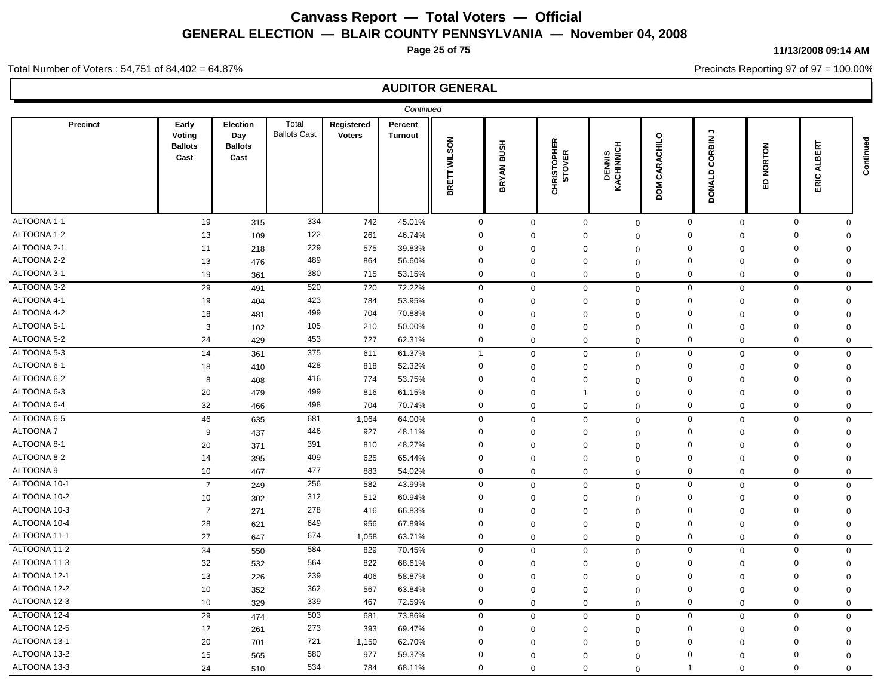**Page 25 of 75**

**11/13/2008 09:14 AM**

Precincts Reporting 97 of 97 = 100.00%

#### Total Number of Voters : 54,751 of 84,402 = 64.87%

|                 |                                           |                                           |                              |                             | Continued                 |                               |                             |                              |                            |                         |                             |              |                       |           |
|-----------------|-------------------------------------------|-------------------------------------------|------------------------------|-----------------------------|---------------------------|-------------------------------|-----------------------------|------------------------------|----------------------------|-------------------------|-----------------------------|--------------|-----------------------|-----------|
| <b>Precinct</b> | Early<br>Voting<br><b>Ballots</b><br>Cast | Election<br>Day<br><b>Ballots</b><br>Cast | Total<br><b>Ballots Cast</b> | Registered<br><b>Voters</b> | Percent<br><b>Turnout</b> | <b>WILSON</b><br><b>BRETT</b> | <b>BUSH</b><br><b>BRYAN</b> | <b>CHRISTOPHER</b><br>STOVER | DENNIS<br>KACHINNICH       | CARACHILO<br><b>MOO</b> | ۰,<br>CORBIN<br>DONALD      | NORTON<br>읎  | ERT<br>m<br>₹<br>ERIC | Continued |
| ALTOONA 1-1     | 19                                        | 315                                       | 334                          | 742                         | 45.01%                    | $\mathbf 0$                   |                             | $\mathbf 0$                  | $\mathbf 0$<br>$\mathbf 0$ |                         | $\mathbf 0$<br>$\mathbf 0$  | $\mathbf 0$  | $\mathbf 0$           |           |
| ALTOONA 1-2     | 13                                        | 109                                       | 122                          | 261                         | 46.74%                    | $\mathbf 0$                   |                             | $\mathbf 0$                  | $\mathbf 0$                | $\mathbf 0$             | $\mathbf 0$<br>$\Omega$     | $\mathbf 0$  | $\Omega$              |           |
| ALTOONA 2-1     | 11                                        | 218                                       | 229                          | 575                         | 39.83%                    | $\Omega$                      |                             | $\mathbf 0$                  | $\mathbf 0$<br>$\Omega$    |                         | 0<br>0                      | $\mathbf 0$  | $\Omega$              |           |
| ALTOONA 2-2     | 13                                        | 476                                       | 489                          | 864                         | 56.60%                    | $\Omega$                      |                             | $\mathbf 0$                  | $\mathbf 0$<br>$\Omega$    |                         | 0<br>$\Omega$               | $\mathbf 0$  | $\mathbf 0$           |           |
| ALTOONA 3-1     | 19                                        | 361                                       | 380                          | 715                         | 53.15%                    | 0                             |                             | $\mathbf 0$                  | $\mathbf 0$                | $\mathbf{0}$            | $\mathbf 0$<br>$\mathbf 0$  | $\mathbf 0$  | $\mathbf 0$           |           |
| ALTOONA 3-2     | 29                                        | 491                                       | 520                          | 720                         | 72.22%                    | 0                             |                             | $\mathbf 0$                  | $\mathbf 0$                | $\mathbf{0}$            | $\mathsf 0$<br>$\mathbf 0$  | $\mathbf 0$  | $\mathbf 0$           |           |
| ALTOONA 4-1     | 19                                        | 404                                       | 423                          | 784                         | 53.95%                    | 0                             |                             | $\mathbf 0$                  | $\mathbf 0$<br>$\Omega$    |                         | 0<br>$\mathbf 0$            | $\mathbf 0$  | $\mathbf 0$           |           |
| ALTOONA 4-2     | 18                                        | 481                                       | 499                          | 704                         | 70.88%                    | $\mathbf 0$                   |                             | $\mathbf 0$                  | $\mathbf{0}$<br>$\Omega$   |                         | $\mathbf 0$<br>$\Omega$     | $\mathbf 0$  | $\Omega$              |           |
| ALTOONA 5-1     | 3                                         | 102                                       | 105                          | 210                         | 50.00%                    | $\Omega$                      |                             | $\mathbf 0$                  | $\mathbf 0$                | $\mathbf 0$             | 0<br>$\mathbf 0$            | $\mathbf 0$  | $\mathbf 0$           |           |
| ALTOONA 5-2     | 24                                        | 429                                       | 453                          | 727                         | 62.31%                    | 0                             |                             | $\mathbf 0$                  | $\mathbf 0$                | $\mathbf{0}$            | 0<br>$\Omega$               | $\mathbf 0$  | $\Omega$              |           |
| ALTOONA 5-3     | 14                                        | 361                                       | 375                          | 611                         | 61.37%                    | $\overline{1}$                |                             | $\mathbf 0$                  | $\mathbf 0$                | $\mathbf 0$             | $\mathbf{0}$<br>$\mathbf 0$ | $\mathbf 0$  | $\mathbf 0$           |           |
| ALTOONA 6-1     | 18                                        | 410                                       | 428                          | 818                         | 52.32%                    | $\mathbf 0$                   |                             | $\mathbf 0$                  | $\mathbf 0$<br>$\Omega$    |                         | $\mathbf 0$<br>$\mathbf 0$  | $\mathbf 0$  | $\mathbf 0$           |           |
| ALTOONA 6-2     | 8                                         | 408                                       | 416                          | 774                         | 53.75%                    | $\Omega$                      |                             | $\mathbf 0$                  | $\mathbf 0$<br>$\Omega$    |                         | $\Omega$<br>0               | $\mathbf 0$  | $\Omega$              |           |
| ALTOONA 6-3     | 20                                        | 479                                       | 499                          | 816                         | 61.15%                    | $\mathbf 0$                   |                             | $\mathbf 0$                  | $\overline{1}$<br>$\Omega$ |                         | $\mathbf 0$<br>$\mathbf 0$  | $\mathbf{0}$ | $\mathbf 0$           |           |
| ALTOONA 6-4     | 32                                        | 466                                       | 498                          | 704                         | 70.74%                    | 0                             |                             | $\mathbf 0$                  | $\mathbf 0$                | $\mathbf{0}$            | $\mathbf 0$<br>$\mathbf 0$  | $\mathbf 0$  | $\mathbf 0$           |           |
| ALTOONA 6-5     | 46                                        | 635                                       | 681                          | 1,064                       | 64.00%                    | $\mathbf{0}$                  |                             | $\mathbf 0$                  | $\mathbf 0$                | $\mathbf 0$             | $\mathbf{0}$<br>$\mathbf 0$ | $\mathbf{0}$ | $\mathbf 0$           |           |
| <b>ALTOONA7</b> | 9                                         | 437                                       | 446                          | 927                         | 48.11%                    | 0                             |                             | $\mathbf 0$                  | $\mathbf 0$<br>$\Omega$    |                         | 0<br>$\mathbf 0$            | $\mathbf 0$  | $\mathbf 0$           |           |
| ALTOONA 8-1     | 20                                        | 371                                       | 391                          | 810                         | 48.27%                    | $\Omega$                      |                             | $\mathbf 0$                  | $\mathbf 0$<br>$\Omega$    |                         | $\Omega$<br>$\Omega$        | $\mathbf 0$  | $\Omega$              |           |
| ALTOONA 8-2     | 14                                        | 395                                       | 409                          | 625                         | 65.44%                    | $\Omega$                      |                             | $\mathbf 0$                  | $\mathbf 0$<br>$\Omega$    |                         | $\Omega$<br>0               | $\mathbf 0$  | $\mathbf 0$           |           |
| ALTOONA 9       | 10                                        | 467                                       | 477                          | 883                         | 54.02%                    | 0                             |                             | $\mathbf 0$                  | $\mathbf 0$                | $\mathbf 0$             | $\mathbf 0$<br>$\mathbf 0$  | $\mathbf 0$  | $\mathbf 0$           |           |
| ALTOONA 10-1    | $\overline{7}$                            | 249                                       | 256                          | 582                         | 43.99%                    | $\mathbf{0}$                  |                             | $\mathbf 0$                  | $\mathbf 0$<br>$\mathbf 0$ |                         | $\mathbf 0$<br>$\pmb{0}$    | $\mathbf 0$  | 0                     |           |
| ALTOONA 10-2    | 10                                        | 302                                       | 312                          | 512                         | 60.94%                    | $\mathbf 0$                   |                             | $\mathbf 0$                  | $\mathbf 0$<br>$\Omega$    |                         | $\mathbf 0$<br>$\mathbf 0$  | $\mathbf 0$  | $\mathbf 0$           |           |
| ALTOONA 10-3    | $\overline{7}$                            | 271                                       | 278                          | 416                         | 66.83%                    | $\mathbf 0$                   |                             | $\mathbf 0$                  | $\mathbf 0$<br>$\Omega$    |                         | $\mathbf 0$<br>$\Omega$     | $\mathbf 0$  | $\Omega$              |           |
| ALTOONA 10-4    | 28                                        | 621                                       | 649                          | 956                         | 67.89%                    | 0                             |                             | $\mathbf 0$                  | $\mathbf 0$<br>$\Omega$    |                         | 0<br>$\mathbf 0$            | $\mathbf 0$  | $\mathbf 0$           |           |
| ALTOONA 11-1    | 27                                        | 647                                       | 674                          | 1,058                       | 63.71%                    | $\mathbf 0$                   |                             | $\mathbf 0$                  | $\mathbf 0$<br>$\Omega$    |                         | 0<br>$\mathbf 0$            | $\mathbf 0$  | $\mathbf 0$           |           |
| ALTOONA 11-2    | 34                                        | 550                                       | 584                          | 829                         | 70.45%                    | 0                             |                             | $\mathbf 0$                  | $\mathbf 0$                | $\mathbf 0$             | $\mathbf{0}$<br>$\mathbf 0$ | 0            | $\mathbf 0$           |           |
| ALTOONA 11-3    | 32                                        | 532                                       | 564                          | 822                         | 68.61%                    | $\mathbf 0$                   |                             | $\mathbf 0$                  | $\mathbf 0$                | $\mathbf 0$             | 0<br>$\mathbf 0$            | $\mathbf 0$  | $\mathbf 0$           |           |
| ALTOONA 12-1    | 13                                        | 226                                       | 239                          | 406                         | 58.87%                    | $\Omega$                      |                             | $\mathbf 0$                  | 0<br>$\Omega$              |                         | $\Omega$<br>$\mathbf 0$     | $\mathbf 0$  | $\Omega$              |           |
| ALTOONA 12-2    | 10                                        | 352                                       | 362                          | 567                         | 63.84%                    | $\mathbf 0$                   |                             | $\mathbf 0$                  | $\mathbf 0$<br>$\mathbf 0$ |                         | $\mathbf 0$<br>0            | $\mathbf 0$  | 0                     |           |
| ALTOONA 12-3    | 10                                        | 329                                       | 339                          | 467                         | 72.59%                    | 0                             |                             | $\mathbf 0$                  | $\mathbf 0$<br>$\Omega$    |                         | $\mathbf 0$<br>$\mathbf 0$  | $\mathbf 0$  | $\Omega$              |           |
| ALTOONA 12-4    | 29                                        | 474                                       | 503                          | 681                         | 73.86%                    | 0                             |                             | $\mathbf 0$                  | $\mathbf 0$                | $\mathbf 0$             | $\mathbf 0$<br>$\Omega$     | $\mathbf 0$  | $\mathbf 0$           |           |
| ALTOONA 12-5    | 12                                        | 261                                       | 273                          | 393                         | 69.47%                    | $\mathbf 0$                   |                             | $\mathbf 0$                  | $\mathbf 0$<br>$\Omega$    |                         | 0<br>$\mathbf 0$            | $\mathbf 0$  | $\mathbf 0$           |           |
| ALTOONA 13-1    | 20                                        | 701                                       | 721                          | 1,150                       | 62.70%                    | $\mathbf 0$                   |                             | $\mathbf 0$                  | $\mathbf 0$<br>$\Omega$    |                         | $\Omega$<br>$\Omega$        | $\mathbf 0$  | $\Omega$              |           |
| ALTOONA 13-2    | 15                                        | 565                                       | 580                          | 977                         | 59.37%                    | $\Omega$                      |                             | $\mathbf 0$                  | $\mathbf 0$<br>$\Omega$    |                         | $\Omega$<br>$\Omega$        | $\mathbf 0$  | $\Omega$              |           |
| ALTOONA 13-3    | 24                                        | 510                                       | 534                          | 784                         | 68.11%                    | $\mathbf{0}$                  |                             | $\mathbf 0$                  | $\mathbf 0$                | $\mathbf 0$             | $\Omega$<br>$\overline{1}$  | $\mathbf 0$  | $\Omega$              |           |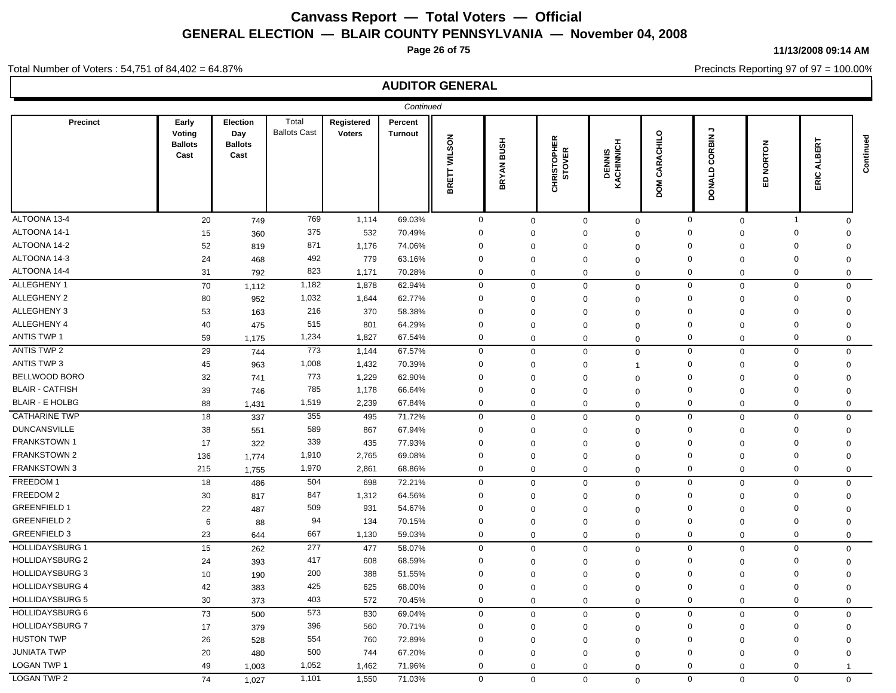**Page 26 of 75**

#### **11/13/2008 09:14 AM**

Precincts Reporting 97 of 97 = 100.00%

### Total Number of Voters : 54,751 of 84,402 = 64.87%

|                        |                                           |                                           |                              |                             | Continued                 |              |                   |                              |                      |                                   |                                      |                         |                         |             |
|------------------------|-------------------------------------------|-------------------------------------------|------------------------------|-----------------------------|---------------------------|--------------|-------------------|------------------------------|----------------------|-----------------------------------|--------------------------------------|-------------------------|-------------------------|-------------|
| Precinct               | Early<br>Voting<br><b>Ballots</b><br>Cast | Election<br>Day<br><b>Ballots</b><br>Cast | Total<br><b>Ballots Cast</b> | Registered<br><b>Voters</b> | Percent<br><b>Turnout</b> | BRETT WILSON | <b>BRYAN BUSH</b> | <b>CHRISTOPHER</b><br>STOVER | DENNIS<br>KACHINNICH | <b>RACHILO</b><br>ర<br><b>MOO</b> | <b>っ</b><br>CORBIN.<br><b>DONALD</b> | <b>IORTON</b><br>z<br>읎 | ERT<br>m<br>₹<br>ပ<br>띲 | Continued   |
| ALTOONA 13-4           | 20                                        | 749                                       | 769                          | 1,114                       | 69.03%                    | $\mathbf 0$  | $\mathbf 0$       | $\mathbf 0$                  | $\mathbf{0}$         |                                   | $\mathbf 0$<br>$\mathbf 0$           | $\overline{1}$          |                         | $\Omega$    |
| ALTOONA 14-1           | 15                                        | 360                                       | 375                          | 532                         | 70.49%                    | $\mathbf 0$  | $\mathbf 0$       | $\Omega$                     | $\Omega$             | $\Omega$                          | $\mathbf 0$                          | $\mathbf 0$             | $\Omega$                |             |
| ALTOONA 14-2           | 52                                        | 819                                       | 871                          | 1,176                       | 74.06%                    | $\mathbf 0$  | $\Omega$          | $\Omega$                     | $\Omega$             | $\mathbf 0$                       | $\Omega$                             | $\mathbf 0$             | $\Omega$                |             |
| ALTOONA 14-3           | 24                                        | 468                                       | 492                          | 779                         | 63.16%                    | $\Omega$     | $\mathbf 0$       | $\Omega$                     | $\Omega$             |                                   | $\Omega$<br>$\mathbf 0$              | $\mathbf 0$             | $\Omega$                |             |
| ALTOONA 14-4           | 31                                        | 792                                       | 823                          | 1,171                       | 70.28%                    | 0            | $\mathbf 0$       | $\mathbf 0$                  | $\mathbf 0$          |                                   | 0<br>$\mathbf 0$                     | 0                       |                         | 0           |
| ALLEGHENY 1            | 70                                        | 1,112                                     | 1,182                        | 1,878                       | 62.94%                    | $\mathbf 0$  | $\mathbf 0$       | $\mathbf 0$                  | $\mathbf 0$          |                                   | $\mathbf 0$<br>$\mathbf 0$           | $\mathbf 0$             |                         | $\mathbf 0$ |
| ALLEGHENY 2            | 80                                        | 952                                       | 1,032                        | 1,644                       | 62.77%                    | $\Omega$     | $\mathbf 0$       | $\Omega$                     | $\overline{0}$       |                                   | $\Omega$<br>0                        | $\mathbf 0$             | 0                       |             |
| ALLEGHENY 3            | 53                                        | 163                                       | 216                          | 370                         | 58.38%                    | $\Omega$     | $\mathbf 0$       | $\Omega$                     | $\Omega$             | $\Omega$                          | $\mathbf 0$                          | $\mathbf 0$             | $\mathbf 0$             |             |
| ALLEGHENY 4            | 40                                        | 475                                       | 515                          | 801                         | 64.29%                    | 0            | $\Omega$          | $\Omega$                     | $\mathbf 0$          | $\Omega$                          | $\Omega$                             | $\mathbf 0$             | $\Omega$                |             |
| <b>ANTIS TWP 1</b>     | 59                                        | 1,175                                     | 1,234                        | 1,827                       | 67.54%                    | $\mathbf 0$  | 0                 | 0                            | $\mathbf 0$          |                                   | $\Omega$<br>0                        | $\mathbf 0$             | $\Omega$                |             |
| ANTIS TWP 2            | 29                                        | 744                                       | 773                          | 1,144                       | 67.57%                    | $\mathbf 0$  | $\mathbf 0$       | $\Omega$                     | $\mathbf 0$          |                                   | $\mathbf 0$<br>$\mathbf 0$           | $\mathbf 0$             |                         | $\Omega$    |
| ANTIS TWP 3            | 45                                        | 963                                       | 1,008                        | 1,432                       | 70.39%                    | $\Omega$     | $\mathbf 0$       | $\Omega$                     | $\overline{1}$       |                                   | $\Omega$<br>$\mathbf 0$              | $\mathbf 0$             | $\Omega$                |             |
| <b>BELLWOOD BORO</b>   | 32                                        | 741                                       | 773                          | 1,229                       | 62.90%                    | $\Omega$     | 0                 | $\Omega$                     | $\Omega$             | $\Omega$                          | $\Omega$                             | $\mathbf 0$             | $\Omega$                |             |
| <b>BLAIR - CATFISH</b> | 39                                        | 746                                       | 785                          | 1,178                       | 66.64%                    | $\mathbf 0$  | $\Omega$          | $\Omega$                     | $\mathbf 0$          | $\Omega$                          | $\Omega$                             | $\mathbf 0$             | $\Omega$                |             |
| <b>BLAIR - E HOLBG</b> | 88                                        | 1,431                                     | 1,519                        | 2,239                       | 67.84%                    | $\mathbf 0$  | $\mathbf 0$       | $\mathbf 0$                  | $\mathbf 0$          |                                   | $\mathbf 0$<br>$\mathbf 0$           | $\mathbf 0$             |                         | $\Omega$    |
| <b>CATHARINE TWP</b>   | 18                                        | 337                                       | 355                          | 495                         | 71.72%                    | $\mathbf 0$  | $\mathbf 0$       | $\mathbf 0$                  | $\mathbf 0$          |                                   | $\mathbf 0$<br>$\mathbf 0$           | $\mathbf 0$             |                         | $\Omega$    |
| <b>DUNCANSVILLE</b>    | 38                                        | 551                                       | 589                          | 867                         | 67.94%                    | $\Omega$     | $\mathbf 0$       | $\Omega$                     | $\Omega$             | $\Omega$                          | $\mathbf 0$                          | $\mathbf 0$             | $\mathbf 0$             |             |
| <b>FRANKSTOWN1</b>     | 17                                        | 322                                       | 339                          | 435                         | 77.93%                    | $\mathbf 0$  | $\mathbf 0$       | $\Omega$                     | $\Omega$             | $\Omega$                          | $\Omega$                             | $\mathbf 0$             | $\Omega$                |             |
| <b>FRANKSTOWN 2</b>    | 136                                       | 1,774                                     | 1,910                        | 2,765                       | 69.08%                    | $\mathbf 0$  | $\Omega$          | $\Omega$                     | $\Omega$             |                                   | $\mathbf 0$<br>$\mathbf 0$           | $\mathbf 0$             | $\Omega$                |             |
| FRANKSTOWN 3           | 215                                       | 1,755                                     | 1,970                        | 2,861                       | 68.86%                    | $\Omega$     | $\mathbf 0$       | $\mathbf 0$                  | $\Omega$             |                                   | $\Omega$<br>$\mathbf 0$              | $\mathbf 0$             | $\mathbf 0$             |             |
| FREEDOM 1              | 18                                        | 486                                       | 504                          | 698                         | 72.21%                    | $\mathbf 0$  | $\mathbf 0$       | $\mathbf 0$                  | $\mathbf 0$          |                                   | $\mathbf 0$<br>$\mathbf 0$           | $\mathbf 0$             |                         | $\mathbf 0$ |
| FREEDOM 2              | 30                                        | 817                                       | 847                          | 1,312                       | 64.56%                    | $\mathbf 0$  | $\mathbf 0$       | $\Omega$                     | $\Omega$             | $\mathbf 0$                       | $\mathbf{0}$                         | $\mathbf 0$             | $\mathbf 0$             |             |
| <b>GREENFIELD 1</b>    | 22                                        | 487                                       | 509                          | 931                         | 54.67%                    | $\mathbf 0$  | $\Omega$          | $\Omega$                     | $\Omega$             | $\Omega$                          | $\Omega$                             | $\mathbf 0$             | $\Omega$                |             |
| <b>GREENFIELD 2</b>    | 6                                         | 88                                        | 94                           | 134                         | 70.15%                    | $\mathbf 0$  | $\mathbf 0$       | $\Omega$                     | $\Omega$             |                                   | $\Omega$<br>$\mathbf 0$              | $\mathbf 0$             | $\mathbf 0$             |             |
| <b>GREENFIELD 3</b>    | 23                                        | 644                                       | 667                          | 1,130                       | 59.03%                    | $\mathbf 0$  | $\mathbf 0$       | $\mathbf 0$                  | $\mathbf 0$          |                                   | $\mathbf 0$<br>$\mathbf 0$           | $\mathbf 0$             |                         | 0           |
| <b>HOLLIDAYSBURG 1</b> | 15                                        | 262                                       | 277                          | 477                         | 58.07%                    | $\mathbf 0$  | $\mathbf 0$       | $\mathbf 0$                  | $\mathbf 0$          |                                   | $\mathbf 0$<br>$\mathbf 0$           | $\mathbf 0$             |                         | $\mathbf 0$ |
| <b>HOLLIDAYSBURG 2</b> | 24                                        | 393                                       | 417                          | 608                         | 68.59%                    | $\mathbf 0$  | $\Omega$          | $\Omega$                     | $\mathbf 0$          |                                   | $\mathbf 0$<br>$\Omega$              | $\mathbf 0$             | 0                       |             |
| <b>HOLLIDAYSBURG 3</b> | 10                                        | 190                                       | 200                          | 388                         | 51.55%                    | $\Omega$     | $\mathbf 0$       | $\Omega$                     | $\Omega$             | $\Omega$                          | $\mathbf 0$                          | $\mathbf 0$             | $\mathbf 0$             |             |
| <b>HOLLIDAYSBURG 4</b> | 42                                        | 383                                       | 425                          | 625                         | 68.00%                    | $\Omega$     | $\mathbf 0$       | $\Omega$                     | $\mathbf 0$          | $\Omega$                          | 0                                    | $\mathbf 0$             | 0                       |             |
| <b>HOLLIDAYSBURG 5</b> | 30                                        | 373                                       | 403                          | 572                         | 70.45%                    | $\mathbf 0$  | $\mathbf 0$       | $\mathbf 0$                  | $\mathbf 0$          |                                   | $\mathbf 0$<br>$\mathbf 0$           | $\mathbf 0$             | $\mathbf 0$             |             |
| <b>HOLLIDAYSBURG 6</b> | 73                                        | 500                                       | 573                          | 830                         | 69.04%                    | $\mathbf 0$  | $\mathbf 0$       | $\mathbf 0$                  | $\Omega$             |                                   | $\mathbf 0$<br>$\mathbf 0$           | $\mathsf 0$             |                         | $\mathbf 0$ |
| <b>HOLLIDAYSBURG 7</b> | 17                                        | 379                                       | 396                          | 560                         | 70.71%                    | $\Omega$     | $\mathbf 0$       | $\Omega$                     | $\mathbf 0$          |                                   | $\Omega$<br>$\mathbf 0$              | $\mathbf 0$             | $\Omega$                |             |
| <b>HUSTON TWP</b>      | 26                                        | 528                                       | 554                          | 760                         | 72.89%                    | $\Omega$     | $\Omega$          | $\Omega$                     | $\Omega$             | $\Omega$                          | $\Omega$                             | $\mathbf 0$             | $\Omega$                |             |
| <b>JUNIATA TWP</b>     | 20                                        | 480                                       | 500                          | 744                         | 67.20%                    | $\Omega$     | $\Omega$          | $\Omega$                     | $\mathbf 0$          |                                   | $\Omega$<br>$\Omega$                 | $\mathbf 0$             | $\Omega$                |             |
| LOGAN TWP 1            | 49                                        | 1,003                                     | 1,052                        | 1,462                       | 71.96%                    | $\mathbf 0$  | $\mathbf 0$       | $\mathbf 0$                  | 0                    |                                   | $\Omega$<br>$\mathbf 0$              | $\mathbf 0$             | 1                       |             |
| <b>LOGAN TWP 2</b>     | 74                                        | 1,027                                     | 1,101                        | 1,550                       | 71.03%                    | $\mathbf 0$  | $\mathbf{0}$      | $\mathbf 0$                  | $\mathbf 0$          |                                   | $\Omega$<br>$\mathbf{0}$             | $\mathbf 0$             |                         | $\mathbf 0$ |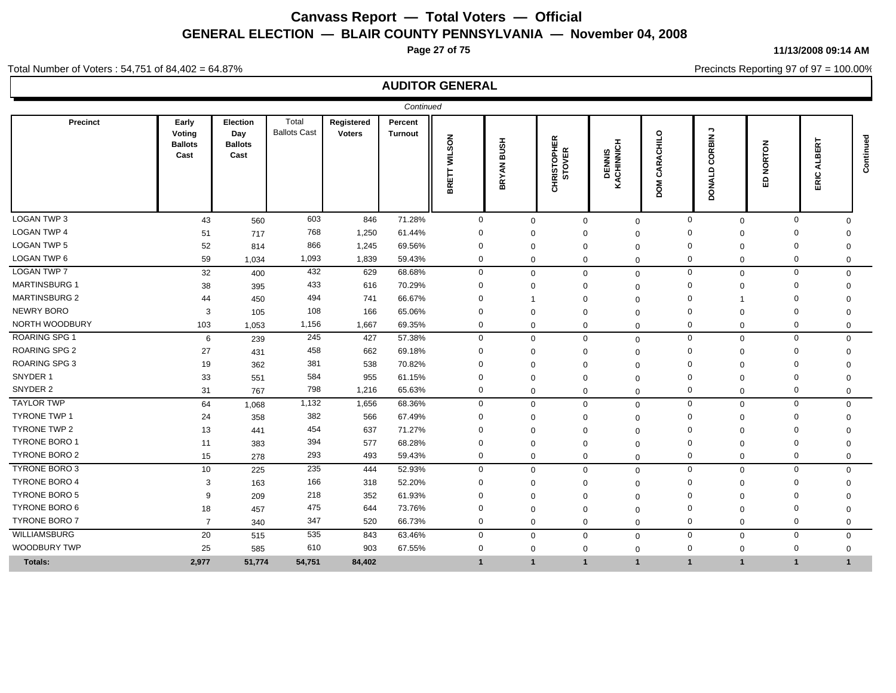**Page 27 of 75**

**11/13/2008 09:14 AM**

Precincts Reporting 97 of 97 = 100.00%

### Total Number of Voters : 54,751 of 84,402 = 64.87%

|                      |                                           |                                                  |                              |                             | Continued                 |                        |                             |                       |                      |                                                    |                                                                   |                               |                                  |             |
|----------------------|-------------------------------------------|--------------------------------------------------|------------------------------|-----------------------------|---------------------------|------------------------|-----------------------------|-----------------------|----------------------|----------------------------------------------------|-------------------------------------------------------------------|-------------------------------|----------------------------------|-------------|
| Precinct             | Early<br>Voting<br><b>Ballots</b><br>Cast | <b>Election</b><br>Day<br><b>Ballots</b><br>Cast | Total<br><b>Ballots Cast</b> | Registered<br><b>Voters</b> | Percent<br><b>Turnout</b> | <b>WILSON</b><br>BRETT | <b>HSNB</b><br><b>BRYAN</b> | CHRISTOPHER<br>STOVER | DENNIS<br>KACHINNICH | $\circ$<br>$\frac{1}{5}$<br>⋖<br>α<br>రే<br>š<br>ă | $\mathbin{\rightarrow}$<br>ORBIN.<br>ō<br>$\circ$<br><b>DONAL</b> | <b>NORTON</b><br>$\circ$<br>ш | ٣<br>ш<br>m<br>⋖<br>$\circ$<br>띲 | Continued   |
| <b>LOGAN TWP 3</b>   | 43                                        | 560                                              | 603                          | 846                         | 71.28%                    | $\mathbf 0$            | $\Omega$                    | $\mathbf 0$           | $\mathbf 0$          |                                                    | $\mathbf 0$<br>$\mathbf 0$                                        |                               | $\mathbf 0$<br>$\Omega$          |             |
| <b>LOGAN TWP 4</b>   | 51                                        | 717                                              | 768                          | 1,250                       | 61.44%                    | $\Omega$               | $\Omega$                    |                       | $\Omega$             |                                                    | $\Omega$<br>$\Omega$                                              | $\Omega$                      | O                                |             |
| <b>LOGAN TWP 5</b>   | 52                                        | 814                                              | 866                          | 1,245                       | 69.56%                    | $\mathbf 0$            | $\Omega$                    | $\Omega$              | $\Omega$             |                                                    | $\Omega$<br>$\Omega$                                              | $\mathbf 0$                   | $\Omega$                         |             |
| LOGAN TWP 6          | 59                                        | 1,034                                            | 1,093                        | 1,839                       | 59.43%                    | $\mathbf 0$            | $\mathbf{0}$                | $\Omega$              | $\Omega$             |                                                    | $\mathbf 0$<br>$\Omega$                                           | $\mathbf 0$                   | $\Omega$                         |             |
| <b>LOGAN TWP 7</b>   | 32                                        | 400                                              | 432                          | 629                         | 68.68%                    | $\mathbf{0}$           | $\mathbf 0$                 | $\Omega$              | $\mathbf 0$          |                                                    | $\mathbf 0$<br>$\mathbf 0$                                        |                               | $\mathbf 0$                      | $\mathbf 0$ |
| <b>MARTINSBURG 1</b> | 38                                        | 395                                              | 433                          | 616                         | 70.29%                    | $\Omega$               | $\Omega$                    | $\Omega$              | $\Omega$             |                                                    | $\mathbf 0$<br>$\Omega$                                           | $\Omega$                      | $\Omega$                         |             |
| <b>MARTINSBURG 2</b> | 44                                        | 450                                              | 494                          | 741                         | 66.67%                    | $\Omega$               |                             | $\Omega$              | $\Omega$             |                                                    | $\Omega$                                                          | $\Omega$                      |                                  |             |
| <b>NEWRY BORO</b>    | 3                                         | 105                                              | 108                          | 166                         | 65.06%                    | $\Omega$               | $\Omega$                    | $\Omega$              | $\Omega$             | $\Omega$                                           | $\Omega$                                                          | $\Omega$                      | $\Omega$                         |             |
| NORTH WOODBURY       | 103                                       | 1,053                                            | 1,156                        | 1,667                       | 69.35%                    | $\mathbf{0}$           | $\mathbf 0$                 | $\Omega$              | $\mathbf 0$          |                                                    | $\mathbf 0$<br>$\mathbf 0$                                        |                               | $\mathbf 0$<br>$\mathbf 0$       |             |
| <b>ROARING SPG 1</b> | 6                                         | 239                                              | 245                          | 427                         | 57.38%                    | $\mathbf 0$            | $\mathbf 0$                 | $\mathbf 0$           | $\mathbf 0$          |                                                    | $\mathbf 0$<br>$\mathbf 0$                                        |                               | $\mathbf 0$                      | $\Omega$    |
| <b>ROARING SPG 2</b> | 27                                        | 431                                              | 458                          | 662                         | 69.18%                    | $\mathbf 0$            | $\Omega$                    |                       | $\Omega$             |                                                    | $\Omega$<br>$\Omega$                                              | $\mathbf 0$                   | $\Omega$                         |             |
| <b>ROARING SPG 3</b> | 19                                        | 362                                              | 381                          | 538                         | 70.82%                    | $\Omega$               | $\Omega$                    | $\Omega$              | $\Omega$             |                                                    | $\Omega$<br>$\Omega$                                              | $\Omega$                      | O                                |             |
| SNYDER 1             | 33                                        | 551                                              | 584                          | 955                         | 61.15%                    | $\Omega$               | $\Omega$                    | $\Omega$              | $\Omega$             |                                                    | $\Omega$<br>$\Omega$                                              | $\Omega$                      | $\Omega$                         |             |
| SNYDER 2             | 31                                        | 767                                              | 798                          | 1,216                       | 65.63%                    | $\mathbf 0$            | $\mathbf{0}$                | $\Omega$              | $\mathbf 0$          |                                                    | $\mathbf 0$<br>$\mathbf 0$                                        | $\Omega$                      | $\mathbf 0$                      |             |
| <b>TAYLOR TWP</b>    | 64                                        | 1,068                                            | 1,132                        | 1,656                       | 68.36%                    | $\mathbf 0$            | $\mathbf 0$                 | $\Omega$              | $\Omega$             |                                                    | $\mathbf 0$<br>$\mathbf 0$                                        |                               | $\mathbf 0$                      | $\mathbf 0$ |
| TYRONE TWP 1         | 24                                        | 358                                              | 382                          | 566                         | 67.49%                    | $\Omega$               | $\Omega$                    | $\Omega$              | $\Omega$             |                                                    | 0<br>$\Omega$                                                     | $\Omega$                      | $\Omega$                         |             |
| TYRONE TWP 2         | 13                                        | 441                                              | 454                          | 637                         | 71.27%                    | $\Omega$               | $\Omega$                    | $\Omega$              | $\Omega$             |                                                    | $\Omega$<br>$\Omega$                                              | $\Omega$                      |                                  |             |
| <b>TYRONE BORO 1</b> | 11                                        | 383                                              | 394                          | 577                         | 68.28%                    | $\Omega$               | $\Omega$                    |                       | $\Omega$             |                                                    | $\Omega$<br>$\Omega$                                              | $\Omega$                      | $\Omega$                         |             |
| TYRONE BORO 2        | 15                                        | 278                                              | 293                          | 493                         | 59.43%                    | $\mathbf 0$            | $\mathbf{0}$                | $\mathbf 0$           | $\Omega$             |                                                    | 0<br>$\mathbf 0$                                                  |                               | 0<br>$\Omega$                    |             |
| TYRONE BORO 3        | 10                                        | 225                                              | 235                          | 444                         | 52.93%                    | $\mathbf 0$            | $\Omega$                    | $\Omega$              | $\mathbf 0$          |                                                    | $\mathbf 0$<br>$\mathbf 0$                                        |                               | $\mathbf 0$                      | $\Omega$    |
| <b>TYRONE BORO 4</b> | 3                                         | 163                                              | 166                          | 318                         | 52.20%                    | $\Omega$               | $\Omega$                    | $\Omega$              | $\Omega$             |                                                    | $\Omega$<br>$\Omega$                                              | $\Omega$                      | $\Omega$                         |             |
| <b>TYRONE BORO 5</b> | 9                                         | 209                                              | 218                          | 352                         | 61.93%                    | $\Omega$               | $\Omega$                    | $\Omega$              | $\Omega$             |                                                    | $\Omega$<br>$\Omega$                                              | $\Omega$                      | ŋ                                |             |
| TYRONE BORO 6        | 18                                        | 457                                              | 475                          | 644                         | 73.76%                    | $\Omega$               | $\Omega$                    | $\Omega$              | $\Omega$             | $\Omega$                                           | $\mathbf 0$                                                       | $\Omega$                      | $\Omega$                         |             |
| <b>TYRONE BORO 7</b> | $\overline{7}$                            | 340                                              | 347                          | 520                         | 66.73%                    | $\mathbf 0$            | $\mathbf{0}$                | $\mathbf 0$           | $\mathbf 0$          |                                                    | $\mathbf 0$<br>$\mathbf 0$                                        |                               | $\mathbf 0$<br>$\mathbf 0$       |             |
| <b>WILLIAMSBURG</b>  | 20                                        | 515                                              | 535                          | 843                         | 63.46%                    | $\mathbf 0$            | $\mathbf 0$                 | $\mathbf 0$           | $\mathbf 0$          |                                                    | $\mathbf 0$<br>$\mathbf 0$                                        |                               | $\mathbf 0$<br>$\mathbf 0$       |             |
| <b>WOODBURY TWP</b>  | 25                                        | 585                                              | 610                          | 903                         | 67.55%                    | 0                      | $\mathbf 0$                 | $\Omega$              | $\mathbf 0$          |                                                    | $\mathbf 0$<br>$\mathbf 0$                                        | $\Omega$                      | 0                                |             |
| <b>Totals:</b>       | 2,977                                     | 51,774                                           | 54,751                       | 84,402                      |                           |                        |                             |                       | 1                    | $\mathbf 1$                                        | $\mathbf 1$                                                       | $\mathbf{1}$                  |                                  |             |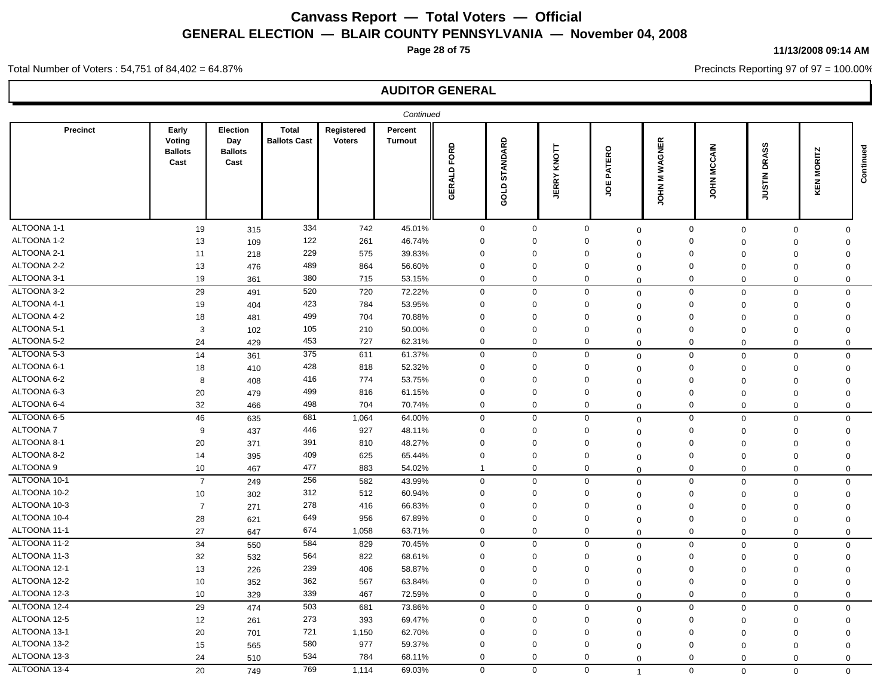**Page 28 of 75**

#### **11/13/2008 09:14 AM**

Precincts Reporting 97 of 97 = 100.00%

Total Number of Voters : 54,751 of 84,402 = 64.87%

|                 |                                           |                                           |                                     |                             | Continued                 |                |                  |                       |                |                            |                            |                        |                      |           |
|-----------------|-------------------------------------------|-------------------------------------------|-------------------------------------|-----------------------------|---------------------------|----------------|------------------|-----------------------|----------------|----------------------------|----------------------------|------------------------|----------------------|-----------|
| Precinct        | Early<br>Voting<br><b>Ballots</b><br>Cast | Election<br>Day<br><b>Ballots</b><br>Cast | <b>Total</b><br><b>Ballots Cast</b> | Registered<br><b>Voters</b> | Percent<br><b>Turnout</b> | FORD<br>GERALD | STANDARD<br>GOLD | KNOTT<br><b>JERRY</b> | PATERO<br>ğ    | WAGNER<br>Σ<br><b>NHOL</b> | <b>MCCAIN</b><br>Š         | DRASS<br><b>NILSIU</b> | <b>MORITZ</b><br>KEN | Continued |
| ALTOONA 1-1     | 19                                        | 315                                       | 334                                 | 742                         | 45.01%                    | $\mathbf 0$    | $\mathbf 0$      | $\mathbf 0$           | $\mathbf 0$    |                            | $\mathsf 0$<br>$\mathbf 0$ | $\mathbf 0$            | $\mathbf 0$          |           |
| ALTOONA 1-2     | 13                                        | 109                                       | 122                                 | 261                         | 46.74%                    | $\mathbf 0$    | $\Omega$         | $\mathbf 0$           | $\Omega$       |                            | $\mathbf 0$<br>$\mathbf 0$ | $\Omega$               | $\mathbf 0$          |           |
| ALTOONA 2-1     | 11                                        | 218                                       | 229                                 | 575                         | 39.83%                    | $\mathbf 0$    | $\Omega$         | 0                     | $\mathbf 0$    |                            | $\mathbf 0$<br>$\mathbf 0$ | $\Omega$               | $\Omega$             |           |
| ALTOONA 2-2     | 13                                        | 476                                       | 489                                 | 864                         | 56.60%                    | $\mathbf 0$    | $\Omega$         | $\Omega$              | $\mathbf 0$    |                            | $\mathbf 0$<br>$\mathbf 0$ | $\mathbf 0$            | $\mathbf 0$          |           |
| ALTOONA 3-1     | 19                                        | 361                                       | 380                                 | 715                         | 53.15%                    | $\mathbf 0$    | $\mathbf 0$      | $\mathbf 0$           | $\Omega$       |                            | $\mathbf 0$<br>$\mathbf 0$ | $\mathbf 0$            | $\mathbf 0$          |           |
| ALTOONA 3-2     | 29                                        | 491                                       | 520                                 | 720                         | 72.22%                    | $\mathbf 0$    | $\mathbf 0$      | $\mathbf 0$           | $\mathbf 0$    |                            | $\mathbf 0$<br>$\mathbf 0$ | 0                      | $\mathbf 0$          |           |
| ALTOONA 4-1     | 19                                        | 404                                       | 423                                 | 784                         | 53.95%                    | $\mathbf 0$    | $\Omega$         | 0                     | $\mathbf 0$    |                            | $\mathbf 0$<br>$\mathbf 0$ | $\Omega$               | $\Omega$             |           |
| ALTOONA 4-2     | 18                                        | 481                                       | 499                                 | 704                         | 70.88%                    | $\mathbf{0}$   | $\Omega$         | $\Omega$              | $\Omega$       |                            | $\mathbf 0$<br>$\mathbf 0$ | $\Omega$               | $\Omega$             |           |
| ALTOONA 5-1     | 3                                         | 102                                       | 105                                 | 210                         | 50.00%                    | $\mathbf 0$    | $\mathbf 0$      | 0                     | $\mathbf 0$    |                            | $\mathbf 0$<br>$\mathbf 0$ | $\mathbf 0$            | $\mathbf 0$          |           |
| ALTOONA 5-2     | 24                                        | 429                                       | 453                                 | 727                         | 62.31%                    | $\mathbf 0$    | 0                | $\mathbf 0$           | $\Omega$       |                            | $\mathbf 0$<br>$\mathbf 0$ | $\mathbf 0$            | $\mathbf 0$          |           |
| ALTOONA 5-3     | 14                                        | 361                                       | 375                                 | 611                         | 61.37%                    | 0              | $\mathbf{0}$     | 0                     | $\mathbf 0$    |                            | $\mathbf 0$<br>$\mathbf 0$ | $\mathbf 0$            | $\mathbf 0$          |           |
| ALTOONA 6-1     | 18                                        | 410                                       | 428                                 | 818                         | 52.32%                    | $\mathbf 0$    | $\Omega$         | 0                     | $\mathbf 0$    |                            | $\mathbf 0$<br>$\mathbf 0$ | $\mathbf 0$            | $\mathbf 0$          |           |
| ALTOONA 6-2     | 8                                         | 408                                       | 416                                 | 774                         | 53.75%                    | $\mathbf 0$    | $\Omega$         | $\Omega$              | $\mathbf 0$    |                            | $\mathbf 0$<br>$\mathbf 0$ | $\mathbf 0$            | $\Omega$             |           |
| ALTOONA 6-3     | 20                                        | 479                                       | 499                                 | 816                         | 61.15%                    | $\mathbf 0$    | $\mathbf 0$      | $\Omega$              | $\Omega$       |                            | $\mathbf 0$<br>$\mathbf 0$ | $\mathbf 0$            | $\mathbf 0$          |           |
| ALTOONA 6-4     | 32                                        | 466                                       | 498                                 | 704                         | 70.74%                    | $\mathbf 0$    | $\mathbf 0$      | $\mathbf 0$           | $\Omega$       |                            | $\mathbf 0$<br>$\mathbf 0$ | $\Omega$               | $\mathbf 0$          |           |
| ALTOONA 6-5     | 46                                        | 635                                       | 681                                 | 1,064                       | 64.00%                    | $\mathbf 0$    | $\mathbf 0$      | $\mathbf 0$           | $\mathbf 0$    |                            | $\mathbf 0$<br>$\mathbf 0$ | $\mathbf 0$            | $\Omega$             |           |
| <b>ALTOONA7</b> | 9                                         | 437                                       | 446                                 | 927                         | 48.11%                    | $\mathbf 0$    | $\Omega$         | $\Omega$              | 0              |                            | $\mathbf 0$<br>$\mathbf 0$ | $\mathbf 0$            | $\mathbf 0$          |           |
| ALTOONA 8-1     | 20                                        | 371                                       | 391                                 | 810                         | 48.27%                    | $\mathbf 0$    | $\mathbf 0$      | 0                     | $\Omega$       |                            | $\mathbf 0$<br>$\mathbf 0$ | $\mathbf 0$            | $\mathbf 0$          |           |
| ALTOONA 8-2     | 14                                        | 395                                       | 409                                 | 625                         | 65.44%                    | $\mathbf 0$    | $\mathbf 0$      | $\Omega$              | $\mathbf 0$    |                            | $\mathbf 0$<br>$\mathbf 0$ | $\mathbf 0$            | $\Omega$             |           |
| ALTOONA 9       | 10                                        | 467                                       | 477                                 | 883                         | 54.02%                    | $\mathbf{1}$   | $\mathbf 0$      | $\mathbf 0$           | $\Omega$       |                            | $\mathbf 0$<br>$\mathbf 0$ | $\Omega$               | 0                    |           |
| ALTOONA 10-1    | $\overline{7}$                            | 249                                       | 256                                 | 582                         | 43.99%                    | $\mathbf 0$    | $\mathbf 0$      | $\mathbf 0$           | $\mathbf 0$    |                            | $\mathsf 0$<br>$\mathbf 0$ | $\mathbf 0$            | $\mathbf 0$          |           |
| ALTOONA 10-2    | 10                                        | 302                                       | 312                                 | 512                         | 60.94%                    | $\mathbf 0$    | $\mathbf 0$      | $\Omega$              | 0              |                            | $\mathbf 0$<br>$\mathbf 0$ | $\mathbf 0$            | $\mathbf 0$          |           |
| ALTOONA 10-3    | $\overline{7}$                            | 271                                       | 278                                 | 416                         | 66.83%                    | $\mathbf 0$    | $\mathbf 0$      | $\Omega$              | $\Omega$       |                            | $\mathbf 0$<br>$\mathbf 0$ | $\mathbf 0$            | $\mathbf 0$          |           |
| ALTOONA 10-4    | 28                                        | 621                                       | 649                                 | 956                         | 67.89%                    | $\mathbf 0$    | $\Omega$         | 0                     | $\Omega$       |                            | $\mathbf 0$<br>$\mathbf 0$ | $\mathbf 0$            | $\Omega$             |           |
| ALTOONA 11-1    | 27                                        | 647                                       | 674                                 | 1,058                       | 63.71%                    | $\mathbf 0$    | $\mathbf 0$      | $\mathbf 0$           | 0              |                            | $\mathbf 0$<br>$\mathbf 0$ | $\Omega$               | $\mathbf 0$          |           |
| ALTOONA 11-2    | 34                                        | 550                                       | 584                                 | 829                         | 70.45%                    | $\mathbf 0$    | $\mathbf 0$      | $\mathbf 0$           | $\mathbf 0$    |                            | $\mathbf 0$<br>$\mathbf 0$ | $\mathbf 0$            | $\mathbf 0$          |           |
| ALTOONA 11-3    | 32                                        | 532                                       | 564                                 | 822                         | 68.61%                    | $\mathbf 0$    | $\mathbf 0$      | 0                     | $\Omega$       |                            | $\mathbf 0$<br>$\mathbf 0$ | $\mathbf 0$            | $\Omega$             |           |
| ALTOONA 12-1    | 13                                        | 226                                       | 239                                 | 406                         | 58.87%                    | $\mathbf 0$    | $\mathbf 0$      | $\Omega$              | $\Omega$       |                            | $\Omega$<br>$\mathbf 0$    | $\mathbf 0$            | $\Omega$             |           |
| ALTOONA 12-2    | 10                                        | 352                                       | 362                                 | 567                         | 63.84%                    | $\mathbf 0$    | $\mathbf 0$      | 0                     | $\mathbf 0$    |                            | $\mathbf 0$<br>$\mathbf 0$ | $\Omega$               | $\mathbf 0$          |           |
| ALTOONA 12-3    | 10                                        | 329                                       | 339                                 | 467                         | 72.59%                    | $\mathbf 0$    | $\mathbf{0}$     | 0                     | $\Omega$       |                            | $\mathbf 0$<br>$\mathbf 0$ | $\Omega$               | $\mathbf 0$          |           |
| ALTOONA 12-4    | 29                                        | 474                                       | 503                                 | 681                         | 73.86%                    | $\mathbf 0$    | $\mathbf 0$      | $\mathbf 0$           | $\mathbf 0$    |                            | $\mathbf 0$<br>$\mathbf 0$ | 0                      | $\mathbf 0$          |           |
| ALTOONA 12-5    | 12                                        | 261                                       | 273                                 | 393                         | 69.47%                    | $\mathbf 0$    | 0                | $\mathbf 0$           | 0              |                            | $\mathbf 0$<br>$\mathbf 0$ | 0                      | $\mathbf 0$          |           |
| ALTOONA 13-1    | 20                                        | 701                                       | 721                                 | 1,150                       | 62.70%                    | $\mathbf 0$    | $\Omega$         | $\Omega$              | $\Omega$       |                            | $\mathbf 0$<br>$\mathbf 0$ | $\mathbf 0$            | $\Omega$             |           |
| ALTOONA 13-2    | 15                                        | 565                                       | 580                                 | 977                         | 59.37%                    | $\mathbf 0$    | $\Omega$         | $\Omega$              | $\Omega$       |                            | $\mathbf 0$<br>$\mathbf 0$ | $\Omega$               | $\Omega$             |           |
| ALTOONA 13-3    | 24                                        | 510                                       | 534                                 | 784                         | 68.11%                    | $\mathbf 0$    | $\mathbf{0}$     | 0                     | $\mathbf 0$    |                            | $\Omega$<br>$\mathbf 0$    | 0                      | $\mathbf 0$          |           |
| ALTOONA 13-4    | 20                                        | 749                                       | 769                                 | 1,114                       | 69.03%                    | $\mathbf 0$    | $\mathbf 0$      | $\mathbf 0$           | $\overline{1}$ |                            | $\mathbf 0$<br>$\Omega$    | $\Omega$               | $\Omega$             |           |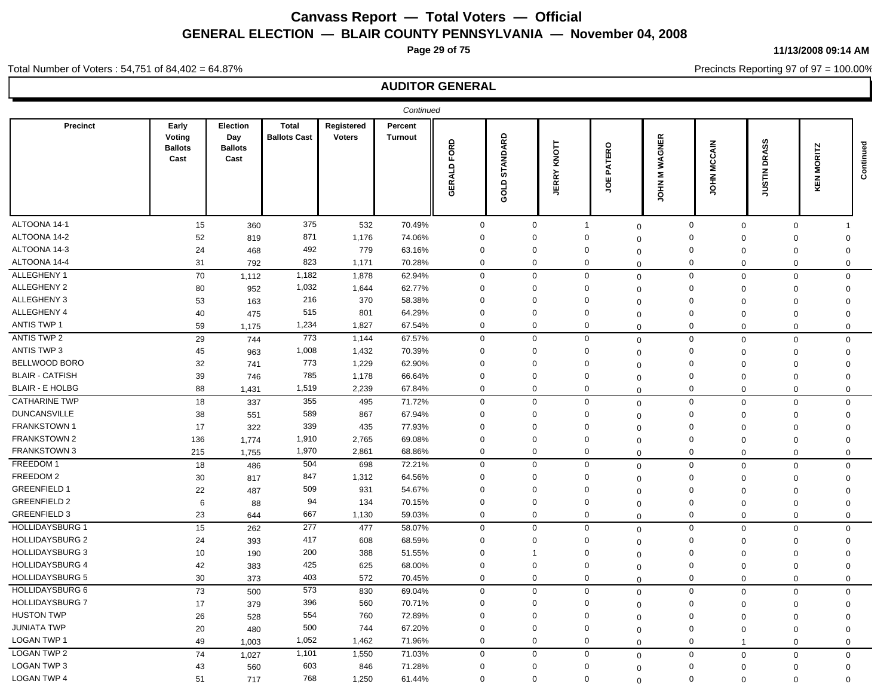**Page 29 of 75**

#### **11/13/2008 09:14 AM**

Precincts Reporting 97 of 97 = 100.00%

### **AUDITOR GENERAL**

|                        |                                           |                                                  |                                     |                             | Continued                 |                |                  |                   |                             |                    |                       |                               |                      |           |
|------------------------|-------------------------------------------|--------------------------------------------------|-------------------------------------|-----------------------------|---------------------------|----------------|------------------|-------------------|-----------------------------|--------------------|-----------------------|-------------------------------|----------------------|-----------|
| Precinct               | Early<br>Voting<br><b>Ballots</b><br>Cast | <b>Election</b><br>Day<br><b>Ballots</b><br>Cast | <b>Total</b><br><b>Ballots Cast</b> | Registered<br><b>Voters</b> | Percent<br><b>Turnout</b> | FORD<br>GERALD | STANDARD<br>GOLD | KNOTT<br>RRY<br>ш | <b>ATERO</b><br>മ<br>щ<br>g | WAGNER<br>Ξ<br>HOL | <b>MCCAIN</b><br>HPOL | <b>DRASS</b><br><b>NILSIN</b> | <b>MORITZ</b><br>KEN | Continued |
| ALTOONA 14-1           | 15                                        | 360                                              | 375                                 | 532                         | 70.49%                    | $\mathbf 0$    | $\mathbf 0$      |                   | $\mathbf{1}$                | $\mathbf 0$        | 0                     | $\mathbf 0$<br>$\mathbf 0$    |                      |           |
| ALTOONA 14-2           | 52                                        | 819                                              | 871                                 | 1,176                       | 74.06%                    | $\mathbf 0$    | $\Omega$         |                   | $\Omega$                    | $\Omega$           | $\mathbf 0$           | $\Omega$<br>$\Omega$          | $\Omega$             |           |
| ALTOONA 14-3           | 24                                        | 468                                              | 492                                 | 779                         | 63.16%                    | $\mathbf 0$    | $\mathbf 0$      |                   | $\Omega$                    | $\Omega$           | $\Omega$              | $\Omega$<br>$\Omega$          | $\Omega$             |           |
| ALTOONA 14-4           | 31                                        | 792                                              | 823                                 | 1,171                       | 70.28%                    | 0              | 0                |                   | 0                           | $\mathbf 0$        | $\mathbf 0$           | $\mathbf 0$<br>$\mathbf 0$    | $\mathbf 0$          |           |
| ALLEGHENY 1            | 70                                        | 1,112                                            | 1,182                               | 1,878                       | 62.94%                    | $\mathbf 0$    | $\Omega$         |                   | $\mathbf 0$                 | $\mathbf 0$        | $\mathbf 0$           | $\mathbf 0$<br>$\mathbf 0$    | $\mathbf 0$          |           |
| ALLEGHENY 2            | 80                                        | 952                                              | 1,032                               | 1,644                       | 62.77%                    | $\mathbf 0$    | $\Omega$         |                   | $\Omega$                    | $\Omega$           | $\mathbf 0$           | $\Omega$<br>$\Omega$          | $\Omega$             |           |
| ALLEGHENY 3            | 53                                        | 163                                              | 216                                 | 370                         | 58.38%                    | $\mathbf 0$    | $\mathbf 0$      |                   | $\Omega$                    | $\Omega$           | $\Omega$              | $\Omega$<br>$\Omega$          | $\Omega$             |           |
| ALLEGHENY 4            | 40                                        | 475                                              | 515                                 | 801                         | 64.29%                    | $\mathbf 0$    | $\Omega$         |                   | $\Omega$                    | $\Omega$           | 0                     | $\Omega$<br>$\Omega$          | $\Omega$             |           |
| <b>ANTIS TWP 1</b>     | 59                                        | 1,175                                            | 1,234                               | 1,827                       | 67.54%                    | $\mathbf 0$    | $\mathbf 0$      |                   | $\mathbf 0$                 | $\mathbf 0$        | $\mathbf 0$           | $\Omega$<br>$\Omega$          | 0                    |           |
| ANTIS TWP 2            | 29                                        | 744                                              | 773                                 | 1,144                       | 67.57%                    | $\mathbf 0$    | $\mathbf 0$      |                   | $\mathbf 0$                 | $\mathbf 0$        | $\mathbf 0$           | $\mathbf 0$<br>$\Omega$       | $\mathbf 0$          |           |
| ANTIS TWP 3            | 45                                        | 963                                              | 1,008                               | 1,432                       | 70.39%                    | $\mathbf 0$    | $\mathbf 0$      |                   | $\Omega$                    | $\Omega$           | $\Omega$              | $\Omega$<br>$\mathbf 0$       | $\Omega$             |           |
| BELLWOOD BORO          | 32                                        | 741                                              | 773                                 | 1,229                       | 62.90%                    | $\mathbf 0$    | $\Omega$         |                   | $\Omega$                    | $\Omega$           | $\mathbf{0}$          | $\Omega$<br>$\mathbf 0$       | $\Omega$             |           |
| <b>BLAIR - CATFISH</b> | 39                                        | 746                                              | 785                                 | 1,178                       | 66.64%                    | $\mathbf 0$    | $\mathbf 0$      |                   | $\Omega$                    | $\Omega$           | $\mathbf{0}$          | $\Omega$<br>$\Omega$          | $\Omega$             |           |
| <b>BLAIR - E HOLBG</b> | 88                                        | 1,431                                            | 1,519                               | 2,239                       | 67.84%                    | $\mathbf 0$    | $\mathbf 0$      |                   | $\mathbf 0$                 | $\Omega$           | $\mathbf 0$           | $\Omega$<br>$\Omega$          | $\mathbf 0$          |           |
| <b>CATHARINE TWP</b>   | 18                                        | 337                                              | 355                                 | 495                         | 71.72%                    | $\mathbf 0$    | $\mathbf 0$      |                   | $\mathbf 0$                 | $\mathbf 0$        | $\mathbf 0$           | $\mathbf 0$<br>$\mathbf 0$    | $\mathbf 0$          |           |
| <b>DUNCANSVILLE</b>    | 38                                        | 551                                              | 589                                 | 867                         | 67.94%                    | $\mathbf 0$    | $\Omega$         |                   | $\Omega$                    | $\Omega$           | 0                     | $\Omega$<br>$\mathbf 0$       | $\Omega$             |           |
| <b>FRANKSTOWN1</b>     | 17                                        | 322                                              | 339                                 | 435                         | 77.93%                    | $\mathbf 0$    | $\Omega$         |                   | $\Omega$                    | $\mathbf 0$        | $\mathbf 0$           | $\Omega$<br>$\Omega$          | $\Omega$             |           |
| <b>FRANKSTOWN 2</b>    | 136                                       | 1,774                                            | 1,910                               | 2,765                       | 69.08%                    | $\mathbf 0$    | $\mathbf 0$      |                   | $\Omega$                    | $\Omega$           | $\mathbf 0$           | $\Omega$<br>$\mathbf 0$       | $\Omega$             |           |
| <b>FRANKSTOWN 3</b>    | 215                                       | 1,755                                            | 1,970                               | 2,861                       | 68.86%                    | $\mathbf 0$    | $\mathbf 0$      |                   | $\Omega$                    | $\Omega$           | $\mathbf 0$           | $\Omega$<br>$\Omega$          | 0                    |           |
| FREEDOM 1              | 18                                        | 486                                              | 504                                 | 698                         | 72.21%                    | $\mathbf 0$    | $\mathbf 0$      |                   | $\mathbf 0$                 | $\mathbf 0$        | $\mathbf 0$           | $\mathbf 0$<br>$\Omega$       | $\Omega$             |           |
| FREEDOM 2              | 30                                        | 817                                              | 847                                 | 1,312                       | 64.56%                    | $\mathbf 0$    | $\mathbf 0$      |                   | $\Omega$                    | $\Omega$           | 0                     | $\Omega$<br>$\mathbf 0$       | $\Omega$             |           |
| <b>GREENFIELD 1</b>    | 22                                        | 487                                              | 509                                 | 931                         | 54.67%                    | $\mathbf 0$    | $\mathbf 0$      |                   | $\Omega$                    | $\Omega$           | $\mathbf 0$           | $\Omega$<br>$\Omega$          | $\Omega$             |           |
| <b>GREENFIELD 2</b>    | 6                                         | 88                                               | 94                                  | 134                         | 70.15%                    | $\mathbf 0$    | $\Omega$         |                   | $\Omega$                    | $\mathbf 0$        | $\mathbf 0$           | $\mathbf 0$<br>$\mathbf 0$    | $\Omega$             |           |
| <b>GREENFIELD 3</b>    | 23                                        | 644                                              | 667                                 | 1,130                       | 59.03%                    | $\mathbf 0$    | $\mathbf 0$      |                   | $\Omega$                    | $\Omega$           | $\mathbf 0$           | $\mathbf 0$<br>$\Omega$       | $\mathbf 0$          |           |
| <b>HOLLIDAYSBURG 1</b> | 15                                        | 262                                              | 277                                 | 477                         | 58.07%                    | $\mathbf 0$    | $\mathbf 0$      |                   | $\Omega$                    | $\mathbf 0$        | $\mathbf 0$           | $\mathbf 0$<br>$\Omega$       | $\mathbf 0$          |           |
| <b>HOLLIDAYSBURG 2</b> | 24                                        | 393                                              | 417                                 | 608                         | 68.59%                    | $\mathbf 0$    | $\mathbf 0$      |                   | $\Omega$                    | $\Omega$           | $\mathbf 0$           | $\Omega$<br>$\mathbf 0$       | $\Omega$             |           |
| <b>HOLLIDAYSBURG 3</b> | 10                                        | 190                                              | 200                                 | 388                         | 51.55%                    | $\mathbf 0$    | 1                |                   | $\Omega$                    | $\mathbf 0$        | $\mathbf{0}$          | $\Omega$<br>$\mathbf 0$       | $\Omega$             |           |
| <b>HOLLIDAYSBURG 4</b> | 42                                        | 383                                              | 425                                 | 625                         | 68.00%                    | $\mathbf 0$    | $\mathbf 0$      |                   | $\mathbf 0$                 | $\Omega$           | $\mathbf 0$           | $\mathbf 0$<br>$\Omega$       | $\Omega$             |           |
| <b>HOLLIDAYSBURG 5</b> | 30                                        | 373                                              | 403                                 | 572                         | 70.45%                    | $\mathbf 0$    | $\mathbf 0$      |                   | $\Omega$                    | $\mathbf 0$        | $\mathbf 0$           | $\Omega$<br>$\Omega$          | $\mathbf 0$          |           |
| <b>HOLLIDAYSBURG 6</b> | 73                                        | 500                                              | 573                                 | 830                         | 69.04%                    | $\mathbf 0$    | $\mathbf 0$      |                   | $\mathbf 0$                 | $\mathbf 0$        | $\mathbf 0$           | $\mathbf 0$<br>$\Omega$       | $\mathbf 0$          |           |
| <b>HOLLIDAYSBURG 7</b> | 17                                        | 379                                              | 396                                 | 560                         | 70.71%                    | $\Omega$       | $\Omega$         |                   | $\Omega$                    | $\mathbf 0$        | $\Omega$              | $\Omega$<br>$\Omega$          | $\Omega$             |           |
| <b>HUSTON TWP</b>      | 26                                        | 528                                              | 554                                 | 760                         | 72.89%                    | $\mathbf 0$    | $\Omega$         |                   | $\Omega$                    | $\Omega$           | $\mathbf 0$           | $\Omega$<br>$\Omega$          | $\Omega$             |           |
| <b>JUNIATA TWP</b>     | 20                                        | 480                                              | 500                                 | 744                         | 67.20%                    | $\mathbf 0$    | $\mathbf 0$      |                   | $\Omega$                    | $\mathbf 0$        | $\mathbf 0$           | $\Omega$<br>$\mathbf 0$       | $\Omega$             |           |
| <b>LOGAN TWP 1</b>     | 49                                        | 1,003                                            | 1,052                               | 1,462                       | 71.96%                    | $\mathbf 0$    | $\Omega$         |                   | $\mathbf 0$                 | $\Omega$           | $\mathbf{0}$          | $\Omega$<br>$\overline{1}$    | 0                    |           |
| <b>LOGAN TWP 2</b>     | 74                                        | 1,027                                            | 1,101                               | 1,550                       | 71.03%                    | $\Omega$       | $\Omega$         |                   | $\Omega$                    |                    | $\mathbf 0$           | $\mathbf 0$<br>$\Omega$       | $\mathbf 0$          |           |
| LOGAN TWP 3            | 43                                        | 560                                              | 603                                 | 846                         | 71.28%                    | $\mathbf 0$    | $\Omega$         |                   | $\Omega$                    | $\mathbf 0$        | $\mathbf 0$           | $\Omega$<br>$\Omega$          | $\Omega$             |           |
| <b>LOGAN TWP 4</b>     | 51                                        | 717                                              | 768                                 | 1,250                       | 61.44%                    | $\Omega$       | $\Omega$         |                   | $\Omega$                    | $\Omega$           | $\mathbf 0$           | $\Omega$<br>$\Omega$          | $\Omega$             |           |
|                        |                                           |                                                  |                                     |                             |                           |                |                  |                   |                             | $\Omega$           |                       |                               |                      |           |

Total Number of Voters : 54,751 of 84,402 = 64.87%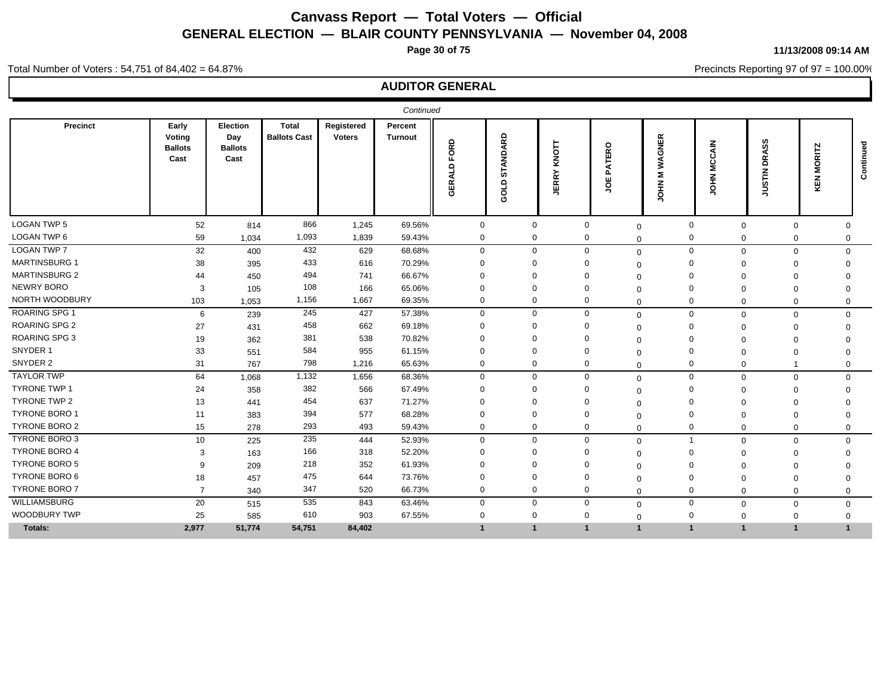**Page 30 of 75**

**11/13/2008 09:14 AM**

Precincts Reporting 97 of 97 = 100.00%

#### Total Number of Voters : 54,751 of 84,402 = 64.87%

| <b>Precinct</b><br>Early<br>Election<br><b>Total</b><br>Registered<br>Percent<br>DARD<br><b>Ballots Cast</b><br>Voting<br>Day<br><b>Voters</b><br><b>Turnout</b><br>GNER<br>FORD<br>ဖ<br><b>MCCAIN</b><br>KNOTT<br>Continued<br>ATERO<br><b>ORITZ</b><br>Ō<br><b>Ballots</b><br><b>Ballots</b><br>Cast<br>Cast<br>₹<br>≏<br>₹<br>$\Omega$<br>Ž.<br>즡<br>₹<br>RRY<br>o.<br>Σ<br>ဖာ<br>H <sub>O</sub><br>KEN<br>ш<br>GER<br>≘<br>HOL<br>.<br>ഗ<br>g<br>画<br>₹<br>$\overline{\circ}$<br>∍<br>Ō<br><b>LOGAN TWP 5</b><br>866<br>52<br>1,245<br>69.56%<br>814<br>$\Omega$<br>$\Omega$<br>$\mathbf{0}$<br>$\mathbf 0$<br>$\mathbf{0}$<br>$\Omega$<br>0<br>$\Omega$<br>LOGAN TWP 6<br>1,093<br>59<br>1,839<br>59.43%<br>$\mathbf 0$<br>$\mathbf 0$<br>$\Omega$<br>0<br>1,034<br>$\Omega$<br>$\Omega$<br>0<br>$\Omega$<br><b>LOGAN TWP 7</b><br>432<br>629<br>$\mathbf 0$<br>32<br>68.68%<br>$\Omega$<br>$\Omega$<br>$\mathbf 0$<br>400<br>$\mathbf{0}$<br>$\mathbf{0}$<br>$\Omega$<br>$\mathbf 0$<br><b>MARTINSBURG 1</b><br>433<br>616<br>70.29%<br>38<br>395<br>$\Omega$<br>$\Omega$<br>$\Omega$<br>0<br>$\Omega$<br>- 0<br>U<br><b>MARTINSBURG 2</b><br>494<br>66.67%<br>741<br>44<br>$\Omega$<br>$\Omega$<br>$\Omega$<br>450<br>$\Omega$<br>$\Omega$<br>$\Omega$<br>$\Omega$<br><b>NEWRY BORO</b><br>108<br>166<br>65.06%<br>3<br>$\Omega$<br>105<br>$\Omega$<br>$\Omega$<br>$\Omega$<br>$\Omega$<br>$\Omega$<br>NORTH WOODBURY<br>1,156<br>1,667<br>69.35%<br>$\Omega$<br>103<br>$\Omega$<br>0<br>$\mathbf 0$<br>1,053<br>$\Omega$<br>$\Omega$<br>$\mathbf 0$<br>$\Omega$<br><b>ROARING SPG 1</b><br>245<br>427<br>57.38%<br>$\Omega$<br>0<br>$\mathbf 0$<br>6<br>239<br>$\mathbf 0$<br>$\Omega$<br>$\mathbf{0}$<br>$\mathbf 0$<br>$\Omega$<br><b>ROARING SPG 2</b><br>458<br>662<br>69.18%<br>27<br>431<br>0<br>$\Omega$<br>$\Omega$<br>$\Omega$<br>$\Omega$<br>U<br><b>ROARING SPG 3</b><br>381<br>70.82%<br>19<br>538<br>$\Omega$<br>$\Omega$<br>$\Omega$<br>362<br>$\Omega$<br>$\Omega$<br>$\Omega$<br>$\Omega$<br>SNYDER 1<br>584<br>955<br>61.15%<br>33<br>551<br>$\Omega$<br>$\Omega$<br>$\Omega$<br>$\Omega$<br>$\Omega$<br>$\Omega$<br>$\Omega$<br>$\Omega$<br>SNYDER 2<br>798<br>31<br>1,216<br>65.63%<br>$\mathbf 0$<br>$\mathbf 0$<br>$\mathbf 0$<br>$\mathbf 0$<br>767<br>$\Omega$<br>0<br>$\Omega$<br><b>TAYLOR TWP</b><br>1,132<br>64<br>$\Omega$<br>1,656<br>68.36%<br>$\Omega$<br>$\mathbf 0$<br>$\mathbf 0$<br>1,068<br>$\mathbf 0$<br>$\mathbf 0$<br>$\mathbf 0$<br>$\Omega$<br><b>TYRONE TWP 1</b><br>382<br>566<br>67.49%<br>24<br>358<br>n<br>0<br>$\Omega$<br>$\Omega$<br>$\Omega$<br>$\Omega$<br>$\Omega$<br>∩<br><b>TYRONE TWP 2</b><br>454<br>637<br>71.27%<br>13<br>$\Omega$<br>$\Omega$<br>$\Omega$<br>441<br>$\Omega$<br>$\Omega$<br>$\Omega$<br>O<br><b>TYRONE BORO 1</b><br>394<br>577<br>68.28%<br>383<br>$\Omega$<br>$\Omega$<br>$\Omega$<br>$\Omega$<br>11<br>$\Omega$<br>$\Omega$<br><b>TYRONE BORO 2</b><br>293<br>15<br>493<br>59.43%<br>$\Omega$<br>$\Omega$<br>$\Omega$<br>$\mathbf 0$<br>278<br>$\mathbf 0$<br>$\Omega$<br>$\Omega$<br>$\Omega$<br>TYRONE BORO 3<br>235<br>444<br>52.93%<br>$\Omega$<br>$\Omega$<br>$\mathbf 0$<br>10<br>225<br>$\overline{1}$<br>$\mathbf 0$<br>$\mathbf 0$<br>$\Omega$<br>$\Omega$<br><b>TYRONE BORO 4</b><br>166<br>318<br>52.20%<br>3<br>163<br>$\mathbf{0}$<br>$\Omega$<br>0<br>$\Omega$<br>$\Omega$<br>$\Omega$<br>$\Omega$<br><b>TYRONE BORO 5</b><br>218<br>352<br>61.93%<br>٩<br>$\Omega$<br>$\Omega$<br>209<br>$\Omega$<br>$\Omega$<br>$\Omega$<br>$\Omega$<br>$\Omega$<br><b>TYRONE BORO 6</b><br>475<br>18<br>644<br>73.76%<br>457<br>$\Omega$<br>$\Omega$<br>$\Omega$<br>$\Omega$<br>$\Omega$<br>$\Omega$<br>$\Omega$<br><b>TYRONE BORO 7</b><br>347<br>520<br>66.73%<br>$\overline{7}$<br>$\Omega$<br>$\Omega$<br>$\Omega$<br>340<br>$\Omega$<br>$\Omega$<br>$\Omega$<br>0<br>$\Omega$<br>WILLIAMSBURG<br>535<br>20<br>843<br>63.46%<br>$\mathbf 0$<br>$\mathbf 0$<br>$\mathbf 0$<br>$\mathbf 0$<br>515<br>$\Omega$<br>$\Omega$<br>$\Omega$<br>$\Omega$<br><b>WOODBURY TWP</b><br>610<br>903<br>67.55%<br>25<br>585<br>0<br>0<br>$\Omega$<br>$\mathbf{0}$<br>0<br>$\Omega$<br>0<br>$\Omega$<br>Totals:<br>2,977<br>51,774<br>54,751<br>84,402<br>$\mathbf{1}$<br>$\overline{\mathbf{1}}$<br>$\mathbf{1}$<br>$\overline{1}$<br>$\overline{1}$<br>$\overline{1}$<br>$\mathbf{1}$ |  |  | Continued |  |  |  |  |  |
|--------------------------------------------------------------------------------------------------------------------------------------------------------------------------------------------------------------------------------------------------------------------------------------------------------------------------------------------------------------------------------------------------------------------------------------------------------------------------------------------------------------------------------------------------------------------------------------------------------------------------------------------------------------------------------------------------------------------------------------------------------------------------------------------------------------------------------------------------------------------------------------------------------------------------------------------------------------------------------------------------------------------------------------------------------------------------------------------------------------------------------------------------------------------------------------------------------------------------------------------------------------------------------------------------------------------------------------------------------------------------------------------------------------------------------------------------------------------------------------------------------------------------------------------------------------------------------------------------------------------------------------------------------------------------------------------------------------------------------------------------------------------------------------------------------------------------------------------------------------------------------------------------------------------------------------------------------------------------------------------------------------------------------------------------------------------------------------------------------------------------------------------------------------------------------------------------------------------------------------------------------------------------------------------------------------------------------------------------------------------------------------------------------------------------------------------------------------------------------------------------------------------------------------------------------------------------------------------------------------------------------------------------------------------------------------------------------------------------------------------------------------------------------------------------------------------------------------------------------------------------------------------------------------------------------------------------------------------------------------------------------------------------------------------------------------------------------------------------------------------------------------------------------------------------------------------------------------------------------------------------------------------------------------------------------------------------------------------------------------------------------------------------------------------------------------------------------------------------------------------------------------------------------------------------------------------------------------------------------------------------------------------------------------------------------------------------------------------------------------------------------------------------------------------------------------------------------------------------------------------------------------------------------------------------------------------------------------------------------------------------------------------------------------------------------------------------------------------------------------------------------------------------------------------------------------------------------------------------------------------------------------------------------------------------------------------------------------------------------------------|--|--|-----------|--|--|--|--|--|
|                                                                                                                                                                                                                                                                                                                                                                                                                                                                                                                                                                                                                                                                                                                                                                                                                                                                                                                                                                                                                                                                                                                                                                                                                                                                                                                                                                                                                                                                                                                                                                                                                                                                                                                                                                                                                                                                                                                                                                                                                                                                                                                                                                                                                                                                                                                                                                                                                                                                                                                                                                                                                                                                                                                                                                                                                                                                                                                                                                                                                                                                                                                                                                                                                                                                                                                                                                                                                                                                                                                                                                                                                                                                                                                                                                                                                                                                                                                                                                                                                                                                                                                                                                                                                                                                                                                                                                    |  |  |           |  |  |  |  |  |
|                                                                                                                                                                                                                                                                                                                                                                                                                                                                                                                                                                                                                                                                                                                                                                                                                                                                                                                                                                                                                                                                                                                                                                                                                                                                                                                                                                                                                                                                                                                                                                                                                                                                                                                                                                                                                                                                                                                                                                                                                                                                                                                                                                                                                                                                                                                                                                                                                                                                                                                                                                                                                                                                                                                                                                                                                                                                                                                                                                                                                                                                                                                                                                                                                                                                                                                                                                                                                                                                                                                                                                                                                                                                                                                                                                                                                                                                                                                                                                                                                                                                                                                                                                                                                                                                                                                                                                    |  |  |           |  |  |  |  |  |
|                                                                                                                                                                                                                                                                                                                                                                                                                                                                                                                                                                                                                                                                                                                                                                                                                                                                                                                                                                                                                                                                                                                                                                                                                                                                                                                                                                                                                                                                                                                                                                                                                                                                                                                                                                                                                                                                                                                                                                                                                                                                                                                                                                                                                                                                                                                                                                                                                                                                                                                                                                                                                                                                                                                                                                                                                                                                                                                                                                                                                                                                                                                                                                                                                                                                                                                                                                                                                                                                                                                                                                                                                                                                                                                                                                                                                                                                                                                                                                                                                                                                                                                                                                                                                                                                                                                                                                    |  |  |           |  |  |  |  |  |
|                                                                                                                                                                                                                                                                                                                                                                                                                                                                                                                                                                                                                                                                                                                                                                                                                                                                                                                                                                                                                                                                                                                                                                                                                                                                                                                                                                                                                                                                                                                                                                                                                                                                                                                                                                                                                                                                                                                                                                                                                                                                                                                                                                                                                                                                                                                                                                                                                                                                                                                                                                                                                                                                                                                                                                                                                                                                                                                                                                                                                                                                                                                                                                                                                                                                                                                                                                                                                                                                                                                                                                                                                                                                                                                                                                                                                                                                                                                                                                                                                                                                                                                                                                                                                                                                                                                                                                    |  |  |           |  |  |  |  |  |
|                                                                                                                                                                                                                                                                                                                                                                                                                                                                                                                                                                                                                                                                                                                                                                                                                                                                                                                                                                                                                                                                                                                                                                                                                                                                                                                                                                                                                                                                                                                                                                                                                                                                                                                                                                                                                                                                                                                                                                                                                                                                                                                                                                                                                                                                                                                                                                                                                                                                                                                                                                                                                                                                                                                                                                                                                                                                                                                                                                                                                                                                                                                                                                                                                                                                                                                                                                                                                                                                                                                                                                                                                                                                                                                                                                                                                                                                                                                                                                                                                                                                                                                                                                                                                                                                                                                                                                    |  |  |           |  |  |  |  |  |
|                                                                                                                                                                                                                                                                                                                                                                                                                                                                                                                                                                                                                                                                                                                                                                                                                                                                                                                                                                                                                                                                                                                                                                                                                                                                                                                                                                                                                                                                                                                                                                                                                                                                                                                                                                                                                                                                                                                                                                                                                                                                                                                                                                                                                                                                                                                                                                                                                                                                                                                                                                                                                                                                                                                                                                                                                                                                                                                                                                                                                                                                                                                                                                                                                                                                                                                                                                                                                                                                                                                                                                                                                                                                                                                                                                                                                                                                                                                                                                                                                                                                                                                                                                                                                                                                                                                                                                    |  |  |           |  |  |  |  |  |
|                                                                                                                                                                                                                                                                                                                                                                                                                                                                                                                                                                                                                                                                                                                                                                                                                                                                                                                                                                                                                                                                                                                                                                                                                                                                                                                                                                                                                                                                                                                                                                                                                                                                                                                                                                                                                                                                                                                                                                                                                                                                                                                                                                                                                                                                                                                                                                                                                                                                                                                                                                                                                                                                                                                                                                                                                                                                                                                                                                                                                                                                                                                                                                                                                                                                                                                                                                                                                                                                                                                                                                                                                                                                                                                                                                                                                                                                                                                                                                                                                                                                                                                                                                                                                                                                                                                                                                    |  |  |           |  |  |  |  |  |
|                                                                                                                                                                                                                                                                                                                                                                                                                                                                                                                                                                                                                                                                                                                                                                                                                                                                                                                                                                                                                                                                                                                                                                                                                                                                                                                                                                                                                                                                                                                                                                                                                                                                                                                                                                                                                                                                                                                                                                                                                                                                                                                                                                                                                                                                                                                                                                                                                                                                                                                                                                                                                                                                                                                                                                                                                                                                                                                                                                                                                                                                                                                                                                                                                                                                                                                                                                                                                                                                                                                                                                                                                                                                                                                                                                                                                                                                                                                                                                                                                                                                                                                                                                                                                                                                                                                                                                    |  |  |           |  |  |  |  |  |
|                                                                                                                                                                                                                                                                                                                                                                                                                                                                                                                                                                                                                                                                                                                                                                                                                                                                                                                                                                                                                                                                                                                                                                                                                                                                                                                                                                                                                                                                                                                                                                                                                                                                                                                                                                                                                                                                                                                                                                                                                                                                                                                                                                                                                                                                                                                                                                                                                                                                                                                                                                                                                                                                                                                                                                                                                                                                                                                                                                                                                                                                                                                                                                                                                                                                                                                                                                                                                                                                                                                                                                                                                                                                                                                                                                                                                                                                                                                                                                                                                                                                                                                                                                                                                                                                                                                                                                    |  |  |           |  |  |  |  |  |
|                                                                                                                                                                                                                                                                                                                                                                                                                                                                                                                                                                                                                                                                                                                                                                                                                                                                                                                                                                                                                                                                                                                                                                                                                                                                                                                                                                                                                                                                                                                                                                                                                                                                                                                                                                                                                                                                                                                                                                                                                                                                                                                                                                                                                                                                                                                                                                                                                                                                                                                                                                                                                                                                                                                                                                                                                                                                                                                                                                                                                                                                                                                                                                                                                                                                                                                                                                                                                                                                                                                                                                                                                                                                                                                                                                                                                                                                                                                                                                                                                                                                                                                                                                                                                                                                                                                                                                    |  |  |           |  |  |  |  |  |
|                                                                                                                                                                                                                                                                                                                                                                                                                                                                                                                                                                                                                                                                                                                                                                                                                                                                                                                                                                                                                                                                                                                                                                                                                                                                                                                                                                                                                                                                                                                                                                                                                                                                                                                                                                                                                                                                                                                                                                                                                                                                                                                                                                                                                                                                                                                                                                                                                                                                                                                                                                                                                                                                                                                                                                                                                                                                                                                                                                                                                                                                                                                                                                                                                                                                                                                                                                                                                                                                                                                                                                                                                                                                                                                                                                                                                                                                                                                                                                                                                                                                                                                                                                                                                                                                                                                                                                    |  |  |           |  |  |  |  |  |
|                                                                                                                                                                                                                                                                                                                                                                                                                                                                                                                                                                                                                                                                                                                                                                                                                                                                                                                                                                                                                                                                                                                                                                                                                                                                                                                                                                                                                                                                                                                                                                                                                                                                                                                                                                                                                                                                                                                                                                                                                                                                                                                                                                                                                                                                                                                                                                                                                                                                                                                                                                                                                                                                                                                                                                                                                                                                                                                                                                                                                                                                                                                                                                                                                                                                                                                                                                                                                                                                                                                                                                                                                                                                                                                                                                                                                                                                                                                                                                                                                                                                                                                                                                                                                                                                                                                                                                    |  |  |           |  |  |  |  |  |
|                                                                                                                                                                                                                                                                                                                                                                                                                                                                                                                                                                                                                                                                                                                                                                                                                                                                                                                                                                                                                                                                                                                                                                                                                                                                                                                                                                                                                                                                                                                                                                                                                                                                                                                                                                                                                                                                                                                                                                                                                                                                                                                                                                                                                                                                                                                                                                                                                                                                                                                                                                                                                                                                                                                                                                                                                                                                                                                                                                                                                                                                                                                                                                                                                                                                                                                                                                                                                                                                                                                                                                                                                                                                                                                                                                                                                                                                                                                                                                                                                                                                                                                                                                                                                                                                                                                                                                    |  |  |           |  |  |  |  |  |
|                                                                                                                                                                                                                                                                                                                                                                                                                                                                                                                                                                                                                                                                                                                                                                                                                                                                                                                                                                                                                                                                                                                                                                                                                                                                                                                                                                                                                                                                                                                                                                                                                                                                                                                                                                                                                                                                                                                                                                                                                                                                                                                                                                                                                                                                                                                                                                                                                                                                                                                                                                                                                                                                                                                                                                                                                                                                                                                                                                                                                                                                                                                                                                                                                                                                                                                                                                                                                                                                                                                                                                                                                                                                                                                                                                                                                                                                                                                                                                                                                                                                                                                                                                                                                                                                                                                                                                    |  |  |           |  |  |  |  |  |
|                                                                                                                                                                                                                                                                                                                                                                                                                                                                                                                                                                                                                                                                                                                                                                                                                                                                                                                                                                                                                                                                                                                                                                                                                                                                                                                                                                                                                                                                                                                                                                                                                                                                                                                                                                                                                                                                                                                                                                                                                                                                                                                                                                                                                                                                                                                                                                                                                                                                                                                                                                                                                                                                                                                                                                                                                                                                                                                                                                                                                                                                                                                                                                                                                                                                                                                                                                                                                                                                                                                                                                                                                                                                                                                                                                                                                                                                                                                                                                                                                                                                                                                                                                                                                                                                                                                                                                    |  |  |           |  |  |  |  |  |
|                                                                                                                                                                                                                                                                                                                                                                                                                                                                                                                                                                                                                                                                                                                                                                                                                                                                                                                                                                                                                                                                                                                                                                                                                                                                                                                                                                                                                                                                                                                                                                                                                                                                                                                                                                                                                                                                                                                                                                                                                                                                                                                                                                                                                                                                                                                                                                                                                                                                                                                                                                                                                                                                                                                                                                                                                                                                                                                                                                                                                                                                                                                                                                                                                                                                                                                                                                                                                                                                                                                                                                                                                                                                                                                                                                                                                                                                                                                                                                                                                                                                                                                                                                                                                                                                                                                                                                    |  |  |           |  |  |  |  |  |
|                                                                                                                                                                                                                                                                                                                                                                                                                                                                                                                                                                                                                                                                                                                                                                                                                                                                                                                                                                                                                                                                                                                                                                                                                                                                                                                                                                                                                                                                                                                                                                                                                                                                                                                                                                                                                                                                                                                                                                                                                                                                                                                                                                                                                                                                                                                                                                                                                                                                                                                                                                                                                                                                                                                                                                                                                                                                                                                                                                                                                                                                                                                                                                                                                                                                                                                                                                                                                                                                                                                                                                                                                                                                                                                                                                                                                                                                                                                                                                                                                                                                                                                                                                                                                                                                                                                                                                    |  |  |           |  |  |  |  |  |
|                                                                                                                                                                                                                                                                                                                                                                                                                                                                                                                                                                                                                                                                                                                                                                                                                                                                                                                                                                                                                                                                                                                                                                                                                                                                                                                                                                                                                                                                                                                                                                                                                                                                                                                                                                                                                                                                                                                                                                                                                                                                                                                                                                                                                                                                                                                                                                                                                                                                                                                                                                                                                                                                                                                                                                                                                                                                                                                                                                                                                                                                                                                                                                                                                                                                                                                                                                                                                                                                                                                                                                                                                                                                                                                                                                                                                                                                                                                                                                                                                                                                                                                                                                                                                                                                                                                                                                    |  |  |           |  |  |  |  |  |
|                                                                                                                                                                                                                                                                                                                                                                                                                                                                                                                                                                                                                                                                                                                                                                                                                                                                                                                                                                                                                                                                                                                                                                                                                                                                                                                                                                                                                                                                                                                                                                                                                                                                                                                                                                                                                                                                                                                                                                                                                                                                                                                                                                                                                                                                                                                                                                                                                                                                                                                                                                                                                                                                                                                                                                                                                                                                                                                                                                                                                                                                                                                                                                                                                                                                                                                                                                                                                                                                                                                                                                                                                                                                                                                                                                                                                                                                                                                                                                                                                                                                                                                                                                                                                                                                                                                                                                    |  |  |           |  |  |  |  |  |
|                                                                                                                                                                                                                                                                                                                                                                                                                                                                                                                                                                                                                                                                                                                                                                                                                                                                                                                                                                                                                                                                                                                                                                                                                                                                                                                                                                                                                                                                                                                                                                                                                                                                                                                                                                                                                                                                                                                                                                                                                                                                                                                                                                                                                                                                                                                                                                                                                                                                                                                                                                                                                                                                                                                                                                                                                                                                                                                                                                                                                                                                                                                                                                                                                                                                                                                                                                                                                                                                                                                                                                                                                                                                                                                                                                                                                                                                                                                                                                                                                                                                                                                                                                                                                                                                                                                                                                    |  |  |           |  |  |  |  |  |
|                                                                                                                                                                                                                                                                                                                                                                                                                                                                                                                                                                                                                                                                                                                                                                                                                                                                                                                                                                                                                                                                                                                                                                                                                                                                                                                                                                                                                                                                                                                                                                                                                                                                                                                                                                                                                                                                                                                                                                                                                                                                                                                                                                                                                                                                                                                                                                                                                                                                                                                                                                                                                                                                                                                                                                                                                                                                                                                                                                                                                                                                                                                                                                                                                                                                                                                                                                                                                                                                                                                                                                                                                                                                                                                                                                                                                                                                                                                                                                                                                                                                                                                                                                                                                                                                                                                                                                    |  |  |           |  |  |  |  |  |
|                                                                                                                                                                                                                                                                                                                                                                                                                                                                                                                                                                                                                                                                                                                                                                                                                                                                                                                                                                                                                                                                                                                                                                                                                                                                                                                                                                                                                                                                                                                                                                                                                                                                                                                                                                                                                                                                                                                                                                                                                                                                                                                                                                                                                                                                                                                                                                                                                                                                                                                                                                                                                                                                                                                                                                                                                                                                                                                                                                                                                                                                                                                                                                                                                                                                                                                                                                                                                                                                                                                                                                                                                                                                                                                                                                                                                                                                                                                                                                                                                                                                                                                                                                                                                                                                                                                                                                    |  |  |           |  |  |  |  |  |
|                                                                                                                                                                                                                                                                                                                                                                                                                                                                                                                                                                                                                                                                                                                                                                                                                                                                                                                                                                                                                                                                                                                                                                                                                                                                                                                                                                                                                                                                                                                                                                                                                                                                                                                                                                                                                                                                                                                                                                                                                                                                                                                                                                                                                                                                                                                                                                                                                                                                                                                                                                                                                                                                                                                                                                                                                                                                                                                                                                                                                                                                                                                                                                                                                                                                                                                                                                                                                                                                                                                                                                                                                                                                                                                                                                                                                                                                                                                                                                                                                                                                                                                                                                                                                                                                                                                                                                    |  |  |           |  |  |  |  |  |
|                                                                                                                                                                                                                                                                                                                                                                                                                                                                                                                                                                                                                                                                                                                                                                                                                                                                                                                                                                                                                                                                                                                                                                                                                                                                                                                                                                                                                                                                                                                                                                                                                                                                                                                                                                                                                                                                                                                                                                                                                                                                                                                                                                                                                                                                                                                                                                                                                                                                                                                                                                                                                                                                                                                                                                                                                                                                                                                                                                                                                                                                                                                                                                                                                                                                                                                                                                                                                                                                                                                                                                                                                                                                                                                                                                                                                                                                                                                                                                                                                                                                                                                                                                                                                                                                                                                                                                    |  |  |           |  |  |  |  |  |
|                                                                                                                                                                                                                                                                                                                                                                                                                                                                                                                                                                                                                                                                                                                                                                                                                                                                                                                                                                                                                                                                                                                                                                                                                                                                                                                                                                                                                                                                                                                                                                                                                                                                                                                                                                                                                                                                                                                                                                                                                                                                                                                                                                                                                                                                                                                                                                                                                                                                                                                                                                                                                                                                                                                                                                                                                                                                                                                                                                                                                                                                                                                                                                                                                                                                                                                                                                                                                                                                                                                                                                                                                                                                                                                                                                                                                                                                                                                                                                                                                                                                                                                                                                                                                                                                                                                                                                    |  |  |           |  |  |  |  |  |
|                                                                                                                                                                                                                                                                                                                                                                                                                                                                                                                                                                                                                                                                                                                                                                                                                                                                                                                                                                                                                                                                                                                                                                                                                                                                                                                                                                                                                                                                                                                                                                                                                                                                                                                                                                                                                                                                                                                                                                                                                                                                                                                                                                                                                                                                                                                                                                                                                                                                                                                                                                                                                                                                                                                                                                                                                                                                                                                                                                                                                                                                                                                                                                                                                                                                                                                                                                                                                                                                                                                                                                                                                                                                                                                                                                                                                                                                                                                                                                                                                                                                                                                                                                                                                                                                                                                                                                    |  |  |           |  |  |  |  |  |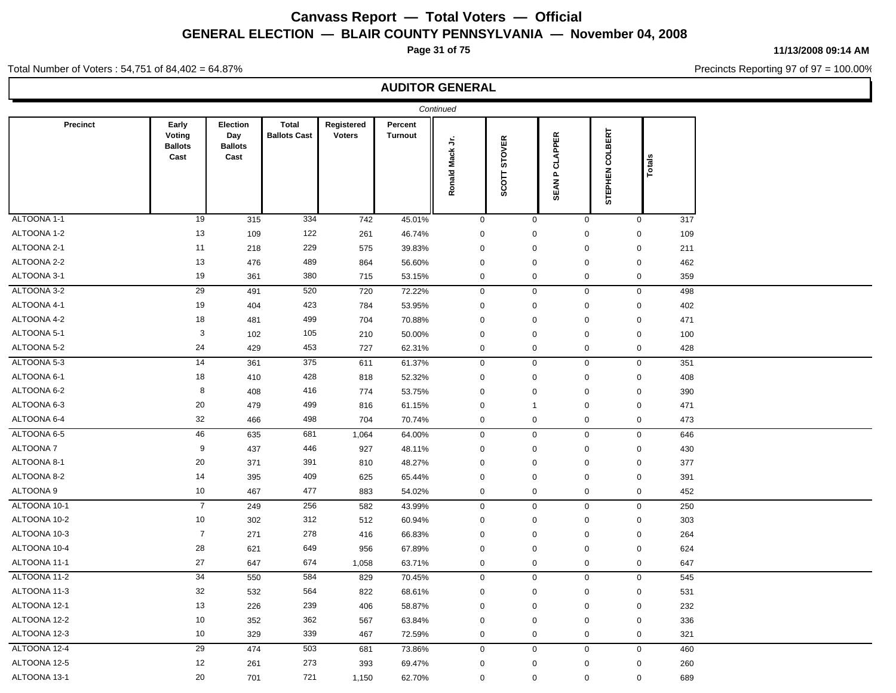**Page 31 of 75**

**11/13/2008 09:14 AM**

Precincts Reporting 97 of 97 = 100.00%

#### Total Number of Voters : 54,751 of 84,402 = 64.87%

|              |                                           |                                           |                                     |                             |                           | Continued       |                        |                                 |             |                  |        |     |
|--------------|-------------------------------------------|-------------------------------------------|-------------------------------------|-----------------------------|---------------------------|-----------------|------------------------|---------------------------------|-------------|------------------|--------|-----|
| Precinct     | Early<br>Voting<br><b>Ballots</b><br>Cast | Election<br>Day<br><b>Ballots</b><br>Cast | <b>Total</b><br><b>Ballots Cast</b> | Registered<br><b>Voters</b> | Percent<br><b>Turnout</b> | Ronald Mack Jr. | <b>STOVER</b><br>SCOTT | <b>P CLAPPER</b><br><b>SEAN</b> |             | STEPHEN COLBERT  | Totals |     |
| ALTOONA 1-1  | 19                                        | 315                                       | 334                                 | 742                         | 45.01%                    | $\mathbf 0$     |                        | $\mathbf 0$                     | $\mathbf 0$ | $\mathbf 0$      |        | 317 |
| ALTOONA 1-2  | 13                                        | 109                                       | 122                                 | 261                         | 46.74%                    | $\mathbf 0$     |                        | $\mathsf 0$                     | $\mathsf 0$ | $\boldsymbol{0}$ |        | 109 |
| ALTOONA 2-1  | 11                                        | 218                                       | 229                                 | 575                         | 39.83%                    | $\mathbf 0$     |                        | $\mathbf 0$                     | $\mathsf 0$ | $\mathbf 0$      |        | 211 |
| ALTOONA 2-2  | 13                                        | 476                                       | 489                                 | 864                         | 56.60%                    | $\mathbf 0$     |                        | $\mathsf 0$                     | $\mathbf 0$ | $\mathbf 0$      |        | 462 |
| ALTOONA 3-1  | 19                                        | 361                                       | 380                                 | 715                         | 53.15%                    | $\mathbf 0$     |                        | $\mathbf 0$                     | $\mathbf 0$ | 0                |        | 359 |
| ALTOONA 3-2  | 29                                        | 491                                       | 520                                 | 720                         | 72.22%                    | $\mathbf 0$     |                        | $\mathbf 0$                     | $\mathbf 0$ | $\mathbf 0$      |        | 498 |
| ALTOONA 4-1  | 19                                        | 404                                       | 423                                 | 784                         | 53.95%                    | $\mathbf 0$     |                        | $\mathbf 0$                     | $\mathbf 0$ | 0                |        | 402 |
| ALTOONA 4-2  | 18                                        | 481                                       | 499                                 | 704                         | 70.88%                    | $\mathbf 0$     |                        | $\mathbf 0$                     | $\mathbf 0$ | $\boldsymbol{0}$ |        | 471 |
| ALTOONA 5-1  | $\mathbf{3}$                              | 102                                       | 105                                 | 210                         | 50.00%                    | $\mathbf 0$     |                        | $\mathbf 0$                     | $\mathbf 0$ | $\mathbf 0$      |        | 100 |
| ALTOONA 5-2  | 24                                        | 429                                       | 453                                 | 727                         | 62.31%                    | $\mathbf 0$     |                        | $\mathbf 0$                     | $\mathbf 0$ | 0                |        | 428 |
| ALTOONA 5-3  | 14                                        | 361                                       | 375                                 | 611                         | 61.37%                    | $\mathbf 0$     |                        | $\mathbf 0$                     | $\mathbf 0$ | $\mathbf 0$      |        | 351 |
| ALTOONA 6-1  | 18                                        | 410                                       | 428                                 | 818                         | 52.32%                    | $\mathbf 0$     |                        | $\mathbf 0$                     | $\mathbf 0$ | 0                |        | 408 |
| ALTOONA 6-2  | 8                                         | 408                                       | 416                                 | 774                         | 53.75%                    | $\mathbf 0$     |                        | $\mathbf 0$                     | $\mathsf 0$ | $\mathbf 0$      |        | 390 |
| ALTOONA 6-3  | 20                                        | 479                                       | 499                                 | 816                         | 61.15%                    | $\pmb{0}$       |                        | $\overline{1}$                  | $\mathbf 0$ | $\mathbf 0$      |        | 471 |
| ALTOONA 6-4  | 32                                        | 466                                       | 498                                 | 704                         | 70.74%                    | $\mathbf 0$     |                        | $\mathbf 0$                     | $\mathbf 0$ | 0                |        | 473 |
| ALTOONA 6-5  | 46                                        | 635                                       | 681                                 | 1,064                       | 64.00%                    | $\mathbf 0$     |                        | $\mathbf 0$                     | $\mathbf 0$ | $\mathbf 0$      |        | 646 |
| ALTOONA 7    | 9                                         | 437                                       | 446                                 | 927                         | 48.11%                    | $\mathbf 0$     |                        | $\mathbf 0$                     | $\mathbf 0$ | $\mathbf 0$      |        | 430 |
| ALTOONA 8-1  | 20                                        | 371                                       | 391                                 | 810                         | 48.27%                    | $\mathbf 0$     |                        | $\mathbf 0$                     | $\mathbf 0$ | $\mathbf 0$      |        | 377 |
| ALTOONA 8-2  | 14                                        | 395                                       | 409                                 | 625                         | 65.44%                    | $\pmb{0}$       |                        | $\mathbf 0$                     | $\mathbf 0$ | $\pmb{0}$        |        | 391 |
| ALTOONA 9    | 10                                        | 467                                       | 477                                 | 883                         | 54.02%                    | $\mathbf 0$     |                        | $\mathbf 0$                     | $\mathbf 0$ | 0                |        | 452 |
| ALTOONA 10-1 | $\overline{7}$                            | 249                                       | 256                                 | 582                         | 43.99%                    | $\mathbf 0$     |                        | $\mathbf 0$                     | $\mathbf 0$ | $\mathbf 0$      |        | 250 |
| ALTOONA 10-2 | 10                                        | 302                                       | 312                                 | 512                         | 60.94%                    | $\mathbf 0$     |                        | $\mathbf 0$                     | $\mathbf 0$ | 0                |        | 303 |
| ALTOONA 10-3 | $\overline{7}$                            | 271                                       | 278                                 | 416                         | 66.83%                    | $\mathbf 0$     |                        | $\mathbf 0$                     | $\mathsf 0$ | $\mathbf 0$      |        | 264 |
| ALTOONA 10-4 | 28                                        | 621                                       | 649                                 | 956                         | 67.89%                    | $\pmb{0}$       |                        | $\mathbf 0$                     | $\mathbf 0$ | $\pmb{0}$        |        | 624 |
| ALTOONA 11-1 | 27                                        | 647                                       | 674                                 | 1,058                       | 63.71%                    | $\mathbf 0$     |                        | $\mathbf 0$                     | $\mathbf 0$ | 0                |        | 647 |
| ALTOONA 11-2 | 34                                        | 550                                       | 584                                 | 829                         | 70.45%                    | $\mathbf 0$     |                        | $\mathbf 0$                     | $\mathbf 0$ | $\mathbf 0$      |        | 545 |
| ALTOONA 11-3 | 32                                        | 532                                       | 564                                 | 822                         | 68.61%                    | $\mathbf 0$     |                        | $\mathbf 0$                     | $\mathbf 0$ | $\mathbf 0$      |        | 531 |
| ALTOONA 12-1 | 13                                        | 226                                       | 239                                 | 406                         | 58.87%                    | $\mathbf 0$     |                        | $\mathbf 0$                     | $\mathbf 0$ | $\mathbf 0$      |        | 232 |
| ALTOONA 12-2 | 10                                        | 352                                       | 362                                 | 567                         | 63.84%                    | $\pmb{0}$       |                        | $\mathbf 0$                     | $\mathbf 0$ | $\mathbf 0$      |        | 336 |
| ALTOONA 12-3 | 10                                        | 329                                       | 339                                 | 467                         | 72.59%                    | $\mathbf 0$     |                        | $\mathbf 0$                     | $\mathbf 0$ | 0                |        | 321 |
| ALTOONA 12-4 | 29                                        | 474                                       | 503                                 | 681                         | 73.86%                    | $\mathbf 0$     |                        | $\mathbf 0$                     | $\mathbf 0$ | $\mathbf 0$      |        | 460 |
| ALTOONA 12-5 | 12                                        | 261                                       | 273                                 | 393                         | 69.47%                    | $\mathbf 0$     |                        | $\mathbf 0$                     | $\mathbf 0$ | $\mathbf 0$      |        | 260 |
| ALTOONA 13-1 | $20\,$                                    | 701                                       | 721                                 | 1,150                       | 62.70%                    | $\mathbf 0$     |                        | $\mathbf 0$                     | $\mathbf 0$ | $\mathbf 0$      |        | 689 |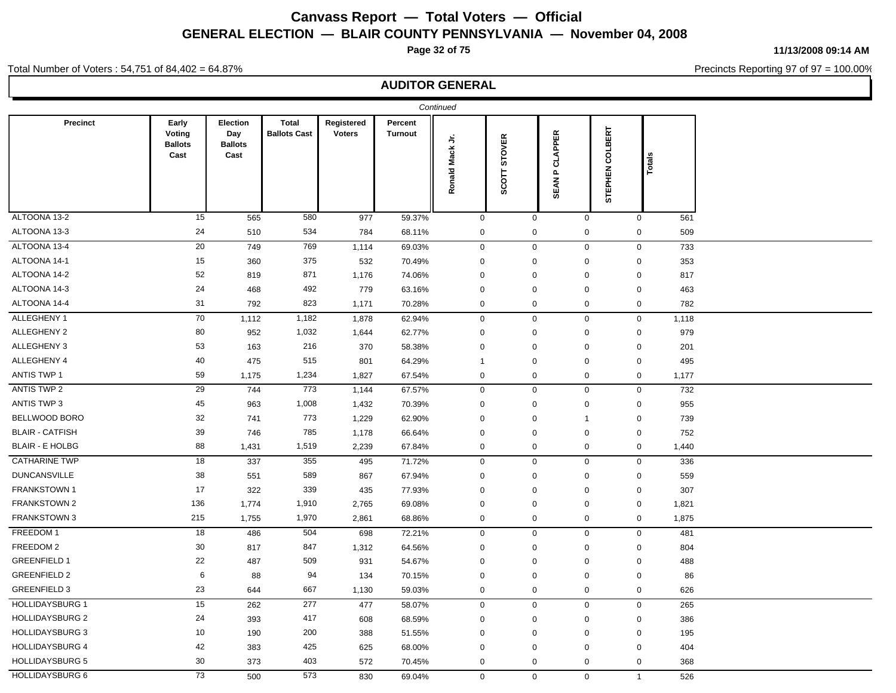**Page 32 of 75**

**11/13/2008 09:14 AM**

Precincts Reporting 97 of 97 = 100.00%

#### Total Number of Voters : 54,751 of 84,402 = 64.87%

|                        |                                           |                                           |                                     |                             |                           | Continued           |                                     |                                   |                    |                              |  |
|------------------------|-------------------------------------------|-------------------------------------------|-------------------------------------|-----------------------------|---------------------------|---------------------|-------------------------------------|-----------------------------------|--------------------|------------------------------|--|
| Precinct               | Early<br>Voting<br><b>Ballots</b><br>Cast | Election<br>Day<br><b>Ballots</b><br>Cast | <b>Total</b><br><b>Ballots Cast</b> | Registered<br><b>Voters</b> | Percent<br><b>Turnout</b> | ち<br>Ronald Mack    | <b>STOVER</b><br>SCOTT <sub>3</sub> | <b>APPER</b><br>ಕ<br><b>SEANP</b> | COLBERT<br>STEPHEN | <b>Totals</b>                |  |
| ALTOONA 13-2           | 15                                        | 565                                       | 580                                 | 977                         | 59.37%                    | $\mathsf{O}\xspace$ | $\mathsf{O}\xspace$                 |                                   | $\mathsf 0$        | $\mathsf 0$<br>561           |  |
| ALTOONA 13-3           | 24                                        | 510                                       | 534                                 | 784                         | 68.11%                    | $\pmb{0}$           | $\mathbf 0$                         | $\mathbf 0$                       |                    | $\mathbf 0$<br>509           |  |
| ALTOONA 13-4           | 20                                        | 749                                       | 769                                 | 1,114                       | 69.03%                    | $\mathbf 0$         |                                     | $\mathbf 0$                       | $\mathbf 0$        | $\mathbf 0$<br>733           |  |
| ALTOONA 14-1           | 15                                        | 360                                       | 375                                 | 532                         | 70.49%                    | $\mathbf 0$         | $\mathbf 0$                         | $\mathbf 0$                       |                    | $\mathbf 0$<br>353           |  |
| ALTOONA 14-2           | 52                                        | 819                                       | 871                                 | 1,176                       | 74.06%                    | $\mathbf 0$         | $\mathbf 0$                         | $\mathbf 0$                       |                    | 817<br>$\mathbf 0$           |  |
| ALTOONA 14-3           | 24                                        | 468                                       | 492                                 | 779                         | 63.16%                    | $\mathbf 0$         | $\mathbf 0$                         | $\mathbf 0$                       |                    | $\mathbf 0$<br>463           |  |
| ALTOONA 14-4           | 31                                        | 792                                       | 823                                 | 1,171                       | 70.28%                    | $\mathbf 0$         | $\mathbf 0$                         | $\mathbf 0$                       |                    | $\mathbf 0$<br>782           |  |
| ALLEGHENY 1            | 70                                        | 1,112                                     | 1,182                               | 1,878                       | 62.94%                    | $\mathbf 0$         | $\mathbf 0$                         | $\mathbf 0$                       |                    | $\mathbf 0$<br>1,118         |  |
| ALLEGHENY 2            | 80                                        | 952                                       | 1,032                               | 1,644                       | 62.77%                    | $\mathbf 0$         | $\mathbf 0$                         | 0                                 |                    | $\mathbf 0$<br>979           |  |
| ALLEGHENY 3            | 53                                        | 163                                       | 216                                 | 370                         | 58.38%                    | $\mathbf 0$         | $\mathbf 0$                         | $\mathbf 0$                       |                    | $\mathbf 0$<br>201           |  |
| ALLEGHENY 4            | 40                                        | 475                                       | 515                                 | 801                         | 64.29%                    | $\mathbf 1$         | $\mathbf 0$                         | $\mathbf 0$                       |                    | $\mathsf{O}\xspace$<br>495   |  |
| <b>ANTIS TWP 1</b>     | 59                                        | 1,175                                     | 1,234                               | 1,827                       | 67.54%                    | $\mathbf 0$         | $\mathbf 0$                         | $\mathbf 0$                       |                    | $\mathbf 0$<br>1,177         |  |
| ANTIS TWP 2            | 29                                        | 744                                       | 773                                 | 1,144                       | 67.57%                    | $\mathbf 0$         |                                     | $\mathbf 0$<br>$\mathbf 0$        |                    | $\mathbf 0$<br>732           |  |
| ANTIS TWP 3            | 45                                        | 963                                       | 1,008                               | 1,432                       | 70.39%                    | $\mathbf 0$         | $\mathbf 0$                         | $\mathbf 0$                       |                    | 955<br>$\mathbf 0$           |  |
| BELLWOOD BORO          | 32                                        | 741                                       | 773                                 | 1,229                       | 62.90%                    | $\mathbf 0$         | $\mathbf 0$                         | $\overline{1}$                    |                    | $\mathbf 0$<br>739           |  |
| <b>BLAIR - CATFISH</b> | 39                                        | 746                                       | 785                                 | 1,178                       | 66.64%                    | $\mathbf 0$         | $\mathbf 0$                         | $\pmb{0}$                         |                    | $\mathbf 0$<br>752           |  |
| <b>BLAIR - E HOLBG</b> | 88                                        | 1,431                                     | 1,519                               | 2,239                       | 67.84%                    | $\mathsf 0$         | $\mathbf 0$                         | $\mathbf 0$                       |                    | $\mathbf 0$<br>1,440         |  |
| <b>CATHARINE TWP</b>   | 18                                        | 337                                       | 355                                 | 495                         | 71.72%                    | $\mathbf 0$         | $\mathbf 0$                         | $\mathbf 0$                       |                    | $\mathbf 0$<br>336           |  |
| <b>DUNCANSVILLE</b>    | $38\,$                                    | 551                                       | 589                                 | 867                         | 67.94%                    | $\mathbf 0$         | $\mathbf 0$                         | $\mathbf 0$                       |                    | 559<br>$\mathbf 0$           |  |
| <b>FRANKSTOWN1</b>     | 17                                        | 322                                       | 339                                 | 435                         | 77.93%                    | $\pmb{0}$           | $\pmb{0}$                           | $\pmb{0}$                         |                    | 307<br>$\mathbf 0$           |  |
| <b>FRANKSTOWN 2</b>    | 136                                       | 1,774                                     | 1,910                               | 2,765                       | 69.08%                    | $\pmb{0}$           | $\pmb{0}$                           | $\mathbf 0$                       |                    | $\mathsf{O}\xspace$<br>1,821 |  |
| <b>FRANKSTOWN 3</b>    | 215                                       | 1,755                                     | 1,970                               | 2,861                       | 68.86%                    | $\mathbf 0$         | $\mathbf 0$                         | $\mathbf 0$                       |                    | $\mathbf 0$<br>1,875         |  |
| FREEDOM 1              | 18                                        | 486                                       | 504                                 | 698                         | 72.21%                    | $\mathbf 0$         | $\mathbf 0$                         | $\mathbf 0$                       |                    | $\mathbf 0$<br>481           |  |
| FREEDOM 2              | 30                                        | 817                                       | 847                                 | 1,312                       | 64.56%                    | $\mathbf 0$         | $\mathbf 0$                         | $\mathbf 0$                       |                    | $\mathbf 0$<br>804           |  |
| <b>GREENFIELD 1</b>    | 22                                        | 487                                       | 509                                 | 931                         | 54.67%                    | $\mathbf 0$         | $\mathbf 0$                         | $\mathbf 0$                       |                    | $\mathbf 0$<br>488           |  |
| <b>GREENFIELD 2</b>    | 6                                         | 88                                        | 94                                  | 134                         | 70.15%                    | $\mathbf 0$         | $\mathbf 0$                         | $\mathbf 0$                       |                    | $\mathbf 0$<br>86            |  |
| <b>GREENFIELD 3</b>    | 23                                        | 644                                       | 667                                 | 1,130                       | 59.03%                    | $\mathsf 0$         | $\mathbf 0$                         | $\mathbf 0$                       |                    | $\mathbf 0$<br>626           |  |
| <b>HOLLIDAYSBURG 1</b> | 15                                        | 262                                       | 277                                 | 477                         | 58.07%                    | $\mathbf 0$         | $\mathsf 0$                         | $\mathbf 0$                       |                    | $\mathbf 0$<br>265           |  |
| <b>HOLLIDAYSBURG 2</b> | 24                                        | 393                                       | 417                                 | 608                         | 68.59%                    | $\mathbf 0$         | $\mathbf 0$                         | 0                                 |                    | $\mathbf 0$<br>386           |  |
| <b>HOLLIDAYSBURG 3</b> | 10                                        | 190                                       | 200                                 | 388                         | 51.55%                    | $\mathbf 0$         | $\mathbf 0$                         | $\mathbf 0$                       |                    | $\mathbf 0$<br>195           |  |
| <b>HOLLIDAYSBURG 4</b> | 42                                        | 383                                       | 425                                 | 625                         | 68.00%                    | 0                   | $\mathbf 0$                         | 0                                 |                    | $\mathbf 0$<br>404           |  |
| <b>HOLLIDAYSBURG 5</b> | 30                                        | 373                                       | 403                                 | 572                         | 70.45%                    | $\mathbf 0$         | $\mathbf 0$                         | $\mathbf 0$                       |                    | $\mathbf 0$<br>368           |  |
| <b>HOLLIDAYSBURG 6</b> | 73                                        | 500                                       | 573                                 | 830                         | 69.04%                    | $\mathbf 0$         | $\mathbf{0}$                        | $\mathbf 0$                       |                    | 526<br>$\mathbf{1}$          |  |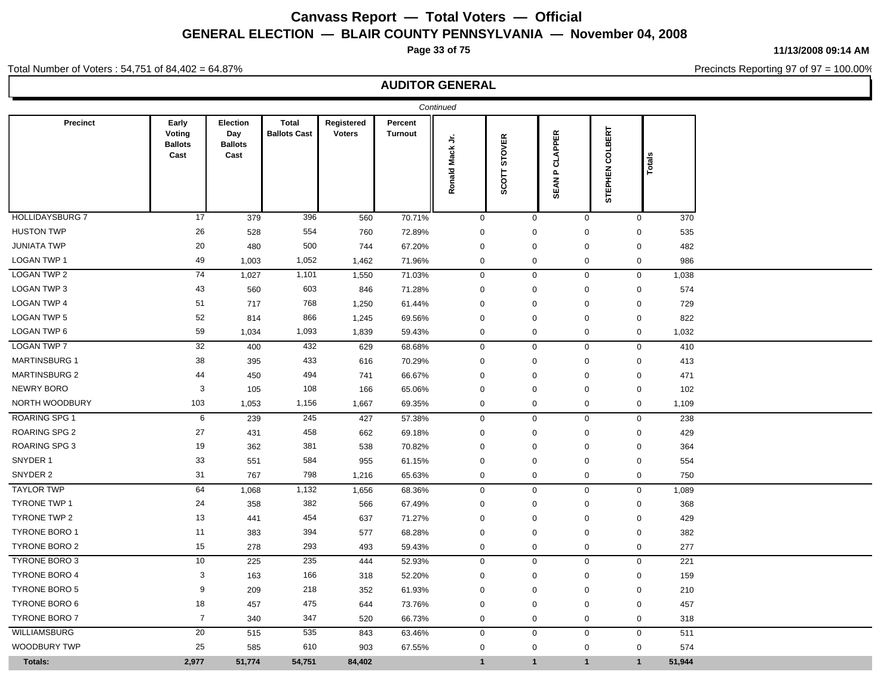**Page 33 of 75**

**11/13/2008 09:14 AM**

Precincts Reporting 97 of 97 = 100.00%

### Total Number of Voters : 54,751 of 84,402 = 64.87%

| Precinct               | Early<br>Voting<br><b>Ballots</b><br>Cast | Election<br>Day<br><b>Ballots</b><br>Cast | <b>Total</b><br><b>Ballots Cast</b> | Registered<br><b>Voters</b> | Percent<br>Turnout | ら            | <b>STOVER</b>      | <b>CLAPPER</b>              | COLBERT      |                  |         |
|------------------------|-------------------------------------------|-------------------------------------------|-------------------------------------|-----------------------------|--------------------|--------------|--------------------|-----------------------------|--------------|------------------|---------|
|                        |                                           |                                           |                                     |                             |                    | Ronald Mack  | SCOTT <sub>3</sub> | $\mathbf{a}$<br><b>SEAN</b> | STEPHEN      |                  | ឌឹ<br>ō |
| <b>HOLLIDAYSBURG 7</b> | 17                                        | 379                                       | 396                                 | 560                         | 70.71%             | $\mathbf 0$  |                    | $\mathbf 0$                 | $\mathbf 0$  | $\mathbf 0$      | 370     |
| <b>HUSTON TWP</b>      | 26                                        | 528                                       | 554                                 | 760                         | 72.89%             | $\mathbf 0$  |                    | $\mathbf 0$                 | $\Omega$     | 0                | 535     |
| <b>JUNIATA TWP</b>     | 20                                        | 480                                       | 500                                 | 744                         | 67.20%             | $\mathbf 0$  |                    | $\mathsf 0$                 | $\mathbf 0$  | $\mathbf 0$      | 482     |
| LOGAN TWP 1            | 49                                        | 1,003                                     | 1,052                               | 1,462                       | 71.96%             | $\mathbf 0$  |                    | $\mathsf 0$                 | $\pmb{0}$    | $\mathbf 0$      | 986     |
| <b>LOGAN TWP 2</b>     | 74                                        | 1,027                                     | 1,101                               | 1,550                       | 71.03%             | $\mathbf 0$  |                    | $\mathbf 0$                 | $\mathbf 0$  | $\mathbf 0$      | 1,038   |
| LOGAN TWP 3            | 43                                        | 560                                       | 603                                 | 846                         | 71.28%             | $\mathbf 0$  |                    | $\mathsf 0$                 | $\mathbf 0$  | $\mathbf 0$      | 574     |
| <b>LOGAN TWP 4</b>     | 51                                        | 717                                       | 768                                 | 1,250                       | 61.44%             | $\mathbf 0$  |                    | $\mathbf 0$                 | $\mathbf 0$  | $\mathbf 0$      | 729     |
| <b>LOGAN TWP 5</b>     | 52                                        | 814                                       | 866                                 | 1,245                       | 69.56%             | $\mathbf 0$  |                    | $\mathbf 0$                 | $\mathbf 0$  | $\mathbf 0$      | 822     |
| LOGAN TWP 6            | 59                                        | 1,034                                     | 1,093                               | 1,839                       | 59.43%             | $\mathbf 0$  |                    | $\mathbf 0$                 | $\mathbf 0$  | $\boldsymbol{0}$ | 1,032   |
| <b>LOGAN TWP 7</b>     | 32                                        | 400                                       | 432                                 | 629                         | 68.68%             | $\mathbf 0$  |                    | $\mathbf 0$                 | $\mathbf 0$  | $\mathbf 0$      | 410     |
| <b>MARTINSBURG 1</b>   | 38                                        | 395                                       | 433                                 | 616                         | 70.29%             | $\mathbf 0$  |                    | $\mathbf 0$                 | $\Omega$     | $\mathbf 0$      | 413     |
| <b>MARTINSBURG 2</b>   | 44                                        | 450                                       | 494                                 | 741                         | 66.67%             | $\mathbf 0$  |                    | $\mathbf 0$                 | $\mathbf 0$  | 0                | 471     |
| <b>NEWRY BORO</b>      | 3                                         | 105                                       | 108                                 | 166                         | 65.06%             | $\mathbf 0$  |                    | $\mathbf 0$                 | $\mathbf 0$  | 0                | 102     |
| NORTH WOODBURY         | 103                                       | 1,053                                     | 1,156                               | 1,667                       | 69.35%             | $\mathbf 0$  |                    | $\mathbf 0$                 | $\mathbf 0$  | $\mathbf 0$      | 1,109   |
| <b>ROARING SPG 1</b>   | 6                                         | 239                                       | 245                                 | 427                         | 57.38%             | $\mathbf 0$  |                    | $\mathbf 0$                 | $\mathbf 0$  | $\mathbf 0$      | 238     |
| <b>ROARING SPG 2</b>   | 27                                        | 431                                       | 458                                 | 662                         | 69.18%             | $\mathbf 0$  |                    | $\mathbf 0$                 | $\mathbf 0$  | $\mathbf 0$      | 429     |
| <b>ROARING SPG 3</b>   | 19                                        | 362                                       | 381                                 | 538                         | 70.82%             | $\mathbf 0$  |                    | $\Omega$                    | $\Omega$     | $\mathbf 0$      | 364     |
| SNYDER 1               | 33                                        | 551                                       | 584                                 | 955                         | 61.15%             | $\mathbf 0$  |                    | $\mathbf 0$                 | $\mathbf 0$  | $\mathbf 0$      | 554     |
| SNYDER 2               | 31                                        | 767                                       | 798                                 | 1,216                       | 65.63%             | $\mathbf 0$  |                    | $\mathbf 0$                 | 0            | $\mathbf 0$      | 750     |
| <b>TAYLOR TWP</b>      | 64                                        | 1,068                                     | 1,132                               | 1,656                       | 68.36%             | $\mathbf 0$  |                    | $\mathbf 0$                 | $\mathbf 0$  | $\mathbf 0$      | 1,089   |
| <b>TYRONE TWP 1</b>    | 24                                        | 358                                       | 382                                 | 566                         | 67.49%             | $\mathbf 0$  |                    | $\mathbf 0$                 | $\mathbf 0$  | $\mathbf 0$      | 368     |
| <b>TYRONE TWP 2</b>    | 13                                        | 441                                       | 454                                 | 637                         | 71.27%             | $\mathbf 0$  |                    | $\mathbf 0$                 | $\Omega$     | 0                | 429     |
| <b>TYRONE BORO 1</b>   | 11                                        | 383                                       | 394                                 | 577                         | 68.28%             | $\mathbf 0$  |                    | $\mathbf 0$                 | $\mathbf 0$  | $\boldsymbol{0}$ | 382     |
| <b>TYRONE BORO 2</b>   | 15                                        | 278                                       | 293                                 | 493                         | 59.43%             | $\mathbf 0$  |                    | $\mathsf 0$                 | $\pmb{0}$    | $\mathbf 0$      | 277     |
| <b>TYRONE BORO 3</b>   | 10                                        | 225                                       | 235                                 | 444                         | 52.93%             | $\mathbf 0$  |                    | $\mathbf 0$                 | $\mathbf 0$  | $\mathbf 0$      | 221     |
| <b>TYRONE BORO 4</b>   | $\mathbf{3}$                              | 163                                       | 166                                 | 318                         | 52.20%             | $\mathbf 0$  |                    | $\mathsf 0$                 | $\mathbf 0$  | $\mathbf 0$      | 159     |
| <b>TYRONE BORO 5</b>   | 9                                         | 209                                       | 218                                 | 352                         | 61.93%             | $\mathbf 0$  |                    | $\mathbf 0$                 | $\mathbf 0$  | 0                | 210     |
| TYRONE BORO 6          | 18                                        | 457                                       | 475                                 | 644                         | 73.76%             | $\mathbf 0$  |                    | $\mathbf 0$                 | $\mathbf 0$  | 0                | 457     |
| <b>TYRONE BORO 7</b>   | $\overline{7}$                            | 340                                       | 347                                 | 520                         | 66.73%             | $\mathbf 0$  |                    | $\mathbf 0$                 | $\pmb{0}$    | $\mathbf 0$      | 318     |
| WILLIAMSBURG           | $20\,$                                    | 515                                       | 535                                 | 843                         | 63.46%             | $\mathbf 0$  |                    | $\mathbf 0$                 | $\mathbf 0$  | $\mathbf 0$      | 511     |
| <b>WOODBURY TWP</b>    | 25                                        | 585                                       | 610                                 | 903                         | 67.55%             | $\mathbf 0$  |                    | $\mathbf 0$                 | $\mathbf 0$  | $\mathbf 0$      | 574     |
| Totals:                | 2,977                                     | 51,774                                    | 54,751                              | 84,402                      |                    | $\mathbf{1}$ |                    | $\mathbf{1}$                | $\mathbf{1}$ | $\mathbf{1}$     | 51,944  |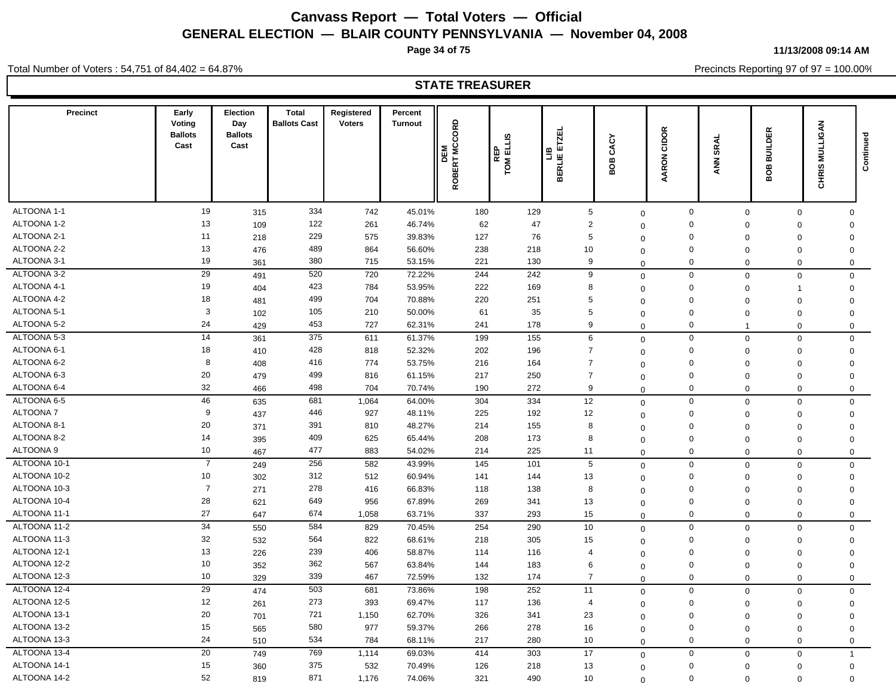**Page 34 of 75**

**11/13/2008 09:14 AM**

Total Number of Voters : 54,751 of 84,402 = 64.87%

Precincts Reporting 97 of 97 = 100.00%

### **STATE TREASURER**

| <b>Precinct</b>  | Early<br>Voting<br><b>Ballots</b><br>Cast | Election<br>Day<br><b>Ballots</b><br>Cast | <b>Total</b><br><b>Ballots Cast</b> | Registered<br><b>Voters</b> | Percent<br><b>Turnout</b> | ROBERT MCCORD<br>固<br>ᄒ | ELLIS<br>ELLIS<br>$\frac{R}{100}$ | ETZEL<br>믑<br>BERLIE | ξ<br>చే<br>පී<br>⋒ | CIDOR<br><b>AARON</b> | SRAL<br>$rac{1}{2}$ | <b>BUILDER</b><br>8<br>m | CHRIS MULLIGAN | Continued |
|------------------|-------------------------------------------|-------------------------------------------|-------------------------------------|-----------------------------|---------------------------|-------------------------|-----------------------------------|----------------------|--------------------|-----------------------|---------------------|--------------------------|----------------|-----------|
| ALTOONA 1-1      | 19                                        | 315                                       | 334                                 | 742                         | 45.01%                    | 180                     | 129                               | $\sqrt{5}$           | $\mathbf 0$        | $\mathbf 0$           | $\mathbf 0$         | $\mathbf 0$              | $\mathbf{0}$   |           |
| ALTOONA 1-2      | 13                                        | 109                                       | 122                                 | 261                         | 46.74%                    | 62                      | 47                                | $\overline{2}$       | $\Omega$           | $\mathbf 0$           | $\mathbf 0$         | $\Omega$                 | $\mathbf 0$    |           |
| ALTOONA 2-1      | 11                                        | 218                                       | 229                                 | 575                         | 39.83%                    | 127                     | 76                                | 5                    | $\Omega$           | $\mathbf 0$           | $\mathbf 0$         | $\mathbf 0$              | $\mathbf 0$    |           |
| ALTOONA 2-2      | 13                                        | 476                                       | 489                                 | 864                         | 56.60%                    | 238                     | 218                               | 10                   | $\Omega$           | 0                     | $\mathbf 0$         | $\mathbf 0$              | $\mathbf 0$    |           |
| ALTOONA 3-1      | 19                                        | 361                                       | 380                                 | 715                         | 53.15%                    | 221                     | 130                               | 9                    | $\Omega$           | $\mathbf 0$           | $\mathbf 0$         | 0                        | $\mathbf 0$    |           |
| ALTOONA 3-2      | 29                                        | 491                                       | 520                                 | 720                         | 72.22%                    | 244                     | 242                               | 9                    | $\mathbf 0$        | $\mathbf 0$           | $\mathbf 0$         | $\mathbf 0$              | $\mathbf 0$    |           |
| ALTOONA 4-1      | 19                                        | 404                                       | 423                                 | 784                         | 53.95%                    | 222                     | 169                               | 8                    | $\Omega$           | $\mathsf 0$           | $\Omega$            | $\overline{1}$           | $\mathbf 0$    |           |
| ALTOONA 4-2      | 18                                        | 481                                       | 499                                 | 704                         | 70.88%                    | 220                     | 251                               | 5                    | $\mathbf 0$        | $\mathbf 0$           | $\mathbf 0$         | $\mathbf 0$              | $\mathsf 0$    |           |
| ALTOONA 5-1      | 3                                         | 102                                       | 105                                 | 210                         | 50.00%                    | 61                      | 35                                | 5                    | 0                  | $\mathbf 0$           | $\mathbf 0$         | $\mathbf 0$              | $\mathsf 0$    |           |
| ALTOONA 5-2      | 24                                        | 429                                       | 453                                 | 727                         | 62.31%                    | 241                     | 178                               | 9                    | $\Omega$           | $\mathbf 0$           |                     | $\mathbf 0$              | $\mathbf 0$    |           |
| ALTOONA 5-3      | 14                                        | 361                                       | 375                                 | 611                         | 61.37%                    | 199                     | 155                               | 6                    | 0                  | $\mathbf 0$           | $\mathbf 0$         | $\mathbf{0}$             | $\mathbf{0}$   |           |
| ALTOONA 6-1      | 18                                        | 410                                       | 428                                 | 818                         | 52.32%                    | 202                     | 196                               | $\overline{7}$       | $\Omega$           | $\mathbf 0$           | $\Omega$            | $\mathbf 0$              | $\mathbf 0$    |           |
| ALTOONA 6-2      | 8                                         | 408                                       | 416                                 | 774                         | 53.75%                    | 216                     | 164                               | $\overline{7}$       | $\Omega$           | $\mathbf 0$           | $\mathbf 0$         | $\mathbf 0$              | $\mathbf 0$    |           |
| ALTOONA 6-3      | 20                                        | 479                                       | 499                                 | 816                         | 61.15%                    | 217                     | 250                               | $\overline{7}$       | $\Omega$           | $\mathbf 0$           | $\mathbf 0$         | $\mathbf 0$              | $\mathbf 0$    |           |
| ALTOONA 6-4      | 32                                        | 466                                       | 498                                 | 704                         | 70.74%                    | 190                     | 272                               | 9                    | $\mathbf 0$        | $\mathbf 0$           | $\Omega$            | $\Omega$                 | $\mathbf 0$    |           |
| ALTOONA 6-5      | $\overline{46}$                           | 635                                       | 681                                 | 1,064                       | 64.00%                    | 304                     | 334                               | 12                   | $\mathbf 0$        | $\mathbf 0$           | $\mathbf 0$         | $\mathbf 0$              | $\mathbf 0$    |           |
| <b>ALTOONA7</b>  | 9                                         | 437                                       | 446                                 | 927                         | 48.11%                    | 225                     | 192                               | 12                   | $\Omega$           | $\mathbf 0$           | $\mathbf 0$         | $\mathbf 0$              | $\mathbf 0$    |           |
| ALTOONA 8-1      | 20                                        | 371                                       | 391                                 | 810                         | 48.27%                    | 214                     | 155                               | 8                    | $\Omega$           | $\mathbf 0$           | $\mathbf 0$         | $\mathbf 0$              | $\mathbf 0$    |           |
| ALTOONA 8-2      | 14                                        | 395                                       | 409                                 | 625                         | 65.44%                    | 208                     | 173                               | 8                    | $\mathbf 0$        | $\mathbf 0$           | $\mathbf 0$         | $\mathbf 0$              | $\mathbf 0$    |           |
| <b>ALTOONA 9</b> | 10                                        | 467                                       | 477                                 | 883                         | 54.02%                    | 214                     | 225                               | 11                   | $\Omega$           | $\mathbf 0$           | $\mathbf 0$         | 0                        | $\mathbf 0$    |           |
| ALTOONA 10-1     | $\overline{7}$                            | 249                                       | 256                                 | 582                         | 43.99%                    | 145                     | 101                               | 5                    | $\mathbf 0$        | $\mathbf 0$           | $\mathbf 0$         | 0                        | $\mathbf 0$    |           |
| ALTOONA 10-2     | 10                                        | 302                                       | 312                                 | 512                         | 60.94%                    | 141                     | 144                               | 13                   | 0                  | $\mathsf 0$           | $\Omega$            | $\Omega$                 | $\mathbf 0$    |           |
| ALTOONA 10-3     | $\overline{7}$                            | 271                                       | 278                                 | 416                         | 66.83%                    | 118                     | 138                               | 8                    | $\mathbf 0$        | $\mathbf 0$           | $\Omega$            | $\Omega$                 | $\mathbf 0$    |           |
| ALTOONA 10-4     | 28                                        | 621                                       | 649                                 | 956                         | 67.89%                    | 269                     | 341                               | 13                   | 0                  | $\mathbf 0$           | $\mathbf 0$         | $\Omega$                 | $\mathsf 0$    |           |
| ALTOONA 11-1     | 27                                        | 647                                       | 674                                 | 1,058                       | 63.71%                    | 337                     | 293                               | 15                   | $\Omega$           | $\mathbf 0$           | $\mathbf 0$         | $\mathbf 0$              | $\mathbf 0$    |           |
| ALTOONA 11-2     | 34                                        | 550                                       | 584                                 | 829                         | 70.45%                    | 254                     | 290                               | 10                   | $\mathbf 0$        | $\mathbf 0$           | $\mathbf 0$         | 0                        | $\mathbf 0$    |           |
| ALTOONA 11-3     | 32                                        | 532                                       | 564                                 | 822                         | 68.61%                    | 218                     | 305                               | 15                   | $\Omega$           | $\mathbf 0$           | $\Omega$            | $\Omega$                 | $\mathbf 0$    |           |
| ALTOONA 12-1     | 13                                        | 226                                       | 239                                 | 406                         | 58.87%                    | 114                     | 116                               | $\overline{4}$       | $\Omega$           | $\mathbf 0$           | $\Omega$            | $\Omega$                 | $\mathbf 0$    |           |
| ALTOONA 12-2     | 10                                        | 352                                       | 362                                 | 567                         | 63.84%                    | 144                     | 183                               | 6                    | $\Omega$           | $\mathbf 0$           | $\mathbf 0$         | $\mathbf 0$              | $\mathbf 0$    |           |
| ALTOONA 12-3     | 10                                        | 329                                       | 339                                 | 467                         | 72.59%                    | 132                     | 174                               | $\overline{7}$       | $\Omega$           | $\mathbf 0$           | $\Omega$            | $\mathbf 0$              | $\mathbf 0$    |           |
| ALTOONA 12-4     | 29                                        | 474                                       | 503                                 | 681                         | 73.86%                    | 198                     | 252                               | 11                   | $\mathbf 0$        | $\mathbf 0$           | $\mathbf 0$         | $\mathbf 0$              | $\mathbf 0$    |           |
| ALTOONA 12-5     | 12                                        | 261                                       | 273                                 | 393                         | 69.47%                    | 117                     | 136                               | $\overline{4}$       | $\mathbf 0$        | $\mathbf 0$           | $\mathbf 0$         | $\Omega$                 | $\mathbf 0$    |           |
| ALTOONA 13-1     | 20                                        | 701                                       | 721                                 | 1,150                       | 62.70%                    | 326                     | 341                               | 23                   | $\mathbf 0$        | $\mathbf 0$           | $\mathbf 0$         | $\mathbf 0$              | $\mathbf 0$    |           |
| ALTOONA 13-2     | 15                                        | 565                                       | 580                                 | 977                         | 59.37%                    | 266                     | 278                               | 16                   | $\mathbf 0$        | $\mathbf 0$           | $\mathbf 0$         | $\mathbf 0$              | $\mathsf 0$    |           |
| ALTOONA 13-3     | 24                                        | 510                                       | 534                                 | 784                         | 68.11%                    | 217                     | 280                               | 10                   | $\Omega$           | $\mathbf 0$           | $\mathbf 0$         | 0                        | $\mathbf 0$    |           |
| ALTOONA 13-4     | 20                                        | 749                                       | 769                                 | 1,114                       | 69.03%                    | 414                     | 303                               | 17                   | $\mathbf 0$        | $\mathsf{O}\xspace$   | $\mathbf 0$         | $\mathbf 0$              | $\mathbf{1}$   |           |
| ALTOONA 14-1     | 15                                        | 360                                       | 375                                 | 532                         | 70.49%                    | 126                     | 218                               | 13                   | 0                  | $\mathbf 0$           | $\Omega$            | $\Omega$                 | $\mathbf 0$    |           |
| ALTOONA 14-2     | 52                                        | 819                                       | 871                                 | 1,176                       | 74.06%                    | 321                     | 490                               | 10                   | $\Omega$           | $\mathbf 0$           | $\mathbf 0$         | $\mathbf 0$              | $\mathbf{0}$   |           |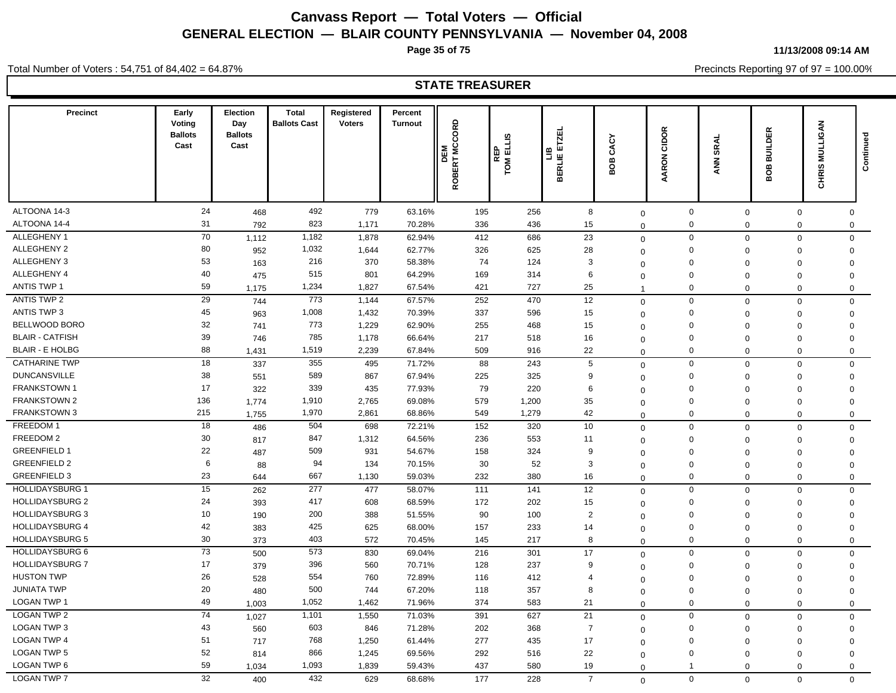**Page 35 of 75**

**11/13/2008 09:14 AM**

Total Number of Voters : 54,751 of 84,402 = 64.87%

Precincts Reporting 97 of 97 = 100.00%

### **STATE TREASURER**

| <b>Precinct</b>              | Early<br>Voting<br><b>Ballots</b><br>Cast | <b>Election</b><br>Day<br><b>Ballots</b><br>Cast | <b>Total</b><br><b>Ballots Cast</b> | Registered<br><b>Voters</b> | Percent<br><b>Turnout</b> | ROBERT MCCORD<br>DEM | EL US<br>EL US<br>$\overline{\mathbb{F}}$ $\overline{\mathbb{F}}$ | <b>ETZEL</b><br>۹.<br><b>BERLIE</b> | ج<br>చే<br>m<br>ō<br>ŏ  | CIDOR<br><b>AARON</b>      | ANN SRAL                | <b>BUILDER</b><br>80B       | <b>MULLIGAN</b><br><b>CHRIS</b> | Continued |
|------------------------------|-------------------------------------------|--------------------------------------------------|-------------------------------------|-----------------------------|---------------------------|----------------------|-------------------------------------------------------------------|-------------------------------------|-------------------------|----------------------------|-------------------------|-----------------------------|---------------------------------|-----------|
|                              |                                           |                                                  |                                     |                             |                           |                      |                                                                   |                                     |                         |                            |                         |                             |                                 |           |
| ALTOONA 14-3<br>ALTOONA 14-4 | 24<br>31                                  | 468                                              | 492<br>823                          | 779<br>1,171                | 63.16%<br>70.28%          | 195<br>336           | 256<br>436                                                        | 8<br>15                             | $\mathbf 0$             | 0<br>$\mathbf 0$           | $\mathbf 0$             | 0                           | $\mathbf 0$                     |           |
| ALLEGHENY 1                  | 70                                        | 792                                              | 1,182                               | 1,878                       | 62.94%                    | 412                  | 686                                                               | 23                                  | $\mathbf 0$             | $\mathbf 0$                | $\mathbf 0$             | $\mathbf 0$<br>$\mathbf{0}$ | $\mathbf 0$                     |           |
| ALLEGHENY 2                  | 80                                        | 1,112                                            | 1,032                               |                             |                           |                      |                                                                   |                                     | $\mathbf 0$             |                            | $\mathbf 0$             |                             | $\mathbf 0$                     |           |
| ALLEGHENY 3                  | 53                                        | 952                                              | 216                                 | 1,644<br>370                | 62.77%<br>58.38%          | 326<br>74            | 625<br>124                                                        | 28<br>$\mathbf{3}$                  | $\mathbf 0$             | $\mathbf 0$<br>$\mathbf 0$ | $\mathbf 0$             | $\mathbf 0$                 | $\mathbf 0$                     |           |
| ALLEGHENY 4                  | 40                                        | 163                                              | 515                                 | 801                         | 64.29%                    | 169                  | 314                                                               | 6                                   | $\Omega$                | $\mathbf 0$                | $\mathbf 0$             | $\mathbf 0$                 | $\mathbf 0$                     |           |
| <b>ANTIS TWP 1</b>           | 59                                        | 475                                              | 1,234                               | 1,827                       | 67.54%                    | 421                  | 727                                                               | 25                                  | $\mathbf 0$             | $\Omega$                   | $\mathbf 0$<br>$\Omega$ | $\mathbf 0$<br>$\Omega$     | $\mathbf 0$                     |           |
| <b>ANTIS TWP 2</b>           | 29                                        | 1,175                                            | 773                                 | 1,144                       |                           | 252                  | 470                                                               | 12                                  | $\overline{\mathbf{1}}$ | $\mathbf 0$                |                         |                             | $\mathsf 0$                     |           |
| <b>ANTIS TWP 3</b>           | 45                                        | 744                                              | 1,008                               | 1,432                       | 67.57%<br>70.39%          | 337                  | 596                                                               |                                     | $\mathbf 0$             |                            | $\mathbf 0$             | 0                           | $\mathbf 0$                     |           |
| BELLWOOD BORO                | 32                                        | 963                                              | 773                                 |                             |                           |                      |                                                                   | 15                                  | $\Omega$                | $\mathsf 0$                | $\Omega$                | $\Omega$                    | $\mathsf 0$                     |           |
| <b>BLAIR - CATFISH</b>       | 39                                        | 741                                              | 785                                 | 1,229<br>1,178              | 62.90%                    | 255<br>217           | 468                                                               | 15                                  | $\mathbf 0$             | $\mathbf 0$<br>$\Omega$    | $\Omega$                | $\Omega$                    | $\mathsf 0$                     |           |
| <b>BLAIR - E HOLBG</b>       | 88                                        | 746                                              |                                     |                             | 66.64%                    |                      | 518                                                               | 16                                  | $\mathbf 0$             |                            | $\Omega$                | $\Omega$                    | $\mathbf 0$                     |           |
|                              |                                           | 1,431                                            | 1,519                               | 2,239                       | 67.84%                    | 509                  | 916                                                               | 22                                  | $\mathbf 0$             | $\mathbf 0$                | $\mathbf 0$             | $\mathbf 0$                 | $\mathsf 0$                     |           |
| <b>CATHARINE TWP</b>         | 18                                        | 337                                              | 355                                 | 495                         | 71.72%                    | 88                   | 243                                                               | 5                                   | $\mathbf 0$             | $\mathbf 0$                | $\mathbf 0$             | $\mathbf 0$                 | $\mathsf 0$                     |           |
| <b>DUNCANSVILLE</b>          | 38                                        | 551                                              | 589                                 | 867                         | 67.94%                    | 225                  | 325                                                               | 9                                   | $\Omega$                | $\mathbf 0$                | $\mathbf 0$             | 0                           | $\mathsf 0$                     |           |
| FRANKSTOWN 1                 | 17                                        | 322                                              | 339                                 | 435                         | 77.93%                    | 79                   | 220                                                               | 6                                   | $\mathbf 0$             | $\mathbf 0$                | $\Omega$                | $\Omega$                    | $\mathbf 0$                     |           |
| FRANKSTOWN 2                 | 136                                       | 1,774                                            | 1,910                               | 2,765                       | 69.08%                    | 579                  | 1,200                                                             | 35                                  | $\mathbf 0$             | $\Omega$                   | $\Omega$                | $\Omega$                    | $\mathbf 0$                     |           |
| FRANKSTOWN 3                 | 215                                       | 1,755                                            | 1,970                               | 2,861                       | 68.86%                    | 549                  | 1,279                                                             | 42                                  | $\Omega$                | $\mathbf 0$                | $\mathbf 0$             | $\mathbf 0$                 | $\mathbf 0$                     |           |
| FREEDOM 1                    | 18                                        | 486                                              | 504                                 | 698                         | 72.21%                    | 152                  | 320                                                               | 10                                  | $\Omega$                | $\mathbf 0$                | $\mathbf 0$             | 0                           | $\mathbf 0$                     |           |
| FREEDOM 2                    | $30\,$                                    | 817                                              | 847                                 | 1,312                       | 64.56%                    | 236                  | 553                                                               | 11                                  | $\mathbf 0$             | $\mathbf 0$                | $\Omega$                | $\Omega$                    | $\mathbf 0$                     |           |
| <b>GREENFIELD 1</b>          | 22                                        | 487                                              | 509                                 | 931                         | 54.67%                    | 158                  | 324                                                               | 9                                   | $\mathbf 0$             | $\Omega$                   | $\Omega$                | $\Omega$                    | $\mathbf 0$                     |           |
| <b>GREENFIELD 2</b>          | 6                                         | 88                                               | 94                                  | 134                         | 70.15%                    | 30                   | 52                                                                | 3                                   | $\mathbf 0$             | $\mathbf 0$                | $\mathbf 0$             | $\mathbf 0$                 | $\mathbf 0$                     |           |
| <b>GREENFIELD 3</b>          | 23                                        | 644                                              | 667                                 | 1,130                       | 59.03%                    | 232                  | 380                                                               | 16                                  | $\mathbf 0$             | $\mathbf 0$                | $\mathbf 0$             | $\mathbf 0$                 | $\mathbf 0$                     |           |
| <b>HOLLIDAYSBURG 1</b>       | 15                                        | 262                                              | 277                                 | 477                         | 58.07%                    | 111                  | 141                                                               | 12                                  | $\Omega$                | $\mathbf 0$                | $\mathbf 0$             | $\mathbf 0$                 | $\mathbf 0$                     |           |
| <b>HOLLIDAYSBURG 2</b>       | 24                                        | 393                                              | 417                                 | 608                         | 68.59%                    | 172                  | 202                                                               | 15                                  | $\mathbf 0$             | $\mathbf 0$                | $\mathbf 0$             | $\Omega$                    | $\mathbf 0$                     |           |
| <b>HOLLIDAYSBURG 3</b>       | 10                                        | 190                                              | 200                                 | 388                         | 51.55%                    | 90                   | 100                                                               | $\overline{2}$                      | $\Omega$                | $\Omega$                   | $\mathbf 0$             | $\mathbf 0$                 | $\mathbf 0$                     |           |
| <b>HOLLIDAYSBURG 4</b>       | 42                                        | 383                                              | 425                                 | 625                         | 68.00%                    | 157                  | 233                                                               | 14                                  | $\mathbf 0$             | $\mathbf 0$                | $\mathbf 0$             | 0                           | $\mathbf 0$                     |           |
| <b>HOLLIDAYSBURG 5</b>       | 30                                        | 373                                              | 403                                 | 572                         | 70.45%                    | 145                  | 217                                                               | 8                                   | $\mathbf 0$             | $\mathbf 0$                | $\Omega$                | $\mathbf 0$                 | $\mathbf 0$                     |           |
| <b>HOLLIDAYSBURG 6</b>       | $\overline{73}$                           | 500                                              | 573                                 | 830                         | 69.04%                    | 216                  | 301                                                               | 17                                  | $\mathbf 0$             | $\mathbf 0$                | $\mathbf 0$             | $\mathbf 0$                 | $\mathbf 0$                     |           |
| <b>HOLLIDAYSBURG 7</b>       | 17                                        | 379                                              | 396                                 | 560                         | 70.71%                    | 128                  | 237                                                               | 9                                   | $\mathbf 0$             | $\mathbf 0$                | $\mathbf 0$             | $\mathbf 0$                 | $\mathbf 0$                     |           |
| <b>HUSTON TWP</b>            | 26                                        | 528                                              | 554                                 | 760                         | 72.89%                    | 116                  | 412                                                               | $\overline{4}$                      | $\Omega$                | $\Omega$                   | $\Omega$                | $\Omega$                    | $\mathbf 0$                     |           |
| <b>JUNIATA TWP</b>           | 20                                        | 480                                              | 500                                 | 744                         | 67.20%                    | 118                  | 357                                                               | 8                                   | $\mathbf 0$             | $\mathbf 0$                | $\mathbf 0$             | $\Omega$                    | $\mathsf 0$                     |           |
| <b>LOGAN TWP 1</b>           | 49                                        | 1,003                                            | 1,052                               | 1,462                       | 71.96%                    | 374                  | 583                                                               | 21                                  | $\Omega$                | $\Omega$                   | $\Omega$                | $\mathbf 0$                 | $\mathsf 0$                     |           |
| <b>LOGAN TWP 2</b>           | 74                                        | 1,027                                            | 1,101                               | 1,550                       | 71.03%                    | 391                  | 627                                                               | 21                                  | $\mathbf 0$             | $\mathbf 0$                | $\Omega$                | $\Omega$                    | $\mathbf 0$                     |           |
| <b>LOGAN TWP 3</b>           | 43                                        | 560                                              | 603                                 | 846                         | 71.28%                    | 202                  | 368                                                               | $\overline{7}$                      | $\Omega$                | $\mathbf 0$                | $\Omega$                | $\mathbf 0$                 | $\mathbf 0$                     |           |
| <b>LOGAN TWP 4</b>           | 51                                        | 717                                              | 768                                 | 1,250                       | 61.44%                    | 277                  | 435                                                               | 17                                  | $\Omega$                | $\mathbf 0$                | $\Omega$                | $\Omega$                    | $\mathbf 0$                     |           |
| <b>LOGAN TWP 5</b>           | 52                                        | 814                                              | 866                                 | 1,245                       | 69.56%                    | 292                  | 516                                                               | 22                                  | $\mathbf 0$             | $\mathbf 0$                | $\mathbf 0$             | $\Omega$                    | $\mathbf 0$                     |           |
| LOGAN TWP 6                  | 59                                        | 1,034                                            | 1,093                               | 1,839                       | 59.43%                    | 437                  | 580                                                               | 19                                  | $\Omega$                | $\mathbf{1}$               | $\Omega$                | $\mathbf 0$                 | $\mathbf 0$                     |           |
| <b>LOGAN TWP 7</b>           | 32                                        | 400                                              | 432                                 | 629                         | 68.68%                    | 177                  | 228                                                               | $\overline{7}$                      | $\Omega$                | $\Omega$                   | $\Omega$                | $\Omega$                    | $\mathbf 0$                     |           |
|                              |                                           |                                                  |                                     |                             |                           |                      |                                                                   |                                     |                         |                            |                         |                             |                                 |           |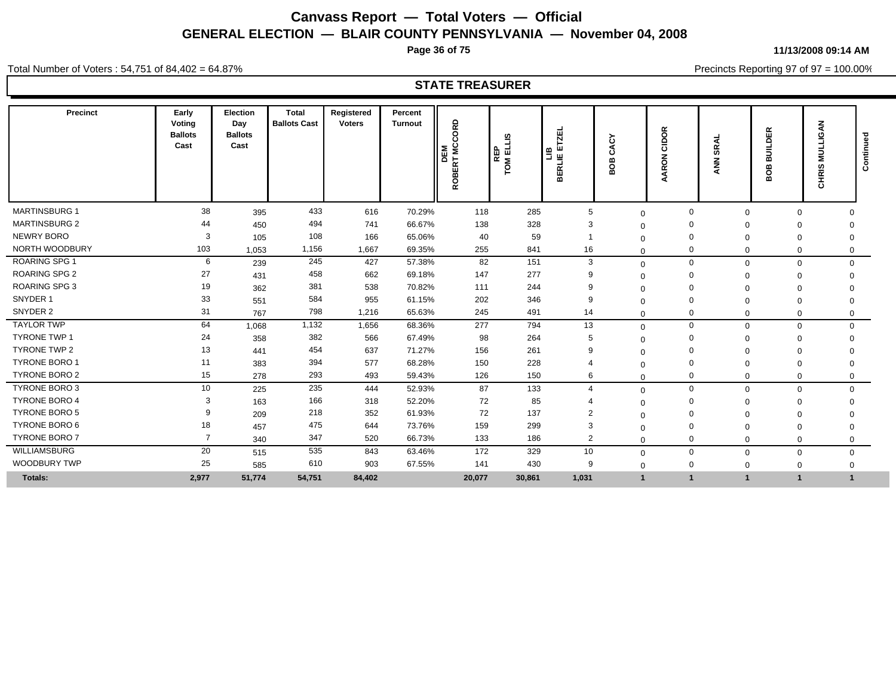**Page 36 of 75**

**11/13/2008 09:14 AM**

Total Number of Voters : 54,751 of 84,402 = 64.87%

Precincts Reporting 97 of 97 = 100.00%

### **STATE TREASURER**

| <b>Precinct</b>      | Early<br>Voting<br><b>Ballots</b><br>Cast | Election<br>Day<br><b>Ballots</b><br>Cast | Total<br><b>Ballots Cast</b> | Registered<br><b>Voters</b> | Percent<br><b>Turnout</b> | <b>MCCORD</b><br>DEM<br><b>BERT</b><br><b>Q</b> | ဖာ<br>⊞<br>面<br>$\propto$<br>ŠΜ | 周<br>ÌЦ<br>≃<br>뿤<br>홊<br>⋒ | Č١<br>ť<br>≃<br>ō<br>m | $\alpha$<br>$\circ$<br>◠<br>ပ<br>る<br>ğ | န္တ<br><b>Z</b> | <b>BUILDER</b><br>g<br>⋒ | ट्<br>ЭП<br>W<br><b>CHRIS</b> | gau<br>Contin |
|----------------------|-------------------------------------------|-------------------------------------------|------------------------------|-----------------------------|---------------------------|-------------------------------------------------|---------------------------------|-----------------------------|------------------------|-----------------------------------------|-----------------|--------------------------|-------------------------------|---------------|
| <b>MARTINSBURG 1</b> | 38                                        | 395                                       | 433                          | 616                         | 70.29%                    | 118                                             | 285                             | 5                           | $\mathbf{0}$           | $\Omega$                                | $\Omega$        | $\mathbf 0$              | $\Omega$                      |               |
| <b>MARTINSBURG 2</b> | 44                                        | 450                                       | 494                          | 741                         | 66.67%                    | 138                                             | 328                             | 3                           | $\Omega$               |                                         |                 | $\Omega$                 | $\Omega$                      |               |
| <b>NEWRY BORO</b>    | 3                                         | 105                                       | 108                          | 166                         | 65.06%                    | 40                                              | 59                              |                             | $\Omega$               |                                         | $\Omega$        | $\Omega$                 | 0                             |               |
| NORTH WOODBURY       | 103                                       | 1,053                                     | 1,156                        | 1,667                       | 69.35%                    | 255                                             | 841                             | 16                          | $\mathbf 0$            | 0                                       | $\Omega$        | 0                        | 0                             |               |
| <b>ROARING SPG 1</b> | 6                                         | 239                                       | 245                          | 427                         | 57.38%                    | 82                                              | 151                             | 3                           | $\Omega$               | $\Omega$                                | $\Omega$        | $\mathbf 0$              | $\mathbf 0$                   |               |
| <b>ROARING SPG 2</b> | 27                                        | 431                                       | 458                          | 662                         | 69.18%                    | 147                                             | 277                             | 9                           | $\Omega$               |                                         | $\Omega$        | $\mathbf 0$              | $\Omega$                      |               |
| <b>ROARING SPG 3</b> | 19                                        | 362                                       | 381                          | 538                         | 70.82%                    | 111                                             | 244                             | 9                           | $\Omega$               |                                         |                 | $\Omega$                 |                               |               |
| SNYDER 1             | 33                                        | 551                                       | 584                          | 955                         | 61.15%                    | 202                                             | 346                             | 9                           | $\Omega$               |                                         |                 | 0                        | $\Omega$                      |               |
| SNYDER 2             | 31                                        | 767                                       | 798                          | 1,216                       | 65.63%                    | 245                                             | 491                             | 14                          | $\Omega$               | 0                                       | $\Omega$        | $\Omega$                 | 0                             |               |
| <b>TAYLOR TWP</b>    | 64                                        | 1,068                                     | 1,132                        | 1,656                       | 68.36%                    | 277                                             | 794                             | 13                          | $\mathbf{0}$           | $\mathbf 0$                             | $\Omega$        | $\mathbf 0$              | $\mathbf 0$                   |               |
| <b>TYRONE TWP 1</b>  | 24                                        | 358                                       | 382                          | 566                         | 67.49%                    | 98                                              | 264                             | 5                           | ∩                      |                                         |                 | 0                        | $\Omega$                      |               |
| TYRONE TWP 2         | 13                                        | 441                                       | 454                          | 637                         | 71.27%                    | 156                                             | 261                             | 9                           | $\Omega$               |                                         |                 | 0                        |                               |               |
| TYRONE BORO 1        | 11                                        | 383                                       | 394                          | 577                         | 68.28%                    | 150                                             | 228                             |                             | $\Omega$               |                                         |                 | $\Omega$                 | 0                             |               |
| <b>TYRONE BORO 2</b> | 15                                        | 278                                       | 293                          | 493                         | 59.43%                    | 126                                             | 150                             | 6                           | $\Omega$               | 0                                       | $\Omega$        | $\mathbf 0$              | $\mathbf 0$                   |               |
| <b>TYRONE BORO 3</b> | 10                                        | 225                                       | 235                          | 444                         | 52.93%                    | 87                                              | 133                             | $\overline{4}$              | $\Omega$               | $\Omega$                                | $\Omega$        | $\mathbf 0$              | $\mathbf 0$                   |               |
| <b>TYRONE BORO 4</b> | 3                                         | 163                                       | 166                          | 318                         | 52.20%                    | 72                                              | 85                              |                             | $\Omega$               |                                         |                 | 0                        | $\Omega$                      |               |
| <b>TYRONE BORO 5</b> |                                           | 209                                       | 218                          | 352                         | 61.93%                    | 72                                              | 137                             | $\overline{2}$              | $\Omega$               |                                         |                 | $\mathbf 0$              | $\Omega$                      |               |
| TYRONE BORO 6        | 18                                        | 457                                       | 475                          | 644                         | 73.76%                    | 159                                             | 299                             | 3                           | $\Omega$               |                                         | $\Omega$        | 0                        | $\Omega$                      |               |
| <b>TYRONE BORO 7</b> | $\overline{7}$                            | 340                                       | 347                          | 520                         | 66.73%                    | 133                                             | 186                             | $\overline{2}$              | $\Omega$               | 0                                       | $\Omega$        | $\mathbf 0$              | $\Omega$                      |               |
| WILLIAMSBURG         | 20                                        | 515                                       | 535                          | 843                         | 63.46%                    | 172                                             | 329                             | 10                          | $\mathbf{0}$           | $\mathbf 0$                             | $\Omega$        | $\mathbf 0$              | $\mathbf 0$                   |               |
| <b>WOODBURY TWP</b>  | 25                                        | 585                                       | 610                          | 903                         | 67.55%                    | 141                                             | 430                             | 9                           | $\mathbf{0}$           | $\mathbf 0$                             | $\Omega$        | $\mathbf 0$              | 0                             |               |
| <b>Totals:</b>       | 2,977                                     | 51,774                                    | 54,751                       | 84,402                      |                           | 20,077                                          | 30,861                          | 1,031                       |                        |                                         |                 |                          |                               |               |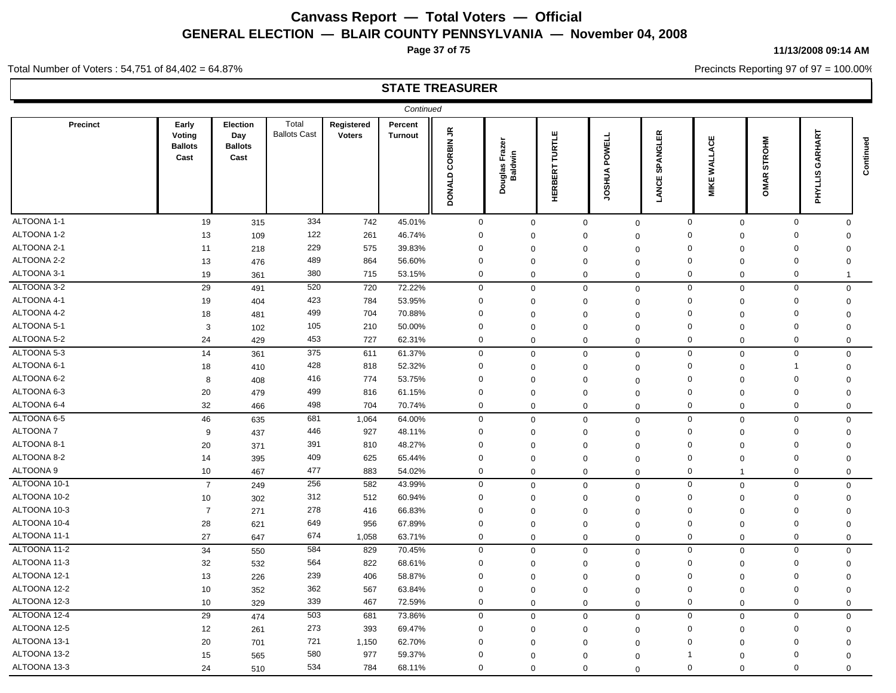**Page 37 of 75**

**11/13/2008 09:14 AM**

Precincts Reporting 97 of 97 = 100.00%

Total Number of Voters : 54,751 of 84,402 = 64.87%

|                 |                                           |                                           |                              |                             | Continued                 |                                       |                                 |                          |                                |                           |                     |                |                      |                         |           |
|-----------------|-------------------------------------------|-------------------------------------------|------------------------------|-----------------------------|---------------------------|---------------------------------------|---------------------------------|--------------------------|--------------------------------|---------------------------|---------------------|----------------|----------------------|-------------------------|-----------|
| <b>Precinct</b> | Early<br>Voting<br><b>Ballots</b><br>Cast | Election<br>Day<br><b>Ballots</b><br>Cast | Total<br><b>Ballots Cast</b> | Registered<br><b>Voters</b> | Percent<br><b>Turnout</b> | $\tilde{\vec{r}}$<br>CORBIN<br>DONALD | raze<br>Douglas Fraz<br>Baldwin | TURTLE<br><b>HERBERT</b> | <b>POWELL</b><br><b>JOSHUA</b> | 띥<br>SPANGL<br>ш<br>LANCI | <b>MIKE WALLACE</b> | $\propto$      | <b>STROHM</b><br>OMA | GARHART<br>ഗ<br>PHYLLIS | Continued |
| ALTOONA 1-1     | 19                                        | 315                                       | 334                          | 742                         | 45.01%                    | $\mathbf 0$                           | $\mathbf 0$                     |                          | $\mathbf 0$                    | $\mathbf 0$               | $\mathbf 0$         | $\mathbf 0$    | $\mathbf 0$          | $\mathbf 0$             |           |
| ALTOONA 1-2     | 13                                        | 109                                       | 122                          | 261                         | 46.74%                    | $\mathbf 0$                           | $\mathbf 0$                     |                          | $\mathbf 0$                    | $\Omega$                  | $\Omega$            | $\mathbf 0$    | $\mathbf 0$          | $\Omega$                |           |
| ALTOONA 2-1     | 11                                        | 218                                       | 229                          | 575                         | 39.83%                    | $\mathbf 0$                           | $\mathbf 0$                     |                          | $\Omega$                       | $\Omega$                  | $\Omega$            | $\Omega$       | $\mathbf 0$          | $\Omega$                |           |
| ALTOONA 2-2     | 13                                        | 476                                       | 489                          | 864                         | 56.60%                    | $\mathbf 0$                           | $\Omega$                        |                          | $\Omega$                       | $\mathbf 0$               | $\Omega$            | $\mathbf 0$    | $\mathbf 0$          | $\mathbf 0$             |           |
| ALTOONA 3-1     | 19                                        | 361                                       | 380                          | 715                         | 53.15%                    | $\mathbf 0$                           | $\mathbf 0$                     |                          | $\mathbf 0$                    | $\mathbf 0$               | $\mathbf 0$         | $\mathbf 0$    | $\mathbf 0$          | -1                      |           |
| ALTOONA 3-2     | 29                                        | 491                                       | 520                          | 720                         | 72.22%                    | $\mathbf 0$                           | $\mathbf 0$                     |                          | $\mathbf 0$                    | $\mathbf 0$               | $\mathbf 0$         | $\mathbf 0$    | $\mathbf 0$          | $\mathbf 0$             |           |
| ALTOONA 4-1     | 19                                        | 404                                       | 423                          | 784                         | 53.95%                    | $\mathbf 0$                           | $\mathbf 0$                     |                          | $\mathbf 0$                    | $\Omega$                  | $\mathbf 0$         | $\mathbf 0$    | $\mathbf 0$          | $\mathbf 0$             |           |
| ALTOONA 4-2     | 18                                        | 481                                       | 499                          | 704                         | 70.88%                    | $\mathbf 0$                           | $\mathbf 0$                     |                          | $\Omega$                       | $\Omega$                  | $\Omega$            | $\Omega$       | 0                    | $\Omega$                |           |
| ALTOONA 5-1     | 3                                         | 102                                       | 105                          | 210                         | 50.00%                    | $\Omega$                              | $\mathbf 0$                     |                          | $\mathbf 0$                    | $\mathbf 0$               | 0                   | $\mathbf 0$    | $\mathbf 0$          | $\mathbf 0$             |           |
| ALTOONA 5-2     | 24                                        | 429                                       | 453                          | 727                         | 62.31%                    | $\mathbf 0$                           | $\mathbf 0$                     |                          | $\mathbf 0$                    | $\mathbf{0}$              | $\mathbf 0$         | $\mathbf 0$    | $\mathbf 0$          | $\mathbf 0$             |           |
| ALTOONA 5-3     | 14                                        | 361                                       | 375                          | 611                         | 61.37%                    | $\mathbf 0$                           | $\mathbf 0$                     |                          | $\Omega$                       | $\mathbf{0}$              | $\mathbf 0$         | $\mathbf 0$    | $\mathbf 0$          | $\mathbf 0$             |           |
| ALTOONA 6-1     | 18                                        | 410                                       | 428                          | 818                         | 52.32%                    | $\mathbf 0$                           | $\mathbf 0$                     |                          | $\Omega$                       | $\mathbf 0$               | $\mathbf 0$         | $\mathbf 0$    | $\overline{1}$       | $\mathbf 0$             |           |
| ALTOONA 6-2     | 8                                         | 408                                       | 416                          | 774                         | 53.75%                    | $\mathbf 0$                           | $\mathbf 0$                     |                          | $\Omega$                       | $\Omega$                  | $\Omega$            | $\Omega$       | $\mathbf 0$          | $\Omega$                |           |
| ALTOONA 6-3     | 20                                        | 479                                       | 499                          | 816                         | 61.15%                    | $\Omega$                              | $\mathbf 0$                     |                          | $\mathbf 0$                    | $\mathbf 0$               | $\Omega$            | $\mathbf 0$    | $\mathbf 0$          | $\mathbf 0$             |           |
| ALTOONA 6-4     | 32                                        | 466                                       | 498                          | 704                         | 70.74%                    | $\mathbf 0$                           | $\mathbf 0$                     |                          | $\mathbf 0$                    | $\Omega$                  | $\mathbf 0$         | $\mathbf 0$    | $\mathbf 0$          | $\mathbf 0$             |           |
| ALTOONA 6-5     | 46                                        | 635                                       | 681                          | 1,064                       | 64.00%                    | $\mathbf 0$                           | $\mathbf 0$                     |                          | $\mathbf 0$                    | $\Omega$                  | $\mathbf 0$         | $\mathbf 0$    | $\mathbf{0}$         | $\mathbf 0$             |           |
| ALTOONA 7       | 9                                         | 437                                       | 446                          | 927                         | 48.11%                    | $\mathbf 0$                           | $\mathbf 0$                     |                          | $\mathbf 0$                    | $\Omega$                  | $\mathbf 0$         | $\mathbf 0$    | $\mathbf 0$          | $\mathbf 0$             |           |
| ALTOONA 8-1     | 20                                        | 371                                       | 391                          | 810                         | 48.27%                    | $\Omega$                              | $\mathbf 0$                     |                          | $\Omega$                       | $\Omega$                  | $\Omega$            | $\Omega$       | $\mathbf 0$          | $\Omega$                |           |
| ALTOONA 8-2     | 14                                        | 395                                       | 409                          | 625                         | 65.44%                    | $\mathbf 0$                           | $\mathbf 0$                     |                          | $\mathbf 0$                    | $\mathbf 0$               | $\mathbf 0$         | $\mathbf 0$    | $\mathbf 0$          | $\mathbf 0$             |           |
| ALTOONA 9       | 10                                        | 467                                       | 477                          | 883                         | 54.02%                    | $\mathbf 0$                           | $\mathbf 0$                     |                          | $\mathbf 0$                    | $\mathbf 0$               | $\mathbf 0$         | $\overline{1}$ | $\mathbf 0$          | $\mathbf 0$             |           |
| ALTOONA 10-1    | $\overline{7}$                            | 249                                       | 256                          | 582                         | 43.99%                    | $\mathbf 0$                           | $\mathbf 0$                     |                          | $\mathbf 0$                    | $\mathbf 0$               | $\mathbf 0$         | $\pmb{0}$      | $\mathbf 0$          | $\Omega$                |           |
| ALTOONA 10-2    | 10                                        | 302                                       | 312                          | 512                         | 60.94%                    | $\mathbf 0$                           | $\mathbf 0$                     |                          | $\Omega$                       | $\mathbf 0$               | $\mathbf 0$         | $\mathbf 0$    | $\mathbf 0$          | $\mathbf 0$             |           |
| ALTOONA 10-3    | $\overline{7}$                            | 271                                       | 278                          | 416                         | 66.83%                    | $\Omega$                              | $\mathbf 0$                     |                          | $\Omega$                       | $\Omega$                  | $\mathbf 0$         | $\Omega$       | $\mathbf 0$          | $\Omega$                |           |
| ALTOONA 10-4    | 28                                        | 621                                       | 649                          | 956                         | 67.89%                    | $\mathbf 0$                           | $\mathbf 0$                     |                          | $\mathbf 0$                    | $\Omega$                  | $\Omega$            | $\mathbf 0$    | $\mathbf 0$          | $\mathbf 0$             |           |
| ALTOONA 11-1    | 27                                        | 647                                       | 674                          | 1,058                       | 63.71%                    | $\mathbf 0$                           | $\mathbf 0$                     |                          | $\mathbf 0$                    | $\Omega$                  | $\mathbf 0$         | $\mathbf 0$    | $\mathbf 0$          | $\mathbf 0$             |           |
| ALTOONA 11-2    | 34                                        | 550                                       | 584                          | 829                         | 70.45%                    | 0                                     | $\mathbf 0$                     |                          | $\mathbf 0$                    | $\mathbf 0$               | $\Omega$            | $\mathbf 0$    | $\mathbf 0$          | $\Omega$                |           |
| ALTOONA 11-3    | 32                                        | 532                                       | 564                          | 822                         | 68.61%                    | $\mathbf 0$                           | $\mathbf 0$                     |                          | $\mathbf 0$                    | $\Omega$                  | $\mathbf 0$         | $\mathbf 0$    | $\mathbf 0$          | $\mathbf 0$             |           |
| ALTOONA 12-1    | 13                                        | 226                                       | 239                          | 406                         | 58.87%                    | $\mathbf 0$                           | $\mathbf 0$                     |                          | $\mathbf 0$                    | $\Omega$                  | $\Omega$            | $\mathbf 0$    | $\mathbf 0$          | $\Omega$                |           |
| ALTOONA 12-2    | 10                                        | 352                                       | 362                          | 567                         | 63.84%                    | $\mathbf 0$                           | $\mathbf 0$                     |                          | $\Omega$                       | $\mathbf 0$               | $\Omega$            | $\mathbf 0$    | $\mathbf 0$          | $\mathbf 0$             |           |
| ALTOONA 12-3    | 10                                        | 329                                       | 339                          | 467                         | 72.59%                    | $\mathbf 0$                           | $\mathbf 0$                     |                          | $\mathbf 0$                    | $\mathbf 0$               | $\mathbf 0$         | $\mathbf 0$    | $\mathbf 0$          | $\mathbf 0$             |           |
| ALTOONA 12-4    | 29                                        | 474                                       | 503                          | 681                         | 73.86%                    | $\mathbf 0$                           | $\Omega$                        |                          | $\mathbf 0$                    | $\mathbf 0$               | $\mathbf 0$         | $\mathbf 0$    | $\mathbf 0$          | $\Omega$                |           |
| ALTOONA 12-5    | 12                                        | 261                                       | 273                          | 393                         | 69.47%                    | $\mathbf 0$                           | $\mathbf 0$                     |                          | $\mathbf 0$                    | $\mathbf 0$               | $\mathbf 0$         | $\mathbf 0$    | $\mathbf 0$          | $\mathbf 0$             |           |
| ALTOONA 13-1    | 20                                        | 701                                       | 721                          | 1,150                       | 62.70%                    | $\Omega$                              | $\mathbf 0$                     |                          | $\Omega$                       | $\Omega$                  | $\Omega$            | $\Omega$       | $\mathbf 0$          | $\Omega$                |           |
| ALTOONA 13-2    | 15                                        | 565                                       | 580                          | 977                         | 59.37%                    | $\Omega$                              | $\mathbf 0$                     |                          | $\Omega$                       | $\Omega$                  | -1                  | $\mathbf 0$    | $\mathbf 0$          | $\Omega$                |           |
| ALTOONA 13-3    | 24                                        | 510                                       | 534                          | 784                         | 68.11%                    | $\mathbf 0$                           | $\Omega$                        |                          | $\Omega$                       | $\Omega$                  | $\mathbf 0$         | $\Omega$       | $\mathbf 0$          | $\Omega$                |           |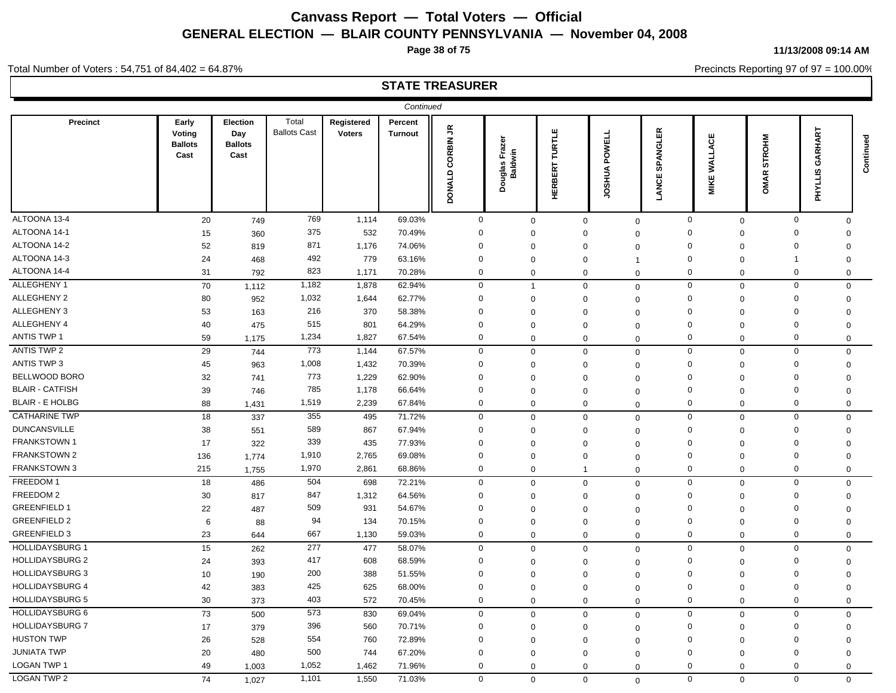**Page 38 of 75**

#### **11/13/2008 09:14 AM**

Precincts Reporting 97 of 97 = 100.00%

### **STATE TREASURER**

Total Number of Voters : 54,751 of 84,402 = 64.87%

|                        |                                           |                                                  |                              |                             | Continued                 |                                       |                                    |                                 |                            |                                 |                               |                                  |                                                     |           |
|------------------------|-------------------------------------------|--------------------------------------------------|------------------------------|-----------------------------|---------------------------|---------------------------------------|------------------------------------|---------------------------------|----------------------------|---------------------------------|-------------------------------|----------------------------------|-----------------------------------------------------|-----------|
| Precinct               | Early<br>Voting<br><b>Ballots</b><br>Cast | <b>Election</b><br>Day<br><b>Ballots</b><br>Cast | Total<br><b>Ballots Cast</b> | Registered<br><b>Voters</b> | Percent<br><b>Turnout</b> | $\tilde{\vec{r}}$<br>CORBIN<br>DONALD | Fraz<br>uglas Fra:<br>Baldwin<br>ă | <b>TURTLE</b><br><b>HERBERT</b> | POWELL<br><b>JOSHUA</b>    | 띥<br>ಕ<br>Ž<br>င္တ<br>ш<br>LANC | <b>WALLACE</b><br><b>MIKE</b> | <b>STROHM</b><br>$\propto$<br>ŠМ | GARHART<br>$\overline{\mathbf{v}}$<br><b>LIAHLI</b> | Continued |
| ALTOONA 13-4           | 20                                        | 749                                              | 769                          | 1,114                       | 69.03%                    | $\mathbf 0$                           | $\mathbf 0$                        | $\mathbf 0$                     |                            | $\mathbf 0$                     | $\mathbf 0$<br>$\mathbf 0$    | $\pmb{0}$                        | $\mathbf{0}$                                        |           |
| ALTOONA 14-1           | 15                                        | 360                                              | 375                          | 532                         | 70.49%                    | $\mathbf 0$                           | $\Omega$                           | $\Omega$                        | $\Omega$                   |                                 | $\Omega$<br>$\Omega$          | $\Omega$                         | $\Omega$                                            |           |
| ALTOONA 14-2           | 52                                        | 819                                              | 871                          | 1,176                       | 74.06%                    | $\Omega$                              | $\Omega$                           | $\mathbf 0$                     | $\Omega$                   |                                 | $\Omega$<br>$\mathbf 0$       | $\Omega$                         | $\mathbf 0$                                         |           |
| ALTOONA 14-3           | 24                                        | 468                                              | 492                          | 779                         | 63.16%                    | $\mathbf 0$                           | $\Omega$                           | $\mathbf 0$                     | $\overline{1}$             |                                 | $\Omega$<br>$\mathbf 0$       | -1                               | 0                                                   |           |
| ALTOONA 14-4           | 31                                        | 792                                              | 823                          | 1,171                       | 70.28%                    | $\mathbf 0$                           | 0                                  | $\mathbf 0$                     | $\Omega$                   |                                 | $\mathbf 0$<br>$\mathbf 0$    | $\mathsf 0$                      | 0                                                   |           |
| ALLEGHENY 1            | 70                                        | 1,112                                            | 1,182                        | 1,878                       | 62.94%                    | $\mathbf 0$                           | $\mathbf{1}$                       |                                 | $\mathbf 0$<br>$\Omega$    |                                 | $\mathbf 0$<br>$\mathbf 0$    | $\mathbf 0$                      | $\mathbf 0$                                         |           |
| <b>ALLEGHENY 2</b>     | 80                                        | 952                                              | 1,032                        | 1,644                       | 62.77%                    | $\mathbf 0$                           | $\Omega$                           | 0                               | $\mathbf 0$                |                                 | $\Omega$<br>0                 | $\Omega$                         | 0                                                   |           |
| ALLEGHENY 3            | 53                                        | 163                                              | 216                          | 370                         | 58.38%                    | $\mathbf 0$                           | $\Omega$                           | $\Omega$                        |                            | $\Omega$<br>$\Omega$            | $\Omega$                      | $\Omega$                         | $\Omega$                                            |           |
| ALLEGHENY 4            | 40                                        | 475                                              | 515                          | 801                         | 64.29%                    | $\mathbf 0$                           | $\Omega$                           | $\mathbf 0$                     | $\Omega$                   |                                 | $\Omega$<br>$\Omega$          | $\mathbf 0$                      | $\Omega$                                            |           |
| <b>ANTIS TWP 1</b>     | 59                                        | 1,175                                            | 1,234                        | 1,827                       | 67.54%                    | $\mathbf 0$                           | $\mathbf 0$                        | $\mathbf 0$                     |                            | $\mathbf 0$                     | $\mathbf 0$<br>$\mathbf 0$    | $\mathbf 0$                      | $\mathbf 0$                                         |           |
| <b>ANTIS TWP 2</b>     | 29                                        | 744                                              | 773                          | 1,144                       | 67.57%                    | $\mathbf 0$                           | $\Omega$                           |                                 | $\mathbf 0$<br>$\mathbf 0$ |                                 | $\mathbf 0$<br>$\mathbf 0$    | $\mathbf 0$                      | $\Omega$                                            |           |
| <b>ANTIS TWP 3</b>     | 45                                        | 963                                              | 1,008                        | 1,432                       | 70.39%                    | $\mathbf 0$                           | $\Omega$                           | $\mathbf 0$                     | $\Omega$                   |                                 | $\mathbf 0$<br>$\mathbf 0$    | $\mathbf 0$                      | $\mathbf 0$                                         |           |
| BELLWOOD BORO          | 32                                        | 741                                              | 773                          | 1,229                       | 62.90%                    | $\mathbf 0$                           | $\Omega$                           | $\mathbf 0$                     |                            | $\Omega$                        | $\mathbf 0$<br>$\Omega$       | $\mathbf 0$                      | $\Omega$                                            |           |
| <b>BLAIR - CATFISH</b> | 39                                        | 746                                              | 785                          | 1,178                       | 66.64%                    | 0                                     | $\Omega$                           | $\Omega$                        | $\Omega$                   |                                 | $\Omega$<br>$\mathbf 0$       | $\mathbf 0$                      | $\mathbf 0$                                         |           |
| <b>BLAIR - E HOLBG</b> | 88                                        | 1,431                                            | 1,519                        | 2,239                       | 67.84%                    | $\mathbf 0$                           | $\Omega$                           | $\mathbf 0$                     | $\mathbf 0$                |                                 | 0<br>$\mathbf 0$              | $\mathbf 0$                      | $\mathbf 0$                                         |           |
| <b>CATHARINE TWP</b>   | 18                                        | 337                                              | 355                          | 495                         | 71.72%                    | $\mathbf 0$                           | $\mathbf 0$                        |                                 | $\mathbf 0$                | $\mathbf 0$                     | $\mathbf 0$<br>$\mathbf 0$    | $\mathbf 0$                      | $\Omega$                                            |           |
| <b>DUNCANSVILLE</b>    | 38                                        | 551                                              | 589                          | 867                         | 67.94%                    | $\mathbf 0$                           | $\Omega$                           | $\mathbf 0$                     | $\Omega$                   |                                 | $\mathbf 0$<br>0              | $\mathbf 0$                      | $\mathbf 0$                                         |           |
| <b>FRANKSTOWN 1</b>    | 17                                        | 322                                              | 339                          | 435                         | 77.93%                    | 0                                     | $\mathbf 0$                        | $\mathbf 0$                     | $\Omega$                   |                                 | $\Omega$<br>$\mathbf 0$       | $\Omega$                         | $\mathbf 0$                                         |           |
| FRANKSTOWN 2           | 136                                       | 1,774                                            | 1,910                        | 2,765                       | 69.08%                    | 0                                     | $\Omega$                           | $\mathbf 0$                     | $\mathbf 0$                |                                 | $\Omega$<br>$\mathbf 0$       | $\Omega$                         | 0                                                   |           |
| <b>FRANKSTOWN 3</b>    | 215                                       | 1,755                                            | 1,970                        | 2,861                       | 68.86%                    | $\mathbf 0$                           | 0                                  | $\mathbf{1}$                    | $\mathbf 0$                |                                 | $\mathbf 0$<br>$\mathbf 0$    | $\mathbf 0$                      | $\Omega$                                            |           |
| FREEDOM 1              | 18                                        | 486                                              | 504                          | 698                         | 72.21%                    | $\mathbf 0$                           | $\mathbf 0$                        |                                 | $\mathbf 0$<br>$\Omega$    |                                 | $\mathbf 0$<br>$\mathbf 0$    | $\mathsf 0$                      | $\mathbf 0$                                         |           |
| FREEDOM 2              | 30                                        | 817                                              | 847                          | 1,312                       | 64.56%                    | $\mathbf 0$                           | $\Omega$                           | $\Omega$                        | $\Omega$                   |                                 | $\Omega$<br>0                 | $\mathbf 0$                      | $\Omega$                                            |           |
| <b>GREENFIELD 1</b>    | 22                                        | 487                                              | 509                          | 931                         | 54.67%                    | $\Omega$                              | $\Omega$                           | 0                               | $\mathbf 0$                |                                 | $\Omega$<br>$\Omega$          | $\Omega$                         | 0                                                   |           |
| <b>GREENFIELD 2</b>    | 6                                         | 88                                               | 94                           | 134                         | 70.15%                    | $\mathbf 0$                           | $\Omega$                           | $\mathbf{0}$                    |                            | $\Omega$                        | $\Omega$<br>$\Omega$          | $\Omega$                         | $\Omega$                                            |           |
| <b>GREENFIELD 3</b>    | 23                                        | 644                                              | 667                          | 1,130                       | 59.03%                    | $\mathbf 0$                           | $\mathbf 0$                        | $\mathbf 0$                     | $\Omega$                   |                                 | $\mathbf 0$<br>$\mathbf 0$    | $\mathbf 0$                      | $\Omega$                                            |           |
| <b>HOLLIDAYSBURG 1</b> | 15                                        | 262                                              | 277                          | 477                         | 58.07%                    | $\mathbf 0$                           | $\mathbf 0$                        | $\mathbf 0$                     | $\Omega$                   |                                 | $\mathbf 0$<br>$\mathbf 0$    | $\mathbf 0$                      | $\mathbf 0$                                         |           |
| <b>HOLLIDAYSBURG 2</b> | 24                                        | 393                                              | 417                          | 608                         | 68.59%                    | $\mathbf 0$                           | $\Omega$                           | $\Omega$                        | $\Omega$                   |                                 | $\Omega$<br>$\mathbf 0$       | $\Omega$                         | $\mathbf 0$                                         |           |
| <b>HOLLIDAYSBURG 3</b> | 10                                        | 190                                              | 200                          | 388                         | 51.55%                    | $\mathbf 0$                           | $\Omega$                           | $\Omega$                        | $\Omega$                   |                                 | $\Omega$<br>$\Omega$          | $\Omega$                         | $\Omega$                                            |           |
| <b>HOLLIDAYSBURG 4</b> | 42                                        | 383                                              | 425                          | 625                         | 68.00%                    | 0                                     | $\mathbf 0$                        | $\mathbf 0$                     | $\Omega$                   |                                 | $\mathbf 0$<br>$\mathbf 0$    | $\mathbf 0$                      | $\mathbf 0$                                         |           |
| <b>HOLLIDAYSBURG 5</b> | 30                                        | 373                                              | 403                          | 572                         | 70.45%                    | $\mathbf 0$                           | $\mathbf 0$                        | $\mathbf 0$                     |                            | $\mathbf{0}$                    | $\mathbf 0$<br>$\mathbf 0$    | $\mathbf 0$                      | 0                                                   |           |
| <b>HOLLIDAYSBURG 6</b> | 73                                        | 500                                              | 573                          | 830                         | 69.04%                    | $\mathbf 0$                           | $\Omega$                           | $\Omega$                        | $\Omega$                   |                                 | $\mathbf{0}$<br>$\mathbf 0$   | $\mathbf 0$                      | $\mathbf 0$                                         |           |
| <b>HOLLIDAYSBURG 7</b> | 17                                        | 379                                              | 396                          | 560                         | 70.71%                    | $\mathbf 0$                           | $\Omega$                           | $\Omega$                        | $\Omega$                   |                                 | $\mathbf 0$<br>0              | $\mathbf 0$                      | 0                                                   |           |
| <b>HUSTON TWP</b>      | 26                                        | 528                                              | 554                          | 760                         | 72.89%                    | $\Omega$                              | $\Omega$                           | $\mathbf 0$                     |                            | $\Omega$                        | $\Omega$<br>$\Omega$          | $\mathbf 0$                      | 0                                                   |           |
| <b>JUNIATA TWP</b>     | 20                                        | 480                                              | 500                          | 744                         | 67.20%                    | 0                                     | $\Omega$                           | $\mathbf 0$                     | $\Omega$                   | $\Omega$                        | $\Omega$                      | $\Omega$                         | $\mathbf 0$                                         |           |
| <b>LOGAN TWP 1</b>     | 49                                        | 1,003                                            | 1,052                        | 1,462                       | 71.96%                    | $\Omega$                              | $\Omega$                           |                                 | 0                          | $\mathbf 0$                     | 0<br>0                        | $\mathbf 0$                      | $\mathbf 0$                                         |           |
| <b>LOGAN TWP 2</b>     | 74                                        | 1,027                                            | 1,101                        | 1,550                       | 71.03%                    | $\Omega$                              | $\mathbf 0$                        | $\mathbf 0$                     |                            | $\Omega$                        | $\Omega$<br>$\mathbf 0$       | $\Omega$                         | $\mathbf 0$                                         |           |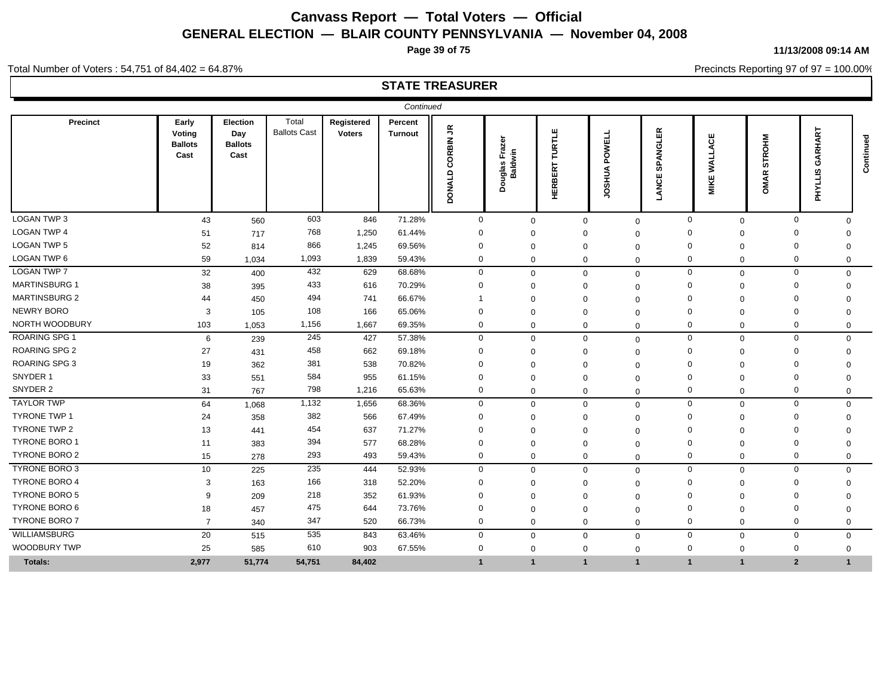**Page 39 of 75**

Precincts Reporting 97 of 97 = 100.00%

## **STATE TREASURER**

|                      |                                           |                                           |                              |                             | Continued                 |                                              |                                      |                          |                         |                                    |                                  |                                         |                                   |           |
|----------------------|-------------------------------------------|-------------------------------------------|------------------------------|-----------------------------|---------------------------|----------------------------------------------|--------------------------------------|--------------------------|-------------------------|------------------------------------|----------------------------------|-----------------------------------------|-----------------------------------|-----------|
| Precinct             | Early<br>Voting<br><b>Ballots</b><br>Cast | Election<br>Day<br><b>Ballots</b><br>Cast | Total<br><b>Ballots Cast</b> | Registered<br><b>Voters</b> | Percent<br><b>Turnout</b> | $\tilde{\vec{r}}$<br>CORBIN<br><b>DONALD</b> | ᇰ<br>Fraz<br>Douglas Fraz<br>Baldwin | TURTLE<br><b>HERBERT</b> | POWELL<br><b>JOSHUA</b> | 띥<br>ಕ<br>Ź<br>മ<br>ທ<br>ш<br>LANC | ACE<br>WALL.<br>ш<br><b>MIKI</b> | <b>STROHM</b><br>$\alpha$<br><b>OMA</b> | 넚<br>≃<br>O<br>ဖာ<br><b>LAHAT</b> | Continued |
| <b>LOGAN TWP 3</b>   | 43                                        | 560                                       | 603                          | 846                         | 71.28%                    | $\mathbf{0}$                                 | $\mathbf 0$                          | $\mathbf 0$              |                         | $\mathbf 0$                        | $\mathbf 0$                      | $\mathbf 0$                             | $\mathbf 0$<br>$\Omega$           |           |
| <b>LOGAN TWP 4</b>   | 51                                        | 717                                       | 768                          | 1,250                       | 61.44%                    | $\Omega$                                     | 0                                    | $\Omega$                 | $\Omega$                |                                    | $\Omega$<br>$\Omega$             | $\Omega$                                | $\Omega$                          |           |
| LOGAN TWP 5          | 52                                        | 814                                       | 866                          | 1,245                       | 69.56%                    | $\Omega$                                     | 0                                    | $\Omega$                 |                         | $\Omega$                           | 0<br>$\Omega$                    | $\Omega$                                | $\Omega$                          |           |
| LOGAN TWP 6          | 59                                        | 1,034                                     | 1,093                        | 1,839                       | 59.43%                    | $\mathbf 0$                                  | $\Omega$                             | $\mathbf{0}$             |                         | $\mathbf 0$                        | 0<br>$\Omega$                    | $\mathbf 0$                             | $\mathbf 0$                       |           |
| <b>LOGAN TWP 7</b>   | 32                                        | 400                                       | 432                          | 629                         | 68.68%                    | $\mathbf{0}$                                 | $\mathbf{0}$                         | $\mathbf 0$              |                         | $\mathbf 0$                        | $\mathbf 0$<br>$\mathbf 0$       |                                         | $\mathbf 0$<br>$\mathbf 0$        |           |
| <b>MARTINSBURG 1</b> | 38                                        | 395                                       | 433                          | 616                         | 70.29%                    | $\Omega$                                     | $\Omega$                             | $\Omega$                 |                         | $\Omega$                           | $\Omega$<br>$\Omega$             | $\Omega$                                | $\Omega$                          |           |
| <b>MARTINSBURG 2</b> | 44                                        | 450                                       | 494                          | 741                         | 66.67%                    |                                              | $\Omega$                             | $\mathbf 0$              |                         | 0<br>$\Omega$                      | $\Omega$                         | $\Omega$                                | $\Omega$                          |           |
| <b>NEWRY BORO</b>    | 3                                         | 105                                       | 108                          | 166                         | 65.06%                    | $\Omega$                                     | $\Omega$                             | $\mathbf 0$              |                         | $\Omega$                           | $\Omega$<br>$\Omega$             | $\Omega$                                | $\Omega$                          |           |
| NORTH WOODBURY       | 103                                       | 1,053                                     | 1,156                        | 1,667                       | 69.35%                    | $\mathbf 0$                                  | $\Omega$                             | $\mathbf 0$              |                         | $\mathbf 0$                        | $\mathbf 0$<br>$\mathbf 0$       |                                         | $\mathbf 0$<br>0                  |           |
| <b>ROARING SPG 1</b> | 6                                         | 239                                       | 245                          | 427                         | 57.38%                    | $\mathbf 0$                                  | $\Omega$                             | $\mathbf 0$              |                         | $\mathbf 0$                        | $\mathbf 0$<br>$\mathbf 0$       |                                         | $\mathbf 0$<br>$\mathbf 0$        |           |
| <b>ROARING SPG 2</b> | 27                                        | 431                                       | 458                          | 662                         | 69.18%                    | $\Omega$                                     | 0                                    | $\Omega$                 |                         | $\Omega$                           | $\Omega$<br>$\Omega$             | $\Omega$                                | 0                                 |           |
| <b>ROARING SPG 3</b> | 19                                        | 362                                       | 381                          | 538                         | 70.82%                    | $\Omega$                                     | ŋ                                    | $\Omega$                 |                         | $\Omega$                           | $\Omega$<br>$\Omega$             | $\Omega$                                | $\Omega$                          |           |
| SNYDER 1             | 33                                        | 551                                       | 584                          | 955                         | 61.15%                    | $\Omega$                                     |                                      | $\Omega$                 |                         | $\Omega$<br>$\Omega$               | $\Omega$                         | $\Omega$                                | 0                                 |           |
| SNYDER 2             | 31                                        | 767                                       | 798                          | 1,216                       | 65.63%                    | $\mathbf 0$                                  | $\Omega$                             | $\mathbf 0$              |                         | $\mathbf 0$                        | 0<br>$\mathbf 0$                 | $\Omega$                                | $\mathbf 0$                       |           |
| <b>TAYLOR TWP</b>    | 64                                        | 1,068                                     | 1,132                        | 1,656                       | 68.36%                    | $\mathbf{0}$                                 | $\mathbf 0$                          | $\mathbf 0$              |                         | $\Omega$                           | $\mathbf{0}$<br>$\mathbf 0$      |                                         | $\mathbf 0$<br>$\mathbf 0$        |           |
| TYRONE TWP 1         | 24                                        | 358                                       | 382                          | 566                         | 67.49%                    | $\Omega$                                     | O                                    | $\Omega$                 |                         | $\Omega$                           | 0<br>$\Omega$                    | $\Omega$                                | $\Omega$                          |           |
| TYRONE TWP 2         | 13                                        | 441                                       | 454                          | 637                         | 71.27%                    | $\Omega$                                     |                                      | $\Omega$                 | $\Omega$                | $\Omega$                           | $\Omega$                         | $\Omega$                                | 0                                 |           |
| <b>TYRONE BORO 1</b> | 11                                        | 383                                       | 394                          | 577                         | 68.28%                    | $\Omega$                                     | 0                                    | $\Omega$                 |                         | $\Omega$                           | $\Omega$<br>$\Omega$             | $\Omega$                                | $\Omega$                          |           |
| TYRONE BORO 2        | 15                                        | 278                                       | 293                          | 493                         | 59.43%                    | 0                                            | $\Omega$                             | $\mathbf{0}$             |                         | $\mathbf 0$                        | 0<br>$\mathbf 0$                 | $\mathbf 0$                             | $\mathbf 0$                       |           |
| TYRONE BORO 3        | 10                                        | 225                                       | 235                          | 444                         | 52.93%                    | $\Omega$                                     | $\Omega$                             | $\mathbf 0$              |                         | $\Omega$                           | $\mathbf 0$<br>$\mathbf 0$       |                                         | $\mathbf 0$<br>$\mathbf 0$        |           |
| <b>TYRONE BORO 4</b> | 3                                         | 163                                       | 166                          | 318                         | 52.20%                    | $\Omega$                                     | 0                                    | $\mathbf 0$              |                         | $\Omega$                           | $\Omega$<br>$\Omega$             | $\Omega$                                | $\Omega$                          |           |
| <b>TYRONE BORO 5</b> | 9                                         | 209                                       | 218                          | 352                         | 61.93%                    | $\Omega$                                     | O                                    | $\Omega$                 |                         | $\Omega$                           | 0<br>$\Omega$                    | $\Omega$                                | $\Omega$                          |           |
| TYRONE BORO 6        | 18                                        | 457                                       | 475                          | 644                         | 73.76%                    | $\Omega$                                     | $\Omega$                             | $\mathbf 0$              |                         | $\Omega$                           | $\Omega$<br>$\Omega$             | $\Omega$                                | $\mathbf C$                       |           |
| <b>TYRONE BORO 7</b> | $\overline{7}$                            | 340                                       | 347                          | 520                         | 66.73%                    | $\mathbf 0$                                  | $\mathbf{0}$                         | $\mathbf{0}$             |                         | $\mathbf 0$                        | 0<br>$\mathbf 0$                 |                                         | $\mathbf 0$<br>$\mathbf 0$        |           |
| WILLIAMSBURG         | 20                                        | 515                                       | 535                          | 843                         | 63.46%                    | $\mathbf 0$                                  | $\Omega$                             | $\mathbf 0$              |                         | $\mathbf 0$                        | 0<br>$\mathbf 0$                 |                                         | $\mathbf 0$<br>$\mathbf 0$        |           |
| WOODBURY TWP         | 25                                        | 585                                       | 610                          | 903                         | 67.55%                    | $\mathbf 0$                                  | $\Omega$                             | $\mathbf 0$              |                         | $\mathbf 0$                        | $\mathbf 0$<br>$\mathbf 0$       | $\Omega$                                | 0                                 |           |
| Totals:              | 2,977                                     | 51,774                                    | 54,751                       | 84,402                      |                           |                                              |                                      | -1                       | $\mathbf{1}$            |                                    | $\mathbf{1}$<br>$\mathbf{1}$     |                                         | $\overline{2}$<br>1               |           |

**11/13/2008 09:14 AM**

Total Number of Voters : 54,751 of 84,402 = 64.87%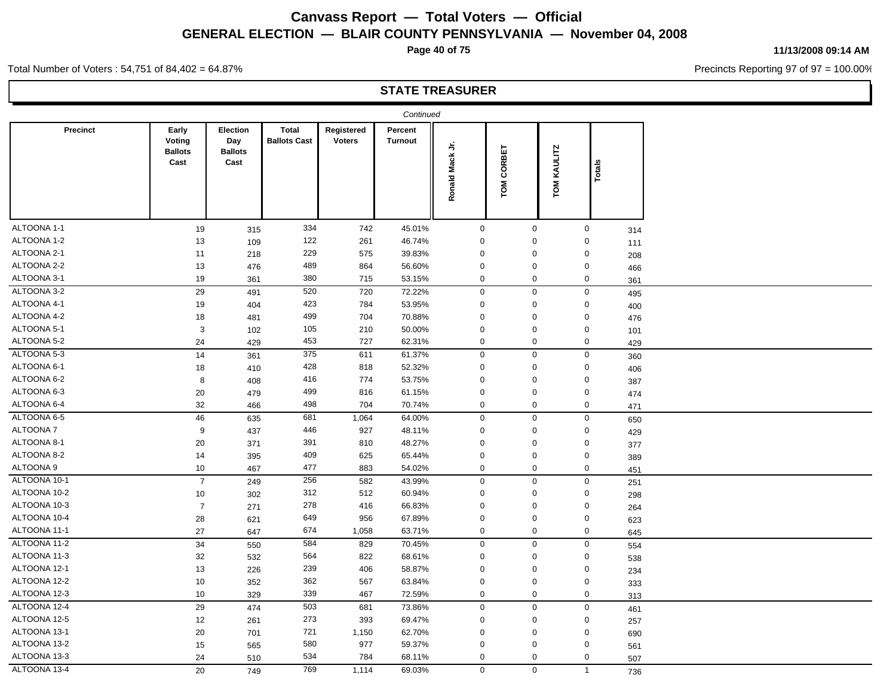**Page 40 of 75**

#### **11/13/2008 09:14 AM**

Precincts Reporting 97 of 97 = 100.00%

Total Number of Voters : 54,751 of 84,402 = 64.87%

|                 |                                           |                                                  |                                     |                      | Continued                 |                                 |               |                              |                |     |
|-----------------|-------------------------------------------|--------------------------------------------------|-------------------------------------|----------------------|---------------------------|---------------------------------|---------------|------------------------------|----------------|-----|
| <b>Precinct</b> | Early<br>Voting<br><b>Ballots</b><br>Cast | <b>Election</b><br>Day<br><b>Ballots</b><br>Cast | <b>Total</b><br><b>Ballots Cast</b> | Registered<br>Voters | Percent<br><b>Turnout</b> | $\frac{1}{2}$<br>Mack<br>Ronald | CORBET<br>TOM | <b>KAULITZ</b><br><b>NOM</b> | Totals         |     |
| ALTOONA 1-1     | 19                                        | 315                                              | 334                                 | 742                  | 45.01%                    | $\mathbf 0$                     | $\mathbf{0}$  |                              | $\mathbf 0$    | 314 |
| ALTOONA 1-2     | 13                                        | 109                                              | 122                                 | 261                  | 46.74%                    | $\mathbf 0$                     | $\mathbf 0$   |                              | $\mathbf 0$    | 111 |
| ALTOONA 2-1     | 11                                        | 218                                              | 229                                 | 575                  | 39.83%                    | $\mathbf 0$                     | $\Omega$      |                              | 0              | 208 |
| ALTOONA 2-2     | 13                                        | 476                                              | 489                                 | 864                  | 56.60%                    | $\mathbf 0$                     | $\Omega$      |                              | $\mathbf 0$    | 466 |
| ALTOONA 3-1     | 19                                        | 361                                              | 380                                 | 715                  | 53.15%                    | $\mathbf 0$                     | $\mathbf 0$   |                              | $\mathbf 0$    | 361 |
| ALTOONA 3-2     | 29                                        | 491                                              | 520                                 | 720                  | 72.22%                    | $\mathbf 0$                     | $\mathbf 0$   |                              | $\mathbf 0$    | 495 |
| ALTOONA 4-1     | 19                                        | 404                                              | 423                                 | 784                  | 53.95%                    | $\mathbf 0$                     | $\mathbf 0$   |                              | $\mathbf 0$    | 400 |
| ALTOONA 4-2     | 18                                        | 481                                              | 499                                 | 704                  | 70.88%                    | $\mathbf 0$                     | $\mathbf 0$   |                              | $\mathbf 0$    | 476 |
| ALTOONA 5-1     | $\mathbf{3}$                              | 102                                              | 105                                 | 210                  | 50.00%                    | $\mathbf 0$                     | $\mathbf 0$   |                              | 0              | 101 |
| ALTOONA 5-2     | 24                                        | 429                                              | 453                                 | 727                  | 62.31%                    | $\mathbf 0$                     | $\mathbf 0$   |                              | $\mathbf 0$    | 429 |
| ALTOONA 5-3     | 14                                        | 361                                              | 375                                 | 611                  | 61.37%                    | $\mathbf 0$                     | $\mathbf 0$   |                              | 0              | 360 |
| ALTOONA 6-1     | 18                                        | 410                                              | 428                                 | 818                  | 52.32%                    | $\mathbf 0$                     | 0             |                              | 0              | 406 |
| ALTOONA 6-2     | 8                                         | 408                                              | 416                                 | 774                  | 53.75%                    | $\mathbf 0$                     | $\mathbf 0$   |                              | $\mathbf 0$    | 387 |
| ALTOONA 6-3     | 20                                        | 479                                              | 499                                 | 816                  | 61.15%                    | $\mathbf 0$                     | $\mathbf 0$   |                              | $\mathbf 0$    | 474 |
| ALTOONA 6-4     | 32                                        | 466                                              | 498                                 | 704                  | 70.74%                    | $\mathbf 0$                     | $\mathbf 0$   |                              | $\mathbf 0$    | 471 |
| ALTOONA 6-5     | 46                                        | 635                                              | 681                                 | 1,064                | 64.00%                    | $\mathbf 0$                     | $\mathbf{0}$  |                              | $\mathbf 0$    | 650 |
| ALTOONA 7       | 9                                         | 437                                              | 446                                 | 927                  | 48.11%                    | $\mathbf 0$                     | $\mathbf 0$   |                              | 0              | 429 |
| ALTOONA 8-1     | 20                                        | 371                                              | 391                                 | 810                  | 48.27%                    | $\mathbf 0$                     | $\mathbf 0$   |                              | $\mathbf 0$    | 377 |
| ALTOONA 8-2     | 14                                        | 395                                              | 409                                 | 625                  | 65.44%                    | $\mathbf 0$                     | $\mathbf{0}$  |                              | $\mathbf 0$    | 389 |
| ALTOONA 9       | 10 <sup>°</sup>                           | 467                                              | 477                                 | 883                  | 54.02%                    | $\mathbf 0$                     | $\mathbf 0$   |                              | $\mathbf 0$    | 451 |
| ALTOONA 10-1    | $\overline{7}$                            | 249                                              | 256                                 | 582                  | 43.99%                    | $\mathbf 0$                     | $\mathbf 0$   |                              | $\mathbf 0$    | 251 |
| ALTOONA 10-2    | 10                                        | 302                                              | 312                                 | 512                  | 60.94%                    | $\mathbf 0$                     | $\mathbf 0$   |                              | $\mathbf 0$    | 298 |
| ALTOONA 10-3    | $\overline{7}$                            | 271                                              | 278                                 | 416                  | 66.83%                    | $\mathbf 0$                     | $\mathbf 0$   |                              | $\mathbf 0$    | 264 |
| ALTOONA 10-4    | 28                                        | 621                                              | 649                                 | 956                  | 67.89%                    | $\mathbf 0$                     | 0             |                              | 0              | 623 |
| ALTOONA 11-1    | 27                                        | 647                                              | 674                                 | 1,058                | 63.71%                    | $\mathbf 0$                     | $\mathbf 0$   |                              | $\mathbf 0$    | 645 |
| ALTOONA 11-2    | 34                                        | 550                                              | 584                                 | 829                  | 70.45%                    | $\mathbf 0$                     | $\mathbf 0$   |                              | $\mathbf 0$    | 554 |
| ALTOONA 11-3    | 32                                        | 532                                              | 564                                 | 822                  | 68.61%                    | $\mathbf 0$                     | 0             |                              | 0              | 538 |
| ALTOONA 12-1    | 13                                        | 226                                              | 239                                 | 406                  | 58.87%                    | $\mathbf 0$                     | $\mathbf 0$   |                              | $\mathbf 0$    | 234 |
| ALTOONA 12-2    | 10                                        | 352                                              | 362                                 | 567                  | 63.84%                    | $\mathbf 0$                     | $\mathbf 0$   |                              | $\mathbf 0$    | 333 |
| ALTOONA 12-3    | 10                                        | 329                                              | 339                                 | 467                  | 72.59%                    | $\mathbf 0$                     | $\mathbf 0$   |                              | $\mathbf 0$    | 313 |
| ALTOONA 12-4    | 29                                        | 474                                              | 503                                 | 681                  | 73.86%                    | $\mathbf 0$                     | 0             |                              | $\mathbf 0$    | 461 |
| ALTOONA 12-5    | 12                                        | 261                                              | 273                                 | 393                  | 69.47%                    | $\mathbf 0$                     | 0             |                              | 0              | 257 |
| ALTOONA 13-1    | 20                                        | 701                                              | 721                                 | 1,150                | 62.70%                    | $\mathbf 0$                     | 0             |                              | $\Omega$       | 690 |
| ALTOONA 13-2    | 15                                        | 565                                              | 580                                 | 977                  | 59.37%                    | $\mathbf 0$                     | $\Omega$      |                              | $\mathbf 0$    | 561 |
| ALTOONA 13-3    | 24                                        | 510                                              | 534                                 | 784                  | 68.11%                    | $\mathbf 0$                     | $\mathbf 0$   |                              | $\mathbf 0$    | 507 |
| ALTOONA 13-4    | 20                                        | 749                                              | 769                                 | 1,114                | 69.03%                    | $\mathbf 0$                     | $\mathbf 0$   |                              | $\overline{1}$ | 736 |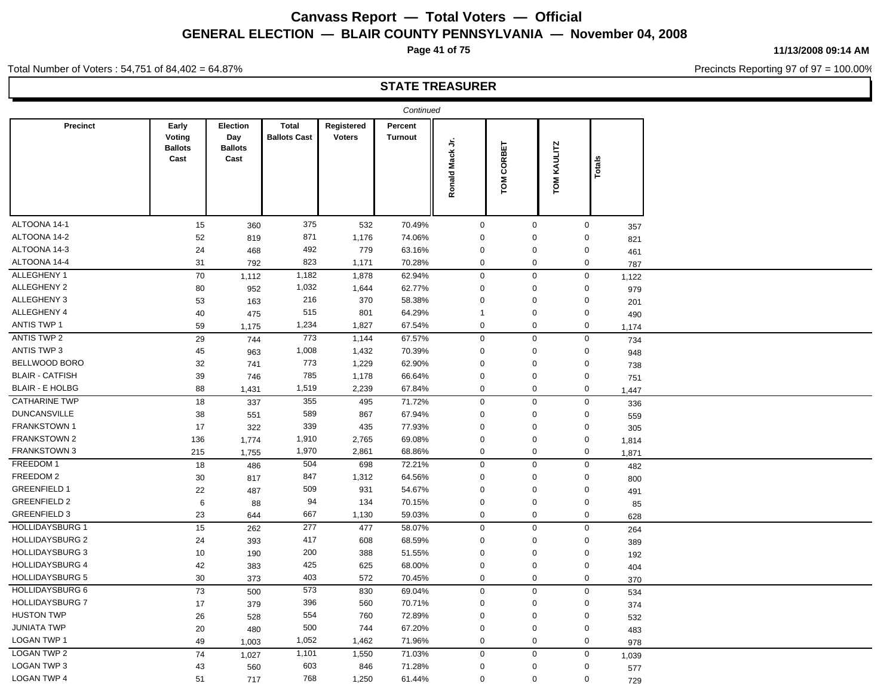**Page 41 of 75**

**11/13/2008 09:14 AM**

Precincts Reporting 97 of 97 = 100.00%

Total Number of Voters : 54,751 of 84,402 = 64.87%

|                        |                                           |                                           |                                     |                             | Continued                 |                              |                        |                |             |              |
|------------------------|-------------------------------------------|-------------------------------------------|-------------------------------------|-----------------------------|---------------------------|------------------------------|------------------------|----------------|-------------|--------------|
| <b>Precinct</b>        | Early<br>Voting<br><b>Ballots</b><br>Cast | Election<br>Day<br><b>Ballots</b><br>Cast | <b>Total</b><br><b>Ballots Cast</b> | Registered<br><b>Voters</b> | Percent<br><b>Turnout</b> | $\frac{1}{2}$<br>Ronald Mack | CORBET<br>$\mathbf{S}$ | KAULITZ<br>LOW | Total       |              |
| ALTOONA 14-1           | 15                                        | 360                                       | 375                                 | 532                         | 70.49%                    | $\mathbf 0$                  | $\mathbf 0$            |                | $\mathbf 0$ |              |
| ALTOONA 14-2           | 52                                        | 819                                       | 871                                 | 1,176                       | 74.06%                    | $\Omega$                     | $\mathbf 0$            |                | $\Omega$    | 357          |
| ALTOONA 14-3           | 24                                        | 468                                       | 492                                 | 779                         | 63.16%                    | $\mathbf 0$                  | $\mathbf 0$            |                | 0           | 821          |
| ALTOONA 14-4           | 31                                        | 792                                       | 823                                 | 1,171                       | 70.28%                    | $\mathbf 0$                  | $\mathbf 0$            |                | $\mathbf 0$ | 461          |
| ALLEGHENY 1            | 70                                        | 1,112                                     | 1,182                               | 1,878                       | 62.94%                    | $\mathbf 0$                  | $\mathbf 0$            |                | $\mathbf 0$ | 787          |
| ALLEGHENY 2            | 80                                        | 952                                       | 1,032                               | 1,644                       | 62.77%                    | $\mathbf 0$                  | $\mathbf 0$            |                | 0           | 1,122        |
| ALLEGHENY 3            | 53                                        | 163                                       | 216                                 | 370                         | 58.38%                    | $\mathbf 0$                  | $\mathbf 0$            |                | 0           | 979          |
| ALLEGHENY 4            | 40                                        | 475                                       | 515                                 | 801                         | 64.29%                    | $\mathbf{1}$                 | $\mathbf 0$            |                | $\mathbf 0$ | 201          |
| <b>ANTIS TWP 1</b>     | 59                                        | 1,175                                     | 1,234                               | 1,827                       | 67.54%                    | $\mathbf 0$                  | $\mathbf 0$            |                | $\mathbf 0$ | 490<br>1,174 |
| ANTIS TWP 2            | 29                                        | 744                                       | 773                                 | 1,144                       | 67.57%                    | $\mathbf 0$                  | $\mathbf 0$            |                | $\mathbf 0$ | 734          |
| <b>ANTIS TWP 3</b>     | 45                                        | 963                                       | 1,008                               | 1,432                       | 70.39%                    | $\mathbf 0$                  | 0                      |                | 0           | 948          |
| BELLWOOD BORO          | 32                                        | 741                                       | 773                                 | 1,229                       | 62.90%                    | $\Omega$                     | 0                      |                | $\Omega$    | 738          |
| <b>BLAIR - CATFISH</b> | 39                                        | 746                                       | 785                                 | 1,178                       | 66.64%                    | $\mathbf 0$                  | $\overline{0}$         |                | $\mathbf 0$ | 751          |
| <b>BLAIR - E HOLBG</b> | 88                                        | 1,431                                     | 1,519                               | 2,239                       | 67.84%                    | $\mathbf 0$                  | $\mathbf 0$            |                | $\mathbf 0$ | 1,447        |
| <b>CATHARINE TWP</b>   | 18                                        | 337                                       | 355                                 | 495                         | 71.72%                    | $\mathbf 0$                  | $\mathbf 0$            |                | $\mathbf 0$ | 336          |
| <b>DUNCANSVILLE</b>    | 38                                        | 551                                       | 589                                 | 867                         | 67.94%                    | $\mathbf 0$                  | $\mathbf 0$            |                | 0           | 559          |
| <b>FRANKSTOWN1</b>     | $17\,$                                    | 322                                       | 339                                 | 435                         | 77.93%                    | $\mathbf 0$                  | $\overline{0}$         |                | $\mathbf 0$ | 305          |
| FRANKSTOWN 2           | 136                                       | 1,774                                     | 1,910                               | 2,765                       | 69.08%                    | $\mathbf 0$                  | $\mathbf 0$            |                | $\mathbf 0$ | 1,814        |
| FRANKSTOWN 3           | 215                                       | 1,755                                     | 1,970                               | 2,861                       | 68.86%                    | $\mathbf 0$                  | $\mathsf{O}$           |                | $\mathbf 0$ | 1,871        |
| FREEDOM 1              | 18                                        | 486                                       | 504                                 | 698                         | 72.21%                    | $\mathsf 0$                  | $\mathbf 0$            |                | $\mathbf 0$ | 482          |
| FREEDOM 2              | 30                                        | 817                                       | 847                                 | 1,312                       | 64.56%                    | $\mathbf 0$                  | $\mathbf 0$            |                | $\mathbf 0$ |              |
| <b>GREENFIELD 1</b>    | 22                                        | 487                                       | 509                                 | 931                         | 54.67%                    | $\Omega$                     | $\mathbf 0$            |                | 0           | 800<br>491   |
| <b>GREENFIELD 2</b>    | 6                                         | 88                                        | 94                                  | 134                         | 70.15%                    | $\mathbf 0$                  | $\mathbf 0$            |                | 0           |              |
| <b>GREENFIELD 3</b>    | 23                                        | 644                                       | 667                                 | 1,130                       | 59.03%                    | $\mathbf 0$                  | $\mathbf 0$            |                | $\mathbf 0$ | 85<br>628    |
| <b>HOLLIDAYSBURG 1</b> | 15                                        | 262                                       | 277                                 | 477                         | 58.07%                    | $\mathbf 0$                  | $\mathbf 0$            |                | $\mathbf 0$ | 264          |
| <b>HOLLIDAYSBURG 2</b> | 24                                        | 393                                       | 417                                 | 608                         | 68.59%                    | $\mathbf 0$                  | $\mathbf 0$            |                | $\Omega$    | 389          |
| <b>HOLLIDAYSBURG 3</b> | 10                                        | 190                                       | 200                                 | 388                         | 51.55%                    | $\mathbf 0$                  | $\mathbf 0$            |                | 0           | 192          |
| <b>HOLLIDAYSBURG 4</b> | 42                                        | 383                                       | 425                                 | 625                         | 68.00%                    | $\mathbf 0$                  | $\mathbf 0$            |                | 0           | 404          |
| <b>HOLLIDAYSBURG 5</b> | $30\,$                                    | 373                                       | 403                                 | 572                         | 70.45%                    | $\mathbf 0$                  | $\mathbf 0$            |                | 0           | 370          |
| <b>HOLLIDAYSBURG 6</b> | 73                                        | 500                                       | 573                                 | 830                         | 69.04%                    | $\mathbf 0$                  | $\mathbf 0$            |                | $\mathbf 0$ | 534          |
| <b>HOLLIDAYSBURG 7</b> | 17                                        | 379                                       | 396                                 | 560                         | 70.71%                    | $\Omega$                     | $\mathbf 0$            |                | 0           | 374          |
| <b>HUSTON TWP</b>      | 26                                        | 528                                       | 554                                 | 760                         | 72.89%                    | $\mathbf 0$                  | $\mathbf 0$            |                | 0           | 532          |
| <b>JUNIATA TWP</b>     | 20                                        | 480                                       | 500                                 | 744                         | 67.20%                    | $\mathbf 0$                  | $\mathbf 0$            |                | 0           | 483          |
| <b>LOGAN TWP 1</b>     | 49                                        | 1,003                                     | 1,052                               | 1,462                       | 71.96%                    | $\mathbf 0$                  | $\mathbf 0$            |                | $\mathbf 0$ | 978          |
| <b>LOGAN TWP 2</b>     | 74                                        | 1,027                                     | 1,101                               | 1,550                       | 71.03%                    | $\mathbf 0$                  | $\mathbf 0$            |                | $\mathbf 0$ | 1,039        |
| LOGAN TWP 3            | 43                                        | 560                                       | 603                                 | 846                         | 71.28%                    | $\mathbf 0$                  | $\mathbf 0$            |                | 0           | 577          |
| LOGAN TWP 4            | 51                                        | 717                                       | 768                                 | 1,250                       | 61.44%                    | $\mathbf 0$                  | $\mathbf 0$            |                | $\mathbf 0$ | 729          |
|                        |                                           |                                           |                                     |                             |                           |                              |                        |                |             |              |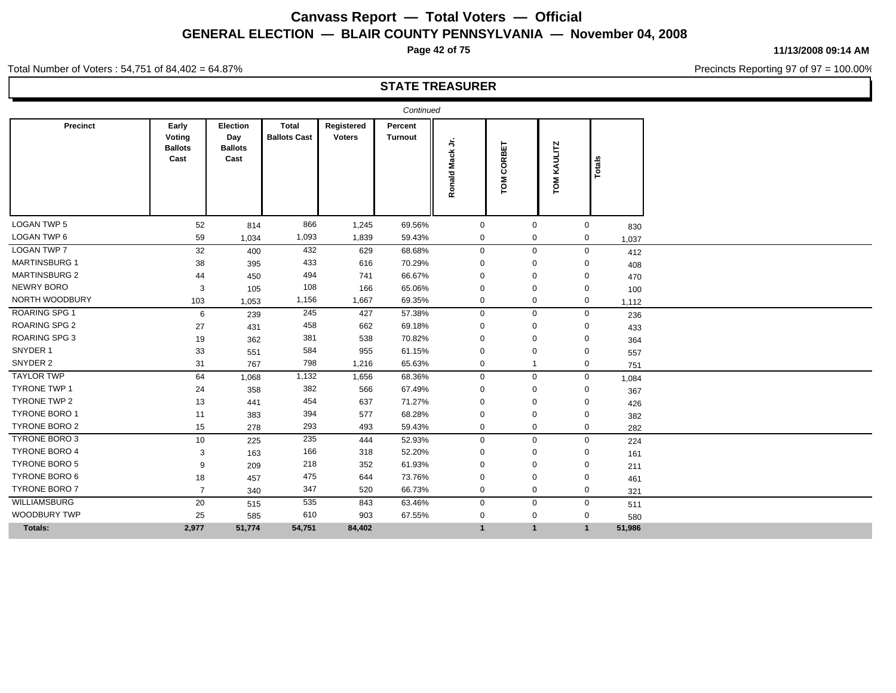**Page 42 of 75**

**11/13/2008 09:14 AM**

Precincts Reporting 97 of 97 = 100.00%

Total Number of Voters : 54,751 of 84,402 = 64.87%

|                      |                                           |                                                  |                                     |                             | Continued          |                            |                |                |             |        |
|----------------------|-------------------------------------------|--------------------------------------------------|-------------------------------------|-----------------------------|--------------------|----------------------------|----------------|----------------|-------------|--------|
| <b>Precinct</b>      | Early<br>Voting<br><b>Ballots</b><br>Cast | <b>Election</b><br>Day<br><b>Ballots</b><br>Cast | <b>Total</b><br><b>Ballots Cast</b> | Registered<br><b>Voters</b> | Percent<br>Turnout | ら<br><b>Mack</b><br>Ronald | CORBET<br>š    | KAULITZ<br>ГOМ | Totals      |        |
| <b>LOGAN TWP 5</b>   | 52                                        | 814                                              | 866                                 | 1,245                       | 69.56%             | $\mathbf 0$                | $\mathbf{0}$   |                | $\mathbf 0$ | 830    |
| LOGAN TWP 6          | 59                                        | 1,034                                            | 1,093                               | 1,839                       | 59.43%             | $\mathbf 0$                | 0              |                | $\mathbf 0$ | 1,037  |
| <b>LOGAN TWP 7</b>   | 32                                        | 400                                              | 432                                 | 629                         | 68.68%             | $\mathbf 0$                | $\mathbf 0$    |                | $\mathbf 0$ | 412    |
| <b>MARTINSBURG 1</b> | 38                                        | 395                                              | 433                                 | 616                         | 70.29%             | $\Omega$                   | $\Omega$       |                | $\Omega$    | 408    |
| <b>MARTINSBURG 2</b> | 44                                        | 450                                              | 494                                 | 741                         | 66.67%             | $\Omega$                   | $\Omega$       |                | $\Omega$    | 470    |
| NEWRY BORO           | 3                                         | 105                                              | 108                                 | 166                         | 65.06%             | $\Omega$                   | $\Omega$       |                | $\Omega$    | 100    |
| NORTH WOODBURY       | 103                                       | 1,053                                            | 1,156                               | 1,667                       | 69.35%             | $\mathbf 0$                | 0              |                | $\mathbf 0$ | 1,112  |
| ROARING SPG 1        | 6                                         | 239                                              | 245                                 | 427                         | 57.38%             | $\mathbf 0$                | $\mathbf 0$    |                | $\mathbf 0$ | 236    |
| <b>ROARING SPG 2</b> | 27                                        | 431                                              | 458                                 | 662                         | 69.18%             | $\Omega$                   | $\Omega$       |                | $\Omega$    | 433    |
| ROARING SPG 3        | 19                                        | 362                                              | 381                                 | 538                         | 70.82%             | $\Omega$                   | $\Omega$       |                | 0           | 364    |
| SNYDER 1             | 33                                        | 551                                              | 584                                 | 955                         | 61.15%             | $\Omega$                   | $\Omega$       |                | $\Omega$    | 557    |
| SNYDER 2             | 31                                        | 767                                              | 798                                 | 1,216                       | 65.63%             | $\mathbf{0}$               | $\overline{1}$ |                | $\mathbf 0$ | 751    |
| <b>TAYLOR TWP</b>    | 64                                        | 1,068                                            | 1,132                               | 1,656                       | 68.36%             | $\mathbf 0$                | $\mathbf 0$    |                | $\mathbf 0$ | 1,084  |
| <b>TYRONE TWP 1</b>  | 24                                        | 358                                              | 382                                 | 566                         | 67.49%             | $\Omega$                   | $\Omega$       |                | 0           | 367    |
| TYRONE TWP 2         | 13                                        | 441                                              | 454                                 | 637                         | 71.27%             | $\Omega$                   | $\Omega$       |                | 0           | 426    |
| <b>TYRONE BORO 1</b> | 11                                        | 383                                              | 394                                 | 577                         | 68.28%             | $\Omega$                   | $\Omega$       |                | $\Omega$    | 382    |
| <b>TYRONE BORO 2</b> | 15                                        | 278                                              | 293                                 | 493                         | 59.43%             | $\mathbf 0$                | $\mathbf 0$    |                | $\mathbf 0$ | 282    |
| TYRONE BORO 3        | 10                                        | 225                                              | 235                                 | 444                         | 52.93%             | $\mathbf 0$                | $\mathbf{0}$   |                | $\mathbf 0$ | 224    |
| <b>TYRONE BORO 4</b> | 3                                         | 163                                              | 166                                 | 318                         | 52.20%             | $\Omega$                   | $\mathbf 0$    |                | 0           | 161    |
| <b>TYRONE BORO 5</b> | 9                                         | 209                                              | 218                                 | 352                         | 61.93%             | $\Omega$                   | $\Omega$       |                | 0           | 211    |
| <b>TYRONE BORO 6</b> | 18                                        | 457                                              | 475                                 | 644                         | 73.76%             | $\Omega$                   | $\Omega$       |                | $\Omega$    | 461    |
| <b>TYRONE BORO 7</b> | $\overline{7}$                            | 340                                              | 347                                 | 520                         | 66.73%             | $\mathbf 0$                | $\mathbf 0$    |                | $\mathbf 0$ | 321    |
| WILLIAMSBURG         | 20                                        | 515                                              | 535                                 | 843                         | 63.46%             | $\mathbf 0$                | $\mathbf 0$    |                | $\mathbf 0$ | 511    |
| <b>WOODBURY TWP</b>  | 25                                        | 585                                              | 610                                 | 903                         | 67.55%             | $\mathbf 0$                | 0              |                | $\mathbf 0$ | 580    |
| Totals:              | 2,977                                     | 51,774                                           | 54,751                              | 84,402                      |                    | $\mathbf{1}$               | $\mathbf{1}$   |                | $\mathbf 1$ | 51,986 |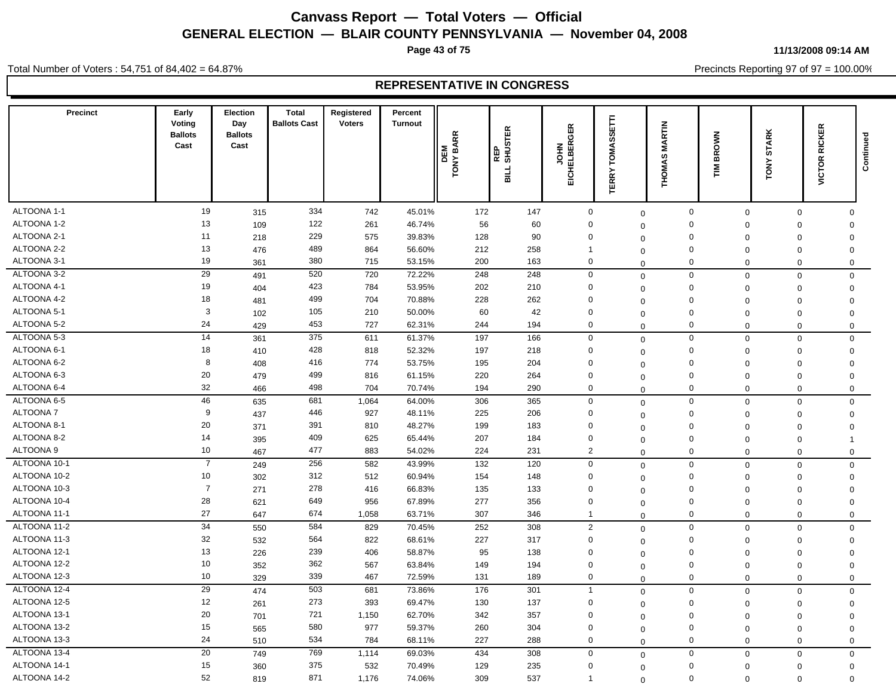**Page 43 of 75**

**11/13/2008 09:14 AM**

Precincts Reporting 97 of 97 = 100.00%

Total Number of Voters : 54,751 of 84,402 = 64.87%

| ALTOONA 1-1<br>19<br>334<br>147<br>$\pmb{0}$<br>$\mathbf 0$<br>742<br>45.01%<br>172<br>$\mathbf 0$<br>$\mathbf 0$<br>$\mathbf 0$<br>315<br>$\mathbf 0$<br>ALTOONA 1-2<br>13<br>122<br>261<br>46.74%<br>56<br>60<br>$\mathbf 0$<br>109<br>$\mathbf 0$<br>$\mathbf 0$<br>$\Omega$<br>$\mathbf 0$<br>$\Omega$<br>ALTOONA 2-1<br>11<br>229<br>575<br>39.83%<br>128<br>90<br>$\mathbf 0$<br>$\mathbf 0$<br>218<br>$\mathbf 0$<br>$\mathbf 0$<br>$\mathbf 0$<br>$\Omega$<br>ALTOONA 2-2<br>13<br>489<br>864<br>56.60%<br>212<br>258<br>$\overline{1}$<br>$\mathsf 0$<br>476<br>$\Omega$<br>$\Omega$<br>$\mathbf 0$<br>$\Omega$<br>ALTOONA 3-1<br>19<br>380<br>$\mathbf 0$<br>715<br>53.15%<br>200<br>163<br>$\mathbf 0$<br>361<br>$\Omega$<br>$\Omega$<br>$\mathbf 0$<br>$\Omega$<br>ALTOONA 3-2<br>29<br>520<br>720<br>72.22%<br>248<br>248<br>$\mathbf 0$<br>$\mathbf 0$<br>491<br>$\mathsf 0$<br>$\mathbf 0$<br>$\mathbf 0$<br>$\Omega$<br>ALTOONA 4-1<br>19<br>423<br>784<br>53.95%<br>202<br>210<br>$\mathbf 0$<br>$\mathbf 0$<br>404<br>$\Omega$<br>$\Omega$<br>$\mathbf 0$<br>$\mathbf 0$<br>ALTOONA 4-2<br>18<br>499<br>704<br>70.88%<br>$\mathbf 0$<br>228<br>262<br>481<br>$\mathbf 0$<br>$\mathbf 0$<br>$\mathbf 0$<br>$\mathbf 0$<br>$\Omega$<br>3<br>ALTOONA 5-1<br>105<br>210<br>42<br>$\mathbf 0$<br>50.00%<br>60<br>$\mathbf 0$<br>102<br>$\Omega$<br>$\mathbf 0$<br>$\Omega$<br>$\Omega$<br>24<br>ALTOONA 5-2<br>453<br>727<br>$\mathbf 0$<br>62.31%<br>244<br>194<br>429<br>$\mathbf 0$<br>$\Omega$<br>$\Omega$<br>$\mathbf 0$<br>$\Omega$<br>14<br>ALTOONA 5-3<br>375<br>611<br>61.37%<br>197<br>166<br>$\mathbf 0$<br>361<br>$\mathbf 0$<br>$\mathbf 0$<br>$\mathbf 0$<br>$\mathbf 0$<br>$\mathbf 0$<br>18<br>ALTOONA 6-1<br>428<br>818<br>52.32%<br>197<br>218<br>$\mathbf 0$<br>$\mathbf 0$<br>410<br>$\mathbf 0$<br>$\mathbf 0$<br>$\mathbf 0$<br>$\Omega$<br>ALTOONA 6-2<br>8<br>416<br>$\mathbf 0$<br>774<br>53.75%<br>195<br>204<br>408<br>$\mathbf 0$<br>$\mathbf 0$<br>$\mathbf 0$<br>$\mathbf 0$<br>$\Omega$<br>ALTOONA 6-3<br>20<br>499<br>$\mathbf 0$<br>816<br>61.15%<br>220<br>264<br>$\mathbf 0$<br>479<br>$\mathbf 0$<br>$\mathbf 0$<br>$\mathbf 0$<br>$\mathbf 0$<br>32<br>ALTOONA 6-4<br>498<br>704<br>290<br>$\mathbf 0$<br>70.74%<br>194<br>$\mathbf 0$<br>466<br>$\mathbf 0$<br>0<br>$\mathbf 0$<br>$\Omega$<br>ALTOONA 6-5<br>46<br>681<br>1,064<br>365<br>$\mathbf 0$<br>$\mathbf 0$<br>635<br>64.00%<br>306<br>$\mathbf 0$<br>$\mathbf 0$<br>0<br>$\mathbf 0$<br>9<br><b>ALTOONA7</b><br>446<br>927<br>206<br>$\mathbf 0$<br>48.11%<br>225<br>$\mathsf 0$<br>437<br>$\Omega$<br>$\Omega$<br>$\mathbf 0$<br>$\Omega$<br>20<br>ALTOONA 8-1<br>391<br>$\mathbf 0$<br>810<br>48.27%<br>199<br>183<br>$\mathbf 0$<br>371<br>$\Omega$<br>$\Omega$<br>$\Omega$<br>0<br>ALTOONA 8-2<br>14<br>409<br>625<br>$\mathbf 0$<br>65.44%<br>207<br>184<br>$\mathbf 0$<br>395<br>$\mathbf 0$<br>$\Omega$<br>$\mathbf{1}$<br>$\mathbf 0$<br>ALTOONA 9<br>10<br>477<br>883<br>$\overline{2}$<br>54.02%<br>224<br>231<br>$\mathbf 0$<br>467<br>$\Omega$<br>$\mathbf 0$<br>$\mathbf 0$<br>$\Omega$<br>ALTOONA 10-1<br>$\overline{7}$<br>256<br>582<br>120<br>249<br>43.99%<br>132<br>$\mathbf 0$<br>$\mathbf 0$<br>$\mathbf 0$<br>$\mathbf 0$<br>$\mathbf 0$<br>$\mathbf 0$<br>ALTOONA 10-2<br>10<br>312<br>512<br>$\mathbf 0$<br>60.94%<br>154<br>148<br>$\mathbf 0$<br>302<br>$\mathbf 0$<br>$\Omega$<br>$\Omega$<br>$\Omega$<br>$\overline{7}$<br>ALTOONA 10-3<br>278<br>$\mathbf 0$<br>416<br>66.83%<br>135<br>133<br>$\mathbf 0$<br>271<br>$\Omega$<br>$\Omega$<br>$\mathbf 0$<br>$\Omega$<br>ALTOONA 10-4<br>28<br>649<br>956<br>67.89%<br>277<br>356<br>$\mathbf 0$<br>$\mathbf 0$<br>621<br>$\mathbf 0$<br>$\mathbf 0$<br>$\mathbf 0$<br>$\Omega$<br>27<br>ALTOONA 11-1<br>674<br>1,058<br>63.71%<br>307<br>346<br>647<br>$\overline{1}$<br>$\mathbf 0$<br>$\Omega$<br>$\mathbf{0}$<br>$\mathbf 0$<br>$\Omega$<br>$\overline{34}$<br>ALTOONA 11-2<br>584<br>829<br>70.45%<br>252<br>308<br>$\overline{2}$<br>550<br>$\mathbf 0$<br>$\mathbf 0$<br>$\mathbf 0$<br>$\mathbf 0$<br>$\mathbf 0$<br>32<br>ALTOONA 11-3<br>564<br>822<br>227<br>$\mathbf 0$<br>68.61%<br>317<br>$\mathbf 0$<br>532<br>$\mathbf 0$<br>$\mathbf 0$<br>$\mathbf 0$<br>$\mathbf 0$<br>ALTOONA 12-1<br>13<br>239<br>406<br>138<br>$\mathbf 0$<br>58.87%<br>95<br>$\mathbf 0$<br>226<br>$\mathbf 0$<br>$\Omega$<br>$\mathbf 0$<br>$\Omega$<br>ALTOONA 12-2<br>10<br>362<br>567<br>63.84%<br>149<br>194<br>$\mathbf 0$<br>$\mathbf 0$<br>352<br>$\mathbf 0$<br>$\Omega$<br>$\mathbf 0$<br>$\mathbf 0$<br>ALTOONA 12-3<br>10<br>339<br>467<br>$\mathbf 0$<br>72.59%<br>131<br>189<br>329<br>$\mathbf 0$<br>$\Omega$<br>$\mathbf 0$<br>$\mathbf 0$<br>$\Omega$<br>$\overline{29}$<br>ALTOONA 12-4<br>503<br>681<br>73.86%<br>176<br>301<br>$\overline{1}$<br>$\mathbf 0$<br>474<br>$\mathbf 0$<br>$\mathbf{0}$<br>$\Omega$<br>$\mathbf 0$<br>ALTOONA 12-5<br>12<br>273<br>393<br>69.47%<br>130<br>137<br>$\mathbf 0$<br>$\mathbf 0$<br>$\Omega$<br>$\mathbf 0$<br>261<br>$\mathbf 0$<br>0<br>20<br>ALTOONA 13-1<br>721<br>$\mathbf 0$<br>1,150<br>62.70%<br>342<br>357<br>$\mathbf 0$<br>701<br>$\mathbf 0$<br>$\Omega$<br>$\mathbf 0$<br>$\Omega$<br>ALTOONA 13-2<br>15<br>580<br>977<br>59.37%<br>$\mathbf 0$<br>260<br>304<br>$\mathbf 0$<br>565<br>$\mathbf 0$<br>$\mathbf 0$<br>$\mathbf 0$<br>$\Omega$<br>ALTOONA 13-3<br>24<br>534<br>784<br>68.11%<br>227<br>288<br>$\mathbf 0$<br>$\mathbf 0$<br>510<br>$\mathbf 0$<br>$\mathbf 0$<br>$\mathbf 0$<br>$\Omega$<br>20<br>ALTOONA 13-4<br>769<br>$\mathbf 0$<br>1,114<br>434<br>308<br>$\mathbf 0$<br>749<br>69.03%<br>$\mathbf 0$<br>$\mathbf 0$<br>$\mathbf 0$<br>$\mathbf 0$<br>ALTOONA 14-1<br>15<br>375<br>532<br>70.49%<br>129<br>235<br>$\mathbf 0$<br>$\mathbf 0$<br>$\mathbf 0$<br>360<br>$\mathbf 0$<br>$\mathbf 0$<br>$\Omega$<br>52<br>ALTOONA 14-2<br>871<br>1,176<br>74.06%<br>309<br>537<br>$\Omega$<br>819<br>$\overline{1}$<br>$\mathbf 0$<br>$\Omega$<br>$\mathbf 0$<br>$\Omega$ | <b>Precinct</b> | Early<br>Voting<br><b>Ballots</b><br>Cast | Election<br>Day<br><b>Ballots</b><br>Cast | <b>Total</b><br><b>Ballots Cast</b> | Registered<br><b>Voters</b> | Percent<br><b>Turnout</b> | $\propto$<br><b>TONY BAR</b><br>DEM | REP<br>SHUSTER<br><b>SILL</b> | <b>GER</b><br><b>IELBER</b><br>줖<br>ā,<br>끎 | Ē<br>SS)<br>TOMA!<br>ERRY | <b>MARTIN</b><br><b>THOMAS</b> | <b>BROWN</b><br>≧<br>F | <b>STARK</b><br><b>TONY</b> | <b>RICKER</b><br>VICTOR I | Continued |
|---------------------------------------------------------------------------------------------------------------------------------------------------------------------------------------------------------------------------------------------------------------------------------------------------------------------------------------------------------------------------------------------------------------------------------------------------------------------------------------------------------------------------------------------------------------------------------------------------------------------------------------------------------------------------------------------------------------------------------------------------------------------------------------------------------------------------------------------------------------------------------------------------------------------------------------------------------------------------------------------------------------------------------------------------------------------------------------------------------------------------------------------------------------------------------------------------------------------------------------------------------------------------------------------------------------------------------------------------------------------------------------------------------------------------------------------------------------------------------------------------------------------------------------------------------------------------------------------------------------------------------------------------------------------------------------------------------------------------------------------------------------------------------------------------------------------------------------------------------------------------------------------------------------------------------------------------------------------------------------------------------------------------------------------------------------------------------------------------------------------------------------------------------------------------------------------------------------------------------------------------------------------------------------------------------------------------------------------------------------------------------------------------------------------------------------------------------------------------------------------------------------------------------------------------------------------------------------------------------------------------------------------------------------------------------------------------------------------------------------------------------------------------------------------------------------------------------------------------------------------------------------------------------------------------------------------------------------------------------------------------------------------------------------------------------------------------------------------------------------------------------------------------------------------------------------------------------------------------------------------------------------------------------------------------------------------------------------------------------------------------------------------------------------------------------------------------------------------------------------------------------------------------------------------------------------------------------------------------------------------------------------------------------------------------------------------------------------------------------------------------------------------------------------------------------------------------------------------------------------------------------------------------------------------------------------------------------------------------------------------------------------------------------------------------------------------------------------------------------------------------------------------------------------------------------------------------------------------------------------------------------------------------------------------------------------------------------------------------------------------------------------------------------------------------------------------------------------------------------------------------------------------------------------------------------------------------------------------------------------------------------------------------------------------------------------------------------------------------------------------------------------------------------------------------------------------------------------------------------------------------------------------------------------------------------------------------------------------------------------------------------------------------------------------------------------------------------------------------------------------------------------------------------------------------------------------------------------------------------------------------------------------------------------------------------------------------------------------------------------------------------------------------------------------------------------------------------------------------------------------------------------------------------------------------------------------------------------------------------------------------------------------------------------------------------------------------------------------------------------------------------------------------------------------------------------------------------------------------------------------------------------------------------------------------------------------------------------------------------------------------------------------------------------------------|-----------------|-------------------------------------------|-------------------------------------------|-------------------------------------|-----------------------------|---------------------------|-------------------------------------|-------------------------------|---------------------------------------------|---------------------------|--------------------------------|------------------------|-----------------------------|---------------------------|-----------|
|                                                                                                                                                                                                                                                                                                                                                                                                                                                                                                                                                                                                                                                                                                                                                                                                                                                                                                                                                                                                                                                                                                                                                                                                                                                                                                                                                                                                                                                                                                                                                                                                                                                                                                                                                                                                                                                                                                                                                                                                                                                                                                                                                                                                                                                                                                                                                                                                                                                                                                                                                                                                                                                                                                                                                                                                                                                                                                                                                                                                                                                                                                                                                                                                                                                                                                                                                                                                                                                                                                                                                                                                                                                                                                                                                                                                                                                                                                                                                                                                                                                                                                                                                                                                                                                                                                                                                                                                                                                                                                                                                                                                                                                                                                                                                                                                                                                                                                                                                                                                                                                                                                                                                                                                                                                                                                                                                                                                                                                                                                                                                                                                                                                                                                                                                                                                                                                                                                                                                                                                                                                   |                 |                                           |                                           |                                     |                             |                           |                                     |                               |                                             |                           |                                |                        |                             |                           |           |
|                                                                                                                                                                                                                                                                                                                                                                                                                                                                                                                                                                                                                                                                                                                                                                                                                                                                                                                                                                                                                                                                                                                                                                                                                                                                                                                                                                                                                                                                                                                                                                                                                                                                                                                                                                                                                                                                                                                                                                                                                                                                                                                                                                                                                                                                                                                                                                                                                                                                                                                                                                                                                                                                                                                                                                                                                                                                                                                                                                                                                                                                                                                                                                                                                                                                                                                                                                                                                                                                                                                                                                                                                                                                                                                                                                                                                                                                                                                                                                                                                                                                                                                                                                                                                                                                                                                                                                                                                                                                                                                                                                                                                                                                                                                                                                                                                                                                                                                                                                                                                                                                                                                                                                                                                                                                                                                                                                                                                                                                                                                                                                                                                                                                                                                                                                                                                                                                                                                                                                                                                                                   |                 |                                           |                                           |                                     |                             |                           |                                     |                               |                                             |                           |                                |                        |                             |                           |           |
|                                                                                                                                                                                                                                                                                                                                                                                                                                                                                                                                                                                                                                                                                                                                                                                                                                                                                                                                                                                                                                                                                                                                                                                                                                                                                                                                                                                                                                                                                                                                                                                                                                                                                                                                                                                                                                                                                                                                                                                                                                                                                                                                                                                                                                                                                                                                                                                                                                                                                                                                                                                                                                                                                                                                                                                                                                                                                                                                                                                                                                                                                                                                                                                                                                                                                                                                                                                                                                                                                                                                                                                                                                                                                                                                                                                                                                                                                                                                                                                                                                                                                                                                                                                                                                                                                                                                                                                                                                                                                                                                                                                                                                                                                                                                                                                                                                                                                                                                                                                                                                                                                                                                                                                                                                                                                                                                                                                                                                                                                                                                                                                                                                                                                                                                                                                                                                                                                                                                                                                                                                                   |                 |                                           |                                           |                                     |                             |                           |                                     |                               |                                             |                           |                                |                        |                             |                           |           |
|                                                                                                                                                                                                                                                                                                                                                                                                                                                                                                                                                                                                                                                                                                                                                                                                                                                                                                                                                                                                                                                                                                                                                                                                                                                                                                                                                                                                                                                                                                                                                                                                                                                                                                                                                                                                                                                                                                                                                                                                                                                                                                                                                                                                                                                                                                                                                                                                                                                                                                                                                                                                                                                                                                                                                                                                                                                                                                                                                                                                                                                                                                                                                                                                                                                                                                                                                                                                                                                                                                                                                                                                                                                                                                                                                                                                                                                                                                                                                                                                                                                                                                                                                                                                                                                                                                                                                                                                                                                                                                                                                                                                                                                                                                                                                                                                                                                                                                                                                                                                                                                                                                                                                                                                                                                                                                                                                                                                                                                                                                                                                                                                                                                                                                                                                                                                                                                                                                                                                                                                                                                   |                 |                                           |                                           |                                     |                             |                           |                                     |                               |                                             |                           |                                |                        |                             |                           |           |
|                                                                                                                                                                                                                                                                                                                                                                                                                                                                                                                                                                                                                                                                                                                                                                                                                                                                                                                                                                                                                                                                                                                                                                                                                                                                                                                                                                                                                                                                                                                                                                                                                                                                                                                                                                                                                                                                                                                                                                                                                                                                                                                                                                                                                                                                                                                                                                                                                                                                                                                                                                                                                                                                                                                                                                                                                                                                                                                                                                                                                                                                                                                                                                                                                                                                                                                                                                                                                                                                                                                                                                                                                                                                                                                                                                                                                                                                                                                                                                                                                                                                                                                                                                                                                                                                                                                                                                                                                                                                                                                                                                                                                                                                                                                                                                                                                                                                                                                                                                                                                                                                                                                                                                                                                                                                                                                                                                                                                                                                                                                                                                                                                                                                                                                                                                                                                                                                                                                                                                                                                                                   |                 |                                           |                                           |                                     |                             |                           |                                     |                               |                                             |                           |                                |                        |                             |                           |           |
|                                                                                                                                                                                                                                                                                                                                                                                                                                                                                                                                                                                                                                                                                                                                                                                                                                                                                                                                                                                                                                                                                                                                                                                                                                                                                                                                                                                                                                                                                                                                                                                                                                                                                                                                                                                                                                                                                                                                                                                                                                                                                                                                                                                                                                                                                                                                                                                                                                                                                                                                                                                                                                                                                                                                                                                                                                                                                                                                                                                                                                                                                                                                                                                                                                                                                                                                                                                                                                                                                                                                                                                                                                                                                                                                                                                                                                                                                                                                                                                                                                                                                                                                                                                                                                                                                                                                                                                                                                                                                                                                                                                                                                                                                                                                                                                                                                                                                                                                                                                                                                                                                                                                                                                                                                                                                                                                                                                                                                                                                                                                                                                                                                                                                                                                                                                                                                                                                                                                                                                                                                                   |                 |                                           |                                           |                                     |                             |                           |                                     |                               |                                             |                           |                                |                        |                             |                           |           |
|                                                                                                                                                                                                                                                                                                                                                                                                                                                                                                                                                                                                                                                                                                                                                                                                                                                                                                                                                                                                                                                                                                                                                                                                                                                                                                                                                                                                                                                                                                                                                                                                                                                                                                                                                                                                                                                                                                                                                                                                                                                                                                                                                                                                                                                                                                                                                                                                                                                                                                                                                                                                                                                                                                                                                                                                                                                                                                                                                                                                                                                                                                                                                                                                                                                                                                                                                                                                                                                                                                                                                                                                                                                                                                                                                                                                                                                                                                                                                                                                                                                                                                                                                                                                                                                                                                                                                                                                                                                                                                                                                                                                                                                                                                                                                                                                                                                                                                                                                                                                                                                                                                                                                                                                                                                                                                                                                                                                                                                                                                                                                                                                                                                                                                                                                                                                                                                                                                                                                                                                                                                   |                 |                                           |                                           |                                     |                             |                           |                                     |                               |                                             |                           |                                |                        |                             |                           |           |
|                                                                                                                                                                                                                                                                                                                                                                                                                                                                                                                                                                                                                                                                                                                                                                                                                                                                                                                                                                                                                                                                                                                                                                                                                                                                                                                                                                                                                                                                                                                                                                                                                                                                                                                                                                                                                                                                                                                                                                                                                                                                                                                                                                                                                                                                                                                                                                                                                                                                                                                                                                                                                                                                                                                                                                                                                                                                                                                                                                                                                                                                                                                                                                                                                                                                                                                                                                                                                                                                                                                                                                                                                                                                                                                                                                                                                                                                                                                                                                                                                                                                                                                                                                                                                                                                                                                                                                                                                                                                                                                                                                                                                                                                                                                                                                                                                                                                                                                                                                                                                                                                                                                                                                                                                                                                                                                                                                                                                                                                                                                                                                                                                                                                                                                                                                                                                                                                                                                                                                                                                                                   |                 |                                           |                                           |                                     |                             |                           |                                     |                               |                                             |                           |                                |                        |                             |                           |           |
|                                                                                                                                                                                                                                                                                                                                                                                                                                                                                                                                                                                                                                                                                                                                                                                                                                                                                                                                                                                                                                                                                                                                                                                                                                                                                                                                                                                                                                                                                                                                                                                                                                                                                                                                                                                                                                                                                                                                                                                                                                                                                                                                                                                                                                                                                                                                                                                                                                                                                                                                                                                                                                                                                                                                                                                                                                                                                                                                                                                                                                                                                                                                                                                                                                                                                                                                                                                                                                                                                                                                                                                                                                                                                                                                                                                                                                                                                                                                                                                                                                                                                                                                                                                                                                                                                                                                                                                                                                                                                                                                                                                                                                                                                                                                                                                                                                                                                                                                                                                                                                                                                                                                                                                                                                                                                                                                                                                                                                                                                                                                                                                                                                                                                                                                                                                                                                                                                                                                                                                                                                                   |                 |                                           |                                           |                                     |                             |                           |                                     |                               |                                             |                           |                                |                        |                             |                           |           |
|                                                                                                                                                                                                                                                                                                                                                                                                                                                                                                                                                                                                                                                                                                                                                                                                                                                                                                                                                                                                                                                                                                                                                                                                                                                                                                                                                                                                                                                                                                                                                                                                                                                                                                                                                                                                                                                                                                                                                                                                                                                                                                                                                                                                                                                                                                                                                                                                                                                                                                                                                                                                                                                                                                                                                                                                                                                                                                                                                                                                                                                                                                                                                                                                                                                                                                                                                                                                                                                                                                                                                                                                                                                                                                                                                                                                                                                                                                                                                                                                                                                                                                                                                                                                                                                                                                                                                                                                                                                                                                                                                                                                                                                                                                                                                                                                                                                                                                                                                                                                                                                                                                                                                                                                                                                                                                                                                                                                                                                                                                                                                                                                                                                                                                                                                                                                                                                                                                                                                                                                                                                   |                 |                                           |                                           |                                     |                             |                           |                                     |                               |                                             |                           |                                |                        |                             |                           |           |
|                                                                                                                                                                                                                                                                                                                                                                                                                                                                                                                                                                                                                                                                                                                                                                                                                                                                                                                                                                                                                                                                                                                                                                                                                                                                                                                                                                                                                                                                                                                                                                                                                                                                                                                                                                                                                                                                                                                                                                                                                                                                                                                                                                                                                                                                                                                                                                                                                                                                                                                                                                                                                                                                                                                                                                                                                                                                                                                                                                                                                                                                                                                                                                                                                                                                                                                                                                                                                                                                                                                                                                                                                                                                                                                                                                                                                                                                                                                                                                                                                                                                                                                                                                                                                                                                                                                                                                                                                                                                                                                                                                                                                                                                                                                                                                                                                                                                                                                                                                                                                                                                                                                                                                                                                                                                                                                                                                                                                                                                                                                                                                                                                                                                                                                                                                                                                                                                                                                                                                                                                                                   |                 |                                           |                                           |                                     |                             |                           |                                     |                               |                                             |                           |                                |                        |                             |                           |           |
|                                                                                                                                                                                                                                                                                                                                                                                                                                                                                                                                                                                                                                                                                                                                                                                                                                                                                                                                                                                                                                                                                                                                                                                                                                                                                                                                                                                                                                                                                                                                                                                                                                                                                                                                                                                                                                                                                                                                                                                                                                                                                                                                                                                                                                                                                                                                                                                                                                                                                                                                                                                                                                                                                                                                                                                                                                                                                                                                                                                                                                                                                                                                                                                                                                                                                                                                                                                                                                                                                                                                                                                                                                                                                                                                                                                                                                                                                                                                                                                                                                                                                                                                                                                                                                                                                                                                                                                                                                                                                                                                                                                                                                                                                                                                                                                                                                                                                                                                                                                                                                                                                                                                                                                                                                                                                                                                                                                                                                                                                                                                                                                                                                                                                                                                                                                                                                                                                                                                                                                                                                                   |                 |                                           |                                           |                                     |                             |                           |                                     |                               |                                             |                           |                                |                        |                             |                           |           |
|                                                                                                                                                                                                                                                                                                                                                                                                                                                                                                                                                                                                                                                                                                                                                                                                                                                                                                                                                                                                                                                                                                                                                                                                                                                                                                                                                                                                                                                                                                                                                                                                                                                                                                                                                                                                                                                                                                                                                                                                                                                                                                                                                                                                                                                                                                                                                                                                                                                                                                                                                                                                                                                                                                                                                                                                                                                                                                                                                                                                                                                                                                                                                                                                                                                                                                                                                                                                                                                                                                                                                                                                                                                                                                                                                                                                                                                                                                                                                                                                                                                                                                                                                                                                                                                                                                                                                                                                                                                                                                                                                                                                                                                                                                                                                                                                                                                                                                                                                                                                                                                                                                                                                                                                                                                                                                                                                                                                                                                                                                                                                                                                                                                                                                                                                                                                                                                                                                                                                                                                                                                   |                 |                                           |                                           |                                     |                             |                           |                                     |                               |                                             |                           |                                |                        |                             |                           |           |
|                                                                                                                                                                                                                                                                                                                                                                                                                                                                                                                                                                                                                                                                                                                                                                                                                                                                                                                                                                                                                                                                                                                                                                                                                                                                                                                                                                                                                                                                                                                                                                                                                                                                                                                                                                                                                                                                                                                                                                                                                                                                                                                                                                                                                                                                                                                                                                                                                                                                                                                                                                                                                                                                                                                                                                                                                                                                                                                                                                                                                                                                                                                                                                                                                                                                                                                                                                                                                                                                                                                                                                                                                                                                                                                                                                                                                                                                                                                                                                                                                                                                                                                                                                                                                                                                                                                                                                                                                                                                                                                                                                                                                                                                                                                                                                                                                                                                                                                                                                                                                                                                                                                                                                                                                                                                                                                                                                                                                                                                                                                                                                                                                                                                                                                                                                                                                                                                                                                                                                                                                                                   |                 |                                           |                                           |                                     |                             |                           |                                     |                               |                                             |                           |                                |                        |                             |                           |           |
|                                                                                                                                                                                                                                                                                                                                                                                                                                                                                                                                                                                                                                                                                                                                                                                                                                                                                                                                                                                                                                                                                                                                                                                                                                                                                                                                                                                                                                                                                                                                                                                                                                                                                                                                                                                                                                                                                                                                                                                                                                                                                                                                                                                                                                                                                                                                                                                                                                                                                                                                                                                                                                                                                                                                                                                                                                                                                                                                                                                                                                                                                                                                                                                                                                                                                                                                                                                                                                                                                                                                                                                                                                                                                                                                                                                                                                                                                                                                                                                                                                                                                                                                                                                                                                                                                                                                                                                                                                                                                                                                                                                                                                                                                                                                                                                                                                                                                                                                                                                                                                                                                                                                                                                                                                                                                                                                                                                                                                                                                                                                                                                                                                                                                                                                                                                                                                                                                                                                                                                                                                                   |                 |                                           |                                           |                                     |                             |                           |                                     |                               |                                             |                           |                                |                        |                             |                           |           |
|                                                                                                                                                                                                                                                                                                                                                                                                                                                                                                                                                                                                                                                                                                                                                                                                                                                                                                                                                                                                                                                                                                                                                                                                                                                                                                                                                                                                                                                                                                                                                                                                                                                                                                                                                                                                                                                                                                                                                                                                                                                                                                                                                                                                                                                                                                                                                                                                                                                                                                                                                                                                                                                                                                                                                                                                                                                                                                                                                                                                                                                                                                                                                                                                                                                                                                                                                                                                                                                                                                                                                                                                                                                                                                                                                                                                                                                                                                                                                                                                                                                                                                                                                                                                                                                                                                                                                                                                                                                                                                                                                                                                                                                                                                                                                                                                                                                                                                                                                                                                                                                                                                                                                                                                                                                                                                                                                                                                                                                                                                                                                                                                                                                                                                                                                                                                                                                                                                                                                                                                                                                   |                 |                                           |                                           |                                     |                             |                           |                                     |                               |                                             |                           |                                |                        |                             |                           |           |
|                                                                                                                                                                                                                                                                                                                                                                                                                                                                                                                                                                                                                                                                                                                                                                                                                                                                                                                                                                                                                                                                                                                                                                                                                                                                                                                                                                                                                                                                                                                                                                                                                                                                                                                                                                                                                                                                                                                                                                                                                                                                                                                                                                                                                                                                                                                                                                                                                                                                                                                                                                                                                                                                                                                                                                                                                                                                                                                                                                                                                                                                                                                                                                                                                                                                                                                                                                                                                                                                                                                                                                                                                                                                                                                                                                                                                                                                                                                                                                                                                                                                                                                                                                                                                                                                                                                                                                                                                                                                                                                                                                                                                                                                                                                                                                                                                                                                                                                                                                                                                                                                                                                                                                                                                                                                                                                                                                                                                                                                                                                                                                                                                                                                                                                                                                                                                                                                                                                                                                                                                                                   |                 |                                           |                                           |                                     |                             |                           |                                     |                               |                                             |                           |                                |                        |                             |                           |           |
|                                                                                                                                                                                                                                                                                                                                                                                                                                                                                                                                                                                                                                                                                                                                                                                                                                                                                                                                                                                                                                                                                                                                                                                                                                                                                                                                                                                                                                                                                                                                                                                                                                                                                                                                                                                                                                                                                                                                                                                                                                                                                                                                                                                                                                                                                                                                                                                                                                                                                                                                                                                                                                                                                                                                                                                                                                                                                                                                                                                                                                                                                                                                                                                                                                                                                                                                                                                                                                                                                                                                                                                                                                                                                                                                                                                                                                                                                                                                                                                                                                                                                                                                                                                                                                                                                                                                                                                                                                                                                                                                                                                                                                                                                                                                                                                                                                                                                                                                                                                                                                                                                                                                                                                                                                                                                                                                                                                                                                                                                                                                                                                                                                                                                                                                                                                                                                                                                                                                                                                                                                                   |                 |                                           |                                           |                                     |                             |                           |                                     |                               |                                             |                           |                                |                        |                             |                           |           |
|                                                                                                                                                                                                                                                                                                                                                                                                                                                                                                                                                                                                                                                                                                                                                                                                                                                                                                                                                                                                                                                                                                                                                                                                                                                                                                                                                                                                                                                                                                                                                                                                                                                                                                                                                                                                                                                                                                                                                                                                                                                                                                                                                                                                                                                                                                                                                                                                                                                                                                                                                                                                                                                                                                                                                                                                                                                                                                                                                                                                                                                                                                                                                                                                                                                                                                                                                                                                                                                                                                                                                                                                                                                                                                                                                                                                                                                                                                                                                                                                                                                                                                                                                                                                                                                                                                                                                                                                                                                                                                                                                                                                                                                                                                                                                                                                                                                                                                                                                                                                                                                                                                                                                                                                                                                                                                                                                                                                                                                                                                                                                                                                                                                                                                                                                                                                                                                                                                                                                                                                                                                   |                 |                                           |                                           |                                     |                             |                           |                                     |                               |                                             |                           |                                |                        |                             |                           |           |
|                                                                                                                                                                                                                                                                                                                                                                                                                                                                                                                                                                                                                                                                                                                                                                                                                                                                                                                                                                                                                                                                                                                                                                                                                                                                                                                                                                                                                                                                                                                                                                                                                                                                                                                                                                                                                                                                                                                                                                                                                                                                                                                                                                                                                                                                                                                                                                                                                                                                                                                                                                                                                                                                                                                                                                                                                                                                                                                                                                                                                                                                                                                                                                                                                                                                                                                                                                                                                                                                                                                                                                                                                                                                                                                                                                                                                                                                                                                                                                                                                                                                                                                                                                                                                                                                                                                                                                                                                                                                                                                                                                                                                                                                                                                                                                                                                                                                                                                                                                                                                                                                                                                                                                                                                                                                                                                                                                                                                                                                                                                                                                                                                                                                                                                                                                                                                                                                                                                                                                                                                                                   |                 |                                           |                                           |                                     |                             |                           |                                     |                               |                                             |                           |                                |                        |                             |                           |           |
|                                                                                                                                                                                                                                                                                                                                                                                                                                                                                                                                                                                                                                                                                                                                                                                                                                                                                                                                                                                                                                                                                                                                                                                                                                                                                                                                                                                                                                                                                                                                                                                                                                                                                                                                                                                                                                                                                                                                                                                                                                                                                                                                                                                                                                                                                                                                                                                                                                                                                                                                                                                                                                                                                                                                                                                                                                                                                                                                                                                                                                                                                                                                                                                                                                                                                                                                                                                                                                                                                                                                                                                                                                                                                                                                                                                                                                                                                                                                                                                                                                                                                                                                                                                                                                                                                                                                                                                                                                                                                                                                                                                                                                                                                                                                                                                                                                                                                                                                                                                                                                                                                                                                                                                                                                                                                                                                                                                                                                                                                                                                                                                                                                                                                                                                                                                                                                                                                                                                                                                                                                                   |                 |                                           |                                           |                                     |                             |                           |                                     |                               |                                             |                           |                                |                        |                             |                           |           |
|                                                                                                                                                                                                                                                                                                                                                                                                                                                                                                                                                                                                                                                                                                                                                                                                                                                                                                                                                                                                                                                                                                                                                                                                                                                                                                                                                                                                                                                                                                                                                                                                                                                                                                                                                                                                                                                                                                                                                                                                                                                                                                                                                                                                                                                                                                                                                                                                                                                                                                                                                                                                                                                                                                                                                                                                                                                                                                                                                                                                                                                                                                                                                                                                                                                                                                                                                                                                                                                                                                                                                                                                                                                                                                                                                                                                                                                                                                                                                                                                                                                                                                                                                                                                                                                                                                                                                                                                                                                                                                                                                                                                                                                                                                                                                                                                                                                                                                                                                                                                                                                                                                                                                                                                                                                                                                                                                                                                                                                                                                                                                                                                                                                                                                                                                                                                                                                                                                                                                                                                                                                   |                 |                                           |                                           |                                     |                             |                           |                                     |                               |                                             |                           |                                |                        |                             |                           |           |
|                                                                                                                                                                                                                                                                                                                                                                                                                                                                                                                                                                                                                                                                                                                                                                                                                                                                                                                                                                                                                                                                                                                                                                                                                                                                                                                                                                                                                                                                                                                                                                                                                                                                                                                                                                                                                                                                                                                                                                                                                                                                                                                                                                                                                                                                                                                                                                                                                                                                                                                                                                                                                                                                                                                                                                                                                                                                                                                                                                                                                                                                                                                                                                                                                                                                                                                                                                                                                                                                                                                                                                                                                                                                                                                                                                                                                                                                                                                                                                                                                                                                                                                                                                                                                                                                                                                                                                                                                                                                                                                                                                                                                                                                                                                                                                                                                                                                                                                                                                                                                                                                                                                                                                                                                                                                                                                                                                                                                                                                                                                                                                                                                                                                                                                                                                                                                                                                                                                                                                                                                                                   |                 |                                           |                                           |                                     |                             |                           |                                     |                               |                                             |                           |                                |                        |                             |                           |           |
|                                                                                                                                                                                                                                                                                                                                                                                                                                                                                                                                                                                                                                                                                                                                                                                                                                                                                                                                                                                                                                                                                                                                                                                                                                                                                                                                                                                                                                                                                                                                                                                                                                                                                                                                                                                                                                                                                                                                                                                                                                                                                                                                                                                                                                                                                                                                                                                                                                                                                                                                                                                                                                                                                                                                                                                                                                                                                                                                                                                                                                                                                                                                                                                                                                                                                                                                                                                                                                                                                                                                                                                                                                                                                                                                                                                                                                                                                                                                                                                                                                                                                                                                                                                                                                                                                                                                                                                                                                                                                                                                                                                                                                                                                                                                                                                                                                                                                                                                                                                                                                                                                                                                                                                                                                                                                                                                                                                                                                                                                                                                                                                                                                                                                                                                                                                                                                                                                                                                                                                                                                                   |                 |                                           |                                           |                                     |                             |                           |                                     |                               |                                             |                           |                                |                        |                             |                           |           |
|                                                                                                                                                                                                                                                                                                                                                                                                                                                                                                                                                                                                                                                                                                                                                                                                                                                                                                                                                                                                                                                                                                                                                                                                                                                                                                                                                                                                                                                                                                                                                                                                                                                                                                                                                                                                                                                                                                                                                                                                                                                                                                                                                                                                                                                                                                                                                                                                                                                                                                                                                                                                                                                                                                                                                                                                                                                                                                                                                                                                                                                                                                                                                                                                                                                                                                                                                                                                                                                                                                                                                                                                                                                                                                                                                                                                                                                                                                                                                                                                                                                                                                                                                                                                                                                                                                                                                                                                                                                                                                                                                                                                                                                                                                                                                                                                                                                                                                                                                                                                                                                                                                                                                                                                                                                                                                                                                                                                                                                                                                                                                                                                                                                                                                                                                                                                                                                                                                                                                                                                                                                   |                 |                                           |                                           |                                     |                             |                           |                                     |                               |                                             |                           |                                |                        |                             |                           |           |
|                                                                                                                                                                                                                                                                                                                                                                                                                                                                                                                                                                                                                                                                                                                                                                                                                                                                                                                                                                                                                                                                                                                                                                                                                                                                                                                                                                                                                                                                                                                                                                                                                                                                                                                                                                                                                                                                                                                                                                                                                                                                                                                                                                                                                                                                                                                                                                                                                                                                                                                                                                                                                                                                                                                                                                                                                                                                                                                                                                                                                                                                                                                                                                                                                                                                                                                                                                                                                                                                                                                                                                                                                                                                                                                                                                                                                                                                                                                                                                                                                                                                                                                                                                                                                                                                                                                                                                                                                                                                                                                                                                                                                                                                                                                                                                                                                                                                                                                                                                                                                                                                                                                                                                                                                                                                                                                                                                                                                                                                                                                                                                                                                                                                                                                                                                                                                                                                                                                                                                                                                                                   |                 |                                           |                                           |                                     |                             |                           |                                     |                               |                                             |                           |                                |                        |                             |                           |           |
|                                                                                                                                                                                                                                                                                                                                                                                                                                                                                                                                                                                                                                                                                                                                                                                                                                                                                                                                                                                                                                                                                                                                                                                                                                                                                                                                                                                                                                                                                                                                                                                                                                                                                                                                                                                                                                                                                                                                                                                                                                                                                                                                                                                                                                                                                                                                                                                                                                                                                                                                                                                                                                                                                                                                                                                                                                                                                                                                                                                                                                                                                                                                                                                                                                                                                                                                                                                                                                                                                                                                                                                                                                                                                                                                                                                                                                                                                                                                                                                                                                                                                                                                                                                                                                                                                                                                                                                                                                                                                                                                                                                                                                                                                                                                                                                                                                                                                                                                                                                                                                                                                                                                                                                                                                                                                                                                                                                                                                                                                                                                                                                                                                                                                                                                                                                                                                                                                                                                                                                                                                                   |                 |                                           |                                           |                                     |                             |                           |                                     |                               |                                             |                           |                                |                        |                             |                           |           |
|                                                                                                                                                                                                                                                                                                                                                                                                                                                                                                                                                                                                                                                                                                                                                                                                                                                                                                                                                                                                                                                                                                                                                                                                                                                                                                                                                                                                                                                                                                                                                                                                                                                                                                                                                                                                                                                                                                                                                                                                                                                                                                                                                                                                                                                                                                                                                                                                                                                                                                                                                                                                                                                                                                                                                                                                                                                                                                                                                                                                                                                                                                                                                                                                                                                                                                                                                                                                                                                                                                                                                                                                                                                                                                                                                                                                                                                                                                                                                                                                                                                                                                                                                                                                                                                                                                                                                                                                                                                                                                                                                                                                                                                                                                                                                                                                                                                                                                                                                                                                                                                                                                                                                                                                                                                                                                                                                                                                                                                                                                                                                                                                                                                                                                                                                                                                                                                                                                                                                                                                                                                   |                 |                                           |                                           |                                     |                             |                           |                                     |                               |                                             |                           |                                |                        |                             |                           |           |
|                                                                                                                                                                                                                                                                                                                                                                                                                                                                                                                                                                                                                                                                                                                                                                                                                                                                                                                                                                                                                                                                                                                                                                                                                                                                                                                                                                                                                                                                                                                                                                                                                                                                                                                                                                                                                                                                                                                                                                                                                                                                                                                                                                                                                                                                                                                                                                                                                                                                                                                                                                                                                                                                                                                                                                                                                                                                                                                                                                                                                                                                                                                                                                                                                                                                                                                                                                                                                                                                                                                                                                                                                                                                                                                                                                                                                                                                                                                                                                                                                                                                                                                                                                                                                                                                                                                                                                                                                                                                                                                                                                                                                                                                                                                                                                                                                                                                                                                                                                                                                                                                                                                                                                                                                                                                                                                                                                                                                                                                                                                                                                                                                                                                                                                                                                                                                                                                                                                                                                                                                                                   |                 |                                           |                                           |                                     |                             |                           |                                     |                               |                                             |                           |                                |                        |                             |                           |           |
|                                                                                                                                                                                                                                                                                                                                                                                                                                                                                                                                                                                                                                                                                                                                                                                                                                                                                                                                                                                                                                                                                                                                                                                                                                                                                                                                                                                                                                                                                                                                                                                                                                                                                                                                                                                                                                                                                                                                                                                                                                                                                                                                                                                                                                                                                                                                                                                                                                                                                                                                                                                                                                                                                                                                                                                                                                                                                                                                                                                                                                                                                                                                                                                                                                                                                                                                                                                                                                                                                                                                                                                                                                                                                                                                                                                                                                                                                                                                                                                                                                                                                                                                                                                                                                                                                                                                                                                                                                                                                                                                                                                                                                                                                                                                                                                                                                                                                                                                                                                                                                                                                                                                                                                                                                                                                                                                                                                                                                                                                                                                                                                                                                                                                                                                                                                                                                                                                                                                                                                                                                                   |                 |                                           |                                           |                                     |                             |                           |                                     |                               |                                             |                           |                                |                        |                             |                           |           |
|                                                                                                                                                                                                                                                                                                                                                                                                                                                                                                                                                                                                                                                                                                                                                                                                                                                                                                                                                                                                                                                                                                                                                                                                                                                                                                                                                                                                                                                                                                                                                                                                                                                                                                                                                                                                                                                                                                                                                                                                                                                                                                                                                                                                                                                                                                                                                                                                                                                                                                                                                                                                                                                                                                                                                                                                                                                                                                                                                                                                                                                                                                                                                                                                                                                                                                                                                                                                                                                                                                                                                                                                                                                                                                                                                                                                                                                                                                                                                                                                                                                                                                                                                                                                                                                                                                                                                                                                                                                                                                                                                                                                                                                                                                                                                                                                                                                                                                                                                                                                                                                                                                                                                                                                                                                                                                                                                                                                                                                                                                                                                                                                                                                                                                                                                                                                                                                                                                                                                                                                                                                   |                 |                                           |                                           |                                     |                             |                           |                                     |                               |                                             |                           |                                |                        |                             |                           |           |
|                                                                                                                                                                                                                                                                                                                                                                                                                                                                                                                                                                                                                                                                                                                                                                                                                                                                                                                                                                                                                                                                                                                                                                                                                                                                                                                                                                                                                                                                                                                                                                                                                                                                                                                                                                                                                                                                                                                                                                                                                                                                                                                                                                                                                                                                                                                                                                                                                                                                                                                                                                                                                                                                                                                                                                                                                                                                                                                                                                                                                                                                                                                                                                                                                                                                                                                                                                                                                                                                                                                                                                                                                                                                                                                                                                                                                                                                                                                                                                                                                                                                                                                                                                                                                                                                                                                                                                                                                                                                                                                                                                                                                                                                                                                                                                                                                                                                                                                                                                                                                                                                                                                                                                                                                                                                                                                                                                                                                                                                                                                                                                                                                                                                                                                                                                                                                                                                                                                                                                                                                                                   |                 |                                           |                                           |                                     |                             |                           |                                     |                               |                                             |                           |                                |                        |                             |                           |           |
|                                                                                                                                                                                                                                                                                                                                                                                                                                                                                                                                                                                                                                                                                                                                                                                                                                                                                                                                                                                                                                                                                                                                                                                                                                                                                                                                                                                                                                                                                                                                                                                                                                                                                                                                                                                                                                                                                                                                                                                                                                                                                                                                                                                                                                                                                                                                                                                                                                                                                                                                                                                                                                                                                                                                                                                                                                                                                                                                                                                                                                                                                                                                                                                                                                                                                                                                                                                                                                                                                                                                                                                                                                                                                                                                                                                                                                                                                                                                                                                                                                                                                                                                                                                                                                                                                                                                                                                                                                                                                                                                                                                                                                                                                                                                                                                                                                                                                                                                                                                                                                                                                                                                                                                                                                                                                                                                                                                                                                                                                                                                                                                                                                                                                                                                                                                                                                                                                                                                                                                                                                                   |                 |                                           |                                           |                                     |                             |                           |                                     |                               |                                             |                           |                                |                        |                             |                           |           |
|                                                                                                                                                                                                                                                                                                                                                                                                                                                                                                                                                                                                                                                                                                                                                                                                                                                                                                                                                                                                                                                                                                                                                                                                                                                                                                                                                                                                                                                                                                                                                                                                                                                                                                                                                                                                                                                                                                                                                                                                                                                                                                                                                                                                                                                                                                                                                                                                                                                                                                                                                                                                                                                                                                                                                                                                                                                                                                                                                                                                                                                                                                                                                                                                                                                                                                                                                                                                                                                                                                                                                                                                                                                                                                                                                                                                                                                                                                                                                                                                                                                                                                                                                                                                                                                                                                                                                                                                                                                                                                                                                                                                                                                                                                                                                                                                                                                                                                                                                                                                                                                                                                                                                                                                                                                                                                                                                                                                                                                                                                                                                                                                                                                                                                                                                                                                                                                                                                                                                                                                                                                   |                 |                                           |                                           |                                     |                             |                           |                                     |                               |                                             |                           |                                |                        |                             |                           |           |
|                                                                                                                                                                                                                                                                                                                                                                                                                                                                                                                                                                                                                                                                                                                                                                                                                                                                                                                                                                                                                                                                                                                                                                                                                                                                                                                                                                                                                                                                                                                                                                                                                                                                                                                                                                                                                                                                                                                                                                                                                                                                                                                                                                                                                                                                                                                                                                                                                                                                                                                                                                                                                                                                                                                                                                                                                                                                                                                                                                                                                                                                                                                                                                                                                                                                                                                                                                                                                                                                                                                                                                                                                                                                                                                                                                                                                                                                                                                                                                                                                                                                                                                                                                                                                                                                                                                                                                                                                                                                                                                                                                                                                                                                                                                                                                                                                                                                                                                                                                                                                                                                                                                                                                                                                                                                                                                                                                                                                                                                                                                                                                                                                                                                                                                                                                                                                                                                                                                                                                                                                                                   |                 |                                           |                                           |                                     |                             |                           |                                     |                               |                                             |                           |                                |                        |                             |                           |           |
|                                                                                                                                                                                                                                                                                                                                                                                                                                                                                                                                                                                                                                                                                                                                                                                                                                                                                                                                                                                                                                                                                                                                                                                                                                                                                                                                                                                                                                                                                                                                                                                                                                                                                                                                                                                                                                                                                                                                                                                                                                                                                                                                                                                                                                                                                                                                                                                                                                                                                                                                                                                                                                                                                                                                                                                                                                                                                                                                                                                                                                                                                                                                                                                                                                                                                                                                                                                                                                                                                                                                                                                                                                                                                                                                                                                                                                                                                                                                                                                                                                                                                                                                                                                                                                                                                                                                                                                                                                                                                                                                                                                                                                                                                                                                                                                                                                                                                                                                                                                                                                                                                                                                                                                                                                                                                                                                                                                                                                                                                                                                                                                                                                                                                                                                                                                                                                                                                                                                                                                                                                                   |                 |                                           |                                           |                                     |                             |                           |                                     |                               |                                             |                           |                                |                        |                             |                           |           |
|                                                                                                                                                                                                                                                                                                                                                                                                                                                                                                                                                                                                                                                                                                                                                                                                                                                                                                                                                                                                                                                                                                                                                                                                                                                                                                                                                                                                                                                                                                                                                                                                                                                                                                                                                                                                                                                                                                                                                                                                                                                                                                                                                                                                                                                                                                                                                                                                                                                                                                                                                                                                                                                                                                                                                                                                                                                                                                                                                                                                                                                                                                                                                                                                                                                                                                                                                                                                                                                                                                                                                                                                                                                                                                                                                                                                                                                                                                                                                                                                                                                                                                                                                                                                                                                                                                                                                                                                                                                                                                                                                                                                                                                                                                                                                                                                                                                                                                                                                                                                                                                                                                                                                                                                                                                                                                                                                                                                                                                                                                                                                                                                                                                                                                                                                                                                                                                                                                                                                                                                                                                   |                 |                                           |                                           |                                     |                             |                           |                                     |                               |                                             |                           |                                |                        |                             |                           |           |
|                                                                                                                                                                                                                                                                                                                                                                                                                                                                                                                                                                                                                                                                                                                                                                                                                                                                                                                                                                                                                                                                                                                                                                                                                                                                                                                                                                                                                                                                                                                                                                                                                                                                                                                                                                                                                                                                                                                                                                                                                                                                                                                                                                                                                                                                                                                                                                                                                                                                                                                                                                                                                                                                                                                                                                                                                                                                                                                                                                                                                                                                                                                                                                                                                                                                                                                                                                                                                                                                                                                                                                                                                                                                                                                                                                                                                                                                                                                                                                                                                                                                                                                                                                                                                                                                                                                                                                                                                                                                                                                                                                                                                                                                                                                                                                                                                                                                                                                                                                                                                                                                                                                                                                                                                                                                                                                                                                                                                                                                                                                                                                                                                                                                                                                                                                                                                                                                                                                                                                                                                                                   |                 |                                           |                                           |                                     |                             |                           |                                     |                               |                                             |                           |                                |                        |                             |                           |           |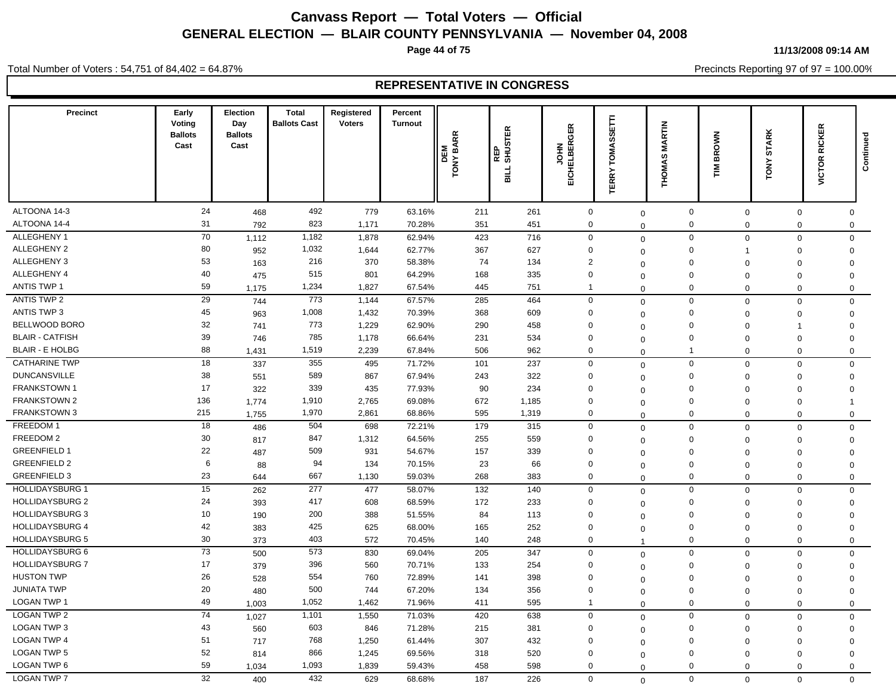**Page 44 of 75**

**11/13/2008 09:14 AM**

Precincts Reporting 97 of 97 = 100.00%

Total Number of Voters : 54,751 of 84,402 = 64.87%

| <b>Precinct</b>        | Early<br>Voting<br><b>Ballots</b><br>Cast | Election<br>Day<br><b>Ballots</b><br>Cast | <b>Total</b><br><b>Ballots Cast</b> | Registered<br><b>Voters</b> | Percent<br><b>Turnout</b> | <b>TONY BARR</b><br>DEM | REP<br>SHUSTER<br><b>BILL</b> | EICHELBERGER<br>H <sub>O</sub> | Ē<br>SS<br><b>SMIA</b><br>Ē<br>ERRY <sup>-</sup> | <b>MARTIN</b><br><b>THOMAS</b> | <b>BROWN</b><br>$\sum_{i=1}^{n}$ | <b>STARK</b><br>TONY | <b>RICKER</b><br>VICTOR | Continued |
|------------------------|-------------------------------------------|-------------------------------------------|-------------------------------------|-----------------------------|---------------------------|-------------------------|-------------------------------|--------------------------------|--------------------------------------------------|--------------------------------|----------------------------------|----------------------|-------------------------|-----------|
| ALTOONA 14-3           | 24                                        | 468                                       | 492                                 | 779                         | 63.16%                    | 211                     | 261                           | $\mathsf 0$                    | $\mathbf 0$                                      | $\mathbf 0$                    | $\mathbf 0$                      | 0                    | 0                       |           |
| ALTOONA 14-4           | 31                                        | 792                                       | 823                                 | 1,171                       | 70.28%                    | 351                     | 451                           | $\pmb{0}$                      | $\mathbf 0$                                      | $\pmb{0}$                      | $\mathbf 0$                      | 0                    | $\mathbf 0$             |           |
| ALLEGHENY 1            | 70                                        | 1,112                                     | 1,182                               | 1,878                       | 62.94%                    | 423                     | 716                           | $\mathbf 0$                    | $\mathbf 0$                                      | $\mathbf 0$                    | $\mathbf 0$                      | 0                    | $\mathbf 0$             |           |
| ALLEGHENY 2            | 80                                        | 952                                       | 1,032                               | 1,644                       | 62.77%                    | 367                     | 627                           | $\mathbf 0$                    | $\mathbf 0$                                      | $\mathsf 0$                    | 1                                | $\mathbf 0$          | $\mathbf 0$             |           |
| ALLEGHENY 3            | 53                                        | 163                                       | 216                                 | 370                         | 58.38%                    | 74                      | 134                           | $\overline{2}$                 | $\mathbf 0$                                      | $\Omega$                       | $\Omega$                         | $\Omega$             | $\mathbf 0$             |           |
| ALLEGHENY 4            | 40                                        | 475                                       | 515                                 | 801                         | 64.29%                    | 168                     | 335                           | $\mathbf 0$                    | $\mathbf 0$                                      | $\Omega$                       | $\mathbf 0$                      | $\Omega$             | $\Omega$                |           |
| <b>ANTIS TWP 1</b>     | 59                                        | 1,175                                     | 1,234                               | 1,827                       | 67.54%                    | 445                     | 751                           | $\overline{1}$                 | $\Omega$                                         | $\mathbf 0$                    | $\mathbf 0$                      | $\mathbf 0$          | $\mathbf 0$             |           |
| ANTIS TWP 2            | $\overline{29}$                           | 744                                       | 773                                 | 1,144                       | 67.57%                    | 285                     | 464                           | $\mathbf 0$                    | $\mathbf 0$                                      | $\mathbf 0$                    | $\Omega$                         | $\mathbf 0$          | $\mathsf{O}\xspace$     |           |
| <b>ANTIS TWP 3</b>     | 45                                        | 963                                       | 1,008                               | 1,432                       | 70.39%                    | 368                     | 609                           | $\mathbf 0$                    | $\mathbf 0$                                      | $\mathbf 0$                    | $\Omega$                         | $\Omega$             | $\mathbf 0$             |           |
| BELLWOOD BORO          | 32                                        | 741                                       | 773                                 | 1,229                       | 62.90%                    | 290                     | 458                           | $\mathbf 0$                    | $\mathbf 0$                                      | $\mathbf 0$                    | $\Omega$                         | 1                    | $\mathbf 0$             |           |
| <b>BLAIR - CATFISH</b> | 39                                        | 746                                       | 785                                 | 1,178                       | 66.64%                    | 231                     | 534                           | $\mathbf 0$                    | $\mathbf 0$                                      | $\mathbf 0$                    | $\mathbf 0$                      | 0                    | $\mathbf 0$             |           |
| <b>BLAIR - E HOLBG</b> | 88                                        | 1,431                                     | 1,519                               | 2,239                       | 67.84%                    | 506                     | 962                           | $\mathbf 0$                    | $\mathbf 0$                                      | $\mathbf{1}$                   | $\mathbf 0$                      | $\mathbf{0}$         | $\mathsf 0$             |           |
| <b>CATHARINE TWP</b>   | 18                                        | 337                                       | 355                                 | 495                         | 71.72%                    | 101                     | 237                           | $\mathbf 0$                    | $\mathbf 0$                                      | $\mathbf 0$                    | $\mathbf 0$                      | $\mathbf 0$          | $\mathsf 0$             |           |
| <b>DUNCANSVILLE</b>    | 38                                        | 551                                       | 589                                 | 867                         | 67.94%                    | 243                     | 322                           | $\mathbf 0$                    | $\mathbf 0$                                      | $\mathbf 0$                    | $\Omega$                         | $\mathbf 0$          | $\mathbf 0$             |           |
| <b>FRANKSTOWN1</b>     | 17                                        | 322                                       | 339                                 | 435                         | 77.93%                    | 90                      | 234                           | $\mathbf 0$                    | $\Omega$                                         | $\Omega$                       | $\mathbf 0$                      | $\mathbf 0$          | $\mathbf 0$             |           |
| <b>FRANKSTOWN 2</b>    | 136                                       | 1,774                                     | 1,910                               | 2,765                       | 69.08%                    | 672                     | 1,185                         | $\mathbf 0$                    | $\mathbf 0$                                      | $\mathbf 0$                    | $\mathbf 0$                      | $\Omega$             | $\mathbf{1}$            |           |
| <b>FRANKSTOWN 3</b>    | 215                                       | 1,755                                     | 1,970                               | 2,861                       | 68.86%                    | 595                     | 1,319                         | $\mathbf 0$                    | $\Omega$                                         | $\Omega$                       | $\Omega$                         | $\mathbf 0$          | $\mathsf 0$             |           |
| FREEDOM 1              | 18                                        | 486                                       | 504                                 | 698                         | 72.21%                    | 179                     | 315                           | $\mathbf 0$                    | $\mathbf 0$                                      | $\mathbf 0$                    | $\Omega$                         | $\Omega$             | $\mathbf 0$             |           |
| FREEDOM 2              | 30                                        | 817                                       | 847                                 | 1,312                       | 64.56%                    | 255                     | 559                           | $\mathbf 0$                    | $\Omega$                                         | $\mathbf 0$                    | $\Omega$                         | $\Omega$             | $\mathsf 0$             |           |
| <b>GREENFIELD 1</b>    | 22                                        | 487                                       | 509                                 | 931                         | 54.67%                    | 157                     | 339                           | $\mathbf 0$                    | $\Omega$                                         | $\mathbf 0$                    | $\Omega$                         | $\Omega$             | $\mathbf 0$             |           |
| <b>GREENFIELD 2</b>    | 6                                         | 88                                        | 94                                  | 134                         | 70.15%                    | 23                      | 66                            | $\mathbf 0$                    | $\mathbf 0$                                      | $\mathbf 0$                    | $\mathbf 0$                      | $\mathbf 0$          | $\mathbf 0$             |           |
| <b>GREENFIELD 3</b>    | 23                                        | 644                                       | 667                                 | 1,130                       | 59.03%                    | 268                     | 383                           | $\mathbf 0$                    | $\Omega$                                         | $\mathbf 0$                    | $\mathbf 0$                      | $\mathbf 0$          | $\mathbf 0$             |           |
| <b>HOLLIDAYSBURG 1</b> | 15                                        | 262                                       | 277                                 | 477                         | 58.07%                    | 132                     | 140                           | $\mathbf 0$                    | $\mathbf 0$                                      | $\mathbf 0$                    | $\Omega$                         | $\mathbf 0$          | $\mathbf 0$             |           |
| <b>HOLLIDAYSBURG 2</b> | 24                                        | 393                                       | 417                                 | 608                         | 68.59%                    | 172                     | 233                           | $\mathbf 0$                    | $\mathbf 0$                                      | $\mathbf 0$                    | $\mathbf 0$                      | 0                    | $\mathbf 0$             |           |
| <b>HOLLIDAYSBURG 3</b> | 10                                        | 190                                       | 200                                 | 388                         | 51.55%                    | 84                      | 113                           | $\mathbf 0$                    | $\Omega$                                         | $\mathbf 0$                    | $\mathbf 0$                      | $\mathbf 0$          | $\mathbf 0$             |           |
| <b>HOLLIDAYSBURG 4</b> | 42                                        | 383                                       | 425                                 | 625                         | 68.00%                    | 165                     | 252                           | $\mathbf 0$                    | $\mathbf 0$                                      | $\mathbf 0$                    | $\mathbf 0$                      | 0                    | $\mathbf 0$             |           |
| <b>HOLLIDAYSBURG 5</b> | 30                                        | 373                                       | 403                                 | 572                         | 70.45%                    | 140                     | 248                           | $\mathbf 0$                    | -1                                               | $\mathbf 0$                    | $\Omega$                         | $\mathbf 0$          | $\mathsf{O}$            |           |
| <b>HOLLIDAYSBURG 6</b> | 73                                        | 500                                       | 573                                 | 830                         | 69.04%                    | 205                     | 347                           | $\mathbf 0$                    | $\mathbf 0$                                      | $\mathbf 0$                    | $\mathbf 0$                      | $\mathbf 0$          | $\mathbf 0$             |           |
| <b>HOLLIDAYSBURG 7</b> | 17                                        | 379                                       | 396                                 | 560                         | 70.71%                    | 133                     | 254                           | $\mathbf 0$                    | $\mathbf 0$                                      | $\mathbf 0$                    | $\Omega$                         | $\Omega$             | $\mathsf 0$             |           |
| <b>HUSTON TWP</b>      | 26                                        | 528                                       | 554                                 | 760                         | 72.89%                    | 141                     | 398                           | $\mathbf 0$                    | $\Omega$                                         | $\mathbf 0$                    | $\Omega$                         | $\Omega$             | $\mathbf 0$             |           |
| <b>JUNIATA TWP</b>     | 20                                        | 480                                       | 500                                 | 744                         | 67.20%                    | 134                     | 356                           | $\mathbf 0$                    | $\Omega$                                         | $\mathbf 0$                    | $\Omega$                         | $\Omega$             | $\mathbf 0$             |           |
| <b>LOGAN TWP 1</b>     | 49                                        | 1,003                                     | 1,052                               | 1,462                       | 71.96%                    | 411                     | 595                           | $\overline{\mathbf{1}}$        | $\Omega$                                         | $\mathbf 0$                    | $\Omega$                         | $\mathbf 0$          | $\mathbf 0$             |           |
| <b>LOGAN TWP 2</b>     | $\overline{74}$                           | 1,027                                     | 1,101                               | 1,550                       | 71.03%                    | 420                     | 638                           | $\mathbf 0$                    | $\mathbf 0$                                      | $\mathbf 0$                    | $\mathbf 0$                      | $\mathbf 0$          | $\mathbf 0$             |           |
| LOGAN TWP 3            | 43                                        | 560                                       | 603                                 | 846                         | 71.28%                    | 215                     | 381                           | $\mathbf 0$                    | $\mathbf 0$                                      | $\mathbf 0$                    | $\mathbf 0$                      | 0                    | $\mathbf 0$             |           |
| <b>LOGAN TWP 4</b>     | 51                                        | 717                                       | 768                                 | 1,250                       | 61.44%                    | 307                     | 432                           | $\mathbf 0$                    | $\Omega$                                         | $\mathbf 0$                    | $\mathbf 0$                      | $\mathbf 0$          | $\mathbf 0$             |           |
| <b>LOGAN TWP 5</b>     | 52                                        | 814                                       | 866                                 | 1,245                       | 69.56%                    | 318                     | 520                           | $\mathbf 0$                    | $\mathbf 0$                                      | $\mathbf 0$                    | $\Omega$                         | $\Omega$             | $\mathbf 0$             |           |
| LOGAN TWP 6            | 59                                        | 1,034                                     | 1,093                               | 1,839                       | 59.43%                    | 458                     | 598                           | $\Omega$                       | $\mathbf 0$                                      | $\Omega$                       | $\mathbf 0$                      | $\mathbf{0}$         | $\mathbf 0$             |           |
| <b>LOGAN TWP 7</b>     | 32                                        | 400                                       | 432                                 | 629                         | 68.68%                    | 187                     | 226                           | $\Omega$                       | $\Omega$                                         | $\Omega$                       | $\Omega$                         | $\Omega$             | $\Omega$                |           |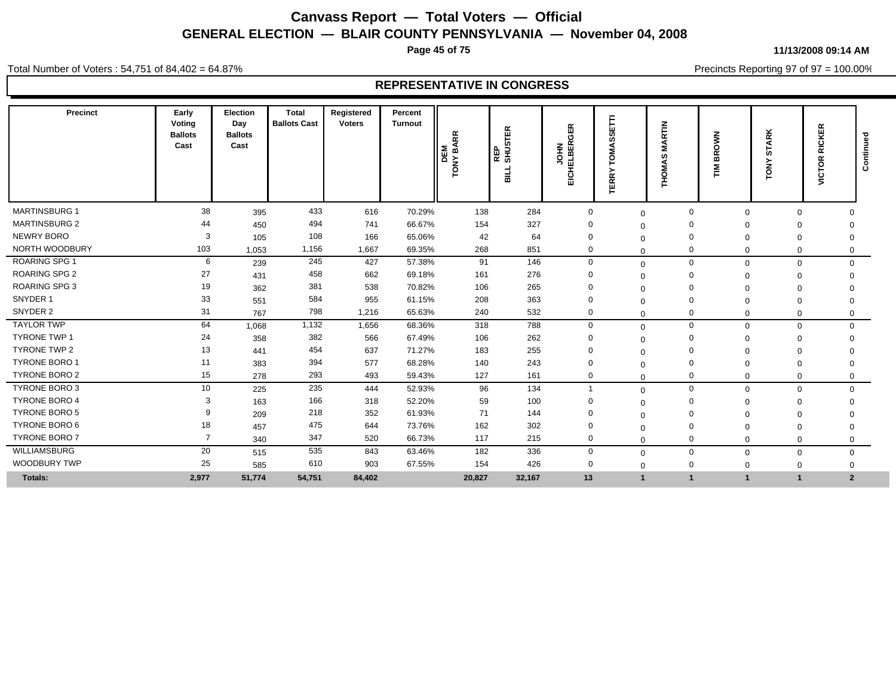**Page 45 of 75**

**11/13/2008 09:14 AM**

Precincts Reporting 97 of 97 = 100.00%

Total Number of Voters : 54,751 of 84,402 = 64.87%

| Precinct             | Early<br>Voting<br><b>Ballots</b><br>Cast | Election<br>Day<br><b>Ballots</b><br>Cast | <b>Total</b><br><b>Ballots Cast</b> | Registered<br><b>Voters</b> | Percent<br><b>Turnout</b> | <b>BARR</b><br>띮<br>TONY<br>$\overline{\mathbf{C}}$ | ≃<br><b>STE</b><br>SHO.<br>늷 | EICHELBERGER<br>Ξ<br>っ | E<br>ш<br>m<br>ഗ<br>$\overline{\circ}$<br>≻<br>TERR' | $\tilde{E}$<br>'n<br>Σ<br>$\epsilon$<br>Σ<br>윧 | Š<br>Ř<br>를 | <b>STARK</b><br>TONY    | <b>RICKER</b><br><b>VICTOR</b> | Continu        |
|----------------------|-------------------------------------------|-------------------------------------------|-------------------------------------|-----------------------------|---------------------------|-----------------------------------------------------|------------------------------|------------------------|------------------------------------------------------|------------------------------------------------|-------------|-------------------------|--------------------------------|----------------|
| <b>MARTINSBURG 1</b> | 38                                        | 395                                       | 433                                 | 616                         | 70.29%                    | 138                                                 | 284                          | $\mathbf 0$            | $\Omega$                                             | 0                                              |             | $\Omega$<br>$\Omega$    |                                | $\Omega$       |
| <b>MARTINSBURG 2</b> | 44                                        | 450                                       | 494                                 | 741                         | 66.67%                    | 154                                                 | 327                          | $\Omega$               | $\Omega$                                             | 0                                              |             |                         |                                | $\Omega$       |
| <b>NEWRY BORO</b>    | 3                                         | 105                                       | 108                                 | 166                         | 65.06%                    | 42                                                  | 64                           | $\Omega$               | $\Omega$                                             | $\Omega$                                       |             | 0                       |                                | $\mathbf 0$    |
| NORTH WOODBURY       | 103                                       | 1,053                                     | 1,156                               | 1,667                       | 69.35%                    | 268                                                 | 851                          | $\mathbf 0$            | $\Omega$                                             | 0                                              |             | $\Omega$<br>$\Omega$    |                                | $\Omega$       |
| ROARING SPG 1        | 6                                         | 239                                       | 245                                 | 427                         | 57.38%                    | 91                                                  | 146                          | $\mathbf 0$            | $\mathbf 0$                                          | $\mathbf 0$                                    |             | $\Omega$<br>$\mathbf 0$ |                                | $\mathbf{0}$   |
| <b>ROARING SPG 2</b> | 27                                        | 431                                       | 458                                 | 662                         | 69.18%                    | 161                                                 | 276                          | $\mathbf 0$            | $\Omega$                                             | 0                                              |             | $\mathbf 0$<br>$\Omega$ |                                | $\Omega$       |
| <b>ROARING SPG 3</b> | 19                                        | 362                                       | 381                                 | 538                         | 70.82%                    | 106                                                 | 265                          | $\mathbf 0$            | $\Omega$                                             | $\Omega$                                       |             | $\Omega$<br>$\Omega$    |                                |                |
| SNYDER 1             | 33                                        | 551                                       | 584                                 | 955                         | 61.15%                    | 208                                                 | 363                          | $\Omega$               | $\Omega$                                             | $\Omega$                                       |             | $\Omega$<br>$\Omega$    |                                | $\Omega$       |
| SNYDER 2             | 31                                        | 767                                       | 798                                 | 1,216                       | 65.63%                    | 240                                                 | 532                          | $\mathbf 0$            | $\Omega$                                             | 0                                              |             | $\Omega$<br>$\mathbf 0$ |                                | 0              |
| <b>TAYLOR TWP</b>    | 64                                        | 1,068                                     | 1,132                               | 1,656                       | 68.36%                    | 318                                                 | 788                          | $\mathbf 0$            | $\mathbf{0}$                                         | $\mathbf 0$                                    |             | $\mathbf 0$<br>$\Omega$ |                                | $\mathbf{0}$   |
| <b>TYRONE TWP 1</b>  | 24                                        | 358                                       | 382                                 | 566                         | 67.49%                    | 106                                                 | 262                          | $\mathbf 0$            | $\Omega$                                             | $\Omega$                                       |             | $\mathbf 0$<br>$\Omega$ |                                | $\Omega$       |
| <b>TYRONE TWP 2</b>  | 13                                        | 441                                       | 454                                 | 637                         | 71.27%                    | 183                                                 | 255                          | $\mathbf 0$            | - 0                                                  |                                                |             | 0                       |                                | $\Omega$       |
| <b>TYRONE BORO 1</b> | 11                                        | 383                                       | 394                                 | 577                         | 68.28%                    | 140                                                 | 243                          | $\Omega$               | $\Omega$                                             | $\Omega$                                       |             | $\mathbf 0$             |                                | 0              |
| TYRONE BORO 2        | 15                                        | 278                                       | 293                                 | 493                         | 59.43%                    | 127                                                 | 161                          | $\mathbf 0$            | $\Omega$                                             | 0                                              |             | $\mathbf 0$<br>$\Omega$ |                                | $\mathbf 0$    |
| TYRONE BORO 3        | 10                                        | 225                                       | 235                                 | 444                         | 52.93%                    | 96                                                  | 134                          | $\mathbf 1$            | $\Omega$                                             | $\mathbf 0$                                    |             | $\mathbf 0$<br>$\Omega$ |                                | $\mathbf{0}$   |
| <b>TYRONE BORO 4</b> | 3                                         | 163                                       | 166                                 | 318                         | 52.20%                    | 59                                                  | 100                          | $\Omega$               | $\Omega$                                             | $\Omega$                                       |             | 0                       |                                | $\Omega$       |
| <b>TYRONE BORO 5</b> | 9                                         | 209                                       | 218                                 | 352                         | 61.93%                    | 71                                                  | 144                          | $\mathbf 0$            | $\Omega$                                             | $\Omega$                                       |             | $\mathbf 0$<br>$\Omega$ |                                | $\Omega$       |
| <b>TYRONE BORO 6</b> | 18                                        | 457                                       | 475                                 | 644                         | 73.76%                    | 162                                                 | 302                          | $\Omega$               | $\Omega$                                             | $\Omega$                                       |             | $\Omega$<br>0           |                                | 0              |
| <b>TYRONE BORO 7</b> | $\overline{7}$                            | 340                                       | 347                                 | 520                         | 66.73%                    | 117                                                 | 215                          | $\mathbf 0$            | $\Omega$                                             | 0                                              |             | $\mathbf 0$<br>$\Omega$ |                                | $\mathbf 0$    |
| WILLIAMSBURG         | 20                                        | 515                                       | 535                                 | 843                         | 63.46%                    | 182                                                 | 336                          | $\mathbf 0$            | $\Omega$                                             | $\mathbf 0$                                    |             | 0<br>$\Omega$           |                                | $\mathbf{0}$   |
| <b>WOODBURY TWP</b>  | 25                                        | 585                                       | 610                                 | 903                         | 67.55%                    | 154                                                 | 426                          | 0                      | $\mathbf{0}$                                         | 0                                              |             | $\Omega$<br>$\Omega$    |                                | 0              |
| <b>Totals:</b>       | 2,977                                     | 51,774                                    | 54,751                              | 84,402                      |                           | 20,827                                              | 32,167                       | 13                     | $\overline{\mathbf{1}}$                              |                                                |             |                         |                                | $\overline{2}$ |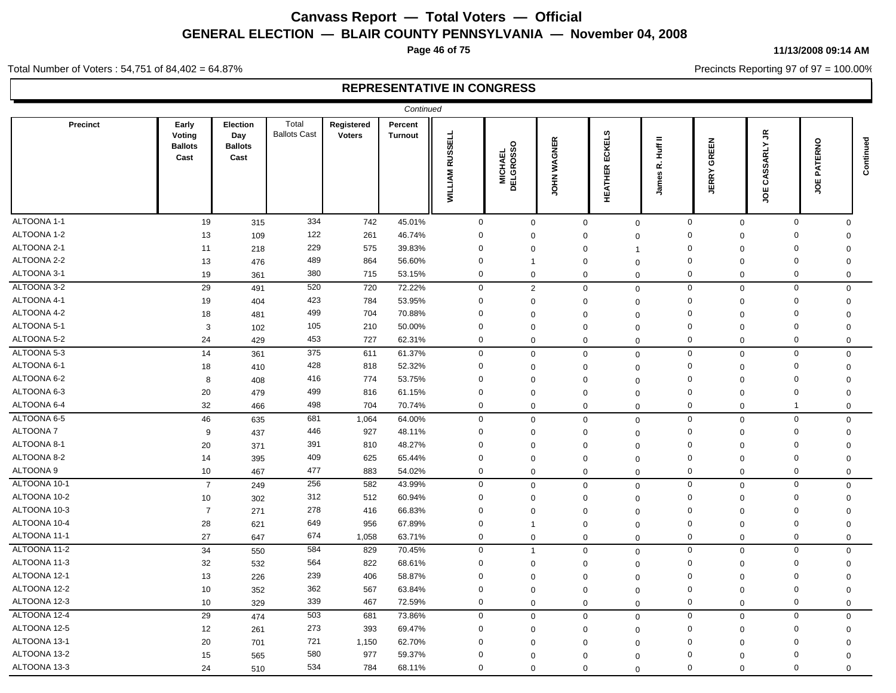**Page 46 of 75**

#### **11/13/2008 09:14 AM**

Precincts Reporting 97 of 97 = 100.00%

Total Number of Voters : 54,751 of 84,402 = 64.87%

|                 |                                           |                                           |                              |                             | Continued                 |                                  |                              |                              |                                       |                                          |                       |                                        |                                                    |             |
|-----------------|-------------------------------------------|-------------------------------------------|------------------------------|-----------------------------|---------------------------|----------------------------------|------------------------------|------------------------------|---------------------------------------|------------------------------------------|-----------------------|----------------------------------------|----------------------------------------------------|-------------|
| <b>Precinct</b> | Early<br>Voting<br><b>Ballots</b><br>Cast | Election<br>Day<br><b>Ballots</b><br>Cast | Total<br><b>Ballots Cast</b> | Registered<br><b>Voters</b> | Percent<br><b>Turnout</b> | <b>RUSSELL</b><br><b>WILLIAM</b> | <b>MICHAEL<br/>DELGROSSO</b> | <b>WAGNER</b><br><b>NHOT</b> | <b>IKELS</b><br>ပ္မ<br><b>HEATHER</b> | $=$<br><b>Huff</b><br>نم<br>δů<br>ε<br>흑 | GREEN<br><b>JERRY</b> | $\tilde{\vec{r}}$<br>SSARLY<br>రే<br>ğ | ERNO<br><b>TXP</b><br>ш<br>$\overline{\mathbf{o}}$ | Continued   |
| ALTOONA 1-1     | 19                                        | 315                                       | 334                          | 742                         | 45.01%                    | $\overline{0}$                   | $\mathbf 0$                  |                              | $\mathbf 0$                           | $\mathbf 0$                              | $\mathbf 0$           | $\mathbf 0$                            | $\mathbf 0$                                        | $\Omega$    |
| ALTOONA 1-2     | 13                                        | 109                                       | 122                          | 261                         | 46.74%                    | 0                                | $\mathbf 0$                  |                              | $\mathbf 0$                           | $\Omega$                                 | $\Omega$              | $\mathbf 0$                            | $\Omega$                                           | 0           |
| ALTOONA 2-1     | 11                                        | 218                                       | 229                          | 575                         | 39.83%                    | $\mathbf 0$                      | $\mathbf 0$                  |                              | $\Omega$                              | -1                                       | $\Omega$              | $\mathbf 0$                            | $\mathbf 0$                                        | $\mathbf 0$ |
| ALTOONA 2-2     | 13                                        | 476                                       | 489                          | 864                         | 56.60%                    | $\mathbf 0$                      | 1                            |                              | $\Omega$                              | $\Omega$                                 | $\Omega$              | $\Omega$                               | $\mathbf 0$                                        | 0           |
| ALTOONA 3-1     | 19                                        | 361                                       | 380                          | 715                         | 53.15%                    | $\mathbf 0$                      | $\mathbf 0$                  |                              | $\mathbf 0$                           | $\mathbf 0$                              | $\mathbf 0$           | $\mathbf 0$                            | $\mathbf 0$                                        | $\Omega$    |
| ALTOONA 3-2     | 29                                        | 491                                       | 520                          | 720                         | 72.22%                    | $\boldsymbol{0}$                 | $\overline{2}$               |                              | $\mathbf 0$                           | $\mathbf 0$                              | $\mathbf 0$           | $\mathbf 0$                            | $\mathbf 0$                                        | $\mathbf 0$ |
| ALTOONA 4-1     | 19                                        | 404                                       | 423                          | 784                         | 53.95%                    | $\mathbf 0$                      | $\Omega$                     |                              | $\Omega$                              | $\Omega$                                 | $\mathbf 0$           | $\mathbf 0$                            | $\mathbf 0$                                        | 0           |
| ALTOONA 4-2     | 18                                        | 481                                       | 499                          | 704                         | 70.88%                    | $\mathbf 0$                      | $\mathbf 0$                  |                              | $\Omega$                              | $\mathbf 0$                              | $\mathbf 0$           | $\Omega$                               | $\mathbf 0$                                        | 0           |
| ALTOONA 5-1     | 3                                         | 102                                       | 105                          | 210                         | 50.00%                    | $\mathbf 0$                      | $\mathbf 0$                  |                              | $\Omega$                              | $\Omega$                                 | $\mathbf 0$           | $\mathbf 0$                            | $\mathbf 0$                                        | $\mathbf 0$ |
| ALTOONA 5-2     | 24                                        | 429                                       | 453                          | 727                         | 62.31%                    | $\mathbf 0$                      | $\mathbf 0$                  |                              | $\mathbf 0$                           | $\Omega$                                 | $\mathbf 0$           | $\mathbf 0$                            | $\mathbf 0$                                        | 0           |
| ALTOONA 5-3     | 14                                        | 361                                       | 375                          | 611                         | 61.37%                    | $\mathbf 0$                      | $\mathbf 0$                  |                              | $\Omega$                              | $\mathbf 0$                              | $\mathbf 0$           | $\mathbf 0$                            | $\mathbf 0$                                        | $\Omega$    |
| ALTOONA 6-1     | 18                                        | 410                                       | 428                          | 818                         | 52.32%                    | $\mathbf 0$                      | $\mathbf 0$                  |                              | $\Omega$                              | $\mathbf 0$                              | $\mathbf 0$           | $\mathbf 0$                            | $\mathbf 0$                                        | $\mathbf 0$ |
| ALTOONA 6-2     | 8                                         | 408                                       | 416                          | 774                         | 53.75%                    | $\mathbf 0$                      | 0                            |                              | $\Omega$                              | $\Omega$                                 | $\Omega$              | $\mathbf 0$                            | $\mathbf 0$                                        | $\mathbf 0$ |
| ALTOONA 6-3     | 20                                        | 479                                       | 499                          | 816                         | 61.15%                    | $\Omega$                         | $\Omega$                     |                              | $\Omega$                              | $\mathbf 0$                              | $\Omega$              | $\mathbf 0$                            | $\Omega$                                           | $\Omega$    |
| ALTOONA 6-4     | 32                                        | 466                                       | 498                          | 704                         | 70.74%                    | $\mathbf 0$                      | $\mathbf 0$                  |                              | $\mathbf 0$                           | $\mathbf 0$                              | $\mathbf 0$           | $\mathbf 0$                            | -1                                                 | 0           |
| ALTOONA 6-5     | 46                                        | 635                                       | 681                          | 1,064                       | 64.00%                    | $\mathbf 0$                      | $\mathbf 0$                  |                              | $\mathbf 0$                           | $\mathbf 0$                              | $\mathbf 0$           | $\mathbf 0$                            | $\mathbf 0$                                        | $\Omega$    |
| ALTOONA 7       | 9                                         | 437                                       | 446                          | 927                         | 48.11%                    | $\Omega$                         | $\Omega$                     |                              | $\Omega$                              | $\mathbf 0$                              | $\Omega$              | $\mathbf 0$                            | $\mathbf 0$                                        | 0           |
| ALTOONA 8-1     | 20                                        | 371                                       | 391                          | 810                         | 48.27%                    | $\Omega$                         | $\Omega$                     |                              | $\Omega$                              | $\Omega$                                 | $\Omega$              | $\mathbf 0$                            | $\Omega$                                           | $\mathbf 0$ |
| ALTOONA 8-2     | 14                                        | 395                                       | 409                          | 625                         | 65.44%                    | $\mathbf 0$                      | $\mathbf 0$                  |                              | $\Omega$                              | $\mathbf 0$                              | $\Omega$              | $\mathbf 0$                            | $\mathbf 0$                                        | $\Omega$    |
| ALTOONA 9       | 10 <sup>1</sup>                           | 467                                       | 477                          | 883                         | 54.02%                    | $\mathbf 0$                      | $\mathbf 0$                  |                              | $\mathbf 0$                           | $\mathbf 0$                              | 0                     | $\mathbf 0$                            | $\mathbf 0$                                        | $\mathbf 0$ |
| ALTOONA 10-1    | $\overline{7}$                            | 249                                       | 256                          | 582                         | 43.99%                    | $\boldsymbol{0}$                 | $\mathbf 0$                  |                              | $\mathbf 0$                           | $\mathbf 0$                              | $\mathbf 0$           | $\mathbf 0$                            | $\mathbf 0$                                        | $\mathbf 0$ |
| ALTOONA 10-2    | 10                                        | 302                                       | 312                          | 512                         | 60.94%                    | $\mathbf 0$                      | $\mathbf 0$                  |                              | $\Omega$                              | $\Omega$                                 | $\mathbf 0$           | $\mathbf 0$                            | $\mathbf 0$                                        | $\mathbf 0$ |
| ALTOONA 10-3    | $\overline{7}$                            | 271                                       | 278                          | 416                         | 66.83%                    | $\mathbf 0$                      | $\Omega$                     |                              | $\Omega$                              | $\Omega$                                 | $\Omega$              | $\Omega$                               | 0                                                  | $\Omega$    |
| ALTOONA 10-4    | 28                                        | 621                                       | 649                          | 956                         | 67.89%                    | $\mathbf 0$                      | $\overline{1}$               |                              | $\mathbf 0$                           | $\mathbf 0$                              | $\Omega$              | 0                                      | 0                                                  | $\Omega$    |
| ALTOONA 11-1    | 27                                        | 647                                       | 674                          | 1,058                       | 63.71%                    | $\mathbf 0$                      | $\mathbf 0$                  |                              | $\mathbf 0$                           | $\mathbf 0$                              | $\mathbf 0$           | $\mathbf 0$                            | $\mathbf 0$                                        | $\mathbf 0$ |
| ALTOONA 11-2    | 34                                        | 550                                       | 584                          | 829                         | 70.45%                    | $\mathsf 0$                      | $\overline{1}$               |                              | $\Omega$                              | $\mathbf 0$                              | $\mathbf 0$           | $\mathbf 0$                            | $\mathbf 0$                                        | $\mathbf 0$ |
| ALTOONA 11-3    | 32                                        | 532                                       | 564                          | 822                         | 68.61%                    | $\Omega$                         | $\mathbf 0$                  |                              | $\Omega$                              | $\mathbf 0$                              | $\mathbf 0$           | $\mathbf 0$                            | $\mathbf 0$                                        | 0           |
| ALTOONA 12-1    | 13                                        | 226                                       | 239                          | 406                         | 58.87%                    | $\mathbf 0$                      | $\Omega$                     |                              | $\Omega$                              | $\Omega$                                 | $\mathbf 0$           | 0                                      | $\mathbf 0$                                        | $\Omega$    |
| ALTOONA 12-2    | 10                                        | 352                                       | 362                          | 567                         | 63.84%                    | $\mathbf 0$                      | $\Omega$                     |                              | $\Omega$                              | $\Omega$                                 | $\mathbf 0$           | $\Omega$                               | $\mathbf 0$                                        | $\Omega$    |
| ALTOONA 12-3    | 10                                        | 329                                       | 339                          | 467                         | 72.59%                    | $\mathbf 0$                      | $\mathbf 0$                  |                              | $\mathbf 0$                           | $\mathbf 0$                              | 0                     | $\mathbf 0$                            | $\mathbf 0$                                        | $\Omega$    |
| ALTOONA 12-4    | 29                                        | 474                                       | 503                          | 681                         | 73.86%                    | $\boldsymbol{0}$                 | $\mathbf 0$                  |                              | $\mathbf 0$                           | $\mathbf 0$                              | $\mathbf 0$           | $\mathbf 0$                            | $\mathbf 0$                                        | $\mathbf 0$ |
| ALTOONA 12-5    | 12                                        | 261                                       | 273                          | 393                         | 69.47%                    | $\Omega$                         | $\Omega$                     |                              | $\Omega$                              | $\Omega$                                 | $\Omega$              | 0                                      | $\mathbf 0$                                        | 0           |
| ALTOONA 13-1    | 20                                        | 701                                       | 721                          | 1,150                       | 62.70%                    | $\Omega$                         | $\Omega$                     |                              | $\Omega$                              | $\Omega$                                 | $\Omega$              | $\Omega$                               | $\mathbf 0$                                        | $\Omega$    |
| ALTOONA 13-2    | 15                                        | 565                                       | 580                          | 977                         | 59.37%                    | $\Omega$                         | $\Omega$                     |                              | $\Omega$                              | $\Omega$                                 | $\Omega$              | $\Omega$                               | $\Omega$                                           | $\Omega$    |
| ALTOONA 13-3    | 24                                        | 510                                       | 534                          | 784                         | 68.11%                    | $\mathbf 0$                      | $\Omega$                     |                              | $\Omega$                              | $\Omega$                                 | $\mathbf 0$           | $\Omega$                               | $\mathbf 0$                                        | $\Omega$    |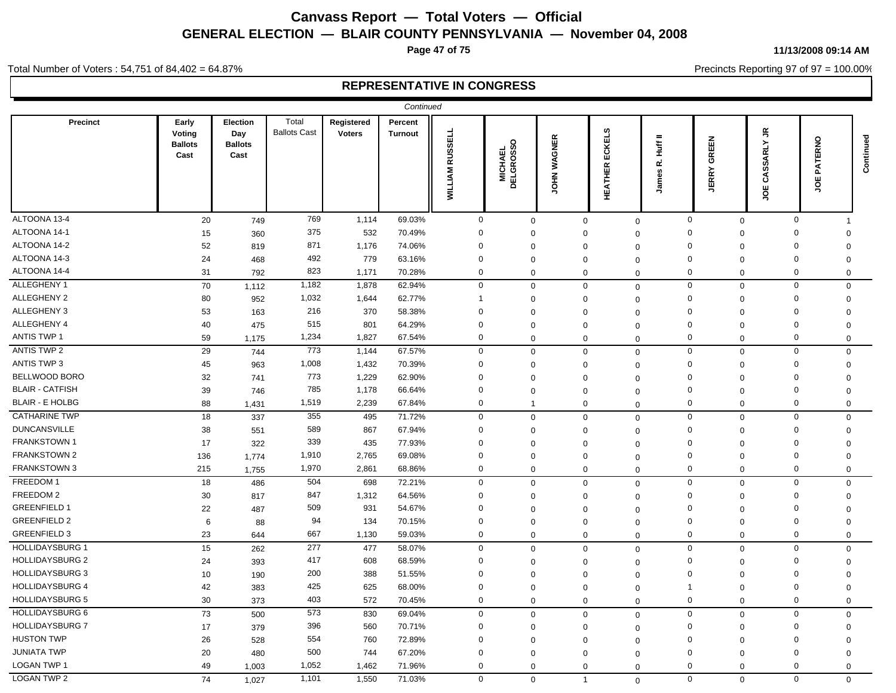**Page 47 of 75**

#### **11/13/2008 09:14 AM**

Precincts Reporting 97 of 97 = 100.00%

Total Number of Voters : 54,751 of 84,402 = 64.87%

|                        |                                           |                                           |                              |                             | Continued          |                                  |                                         |              |                               |                                   |                             |                                               |                           |           |
|------------------------|-------------------------------------------|-------------------------------------------|------------------------------|-----------------------------|--------------------|----------------------------------|-----------------------------------------|--------------|-------------------------------|-----------------------------------|-----------------------------|-----------------------------------------------|---------------------------|-----------|
| <b>Precinct</b>        | Early<br>Voting<br><b>Ballots</b><br>Cast | Election<br>Day<br><b>Ballots</b><br>Cast | Total<br><b>Ballots Cast</b> | Registered<br><b>Voters</b> | Percent<br>Turnout | <b>RUSSELL</b><br><b>WILLIAM</b> | $\circ$<br><b>MICHAEL<br/>DELGROSSO</b> | WAGNER<br>ŠЮ | CKELS<br>Ŵ.<br><b>HEATHER</b> | $\equiv$<br>Huff<br>œ<br>mes<br>鸟 | GREEN<br><b>JERRY</b>       | $\tilde{\vec{r}}$<br><b>SSARLY</b><br>రే<br>ğ | $\circ$<br>反대<br>ГÅТ<br>٣ | Continued |
| ALTOONA 13-4           | 20                                        | 749                                       | 769                          | 1,114                       | 69.03%             | $\mathbf 0$                      | $\mathbf 0$                             | $\mathbf 0$  |                               | $\mathbf 0$                       | $\mathbf 0$<br>$\mathbf 0$  | $\mathbf 0$                                   |                           |           |
| ALTOONA 14-1           | 15                                        | 360                                       | 375                          | 532                         | 70.49%             | $\mathbf 0$                      | $\Omega$                                | $\Omega$     | $\Omega$                      |                                   | $\Omega$<br>$\Omega$        | $\Omega$                                      | $\Omega$                  |           |
| ALTOONA 14-2           | 52                                        | 819                                       | 871                          | 1,176                       | 74.06%             | 0                                | $\Omega$                                | $\mathbf 0$  | $\Omega$                      |                                   | $\mathbf 0$<br>$\mathbf 0$  | $\mathbf 0$                                   | $\mathbf 0$               |           |
| ALTOONA 14-3           | 24                                        | 468                                       | 492                          | 779                         | 63.16%             | 0                                | $\Omega$                                | $\mathbf 0$  | $\mathbf 0$                   |                                   | $\Omega$<br>$\mathbf 0$     | $\Omega$                                      | $\mathbf 0$               |           |
| ALTOONA 14-4           | 31                                        | 792                                       | 823                          | 1,171                       | 70.28%             | $\mathbf 0$                      | $\mathbf{0}$                            | $\mathbf 0$  | $\mathbf 0$                   |                                   | 0<br>0                      | $\mathbf 0$                                   | $\mathbf 0$               |           |
| ALLEGHENY 1            | 70                                        | 1,112                                     | 1,182                        | 1,878                       | 62.94%             | $\mathbf 0$                      | $\mathbf 0$                             | $\mathbf 0$  | $\mathbf 0$                   |                                   | $\mathbf 0$<br>$\mathbf 0$  | $\mathbf 0$                                   | $\mathbf 0$               |           |
| <b>ALLEGHENY 2</b>     | 80                                        | 952                                       | 1,032                        | 1,644                       | 62.77%             | -1                               | $\Omega$                                | $\mathbf 0$  | $\Omega$                      |                                   | $\mathbf 0$<br>0            | 0                                             | $\mathbf 0$               |           |
| ALLEGHENY 3            | 53                                        | 163                                       | 216                          | 370                         | 58.38%             | 0                                | $\Omega$                                | $\mathbf 0$  | $\Omega$                      |                                   | $\Omega$<br>$\Omega$        | $\mathbf 0$                                   | $\mathbf 0$               |           |
| ALLEGHENY 4            | 40                                        | 475                                       | 515                          | 801                         | 64.29%             | $\Omega$                         | $\Omega$                                | $\Omega$     | $\Omega$                      |                                   | $\Omega$<br>$\mathbf 0$     | $\Omega$                                      | $\Omega$                  |           |
| <b>ANTIS TWP 1</b>     | 59                                        | 1,175                                     | 1,234                        | 1,827                       | 67.54%             | $\mathbf 0$                      | $\mathbf 0$                             | $\mathbf 0$  | $\mathbf 0$                   |                                   | $\mathbf 0$<br>$\mathbf 0$  | $\mathbf 0$                                   | $\mathbf 0$               |           |
| <b>ANTIS TWP 2</b>     | 29                                        | 744                                       | 773                          | 1,144                       | 67.57%             | $\mathbf 0$                      | $\Omega$                                |              | $\mathbf 0$<br>$\Omega$       |                                   | $\mathbf 0$<br>$\mathbf 0$  | $\mathbf 0$                                   | $\mathbf 0$               |           |
| <b>ANTIS TWP 3</b>     | 45                                        | 963                                       | 1,008                        | 1,432                       | 70.39%             | 0                                | $\mathbf 0$                             | $\mathbf 0$  | $\mathbf 0$                   |                                   | $\Omega$<br>$\mathbf 0$     | 0                                             | $\mathbf 0$               |           |
| BELLWOOD BORO          | 32                                        | 741                                       | 773                          | 1,229                       | 62.90%             | $\Omega$                         | $\Omega$                                | 0            | $\Omega$                      |                                   | $\Omega$<br>$\mathbf 0$     | $\Omega$                                      | 0                         |           |
| <b>BLAIR - CATFISH</b> | 39                                        | 746                                       | 785                          | 1,178                       | 66.64%             | $\mathbf 0$                      | $\mathbf 0$                             | $\mathbf 0$  | $\Omega$                      |                                   | $\Omega$<br>$\mathbf 0$     | $\mathbf 0$                                   | $\mathbf 0$               |           |
| <b>BLAIR - E HOLBG</b> | 88                                        | 1,431                                     | 1,519                        | 2,239                       | 67.84%             | $\mathbf 0$                      | $\mathbf{1}$                            | $\mathbf 0$  | $\mathbf 0$                   |                                   | $\mathbf{0}$<br>$\mathbf 0$ | $\mathbf 0$                                   | $\mathbf 0$               |           |
| <b>CATHARINE TWP</b>   | 18                                        | 337                                       | 355                          | 495                         | 71.72%             | 0                                | 0                                       | $\mathbf 0$  | $\mathbf 0$                   |                                   | 0<br>$\mathbf 0$            | 0                                             | $\mathbf 0$               |           |
| <b>DUNCANSVILLE</b>    | 38                                        | 551                                       | 589                          | 867                         | 67.94%             | $\mathbf 0$                      | $\Omega$                                | $\mathbf 0$  | $\mathbf 0$                   |                                   | $\Omega$<br>0               | $\Omega$                                      | 0                         |           |
| <b>FRANKSTOWN1</b>     | 17                                        | 322                                       | 339                          | 435                         | 77.93%             | $\mathbf 0$                      | $\Omega$                                | 0            | $\Omega$                      |                                   | $\Omega$<br>$\Omega$        | $\mathbf 0$                                   | $\Omega$                  |           |
| <b>FRANKSTOWN 2</b>    | 136                                       | 1,774                                     | 1,910                        | 2,765                       | 69.08%             | 0                                | $\Omega$                                | $\mathbf 0$  | $\mathbf 0$                   |                                   | 0<br>$\mathbf 0$            | $\mathbf 0$                                   | $\Omega$                  |           |
| <b>FRANKSTOWN 3</b>    | 215                                       | 1,755                                     | 1,970                        | 2,861                       | 68.86%             | $\mathbf 0$                      | $\Omega$                                | $\mathbf 0$  |                               | $\mathbf 0$                       | $\Omega$<br>$\mathbf 0$     | $\mathbf 0$                                   | $\mathbf 0$               |           |
| FREEDOM 1              | 18                                        | 486                                       | 504                          | 698                         | 72.21%             | $\mathbf 0$                      | $\Omega$                                |              | $\mathbf 0$<br>$\mathbf 0$    |                                   | $\mathbf 0$<br>$\mathbf 0$  | $\mathbf 0$                                   | $\mathbf 0$               |           |
| FREEDOM 2              | 30                                        | 817                                       | 847                          | 1,312                       | 64.56%             | $\mathbf 0$                      | $\Omega$                                | $\Omega$     | $\Omega$                      |                                   | $\mathbf 0$<br>0            | $\mathbf 0$                                   | $\Omega$                  |           |
| <b>GREENFIELD 1</b>    | 22                                        | 487                                       | 509                          | 931                         | 54.67%             | $\mathbf 0$                      | $\Omega$                                | 0            | $\mathbf 0$                   |                                   | $\Omega$<br>$\Omega$        | $\mathbf 0$                                   | $\Omega$                  |           |
| <b>GREENFIELD 2</b>    | 6                                         | 88                                        | 94                           | 134                         | 70.15%             | $\mathbf 0$                      | $\Omega$                                | $\mathbf 0$  | $\mathbf 0$                   |                                   | $\Omega$<br>$\mathbf 0$     | $\mathbf 0$                                   | $\Omega$                  |           |
| <b>GREENFIELD 3</b>    | 23                                        | 644                                       | 667                          | 1,130                       | 59.03%             | $\mathbf 0$                      | $\Omega$                                | $\mathbf 0$  | $\mathbf 0$                   |                                   | $\mathbf 0$<br>$\mathbf 0$  | $\mathbf 0$                                   | $\Omega$                  |           |
| <b>HOLLIDAYSBURG 1</b> | 15                                        | 262                                       | 277                          | 477                         | 58.07%             | $\mathbf 0$                      | $\mathbf 0$                             | $\mathbf 0$  | $\Omega$                      |                                   | $\mathbf 0$<br>$\mathbf 0$  | $\mathbf 0$                                   | $\mathbf 0$               |           |
| <b>HOLLIDAYSBURG 2</b> | 24                                        | 393                                       | 417                          | 608                         | 68.59%             | $\mathbf 0$                      | $\Omega$                                | $\mathbf 0$  | $\Omega$                      |                                   | $\Omega$<br>$\Omega$        | $\mathbf 0$                                   | $\overline{0}$            |           |
| <b>HOLLIDAYSBURG 3</b> | 10                                        | 190                                       | 200                          | 388                         | 51.55%             | $\Omega$                         | $\Omega$                                | $\Omega$     | $\Omega$                      | $\Omega$                          | $\mathbf 0$                 | $\Omega$                                      | $\Omega$                  |           |
| <b>HOLLIDAYSBURG 4</b> | 42                                        | 383                                       | 425                          | 625                         | 68.00%             | $\mathbf 0$                      | $\Omega$                                | $\Omega$     | $\Omega$                      | -1                                | $\mathbf 0$                 | $\Omega$                                      | $\Omega$                  |           |
| <b>HOLLIDAYSBURG 5</b> | 30                                        | 373                                       | 403                          | 572                         | 70.45%             | $\mathbf 0$                      | $\mathbf 0$                             | $\mathbf 0$  | $\mathbf 0$                   |                                   | $\mathbf 0$<br>$\mathbf 0$  | $\mathbf 0$                                   | $\mathbf 0$               |           |
| <b>HOLLIDAYSBURG 6</b> | 73                                        | 500                                       | 573                          | 830                         | 69.04%             | $\mathbf 0$                      | $\mathbf 0$                             | $\mathbf 0$  | $\Omega$                      |                                   | $\mathbf{0}$<br>$\mathbf 0$ | $\mathbf 0$                                   | $\Omega$                  |           |
| <b>HOLLIDAYSBURG 7</b> | 17                                        | 379                                       | 396                          | 560                         | 70.71%             | $\mathbf 0$                      | $\Omega$                                | $\mathbf 0$  | $\Omega$                      |                                   | $\Omega$<br>$\mathbf 0$     | $\mathbf 0$                                   | $\mathbf 0$               |           |
| <b>HUSTON TWP</b>      | 26                                        | 528                                       | 554                          | 760                         | 72.89%             | $\mathbf 0$                      | $\Omega$                                | $\Omega$     | $\Omega$                      | $\mathbf 0$                       | $\Omega$                    | $\Omega$                                      | $\Omega$                  |           |
| <b>JUNIATA TWP</b>     | 20                                        | 480                                       | 500                          | 744                         | 67.20%             | $\mathbf 0$                      | $\Omega$                                | $\mathbf{0}$ | $\Omega$                      |                                   | $\Omega$<br>$\Omega$        | $\mathbf 0$                                   | $\Omega$                  |           |
| LOGAN TWP 1            | 49                                        | 1,003                                     | 1,052                        | 1,462                       | 71.96%             | $\Omega$                         | $\Omega$                                | $\mathbf 0$  | $\mathbf 0$                   |                                   | $\mathbf 0$<br>$\mathbf 0$  | $\mathbf 0$                                   | $\mathbf 0$               |           |
| <b>LOGAN TWP 2</b>     | 74                                        | 1,027                                     | 1,101                        | 1,550                       | 71.03%             | $\mathbf 0$                      | $\mathbf 0$                             | $\mathbf{1}$ |                               | $\Omega$                          | $\mathbf 0$<br>$\mathbf 0$  | $\mathbf 0$                                   | $\mathbf 0$               |           |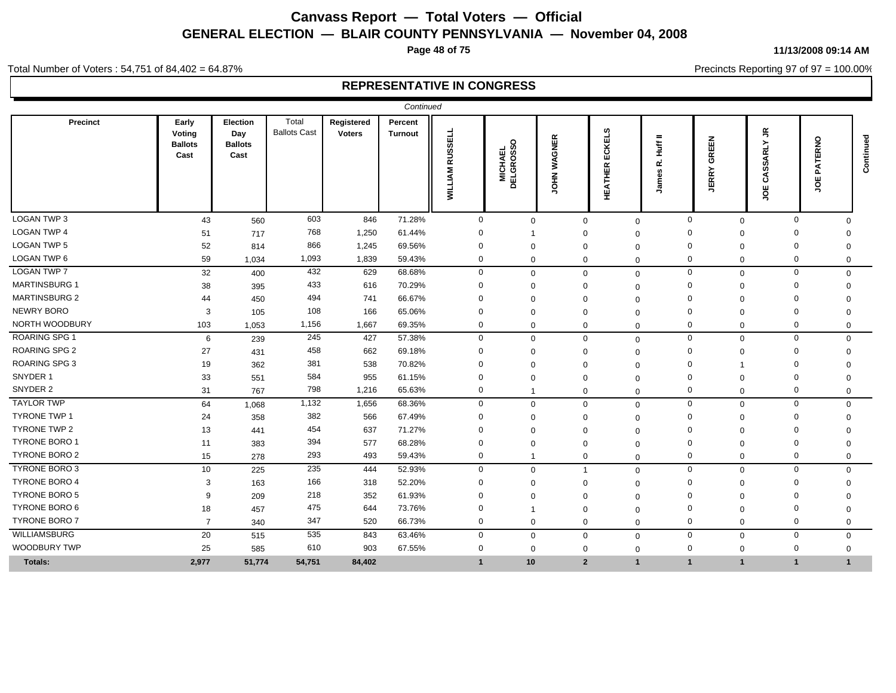**Page 48 of 75**

#### **11/13/2008 09:14 AM**

Precincts Reporting 97 of 97 = 100.00%

Total Number of Voters : 54,751 of 84,402 = 64.87%

|                      |                                           |                                           |                              |                             | Continued                 |                                  |                                         |              |                                          |                                       |                                   |                                                             |                                |           |
|----------------------|-------------------------------------------|-------------------------------------------|------------------------------|-----------------------------|---------------------------|----------------------------------|-----------------------------------------|--------------|------------------------------------------|---------------------------------------|-----------------------------------|-------------------------------------------------------------|--------------------------------|-----------|
| Precinct             | Early<br>Voting<br><b>Ballots</b><br>Cast | Election<br>Day<br><b>Ballots</b><br>Cast | Total<br><b>Ballots Cast</b> | Registered<br><b>Voters</b> | Percent<br><b>Turnout</b> | <b>RUSSELL</b><br><b>WILLIAM</b> | $\circ$<br><b>MICHAEL<br/>DELGROSSO</b> | WAGNER<br>ŠЯ | ဖာ<br>KEL<br>ō<br>ш<br>≃<br>퐅<br>КÎ<br>Н | $=$<br>Ĕ<br>$\propto$<br>g<br>ع<br>ول | EEN<br>종<br>$\rm \tilde{R}$<br>련. | $\tilde{\vec{r}}$<br>≻<br><b>ARL</b><br>တ္တိ<br>ే<br>ш<br>g | $\circ$<br>똜<br>D.<br>ш<br>ō   | Continued |
| LOGAN TWP 3          | 43                                        | 560                                       | 603                          | 846                         | 71.28%                    | $\mathbf 0$                      | $\mathbf 0$                             |              | $\mathbf 0$                              | $\mathbf 0$                           | $\mathbf 0$<br>$\mathbf 0$        |                                                             | $\mathbf 0$<br>$\Omega$        |           |
| <b>LOGAN TWP 4</b>   | 51                                        | 717                                       | 768                          | 1,250                       | 61.44%                    | $\Omega$                         |                                         |              |                                          | $\Omega$                              | $\Omega$<br>$\Omega$              |                                                             | $\Omega$<br>$\Omega$           |           |
| <b>LOGAN TWP 5</b>   | 52                                        | 814                                       | 866                          | 1,245                       | 69.56%                    | $\Omega$                         | $\Omega$                                | $\Omega$     |                                          | $\Omega$                              | $\Omega$<br>$\mathbf 0$           |                                                             | $\Omega$<br>$\Omega$           |           |
| LOGAN TWP 6          | 59                                        | 1,034                                     | 1,093                        | 1,839                       | 59.43%                    | $\mathbf 0$                      | $\mathbf{0}$                            | $\Omega$     |                                          | $\Omega$                              | $\Omega$<br>$\mathbf 0$           |                                                             | $\mathbf 0$<br>$\mathbf 0$     |           |
| <b>LOGAN TWP 7</b>   | 32                                        | 400                                       | 432                          | 629                         | 68.68%                    | $\mathbf 0$                      | $\mathbf 0$                             |              | $\Omega$                                 | $\mathbf 0$                           | $\mathbf 0$<br>$\mathbf 0$        |                                                             | $\mathbf 0$                    | 0         |
| <b>MARTINSBURG 1</b> | 38                                        | 395                                       | 433                          | 616                         | 70.29%                    | $\Omega$                         | $\Omega$                                | $\Omega$     |                                          | $\Omega$                              | $\Omega$<br>$\Omega$              |                                                             | $\Omega$<br>$\Omega$           |           |
| <b>MARTINSBURG 2</b> | 44                                        | 450                                       | 494                          | 741                         | 66.67%                    | $\Omega$                         | $\Omega$                                | $\Omega$     |                                          | $\Omega$                              | $\Omega$<br>$\Omega$              |                                                             | $\Omega$<br>∩                  |           |
| <b>NEWRY BORO</b>    | 3                                         | 105                                       | 108                          | 166                         | 65.06%                    | $\Omega$                         | $\mathbf 0$                             | $\Omega$     |                                          | $\Omega$                              | $\Omega$<br>$\mathbf{0}$          |                                                             | $\mathbf 0$<br>$\Omega$        |           |
| NORTH WOODBURY       | 103                                       | 1,053                                     | 1,156                        | 1,667                       | 69.35%                    | $\mathbf 0$                      | $\mathbf{0}$                            |              | $\mathbf 0$                              | $\mathbf 0$                           | $\mathbf 0$<br>$\mathbf 0$        |                                                             | $\mathbf 0$<br>$\mathbf 0$     |           |
| <b>ROARING SPG 1</b> | 6                                         | 239                                       | 245                          | 427                         | 57.38%                    | $\mathbf 0$                      | $\mathbf 0$                             |              | $\Omega$                                 | $\mathbf 0$                           | $\mathbf 0$<br>$\mathbf 0$        |                                                             | $\mathbf 0$<br>$\mathbf 0$     |           |
| <b>ROARING SPG 2</b> | 27                                        | 431                                       | 458                          | 662                         | 69.18%                    | $\Omega$                         | $\Omega$                                |              |                                          | $\Omega$                              | $\Omega$<br>$\Omega$              |                                                             | $\Omega$<br>$\Omega$           |           |
| ROARING SPG 3        | 19                                        | 362                                       | 381                          | 538                         | 70.82%                    | 0                                | $\Omega$                                |              |                                          | $\Omega$                              | $\Omega$                          |                                                             | $\Omega$<br>∩                  |           |
| SNYDER 1             | 33                                        | 551                                       | 584                          | 955                         | 61.15%                    | $\mathbf 0$                      | 0                                       |              |                                          | $\Omega$                              | $\Omega$<br>$\Omega$              |                                                             | $\Omega$<br>0                  |           |
| SNYDER 2             | 31                                        | 767                                       | 798                          | 1,216                       | 65.63%                    | $\mathbf 0$                      |                                         |              | $\mathbf 0$                              | $\mathbf 0$                           | 0<br>$\mathbf 0$                  |                                                             | $\mathbf 0$<br>$\mathbf 0$     |           |
| <b>TAYLOR TWP</b>    | 64                                        | 1,068                                     | 1,132                        | 1,656                       | 68.36%                    | $\mathbf 0$                      | $\mathbf 0$                             |              | $\Omega$                                 | $\Omega$                              | $\mathbf 0$<br>$\mathbf{0}$       |                                                             | $\mathbf 0$<br>$\Omega$        |           |
| <b>TYRONE TWP 1</b>  | 24                                        | 358                                       | 382                          | 566                         | 67.49%                    | $\Omega$                         | $\Omega$                                | $\Omega$     |                                          | $\Omega$                              | $\Omega$<br>$\Omega$              |                                                             | 0<br>$\Omega$                  |           |
| TYRONE TWP 2         | 13                                        | 441                                       | 454                          | 637                         | 71.27%                    | $\Omega$                         | $\Omega$                                | $\Omega$     |                                          | $\Omega$                              | $\Omega$<br>$\Omega$              |                                                             | $\Omega$<br>$\Omega$           |           |
| <b>TYRONE BORO 1</b> | 11                                        | 383                                       | 394                          | 577                         | 68.28%                    | $\Omega$                         | $\Omega$                                | $\Omega$     |                                          | $\mathbf 0$                           | $\Omega$<br>$\Omega$              |                                                             | $\Omega$<br>$\Omega$           |           |
| <b>TYRONE BORO 2</b> | 15                                        | 278                                       | 293                          | 493                         | 59.43%                    | $\mathbf 0$                      |                                         | $\Omega$     |                                          | $\mathbf{0}$                          | $\mathbf 0$<br>$\mathbf 0$        |                                                             | $\mathbf 0$<br>$\mathbf 0$     |           |
| TYRONE BORO 3        | 10 <sup>°</sup>                           | 225                                       | 235                          | 444                         | 52.93%                    | $\mathbf 0$                      | $\Omega$                                |              |                                          | $\mathbf 0$                           | $\mathbf 0$<br>$\mathbf 0$        |                                                             | $\mathbf 0$<br>$\mathbf 0$     |           |
| <b>TYRONE BORO 4</b> | 3                                         | 163                                       | 166                          | 318                         | 52.20%                    | $\Omega$                         | $\Omega$                                |              |                                          | $\Omega$                              | $\Omega$<br>$\Omega$              |                                                             | $\Omega$<br>$\Omega$           |           |
| <b>TYRONE BORO 5</b> | 9                                         | 209                                       | 218                          | 352                         | 61.93%                    | $\Omega$                         | $\Omega$                                | $\Omega$     |                                          | $\Omega$                              | $\Omega$<br>$\Omega$              |                                                             | $\Omega$<br>∩                  |           |
| TYRONE BORO 6        | 18                                        | 457                                       | 475                          | 644                         | 73.76%                    | $\Omega$                         |                                         | $\Omega$     |                                          | $\Omega$                              | $\Omega$<br>$\Omega$              |                                                             | $\Omega$<br>$\Omega$           |           |
| <b>TYRONE BORO 7</b> | $\overline{7}$                            | 340                                       | 347                          | 520                         | 66.73%                    | $\mathbf 0$                      | $\mathbf{0}$                            |              | $\Omega$                                 | $\mathbf 0$                           | $\mathbf 0$<br>$\mathbf 0$        |                                                             | $\mathbf 0$<br>$\mathbf 0$     |           |
| <b>WILLIAMSBURG</b>  | 20                                        | 515                                       | 535                          | 843                         | 63.46%                    | $\mathbf{0}$                     | $\mathbf 0$                             |              | $\Omega$                                 | $\mathbf{0}$                          | $\mathbf 0$<br>$\mathbf{0}$       |                                                             | $\mathbf 0$<br>$\Omega$        |           |
| <b>WOODBURY TWP</b>  | 25                                        | 585                                       | 610                          | 903                         | 67.55%                    | $\Omega$                         | $\mathbf{0}$                            | $\Omega$     |                                          | $\mathbf 0$                           | $\mathbf 0$<br>$\mathbf 0$        |                                                             | $\mathbf 0$<br>0               |           |
| <b>Totals:</b>       | 2,977                                     | 51,774                                    | 54,751                       | 84,402                      |                           | 1                                | 10                                      |              | $\overline{2}$                           | $\mathbf{1}$                          | $\overline{1}$<br>$\overline{1}$  |                                                             | $\overline{1}$<br>$\mathbf{1}$ |           |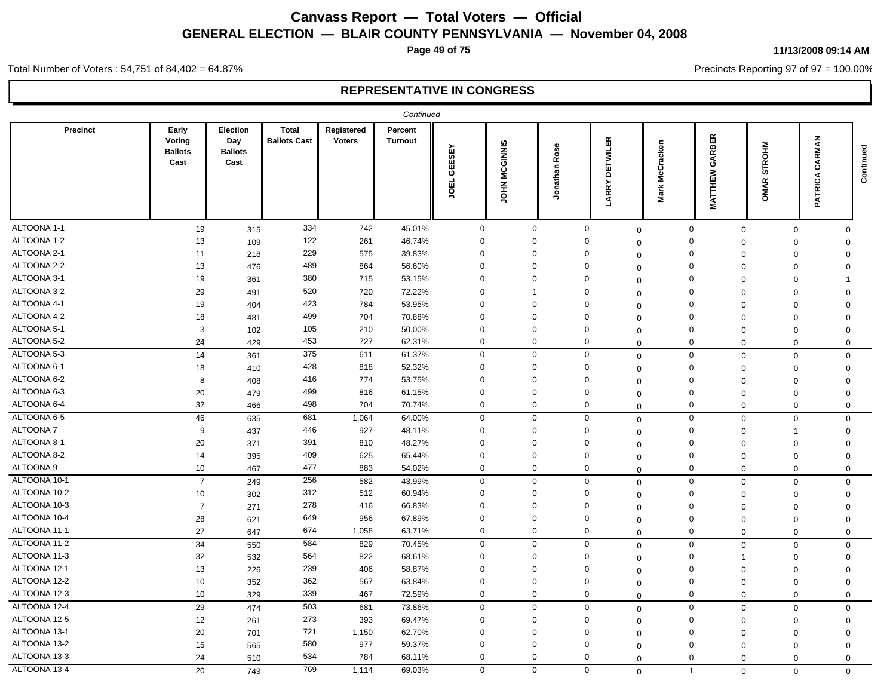**Page 49 of 75**

#### **11/13/2008 09:14 AM**

Precincts Reporting 97 of 97 = 100.00%

Total Number of Voters : 54,751 of 84,402 = 64.87%

|                 |                                           |                                           |                                     |                             | Continued                 |                              |                     |                  |                                 |                   |                                                   |                              |                      |           |
|-----------------|-------------------------------------------|-------------------------------------------|-------------------------------------|-----------------------------|---------------------------|------------------------------|---------------------|------------------|---------------------------------|-------------------|---------------------------------------------------|------------------------------|----------------------|-----------|
| <b>Precinct</b> | Early<br>Voting<br><b>Ballots</b><br>Cast | Election<br>Day<br><b>Ballots</b><br>Cast | <b>Total</b><br><b>Ballots Cast</b> | Registered<br><b>Voters</b> | Percent<br><b>Turnout</b> | <b>GEESEY</b><br><b>JOEL</b> | CGINNIS<br>Ż<br>HIQ | Rose<br>Jonathan | <b>DETWILER</b><br><b>LARRY</b> | McCracken<br>Mark | <b>RBER</b><br>$\mathfrak{F}$<br>Š<br>Ě<br>$\leq$ | <b>STROHM</b><br><b>OMAR</b> | RMAN<br>చ<br>PATRICA | Continued |
| ALTOONA 1-1     | 19                                        | 315                                       | 334                                 | 742                         | 45.01%                    | $\mathbf 0$                  | $\mathbf 0$         |                  | $\mathbf 0$                     | $\mathbf 0$       | $\mathbf 0$<br>$\mathbf 0$                        | $\mathbf 0$                  | $\Omega$             |           |
| ALTOONA 1-2     | 13                                        | 109                                       | 122                                 | 261                         | 46.74%                    | $\mathbf 0$                  | $\Omega$            |                  | $\Omega$                        | $\Omega$          | $\mathbf 0$<br>$\mathbf 0$                        | $\mathbf 0$                  | $\mathbf 0$          |           |
| ALTOONA 2-1     | 11                                        | 218                                       | 229                                 | 575                         | 39.83%                    | $\mathbf 0$                  | $\mathbf 0$         |                  | $\Omega$                        | $\Omega$          | $\mathbf 0$<br>$\mathbf 0$                        | $\mathbf 0$                  | $\Omega$             |           |
| ALTOONA 2-2     | 13                                        | 476                                       | 489                                 | 864                         | 56.60%                    | $\mathbf 0$                  | $\mathbf 0$         |                  | $\Omega$                        | $\Omega$          | $\mathbf 0$<br>$\mathbf 0$                        | $\mathbf 0$                  | $\Omega$             |           |
| ALTOONA 3-1     | 19                                        | 361                                       | 380                                 | 715                         | 53.15%                    | $\mathbf 0$                  | $\mathbf 0$         |                  | $\mathbf 0$                     | $\Omega$          | $\mathbf 0$<br>$\mathbf 0$                        | $\mathbf 0$                  | -1                   |           |
| ALTOONA 3-2     | 29                                        | 491                                       | 520                                 | 720                         | 72.22%                    | $\mathbf 0$                  | $\mathbf{1}$        |                  | $\mathbf 0$                     | $\mathbf 0$       | $\mathbf 0$<br>$\mathbf 0$                        | 0                            | $\mathbf 0$          |           |
| ALTOONA 4-1     | 19                                        | 404                                       | 423                                 | 784                         | 53.95%                    | $\mathbf 0$                  | $\Omega$            |                  | $\mathbf 0$                     | $\mathbf 0$       | $\mathbf 0$<br>$\mathbf 0$                        | $\mathbf 0$                  | $\mathbf 0$          |           |
| ALTOONA 4-2     | 18                                        | 481                                       | 499                                 | 704                         | 70.88%                    | $\mathbf 0$                  | $\Omega$            |                  | $\Omega$                        | $\mathbf 0$       | $\mathbf 0$<br>$\mathbf 0$                        | $\mathbf 0$                  | $\mathbf 0$          |           |
| ALTOONA 5-1     | 3                                         | 102                                       | 105                                 | 210                         | 50.00%                    | $\mathbf 0$                  | $\mathbf 0$         |                  | 0                               | $\Omega$          | $\mathbf 0$<br>$\mathbf 0$                        | $\mathbf 0$                  | $\mathbf 0$          |           |
| ALTOONA 5-2     | 24                                        | 429                                       | 453                                 | 727                         | 62.31%                    | $\mathbf 0$                  | $\mathbf 0$         |                  | $\mathbf 0$                     | $\mathbf 0$       | $\Omega$<br>$\mathbf 0$                           | $\mathbf 0$                  | $\mathbf 0$          |           |
| ALTOONA 5-3     | 14                                        | 361                                       | 375                                 | 611                         | 61.37%                    | $\mathbf 0$                  | $\mathbf 0$         |                  | $\mathbf 0$                     | $\mathbf 0$       | $\mathbf 0$<br>$\mathbf 0$                        | $\mathbf 0$                  | $\mathbf 0$          |           |
| ALTOONA 6-1     | 18                                        | 410                                       | 428                                 | 818                         | 52.32%                    | $\mathbf 0$                  | $\mathbf 0$         |                  | 0                               | 0                 | $\mathbf 0$<br>$\mathbf 0$                        | 0                            | 0                    |           |
| ALTOONA 6-2     | 8                                         | 408                                       | 416                                 | 774                         | 53.75%                    | $\mathbf 0$                  | $\Omega$            |                  | $\Omega$                        | 0                 | $\mathbf 0$<br>$\mathbf 0$                        | $\mathbf 0$                  | $\Omega$             |           |
| ALTOONA 6-3     | 20                                        | 479                                       | 499                                 | 816                         | 61.15%                    | $\mathbf 0$                  | $\mathbf 0$         |                  | $\Omega$                        | $\mathbf 0$       | $\mathbf 0$<br>$\mathbf 0$                        | $\mathbf 0$                  | $\Omega$             |           |
| ALTOONA 6-4     | 32                                        | 466                                       | 498                                 | 704                         | 70.74%                    | $\mathbf 0$                  | $\mathbf 0$         |                  | $\mathbf 0$                     | $\Omega$          | $\mathbf 0$<br>$\mathbf 0$                        | $\Omega$                     | $\mathbf 0$          |           |
| ALTOONA 6-5     | 46                                        | 635                                       | 681                                 | 1,064                       | 64.00%                    | $\mathbf 0$                  | $\mathbf 0$         |                  | $\mathbf 0$                     | $\mathbf 0$       | $\mathsf{O}\xspace$<br>$\mathbf 0$                | $\mathbf 0$                  | $\Omega$             |           |
| <b>ALTOONA7</b> | 9                                         | 437                                       | 446                                 | 927                         | 48.11%                    | $\mathbf 0$                  | $\Omega$            |                  | $\Omega$                        | $\mathbf 0$       | $\mathbf 0$<br>$\mathbf 0$                        | $\mathbf 1$                  | $\mathbf 0$          |           |
| ALTOONA 8-1     | 20                                        | 371                                       | 391                                 | 810                         | 48.27%                    | $\mathbf 0$                  | $\Omega$            |                  | 0                               | $\Omega$          | $\mathbf 0$<br>$\mathbf 0$                        | $\mathbf 0$                  | $\mathbf 0$          |           |
| ALTOONA 8-2     | 14                                        | 395                                       | 409                                 | 625                         | 65.44%                    | $\mathbf 0$                  | $\Omega$            |                  | $\Omega$                        | $\mathbf 0$       | $\mathbf 0$<br>$\mathbf 0$                        | $\mathbf 0$                  | $\Omega$             |           |
| ALTOONA 9       | 10                                        | 467                                       | 477                                 | 883                         | 54.02%                    | $\mathbf 0$                  | $\mathbf 0$         |                  | $\mathbf 0$                     | $\mathbf 0$       | $\mathbf 0$<br>$\mathbf 0$                        | 0                            | $\mathbf 0$          |           |
| ALTOONA 10-1    | $\overline{7}$                            | 249                                       | 256                                 | 582                         | 43.99%                    | $\mathbf 0$                  | $\mathbf 0$         |                  | $\mathbf 0$                     | $\Omega$          | $\mathbf 0$<br>$\mathbf 0$                        | $\Omega$                     | $\mathbf 0$          |           |
| ALTOONA 10-2    | 10                                        | 302                                       | 312                                 | 512                         | 60.94%                    | $\mathbf 0$                  | $\Omega$            |                  | $\Omega$                        | $\mathbf 0$       | $\mathbf 0$<br>$\mathbf 0$                        | $\Omega$                     | $\Omega$             |           |
| ALTOONA 10-3    | $\overline{7}$                            | 271                                       | 278                                 | 416                         | 66.83%                    | $\mathbf 0$                  | $\Omega$            |                  | $\Omega$                        | $\mathbf 0$       | $\mathbf 0$<br>$\mathbf 0$                        | $\Omega$                     | $\Omega$             |           |
| ALTOONA 10-4    | 28                                        | 621                                       | 649                                 | 956                         | 67.89%                    | $\mathbf 0$                  | $\Omega$            |                  | $\Omega$                        | $\Omega$          | 0<br>$\mathbf 0$                                  | $\mathbf 0$                  | $\Omega$             |           |
| ALTOONA 11-1    | 27                                        | 647                                       | 674                                 | 1,058                       | 63.71%                    | $\mathbf 0$                  | $\mathbf 0$         |                  | $\mathbf 0$                     | $\Omega$          | $\mathbf 0$<br>$\mathbf 0$                        | $\mathbf 0$                  | $\mathbf 0$          |           |
| ALTOONA 11-2    | 34                                        | 550                                       | 584                                 | 829                         | 70.45%                    | $\mathbf 0$                  | $\mathbf 0$         |                  | $\mathbf 0$                     | $\Omega$          | $\mathbf 0$<br>$\mathbf 0$                        | $\mathbf 0$                  | $\mathbf 0$          |           |
| ALTOONA 11-3    | 32                                        | 532                                       | 564                                 | 822                         | 68.61%                    | 0                            | $\mathbf 0$         |                  | 0                               | $\Omega$          | 0<br>$\overline{1}$                               | $\mathbf 0$                  | $\Omega$             |           |
| ALTOONA 12-1    | 13                                        | 226                                       | 239                                 | 406                         | 58.87%                    | $\mathbf 0$                  | $\Omega$            |                  | $\Omega$                        | $\mathbf 0$       | $\Omega$<br>$\mathbf 0$                           | $\Omega$                     | $\Omega$             |           |
| ALTOONA 12-2    | 10                                        | 352                                       | 362                                 | 567                         | 63.84%                    | $\mathbf 0$                  | $\Omega$            |                  | $\Omega$                        | $\mathbf 0$       | $\mathbf 0$<br>$\mathbf 0$                        | $\mathbf 0$                  | $\mathbf 0$          |           |
| ALTOONA 12-3    | 10                                        | 329                                       | 339                                 | 467                         | 72.59%                    | $\mathbf 0$                  | $\mathbf 0$         |                  | $\mathbf 0$                     | $\Omega$          | $\mathbf 0$<br>$\mathbf 0$                        | $\mathbf 0$                  | $\mathbf 0$          |           |
| ALTOONA 12-4    | 29                                        | 474                                       | 503                                 | 681                         | 73.86%                    | $\mathbf 0$                  | $\mathbf 0$         |                  | $\mathbf 0$                     | $\mathbf 0$       | $\mathbf 0$<br>$\mathbf 0$                        | 0                            | $\mathbf 0$          |           |
| ALTOONA 12-5    | 12                                        | 261                                       | 273                                 | 393                         | 69.47%                    | $\mathbf 0$                  | $\mathbf 0$         |                  | $\mathbf 0$                     | $\Omega$          | $\mathbf 0$<br>$\mathbf 0$                        | 0                            | $\Omega$             |           |
| ALTOONA 13-1    | 20                                        | 701                                       | 721                                 | 1,150                       | 62.70%                    | 0                            | $\Omega$            |                  | $\Omega$                        | $\Omega$          | $\mathbf 0$<br>$\mathbf 0$                        | $\mathbf 0$                  | $\Omega$             |           |
| ALTOONA 13-2    | 15                                        | 565                                       | 580                                 | 977                         | 59.37%                    | $\mathbf 0$                  | $\Omega$            |                  | $\Omega$                        | $\Omega$          | $\mathbf 0$<br>$\Omega$                           | $\Omega$                     | $\Omega$             |           |
| ALTOONA 13-3    | 24                                        | 510                                       | 534                                 | 784                         | 68.11%                    | $\mathbf 0$                  | 0                   |                  | 0                               | $\mathbf 0$       | $\Omega$<br>$\mathbf 0$                           | $\mathbf 0$                  | $\mathbf 0$          |           |
| ALTOONA 13-4    | 20                                        | 749                                       | 769                                 | 1,114                       | 69.03%                    | $\mathbf 0$                  | $\mathbf 0$         |                  | $\mathbf 0$                     | $\mathbf 0$       | $\mathbf{1}$<br>$\Omega$                          | $\Omega$                     | $\Omega$             |           |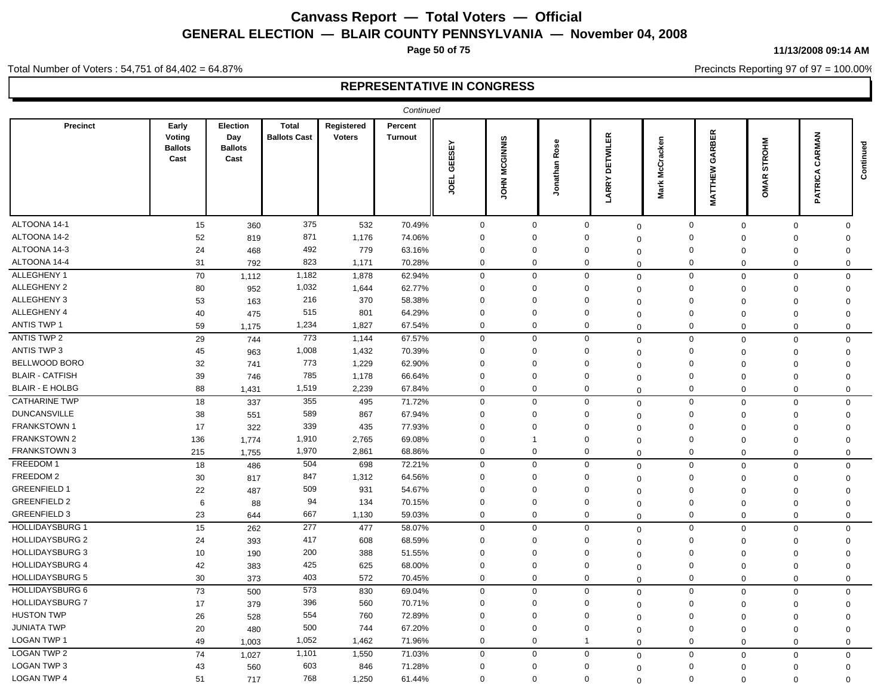**Page 50 of 75**

#### **11/13/2008 09:14 AM**

Precincts Reporting 97 of 97 = 100.00%

Total Number of Voters : 54,751 of 84,402 = 64.87%

|                        |                                           |                                                  |                                     |                             | Continued                        |                           |                                |                  |                              |                   |                            |                                 |                          |           |
|------------------------|-------------------------------------------|--------------------------------------------------|-------------------------------------|-----------------------------|----------------------------------|---------------------------|--------------------------------|------------------|------------------------------|-------------------|----------------------------|---------------------------------|--------------------------|-----------|
| <b>Precinct</b>        | Early<br>Voting<br><b>Ballots</b><br>Cast | <b>Election</b><br>Day<br><b>Ballots</b><br>Cast | <b>Total</b><br><b>Ballots Cast</b> | Registered<br><b>Voters</b> | <b>Percent</b><br><b>Turnout</b> | 모<br>GEESI<br><b>JOEL</b> | <b>MCGINNIS</b><br><b>NHOL</b> | Rose<br>Jonathan | ETWILER<br>۵<br><b>LARRY</b> | McCracken<br>Mark | GARBER<br>MATTHEW          | <b>ROHM</b><br>ಀ<br>≃<br>⋚<br>ō | CARMAN<br><b>PATRICA</b> | Continued |
| ALTOONA 14-1           | 15                                        | 360                                              | 375                                 | 532                         | 70.49%                           | $\mathbf 0$               | $\mathbf 0$                    |                  | $\mathbf 0$                  | $\mathbf 0$       | $\mathbf 0$<br>$\mathbf 0$ | $\mathbf{0}$                    | $\mathbf 0$              |           |
| ALTOONA 14-2           | 52                                        | 819                                              | 871                                 | 1,176                       | 74.06%                           | $\Omega$                  | $\Omega$                       |                  | $\Omega$                     | 0                 | 0<br>$\Omega$              | $\Omega$                        | $\Omega$                 |           |
| ALTOONA 14-3           | 24                                        | 468                                              | 492                                 | 779                         | 63.16%                           | $\mathbf 0$               | $\Omega$                       |                  | $\Omega$                     | 0                 | $\mathbf 0$<br>$\Omega$    | $\Omega$                        | $\Omega$                 |           |
| ALTOONA 14-4           | 31                                        | 792                                              | 823                                 | 1,171                       | 70.28%                           | $\mathbf 0$               | 0                              |                  | $\Omega$                     | $\Omega$          | $\mathbf 0$<br>$\mathbf 0$ | $\Omega$                        | $\mathbf 0$              |           |
| ALLEGHENY 1            | 70                                        | 1,112                                            | 1,182                               | 1,878                       | 62.94%                           | $\mathbf 0$               | $\mathbf 0$                    |                  | $\mathbf 0$                  | $\mathbf 0$       | $\mathbf 0$<br>$\mathbf 0$ | $\Omega$                        | $\mathbf 0$              |           |
| ALLEGHENY 2            | 80                                        | 952                                              | 1,032                               | 1,644                       | 62.77%                           | $\mathbf 0$               | 0                              |                  | $\Omega$                     | $\Omega$          | $\mathbf 0$<br>$\mathbf 0$ | $\mathbf 0$                     | $\Omega$                 |           |
| ALLEGHENY 3            | 53                                        | 163                                              | 216                                 | 370                         | 58.38%                           | $\Omega$                  | $\mathbf 0$                    |                  | $\Omega$                     | $\Omega$          | $\mathbf 0$<br>$\Omega$    | $\Omega$                        | $\Omega$                 |           |
| ALLEGHENY 4            | 40                                        | 475                                              | 515                                 | 801                         | 64.29%                           | $\Omega$                  | $\overline{0}$                 |                  | $\Omega$                     | 0                 | $\mathbf 0$<br>$\Omega$    | $\Omega$                        | $\Omega$                 |           |
| <b>ANTIS TWP 1</b>     | 59                                        | 1,175                                            | 1,234                               | 1,827                       | 67.54%                           | $\mathbf 0$               | $\mathbf 0$                    |                  | 0                            | $\Omega$          | $\mathbf 0$<br>$\mathbf 0$ | $\Omega$                        | $\mathbf 0$              |           |
| <b>ANTIS TWP 2</b>     | 29                                        | 744                                              | 773                                 | 1,144                       | 67.57%                           | $\mathbf 0$               | $\mathbf 0$                    |                  | $\mathbf 0$                  | $\Omega$          | $\mathbf 0$<br>$\mathbf 0$ | $\mathbf 0$                     | $\mathbf 0$              |           |
| <b>ANTIS TWP 3</b>     | 45                                        | 963                                              | 1,008                               | 1,432                       | 70.39%                           | $\mathbf 0$               | $\mathbf 0$                    |                  | $\Omega$                     | $\Omega$          | $\mathbf 0$<br>$\Omega$    | $\Omega$                        | $\Omega$                 |           |
| BELLWOOD BORO          | 32                                        | 741                                              | 773                                 | 1,229                       | 62.90%                           | $\Omega$                  | $\mathbf 0$                    |                  | $\Omega$                     | $\Omega$          | $\mathbf 0$<br>$\Omega$    | $\Omega$                        | $\Omega$                 |           |
| <b>BLAIR - CATFISH</b> | 39                                        | 746                                              | 785                                 | 1,178                       | 66.64%                           | $\Omega$                  | $\Omega$                       |                  | $\Omega$                     | $\Omega$          | $\mathbf 0$<br>$\Omega$    | $\Omega$                        | $\Omega$                 |           |
| <b>BLAIR - E HOLBG</b> | 88                                        | 1,431                                            | 1,519                               | 2,239                       | 67.84%                           | $\mathbf 0$               | $\mathbf 0$                    |                  | $\mathbf 0$                  | $\Omega$          | $\mathbf 0$<br>$\mathbf 0$ | $\Omega$                        | $\mathbf 0$              |           |
| <b>CATHARINE TWP</b>   | 18                                        | 337                                              | 355                                 | 495                         | 71.72%                           | $\mathbf 0$               | $\mathbf 0$                    |                  | $\mathbf 0$                  | $\mathbf 0$       | $\mathbf 0$<br>$\mathbf 0$ | $\Omega$                        | $\mathbf 0$              |           |
| <b>DUNCANSVILLE</b>    | 38                                        | 551                                              | 589                                 | 867                         | 67.94%                           | $\mathbf 0$               | $\overline{0}$                 |                  | $\Omega$                     | $\Omega$          | $\mathbf 0$<br>$\Omega$    | $\Omega$                        | $\mathbf 0$              |           |
| <b>FRANKSTOWN1</b>     | 17                                        | 322                                              | 339                                 | 435                         | 77.93%                           | $\Omega$                  | $\Omega$                       |                  | $\Omega$                     | $\Omega$          | 0<br>$\Omega$              | $\Omega$                        | $\Omega$                 |           |
| <b>FRANKSTOWN 2</b>    | 136                                       | 1,774                                            | 1,910                               | 2,765                       | 69.08%                           | $\Omega$                  | -1                             |                  | $\Omega$                     | $\Omega$          | $\mathbf 0$<br>$\Omega$    | $\Omega$                        | $\Omega$                 |           |
| <b>FRANKSTOWN 3</b>    | 215                                       | 1,755                                            | 1,970                               | 2,861                       | 68.86%                           | $\mathbf 0$               | $\mathbf 0$                    |                  | $\mathbf 0$                  | $\Omega$          | $\mathbf 0$<br>$\mathbf 0$ | $\Omega$                        | $\mathbf 0$              |           |
| FREEDOM 1              | 18                                        | 486                                              | 504                                 | 698                         | 72.21%                           | $\mathbf 0$               | $\mathbf 0$                    |                  | $\mathbf 0$                  | $\Omega$          | $\mathbf 0$<br>$\mathbf 0$ | $\mathbf 0$                     | $\mathbf 0$              |           |
| FREEDOM 2              | 30                                        | 817                                              | 847                                 | 1,312                       | 64.56%                           | $\Omega$                  | $\Omega$                       |                  | $\Omega$                     | $\mathbf 0$       | $\mathbf 0$<br>$\mathbf 0$ | $\Omega$                        | $\Omega$                 |           |
| <b>GREENFIELD 1</b>    | 22                                        | 487                                              | 509                                 | 931                         | 54.67%                           | $\Omega$                  | $\Omega$                       |                  | $\Omega$                     | 0                 | $\mathbf 0$<br>$\Omega$    | $\Omega$                        | $\Omega$                 |           |
| <b>GREENFIELD 2</b>    | 6                                         | 88                                               | 94                                  | 134                         | 70.15%                           | $\mathbf 0$               | $\overline{0}$                 |                  | 0                            | $\Omega$          | 0<br>$\Omega$              | $\Omega$                        | $\Omega$                 |           |
| <b>GREENFIELD 3</b>    | 23                                        | 644                                              | 667                                 | 1,130                       | 59.03%                           | $\mathbf 0$               | $\mathbf 0$                    |                  | $\Omega$                     | $\Omega$          | $\mathbf 0$<br>$\mathbf 0$ | $\mathbf 0$                     | $\mathbf 0$              |           |
| <b>HOLLIDAYSBURG 1</b> | 15                                        | 262                                              | 277                                 | 477                         | 58.07%                           | $\mathbf 0$               | $\mathbf 0$                    |                  | $\mathbf 0$                  | $\mathbf 0$       | $\mathbf 0$<br>$\mathbf 0$ | $\Omega$                        | $\Omega$                 |           |
| <b>HOLLIDAYSBURG 2</b> | 24                                        | 393                                              | 417                                 | 608                         | 68.59%                           | $\Omega$                  | $\mathbf 0$                    |                  | $\Omega$                     | 0                 | $\mathbf 0$<br>$\Omega$    | $\Omega$                        | $\Omega$                 |           |
| <b>HOLLIDAYSBURG 3</b> | 10                                        | 190                                              | 200                                 | 388                         | 51.55%                           | $\Omega$                  | $\mathbf 0$                    |                  | $\Omega$                     | $\Omega$          | $\mathbf 0$<br>$\Omega$    | $\Omega$                        | $\Omega$                 |           |
| <b>HOLLIDAYSBURG 4</b> | 42                                        | 383                                              | 425                                 | 625                         | 68.00%                           | $\mathbf 0$               | $\mathbf 0$                    |                  | $\mathbf 0$                  | $\Omega$          | $\mathbf 0$<br>$\mathbf 0$ | $\mathbf 0$                     | $\mathbf 0$              |           |
| <b>HOLLIDAYSBURG 5</b> | 30                                        | 373                                              | 403                                 | 572                         | 70.45%                           | $\mathbf 0$               | $\mathbf 0$                    |                  | $\Omega$                     | $\mathbf 0$       | $\mathbf 0$<br>$\Omega$    | $\Omega$                        | $\Omega$                 |           |
| HOLLIDAYSBURG 6        | 73                                        | 500                                              | 573                                 | 830                         | 69.04%                           | $\mathbf 0$               | $\mathbf 0$                    |                  | $\mathbf 0$                  | $\Omega$          | $\mathbf 0$<br>$\mathbf 0$ | $\Omega$                        | $\mathbf 0$              |           |
| <b>HOLLIDAYSBURG 7</b> | 17                                        | 379                                              | 396                                 | 560                         | 70.71%                           | $\mathbf 0$               | 0                              |                  | 0                            | $\mathbf 0$       | 0<br>$\mathbf 0$           | $\Omega$                        | $\mathbf 0$              |           |
| <b>HUSTON TWP</b>      | 26                                        | 528                                              | 554                                 | 760                         | 72.89%                           | $\Omega$                  | $\Omega$                       |                  | $\Omega$                     | $\Omega$          | $\mathbf 0$<br>$\Omega$    | $\mathbf 0$                     | $\Omega$                 |           |
| <b>JUNIATA TWP</b>     | 20                                        | 480                                              | 500                                 | 744                         | 67.20%                           | $\Omega$                  | $\mathbf 0$                    |                  | 0                            | $\Omega$          | $\mathbf 0$<br>$\mathbf 0$ | $\Omega$                        | $\Omega$                 |           |
| <b>LOGAN TWP 1</b>     | 49                                        | 1,003                                            | 1,052                               | 1,462                       | 71.96%                           | $\mathbf 0$               | $\mathbf 0$                    |                  | $\mathbf 1$                  | $\Omega$          | $\mathbf 0$<br>$\mathbf 0$ | $\Omega$                        | $\mathbf 0$              |           |
| <b>LOGAN TWP 2</b>     | 74                                        | 1,027                                            | 1,101                               | 1,550                       | 71.03%                           | $\Omega$                  | $\mathbf 0$                    |                  | $\mathbf 0$                  | $\mathbf 0$       | $\mathbf 0$<br>$\mathbf 0$ | $\Omega$                        | $\mathbf 0$              |           |
| <b>LOGAN TWP 3</b>     | 43                                        | 560                                              | 603                                 | 846                         | 71.28%                           | $\Omega$                  | $\overline{0}$                 |                  | $\Omega$                     | $\Omega$          | $\mathbf 0$<br>$\Omega$    | $\Omega$                        | $\Omega$                 |           |
| <b>LOGAN TWP 4</b>     | 51                                        | 717                                              | 768                                 | 1,250                       | 61.44%                           | $\mathbf 0$               | $\mathbf 0$                    |                  | $\mathbf 0$                  | $\Omega$          | $\mathbf 0$<br>$\mathbf 0$ | $\Omega$                        | $\Omega$                 |           |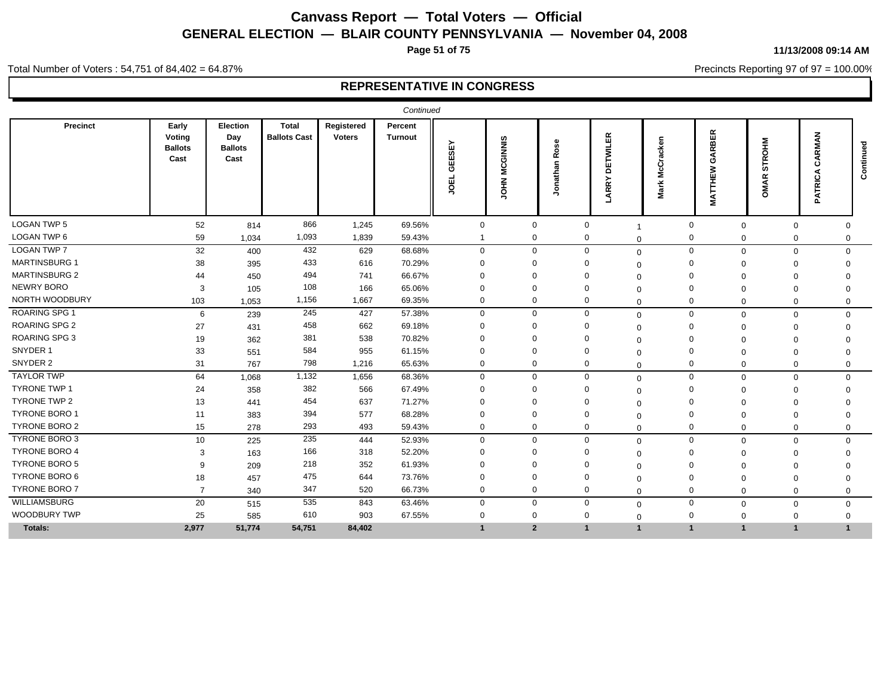**Page 51 of 75**

**11/13/2008 09:14 AM**

Precincts Reporting 97 of 97 = 100.00%

Total Number of Voters : 54,751 of 84,402 = 64.87%

|                      | Continued                                 |                                           |                                     |                             |                           |                               |                        |                                       |                            |                                      |                                      |                        |                                 |              |
|----------------------|-------------------------------------------|-------------------------------------------|-------------------------------------|-----------------------------|---------------------------|-------------------------------|------------------------|---------------------------------------|----------------------------|--------------------------------------|--------------------------------------|------------------------|---------------------------------|--------------|
| Precinct             | Early<br>Voting<br><b>Ballots</b><br>Cast | Election<br>Day<br><b>Ballots</b><br>Cast | <b>Total</b><br><b>Ballots Cast</b> | Registered<br><b>Voters</b> | Percent<br><b>Turnout</b> | ᇟ<br>あ<br><b>EE</b><br>画<br>ğ | <b>MCGINNIS</b><br>HIQ | Φ<br>ö<br>∝<br>nathar<br>$\circ$<br>∍ | ETWILER<br>ā<br>ARRY       | ⊆<br>홍<br>ᢆ<br>ō<br>Ð<br>Σ<br>폰<br>Σ | <b>RBER</b><br>á<br>3<br>ш<br>콭<br>Š | Σ<br>동<br>۴<br>ċ۵<br>റ | MAN<br>Æ<br>Ω<br>TRIC<br>⋖<br>௨ | 3<br>Continu |
| <b>LOGAN TWP 5</b>   | 52                                        | 814                                       | 866                                 | 1,245                       | 69.56%                    | $\mathbf 0$                   | $\mathbf 0$            |                                       | 0                          |                                      | $\mathbf 0$                          | $\mathbf 0$            | $\mathbf 0$<br>$\Omega$         |              |
| LOGAN TWP 6          | 59                                        | 1,034                                     | 1,093                               | 1,839                       | 59.43%                    | $\mathbf{1}$                  | $\mathbf 0$            |                                       | 0<br>$\Omega$              |                                      | 0<br>$\Omega$                        |                        | 0                               | 0            |
| <b>LOGAN TWP 7</b>   | 32                                        | 400                                       | 432                                 | 629                         | 68.68%                    | $\mathbf 0$                   | $\mathbf 0$            |                                       | $\mathbf 0$<br>$\mathbf 0$ |                                      | $\mathbf{0}$                         | $\Omega$               | $\Omega$<br>0                   |              |
| <b>MARTINSBURG 1</b> | 38                                        | 395                                       | 433                                 | 616                         | 70.29%                    | $\mathbf 0$                   | $\Omega$               |                                       | $\Omega$<br>$\Omega$       |                                      | 0                                    |                        | $\Omega$<br>$\Omega$            |              |
| <b>MARTINSBURG 2</b> | 44                                        | 450                                       | 494                                 | 741                         | 66.67%                    | $\Omega$                      | $\Omega$               |                                       | $\Omega$<br>$\Omega$       |                                      | 0                                    | $\Omega$               | $\Omega$                        |              |
| NEWRY BORO           | 3                                         | 105                                       | 108                                 | 166                         | 65.06%                    | $\mathbf 0$                   | $\Omega$               |                                       | $\Omega$<br>$\Omega$       |                                      | $\Omega$                             |                        | $\Omega$                        |              |
| NORTH WOODBURY       | 103                                       | 1,053                                     | 1,156                               | 1,667                       | 69.35%                    | $\mathbf 0$                   | $\mathbf 0$            |                                       | 0<br>$\Omega$              |                                      | $\Omega$<br>$\Omega$                 |                        | $\Omega$<br>$\Omega$            |              |
| <b>ROARING SPG 1</b> | 6                                         | 239                                       | 245                                 | 427                         | 57.38%                    | $\mathbf 0$                   | $\mathbf 0$            |                                       | $\mathbf 0$<br>$\mathbf 0$ |                                      | $\mathbf{0}$<br>$\Omega$             |                        | $\Omega$                        | $\Omega$     |
| <b>ROARING SPG 2</b> | 27                                        | 431                                       | 458                                 | 662                         | 69.18%                    | $\Omega$                      | $\Omega$               | 0                                     | $\Omega$                   |                                      | 0<br>$\Omega$                        |                        | $\Omega$<br>$\Omega$            |              |
| <b>ROARING SPG 3</b> | 19                                        | 362                                       | 381                                 | 538                         | 70.82%                    | $\Omega$                      | $\Omega$               | $\Omega$                              | $\Omega$                   |                                      | $\Omega$                             |                        | $\Omega$                        |              |
| SNYDER 1             | 33                                        | 551                                       | 584                                 | 955                         | 61.15%                    | $\mathbf 0$                   | $\Omega$               |                                       | $\Omega$<br>$\Omega$       |                                      | $\Omega$                             |                        | $\Omega$<br>$\Omega$            |              |
| SNYDER 2             | 31                                        | 767                                       | 798                                 | 1,216                       | 65.63%                    | $\mathbf 0$                   | $\mathbf 0$            |                                       | $\Omega$<br>$\Omega$       |                                      | $\Omega$<br>$\Omega$                 |                        | $\mathbf 0$<br>$\Omega$         |              |
| <b>TAYLOR TWP</b>    | 64                                        | 1,068                                     | 1,132                               | 1,656                       | 68.36%                    | $\mathbf 0$                   | $\mathbf 0$            |                                       | $\mathbf 0$<br>$\Omega$    |                                      | $\mathbf 0$<br>$\Omega$              |                        | $\mathbf 0$<br>$\mathbf 0$      |              |
| <b>TYRONE TWP 1</b>  | 24                                        | 358                                       | 382                                 | 566                         | 67.49%                    | $\Omega$                      | $\Omega$               |                                       | $\Omega$<br>$\Omega$       |                                      | 0                                    |                        | $\Omega$<br>$\Omega$            |              |
| <b>TYRONE TWP 2</b>  | 13                                        | 441                                       | 454                                 | 637                         | 71.27%                    | $\Omega$                      | $\Omega$               |                                       | $\Omega$<br>$\Omega$       |                                      | $\Omega$                             | $\Omega$               | $\Omega$<br>$\Omega$            |              |
| <b>TYRONE BORO 1</b> | 11                                        | 383                                       | 394                                 | 577                         | 68.28%                    | $\mathbf 0$                   | $\Omega$               |                                       | $\Omega$<br>0              |                                      | $\Omega$<br>$\Omega$                 |                        | $\Omega$                        |              |
| TYRONE BORO 2        | 15                                        | 278                                       | 293                                 | 493                         | 59.43%                    | $\mathbf 0$                   | $\mathbf 0$            |                                       | 0<br>$\Omega$              |                                      | $\mathbf 0$<br>$\Omega$              |                        | $\Omega$<br>$\Omega$            |              |
| TYRONE BORO 3        | 10                                        | 225                                       | 235                                 | 444                         | 52.93%                    | $\mathbf{0}$                  | $\Omega$               |                                       | $\Omega$<br>$\mathbf 0$    |                                      | 0<br>$\Omega$                        | $\Omega$               |                                 | $\Omega$     |
| <b>TYRONE BORO 4</b> | 3                                         | 163                                       | 166                                 | 318                         | 52.20%                    | $\Omega$                      | $\Omega$               | $\Omega$                              | $\Omega$                   |                                      | $\Omega$                             |                        | $\Omega$                        |              |
| <b>TYRONE BORO 5</b> | 9                                         | 209                                       | 218                                 | 352                         | 61.93%                    | $\Omega$                      | $\Omega$               | $\Omega$                              | $\Omega$                   |                                      | $\Omega$                             |                        | $\Omega$                        |              |
| <b>TYRONE BORO 6</b> | 18                                        | 457                                       | 475                                 | 644                         | 73.76%                    | $\mathbf 0$                   | $\Omega$               |                                       | $\Omega$<br>$\Omega$       |                                      | $\Omega$                             |                        | $\Omega$<br>$\Omega$            |              |
| <b>TYRONE BORO 7</b> | $\overline{7}$                            | 340                                       | 347                                 | 520                         | 66.73%                    | $\mathbf{0}$                  | $\mathbf 0$            |                                       | $\Omega$<br>$\Omega$       |                                      | $\Omega$<br>$\Omega$                 |                        | $\Omega$<br>$\Omega$            |              |
| <b>WILLIAMSBURG</b>  | 20                                        | 515                                       | 535                                 | 843                         | 63.46%                    | $\mathbf 0$                   | $\mathbf 0$            |                                       | $\Omega$<br>$\mathbf 0$    |                                      | $\mathbf{0}$<br>$\Omega$             | $\Omega$               |                                 | $\mathbf 0$  |
| <b>WOODBURY TWP</b>  | 25                                        | 585                                       | 610                                 | 903                         | 67.55%                    | 0                             | $\Omega$               | $\Omega$                              | $\Omega$                   |                                      | $\mathbf 0$<br>$\Omega$              |                        | $\mathbf 0$<br>0                |              |
| Totals:              | 2,977                                     | 51,774                                    | 54,751                              | 84,402                      |                           | $\mathbf 1$                   | $\overline{2}$         | $\mathbf{1}$                          | $\overline{1}$             |                                      | $\overline{1}$<br>$\overline{1}$     | $\overline{1}$         | $\overline{\mathbf{1}}$         |              |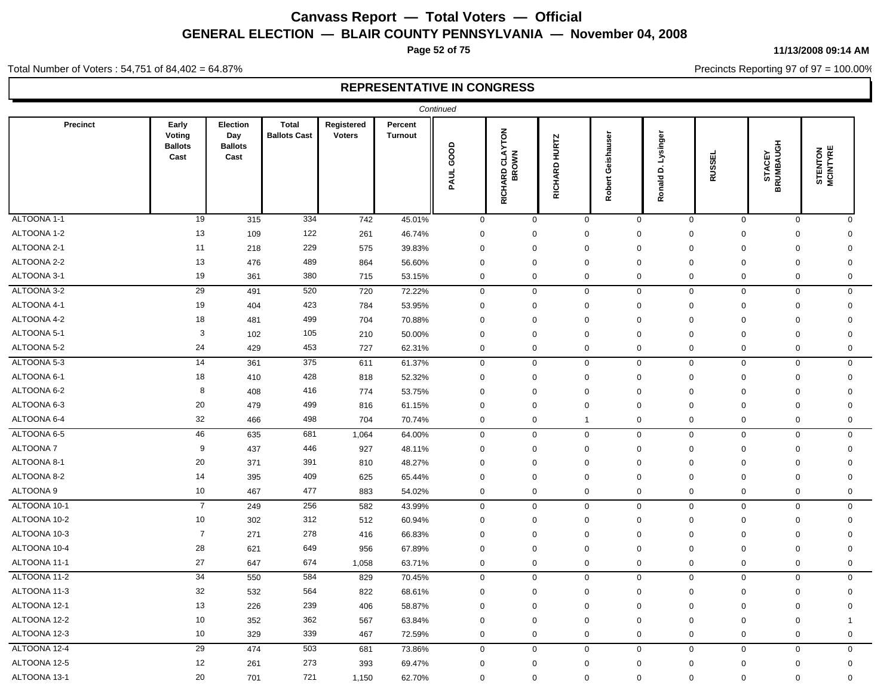**Page 52 of 75**

**11/13/2008 09:14 AM**

Precincts Reporting 97 of 97 = 100.00%

Total Number of Voters : 54,751 of 84,402 = 64.87%

|              |                                           |                                           |                                     |                             |                           | Continued   |                                 |                     |                            |                              |                             |                     |                            |  |
|--------------|-------------------------------------------|-------------------------------------------|-------------------------------------|-----------------------------|---------------------------|-------------|---------------------------------|---------------------|----------------------------|------------------------------|-----------------------------|---------------------|----------------------------|--|
| Precinct     | Early<br>Voting<br><b>Ballots</b><br>Cast | Election<br>Day<br><b>Ballots</b><br>Cast | <b>Total</b><br><b>Ballots Cast</b> | Registered<br><b>Voters</b> | Percent<br><b>Turnout</b> | PAUL GOOD   | <b>RICHARD CLAYTON</b><br>BROWN | RICHARD HURTZ       | Geishauser<br>Robert       | D. Lysinger<br><b>Ronald</b> | <b>RUSSEL</b>               | STACEY<br>BRUMBAUGH | <b>STENTON</b><br>MCINTYRE |  |
| ALTOONA 1-1  | 19                                        | 315                                       | 334                                 | 742                         | 45.01%                    | $\mathbf 0$ |                                 | $\mathbf 0$         | $\mathbf 0$                | $\mathbf 0$                  | $\mathbf{0}$<br>$\mathbf 0$ | $\mathbf 0$         | $\mathbf 0$                |  |
| ALTOONA 1-2  | 13                                        | 109                                       | 122                                 | 261                         | 46.74%                    | $\mathbf 0$ |                                 | $\mathbf 0$         | $\mathbf 0$                | 0<br>0                       | $\mathbf 0$                 | $\mathbf 0$         | $\Omega$                   |  |
| ALTOONA 2-1  | 11                                        | 218                                       | 229                                 | 575                         | 39.83%                    | $\mathbf 0$ |                                 | $\mathbf 0$         | $\mathbf 0$                | $\mathbf 0$<br>$\mathbf 0$   | $\mathbf 0$                 | $\mathbf 0$         | 0                          |  |
| ALTOONA 2-2  | 13                                        | 476                                       | 489                                 | 864                         | 56.60%                    | $\Omega$    |                                 | $\mathbf 0$         | $\mathbf 0$                | $\mathbf 0$<br>$\mathbf 0$   | $\mathbf 0$                 | $\mathbf 0$         | 0                          |  |
| ALTOONA 3-1  | 19                                        | 361                                       | 380                                 | 715                         | 53.15%                    | $\mathbf 0$ |                                 | $\mathbf 0$         | $\mathbf 0$                | 0                            | 0<br>$\mathbf 0$            | $\mathbf 0$         | 0                          |  |
| ALTOONA 3-2  | 29                                        | 491                                       | 520                                 | 720                         | 72.22%                    | $\mathbf 0$ |                                 | $\mathsf{O}\xspace$ | $\mathsf 0$                | $\mathsf{O}\xspace$<br>0     | $\mathbf 0$                 | $\mathsf{O}\xspace$ | $\mathbf 0$                |  |
| ALTOONA 4-1  | 19                                        | 404                                       | 423                                 | 784                         | 53.95%                    | $\mathbf 0$ |                                 | $\mathbf 0$         | $\mathbf 0$                | $\mathbf 0$<br>$\mathbf 0$   | $\mathbf 0$                 | $\mathbf 0$         | $\Omega$                   |  |
| ALTOONA 4-2  | 18                                        | 481                                       | 499                                 | 704                         | 70.88%                    | $\Omega$    |                                 | 0                   | $\mathbf 0$                | $\Omega$<br>$\Omega$         | $\mathbf 0$                 | $\mathbf 0$         | $\Omega$                   |  |
| ALTOONA 5-1  | $\mathbf{3}$                              | 102                                       | 105                                 | 210                         | 50.00%                    | $\mathbf 0$ |                                 | 0                   | $\mathsf 0$<br>$\Omega$    | 0                            | $\mathbf 0$                 | $\mathbf 0$         | $\Omega$                   |  |
| ALTOONA 5-2  | 24                                        | 429                                       | 453                                 | 727                         | 62.31%                    | $\mathbf 0$ |                                 | $\mathbf 0$         | 0                          | 0                            | 0<br>$\mathbf 0$            | $\mathbf 0$         | 0                          |  |
| ALTOONA 5-3  | 14                                        | 361                                       | 375                                 | 611                         | 61.37%                    | $\mathbf 0$ |                                 | $\mathbf 0$         | $\mathbf 0$                | $\mathbf 0$                  | 0<br>$\mathbf 0$            | $\mathbf 0$         | 0                          |  |
| ALTOONA 6-1  | 18                                        | 410                                       | 428                                 | 818                         | 52.32%                    | $\mathbf 0$ |                                 | $\mathbf 0$         | $\mathbf 0$                | $\mathbf 0$<br>$\mathbf 0$   | $\mathbf 0$                 | $\mathbf 0$         | $\mathbf 0$                |  |
| ALTOONA 6-2  | 8                                         | 408                                       | 416                                 | 774                         | 53.75%                    | $\Omega$    |                                 | 0                   | $\mathbf 0$                | $\mathbf 0$<br>$\mathbf 0$   | $\mathbf 0$                 | $\mathbf 0$         | $\mathbf 0$                |  |
| ALTOONA 6-3  | 20                                        | 479                                       | 499                                 | 816                         | 61.15%                    | $\mathbf 0$ |                                 | $\mathbf 0$         | $\mathbf 0$                | $\mathbf 0$<br>0             | $\mathbf 0$                 | $\mathbf 0$         | 0                          |  |
| ALTOONA 6-4  | 32                                        | 466                                       | 498                                 | 704                         | 70.74%                    | $\mathbf 0$ |                                 | $\mathbf 0$         | $\mathbf{1}$               | 0<br>0                       | $\mathbf 0$                 | $\mathbf 0$         | $\mathbf 0$                |  |
| ALTOONA 6-5  | 46                                        | 635                                       | 681                                 | 1,064                       | 64.00%                    | $\mathbf 0$ |                                 | $\mathbf 0$         | $\mathbf 0$                | 0                            | 0<br>$\mathbf 0$            | $\mathbf 0$         | 0                          |  |
| ALTOONA 7    | 9                                         | 437                                       | 446                                 | 927                         | 48.11%                    | $\mathbf 0$ |                                 | $\mathbf 0$         | $\mathbf 0$                | $\mathbf 0$<br>$\mathbf 0$   | $\mathbf 0$                 | $\mathbf 0$         | $\mathbf 0$                |  |
| ALTOONA 8-1  | 20                                        | 371                                       | 391                                 | 810                         | 48.27%                    | $\mathbf 0$ |                                 | $\mathbf 0$         | $\mathbf 0$                | $\mathbf 0$<br>$\Omega$      | $\mathbf 0$                 | $\mathbf 0$         | 0                          |  |
| ALTOONA 8-2  | 14                                        | 395                                       | 409                                 | 625                         | 65.44%                    | $\Omega$    |                                 | $\mathbf 0$         | $\mathbf 0$<br>$\mathbf 0$ | $\mathbf 0$                  | $\mathbf 0$                 | $\mathbf 0$         | $\mathbf 0$                |  |
| ALTOONA 9    | 10                                        | 467                                       | 477                                 | 883                         | 54.02%                    | $\mathbf 0$ |                                 | $\mathbf 0$         | $\mathbf 0$                | $\mathbf 0$                  | 0<br>$\mathbf 0$            | $\mathbf 0$         | 0                          |  |
| ALTOONA 10-1 | $\overline{7}$                            | 249                                       | 256                                 | 582                         | 43.99%                    | $\mathbf 0$ |                                 | $\mathbf 0$         | $\mathbf 0$                | $\mathbf 0$                  | 0<br>$\mathsf 0$            | $\mathbf 0$         | 0                          |  |
| ALTOONA 10-2 | 10                                        | 302                                       | 312                                 | 512                         | 60.94%                    | $\mathbf 0$ |                                 | $\mathbf 0$         | $\mathbf 0$                | $\mathbf 0$<br>$\mathbf 0$   | $\mathbf 0$                 | $\mathbf 0$         | $\mathbf 0$                |  |
| ALTOONA 10-3 | $\overline{7}$                            | 271                                       | 278                                 | 416                         | 66.83%                    | $\mathbf 0$ |                                 | 0                   | $\mathbf 0$<br>$\Omega$    | 0                            | $\mathbf 0$                 | $\boldsymbol{0}$    | $\mathbf 0$                |  |
| ALTOONA 10-4 | 28                                        | 621                                       | 649                                 | 956                         | 67.89%                    | $\mathbf 0$ |                                 | 0                   | $\mathbf 0$                | $\mathbf 0$<br>$\Omega$      | $\mathbf 0$                 | $\mathbf 0$         | 0                          |  |
| ALTOONA 11-1 | 27                                        | 647                                       | 674                                 | 1,058                       | 63.71%                    | $\mathbf 0$ |                                 | 0                   | $\mathsf 0$                | 0<br>0                       | $\mathbf 0$                 | $\mathbf 0$         | $\Omega$                   |  |
| ALTOONA 11-2 | 34                                        | 550                                       | 584                                 | 829                         | 70.45%                    | $\mathbf 0$ |                                 | $\mathsf{O}\xspace$ | $\mathsf 0$                | 0<br>0                       | $\pmb{0}$                   | $\mathsf{O}\xspace$ | 0                          |  |
| ALTOONA 11-3 | 32                                        | 532                                       | 564                                 | 822                         | 68.61%                    | $\mathbf 0$ |                                 | $\mathbf 0$         | $\mathbf 0$                | $\Omega$<br>$\Omega$         | $\mathbf 0$                 | $\mathbf 0$         | $\Omega$                   |  |
| ALTOONA 12-1 | 13                                        | 226                                       | 239                                 | 406                         | 58.87%                    | $\Omega$    |                                 | 0                   | $\mathbf 0$<br>$\Omega$    | $\Omega$                     | $\Omega$                    | $\mathbf 0$         | $\Omega$                   |  |
| ALTOONA 12-2 | 10                                        | 352                                       | 362                                 | 567                         | 63.84%                    | $\mathbf 0$ |                                 | 0                   | $\mathbf 0$                | $\mathbf 0$<br>0             | $\mathbf 0$                 | $\boldsymbol{0}$    | $\mathbf{1}$               |  |
| ALTOONA 12-3 | 10                                        | 329                                       | 339                                 | 467                         | 72.59%                    | $\mathbf 0$ |                                 | $\mathbf 0$         | $\mathbf 0$                | 0                            | $\pmb{0}$<br>0              | $\boldsymbol{0}$    | 0                          |  |
| ALTOONA 12-4 | 29                                        | 474                                       | 503                                 | 681                         | 73.86%                    | $\mathbf 0$ |                                 | $\mathbf 0$         | $\mathbf 0$                | $\mathbf 0$                  | $\mathbf 0$<br>$\mathbf 0$  | $\mathbf 0$         | 0                          |  |
| ALTOONA 12-5 | 12                                        | 261                                       | 273                                 | 393                         | 69.47%                    | $\mathbf 0$ |                                 | $\mathbf 0$         | $\mathbf 0$                | $\mathbf 0$<br>0             | $\mathbf 0$                 | $\mathbf 0$         | $\mathbf 0$                |  |
| ALTOONA 13-1 | 20                                        | 701                                       | 721                                 | 1,150                       | 62.70%                    | $\mathbf 0$ |                                 | $\mathbf 0$         | $\mathbf 0$                | $\mathbf 0$<br>$\Omega$      | $\mathbf 0$                 | $\mathbf 0$         | $\Omega$                   |  |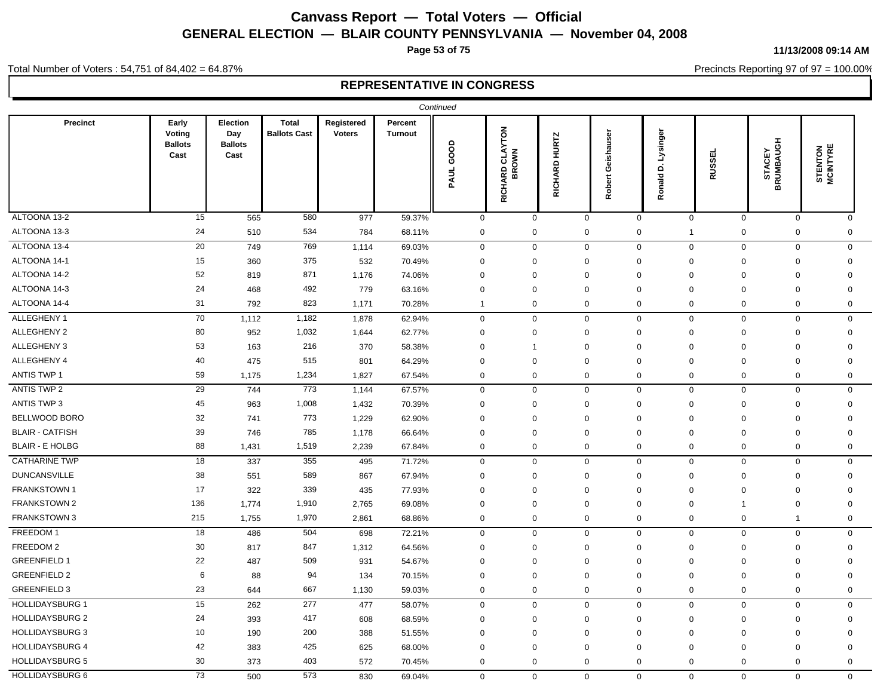**Page 53 of 75**

#### **11/13/2008 09:14 AM**

Precincts Reporting 97 of 97 = 100.00%

#### Total Number of Voters : 54,751 of 84,402 = 64.87%

|                        |                                           |                                           |                                     |                             |                           | Continued |                |                                  |               |                             |                       |                                    |                             |                            |
|------------------------|-------------------------------------------|-------------------------------------------|-------------------------------------|-----------------------------|---------------------------|-----------|----------------|----------------------------------|---------------|-----------------------------|-----------------------|------------------------------------|-----------------------------|----------------------------|
| <b>Precinct</b>        | Early<br>Voting<br><b>Ballots</b><br>Cast | Election<br>Day<br><b>Ballots</b><br>Cast | <b>Total</b><br><b>Ballots Cast</b> | Registered<br><b>Voters</b> | Percent<br><b>Turnout</b> | PAUL GOOD |                | <b>RICHARD CLAYTON<br/>BROWN</b> | RICHARD HURTZ | Geishauser<br><b>Robert</b> | D. Lysinger<br>Ronald | <b>RUSSEL</b>                      | <b>STACEY<br/>BRUMBAUGH</b> | <b>STENTON</b><br>MCINTYRE |
| ALTOONA 13-2           | 15                                        | 565                                       | 580                                 | 977                         | 59.37%                    |           | $\mathbf 0$    | $\mathsf 0$                      | $\mathsf 0$   |                             | $\mathbf 0$           | $\mathsf{O}\xspace$<br>$\mathbf 0$ | $\mathsf{O}\xspace$         | $\mathbf 0$                |
| ALTOONA 13-3           | 24                                        | 510                                       | 534                                 | 784                         | 68.11%                    |           | $\mathbf 0$    | $\mathbf 0$                      | $\mathbf 0$   |                             | $\mathbf 0$           | $\pmb{0}$<br>$\mathbf{1}$          | $\pmb{0}$                   | 0                          |
| ALTOONA 13-4           | 20                                        | 749                                       | 769                                 | 1,114                       | 69.03%                    |           | $\mathbf{0}$   | $\mathsf{O}\xspace$              | $\mathsf 0$   |                             | $\mathbf 0$           | $\mathbf{0}$<br>$\mathbf 0$        | $\mathsf 0$                 | $\mathbf{0}$               |
| ALTOONA 14-1           | 15                                        | 360                                       | 375                                 | 532                         | 70.49%                    |           | $\mathbf 0$    | $\mathbf 0$                      | $\mathbf 0$   |                             | $\Omega$              | $\Omega$<br>$\mathbf 0$            | $\mathbf 0$                 | $\Omega$                   |
| ALTOONA 14-2           | 52                                        | 819                                       | 871                                 | 1,176                       | 74.06%                    |           | $\mathbf 0$    | $\mathbf 0$                      | $\mathbf 0$   |                             | $\Omega$              | 0<br>$\mathbf 0$                   | $\mathbf 0$                 | 0                          |
| ALTOONA 14-3           | 24                                        | 468                                       | 492                                 | 779                         | 63.16%                    |           | $\Omega$       | $\mathbf 0$                      | $\mathbf 0$   |                             | $\mathbf 0$           | $\Omega$<br>$\mathbf 0$            | $\mathbf 0$                 | $\Omega$                   |
| ALTOONA 14-4           | 31                                        | 792                                       | 823                                 | 1,171                       | 70.28%                    |           | $\overline{1}$ | 0                                | $\mathbf 0$   |                             | 0                     | $\mathbf 0$<br>$\mathbf 0$         | $\mathbf 0$                 | 0                          |
| ALLEGHENY 1            | 70                                        | 1,112                                     | 1,182                               | 1,878                       | 62.94%                    |           | $\mathbf 0$    | $\mathbf 0$                      | $\mathbf 0$   |                             | $\mathbf{0}$          | $\mathbf{0}$<br>$\mathbf 0$        | $\mathbf 0$                 | $\mathbf{0}$               |
| ALLEGHENY 2            | 80                                        | 952                                       | 1,032                               | 1,644                       | 62.77%                    |           | $\mathbf 0$    | 0                                | $\mathbf 0$   |                             | $\Omega$              | $\Omega$<br>0                      | $\mathbf 0$                 | $\Omega$                   |
| ALLEGHENY 3            | 53                                        | 163                                       | 216                                 | 370                         | 58.38%                    |           | $\mathbf 0$    | -1                               | $\mathbf 0$   |                             | $\Omega$              | $\Omega$<br>$\mathbf 0$            | $\mathbf 0$                 | $\Omega$                   |
| ALLEGHENY 4            | 40                                        | 475                                       | 515                                 | 801                         | 64.29%                    |           | $\Omega$       | $\mathbf 0$                      | $\mathbf 0$   |                             | $\Omega$              | $\mathbf 0$<br>$\Omega$            | $\mathbf 0$                 | $\Omega$                   |
| <b>ANTIS TWP 1</b>     | 59                                        | 1,175                                     | 1,234                               | 1,827                       | 67.54%                    |           | $\mathbf 0$    | $\mathbf 0$                      | $\mathbf 0$   |                             | $\mathbf 0$           | $\mathbf 0$<br>0                   | $\mathbf 0$                 | $\mathbf 0$                |
| ANTIS TWP 2            | 29                                        | 744                                       | 773                                 | 1,144                       | 67.57%                    |           | $\mathbf 0$    | $\mathbf 0$                      | $\mathbf 0$   |                             | $\mathbf 0$           | $\mathbf{0}$<br>$\mathbf 0$        | $\mathbf 0$                 | $\mathbf{0}$               |
| <b>ANTIS TWP 3</b>     | 45                                        | 963                                       | 1,008                               | 1,432                       | 70.39%                    |           | $\mathbf 0$    | $\mathbf 0$                      | $\mathbf 0$   |                             | 0                     | $\mathbf 0$<br>0                   | $\mathbf 0$                 | 0                          |
| <b>BELLWOOD BORO</b>   | 32                                        | 741                                       | 773                                 | 1,229                       | 62.90%                    |           | $\mathbf 0$    | $\mathbf 0$                      | $\mathbf 0$   |                             | $\Omega$              | $\Omega$<br>$\mathbf 0$            | $\mathbf 0$                 | $\mathbf 0$                |
| <b>BLAIR - CATFISH</b> | 39                                        | 746                                       | 785                                 | 1,178                       | 66.64%                    |           | $\mathbf 0$    | $\mathbf 0$                      | $\mathbf 0$   |                             | $\Omega$              | $\Omega$<br>$\mathbf 0$            | $\mathbf 0$                 | $\Omega$                   |
| <b>BLAIR - E HOLBG</b> | 88                                        | 1,431                                     | 1,519                               | 2,239                       | 67.84%                    |           | $\mathbf 0$    | $\mathbf 0$                      | $\mathbf 0$   |                             | 0                     | 0<br>$\mathbf 0$                   | $\mathbf 0$                 | 0                          |
| <b>CATHARINE TWP</b>   | 18                                        | 337                                       | 355                                 | 495                         | 71.72%                    |           | $\mathbf 0$    | $\mathbf 0$                      | $\mathbf 0$   |                             | $\mathbf 0$           | $\mathbf{0}$<br>$\mathbf 0$        | $\mathbf 0$                 | $\mathbf{0}$               |
| <b>DUNCANSVILLE</b>    | 38                                        | 551                                       | 589                                 | 867                         | 67.94%                    |           | $\mathbf 0$    | $\mathbf 0$                      | $\mathbf 0$   |                             | $\mathbf 0$           | $\mathbf 0$<br>$\mathbf 0$         | $\mathbf 0$                 | $\mathbf 0$                |
| FRANKSTOWN 1           | 17                                        | 322                                       | 339                                 | 435                         | 77.93%                    |           | $\Omega$       | $\Omega$                         | $\mathbf 0$   |                             | $\Omega$              | $\Omega$<br>$\mathbf 0$            | $\mathbf 0$                 | $\Omega$                   |
| FRANKSTOWN 2           | 136                                       | 1,774                                     | 1,910                               | 2,765                       | 69.08%                    |           | $\Omega$       | $\mathbf 0$                      | $\mathbf 0$   |                             | $\Omega$              | $\Omega$<br>$\mathbf{1}$           | $\mathbf 0$                 | $\Omega$                   |
| <b>FRANKSTOWN 3</b>    | 215                                       | 1,755                                     | 1,970                               | 2,861                       | 68.86%                    |           | $\mathbf 0$    | $\mathbf 0$                      | $\mathbf 0$   |                             | $\mathbf 0$           | 0<br>$\mathbf 0$                   | $\overline{1}$              | 0                          |
| FREEDOM 1              | 18                                        | 486                                       | 504                                 | 698                         | 72.21%                    |           | $\mathbf 0$    | $\mathbf 0$                      | $\mathbf 0$   |                             | $\mathbf{0}$          | $\mathbf 0$<br>0                   | $\mathbf 0$                 | 0                          |
| FREEDOM 2              | 30                                        | 817                                       | 847                                 | 1,312                       | 64.56%                    |           | $\mathbf 0$    | $\mathbf 0$                      | $\mathbf 0$   |                             | $\mathbf 0$           | $\Omega$<br>$\mathbf 0$            | $\mathbf 0$                 | $\mathbf 0$                |
| <b>GREENFIELD 1</b>    | 22                                        | 487                                       | 509                                 | 931                         | 54.67%                    |           | $\Omega$       | $\mathbf 0$                      | $\mathbf 0$   |                             | $\Omega$              | $\mathbf 0$<br>$\Omega$            | $\mathbf 0$                 | $\Omega$                   |
| <b>GREENFIELD 2</b>    | 6                                         | 88                                        | 94                                  | 134                         | 70.15%                    |           | $\Omega$       | $\mathbf 0$                      | $\mathbf 0$   |                             | $\mathbf 0$           | $\mathbf 0$<br>$\mathbf 0$         | $\mathbf 0$                 | $\mathbf 0$                |
| <b>GREENFIELD 3</b>    | 23                                        | 644                                       | 667                                 | 1,130                       | 59.03%                    |           | $\mathbf 0$    | $\mathbf 0$                      | $\mathbf 0$   |                             | 0                     | 0<br>$\mathbf 0$                   | $\mathbf 0$                 | 0                          |
| <b>HOLLIDAYSBURG 1</b> | 15                                        | 262                                       | 277                                 | 477                         | 58.07%                    |           | $\mathbf 0$    | $\mathbf 0$                      | $\mathbf 0$   |                             | $\mathbf 0$           | $\mathbf 0$<br>$\mathbf 0$         | $\mathbf 0$                 | $\mathbf 0$                |
| <b>HOLLIDAYSBURG 2</b> | 24                                        | 393                                       | 417                                 | 608                         | 68.59%                    |           | $\mathbf 0$    | $\mathbf 0$                      | $\mathbf 0$   |                             | $\Omega$              | $\mathbf 0$<br>$\Omega$            | $\mathbf 0$                 | $\Omega$                   |
| <b>HOLLIDAYSBURG 3</b> | 10                                        | 190                                       | 200                                 | 388                         | 51.55%                    |           | $\mathbf 0$    | $\mathbf 0$                      | $\mathbf 0$   |                             | $\Omega$              | $\Omega$<br>$\mathbf 0$            | $\mathbf 0$                 | $\mathbf 0$                |
| <b>HOLLIDAYSBURG 4</b> | 42                                        | 383                                       | 425                                 | 625                         | 68.00%                    |           | $\mathbf 0$    | $\mathbf 0$                      | $\mathbf 0$   |                             | $\Omega$              | $\mathbf 0$<br>$\Omega$            | $\mathbf 0$                 | $\mathbf 0$                |
| <b>HOLLIDAYSBURG 5</b> | 30                                        | 373                                       | 403                                 | 572                         | 70.45%                    |           | $\mathbf 0$    | $\mathbf 0$                      | $\mathbf 0$   |                             | $\mathbf 0$           | $\mathbf 0$<br>0                   | $\mathbf 0$                 | 0                          |
| <b>HOLLIDAYSBURG 6</b> | 73                                        | 500                                       | 573                                 | 830                         | 69.04%                    |           | $\Omega$       | $\mathbf 0$                      | $\mathbf 0$   |                             | $\mathbf 0$           | $\mathbf 0$<br>$\mathbf 0$         | $\mathbf 0$                 | $\Omega$                   |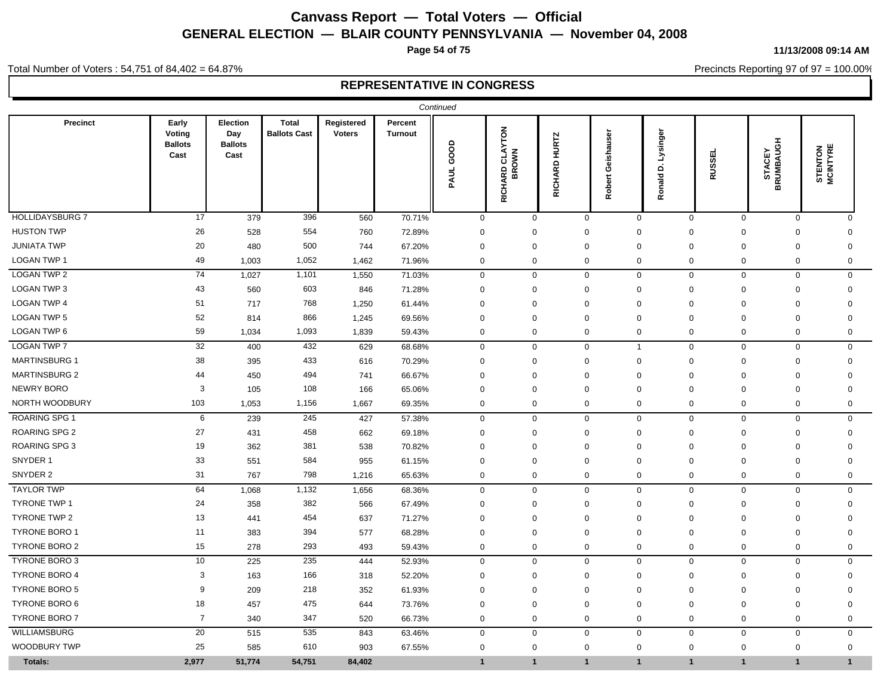**Page 54 of 75**

**11/13/2008 09:14 AM**

Precincts Reporting 97 of 97 = 100.00%

Total Number of Voters : 54,751 of 84,402 = 64.87%

|                        |                                           |                                           |                                     |                             |                           | Continued    |                                 |                  |                   |                           |               |                             |                                   |
|------------------------|-------------------------------------------|-------------------------------------------|-------------------------------------|-----------------------------|---------------------------|--------------|---------------------------------|------------------|-------------------|---------------------------|---------------|-----------------------------|-----------------------------------|
| <b>Precinct</b>        | Early<br>Voting<br><b>Ballots</b><br>Cast | Election<br>Day<br><b>Ballots</b><br>Cast | <b>Total</b><br><b>Ballots Cast</b> | Registered<br><b>Voters</b> | Percent<br><b>Turnout</b> | PAUL GOOD    | <b>RICHARD CLAYTON</b><br>BROWN | RICHARD HURTZ    | Robert Geishauser | Lysinger<br>d<br>Ronald I | <b>RUSSEL</b> | <b>STACEY<br/>BRUMBAUGH</b> | <b>STENTON</b><br><b>MCINTYRE</b> |
| <b>HOLLIDAYSBURG 7</b> | 17                                        | 379                                       | 396                                 | 560                         | 70.71%                    | $\mathbf 0$  | $\mathbf 0$                     | $\mathbf 0$      | $\mathbf 0$       | $\mathbf 0$               | $\mathbf 0$   | $\mathbf 0$                 | $\mathbf{0}$                      |
| <b>HUSTON TWP</b>      | 26                                        | 528                                       | 554                                 | 760                         | 72.89%                    | $\mathbf 0$  | $\mathbf 0$                     | 0                | $\mathbf 0$       | $\mathbf 0$               | $\mathbf 0$   | 0                           | 0                                 |
| <b>JUNIATA TWP</b>     | 20                                        | 480                                       | 500                                 | 744                         | 67.20%                    | $\mathbf 0$  | $\Omega$                        | 0                | $\mathbf 0$       | $\Omega$                  | $\mathbf 0$   | 0                           | $\Omega$                          |
| LOGAN TWP 1            | 49                                        | 1,003                                     | 1,052                               | 1,462                       | 71.96%                    | $\mathbf 0$  | $\mathbf 0$                     | $\mathbf 0$      | $\mathbf 0$       | $\mathbf 0$               | $\mathbf 0$   | $\mathbf 0$                 | $\mathbf 0$                       |
| <b>LOGAN TWP 2</b>     | 74                                        | 1,027                                     | 1,101                               | 1,550                       | 71.03%                    | $\mathsf 0$  | $\mathbf 0$                     | $\mathbf 0$      | $\mathbf 0$       | $\mathbf 0$               | $\mathbf 0$   | $\mathsf 0$                 | 0                                 |
| LOGAN TWP 3            | 43                                        | 560                                       | 603                                 | 846                         | 71.28%                    | $\mathbf 0$  | $\mathbf 0$                     | 0                | $\mathbf 0$       | $\mathbf 0$               | $\mathbf 0$   | 0                           | $\mathbf 0$                       |
| <b>LOGAN TWP 4</b>     | 51                                        | 717                                       | 768                                 | 1,250                       | 61.44%                    | $\mathbf 0$  | $\mathbf 0$                     | $\mathbf 0$      | $\Omega$          | $\Omega$                  | $\mathbf 0$   | $\mathbf 0$                 | $\Omega$                          |
| LOGAN TWP 5            | 52                                        | 814                                       | 866                                 | 1,245                       | 69.56%                    | $\mathbf 0$  | $\mathbf 0$                     | 0                | $\mathbf 0$       | $\mathbf 0$               | $\mathbf 0$   | 0                           | $\mathbf 0$                       |
| LOGAN TWP 6            | 59                                        | 1,034                                     | 1,093                               | 1,839                       | 59.43%                    | $\mathbf 0$  | $\mathbf 0$                     | $\mathbf 0$      | $\mathbf 0$       | $\mathbf 0$               | $\mathbf 0$   | $\mathbf 0$                 | $\mathbf 0$                       |
| <b>LOGAN TWP 7</b>     | 32                                        | 400                                       | 432                                 | 629                         | 68.68%                    | $\mathbf 0$  | $\mathbf 0$                     | $\mathbf 0$      | $\overline{1}$    | $\mathbf 0$               | $\mathbf 0$   | $\mathbf 0$                 | $\mathbf 0$                       |
| <b>MARTINSBURG 1</b>   | 38                                        | 395                                       | 433                                 | 616                         | 70.29%                    | $\mathbf 0$  | $\mathbf 0$                     | 0                | $\mathbf 0$       | $\mathbf 0$               | $\mathbf 0$   | 0                           | $\mathbf 0$                       |
| <b>MARTINSBURG 2</b>   | 44                                        | 450                                       | 494                                 | 741                         | 66.67%                    | $\mathbf 0$  | 0                               | 0                | $\Omega$          | $\Omega$                  | $\mathbf 0$   | 0                           | $\Omega$                          |
| <b>NEWRY BORO</b>      | 3                                         | 105                                       | 108                                 | 166                         | 65.06%                    | $\mathbf 0$  | $\mathbf 0$                     | 0                | $\mathbf 0$       | $\mathbf 0$               | $\mathbf 0$   | 0                           | $\mathbf 0$                       |
| NORTH WOODBURY         | 103                                       | 1,053                                     | 1,156                               | 1,667                       | 69.35%                    | $\mathbf 0$  | $\mathbf 0$                     | $\mathbf 0$      | $\mathbf 0$       | $\mathbf 0$               | $\mathbf 0$   | $\mathbf 0$                 | $\mathbf 0$                       |
| <b>ROARING SPG 1</b>   | 6                                         | 239                                       | 245                                 | 427                         | 57.38%                    | $\mathbf 0$  | $\mathbf 0$                     | $\mathbf 0$      | $\mathbf 0$       | $\mathbf 0$               | $\mathbf 0$   | $\mathbf 0$                 | $\mathbf 0$                       |
| <b>ROARING SPG 2</b>   | 27                                        | 431                                       | 458                                 | 662                         | 69.18%                    | $\mathbf 0$  | $\mathbf 0$                     | 0                | $\Omega$          | $\mathbf 0$               | $\mathbf 0$   | 0                           | $\Omega$                          |
| <b>ROARING SPG 3</b>   | 19                                        | 362                                       | 381                                 | 538                         | 70.82%                    | $\mathbf 0$  | $\mathbf 0$                     | 0                | $\mathbf 0$       | $\mathbf 0$               | $\mathbf 0$   | 0                           | $\mathbf 0$                       |
| SNYDER 1               | 33                                        | 551                                       | 584                                 | 955                         | 61.15%                    | $\mathbf 0$  | $\mathbf 0$                     | $\mathbf 0$      | $\mathbf 0$       | $\mathbf 0$               | $\mathbf 0$   | $\mathbf 0$                 | 0                                 |
| SNYDER 2               | 31                                        | 767                                       | 798                                 | 1,216                       | 65.63%                    | $\mathbf 0$  | 0                               | 0                | 0                 | 0                         | $\mathbf 0$   | 0                           | 0                                 |
| <b>TAYLOR TWP</b>      | 64                                        | 1,068                                     | 1,132                               | 1,656                       | 68.36%                    | $\pmb{0}$    | $\mathbf 0$                     | $\boldsymbol{0}$ | $\mathbf 0$       | $\mathbf 0$               | $\mathbf 0$   | $\mathbf 0$                 | $\mathbf 0$                       |
| <b>TYRONE TWP 1</b>    | 24                                        | 358                                       | 382                                 | 566                         | 67.49%                    | $\mathbf 0$  | $\mathbf 0$                     | 0                | $\mathbf 0$       | $\mathbf 0$               | $\mathbf 0$   | 0                           | $\mathbf 0$                       |
| TYRONE TWP 2           | 13                                        | 441                                       | 454                                 | 637                         | 71.27%                    | $\mathbf 0$  | $\mathbf 0$                     | 0                | $\mathbf 0$       | $\mathbf 0$               | $\mathbf 0$   | 0                           | $\mathbf 0$                       |
| <b>TYRONE BORO 1</b>   | 11                                        | 383                                       | 394                                 | 577                         | 68.28%                    | 0            | $\mathbf 0$                     | $\mathbf 0$      | $\mathbf 0$       | $\Omega$                  | $\mathbf 0$   | $\mathbf 0$                 | $\mathbf 0$                       |
| <b>TYRONE BORO 2</b>   | 15                                        | 278                                       | 293                                 | 493                         | 59.43%                    | $\mathbf 0$  | $\mathbf 0$                     | 0                | $\mathbf 0$       | $\mathbf 0$               | $\mathbf 0$   | 0                           | $\mathbf 0$                       |
| TYRONE BORO 3          | 10                                        | 225                                       | 235                                 | 444                         | 52.93%                    | $\mathsf 0$  | $\mathsf{O}$                    | $\mathsf 0$      | $\mathbf 0$       | $\mathbf 0$               | $\mathbf 0$   | $\mathbf 0$                 | 0                                 |
| TYRONE BORO 4          | 3                                         | 163                                       | 166                                 | 318                         | 52.20%                    | $\mathbf 0$  | $\mathbf 0$                     | $\mathbf 0$      | $\mathbf 0$       | $\mathbf 0$               | $\mathbf 0$   | $\mathbf 0$                 | $\mathbf 0$                       |
| <b>TYRONE BORO 5</b>   | 9                                         | 209                                       | 218                                 | 352                         | 61.93%                    | 0            | $\mathbf 0$                     | 0                | $\mathbf 0$       | $\mathbf 0$               | $\mathbf 0$   | $\mathbf 0$                 | $\mathbf 0$                       |
| TYRONE BORO 6          | 18                                        | 457                                       | 475                                 | 644                         | 73.76%                    | $\mathbf 0$  | $\mathbf 0$                     | 0                | $\Omega$          | $\mathbf 0$               | $\mathbf 0$   | 0                           | $\Omega$                          |
| <b>TYRONE BORO 7</b>   | $\overline{7}$                            | 340                                       | 347                                 | 520                         | 66.73%                    | $\mathbf 0$  | $\mathbf 0$                     | 0                | $\mathbf 0$       | $\mathbf 0$               | $\mathbf 0$   | 0                           | 0                                 |
| WILLIAMSBURG           | 20                                        | 515                                       | 535                                 | 843                         | 63.46%                    | $\mathbf 0$  | $\mathsf{O}$                    | $\mathbf 0$      | $\mathbf 0$       | $\mathbf 0$               | $\mathbf 0$   | $\mathbf 0$                 | $\mathbf 0$                       |
| WOODBURY TWP           | 25                                        | 585                                       | 610                                 | 903                         | 67.55%                    | $\mathbf 0$  | $\mathbf 0$                     | $\mathbf 0$      | $\mathbf 0$       | $\mathbf 0$               | $\mathbf 0$   | $\mathbf 0$                 | 0                                 |
| Totals:                | 2,977                                     | 51,774                                    | 54,751                              | 84,402                      |                           | $\mathbf{1}$ | $\mathbf{1}$                    | $\mathbf{1}$     | $\overline{1}$    | 1                         | $\mathbf{1}$  | $\overline{1}$              | 1                                 |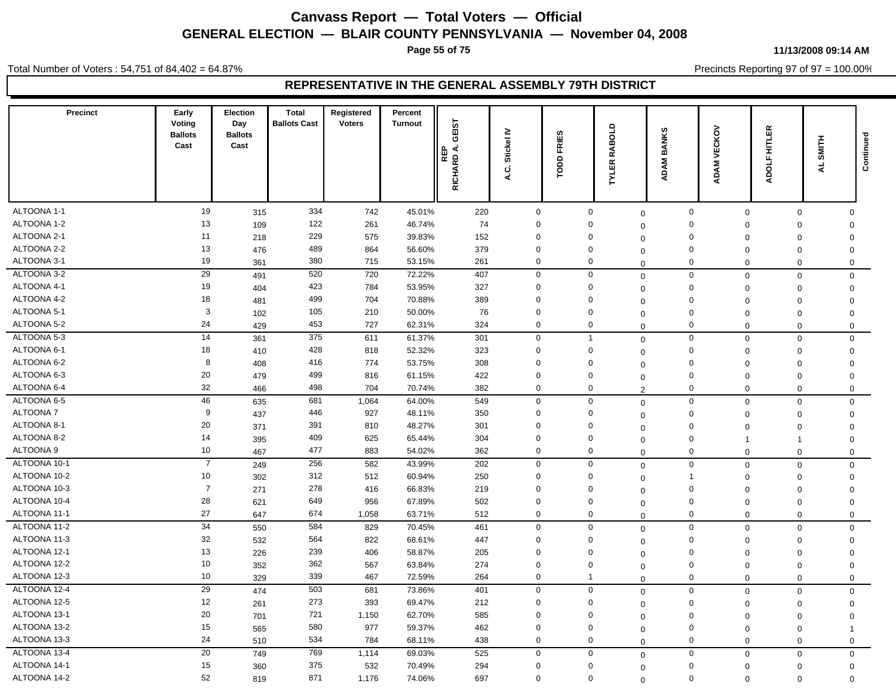**Page 55 of 75**

Total Number of Voters : 54,751 of 84,402 = 64.87%

#### **11/13/2008 09:14 AM**

Precincts Reporting 97 of 97 = 100.00%

| Precinct         | Early<br>Voting<br><b>Ballots</b><br>Cast | Election<br>Day<br><b>Ballots</b><br>Cast | <b>Total</b><br><b>Ballots Cast</b> | Registered<br><b>Voters</b> | Percent<br><b>Turnout</b> | GEIST<br>∢<br>REP<br>RICHARD | Stickel IV<br>ن<br>∢ | <b>FRIES</b><br>6<br>흔 | $\Omega$<br><b>RABOL</b><br><b>TYLER</b> | <b>BANKS</b><br><b>DAM</b><br>⋖ | VECKOV<br>ΜŅ<br>ą | HITLER<br><b>ADOLF</b> | SMITH<br>$\overline{\mathbf{A}}$ | Continued |
|------------------|-------------------------------------------|-------------------------------------------|-------------------------------------|-----------------------------|---------------------------|------------------------------|----------------------|------------------------|------------------------------------------|---------------------------------|-------------------|------------------------|----------------------------------|-----------|
|                  |                                           |                                           |                                     |                             |                           |                              |                      |                        |                                          |                                 |                   |                        |                                  |           |
| ALTOONA 1-1      | 19                                        | 315                                       | 334                                 | 742                         | 45.01%                    | 220                          | $\mathbf 0$          | $\mathbf 0$            | $\mathbf 0$                              | $\mathbf 0$                     | $\mathbf 0$       | $\mathbf 0$            | $\mathbf 0$                      |           |
| ALTOONA 1-2      | 13                                        | 109                                       | 122                                 | 261                         | 46.74%                    | 74                           | $\mathbf 0$          | $\mathbf 0$            | $\Omega$                                 | $\mathbf 0$                     | $\mathbf 0$       | $\mathbf 0$            | $\mathbf 0$                      |           |
| ALTOONA 2-1      | 11                                        | 218                                       | 229                                 | 575                         | 39.83%                    | 152                          | $\mathbf 0$          | $\mathbf 0$            | $\Omega$                                 | $\mathbf 0$                     | $\mathbf 0$       | $\mathbf 0$            | $\mathbf 0$                      |           |
| ALTOONA 2-2      | 13                                        | 476                                       | 489                                 | 864                         | 56.60%                    | 379                          | $\mathbf 0$          | $\mathbf 0$            | $\Omega$                                 | $\mathbf 0$                     | $\mathbf 0$       | $\Omega$               | $\mathbf 0$                      |           |
| ALTOONA 3-1      | 19                                        | 361                                       | 380                                 | 715                         | 53.15%                    | 261                          | $\mathbf 0$          | 0                      | $\mathbf 0$                              | $\mathbf 0$                     | $\mathbf 0$       | 0                      | $\mathbf 0$                      |           |
| ALTOONA 3-2      | 29                                        | 491                                       | 520                                 | 720                         | 72.22%                    | 407                          | $\mathbf 0$          | $\mathbf 0$            | $\Omega$                                 | $\mathbf 0$                     | $\mathbf 0$       | $\mathbf 0$            | $\mathbf 0$                      |           |
| ALTOONA 4-1      | 19                                        | 404                                       | 423                                 | 784                         | 53.95%                    | 327                          | $\mathbf 0$          | $\mathbf 0$            | $\Omega$                                 | $\mathbf 0$                     | $\mathbf 0$       | 0                      | $\mathbf 0$                      |           |
| ALTOONA 4-2      | 18                                        | 481                                       | 499                                 | 704                         | 70.88%                    | 389                          | $\mathbf 0$          | $\mathbf 0$            | $\Omega$                                 | $\mathsf 0$                     | $\Omega$          | $\Omega$               | $\mathbf 0$                      |           |
| ALTOONA 5-1      | 3                                         | 102                                       | 105                                 | 210                         | 50.00%                    | 76                           | $\Omega$             | $\mathbf 0$            | $\mathbf 0$                              | $\mathbf 0$                     | $\Omega$          | $\Omega$               | $\mathbf 0$                      |           |
| ALTOONA 5-2      | 24                                        | 429                                       | 453                                 | 727                         | 62.31%                    | 324                          | $\mathbf 0$          | $\mathbf 0$            | $\mathbf 0$                              | $\mathbf 0$                     | $\mathbf 0$       | $\mathbf 0$            | $\mathbf 0$                      |           |
| ALTOONA 5-3      | 14                                        | 361                                       | 375                                 | 611                         | 61.37%                    | 301                          | $\mathbf 0$          | $\overline{1}$         | $\Omega$                                 | $\mathsf 0$                     | $\mathbf 0$       | 0                      | $\mathbf 0$                      |           |
| ALTOONA 6-1      | 18                                        | 410                                       | 428                                 | 818                         | 52.32%                    | 323                          | $\mathbf 0$          | $\mathbf 0$            | $\Omega$                                 | $\mathbf 0$                     | $\Omega$          | $\Omega$               | $\mathbf{0}$                     |           |
| ALTOONA 6-2      | 8                                         | 408                                       | 416                                 | 774                         | 53.75%                    | 308                          | $\mathbf 0$          | $\mathbf 0$            | $\Omega$                                 | $\mathbf 0$                     | $\Omega$          | $\Omega$               | $\mathbf 0$                      |           |
| ALTOONA 6-3      | 20                                        | 479                                       | 499                                 | 816                         | 61.15%                    | 422                          | $\mathbf 0$          | $\mathbf 0$            | $\Omega$                                 | $\mathbf 0$                     | $\mathbf 0$       | $\Omega$               | $\mathbf 0$                      |           |
| ALTOONA 6-4      | 32                                        | 466                                       | 498                                 | 704                         | 70.74%                    | 382                          | $\mathbf 0$          | $\mathbf 0$            | $\overline{2}$                           | $\mathbf 0$                     | $\mathbf 0$       | $\mathbf 0$            | $\mathbf 0$                      |           |
| ALTOONA 6-5      | 46                                        | 635                                       | 681                                 | 1,064                       | 64.00%                    | 549                          | $\mathbf 0$          | $\mathbf 0$            | $\Omega$                                 | $\mathbf 0$                     | $\mathbf 0$       | $\mathbf{0}$           | $\mathbf 0$                      |           |
| ALTOONA 7        | 9                                         | 437                                       | 446                                 | 927                         | 48.11%                    | 350                          | $\mathbf 0$          | $\mathbf 0$            | $\mathbf 0$                              | $\mathbf 0$                     | $\Omega$          | $\Omega$               | $\mathbf 0$                      |           |
| ALTOONA 8-1      | 20                                        | 371                                       | 391                                 | 810                         | 48.27%                    | 301                          | $\mathbf 0$          | $\mathbf 0$            | $\Omega$                                 | $\mathbf 0$                     | $\Omega$          | $\mathbf 0$            | $\mathbf 0$                      |           |
| ALTOONA 8-2      | 14                                        | 395                                       | 409                                 | 625                         | 65.44%                    | 304                          | $\mathbf 0$          | $\mathbf 0$            | $\Omega$                                 | $\mathbf 0$                     | $\mathbf{1}$      | $\mathbf{1}$           | $\mathbf 0$                      |           |
| <b>ALTOONA 9</b> | 10                                        | 467                                       | 477                                 | 883                         | 54.02%                    | 362                          | $\mathbf 0$          | $\mathbf 0$            | $\mathbf 0$                              | $\mathbf 0$                     | $\mathbf 0$       | $\mathbf 0$            | $\mathbf 0$                      |           |
| ALTOONA 10-1     | $\overline{7}$                            | 249                                       | 256                                 | 582                         | 43.99%                    | 202                          | $\mathbf 0$          | $\mathbf 0$            | $\mathbf 0$                              | $\mathbf 0$                     | $\mathbf 0$       | $\mathbf 0$            | $\mathbf{0}$                     |           |
| ALTOONA 10-2     | 10                                        | 302                                       | 312                                 | 512                         | 60.94%                    | 250                          | $\mathbf 0$          | $\mathbf 0$            | $\Omega$                                 | $\overline{1}$                  | $\Omega$          | $\mathbf 0$            | $\mathbf 0$                      |           |
| ALTOONA 10-3     | $\overline{7}$                            | 271                                       | 278                                 | 416                         | 66.83%                    | 219                          | $\mathbf 0$          | $\mathbf 0$            | $\Omega$                                 | $\mathbf 0$                     | $\mathbf 0$       | $\mathbf 0$            | $\mathbf 0$                      |           |
| ALTOONA 10-4     | 28                                        | 621                                       | 649                                 | 956                         | 67.89%                    | 502                          | $\mathbf 0$          | $\mathbf 0$            | $\Omega$                                 | $\mathbf 0$                     | $\Omega$          | $\Omega$               | $\mathbf 0$                      |           |
| ALTOONA 11-1     | 27                                        | 647                                       | 674                                 | 1,058                       | 63.71%                    | 512                          | $\mathbf 0$          | $\mathbf 0$            | $\Omega$                                 | $\mathbf 0$                     | $\mathbf 0$       | $\mathbf 0$            | $\mathbf 0$                      |           |
| ALTOONA 11-2     | 34                                        | 550                                       | 584                                 | 829                         | 70.45%                    | 461                          | $\mathbf 0$          | $\mathbf 0$            | $\mathbf 0$                              | $\mathbf 0$                     | $\mathbf 0$       | $\mathbf 0$            | $\mathbf 0$                      |           |
| ALTOONA 11-3     | 32                                        | 532                                       | 564                                 | 822                         | 68.61%                    | 447                          | $\mathbf 0$          | $\mathbf 0$            | $\Omega$                                 | $\mathbf 0$                     | $\Omega$          | $\Omega$               | $\mathbf 0$                      |           |
| ALTOONA 12-1     | 13                                        | 226                                       | 239                                 | 406                         | 58.87%                    | 205                          | $\mathbf 0$          | $\mathbf 0$            | $\mathbf 0$                              | $\mathbf 0$                     | $\mathbf 0$       | $\Omega$               | $\mathbf 0$                      |           |
| ALTOONA 12-2     | 10                                        | 352                                       | 362                                 | 567                         | 63.84%                    | 274                          | $\mathbf 0$          | $\mathbf 0$            | $\Omega$                                 | $\mathbf 0$                     | $\mathbf 0$       | $\mathbf 0$            | $\mathbf 0$                      |           |
| ALTOONA 12-3     | 10                                        | 329                                       | 339                                 | 467                         | 72.59%                    | 264                          | $\mathbf 0$          | $\overline{1}$         | $\Omega$                                 | $\mathbf 0$                     | $\mathbf 0$       | 0                      | $\mathbf 0$                      |           |
| ALTOONA 12-4     | 29                                        | 474                                       | 503                                 | 681                         | 73.86%                    | 401                          | $\mathbf 0$          | $\mathbf 0$            | $\mathbf 0$                              | $\mathbf 0$                     | $\mathbf 0$       | $\mathbf 0$            | $\mathbf{0}$                     |           |
| ALTOONA 12-5     | 12                                        | 261                                       | 273                                 | 393                         | 69.47%                    | 212                          | $\mathbf 0$          | $\mathbf 0$            | $\Omega$                                 | $\mathbf 0$                     | $\mathbf 0$       | $\Omega$               | $\mathbf 0$                      |           |
| ALTOONA 13-1     | 20                                        | 701                                       | 721                                 | 1,150                       | 62.70%                    | 585                          | $\mathbf 0$          | $\mathbf 0$            | $\Omega$                                 | $\mathbf 0$                     | $\mathbf 0$       | $\mathbf 0$            | $\mathbf 0$                      |           |
| ALTOONA 13-2     | 15                                        | 565                                       | 580                                 | 977                         | 59.37%                    | 462                          | $\mathbf 0$          | $\mathbf 0$            | $\Omega$                                 | $\mathbf 0$                     | $\mathbf 0$       | $\mathbf 0$            | $\mathbf{1}$                     |           |
| ALTOONA 13-3     | 24                                        | 510                                       | 534                                 | 784                         | 68.11%                    | 438                          | $\mathbf 0$          | $\mathbf 0$            | $\Omega$                                 | $\mathbf 0$                     | $\Omega$          | $\mathbf 0$            | $\mathbf 0$                      |           |
| ALTOONA 13-4     | 20                                        | 749                                       | 769                                 | 1,114                       | 69.03%                    | 525                          | $\mathbf 0$          | $\mathbf 0$            | $\Omega$                                 | $\mathbf 0$                     | $\mathbf 0$       | $\mathbf 0$            | $\mathbf 0$                      |           |
| ALTOONA 14-1     | 15                                        | 360                                       | 375                                 | 532                         | 70.49%                    | 294                          | $\mathbf 0$          | $\mathbf 0$            | $\mathbf 0$                              | $\mathbf 0$                     | $\mathbf 0$       | $\mathbf 0$            | $\mathbf 0$                      |           |
| ALTOONA 14-2     | 52                                        | 819                                       | 871                                 | 1,176                       | 74.06%                    | 697                          | $\mathbf 0$          | $\mathbf 0$            | $\Omega$                                 | $\mathsf{O}\xspace$             | $\mathbf 0$       | 0                      | $\mathbf 0$                      |           |
|                  |                                           |                                           |                                     |                             |                           |                              |                      |                        |                                          |                                 |                   |                        |                                  |           |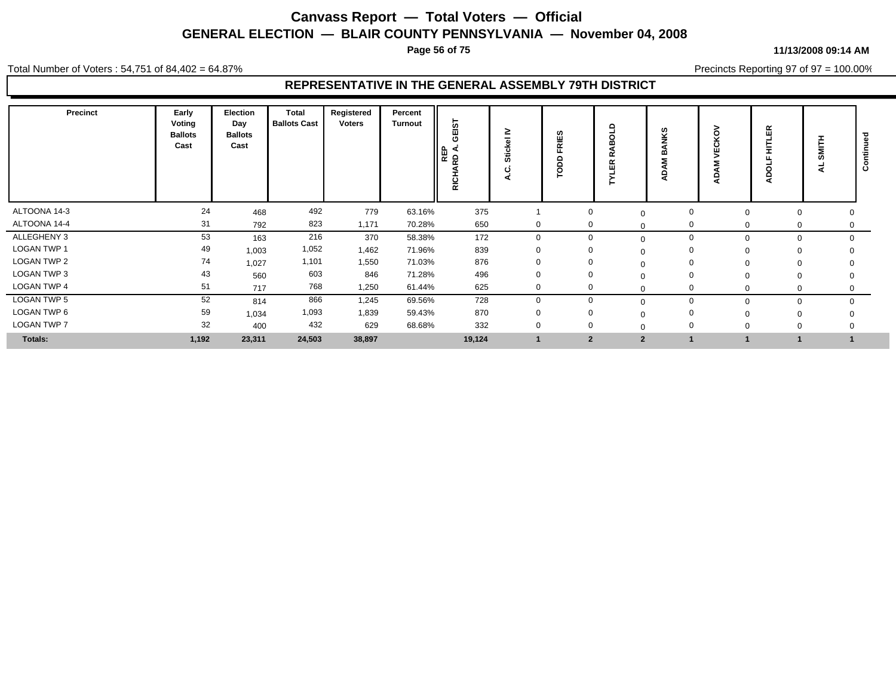**Page 56 of 75**

#### **11/13/2008 09:14 AM**

Total Number of Voters : 54,751 of 84,402 = 64.87%

Precincts Reporting 97 of 97 = 100.00%

| <b>Precinct</b>    | Early<br>Voting<br><b>Ballots</b><br>Cast | Election<br>Day<br><b>Ballots</b><br>Cast | Total<br><b>Ballots Cast</b> | Registered<br>Voters | Percent<br><b>Turnout</b> | GEIST<br>REP<br>⋖<br>5<br><b>.</b><br>RICI | ≥<br>-<br>Ğ,<br>ပ | ഗ<br>믵<br>◠<br>◠<br>O | Ω<br>r<br>$\alpha$<br>ш | cr.            | Š<br>Ω<br>ш<br>ৱ | 띥<br>늧<br>റ<br>å | I<br>ţ<br>ਤ | Ο        |
|--------------------|-------------------------------------------|-------------------------------------------|------------------------------|----------------------|---------------------------|--------------------------------------------|-------------------|-----------------------|-------------------------|----------------|------------------|------------------|-------------|----------|
| ALTOONA 14-3       | 24                                        | 468                                       | 492                          | 779                  | 63.16%                    | 375                                        |                   |                       | $\mathbf 0$             | $\Omega$       |                  | 0                |             | 0        |
| ALTOONA 14-4       | 31                                        | 792                                       | 823                          | 1,171                | 70.28%                    | 650                                        | $\mathbf 0$       |                       | $\mathbf{0}$            | $\Omega$       |                  |                  | 0           | 0        |
| ALLEGHENY 3        | 53                                        | 163                                       | 216                          | 370                  | 58.38%                    | 172                                        | $\mathbf 0$       |                       | $\mathbf 0$             | $\Omega$       | 0                | 0                |             | $\Omega$ |
| <b>LOGAN TWP 1</b> | 49                                        | 1,003                                     | 1,052                        | 1,462                | 71.96%                    | 839                                        |                   |                       | 0                       | $\Omega$       |                  |                  |             |          |
| <b>LOGAN TWP 2</b> | 74                                        | 1,027                                     | 1,101                        | 1,550                | 71.03%                    | 876                                        |                   |                       | 0                       |                |                  |                  |             |          |
| LOGAN TWP 3        | 43                                        | 560                                       | 603                          | 846                  | 71.28%                    | 496                                        | 0                 |                       | $\Omega$                | $\Omega$       |                  |                  |             |          |
| <b>LOGAN TWP 4</b> | 51                                        | 717                                       | 768                          | 1,250                | 61.44%                    | 625                                        | 0                 |                       | $\Omega$                | $\Omega$       |                  | $\Omega$         |             |          |
| LOGAN TWP 5        | 52                                        | 814                                       | 866                          | 1,245                | 69.56%                    | 728                                        | $\Omega$          |                       | $\Omega$                | $\Omega$       |                  | 0                |             | $\Omega$ |
| LOGAN TWP 6        | 59                                        | 1,034                                     | 1,093                        | 1,839                | 59.43%                    | 870                                        | $\Omega$          |                       | $\Omega$                |                |                  |                  |             |          |
| <b>LOGAN TWP 7</b> | 32                                        | 400                                       | 432                          | 629                  | 68.68%                    | 332                                        | 0                 |                       | $\Omega$                |                |                  |                  |             |          |
| Totals:            | 1,192                                     | 23,311                                    | 24,503                       | 38,897               |                           | 19,124                                     |                   |                       | $\overline{2}$          | $\overline{2}$ |                  |                  |             |          |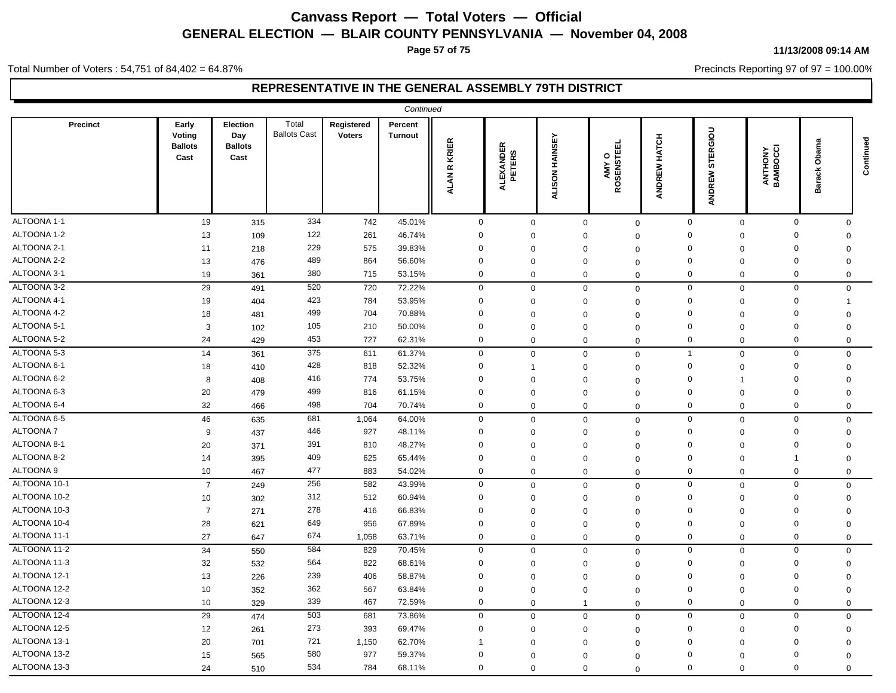**Page 57 of 75**

#### Total Number of Voters : 54,751 of 84,402 = 64.87%

### **REPRESENTATIVE IN THE GENERAL ASSEMBLY 79TH DISTRICT**

|              |                                           |                                           |                              |                             | Continued                 |                    |                     |                |                     |                        |                               |                     |                |           |
|--------------|-------------------------------------------|-------------------------------------------|------------------------------|-----------------------------|---------------------------|--------------------|---------------------|----------------|---------------------|------------------------|-------------------------------|---------------------|----------------|-----------|
| Precinct     | Early<br>Voting<br><b>Ballots</b><br>Cast | Election<br>Day<br><b>Ballots</b><br>Cast | Total<br><b>Ballots Cast</b> | Registered<br><b>Voters</b> | Percent<br><b>Turnout</b> | <b>ALANR KRIER</b> | ALEXANDER<br>PETERS | ALISON HAINSEY | AMY O<br>ROSENSTEEL | <b>HATCH</b><br>ANDREW | <b>ERGIOU</b><br>5<br>ANDREW  | ANTHONY<br>BAMBOCCI | Obam<br>Barack | Continued |
| ALTOONA 1-1  | 19                                        | 315                                       | 334                          | 742                         | 45.01%                    | $\mathbf 0$        | $\mathbf 0$         | $\mathbf 0$    | $\mathbf 0$         |                        | $\mathbf 0$<br>$\mathbf 0$    | $\mathbf 0$         | $\Omega$       |           |
| ALTOONA 1-2  | 13                                        | 109                                       | 122                          | 261                         | 46.74%                    | $\Omega$           | $\Omega$            | $\mathbf 0$    | $\Omega$            |                        | $\Omega$<br>$\Omega$          | $\Omega$            | $\Omega$       |           |
| ALTOONA 2-1  | 11                                        | 218                                       | 229                          | 575                         | 39.83%                    | $\mathbf 0$        | $\mathbf 0$         | $\mathbf 0$    | $\Omega$            |                        | $\mathbf 0$<br>$\Omega$       | $\Omega$            | $\mathbf 0$    |           |
| ALTOONA 2-2  | 13                                        | 476                                       | 489                          | 864                         | 56.60%                    | $\mathbf 0$        | $\Omega$            | $\mathbf 0$    | $\Omega$            |                        | $\mathbf 0$<br>$\Omega$       | $\Omega$            | $\mathbf 0$    |           |
| ALTOONA 3-1  | 19                                        | 361                                       | 380                          | 715                         | 53.15%                    | $\mathbf 0$        | $\mathbf 0$         | $\mathbf 0$    | $\mathbf 0$         |                        | $\mathbf 0$<br>$\mathbf 0$    | $\mathbf 0$         | $\mathbf 0$    |           |
| ALTOONA 3-2  | 29                                        | 491                                       | 520                          | 720                         | 72.22%                    | $\mathbf 0$        | $\mathbf{0}$        | $\mathbf 0$    | $\mathbf 0$         |                        | 0<br>$\mathbf 0$              | $\mathbf 0$         | $\mathbf 0$    |           |
| ALTOONA 4-1  | 19                                        | 404                                       | 423                          | 784                         | 53.95%                    | $\mathbf 0$        | $\mathbf 0$         | $\mathbf 0$    | $\Omega$            |                        | $\Omega$<br>$\mathbf 0$       | $\Omega$            | 1              |           |
| ALTOONA 4-2  | 18                                        | 481                                       | 499                          | 704                         | 70.88%                    | $\mathbf 0$        | $\mathbf 0$         | $\mathbf 0$    | $\mathbf 0$         |                        | $\mathbf 0$<br>$\Omega$       | $\mathbf 0$         | $\mathbf 0$    |           |
| ALTOONA 5-1  | 3                                         | 102                                       | 105                          | 210                         | 50.00%                    | 0                  | $\mathbf 0$         | $\mathbf 0$    | $\mathbf 0$         |                        | $\mathbf 0$<br>$\mathbf 0$    | $\mathbf 0$         | $\mathbf 0$    |           |
| ALTOONA 5-2  | 24                                        | 429                                       | 453                          | 727                         | 62.31%                    | $\mathbf 0$        | $\Omega$            | $\mathbf 0$    | $\mathbf 0$         |                        | $\mathbf 0$<br>$\mathbf 0$    | $\mathbf 0$         | 0              |           |
| ALTOONA 5-3  | 14                                        | 361                                       | 375                          | 611                         | 61.37%                    | $\mathbf 0$        | $\Omega$            | $\mathbf 0$    | $\mathbf 0$         |                        | $\overline{1}$<br>$\mathbf 0$ | $\mathbf 0$         | $\mathbf 0$    |           |
| ALTOONA 6-1  | 18                                        | 410                                       | 428                          | 818                         | 52.32%                    | $\mathbf 0$        |                     | $\mathbf 0$    | $\Omega$            |                        | $\Omega$<br>$\mathbf 0$       | $\Omega$            | $\mathbf 0$    |           |
| ALTOONA 6-2  | 8                                         | 408                                       | 416                          | 774                         | 53.75%                    | $\Omega$           | $\Omega$            | $\mathbf 0$    | $\Omega$            |                        | $\mathbf 0$<br>-1             | $\mathbf 0$         | $\mathbf 0$    |           |
| ALTOONA 6-3  | 20                                        | 479                                       | 499                          | 816                         | 61.15%                    | $\mathbf 0$        | $\Omega$            | $\mathbf 0$    | $\Omega$            |                        | $\mathbf 0$<br>$\Omega$       | $\mathbf 0$         | $\Omega$       |           |
| ALTOONA 6-4  | 32                                        | 466                                       | 498                          | 704                         | 70.74%                    | $\mathbf 0$        | $\Omega$            | $\mathbf 0$    | $\mathbf 0$         |                        | 0<br>$\mathbf 0$              | $\mathbf 0$         | $\mathbf 0$    |           |
| ALTOONA 6-5  | 46                                        | 635                                       | 681                          | 1,064                       | 64.00%                    | $\mathbf 0$        | $\Omega$            | $\mathbf 0$    | $\mathbf 0$         |                        | $\mathbf 0$<br>$\mathsf 0$    | $\mathbf 0$         | $\mathbf 0$    |           |
| ALTOONA 7    | 9                                         | 437                                       | 446                          | 927                         | 48.11%                    | $\mathbf 0$        | $\Omega$            | $\mathbf 0$    | $\Omega$            |                        | $\mathbf 0$<br>$\Omega$       | $\Omega$            | $\mathbf 0$    |           |
| ALTOONA 8-1  | 20                                        | 371                                       | 391                          | 810                         | 48.27%                    | $\mathbf 0$        | $\Omega$            | $\mathbf 0$    | $\Omega$            |                        | $\mathbf 0$<br>$\Omega$       | $\mathbf 0$         | $\overline{0}$ |           |
| ALTOONA 8-2  | 14                                        | 395                                       | 409                          | 625                         | 65.44%                    | $\Omega$           | $\Omega$            | $\mathbf 0$    | $\mathbf 0$         |                        | $\Omega$<br>$\Omega$          | -1                  | $\Omega$       |           |
| ALTOONA 9    | 10                                        | 467                                       | 477                          | 883                         | 54.02%                    | $\mathbf 0$        | $\Omega$            | $\mathbf 0$    | $\mathbf 0$         |                        | 0<br>$\mathbf 0$              | $\mathbf 0$         | $\mathbf 0$    |           |
| ALTOONA 10-1 | $\overline{7}$                            | 249                                       | 256                          | 582                         | 43.99%                    | $\mathbf 0$        | $\mathbf 0$         | $\mathbf 0$    | $\mathbf 0$         |                        | $\mathbf 0$<br>$\mathbf 0$    | $\mathbf 0$         | $\mathbf 0$    |           |
| ALTOONA 10-2 | 10                                        | 302                                       | 312                          | 512                         | 60.94%                    | $\mathbf 0$        | $\mathbf 0$         | 0              | $\Omega$            |                        | $\Omega$<br>$\mathbf 0$       | $\mathbf 0$         | $\mathbf 0$    |           |
| ALTOONA 10-3 | $\overline{7}$                            | 271                                       | 278                          | 416                         | 66.83%                    | $\Omega$           | $\Omega$            | $\mathbf 0$    | $\mathbf 0$         |                        | $\Omega$<br>$\Omega$          | $\mathbf 0$         | 0              |           |
| ALTOONA 10-4 | 28                                        | 621                                       | 649                          | 956                         | 67.89%                    | 0                  | $\Omega$            | $\mathbf 0$    | $\mathbf 0$         |                        | $\Omega$<br>$\mathbf 0$       | $\Omega$            | 0              |           |
| ALTOONA 11-1 | 27                                        | 647                                       | 674                          | 1,058                       | 63.71%                    | $\mathbf 0$        | $\mathbf 0$         | $\mathbf 0$    | $\mathbf 0$         |                        | $\Omega$<br>$\mathbf 0$       | $\mathbf 0$         | 0              |           |
| ALTOONA 11-2 | 34                                        | 550                                       | 584                          | 829                         | 70.45%                    | $\mathbf 0$        | 0                   | $\mathbf 0$    | $\Omega$            |                        | $\mathbf 0$<br>$\mathbf 0$    | $\mathbf 0$         | $\mathbf 0$    |           |
| ALTOONA 11-3 | 32                                        | 532                                       | 564                          | 822                         | 68.61%                    | $\Omega$           | $\Omega$            | $\mathbf 0$    | $\Omega$            |                        | 0<br>$\mathbf 0$              | $\mathbf 0$         | $\mathbf 0$    |           |
| ALTOONA 12-1 | 13                                        | 226                                       | 239                          | 406                         | 58.87%                    | $\Omega$           | $\Omega$            | $\mathbf 0$    | $\mathbf 0$         |                        | $\mathbf 0$<br>$\Omega$       | $\Omega$            | $\Omega$       |           |
| ALTOONA 12-2 | 10                                        | 352                                       | 362                          | 567                         | 63.84%                    | $\mathbf 0$        | $\Omega$            | $\mathbf 0$    | $\Omega$            |                        | $\Omega$<br>$\Omega$          | $\mathbf 0$         | $\mathbf 0$    |           |
| ALTOONA 12-3 | 10                                        | 329                                       | 339                          | 467                         | 72.59%                    | $\mathbf 0$        | 0                   | $\mathbf{1}$   | $\mathbf 0$         |                        | $\mathbf 0$<br>$\mathbf 0$    | $\mathbf 0$         | $\mathbf 0$    |           |
| ALTOONA 12-4 | 29                                        | 474                                       | 503                          | 681                         | 73.86%                    | $\mathbf 0$        | $\Omega$            | $\mathbf{0}$   | $\mathbf 0$         |                        | $\mathbf 0$<br>$\mathbf 0$    | $\mathbf 0$         | $\mathbf 0$    |           |
| ALTOONA 12-5 | 12                                        | 261                                       | 273                          | 393                         | 69.47%                    | $\Omega$           | $\Omega$            | $\mathbf 0$    | $\Omega$            |                        | $\mathbf 0$<br>$\Omega$       | $\Omega$            | $\mathbf 0$    |           |
| ALTOONA 13-1 | 20                                        | 701                                       | 721                          | 1,150                       | 62.70%                    |                    | $\Omega$            | $\mathbf 0$    | $\Omega$            |                        | $\Omega$<br>$\Omega$          | $\Omega$            | $\mathbf 0$    |           |
| ALTOONA 13-2 | 15                                        | 565                                       | 580                          | 977                         | 59.37%                    | $\Omega$           | $\Omega$            | $\mathbf 0$    | $\Omega$            |                        | $\Omega$<br>$\Omega$          | $\mathbf 0$         | $\mathbf 0$    |           |
| ALTOONA 13-3 | 24                                        | 510                                       | 534                          | 784                         | 68.11%                    | $\mathbf 0$        | $\Omega$            | $\mathbf 0$    | $\mathbf 0$         |                        | $\mathbf{0}$<br>$\Omega$      | $\Omega$            | $\Omega$       |           |

**11/13/2008 09:14 AM**

Precincts Reporting 97 of 97 = 100.00%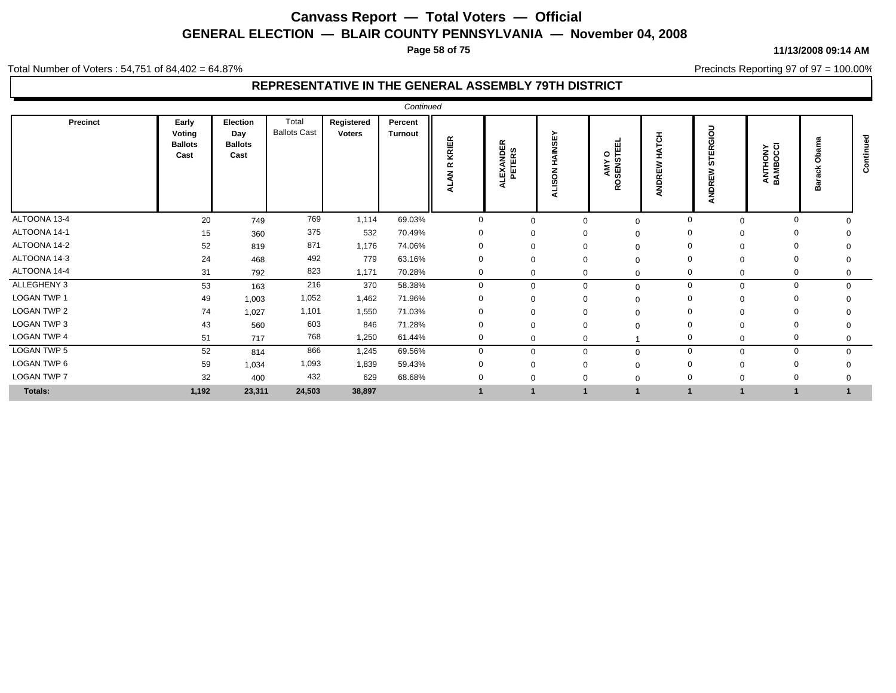**Page 58 of 75**

#### Total Number of Voters : 54,751 of 84,402 = 64.87%

### **REPRESENTATIVE IN THE GENERAL ASSEMBLY 79TH DISTRICT**

| Precinct           | Early<br>Voting<br><b>Ballots</b><br>Cast | Election<br>Day<br><b>Ballots</b><br>Cast | Total<br><b>Ballots Cast</b> | Registered<br>Voters | Percent<br><b>Turnout</b> | KRIER<br>ĸ<br>z<br>∢<br>₹ | LEXANDER<br>PETERS<br>∢ | HAINSEY<br>ALISON | 画<br>AMY O<br>OSENSTEE | 준<br>ш<br>ANDRI | ERGIOU<br>5<br>NDREW<br>₫ | ANTHONY<br>BAMBOCCI | w<br>⋒   | රි |
|--------------------|-------------------------------------------|-------------------------------------------|------------------------------|----------------------|---------------------------|---------------------------|-------------------------|-------------------|------------------------|-----------------|---------------------------|---------------------|----------|----|
| ALTOONA 13-4       | 20                                        | 749                                       | 769                          | 1,114                | 69.03%                    | $\Omega$                  | $\Omega$                |                   |                        | $\Omega$        | $\Omega$                  | $\Omega$            |          |    |
| ALTOONA 14-1       | 15                                        | 360                                       | 375                          | 532                  | 70.49%                    | $\Omega$                  | $\Omega$                |                   | $\Omega$               | $\mathbf 0$     | $\Omega$                  | $\Omega$            |          |    |
| ALTOONA 14-2       | 52                                        | 819                                       | 871                          | 1,176                | 74.06%                    |                           | $\Omega$                |                   |                        |                 |                           |                     |          |    |
| ALTOONA 14-3       | 24                                        | 468                                       | 492                          | 779                  | 63.16%                    |                           | $\Omega$                |                   |                        | $\Omega$        |                           | $\Omega$            |          |    |
| ALTOONA 14-4       | 31                                        | 792                                       | 823                          | 1,171                | 70.28%                    | 0                         | 0                       | $\Omega$          | $\Omega$               | 0               | 0                         | -0                  | 0        |    |
| ALLEGHENY 3        | 53                                        | 163                                       | 216                          | 370                  | 58.38%                    | $\Omega$                  | $\Omega$                | $\Omega$          | $\Omega$               | $\mathbf 0$     | $\mathbf 0$               | $\mathbf{0}$        | $\Omega$ |    |
| LOGAN TWP 1        | 49                                        | 1,003                                     | 1,052                        | 1,462                | 71.96%                    |                           |                         |                   |                        | $\Omega$        |                           | $\Omega$            |          |    |
| LOGAN TWP 2        | 74                                        | 1.027                                     | 1,101                        | 1,550                | 71.03%                    | $\Omega$                  | $\Omega$                |                   |                        | $\Omega$        | $\Omega$                  |                     |          |    |
| LOGAN TWP 3        | 43                                        | 560                                       | 603                          | 846                  | 71.28%                    | $\Omega$                  | $\Omega$                |                   |                        | $\Omega$        | $\Omega$                  | $\Omega$            |          |    |
| LOGAN TWP 4        | 51                                        | 717                                       | 768                          | 1,250                | 61.44%                    | 0                         | $\Omega$                | O                 |                        | $\Omega$        | $\mathbf 0$               | $\mathbf 0$         | 0        |    |
| <b>LOGAN TWP 5</b> | 52                                        | 814                                       | 866                          | 1,245                | 69.56%                    | $\Omega$                  | $\Omega$                | $\Omega$          |                        | $\mathbf 0$     | $\Omega$                  | $\Omega$            |          |    |
| LOGAN TWP 6        | 59                                        | 1,034                                     | 1,093                        | 1,839                | 59.43%                    |                           | $\Omega$                |                   |                        | $\Omega$        | $\Omega$                  | $\Omega$            |          |    |
| LOGAN TWP 7        | 32                                        | 400                                       | 432                          | 629                  | 68.68%                    |                           |                         |                   |                        | $\Omega$        | 0                         | $\Omega$            |          |    |
| Totals:            | 1,192                                     | 23,311                                    | 24,503                       | 38,897               |                           |                           |                         |                   |                        |                 |                           | -1                  |          |    |

#### **11/13/2008 09:14 AM**

Precincts Reporting 97 of 97 = 100.00%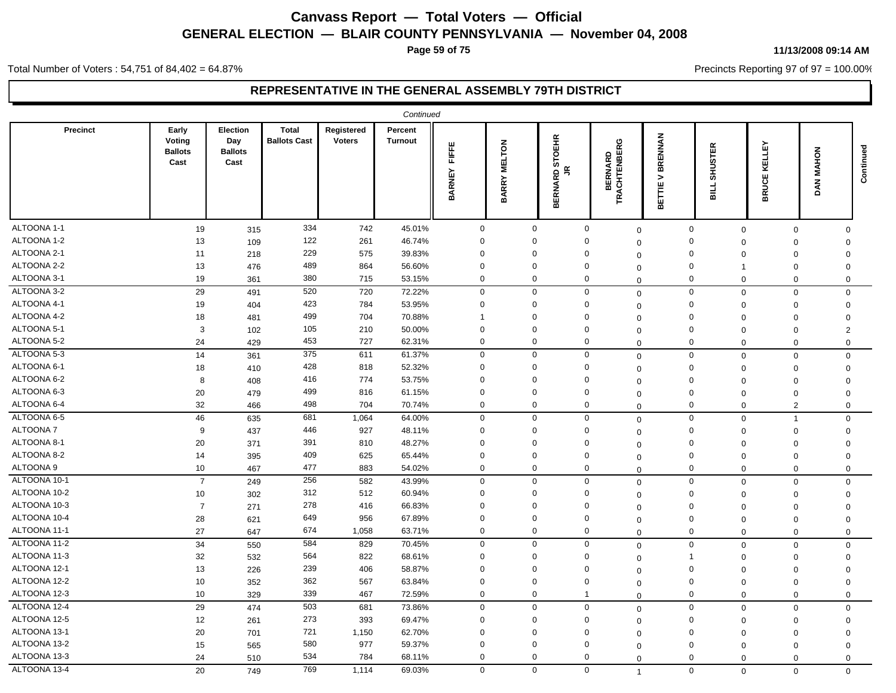**Page 59 of 75**

#### **11/13/2008 09:14 AM**

Precincts Reporting 97 of 97 = 100.00%

Total Number of Voters : 54,751 of 84,402 = 64.87%

|              | Continued<br>Precinct<br>Early<br>Election<br><b>Total</b><br>Registered<br>Percent |                               |                     |               |                |                        |                               |                                                                                |                                                         |                                         |                               |                               |                                        |           |
|--------------|-------------------------------------------------------------------------------------|-------------------------------|---------------------|---------------|----------------|------------------------|-------------------------------|--------------------------------------------------------------------------------|---------------------------------------------------------|-----------------------------------------|-------------------------------|-------------------------------|----------------------------------------|-----------|
|              | Voting<br><b>Ballots</b><br>Cast                                                    | Day<br><b>Ballots</b><br>Cast | <b>Ballots Cast</b> | <b>Voters</b> | <b>Turnout</b> | FIFFE<br><b>BARNEY</b> | <b>MELTON</b><br><b>BARRY</b> | EHR<br>$\circ$<br>.<br>ഗ<br>$\tilde{z}$<br>$\mathbf{\Omega}$<br>≃<br>ERNA<br>⋒ | O<br><b>BERNARD<br/>ACHTENBERO</b><br><b>ACHTI</b><br>⊭ | <b>BRENNAN</b><br>><br>ш<br>ᄐ<br>岀<br>⋒ | <b>SHUSTER</b><br>₫<br>ᆱ      | LLEY<br>띥<br>ш<br>ō<br>₹<br>m | $\overline{\bf 6}$<br>MAH<br><b>AN</b> | Continued |
| ALTOONA 1-1  | 19                                                                                  | 315                           | 334                 | 742           | 45.01%         | $\mathbf 0$            | $\mathbf 0$                   |                                                                                | $\mathbf 0$<br>$\Omega$                                 |                                         | $\mathbf 0$                   | $\mathbf 0$<br>$\mathbf 0$    | $\Omega$                               |           |
| ALTOONA 1-2  | 13                                                                                  | 109                           | 122                 | 261           | 46.74%         | $\mathbf 0$            | $\Omega$                      |                                                                                | $\Omega$<br>$\Omega$                                    |                                         | $\mathbf 0$                   | $\mathbf 0$<br>$\Omega$       | $\Omega$                               |           |
| ALTOONA 2-1  | 11                                                                                  | 218                           | 229                 | 575           | 39.83%         | $\Omega$               | $\Omega$                      |                                                                                | $\Omega$<br>$\Omega$                                    |                                         | 0<br>$\Omega$                 | $\Omega$                      | $\Omega$                               |           |
| ALTOONA 2-2  | 13                                                                                  | 476                           | 489                 | 864           | 56.60%         | $\Omega$               | $\Omega$                      |                                                                                | $\Omega$<br>$\Omega$                                    |                                         | $\mathbf 0$<br>$\overline{1}$ | $\Omega$                      | $\Omega$                               |           |
| ALTOONA 3-1  | 19                                                                                  | 361                           | 380                 | 715           | 53.15%         | $\mathbf 0$            | $\mathbf 0$                   |                                                                                | $\mathbf 0$<br>$\mathbf 0$                              |                                         | $\mathbf 0$                   | $\mathbf 0$<br>$\mathbf 0$    | $\mathbf 0$                            |           |
| ALTOONA 3-2  | 29                                                                                  | 491                           | 520                 | 720           | 72.22%         | $\mathbf 0$            | $\mathbf 0$                   |                                                                                | $\mathbf 0$<br>$\mathbf 0$                              |                                         | $\mathbf 0$                   | $\mathbf 0$<br>$\Omega$       | $\mathbf 0$                            |           |
| ALTOONA 4-1  | 19                                                                                  | 404                           | 423                 | 784           | 53.95%         | $\Omega$               | $\mathbf 0$                   |                                                                                | $\Omega$<br>$\Omega$                                    |                                         | $\mathbf 0$<br>$\Omega$       | $\Omega$                      | $\mathbf 0$                            |           |
| ALTOONA 4-2  | 18                                                                                  | 481                           | 499                 | 704           | 70.88%         | -1                     | $\overline{0}$                |                                                                                | $\Omega$<br>$\Omega$                                    |                                         | $\mathbf 0$<br>$\Omega$       | $\Omega$                      | $\Omega$                               |           |
| ALTOONA 5-1  | 3                                                                                   | 102                           | 105                 | 210           | 50.00%         | $\Omega$               | 0                             |                                                                                | $\mathbf 0$<br>$\Omega$                                 |                                         | 0<br>$\Omega$                 | $\Omega$                      | $\overline{2}$                         |           |
| ALTOONA 5-2  | 24                                                                                  | 429                           | 453                 | 727           | 62.31%         | $\mathbf 0$            | $\mathbf 0$                   |                                                                                | $\Omega$<br>$\Omega$                                    |                                         | $\mathbf 0$                   | $\mathbf 0$<br>$\Omega$       | $\Omega$                               |           |
| ALTOONA 5-3  | 14                                                                                  | 361                           | 375                 | 611           | 61.37%         | $\mathbf 0$            | $\mathbf 0$                   |                                                                                | $\mathbf 0$<br>$\mathbf 0$                              |                                         | $\mathbf 0$                   | $\mathbf 0$<br>$\Omega$       | $\mathbf 0$                            |           |
| ALTOONA 6-1  | 18                                                                                  | 410                           | 428                 | 818           | 52.32%         | $\mathbf 0$            | $\mathbf 0$                   |                                                                                | $\mathbf 0$<br>$\Omega$                                 |                                         | $\mathbf 0$<br>$\Omega$       | $\mathbf 0$                   | $\Omega$                               |           |
| ALTOONA 6-2  | 8                                                                                   | 408                           | 416                 | 774           | 53.75%         | $\Omega$               | $\mathbf 0$                   |                                                                                | $\Omega$<br>$\Omega$                                    |                                         | $\mathbf 0$                   | $\mathbf 0$<br>$\Omega$       | $\Omega$                               |           |
| ALTOONA 6-3  | 20                                                                                  | 479                           | 499                 | 816           | 61.15%         | $\mathbf 0$            | $\mathbf 0$                   |                                                                                | $\mathbf 0$<br>$\Omega$                                 |                                         | $\mathbf 0$                   | $\mathbf 0$<br>$\Omega$       | $\Omega$                               |           |
| ALTOONA 6-4  | 32                                                                                  | 466                           | 498                 | 704           | 70.74%         | $\mathbf 0$            | 0                             |                                                                                | 0<br>$\Omega$                                           |                                         | $\mathbf 0$<br>$\Omega$       | $\overline{2}$                | $\mathbf 0$                            |           |
| ALTOONA 6-5  | 46                                                                                  | 635                           | 681                 | 1,064         | 64.00%         | $\mathbf 0$            | $\mathbf 0$                   |                                                                                | $\mathbf 0$<br>$\mathbf 0$                              |                                         | $\mathbf 0$                   | $\mathbf 0$<br>$\overline{1}$ | $\mathbf 0$                            |           |
| ALTOONA 7    | 9                                                                                   | 437                           | 446                 | 927           | 48.11%         | $\Omega$               | $\Omega$                      |                                                                                | $\Omega$<br>$\Omega$                                    |                                         | $\mathbf 0$<br>$\mathbf 0$    | $\mathbf 0$                   | $\mathbf 0$                            |           |
| ALTOONA 8-1  | 20                                                                                  | 371                           | 391                 | 810           | 48.27%         | $\Omega$               | $\overline{0}$                |                                                                                | $\Omega$<br>0                                           |                                         | $\mathbf 0$<br>$\Omega$       | $\mathbf 0$                   | $\mathbf 0$                            |           |
| ALTOONA 8-2  | 14                                                                                  | 395                           | 409                 | 625           | 65.44%         | $\Omega$               | $\mathbf 0$                   |                                                                                | $\Omega$<br>$\Omega$                                    |                                         | $\mathbf 0$<br>$\Omega$       | $\Omega$                      | $\Omega$                               |           |
| ALTOONA 9    | 10                                                                                  | 467                           | 477                 | 883           | 54.02%         | $\mathbf 0$            | $\mathbf 0$                   |                                                                                | $\mathbf 0$<br>$\Omega$                                 |                                         | $\mathbf 0$                   | $\mathbf 0$<br>$\Omega$       | 0                                      |           |
| ALTOONA 10-1 | $\overline{7}$                                                                      | 249                           | 256                 | 582           | 43.99%         | $\mathbf 0$            | $\mathbf 0$                   |                                                                                | $\mathbf 0$<br>$\Omega$                                 |                                         | $\mathbf 0$                   | $\mathbf 0$<br>$\Omega$       | $\mathbf 0$                            |           |
| ALTOONA 10-2 | 10                                                                                  | 302                           | 312                 | 512           | 60.94%         | $\Omega$               | $\Omega$                      |                                                                                | $\Omega$<br>$\mathbf 0$                                 |                                         | $\Omega$                      | $\mathbf 0$<br>$\mathbf 0$    | $\Omega$                               |           |
| ALTOONA 10-3 | $\overline{7}$                                                                      | 271                           | 278                 | 416           | 66.83%         | $\Omega$               | $\Omega$                      |                                                                                | $\Omega$<br>$\Omega$                                    |                                         | $\mathbf 0$                   | $\mathbf 0$<br>$\mathbf 0$    | $\Omega$                               |           |
| ALTOONA 10-4 | 28                                                                                  | 621                           | 649                 | 956           | 67.89%         | $\mathbf 0$            | $\mathbf 0$                   |                                                                                | 0<br>$\Omega$                                           |                                         | 0<br>$\Omega$                 | $\mathbf 0$                   | $\Omega$                               |           |
| ALTOONA 11-1 | 27                                                                                  | 647                           | 674                 | 1,058         | 63.71%         | $\mathbf 0$            | $\mathbf 0$                   |                                                                                | $\mathbf 0$<br>$\Omega$                                 |                                         | $\mathbf 0$                   | $\mathbf 0$<br>$\Omega$       | $\mathbf 0$                            |           |
| ALTOONA 11-2 | 34                                                                                  | 550                           | 584                 | 829           | 70.45%         | $\mathbf 0$            | $\mathbf 0$                   |                                                                                | $\mathbf 0$<br>$\Omega$                                 |                                         | $\mathbf 0$                   | $\mathbf 0$<br>$\Omega$       | $\mathbf 0$                            |           |
| ALTOONA 11-3 | 32                                                                                  | 532                           | 564                 | 822           | 68.61%         | $\Omega$               | $\mathbf 0$                   |                                                                                | $\mathbf 0$<br>$\Omega$                                 | -1                                      | $\Omega$                      | $\Omega$                      | $\Omega$                               |           |
| ALTOONA 12-1 | 13                                                                                  | 226                           | 239                 | 406           | 58.87%         | $\Omega$               | $\Omega$                      |                                                                                | $\Omega$<br>$\Omega$                                    |                                         | $\mathbf 0$<br>$\mathbf 0$    | 0                             | $\Omega$                               |           |
| ALTOONA 12-2 | 10                                                                                  | 352                           | 362                 | 567           | 63.84%         | $\mathbf 0$            | $\mathbf 0$                   |                                                                                | 0<br>$\mathbf 0$                                        |                                         | $\mathbf 0$                   | $\mathbf 0$<br>$\mathbf 0$    | $\Omega$                               |           |
| ALTOONA 12-3 | 10                                                                                  | 329                           | 339                 | 467           | 72.59%         | $\mathbf 0$            | $\mathbf 0$                   |                                                                                | $\mathbf 1$<br>$\Omega$                                 |                                         | $\mathbf 0$                   | $\mathbf 0$<br>$\Omega$       | $\mathbf 0$                            |           |
| ALTOONA 12-4 | 29                                                                                  | 474                           | 503                 | 681           | 73.86%         | $\mathbf 0$            | $\mathbf 0$                   |                                                                                | $\mathbf 0$<br>$\mathbf 0$                              |                                         | $\mathbf 0$                   | $\mathbf 0$<br>$\mathbf 0$    | $\mathbf 0$                            |           |
| ALTOONA 12-5 | 12                                                                                  | 261                           | 273                 | 393           | 69.47%         | $\mathbf 0$            | $\mathbf 0$                   |                                                                                | $\mathbf 0$<br>$\Omega$                                 |                                         | $\mathbf 0$                   | $\mathbf 0$<br>$\Omega$       | $\Omega$                               |           |
| ALTOONA 13-1 | 20                                                                                  | 701                           | 721                 | 1,150         | 62.70%         | $\Omega$               | $\Omega$                      |                                                                                | $\Omega$<br>$\Omega$                                    |                                         | 0<br>$\Omega$                 | $\Omega$                      | $\Omega$                               |           |
| ALTOONA 13-2 | 15                                                                                  | 565                           | 580                 | 977           | 59.37%         | $\Omega$               | $\Omega$                      |                                                                                | $\Omega$<br>$\Omega$                                    |                                         | $\mathbf 0$<br>$\Omega$       | $\Omega$                      | $\Omega$                               |           |
| ALTOONA 13-3 | 24                                                                                  | 510                           | 534                 | 784           | 68.11%         | $\Omega$               | 0                             |                                                                                | 0<br>$\Omega$                                           |                                         | $\Omega$                      | $\mathbf 0$<br>$\Omega$       | $\mathbf 0$                            |           |
| ALTOONA 13-4 | 20                                                                                  | 749                           | 769                 | 1,114         | 69.03%         | $\mathbf 0$            | $\mathbf 0$                   |                                                                                | $\mathbf 0$<br>$\overline{1}$                           |                                         | $\mathbf 0$                   | $\Omega$<br>$\Omega$          | $\Omega$                               |           |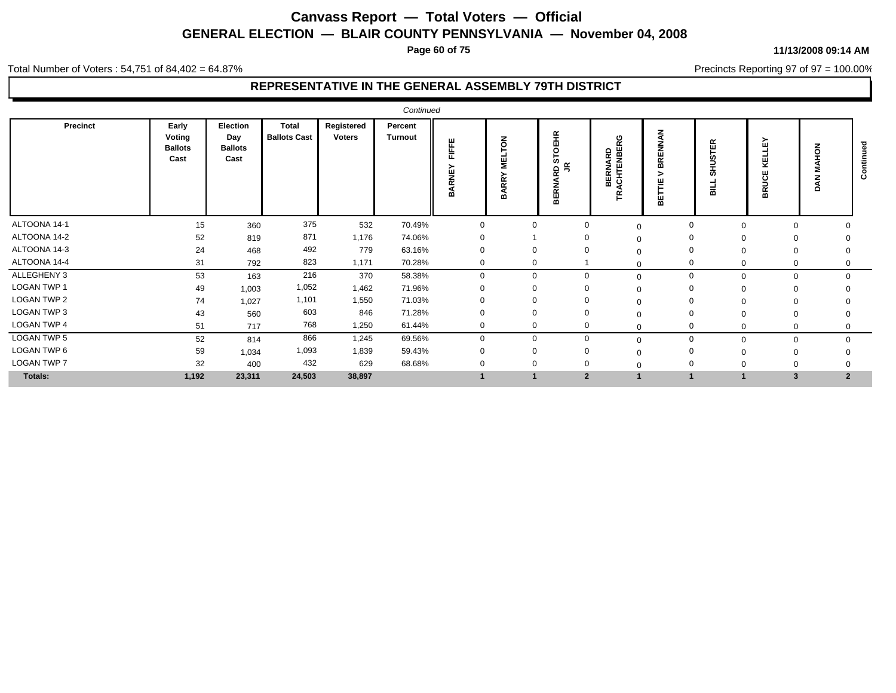**Page 60 of 75**

#### **11/13/2008 09:14 AM**

Total Number of Voters : 54,751 of 84,402 = 64.87%

Precincts Reporting 97 of 97 = 100.00%

| Precinct           | Early<br>Voting<br><b>Ballots</b><br>Cast | Election<br>Day<br><b>Ballots</b><br>Cast | <b>Total</b><br><b>Ballots Cast</b> | Registered<br><b>Voters</b> | Percent<br><b>Turnout</b> | FIFFE<br><b>ARNE</b><br>≃ | z<br>$\circ$<br>핕<br>⋩<br><b>BAR</b> | EHR.<br>ō<br><b>in</b><br>$\leq$<br>≏<br>¥<br>z<br>띥<br>≃ | $\tilde{r}$<br>NARD<br>ENBEI<br>z<br><b>RENO</b> | z<br>ш<br>$\alpha$<br>$\overline{m}$<br>ш<br>≃ | ΙĘΚ<br>ċ۵<br>로<br>ဖာ<br>긆 | íш<br>×<br>$\epsilon$<br>∍<br>恩 | z<br>o<br>á    | Ο |
|--------------------|-------------------------------------------|-------------------------------------------|-------------------------------------|-----------------------------|---------------------------|---------------------------|--------------------------------------|-----------------------------------------------------------|--------------------------------------------------|------------------------------------------------|---------------------------|---------------------------------|----------------|---|
| ALTOONA 14-1       | 15                                        | 360                                       | 375                                 | 532                         | 70.49%                    | $\Omega$                  | 0                                    | $\Omega$                                                  | $\Omega$                                         | $\mathbf 0$                                    | $\Omega$                  | $\mathbf 0$                     |                |   |
| ALTOONA 14-2       | 52                                        | 819                                       | 871                                 | 1,176                       | 74.06%                    |                           |                                      |                                                           |                                                  | $\Omega$                                       |                           |                                 |                |   |
| ALTOONA 14-3       | 24                                        | 468                                       | 492                                 | 779                         | 63.16%                    |                           |                                      |                                                           |                                                  | $\Omega$                                       |                           | $\Omega$                        |                |   |
| ALTOONA 14-4       | 31                                        | 792                                       | 823                                 | 1,171                       | 70.28%                    | $\Omega$                  | $\Omega$                             |                                                           |                                                  | $\Omega$                                       | $\Omega$                  | 0                               |                |   |
| ALLEGHENY 3        | 53                                        | 163                                       | 216                                 | 370                         | 58.38%                    | $\Omega$                  | $\Omega$                             | $\Omega$                                                  | $\Omega$                                         | $\mathbf 0$                                    | $\mathbf{0}$              | $\mathbf 0$                     | $\Omega$       |   |
| LOGAN TWP 1        | 49                                        | 1,003                                     | 1,052                               | 1,462                       | 71.96%                    |                           |                                      |                                                           |                                                  | 0                                              | $\Omega$                  | 0                               |                |   |
| LOGAN TWP 2        | 74                                        | 1,027                                     | 1,101                               | 1,550                       | 71.03%                    |                           |                                      |                                                           |                                                  | $\Omega$                                       |                           |                                 |                |   |
| <b>LOGAN TWP 3</b> | 43                                        | 560                                       | 603                                 | 846                         | 71.28%                    |                           |                                      |                                                           |                                                  | $\Omega$                                       |                           | $\Omega$                        |                |   |
| <b>LOGAN TWP 4</b> | 51                                        | 717                                       | 768                                 | 1,250                       | 61.44%                    | 0                         | $\mathbf 0$                          | 0                                                         |                                                  | $\Omega$                                       | $\Omega$                  | 0                               |                |   |
| <b>LOGAN TWP 5</b> | 52                                        | 814                                       | 866                                 | 1,245                       | 69.56%                    |                           | $\Omega$                             | $\Omega$                                                  | $\Omega$                                         | 0                                              | $\Omega$                  | $\mathbf 0$                     |                |   |
| LOGAN TWP 6        | 59                                        | 1,034                                     | 1,093                               | 1,839                       | 59.43%                    |                           |                                      |                                                           |                                                  | $\Omega$                                       |                           | 0                               |                |   |
| <b>LOGAN TWP 7</b> | 32                                        | 400                                       | 432                                 | 629                         | 68.68%                    |                           |                                      |                                                           |                                                  | $\Omega$                                       |                           |                                 |                |   |
| Totals:            | 1,192                                     | 23,311                                    | 24,503                              | 38,897                      |                           |                           |                                      | $\overline{2}$                                            |                                                  |                                                |                           | 3                               | $\overline{2}$ |   |
|                    |                                           |                                           |                                     |                             |                           |                           |                                      |                                                           |                                                  |                                                |                           |                                 |                |   |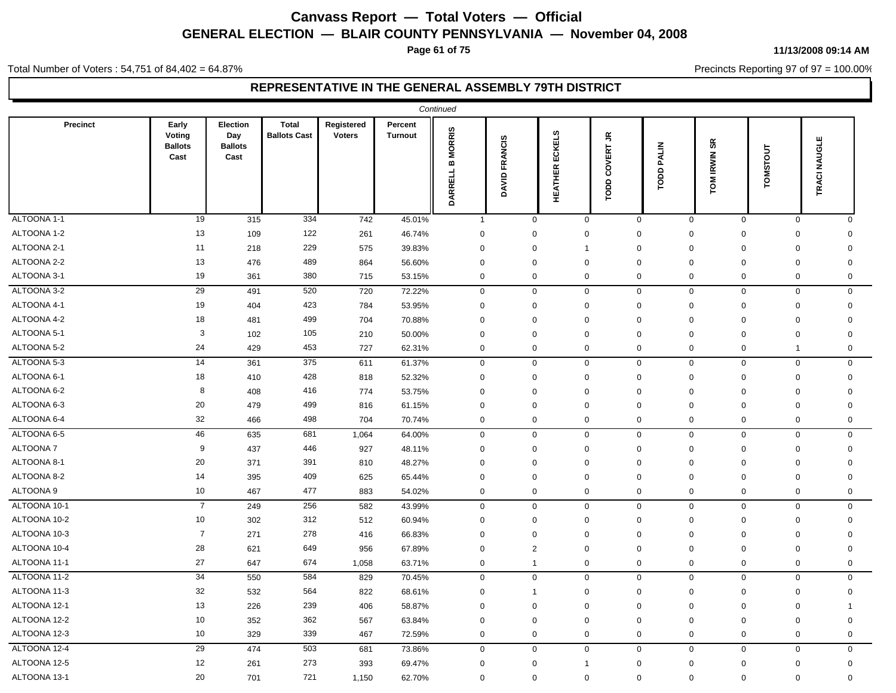**Page 61 of 75**

#### Total Number of Voters : 54,751 of 84,402 = 64.87%

**11/13/2008 09:14 AM**

Precincts Reporting 97 of 97 = 100.00%

|                 |                                           |                                           |                                     |                             |                           | Continued                                             |                         |                                 |                                            |                   |                                  |              |              |  |
|-----------------|-------------------------------------------|-------------------------------------------|-------------------------------------|-----------------------------|---------------------------|-------------------------------------------------------|-------------------------|---------------------------------|--------------------------------------------|-------------------|----------------------------------|--------------|--------------|--|
| Precinct        | Early<br>Voting<br><b>Ballots</b><br>Cast | Election<br>Day<br><b>Ballots</b><br>Cast | <b>Total</b><br><b>Ballots Cast</b> | Registered<br><b>Voters</b> | Percent<br><b>Turnout</b> | <b>MORRIS</b><br>$\pmb{\mathsf{m}}$<br><b>DARRELL</b> | <b>FRANCIS</b><br>DAVID | <b>ECKELS</b><br><b>HEATHER</b> | $\tilde{\vec{\epsilon}}$<br>COVERT<br>TODD | <b>TODD PALIN</b> | $\mathbf{s}$<br><b>TOM IRWIN</b> | TOMSTOUT     | TRACI NAUGLE |  |
| ALTOONA 1-1     | 19                                        | 315                                       | 334                                 | 742                         | 45.01%                    | $\mathbf{1}$                                          | $\mathbf 0$             | $\mathbf 0$                     | $\mathbf 0$                                | $\mathbf 0$       | $\mathbf 0$                      | $\mathbf 0$  | $\Omega$     |  |
| ALTOONA 1-2     | 13                                        | 109                                       | 122                                 | 261                         | 46.74%                    | $\mathbf 0$                                           | $\mathbf 0$             | $\mathbf 0$                     | $\mathbf 0$                                | $\Omega$          | $\mathbf 0$                      | $\mathbf 0$  | $\Omega$     |  |
| ALTOONA 2-1     | 11                                        | 218                                       | 229                                 | 575                         | 39.83%                    | $\mathbf 0$                                           | 0                       | $\mathbf{1}$                    | 0                                          | $\mathbf 0$       | $\mathbf 0$                      | $\mathbf 0$  | 0            |  |
| ALTOONA 2-2     | 13                                        | 476                                       | 489                                 | 864                         | 56.60%                    | $\mathbf 0$                                           | 0                       | $\mathbf 0$                     | $\mathbf 0$                                | $\mathbf 0$       | $\mathbf 0$                      | $\mathbf 0$  | 0            |  |
| ALTOONA 3-1     | 19                                        | 361                                       | 380                                 | 715                         | 53.15%                    | $\mathbf 0$                                           | $\mathbf 0$             | $\mathbf 0$                     | 0                                          | 0                 | $\mathbf 0$                      | $\mathbf 0$  | 0            |  |
| ALTOONA 3-2     | 29                                        | 491                                       | 520                                 | 720                         | 72.22%                    | $\mathbf 0$                                           | $\mathsf 0$             | $\mathsf 0$                     | $\boldsymbol{0}$                           | 0                 | $\mathbf 0$                      | $\mathbf 0$  | 0            |  |
| ALTOONA 4-1     | 19                                        | 404                                       | 423                                 | 784                         | 53.95%                    | $\mathbf 0$                                           | $\mathbf 0$             | $\mathsf 0$                     | $\mathbf 0$                                | $\mathbf 0$       | $\mathbf 0$                      | $\mathbf 0$  | $\Omega$     |  |
| ALTOONA 4-2     | 18                                        | 481                                       | 499                                 | 704                         | 70.88%                    | $\mathbf 0$                                           | 0                       | $\mathbf 0$                     | 0                                          | 0                 | $\mathbf 0$                      | $\mathbf 0$  | $\mathbf 0$  |  |
| ALTOONA 5-1     | 3                                         | 102                                       | 105                                 | 210                         | 50.00%                    | $\mathbf 0$                                           | $\mathbf 0$             | $\mathbf 0$                     | $\mathbf 0$                                | $\mathbf 0$       | $\mathbf 0$                      | $\mathbf 0$  | 0            |  |
| ALTOONA 5-2     | 24                                        | 429                                       | 453                                 | 727                         | 62.31%                    | $\mathbf 0$                                           | $\mathbf 0$             | $\mathbf 0$                     | 0                                          | 0                 | $\mathbf 0$                      | $\mathbf{1}$ | 0            |  |
| ALTOONA 5-3     | 14                                        | 361                                       | 375                                 | 611                         | 61.37%                    | $\pmb{0}$                                             | $\mathbf 0$             | $\mathbf 0$                     | $\mathbf 0$                                | 0                 | $\mathbf 0$                      | $\mathbf 0$  | 0            |  |
| ALTOONA 6-1     | 18                                        | 410                                       | 428                                 | 818                         | 52.32%                    | $\mathbf 0$                                           | $\mathbf 0$             | $\mathbf 0$                     | $\Omega$                                   | $\Omega$          | $\mathbf 0$                      | $\mathbf 0$  | $\mathbf 0$  |  |
| ALTOONA 6-2     | 8                                         | 408                                       | 416                                 | 774                         | 53.75%                    | $\mathbf 0$                                           | $\mathbf 0$             | $\mathbf 0$                     | $\mathbf 0$                                | $\mathbf 0$       | $\mathbf 0$                      | $\mathbf 0$  | $\mathbf 0$  |  |
| ALTOONA 6-3     | 20                                        | 479                                       | 499                                 | 816                         | 61.15%                    | $\mathbf 0$                                           | $\mathbf 0$             | $\mathbf 0$                     | $\mathbf 0$                                | 0                 | $\mathbf 0$                      | $\mathbf 0$  | $\mathbf 0$  |  |
| ALTOONA 6-4     | 32                                        | 466                                       | 498                                 | 704                         | 70.74%                    | $\mathbf 0$                                           | $\mathbf 0$             | $\mathbf 0$                     | $\mathbf 0$                                | 0                 | $\mathbf 0$                      | $\mathbf 0$  | 0            |  |
| ALTOONA 6-5     | 46                                        | 635                                       | 681                                 | 1,064                       | 64.00%                    | $\mathsf{O}\xspace$                                   | $\mathsf 0$             | $\mathsf 0$                     | $\mathsf 0$                                | $\mathbf{0}$      | $\mathbf 0$                      | $\mathbf 0$  | $\mathbf 0$  |  |
| <b>ALTOONA7</b> | 9                                         | 437                                       | 446                                 | 927                         | 48.11%                    | $\mathbf 0$                                           | $\mathbf 0$             | 0                               | $\mathbf 0$                                | 0                 | $\mathbf 0$                      | $\mathbf 0$  | 0            |  |
| ALTOONA 8-1     | 20                                        | 371                                       | 391                                 | 810                         | 48.27%                    | $\mathbf 0$                                           | $\mathbf 0$             | $\mathbf 0$                     | $\mathbf 0$                                | 0                 | $\mathbf 0$                      | $\mathbf 0$  | $\mathbf 0$  |  |
| ALTOONA 8-2     | 14                                        | 395                                       | 409                                 | 625                         | 65.44%                    | $\mathbf 0$                                           | $\Omega$                | $\mathbf 0$                     | $\mathbf 0$                                | $\mathbf 0$       | $\mathbf 0$                      | $\mathbf 0$  | $\mathbf 0$  |  |
| ALTOONA 9       | 10                                        | 467                                       | 477                                 | 883                         | 54.02%                    | $\mathbf 0$                                           | $\mathbf 0$             | $\mathbf 0$                     | 0                                          | 0                 | $\mathbf 0$                      | $\mathbf 0$  | 0            |  |
| ALTOONA 10-1    | $\overline{7}$                            | 249                                       | 256                                 | 582                         | 43.99%                    | $\mathbf 0$                                           | $\mathbf 0$             | $\mathbf 0$                     | $\mathbf 0$                                | 0                 | $\mathbf 0$                      | $\mathbf 0$  | 0            |  |
| ALTOONA 10-2    | 10                                        | 302                                       | 312                                 | 512                         | 60.94%                    | $\mathbf 0$                                           | $\mathbf 0$             | 0                               | 0                                          | $\Omega$          | $\Omega$                         | $\mathbf 0$  | 0            |  |
| ALTOONA 10-3    | $\overline{7}$                            | 271                                       | 278                                 | 416                         | 66.83%                    | $\mathbf 0$                                           | $\mathbf 0$             | $\mathbf 0$                     | $\mathbf 0$                                | $\mathbf 0$       | $\mathbf 0$                      | $\mathbf 0$  | 0            |  |
| ALTOONA 10-4    | 28                                        | 621                                       | 649                                 | 956                         | 67.89%                    | $\mathbf 0$                                           | 2                       | $\mathbf 0$                     | 0                                          | $\Omega$          | $\mathbf 0$                      | $\mathbf 0$  | $\Omega$     |  |
| ALTOONA 11-1    | 27                                        | 647                                       | 674                                 | 1,058                       | 63.71%                    | $\mathbf 0$                                           | $\overline{1}$          | $\mathbf 0$                     | $\mathbf 0$                                | 0                 | $\mathbf 0$                      | $\mathbf 0$  | 0            |  |
| ALTOONA 11-2    | 34                                        | 550                                       | 584                                 | 829                         | 70.45%                    | $\mathbf 0$                                           | $\mathbf 0$             | $\mathbf 0$                     | $\mathbf 0$                                | $\mathbf{0}$      | $\mathbf 0$                      | $\mathbf 0$  | $\mathbf{0}$ |  |
| ALTOONA 11-3    | 32                                        | 532                                       | 564                                 | 822                         | 68.61%                    | $\mathbf 0$                                           | $\overline{1}$          | 0                               | 0                                          | 0                 | $\mathbf 0$                      | $\mathbf 0$  | 0            |  |
| ALTOONA 12-1    | 13                                        | 226                                       | 239                                 | 406                         | 58.87%                    | $\mathbf 0$                                           | $\mathbf 0$             | $\mathbf 0$                     | $\mathbf 0$                                | 0                 | $\mathbf 0$                      | $\mathbf 0$  | 1            |  |
| ALTOONA 12-2    | 10                                        | 352                                       | 362                                 | 567                         | 63.84%                    | $\mathbf 0$                                           | 0                       | $\mathbf 0$                     | $\mathbf 0$                                | $\mathbf 0$       | $\mathbf 0$                      | $\mathbf 0$  | $\mathbf 0$  |  |
| ALTOONA 12-3    | 10                                        | 329                                       | 339                                 | 467                         | 72.59%                    | $\mathbf 0$                                           | $\mathbf 0$             | $\mathbf 0$                     | 0                                          | 0                 | $\mathbf 0$                      | $\mathbf 0$  | $\mathbf 0$  |  |
| ALTOONA 12-4    | 29                                        | 474                                       | 503                                 | 681                         | 73.86%                    | $\mathsf{O}\xspace$                                   | $\mathsf 0$             | $\mathsf 0$                     | $\mathsf 0$                                | 0                 | $\mathsf 0$                      | $\mathbf 0$  | $\mathbf 0$  |  |
| ALTOONA 12-5    | 12                                        | 261                                       | 273                                 | 393                         | 69.47%                    | $\mathbf 0$                                           | $\mathbf 0$             | $\mathbf{1}$                    | 0                                          | $\mathbf 0$       | $\mathbf 0$                      | $\mathbf 0$  | $\mathbf 0$  |  |
| ALTOONA 13-1    | 20                                        | 701                                       | 721                                 | 1,150                       | 62.70%                    | $\mathbf 0$                                           | $\mathbf 0$             | $\mathbf 0$                     | 0                                          | 0                 | $\mathbf 0$                      | $\mathbf 0$  | $\mathbf 0$  |  |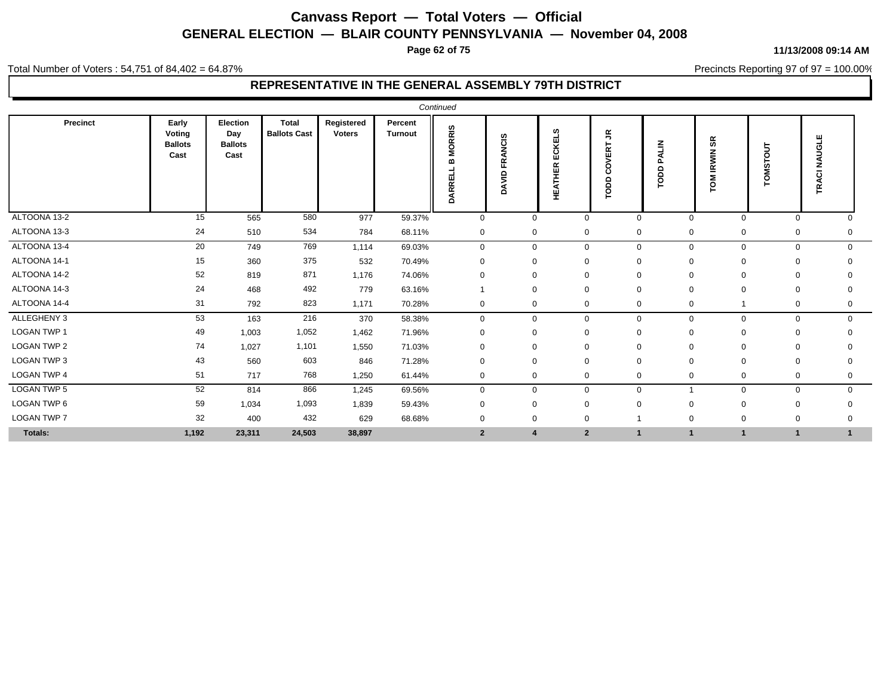**Page 62 of 75**

#### Total Number of Voters : 54,751 of 84,402 = 64.87%

#### **REPRESENTATIVE IN THE GENERAL ASSEMBLY 79TH DISTRICT**

| Precinct           | Early<br>Voting<br><b>Ballots</b><br>Cast | Election<br>Day<br><b>Ballots</b><br>Cast | <b>Total</b><br><b>Ballots Cast</b> | Registered<br><b>Voters</b> | Percent<br><b>Turnout</b> | <b>MORRIS</b><br>ARREL<br>ó | FRANCIS<br>DAVID | s<br>ECKEL<br><b>HEATHER</b> |                | $\tilde{\vec{r}}$<br>VERT<br>ō<br>ō<br>ropp | PALIN<br>TODD | æ<br><b>IRWIN</b><br>LOW | <b>OMSTOUT</b> | щ<br>$\sigma$<br>∍<br>ب<br><b>TRA</b> |              |
|--------------------|-------------------------------------------|-------------------------------------------|-------------------------------------|-----------------------------|---------------------------|-----------------------------|------------------|------------------------------|----------------|---------------------------------------------|---------------|--------------------------|----------------|---------------------------------------|--------------|
| ALTOONA 13-2       | 15                                        | 565                                       | 580                                 | 977                         | 59.37%                    | $\mathbf 0$                 |                  | $\mathbf 0$                  | $\mathbf 0$    | $\mathbf 0$                                 |               | $\Omega$                 | $\mathbf 0$    | $\mathbf 0$                           | $\Omega$     |
| ALTOONA 13-3       | 24                                        | 510                                       | 534                                 | 784                         | 68.11%                    | $\mathbf 0$                 |                  | $\mathbf 0$                  | $\mathbf 0$    | 0                                           |               | 0                        | $\mathbf 0$    | $\mathbf 0$                           | 0            |
| ALTOONA 13-4       | 20                                        | 749                                       | 769                                 | 1,114                       | 69.03%                    | $\mathbf 0$                 |                  | $\mathbf 0$                  | $\mathbf 0$    | 0                                           |               | 0                        | $\mathbf 0$    | $\mathbf 0$                           | $\mathbf 0$  |
| ALTOONA 14-1       | 15                                        | 360                                       | 375                                 | 532                         | 70.49%                    | $\mathbf 0$                 |                  | $\mathbf 0$                  | $\mathbf 0$    | $\mathbf 0$                                 |               |                          | $\Omega$       | $\mathbf 0$                           |              |
| ALTOONA 14-2       | 52                                        | 819                                       | 871                                 | 1,176                       | 74.06%                    | $\mathbf 0$                 |                  | $\mathbf 0$                  | $\mathbf 0$    | 0                                           |               |                          | $\mathbf 0$    | 0                                     | $\Omega$     |
| ALTOONA 14-3       | 24                                        | 468                                       | 492                                 | 779                         | 63.16%                    |                             |                  | $\mathbf 0$                  | $\mathbf 0$    | $\mathbf 0$                                 |               |                          | $\Omega$       | $\mathbf 0$                           | 0            |
| ALTOONA 14-4       | 31                                        | 792                                       | 823                                 | 1,171                       | 70.28%                    | $\mathbf 0$                 |                  | $\mathbf 0$                  | $\mathbf 0$    | $\mathbf 0$                                 |               | 0                        | $\mathbf{1}$   | $\mathbf 0$                           | 0            |
| ALLEGHENY 3        | 53                                        | 163                                       | 216                                 | 370                         | 58.38%                    | $\mathbf 0$                 |                  | $\mathbf 0$                  | $\mathbf 0$    | $\mathbf{0}$                                |               | 0                        | $\mathbf 0$    | $\mathbf 0$                           | $\mathbf{0}$ |
| LOGAN TWP 1        | 49                                        | 1,003                                     | 1,052                               | 1,462                       | 71.96%                    | $\mathbf 0$                 |                  | $\mathbf 0$                  | $\mathbf 0$    | $\mathbf 0$                                 |               |                          | $\Omega$       | 0                                     |              |
| LOGAN TWP 2        | 74                                        | 1,027                                     | 1,101                               | 1,550                       | 71.03%                    | $\mathbf 0$                 |                  | 0                            | $\mathbf 0$    | 0                                           |               |                          | 0              | 0                                     | $\mathbf{0}$ |
| LOGAN TWP 3        | 43                                        | 560                                       | 603                                 | 846                         | 71.28%                    | 0                           |                  | 0                            | $\mathbf 0$    | 0                                           |               | $\Omega$                 | $\mathbf 0$    | 0                                     | 0            |
| LOGAN TWP 4        | 51                                        | 717                                       | 768                                 | 1,250                       | 61.44%                    | $\mathbf 0$                 |                  | $\mathbf 0$                  | $\mathbf 0$    | 0                                           |               | $\mathbf{0}$             | $\mathbf 0$    | $\mathbf 0$                           | 0            |
| <b>LOGAN TWP 5</b> | 52                                        | 814                                       | 866                                 | 1,245                       | 69.56%                    | $\mathbf 0$                 |                  | $\mathbf 0$                  | $\mathbf 0$    | $\mathbf{0}$                                |               |                          | $\mathbf 0$    | $\mathbf 0$                           | 0            |
| LOGAN TWP 6        | 59                                        | 1,034                                     | 1,093                               | 1,839                       | 59.43%                    | $\mathbf 0$                 |                  | $\mathbf 0$                  | $\mathbf 0$    | $\Omega$                                    |               |                          | $\mathbf 0$    | $\mathbf 0$                           |              |
| <b>LOGAN TWP 7</b> | 32                                        | 400                                       | 432                                 | 629                         | 68.68%                    | $\mathbf 0$                 |                  | 0                            | $\mathbf 0$    |                                             |               | O                        | 0              | 0                                     | $\Omega$     |
| Totals:            | 1,192                                     | 23,311                                    | 24,503                              | 38,897                      |                           | $\overline{2}$              |                  | $\overline{4}$               | $\overline{2}$ |                                             |               |                          |                | $\blacktriangleleft$                  | 1            |

#### **11/13/2008 09:14 AM**

Precincts Reporting 97 of 97 = 100.00%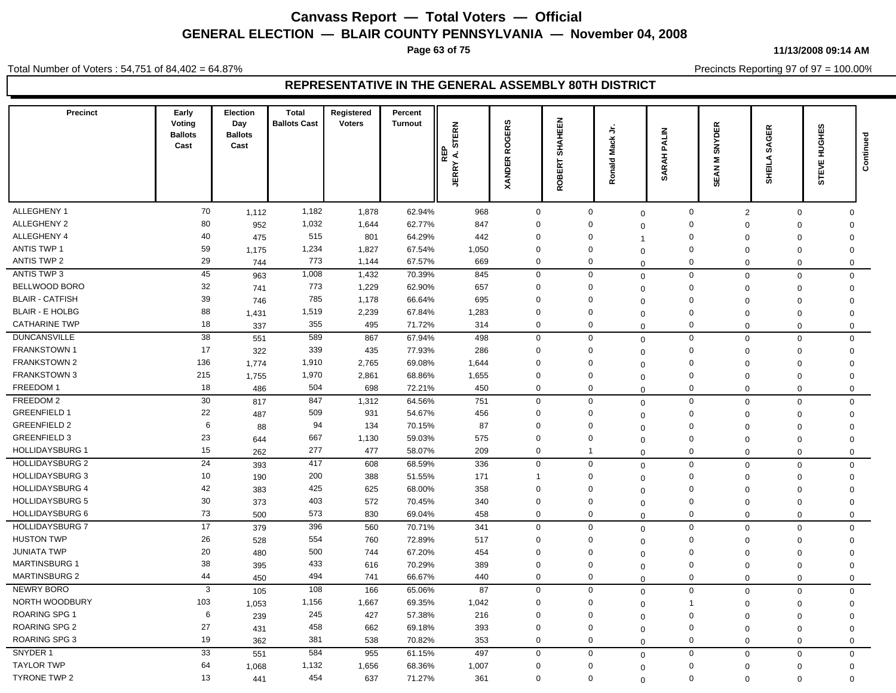**Page 63 of 75**

Total Number of Voters : 54,751 of 84,402 = 64.87%

#### **11/13/2008 09:14 AM**

Precincts Reporting 97 of 97 = 100.00%

| Precinct               | Early<br>Voting<br><b>Ballots</b><br>Cast | Election<br>Day<br><b>Ballots</b><br>Cast | <b>Total</b><br><b>Ballots Cast</b> | Registered<br><b>Voters</b> | Percent<br><b>Turnout</b> | <b>STERN</b><br>REP<br>∢<br><b>JERRY</b> | <b>ROGERS</b><br><b>XANDER</b> | SHAHEEN<br>$\overline{\textbf{k}}$<br>핑 | ゠゙<br>Mack<br>Ronald | PALIN<br>₹<br><b>SAR</b> | <b>SNYDER</b><br>Σ<br>SEAN | SAGER<br>SHEILA | HUGHES<br><b>STEVE</b> | Continued |
|------------------------|-------------------------------------------|-------------------------------------------|-------------------------------------|-----------------------------|---------------------------|------------------------------------------|--------------------------------|-----------------------------------------|----------------------|--------------------------|----------------------------|-----------------|------------------------|-----------|
|                        |                                           |                                           |                                     |                             |                           |                                          |                                |                                         |                      |                          |                            |                 |                        |           |
| ALLEGHENY 1            | 70                                        | 1,112                                     | 1,182                               | 1,878                       | 62.94%                    | 968                                      | $\mathbf 0$                    | $\mathbf 0$                             | $\mathbf 0$          | $\mathbf 0$              | $\overline{2}$             | 0               | $\Omega$               |           |
| ALLEGHENY 2            | 80                                        | 952                                       | 1,032                               | 1,644                       | 62.77%                    | 847                                      | $\mathbf 0$                    | $\mathbf{0}$                            | $\Omega$             | $\mathbf 0$              | $\Omega$                   | $\Omega$        | $\mathsf 0$            |           |
| ALLEGHENY 4            | 40                                        | 475                                       | 515                                 | 801                         | 64.29%                    | 442                                      | $\mathbf 0$                    | $\mathbf 0$                             | -1                   | $\mathbf 0$              | $\Omega$                   | $\Omega$        | $\mathbf 0$            |           |
| ANTIS TWP 1            | 59                                        | 1,175                                     | 1,234                               | 1,827                       | 67.54%                    | 1,050                                    | $\Omega$                       | $\mathbf 0$                             | $\Omega$             | $\Omega$                 | $\Omega$                   | $\Omega$        | $\mathbf 0$            |           |
| ANTIS TWP 2            | 29                                        | 744                                       | 773                                 | 1,144                       | 67.57%                    | 669                                      | $\mathbf 0$                    | $\mathbf 0$                             | $\Omega$             | $\mathbf 0$              | $\mathbf 0$                | $\mathbf 0$     | $\mathbf 0$            |           |
| ANTIS TWP 3            | 45                                        | 963                                       | 1,008                               | 1,432                       | 70.39%                    | 845                                      | $\mathbf 0$                    | $\mathbf 0$                             | $\mathbf 0$          | $\mathbf 0$              | $\Omega$                   | $\mathbf 0$     | $\mathbf 0$            |           |
| BELLWOOD BORO          | 32                                        | 741                                       | 773                                 | 1,229                       | 62.90%                    | 657                                      | $\mathbf 0$                    | $\mathbf 0$                             | $\Omega$             | $\mathbf 0$              | $\mathbf 0$                | $\mathbf 0$     | $\mathbf 0$            |           |
| <b>BLAIR - CATFISH</b> | 39                                        | 746                                       | 785                                 | 1,178                       | 66.64%                    | 695                                      | $\mathbf 0$                    | $\mathbf 0$                             | $\mathbf 0$          | $\mathbf 0$              | $\Omega$                   | $\Omega$        | $\mathbf 0$            |           |
| <b>BLAIR - E HOLBG</b> | 88                                        | 1,431                                     | 1,519                               | 2,239                       | 67.84%                    | 1,283                                    | $\mathbf 0$                    | $\mathbf 0$                             | $\mathbf 0$          | $\mathbf 0$              | $\Omega$                   | $\Omega$        | $\mathbf 0$            |           |
| <b>CATHARINE TWP</b>   | 18                                        | 337                                       | 355                                 | 495                         | 71.72%                    | 314                                      | $\mathbf 0$                    | $\mathbf 0$                             | $\mathbf 0$          | $\mathbf 0$              | $\mathbf 0$                | 0               | $\mathbf 0$            |           |
| <b>DUNCANSVILLE</b>    | 38                                        | 551                                       | 589                                 | 867                         | 67.94%                    | 498                                      | $\mathbf 0$                    | $\mathbf 0$                             | $\Omega$             | $\mathbf 0$              | $\mathbf 0$                | 0               | $\mathbf 0$            |           |
| <b>FRANKSTOWN 1</b>    | 17                                        | 322                                       | 339                                 | 435                         | 77.93%                    | 286                                      | $\mathbf 0$                    | $\mathbf 0$                             | $\mathbf 0$          | $\mathbf 0$              | $\Omega$                   | $\Omega$        | $\mathbf 0$            |           |
| FRANKSTOWN 2           | 136                                       | 1,774                                     | 1,910                               | 2,765                       | 69.08%                    | 1,644                                    | $\Omega$                       | $\mathbf 0$                             | $\Omega$             | $\mathbf 0$              | $\Omega$                   | $\Omega$        | $\mathbf 0$            |           |
| <b>FRANKSTOWN 3</b>    | 215                                       | 1,755                                     | 1,970                               | 2,861                       | 68.86%                    | 1,655                                    | $\Omega$                       | $\mathbf 0$                             | $\Omega$             | $\mathbf 0$              | $\mathbf 0$                | 0               | $\mathbf 0$            |           |
| FREEDOM 1              | 18                                        | 486                                       | 504                                 | 698                         | 72.21%                    | 450                                      | $\mathbf 0$                    | $\mathbf{0}$                            | $\mathbf 0$          | $\mathbf 0$              | $\mathbf 0$                | $\mathbf 0$     | $\mathbf 0$            |           |
| FREEDOM 2              | 30                                        | 817                                       | 847                                 | 1,312                       | 64.56%                    | 751                                      | $\mathbf 0$                    | $\mathbf 0$                             | $\mathbf 0$          | $\mathsf 0$              | $\mathbf 0$                | 0               | $\mathsf 0$            |           |
| <b>GREENFIELD 1</b>    | 22                                        | 487                                       | 509                                 | 931                         | 54.67%                    | 456                                      | $\mathbf 0$                    | $\mathbf 0$                             | $\mathbf 0$          | $\mathbf 0$              | $\Omega$                   | $\Omega$        | $\mathbf 0$            |           |
| <b>GREENFIELD 2</b>    | 6                                         | 88                                        | 94                                  | 134                         | 70.15%                    | 87                                       | $\Omega$                       | $\Omega$                                | $\Omega$             | $\mathbf 0$              | $\mathbf 0$                | $\mathbf 0$     | $\mathbf 0$            |           |
| <b>GREENFIELD 3</b>    | 23                                        | 644                                       | 667                                 | 1,130                       | 59.03%                    | 575                                      | $\mathbf 0$                    | $\mathbf 0$                             | $\mathbf 0$          | $\mathbf 0$              | $\Omega$                   | 0               | $\mathbf 0$            |           |
| <b>HOLLIDAYSBURG 1</b> | 15                                        | 262                                       | 277                                 | 477                         | 58.07%                    | 209                                      | $\mathbf 0$                    | $\overline{1}$                          | $\mathbf 0$          | $\mathbf 0$              | $\mathbf 0$                | 0               | $\mathsf{O}\xspace$    |           |
| HOLLIDAYSBURG 2        | 24                                        | 393                                       | 417                                 | 608                         | 68.59%                    | 336                                      | $\mathbf 0$                    | $\boldsymbol{0}$                        | $\mathbf 0$          | $\mathbf 0$              | $\mathbf 0$                | $\mathbf{0}$    | $\mathbf{0}$           |           |
| <b>HOLLIDAYSBURG 3</b> | 10                                        | 190                                       | 200                                 | 388                         | 51.55%                    | 171                                      | $\overline{1}$                 | $\mathbf 0$                             | $\mathbf 0$          | $\mathbf 0$              | $\Omega$                   | $\Omega$        | $\mathbf 0$            |           |
| <b>HOLLIDAYSBURG 4</b> | 42                                        | 383                                       | 425                                 | 625                         | 68.00%                    | 358                                      | $\mathbf 0$                    | $\mathbf 0$                             | $\Omega$             | $\mathbf 0$              | $\Omega$                   | $\mathbf 0$     | $\mathbf 0$            |           |
| <b>HOLLIDAYSBURG 5</b> | 30                                        | 373                                       | 403                                 | 572                         | 70.45%                    | 340                                      | $\mathbf 0$                    | $\mathbf 0$                             | $\mathbf 0$          | $\mathbf 0$              | $\Omega$                   | $\Omega$        | $\mathbf 0$            |           |
| <b>HOLLIDAYSBURG 6</b> | 73                                        | 500                                       | 573                                 | 830                         | 69.04%                    | 458                                      | $\mathbf 0$                    | $\mathbf 0$                             | $\Omega$             | $\mathbf 0$              | $\mathbf 0$                | $\mathbf 0$     | $\mathbf 0$            |           |
| <b>HOLLIDAYSBURG 7</b> | 17                                        | 379                                       | 396                                 | 560                         | 70.71%                    | 341                                      | $\mathbf 0$                    | $\mathbf 0$                             | $\mathbf 0$          | $\mathbf 0$              | $\mathbf 0$                | $\mathbf 0$     | $\mathbf{0}$           |           |
| <b>HUSTON TWP</b>      | 26                                        | 528                                       | 554                                 | 760                         | 72.89%                    | 517                                      | $\mathbf 0$                    | $\mathbf 0$                             | $\Omega$             | $\mathbf 0$              | $\Omega$                   | $\mathbf 0$     | $\mathbf 0$            |           |
| <b>JUNIATA TWP</b>     | 20                                        | 480                                       | 500                                 | 744                         | 67.20%                    | 454                                      | $\mathbf 0$                    | $\mathbf 0$                             | $\Omega$             | $\mathbf 0$              | $\Omega$                   | $\Omega$        | $\mathbf 0$            |           |
| <b>MARTINSBURG 1</b>   | 38                                        | 395                                       | 433                                 | 616                         | 70.29%                    | 389                                      | $\Omega$                       | $\mathbf 0$                             | $\mathbf 0$          | $\mathbf 0$              | $\mathbf 0$                | 0               | $\mathbf 0$            |           |
| <b>MARTINSBURG 2</b>   | 44                                        | 450                                       | 494                                 | 741                         | 66.67%                    | 440                                      | $\mathbf 0$                    | $\mathbf 0$                             | $\Omega$             | $\mathbf 0$              | $\mathbf 0$                | $\mathbf 0$     | $\mathbf 0$            |           |
| <b>NEWRY BORO</b>      | $\overline{3}$                            | 105                                       | 108                                 | 166                         | 65.06%                    | 87                                       | $\mathbf 0$                    | $\mathbf 0$                             | $\mathbf 0$          | $\mathbf 0$              | $\mathbf 0$                | $\mathbf 0$     | $\mathbf{0}$           |           |
| NORTH WOODBURY         | 103                                       | 1,053                                     | 1,156                               | 1,667                       | 69.35%                    | 1,042                                    | $\mathbf 0$                    | $\mathbf 0$                             | $\Omega$             | $\overline{1}$           | $\mathbf 0$                | $\mathbf 0$     | $\mathbf 0$            |           |
| <b>ROARING SPG 1</b>   | 6                                         | 239                                       | 245                                 | 427                         | 57.38%                    | 216                                      | $\mathbf 0$                    | $\mathbf 0$                             | $\Omega$             | $\mathbf 0$              | $\mathbf 0$                | $\mathbf 0$     | $\mathbf 0$            |           |
| <b>ROARING SPG 2</b>   | 27                                        | 431                                       | 458                                 | 662                         | 69.18%                    | 393                                      | $\Omega$                       | $\mathbf 0$                             | $\Omega$             | $\mathbf 0$              | $\mathbf 0$                | 0               | $\mathbf 0$            |           |
| <b>ROARING SPG 3</b>   | 19                                        | 362                                       | 381                                 | 538                         | 70.82%                    | 353                                      | $\mathbf 0$                    | $\mathbf 0$                             | $\mathbf 0$          | $\mathbf 0$              | $\Omega$                   | $\mathbf{0}$    | $\mathbf 0$            |           |
| SNYDER 1               | 33                                        | 551                                       | 584                                 | 955                         | 61.15%                    | 497                                      | $\mathbf 0$                    | $\mathbf 0$                             | $\mathbf 0$          | $\mathbf 0$              | $\mathbf 0$                | $\mathbf 0$     | $\mathbf 0$            |           |
| <b>TAYLOR TWP</b>      | 64                                        | 1,068                                     | 1,132                               | 1,656                       | 68.36%                    | 1,007                                    | $\mathbf 0$                    | $\mathbf 0$                             | $\mathbf 0$          | $\mathbf 0$              | $\mathbf 0$                | $\mathbf 0$     | $\mathbf 0$            |           |
| <b>TYRONE TWP 2</b>    | 13                                        | 441                                       | 454                                 | 637                         | 71.27%                    | 361                                      | $\mathbf 0$                    | $\mathbf 0$                             | $\mathbf 0$          | $\Omega$                 | $\mathbf 0$                | 0               | 0                      |           |
|                        |                                           |                                           |                                     |                             |                           |                                          |                                |                                         |                      |                          |                            |                 |                        |           |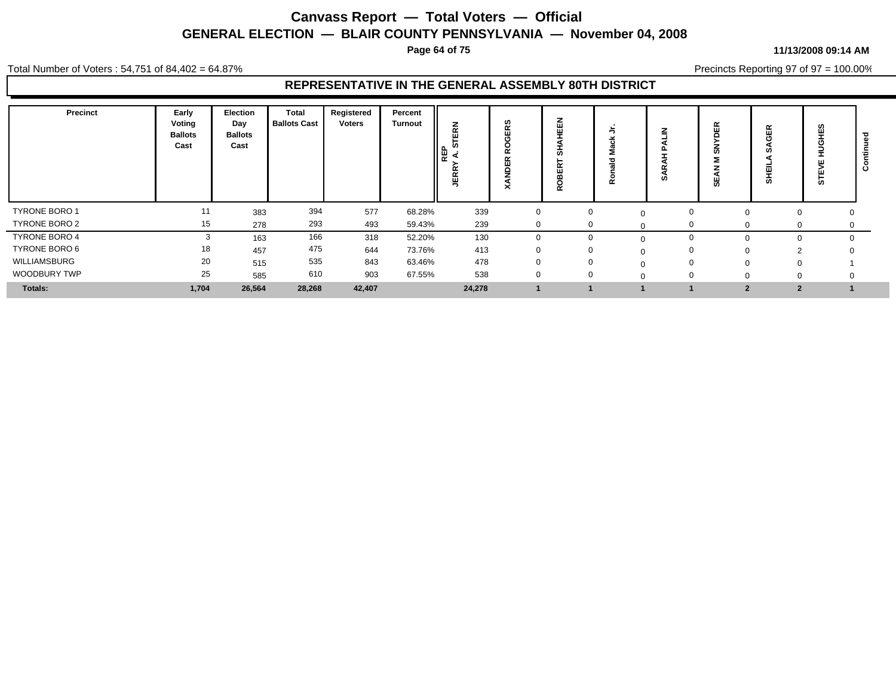**Page 64 of 75**

#### **11/13/2008 09:14 AM**

Precincts Reporting 97 of 97 = 100.00%

Total Number of Voters : 54,751 of 84,402 = 64.87%

| Precinct             | Early<br>Voting<br><b>Ballots</b><br>Cast | Election<br>Day<br><b>Ballots</b><br>Cast | Total<br><b>Ballots Cast</b> | Registered<br>Voters | Percent<br><b>Turnout</b> | z<br>œ<br>ш<br>ທ<br>C<br>모<br>ન<br>α<br>囸<br>∽ | ဖာ<br>Ñ<br>ш<br>Φ<br>$\tilde{\phantom{a}}$<br>ᄌ | z<br>画<br>ш<br>cr.<br>$\mathbf{H}$<br>o<br>$\sim$ | Ñ | ഗ        | ≃<br>ш<br>ഗ<br>₩ | 띥<br>囸<br>ັທ   | ဖာ<br>щ<br>5 |  |
|----------------------|-------------------------------------------|-------------------------------------------|------------------------------|----------------------|---------------------------|------------------------------------------------|-------------------------------------------------|---------------------------------------------------|---|----------|------------------|----------------|--------------|--|
| <b>TYRONE BORO 1</b> | 11                                        | 383                                       | 394                          | 577                  | 68.28%                    | 339                                            |                                                 | $\Omega$                                          |   | $\Omega$ |                  |                |              |  |
| TYRONE BORO 2        | 15                                        | 278                                       | 293                          | 493                  | 59.43%                    | 239                                            |                                                 | $\mathbf{0}$                                      |   |          |                  |                | 0            |  |
| <b>TYRONE BORO 4</b> |                                           | 163                                       | 166                          | 318                  | 52.20%                    | 130                                            |                                                 | $\Omega$                                          |   |          |                  |                |              |  |
| TYRONE BORO 6        | 18                                        | 457                                       | 475                          | 644                  | 73.76%                    | 413                                            |                                                 | $\mathbf 0$                                       |   | $\Omega$ |                  |                |              |  |
| WILLIAMSBURG         | 20                                        | 515                                       | 535                          | 843                  | 63.46%                    | 478                                            |                                                 | $\mathbf 0$                                       |   | $\Omega$ |                  |                |              |  |
| WOODBURY TWP         | 25                                        | 585                                       | 610                          | 903                  | 67.55%                    | 538                                            |                                                 | $\Omega$                                          |   |          |                  |                |              |  |
| <b>Totals:</b>       | 1,704                                     | 26,564                                    | 28,268                       | 42,407               |                           | 24,278                                         |                                                 |                                                   |   |          | $\overline{2}$   | $\overline{2}$ |              |  |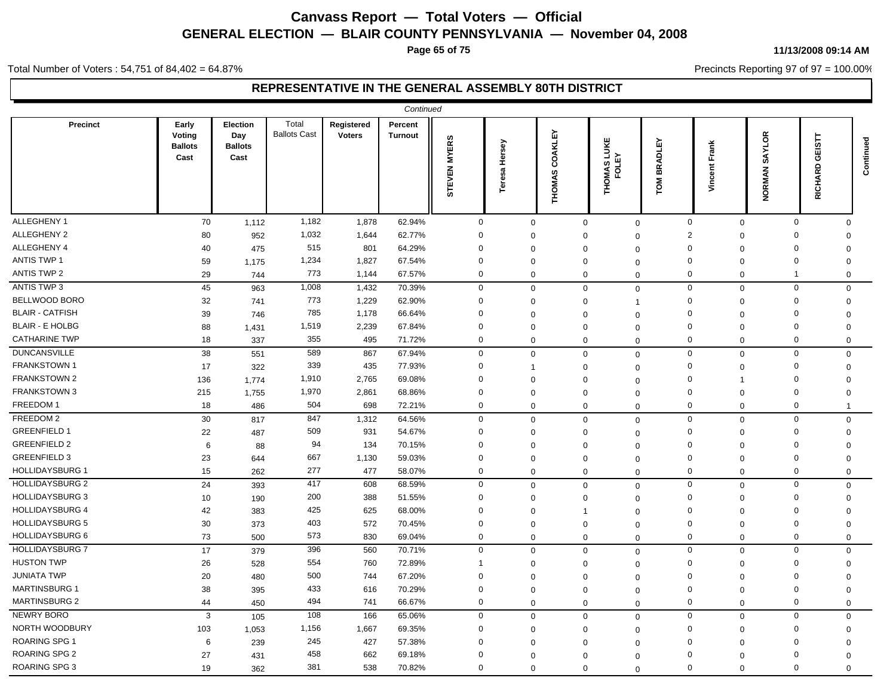**Page 65 of 75**

#### Total Number of Voters : 54,751 of 84,402 = 64.87%

#### **11/13/2008 09:14 AM**

Precincts Reporting 97 of 97 = 100.00%

|                        |                                           |                                           |                              |                             | Continued                 |              |                  |                          |                         |                             |                             |                         |                                          |           |
|------------------------|-------------------------------------------|-------------------------------------------|------------------------------|-----------------------------|---------------------------|--------------|------------------|--------------------------|-------------------------|-----------------------------|-----------------------------|-------------------------|------------------------------------------|-----------|
| <b>Precinct</b>        | Early<br>Voting<br><b>Ballots</b><br>Cast | Election<br>Day<br><b>Ballots</b><br>Cast | Total<br><b>Ballots Cast</b> | Registered<br><b>Voters</b> | Percent<br><b>Turnout</b> | STEVEN MYERS | Hersey<br>Teresa | COAKLEY<br><b>THOMAS</b> | THOMAS LUKE<br>FOLEY    | <b>ADLEY</b><br>없<br>ГOМ    | Frank<br>cent<br>š          | SAYLOR<br>NORMAN        | 5<br>ш<br>ט<br>$\Omega$<br><b>RICHAR</b> | Continued |
| ALLEGHENY 1            | 70                                        | 1,112                                     | 1,182                        | 1,878                       | 62.94%                    | $\mathbf 0$  | $\mathbf 0$      |                          | $\mathbf 0$             | $\mathbf 0$                 | $\mathbf 0$<br>$\mathbf{0}$ | $\mathbf 0$             | $\Omega$                                 |           |
| <b>ALLEGHENY 2</b>     | 80                                        | 952                                       | 1,032                        | 1,644                       | 62.77%                    | $\Omega$     | $\mathbf 0$      |                          | $\Omega$<br>$\Omega$    | 2                           | $\mathbf 0$                 | $\Omega$                | $\Omega$                                 |           |
| ALLEGHENY 4            | 40                                        | 475                                       | 515                          | 801                         | 64.29%                    | $\mathbf 0$  | $\mathbf 0$      |                          | $\Omega$<br>$\Omega$    | $\Omega$                    | $\mathbf 0$                 | $\mathbf 0$             | $\mathbf 0$                              |           |
| ANTIS TWP 1            | 59                                        | 1,175                                     | 1,234                        | 1,827                       | 67.54%                    | $\Omega$     | $\mathbf 0$      |                          | $\Omega$<br>$\Omega$    | $\Omega$                    | $\Omega$                    | $\mathbf{0}$            | $\Omega$                                 |           |
| <b>ANTIS TWP 2</b>     | 29                                        | 744                                       | 773                          | 1,144                       | 67.57%                    | 0            | $\mathbf 0$      |                          | $\mathbf 0$             | $\Omega$<br>$\mathbf 0$     | $\mathbf 0$                 | $\overline{\mathbf{1}}$ | $\mathbf 0$                              |           |
| ANTIS TWP 3            | 45                                        | 963                                       | 1,008                        | 1,432                       | 70.39%                    | $\mathbf 0$  | $\mathbf 0$      |                          | $\mathbf 0$             | $\mathbf 0$<br>$\mathbf 0$  | $\mathbf 0$                 | $\mathbf 0$             | $\mathbf 0$                              |           |
| <b>BELLWOOD BORO</b>   | 32                                        | 741                                       | 773                          | 1,229                       | 62.90%                    | $\mathbf 0$  | $\mathbf 0$      |                          | $\Omega$<br>1           | $\Omega$                    | $\mathbf 0$                 | $\mathbf 0$             | $\mathbf 0$                              |           |
| <b>BLAIR - CATFISH</b> | 39                                        | 746                                       | 785                          | 1,178                       | 66.64%                    | $\Omega$     | $\mathbf 0$      |                          | $\Omega$<br>$\Omega$    | $\Omega$                    | $\Omega$                    | $\mathbf 0$             | $\Omega$                                 |           |
| <b>BLAIR - E HOLBG</b> | 88                                        | 1,431                                     | 1,519                        | 2,239                       | 67.84%                    | $\mathbf 0$  | $\mathbf 0$      |                          | $\mathbf 0$<br>$\Omega$ | $\Omega$                    | $\mathbf 0$                 | $\mathbf 0$             | $\Omega$                                 |           |
| <b>CATHARINE TWP</b>   | 18                                        | 337                                       | 355                          | 495                         | 71.72%                    | $\mathbf 0$  | $\Omega$         |                          | $\Omega$                | $\mathbf 0$<br>$\mathbf 0$  | $\Omega$                    | $\mathbf 0$             | $\Omega$                                 |           |
| <b>DUNCANSVILLE</b>    | 38                                        | 551                                       | 589                          | 867                         | 67.94%                    | $\mathbf 0$  | $\mathbf 0$      |                          | $\Omega$                | $\mathbf 0$                 | $\mathbf 0$<br>$\mathbf 0$  | $\mathbf 0$             | $\Omega$                                 |           |
| FRANKSTOWN 1           | 17                                        | 322                                       | 339                          | 435                         | 77.93%                    | $\mathbf 0$  |                  |                          | $\Omega$<br>$\Omega$    | $\mathbf 0$                 | $\Omega$                    | $\mathbf 0$             | $\Omega$                                 |           |
| <b>FRANKSTOWN 2</b>    | 136                                       | 1.774                                     | 1,910                        | 2,765                       | 69.08%                    | $\Omega$     | $\mathbf 0$      |                          | $\Omega$<br>$\Omega$    | $\Omega$                    |                             | $\mathbf 0$             | $\Omega$                                 |           |
| <b>FRANKSTOWN 3</b>    | 215                                       | 1,755                                     | 1,970                        | 2,861                       | 68.86%                    | $\Omega$     | $\mathbf 0$      |                          | $\Omega$<br>$\mathbf 0$ | $\Omega$                    | $\mathbf 0$                 | $\mathbf{0}$            | $\mathbf 0$                              |           |
| FREEDOM 1              | 18                                        | 486                                       | 504                          | 698                         | 72.21%                    | $\mathbf 0$  | $\mathbf 0$      |                          | $\mathbf 0$             | $\mathbf 0$<br>$\mathbf{0}$ | $\mathbf 0$                 | $\mathbf 0$             | -1                                       |           |
| FREEDOM 2              | 30                                        | 817                                       | 847                          | 1,312                       | 64.56%                    | $\mathbf 0$  | $\mathbf 0$      |                          | $\mathbf 0$             | $\mathbf 0$<br>$\mathbf 0$  | $\mathbf 0$                 | $\mathbf 0$             | $\mathbf{0}$                             |           |
| <b>GREENFIELD 1</b>    | 22                                        | 487                                       | 509                          | 931                         | 54.67%                    | $\Omega$     | $\mathbf 0$      |                          | $\Omega$<br>$\Omega$    | $\Omega$                    | $\Omega$                    | $\mathbf 0$             | $\Omega$                                 |           |
| <b>GREENFIELD 2</b>    | $\,6\,$                                   | 88                                        | 94                           | 134                         | 70.15%                    | $\Omega$     | $\mathbf 0$      |                          | $\Omega$<br>$\Omega$    | $\Omega$                    | $\mathbf 0$                 | $\mathbf{0}$            | $\mathbf 0$                              |           |
| <b>GREENFIELD 3</b>    | 23                                        | 644                                       | 667                          | 1,130                       | 59.03%                    | 0            | $\mathbf 0$      |                          | $\Omega$<br>$\Omega$    | $\Omega$                    | $\Omega$                    | $\mathbf 0$             | $\Omega$                                 |           |
| <b>HOLLIDAYSBURG 1</b> | 15                                        | 262                                       | 277                          | 477                         | 58.07%                    | $\mathbf 0$  | $\mathbf 0$      |                          | $\mathbf 0$             | $\mathbf 0$<br>$\mathbf{0}$ | $\mathbf 0$                 | $\mathbf 0$             | $\Omega$                                 |           |
| <b>HOLLIDAYSBURG 2</b> | 24                                        | 393                                       | 417                          | 608                         | 68.59%                    | $\mathbf 0$  | $\mathbf 0$      |                          | $\mathbf 0$             | $\mathbf 0$<br>$\mathbf 0$  | $\mathbf 0$                 | $\mathbf{0}$            | $\Omega$                                 |           |
| <b>HOLLIDAYSBURG 3</b> | 10                                        | 190                                       | 200                          | 388                         | 51.55%                    | $\Omega$     | $\mathbf 0$      |                          | $\mathbf 0$<br>$\Omega$ | $\Omega$                    | $\mathbf 0$                 | $\mathbf{0}$            | $\mathbf 0$                              |           |
| <b>HOLLIDAYSBURG 4</b> | 42                                        | 383                                       | 425                          | 625                         | 68.00%                    | $\mathbf 0$  | $\Omega$         |                          | $\Omega$<br>-1          | $\mathbf 0$                 | $\Omega$                    | $\mathbf 0$             | $\Omega$                                 |           |
| <b>HOLLIDAYSBURG 5</b> | 30                                        | 373                                       | 403                          | 572                         | 70.45%                    | $\mathbf 0$  | $\mathbf 0$      |                          | $\Omega$<br>$\Omega$    | 0                           | $\mathbf 0$                 | $\mathbf 0$             | $\Omega$                                 |           |
| <b>HOLLIDAYSBURG 6</b> | 73                                        | 500                                       | 573                          | 830                         | 69.04%                    | $\mathbf 0$  | $\mathbf 0$      |                          | $\Omega$<br>$\Omega$    | 0                           | $\mathbf 0$                 | $\mathbf 0$             | $\Omega$                                 |           |
| <b>HOLLIDAYSBURG 7</b> | 17                                        | 379                                       | 396                          | 560                         | 70.71%                    | $\mathbf 0$  | $\mathbf 0$      |                          | $\mathbf 0$             | $\mathbf 0$                 | $\mathbf 0$<br>$\mathbf 0$  | $\mathbf 0$             | $\mathbf{0}$                             |           |
| <b>HUSTON TWP</b>      | 26                                        | 528                                       | 554                          | 760                         | 72.89%                    | 1            | $\mathbf 0$      |                          | $\Omega$<br>$\Omega$    | $\mathbf 0$                 | $\mathbf 0$                 | $\mathbf 0$             | $\Omega$                                 |           |
| <b>JUNIATA TWP</b>     | 20                                        | 480                                       | 500                          | 744                         | 67.20%                    | $\Omega$     | $\mathbf 0$      |                          | $\Omega$<br>$\Omega$    | $\Omega$                    | $\mathbf 0$                 | $\mathbf 0$             | $\Omega$                                 |           |
| <b>MARTINSBURG 1</b>   | 38                                        | 395                                       | 433                          | 616                         | 70.29%                    | $\mathbf 0$  | $\mathbf 0$      |                          | $\Omega$<br>$\Omega$    | $\Omega$                    | $\Omega$                    | $\mathbf 0$             | $\Omega$                                 |           |
| MARTINSBURG 2          | 44                                        | 450                                       | 494                          | 741                         | 66.67%                    | $\mathbf 0$  | $\mathbf 0$      |                          | $\mathbf 0$             | $\mathbf 0$<br>$\mathbf 0$  | $\mathbf 0$                 | $\mathbf{0}$            | $\mathbf 0$                              |           |
| <b>NEWRY BORO</b>      | 3                                         | 105                                       | 108                          | 166                         | 65.06%                    | $\mathbf 0$  | $\mathbf 0$      |                          | $\mathbf 0$             | $\mathbf 0$<br>$\mathbf 0$  | $\mathbf 0$                 | $\mathbf 0$             | $\mathbf 0$                              |           |
| NORTH WOODBURY         | 103                                       | 1,053                                     | 1,156                        | 1,667                       | 69.35%                    | $\Omega$     | $\mathbf 0$      |                          | $\Omega$<br>$\Omega$    | $\Omega$                    | $\Omega$                    | 0                       | $\Omega$                                 |           |
| <b>ROARING SPG 1</b>   | 6                                         | 239                                       | 245                          | 427                         | 57.38%                    | $\Omega$     | $\mathbf 0$      |                          | $\Omega$<br>$\Omega$    | $\Omega$                    | $\Omega$                    | $\mathbf 0$             | $\Omega$                                 |           |
| ROARING SPG 2          | 27                                        | 431                                       | 458                          | 662                         | 69.18%                    | $\Omega$     | $\Omega$         |                          | $\Omega$<br>$\Omega$    | $\Omega$                    | $\Omega$                    | $\Omega$                | $\Omega$                                 |           |
| ROARING SPG 3          | 19                                        | 362                                       | 381                          | 538                         | 70.82%                    | $\Omega$     | $\mathbf 0$      |                          | $\mathbf 0$<br>$\Omega$ | $\Omega$                    | $\Omega$                    | $\mathbf 0$             | $\Omega$                                 |           |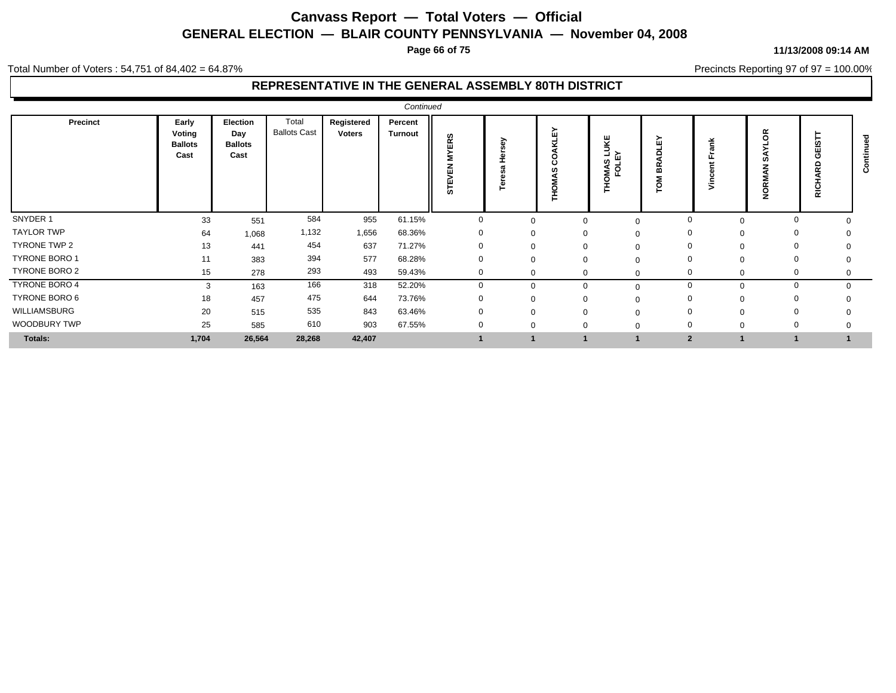**Page 66 of 75**

#### Total Number of Voters : 54,751 of 84,402 = 64.87%

### **REPRESENTATIVE IN THE GENERAL ASSEMBLY 80TH DISTRICT**

|                   |                                           |                                           |                              |                      | Continued                 |                                    |          |                           |                                 |                  |             |                                    |          |             |
|-------------------|-------------------------------------------|-------------------------------------------|------------------------------|----------------------|---------------------------|------------------------------------|----------|---------------------------|---------------------------------|------------------|-------------|------------------------------------|----------|-------------|
| Precinct          | Early<br>Voting<br><b>Ballots</b><br>Cast | Election<br>Day<br><b>Ballots</b><br>Cast | Total<br><b>Ballots Cast</b> | Registered<br>Voters | Percent<br><b>Turnout</b> | ERS<br>≻<br>Ξ<br>몺<br><b>STEVI</b> | స్<br>Ě  | ᇟ<br>₫<br>8<br>ഗ<br>THOM. | Κf<br>∍<br>∃ ≻<br>MAS L<br>FOLE | 짒<br>◠<br>≃<br>O |             | $\propto$<br>റ<br>æ<br>$\sim$<br>റ | ΒC       | $\mathbf c$ |
| SNYDER 1          | 33                                        | 551                                       | 584                          | 955                  | 61.15%                    | $\mathbf{0}$                       | $\Omega$ |                           | $\Omega$                        | $\mathbf 0$      | $\Omega$    | $\Omega$                           |          |             |
| <b>TAYLOR TWP</b> | 64                                        | 1,068                                     | 1,132                        | 1,656                | 68.36%                    | $\mathbf{0}$                       | $\Omega$ |                           |                                 | 0                | $\Omega$    | $\mathbf 0$                        |          |             |
| TYRONE TWP 2      | 13                                        | 441                                       | 454                          | 637                  | 71.27%                    | $\mathbf{0}$                       | $\Omega$ |                           |                                 | 0                | $\Omega$    | $\mathbf 0$                        |          |             |
| TYRONE BORO 1     | 11                                        | 383                                       | 394                          | 577                  | 68.28%                    | $\mathbf{0}$                       | $\Omega$ |                           |                                 | $\mathbf 0$      | $\Omega$    | $\mathbf 0$                        |          |             |
| TYRONE BORO 2     | 15                                        | 278                                       | 293                          | 493                  | 59.43%                    | $\mathbf{0}$                       | $\Omega$ | 0                         |                                 | $\mathbf{0}$     | $\mathbf 0$ | $\Omega$                           |          |             |
| TYRONE BORO 4     | 3                                         | 163                                       | 166                          | 318                  | 52.20%                    | 0                                  | $\Omega$ |                           |                                 | $\mathbf 0$      | $\Omega$    | $\mathbf 0$                        | $\Omega$ |             |
| TYRONE BORO 6     | 18                                        | 457                                       | 475                          | 644                  | 73.76%                    | $\Omega$                           | $\Omega$ |                           |                                 | $\Omega$         | $\Omega$    | $\Omega$                           |          |             |
| WILLIAMSBURG      | 20                                        | 515                                       | 535                          | 843                  | 63.46%                    | $\mathbf{0}$                       | $\Omega$ |                           |                                 | $\Omega$         | $\Omega$    | $\Omega$                           |          |             |
| WOODBURY TWP      | 25                                        | 585                                       | 610                          | 903                  | 67.55%                    |                                    | $\Omega$ |                           |                                 | $\Omega$         | $\Omega$    | $\Omega$                           |          |             |
| Totals:           | 1,704                                     | 26,564                                    | 28,268                       | 42,407               |                           |                                    |          |                           |                                 | $\overline{2}$   |             | $\mathbf{1}$                       |          |             |

#### **11/13/2008 09:14 AM**

Precincts Reporting 97 of 97 = 100.00%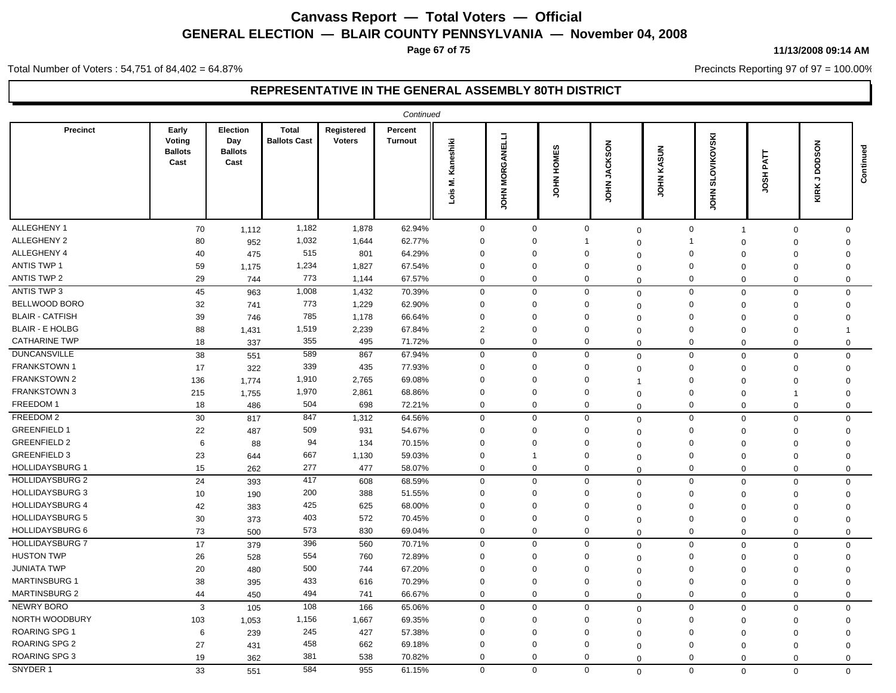**Page 67 of 75**

#### **11/13/2008 09:14 AM**

Precincts Reporting 97 of 97 = 100.00%

Total Number of Voters : 54,751 of 84,402 = 64.87%

|                        |                                           |                                           |                                     |                             | Continued                 |                         |                               |                     |                                  |              |                                      |                               |                                    |           |
|------------------------|-------------------------------------------|-------------------------------------------|-------------------------------------|-----------------------------|---------------------------|-------------------------|-------------------------------|---------------------|----------------------------------|--------------|--------------------------------------|-------------------------------|------------------------------------|-----------|
| <b>Precinct</b>        | Early<br>Voting<br><b>Ballots</b><br>Cast | Election<br>Day<br><b>Ballots</b><br>Cast | <b>Total</b><br><b>Ballots Cast</b> | Registered<br><b>Voters</b> | Percent<br><b>Turnout</b> | Kaneshiki<br>Σ.<br>Lois | GANELLI<br>≃<br>o<br>Σ<br>HP1 | HOMES<br><b>NHO</b> | <b>JACKSON</b><br>H <sub>O</sub> | KASUN<br>HDL | <b>OVIKOVSKI</b><br>ದ<br><b>NHOL</b> | <b>TIV</b> d<br>풊<br>g        | <b>DSON</b><br>ā<br>¬<br>×<br>KIR. | Continued |
| ALLEGHENY 1            | 70                                        | 1,112                                     | 1,182                               | 1,878                       | 62.94%                    | $\mathbf 0$             | $\mathbf 0$                   |                     | $\mathbf 0$                      | $\Omega$     | $\mathsf 0$                          | $\mathbf 0$<br>$\overline{1}$ | $\Omega$                           |           |
| ALLEGHENY 2            | 80                                        | 952                                       | 1,032                               | 1,644                       | 62.77%                    | $\mathbf 0$             | $\Omega$                      |                     | -1                               | $\Omega$     | -1                                   | $\mathbf 0$<br>$\Omega$       | $\Omega$                           |           |
| ALLEGHENY 4            | 40                                        | 475                                       | 515                                 | 801                         | 64.29%                    | $\Omega$                | $\Omega$                      |                     | $\Omega$                         | $\Omega$     | $\mathbf 0$                          | $\Omega$<br>$\Omega$          | $\Omega$                           |           |
| <b>ANTIS TWP 1</b>     | 59                                        | 1,175                                     | 1,234                               | 1,827                       | 67.54%                    | $\Omega$                | $\Omega$                      |                     | $\Omega$                         | $\Omega$     | $\Omega$                             | $\Omega$<br>$\Omega$          | $\Omega$                           |           |
| <b>ANTIS TWP 2</b>     | 29                                        | 744                                       | 773                                 | 1,144                       | 67.57%                    | $\mathbf 0$             | $\Omega$                      |                     | $\mathbf 0$                      | $\mathbf 0$  | $\mathbf 0$                          | $\mathbf 0$<br>$\Omega$       | 0                                  |           |
| <b>ANTIS TWP 3</b>     | 45                                        | 963                                       | 1,008                               | 1,432                       | 70.39%                    | $\mathbf 0$             | $\mathbf{0}$                  |                     | $\mathbf 0$                      | $\mathbf 0$  | $\mathbf 0$                          | $\mathbf 0$<br>$\mathbf 0$    | $\mathbf 0$                        |           |
| BELLWOOD BORO          | 32                                        | 741                                       | 773                                 | 1,229                       | 62.90%                    | $\Omega$                | $\Omega$                      |                     | $\Omega$                         | $\Omega$     | $\mathbf 0$                          | $\mathbf 0$<br>$\mathbf 0$    | $\Omega$                           |           |
| <b>BLAIR - CATFISH</b> | 39                                        | 746                                       | 785                                 | 1,178                       | 66.64%                    | $\mathbf 0$             | $\mathbf 0$                   |                     | 0                                | $\Omega$     | $\mathbf 0$                          | $\Omega$<br>$\Omega$          | $\Omega$                           |           |
| <b>BLAIR - E HOLBG</b> | 88                                        | 1,431                                     | 1,519                               | 2,239                       | 67.84%                    | $\overline{2}$          | $\mathbf 0$                   |                     | 0                                | $\Omega$     | $\mathbf 0$                          | $\Omega$<br>$\mathbf 0$       |                                    |           |
| <b>CATHARINE TWP</b>   | 18                                        | 337                                       | 355                                 | 495                         | 71.72%                    | $\mathbf 0$             | $\mathbf 0$                   |                     | 0                                | $\Omega$     | $\mathbf 0$                          | $\Omega$<br>$\Omega$          | $\mathbf 0$                        |           |
| <b>DUNCANSVILLE</b>    | 38                                        | 551                                       | 589                                 | 867                         | 67.94%                    | $\mathbf 0$             | $\mathbf 0$                   |                     | $\mathbf 0$                      | $\Omega$     | $\mathbf 0$                          | $\mathbf 0$<br>$\Omega$       | 0                                  |           |
| <b>FRANKSTOWN1</b>     | 17                                        | 322                                       | 339                                 | 435                         | 77.93%                    | $\mathbf 0$             | $\mathbf 0$                   |                     | $\Omega$                         | $\Omega$     | $\mathbf 0$                          | $\Omega$<br>$\Omega$          | $\Omega$                           |           |
| FRANKSTOWN 2           | 136                                       | 1,774                                     | 1,910                               | 2,765                       | 69.08%                    | $\Omega$                | $\Omega$                      |                     | $\Omega$                         |              | $\Omega$                             | $\Omega$<br>$\Omega$          | $\Omega$                           |           |
| <b>FRANKSTOWN 3</b>    | 215                                       | 1,755                                     | 1,970                               | 2,861                       | 68.86%                    | $\Omega$                | $\Omega$                      |                     | $\Omega$                         | $\mathbf 0$  | $\mathbf 0$                          | $\overline{0}$<br>$\mathbf 1$ | $\Omega$                           |           |
| FREEDOM 1              | 18                                        | 486                                       | 504                                 | 698                         | 72.21%                    | $\mathbf 0$             | $\Omega$                      |                     | 0                                | $\Omega$     | $\mathbf 0$                          | $\overline{0}$<br>$\mathbf 0$ | $\mathbf 0$                        |           |
| FREEDOM 2              | 30                                        | 817                                       | 847                                 | 1,312                       | 64.56%                    | $\mathbf 0$             | $\mathbf 0$                   |                     | $\Omega$                         | $\mathbf 0$  | $\mathbf 0$                          | $\mathbf 0$<br>$\Omega$       | $\mathbf 0$                        |           |
| <b>GREENFIELD 1</b>    | 22                                        | 487                                       | 509                                 | 931                         | 54.67%                    | $\mathbf 0$             | $\Omega$                      |                     | $\Omega$                         | $\Omega$     | $\mathbf 0$                          | $\Omega$<br>$\Omega$          | $\Omega$                           |           |
| <b>GREENFIELD 2</b>    | 6                                         | 88                                        | 94                                  | 134                         | 70.15%                    | $\Omega$                | $\Omega$                      |                     | $\Omega$                         | $\Omega$     | 0                                    | $\Omega$<br>$\Omega$          | $\mathbf 0$                        |           |
| <b>GREENFIELD 3</b>    | 23                                        | 644                                       | 667                                 | 1,130                       | 59.03%                    | $\Omega$                | -1                            |                     | $\Omega$                         | 0            | $\mathbf 0$                          | $\Omega$<br>$\Omega$          | $\Omega$                           |           |
| <b>HOLLIDAYSBURG 1</b> | 15                                        | 262                                       | 277                                 | 477                         | 58.07%                    | $\mathbf 0$             | 0                             |                     | $\mathbf{0}$                     | $\Omega$     | $\mathbf 0$                          | $\mathbf 0$<br>$\mathbf 0$    | $\mathbf 0$                        |           |
| <b>HOLLIDAYSBURG 2</b> | 24                                        | 393                                       | 417                                 | 608                         | 68.59%                    | $\mathbf 0$             | $\mathbf 0$                   |                     | $\mathbf 0$                      | $\Omega$     | $\mathbf 0$                          | $\mathbf 0$<br>$\mathbf 0$    | $\mathbf 0$                        |           |
| <b>HOLLIDAYSBURG 3</b> | 10                                        | 190                                       | 200                                 | 388                         | 51.55%                    | $\Omega$                | $\Omega$                      |                     | $\Omega$                         | $\Omega$     | $\Omega$                             | $\Omega$<br>$\Omega$          | $\Omega$                           |           |
| <b>HOLLIDAYSBURG 4</b> | 42                                        | 383                                       | 425                                 | 625                         | 68.00%                    | $\Omega$                | $\Omega$                      |                     | $\Omega$                         | $\Omega$     | $\mathbf 0$                          | $\mathbf 0$<br>$\Omega$       | $\Omega$                           |           |
| <b>HOLLIDAYSBURG 5</b> | 30                                        | 373                                       | 403                                 | 572                         | 70.45%                    | $\Omega$                | $\Omega$                      |                     | $\Omega$                         | $\Omega$     | $\Omega$                             | $\Omega$<br>$\Omega$          | $\Omega$                           |           |
| HOLLIDAYSBURG 6        | 73                                        | 500                                       | 573                                 | 830                         | 69.04%                    | $\mathbf 0$             | $\mathbf 0$                   |                     | 0                                | $\Omega$     | $\mathbf 0$                          | $\mathbf 0$<br>$\Omega$       | $\mathbf 0$                        |           |
| <b>HOLLIDAYSBURG 7</b> | 17                                        | 379                                       | 396                                 | 560                         | 70.71%                    | $\mathbf 0$             | $\Omega$                      |                     | $\mathbf 0$                      | $\mathbf 0$  | $\mathbf 0$                          | $\mathbf 0$<br>$\Omega$       | $\Omega$                           |           |
| <b>HUSTON TWP</b>      | 26                                        | 528                                       | 554                                 | 760                         | 72.89%                    | $\Omega$                | $\Omega$                      |                     | $\Omega$                         | $\Omega$     | 0                                    | $\overline{0}$<br>$\mathbf 0$ | $\Omega$                           |           |
| <b>JUNIATA TWP</b>     | 20                                        | 480                                       | 500                                 | 744                         | 67.20%                    | $\Omega$                | $\Omega$                      |                     | $\Omega$                         | $\Omega$     | $\Omega$                             | $\Omega$<br>$\Omega$          | $\Omega$                           |           |
| <b>MARTINSBURG 1</b>   | 38                                        | 395                                       | 433                                 | 616                         | 70.29%                    | $\mathbf 0$             | $\mathbf 0$                   |                     | 0                                | $\Omega$     | $\mathbf 0$                          | $\mathbf 0$<br>$\mathbf 0$    | $\Omega$                           |           |
| <b>MARTINSBURG 2</b>   | 44                                        | 450                                       | 494                                 | 741                         | 66.67%                    | $\mathbf 0$             | $\mathbf 0$                   |                     | 0                                | $\Omega$     | $\mathbf 0$                          | $\mathbf 0$<br>$\Omega$       | $\mathbf 0$                        |           |
| <b>NEWRY BORO</b>      | 3                                         | 105                                       | 108                                 | 166                         | 65.06%                    | $\mathbf 0$             | $\Omega$                      |                     | $\mathbf 0$                      | $\mathbf 0$  | $\mathbf 0$                          | $\mathbf{0}$<br>$\Omega$      | $\mathbf 0$                        |           |
| NORTH WOODBURY         | 103                                       | 1,053                                     | 1,156                               | 1,667                       | 69.35%                    | $\mathbf 0$             | $\mathbf 0$                   |                     | $\Omega$                         | $\Omega$     | $\mathbf 0$                          | $\mathbf{0}$<br>$\Omega$      | $\Omega$                           |           |
| <b>ROARING SPG 1</b>   | 6                                         | 239                                       | 245                                 | 427                         | 57.38%                    | $\Omega$                | $\Omega$                      |                     | $\Omega$                         | $\Omega$     | $\Omega$                             | $\Omega$<br>$\Omega$          | $\Omega$                           |           |
| <b>ROARING SPG 2</b>   | 27                                        | 431                                       | 458                                 | 662                         | 69.18%                    | $\Omega$                | $\Omega$                      |                     | $\Omega$                         | $\Omega$     | $\Omega$                             | $\overline{0}$<br>$\mathbf 0$ | $\Omega$                           |           |
| <b>ROARING SPG 3</b>   | 19                                        | 362                                       | 381                                 | 538                         | 70.82%                    | $\Omega$                | $\Omega$                      |                     | $\Omega$                         | $\Omega$     | $\Omega$                             | $\mathbf 0$<br>$\Omega$       | $\mathbf 0$                        |           |
| SNYDER 1               | 33                                        | 551                                       | 584                                 | 955                         | 61.15%                    | $\mathbf 0$             | $\mathbf 0$                   |                     | $\mathbf 0$                      | $\Omega$     | $\mathbf 0$                          | $\Omega$<br>$\Omega$          | $\Omega$                           |           |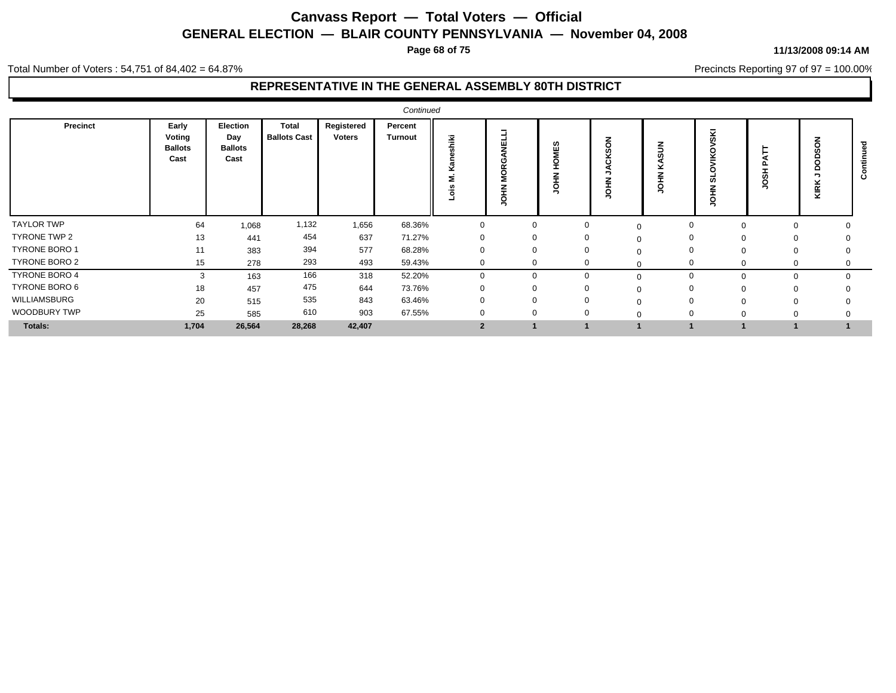**Page 68 of 75**

#### **11/13/2008 09:14 AM**

Precincts Reporting 97 of 97 = 100.00%

Total Number of Voters : 54,751 of 84,402 = 64.87%

|                      |                                           |                                           |                                     |                             | Continued          |                  |                   |                                   |                                  |          |                         |          |           |   |
|----------------------|-------------------------------------------|-------------------------------------------|-------------------------------------|-----------------------------|--------------------|------------------|-------------------|-----------------------------------|----------------------------------|----------|-------------------------|----------|-----------|---|
| Precinct             | Early<br>Voting<br><b>Ballots</b><br>Cast | Election<br>Day<br><b>Ballots</b><br>Cast | <b>Total</b><br><b>Ballots Cast</b> | Registered<br><b>Voters</b> | Percent<br>Turnout | Ě<br><br>$\circ$ | ш<br>≆<br>$\circ$ | ဖာ<br>쁳<br>o<br>Ŧ<br>¥.<br>ō<br>∍ | z<br>$\circ$<br>∽<br>-<br>o<br>∽ |          | ≂<br>┍<br>u.<br>$\circ$ |          | э.<br>KIR | ပ |
| <b>TAYLOR TWP</b>    | 64                                        | 1,068                                     | 1,132                               | 1,656                       | 68.36%             | 0                |                   | 0                                 | $\Omega$                         | 0        | 0                       | 0        |           |   |
| TYRONE TWP 2         | 13                                        | 441                                       | 454                                 | 637                         | 71.27%             | $\Omega$         |                   | $\mathbf{0}$                      |                                  | 0        | $\Omega$                | 0        |           |   |
| <b>TYRONE BORO 1</b> | 11                                        | 383                                       | 394                                 | 577                         | 68.28%             | $\Omega$         |                   | $\Omega$                          |                                  | 0        | $\Omega$                | $\Omega$ |           |   |
| TYRONE BORO 2        | 15                                        | 278                                       | 293                                 | 493                         | 59.43%             | $\Omega$         |                   | $\mathbf{0}$                      |                                  | $\Omega$ | $\Omega$                | 0        |           |   |
| TYRONE BORO 4        | 3                                         | 163                                       | 166                                 | 318                         | 52.20%             | $\Omega$         |                   |                                   |                                  | $\Omega$ |                         | 0        |           |   |
| TYRONE BORO 6        | 18                                        | 457                                       | 475                                 | 644                         | 73.76%             |                  |                   |                                   |                                  | $\Omega$ |                         |          |           |   |
| WILLIAMSBURG         | 20                                        | 515                                       | 535                                 | 843                         | 63.46%             |                  |                   |                                   |                                  | $\Omega$ |                         |          |           |   |
| WOODBURY TWP         | 25                                        | 585                                       | 610                                 | 903                         | 67.55%             |                  |                   |                                   |                                  | $\Omega$ |                         |          |           |   |
| <b>Totals:</b>       | 1,704                                     | 26,564                                    | 28,268                              | 42,407                      |                    |                  |                   |                                   |                                  |          |                         |          |           |   |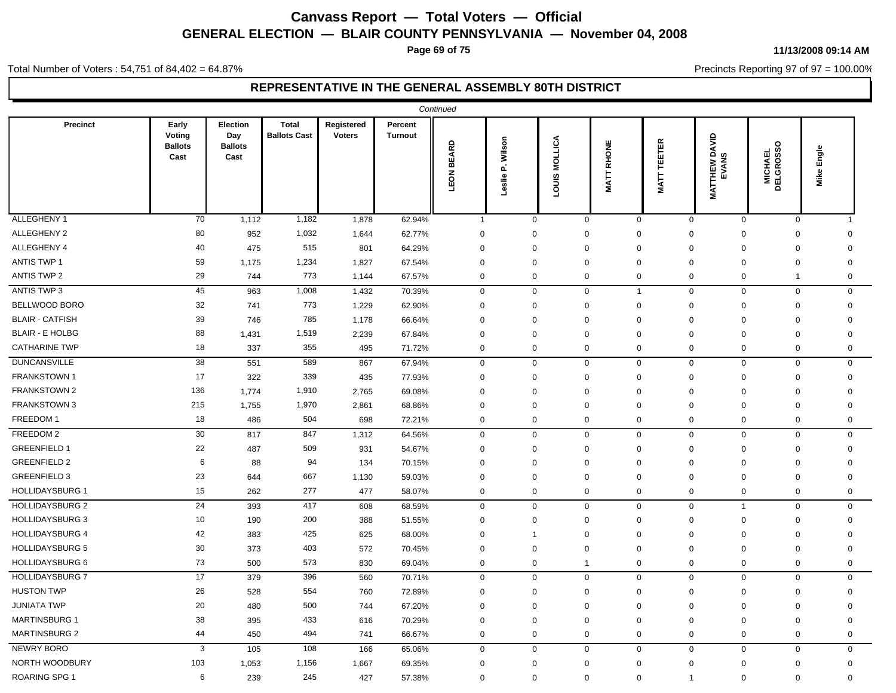**Page 69 of 75**

#### Total Number of Voters : 54,751 of 84,402 = 64.87%

**11/13/2008 09:14 AM**

Precincts Reporting 97 of 97 = 100.00%

| <b>Total</b><br>Early<br>Election<br>Registered<br>Precinct<br>Percent<br>Voting<br><b>Ballots Cast</b><br><b>Voters</b><br>Day<br><b>Turnout</b><br><b>MATTHEW DAVID<br/>EVANS</b><br><b>LOUIS MOLLICA</b><br>P. Wilson<br><b>MATT TEETER</b><br>RHONE<br>LEON BEARD<br>$\circ$<br><b>Ballots</b><br><b>Ballots</b><br>Engle<br><b>MICHAEL<br/>DELGROSSC</b><br>Cast<br>Cast<br>Mike<br><b>MATT</b><br>Leslie<br>70<br>1,182<br>62.94%<br>$\mathbf 0$<br>1,112<br>1,878<br>$\mathbf{1}$<br>$\mathbf 0$<br>0<br>$\mathbf 0$<br>$\mathbf 0$<br>$\mathbf 0$<br>$\overline{1}$<br>80<br>1,032<br>952<br>62.77%<br>$\mathbf 0$<br>$\mathbf 0$<br>$\mathbf 0$<br>$\mathbf 0$<br>1,644<br>$\mathbf 0$<br>0<br>0<br>$\Omega$<br>515<br>40<br>475<br>64.29%<br>$\mathbf 0$<br>$\mathbf 0$<br>801<br>$\mathbf 0$<br>$\Omega$<br>$\Omega$<br>$\mathbf 0$<br>0<br>0<br>1,234<br>59<br>1,175<br>1,827<br>67.54%<br>$\mathbf 0$<br>$\mathbf 0$<br>$\mathbf 0$<br>$\mathbf 0$<br>0<br>0<br>0<br>$\Omega$<br>773<br>29<br>744<br>1,144<br>67.57%<br>$\mathbf 0$<br>$\mathbf 0$<br>$\mathbf 0$<br>$\mathbf 0$<br>0<br>$\mathbf 0$<br>0<br>$\mathbf{1}$<br>45<br>1,008<br>963<br>$\mathsf 0$<br>$\mathsf 0$<br>$\mathbf 0$<br>1,432<br>70.39%<br>$\mathbf 0$<br>$\overline{1}$<br>0<br>$\mathbf 0$<br>$\mathbf 0$<br>32<br>773<br>$\mathsf 0$<br>741<br>1,229<br>62.90%<br>$\mathbf 0$<br>$\mathbf 0$<br>$\mathbf 0$<br>$\Omega$<br>$\mathbf 0$<br>$\mathbf 0$<br>$\Omega$<br>39<br>785<br>746<br>1,178<br>66.64%<br>$\mathbf 0$<br>$\mathbf 0$<br>$\mathbf 0$<br>$\mathbf 0$<br>0<br>0<br>0<br>$\mathbf 0$<br>88<br>1,519<br>1,431<br>2,239<br>67.84%<br>$\mathbf 0$<br>$\mathbf 0$<br>$\mathbf 0$<br>0<br>$\mathbf 0$<br>$\mathbf 0$<br>$\mathbf 0$<br>0<br>18<br>355<br>337<br>$\mathbf 0$<br>$\mathbf 0$<br>$\mathbf 0$<br>$\mathbf 0$<br>495<br>71.72%<br>$\mathbf 0$<br>0<br>0<br>0<br>38<br>589<br>551<br>$\mathbf 0$<br>$\mathbf 0$<br>867<br>67.94%<br>$\mathbf 0$<br>$\mathbf 0$<br>$\mathbf 0$<br>0<br>$\mathbf 0$<br>0<br>17<br>339<br>322<br>435<br>77.93%<br>$\mathbf 0$<br>$\mathbf 0$<br>$\mathbf 0$<br>$\mathbf 0$<br>$\mathbf 0$<br>0<br>$\Omega$<br>$\mathbf 0$<br>136<br>1,910<br>$\mathbf 0$<br>$\mathbf 0$<br>1,774<br>2,765<br>69.08%<br>$\Omega$<br>$\Omega$<br>$\Omega$<br>$\Omega$<br>$\Omega$<br>$\Omega$<br>1,970<br>215<br>1,755<br>2,861<br>68.86%<br>$\mathbf 0$<br>$\mathbf 0$<br>$\Omega$<br>$\mathbf 0$<br>$\mathbf 0$<br>$\Omega$<br>$\Omega$<br>$\Omega$<br>18<br>504<br>$\mathbf 0$<br>486<br>698<br>72.21%<br>$\mathbf 0$<br>$\mathbf 0$<br>0<br>0<br>$\mathbf 0$<br>$\mathbf 0$<br>0<br>30<br>847<br>$\mathbf 0$<br>$\mathbf 0$<br>0<br>$\mathbf 0$<br>$\mathbf 0$<br>817<br>1,312<br>64.56%<br>$\mathbf 0$<br>0<br>$\mathbf 0$<br>22<br>509<br>487<br>931<br>54.67%<br>$\mathbf 0$<br>$\mathbf 0$<br>$\mathbf 0$<br>$\mathbf 0$<br>$\mathbf 0$<br>$\mathbf 0$<br>0<br>$\mathbf 0$<br>6<br>94<br>134<br>$\mathbf 0$<br>88<br>70.15%<br>$\mathbf 0$<br>$\mathbf 0$<br>$\Omega$<br>$\mathbf 0$<br>$\mathbf 0$<br>$\mathbf 0$<br>$\Omega$<br>23<br>667<br>$\mathbf 0$<br>$\mathbf 0$<br>644<br>1,130<br>59.03%<br>$\mathbf 0$<br>$\Omega$<br>$\mathbf 0$<br>$\Omega$<br>$\mathbf 0$<br>$\Omega$<br>15<br>277<br>262<br>477<br>58.07%<br>$\mathbf 0$<br>$\mathbf 0$<br>$\mathbf 0$<br>$\mathbf 0$<br>0<br>$\mathbf 0$<br>$\mathbf 0$<br>0<br>24<br>417<br>393<br>608<br>68.59%<br>$\mathbf 0$<br>$\mathbf 0$<br>0<br>0<br>0<br>$\mathbf 0$<br>$\overline{1}$<br>0<br>10<br>200<br>$\mathbf 0$<br>190<br>388<br>51.55%<br>$\mathbf 0$<br>$\mathbf 0$<br>$\mathbf 0$<br>$\Omega$<br>$\mathbf 0$<br>$\mathbf 0$<br>$\Omega$<br>42<br>425<br>383<br>625<br>68.00%<br>$\mathbf 0$<br>$\mathbf 0$<br>$\mathbf 0$<br>$\mathbf 0$<br>0<br>0<br>0<br>-1<br>30<br>403<br>373<br>572<br>70.45%<br>$\mathbf 0$<br>$\mathbf 0$<br>$\mathbf 0$<br>0<br>0<br>0<br>0<br>0<br>73<br>573<br>500<br>830<br>69.04%<br>$\mathbf 0$<br>0<br>$\mathbf 0$<br>$\mathbf 0$<br>$\mathbf 0$<br>0<br>0<br>$\mathbf{1}$<br>17<br>379<br>396<br>560<br>$\mathbf 0$<br>$\mathbf 0$<br>$\mathbf 0$<br>$\mathbf 0$<br>$\mathbf 0$<br>$\mathbf 0$<br>0<br>0<br>70.71%<br>26<br>554<br>528<br>760<br>72.89%<br>$\mathbf 0$<br>$\mathbf 0$<br>$\Omega$<br>$\mathbf 0$<br>$\mathbf 0$<br>$\mathbf 0$<br>$\Omega$<br>0<br>20<br>480<br>500<br>$\mathbf 0$<br>$\mathbf 0$<br>67.20%<br>$\mathbf 0$<br>$\mathbf 0$<br>744<br>$\mathbf 0$<br>$\mathbf 0$<br>$\Omega$<br>$\Omega$<br>38<br>433<br>395<br>616<br>70.29%<br>$\mathbf 0$<br>$\mathbf 0$<br>$\mathbf 0$<br>0<br>$\Omega$<br>$\Omega$<br>$\mathbf 0$<br>$\Omega$<br>450<br>494<br>$\mathbf 0$<br>$\mathbf 0$<br>44<br>741<br>66.67%<br>$\mathbf 0$<br>0<br>0<br>$\mathbf 0$<br>$\mathbf 0$<br>0<br>3<br>108<br>105<br>166<br>65.06%<br>$\mathbf 0$<br>$\mathbf 0$<br>0<br>$\mathbf 0$<br>0<br>$\mathbf 0$<br>$\mathbf 0$<br>0<br>103<br>1,156<br>1,053<br>1,667<br>69.35%<br>$\mathbf 0$<br>$\mathbf 0$<br>$\mathbf 0$<br>$\mathbf 0$<br>$\mathbf 0$<br>0<br>0<br>$\mathbf 0$<br>6<br>245<br>427<br>$\mathbf 0$<br>$\mathbf 0$<br>239<br>57.38%<br>$\mathbf 0$<br>$\mathbf 0$<br>$\mathbf 0$<br>$\Omega$<br>0<br>$\mathbf{1}$ |                        |  |  | Continued |  |  |  |  |
|-----------------------------------------------------------------------------------------------------------------------------------------------------------------------------------------------------------------------------------------------------------------------------------------------------------------------------------------------------------------------------------------------------------------------------------------------------------------------------------------------------------------------------------------------------------------------------------------------------------------------------------------------------------------------------------------------------------------------------------------------------------------------------------------------------------------------------------------------------------------------------------------------------------------------------------------------------------------------------------------------------------------------------------------------------------------------------------------------------------------------------------------------------------------------------------------------------------------------------------------------------------------------------------------------------------------------------------------------------------------------------------------------------------------------------------------------------------------------------------------------------------------------------------------------------------------------------------------------------------------------------------------------------------------------------------------------------------------------------------------------------------------------------------------------------------------------------------------------------------------------------------------------------------------------------------------------------------------------------------------------------------------------------------------------------------------------------------------------------------------------------------------------------------------------------------------------------------------------------------------------------------------------------------------------------------------------------------------------------------------------------------------------------------------------------------------------------------------------------------------------------------------------------------------------------------------------------------------------------------------------------------------------------------------------------------------------------------------------------------------------------------------------------------------------------------------------------------------------------------------------------------------------------------------------------------------------------------------------------------------------------------------------------------------------------------------------------------------------------------------------------------------------------------------------------------------------------------------------------------------------------------------------------------------------------------------------------------------------------------------------------------------------------------------------------------------------------------------------------------------------------------------------------------------------------------------------------------------------------------------------------------------------------------------------------------------------------------------------------------------------------------------------------------------------------------------------------------------------------------------------------------------------------------------------------------------------------------------------------------------------------------------------------------------------------------------------------------------------------------------------------------------------------------------------------------------------------------------------------------------------------------------------------------------------------------------------------------------------------------------------------------------------------------------------------------------------------------------------------------------------------------------------------------------------------------------------------------------------------------------------------------------------------------------------------------------------------------------------------------------------------------------------------------------------------------------------------------------------------------------------------------------------------------------------------------------------------------------------------------------------------------------------------------------------------------------------------------------------------------------------------------------------------------------|------------------------|--|--|-----------|--|--|--|--|
|                                                                                                                                                                                                                                                                                                                                                                                                                                                                                                                                                                                                                                                                                                                                                                                                                                                                                                                                                                                                                                                                                                                                                                                                                                                                                                                                                                                                                                                                                                                                                                                                                                                                                                                                                                                                                                                                                                                                                                                                                                                                                                                                                                                                                                                                                                                                                                                                                                                                                                                                                                                                                                                                                                                                                                                                                                                                                                                                                                                                                                                                                                                                                                                                                                                                                                                                                                                                                                                                                                                                                                                                                                                                                                                                                                                                                                                                                                                                                                                                                                                                                                                                                                                                                                                                                                                                                                                                                                                                                                                                                                                                                                                                                                                                                                                                                                                                                                                                                                                                                                                                                                                                                                 |                        |  |  |           |  |  |  |  |
|                                                                                                                                                                                                                                                                                                                                                                                                                                                                                                                                                                                                                                                                                                                                                                                                                                                                                                                                                                                                                                                                                                                                                                                                                                                                                                                                                                                                                                                                                                                                                                                                                                                                                                                                                                                                                                                                                                                                                                                                                                                                                                                                                                                                                                                                                                                                                                                                                                                                                                                                                                                                                                                                                                                                                                                                                                                                                                                                                                                                                                                                                                                                                                                                                                                                                                                                                                                                                                                                                                                                                                                                                                                                                                                                                                                                                                                                                                                                                                                                                                                                                                                                                                                                                                                                                                                                                                                                                                                                                                                                                                                                                                                                                                                                                                                                                                                                                                                                                                                                                                                                                                                                                                 | ALLEGHENY 1            |  |  |           |  |  |  |  |
|                                                                                                                                                                                                                                                                                                                                                                                                                                                                                                                                                                                                                                                                                                                                                                                                                                                                                                                                                                                                                                                                                                                                                                                                                                                                                                                                                                                                                                                                                                                                                                                                                                                                                                                                                                                                                                                                                                                                                                                                                                                                                                                                                                                                                                                                                                                                                                                                                                                                                                                                                                                                                                                                                                                                                                                                                                                                                                                                                                                                                                                                                                                                                                                                                                                                                                                                                                                                                                                                                                                                                                                                                                                                                                                                                                                                                                                                                                                                                                                                                                                                                                                                                                                                                                                                                                                                                                                                                                                                                                                                                                                                                                                                                                                                                                                                                                                                                                                                                                                                                                                                                                                                                                 | ALLEGHENY 2            |  |  |           |  |  |  |  |
|                                                                                                                                                                                                                                                                                                                                                                                                                                                                                                                                                                                                                                                                                                                                                                                                                                                                                                                                                                                                                                                                                                                                                                                                                                                                                                                                                                                                                                                                                                                                                                                                                                                                                                                                                                                                                                                                                                                                                                                                                                                                                                                                                                                                                                                                                                                                                                                                                                                                                                                                                                                                                                                                                                                                                                                                                                                                                                                                                                                                                                                                                                                                                                                                                                                                                                                                                                                                                                                                                                                                                                                                                                                                                                                                                                                                                                                                                                                                                                                                                                                                                                                                                                                                                                                                                                                                                                                                                                                                                                                                                                                                                                                                                                                                                                                                                                                                                                                                                                                                                                                                                                                                                                 | ALLEGHENY 4            |  |  |           |  |  |  |  |
|                                                                                                                                                                                                                                                                                                                                                                                                                                                                                                                                                                                                                                                                                                                                                                                                                                                                                                                                                                                                                                                                                                                                                                                                                                                                                                                                                                                                                                                                                                                                                                                                                                                                                                                                                                                                                                                                                                                                                                                                                                                                                                                                                                                                                                                                                                                                                                                                                                                                                                                                                                                                                                                                                                                                                                                                                                                                                                                                                                                                                                                                                                                                                                                                                                                                                                                                                                                                                                                                                                                                                                                                                                                                                                                                                                                                                                                                                                                                                                                                                                                                                                                                                                                                                                                                                                                                                                                                                                                                                                                                                                                                                                                                                                                                                                                                                                                                                                                                                                                                                                                                                                                                                                 | ANTIS TWP 1            |  |  |           |  |  |  |  |
|                                                                                                                                                                                                                                                                                                                                                                                                                                                                                                                                                                                                                                                                                                                                                                                                                                                                                                                                                                                                                                                                                                                                                                                                                                                                                                                                                                                                                                                                                                                                                                                                                                                                                                                                                                                                                                                                                                                                                                                                                                                                                                                                                                                                                                                                                                                                                                                                                                                                                                                                                                                                                                                                                                                                                                                                                                                                                                                                                                                                                                                                                                                                                                                                                                                                                                                                                                                                                                                                                                                                                                                                                                                                                                                                                                                                                                                                                                                                                                                                                                                                                                                                                                                                                                                                                                                                                                                                                                                                                                                                                                                                                                                                                                                                                                                                                                                                                                                                                                                                                                                                                                                                                                 | <b>ANTIS TWP 2</b>     |  |  |           |  |  |  |  |
|                                                                                                                                                                                                                                                                                                                                                                                                                                                                                                                                                                                                                                                                                                                                                                                                                                                                                                                                                                                                                                                                                                                                                                                                                                                                                                                                                                                                                                                                                                                                                                                                                                                                                                                                                                                                                                                                                                                                                                                                                                                                                                                                                                                                                                                                                                                                                                                                                                                                                                                                                                                                                                                                                                                                                                                                                                                                                                                                                                                                                                                                                                                                                                                                                                                                                                                                                                                                                                                                                                                                                                                                                                                                                                                                                                                                                                                                                                                                                                                                                                                                                                                                                                                                                                                                                                                                                                                                                                                                                                                                                                                                                                                                                                                                                                                                                                                                                                                                                                                                                                                                                                                                                                 | <b>ANTIS TWP 3</b>     |  |  |           |  |  |  |  |
|                                                                                                                                                                                                                                                                                                                                                                                                                                                                                                                                                                                                                                                                                                                                                                                                                                                                                                                                                                                                                                                                                                                                                                                                                                                                                                                                                                                                                                                                                                                                                                                                                                                                                                                                                                                                                                                                                                                                                                                                                                                                                                                                                                                                                                                                                                                                                                                                                                                                                                                                                                                                                                                                                                                                                                                                                                                                                                                                                                                                                                                                                                                                                                                                                                                                                                                                                                                                                                                                                                                                                                                                                                                                                                                                                                                                                                                                                                                                                                                                                                                                                                                                                                                                                                                                                                                                                                                                                                                                                                                                                                                                                                                                                                                                                                                                                                                                                                                                                                                                                                                                                                                                                                 | BELLWOOD BORO          |  |  |           |  |  |  |  |
|                                                                                                                                                                                                                                                                                                                                                                                                                                                                                                                                                                                                                                                                                                                                                                                                                                                                                                                                                                                                                                                                                                                                                                                                                                                                                                                                                                                                                                                                                                                                                                                                                                                                                                                                                                                                                                                                                                                                                                                                                                                                                                                                                                                                                                                                                                                                                                                                                                                                                                                                                                                                                                                                                                                                                                                                                                                                                                                                                                                                                                                                                                                                                                                                                                                                                                                                                                                                                                                                                                                                                                                                                                                                                                                                                                                                                                                                                                                                                                                                                                                                                                                                                                                                                                                                                                                                                                                                                                                                                                                                                                                                                                                                                                                                                                                                                                                                                                                                                                                                                                                                                                                                                                 | <b>BLAIR - CATFISH</b> |  |  |           |  |  |  |  |
|                                                                                                                                                                                                                                                                                                                                                                                                                                                                                                                                                                                                                                                                                                                                                                                                                                                                                                                                                                                                                                                                                                                                                                                                                                                                                                                                                                                                                                                                                                                                                                                                                                                                                                                                                                                                                                                                                                                                                                                                                                                                                                                                                                                                                                                                                                                                                                                                                                                                                                                                                                                                                                                                                                                                                                                                                                                                                                                                                                                                                                                                                                                                                                                                                                                                                                                                                                                                                                                                                                                                                                                                                                                                                                                                                                                                                                                                                                                                                                                                                                                                                                                                                                                                                                                                                                                                                                                                                                                                                                                                                                                                                                                                                                                                                                                                                                                                                                                                                                                                                                                                                                                                                                 | <b>BLAIR - E HOLBG</b> |  |  |           |  |  |  |  |
|                                                                                                                                                                                                                                                                                                                                                                                                                                                                                                                                                                                                                                                                                                                                                                                                                                                                                                                                                                                                                                                                                                                                                                                                                                                                                                                                                                                                                                                                                                                                                                                                                                                                                                                                                                                                                                                                                                                                                                                                                                                                                                                                                                                                                                                                                                                                                                                                                                                                                                                                                                                                                                                                                                                                                                                                                                                                                                                                                                                                                                                                                                                                                                                                                                                                                                                                                                                                                                                                                                                                                                                                                                                                                                                                                                                                                                                                                                                                                                                                                                                                                                                                                                                                                                                                                                                                                                                                                                                                                                                                                                                                                                                                                                                                                                                                                                                                                                                                                                                                                                                                                                                                                                 | <b>CATHARINE TWP</b>   |  |  |           |  |  |  |  |
|                                                                                                                                                                                                                                                                                                                                                                                                                                                                                                                                                                                                                                                                                                                                                                                                                                                                                                                                                                                                                                                                                                                                                                                                                                                                                                                                                                                                                                                                                                                                                                                                                                                                                                                                                                                                                                                                                                                                                                                                                                                                                                                                                                                                                                                                                                                                                                                                                                                                                                                                                                                                                                                                                                                                                                                                                                                                                                                                                                                                                                                                                                                                                                                                                                                                                                                                                                                                                                                                                                                                                                                                                                                                                                                                                                                                                                                                                                                                                                                                                                                                                                                                                                                                                                                                                                                                                                                                                                                                                                                                                                                                                                                                                                                                                                                                                                                                                                                                                                                                                                                                                                                                                                 | <b>DUNCANSVILLE</b>    |  |  |           |  |  |  |  |
|                                                                                                                                                                                                                                                                                                                                                                                                                                                                                                                                                                                                                                                                                                                                                                                                                                                                                                                                                                                                                                                                                                                                                                                                                                                                                                                                                                                                                                                                                                                                                                                                                                                                                                                                                                                                                                                                                                                                                                                                                                                                                                                                                                                                                                                                                                                                                                                                                                                                                                                                                                                                                                                                                                                                                                                                                                                                                                                                                                                                                                                                                                                                                                                                                                                                                                                                                                                                                                                                                                                                                                                                                                                                                                                                                                                                                                                                                                                                                                                                                                                                                                                                                                                                                                                                                                                                                                                                                                                                                                                                                                                                                                                                                                                                                                                                                                                                                                                                                                                                                                                                                                                                                                 | <b>FRANKSTOWN1</b>     |  |  |           |  |  |  |  |
|                                                                                                                                                                                                                                                                                                                                                                                                                                                                                                                                                                                                                                                                                                                                                                                                                                                                                                                                                                                                                                                                                                                                                                                                                                                                                                                                                                                                                                                                                                                                                                                                                                                                                                                                                                                                                                                                                                                                                                                                                                                                                                                                                                                                                                                                                                                                                                                                                                                                                                                                                                                                                                                                                                                                                                                                                                                                                                                                                                                                                                                                                                                                                                                                                                                                                                                                                                                                                                                                                                                                                                                                                                                                                                                                                                                                                                                                                                                                                                                                                                                                                                                                                                                                                                                                                                                                                                                                                                                                                                                                                                                                                                                                                                                                                                                                                                                                                                                                                                                                                                                                                                                                                                 | <b>FRANKSTOWN 2</b>    |  |  |           |  |  |  |  |
|                                                                                                                                                                                                                                                                                                                                                                                                                                                                                                                                                                                                                                                                                                                                                                                                                                                                                                                                                                                                                                                                                                                                                                                                                                                                                                                                                                                                                                                                                                                                                                                                                                                                                                                                                                                                                                                                                                                                                                                                                                                                                                                                                                                                                                                                                                                                                                                                                                                                                                                                                                                                                                                                                                                                                                                                                                                                                                                                                                                                                                                                                                                                                                                                                                                                                                                                                                                                                                                                                                                                                                                                                                                                                                                                                                                                                                                                                                                                                                                                                                                                                                                                                                                                                                                                                                                                                                                                                                                                                                                                                                                                                                                                                                                                                                                                                                                                                                                                                                                                                                                                                                                                                                 | <b>FRANKSTOWN 3</b>    |  |  |           |  |  |  |  |
|                                                                                                                                                                                                                                                                                                                                                                                                                                                                                                                                                                                                                                                                                                                                                                                                                                                                                                                                                                                                                                                                                                                                                                                                                                                                                                                                                                                                                                                                                                                                                                                                                                                                                                                                                                                                                                                                                                                                                                                                                                                                                                                                                                                                                                                                                                                                                                                                                                                                                                                                                                                                                                                                                                                                                                                                                                                                                                                                                                                                                                                                                                                                                                                                                                                                                                                                                                                                                                                                                                                                                                                                                                                                                                                                                                                                                                                                                                                                                                                                                                                                                                                                                                                                                                                                                                                                                                                                                                                                                                                                                                                                                                                                                                                                                                                                                                                                                                                                                                                                                                                                                                                                                                 | FREEDOM 1              |  |  |           |  |  |  |  |
|                                                                                                                                                                                                                                                                                                                                                                                                                                                                                                                                                                                                                                                                                                                                                                                                                                                                                                                                                                                                                                                                                                                                                                                                                                                                                                                                                                                                                                                                                                                                                                                                                                                                                                                                                                                                                                                                                                                                                                                                                                                                                                                                                                                                                                                                                                                                                                                                                                                                                                                                                                                                                                                                                                                                                                                                                                                                                                                                                                                                                                                                                                                                                                                                                                                                                                                                                                                                                                                                                                                                                                                                                                                                                                                                                                                                                                                                                                                                                                                                                                                                                                                                                                                                                                                                                                                                                                                                                                                                                                                                                                                                                                                                                                                                                                                                                                                                                                                                                                                                                                                                                                                                                                 | FREEDOM 2              |  |  |           |  |  |  |  |
|                                                                                                                                                                                                                                                                                                                                                                                                                                                                                                                                                                                                                                                                                                                                                                                                                                                                                                                                                                                                                                                                                                                                                                                                                                                                                                                                                                                                                                                                                                                                                                                                                                                                                                                                                                                                                                                                                                                                                                                                                                                                                                                                                                                                                                                                                                                                                                                                                                                                                                                                                                                                                                                                                                                                                                                                                                                                                                                                                                                                                                                                                                                                                                                                                                                                                                                                                                                                                                                                                                                                                                                                                                                                                                                                                                                                                                                                                                                                                                                                                                                                                                                                                                                                                                                                                                                                                                                                                                                                                                                                                                                                                                                                                                                                                                                                                                                                                                                                                                                                                                                                                                                                                                 | <b>GREENFIELD 1</b>    |  |  |           |  |  |  |  |
|                                                                                                                                                                                                                                                                                                                                                                                                                                                                                                                                                                                                                                                                                                                                                                                                                                                                                                                                                                                                                                                                                                                                                                                                                                                                                                                                                                                                                                                                                                                                                                                                                                                                                                                                                                                                                                                                                                                                                                                                                                                                                                                                                                                                                                                                                                                                                                                                                                                                                                                                                                                                                                                                                                                                                                                                                                                                                                                                                                                                                                                                                                                                                                                                                                                                                                                                                                                                                                                                                                                                                                                                                                                                                                                                                                                                                                                                                                                                                                                                                                                                                                                                                                                                                                                                                                                                                                                                                                                                                                                                                                                                                                                                                                                                                                                                                                                                                                                                                                                                                                                                                                                                                                 | <b>GREENFIELD 2</b>    |  |  |           |  |  |  |  |
|                                                                                                                                                                                                                                                                                                                                                                                                                                                                                                                                                                                                                                                                                                                                                                                                                                                                                                                                                                                                                                                                                                                                                                                                                                                                                                                                                                                                                                                                                                                                                                                                                                                                                                                                                                                                                                                                                                                                                                                                                                                                                                                                                                                                                                                                                                                                                                                                                                                                                                                                                                                                                                                                                                                                                                                                                                                                                                                                                                                                                                                                                                                                                                                                                                                                                                                                                                                                                                                                                                                                                                                                                                                                                                                                                                                                                                                                                                                                                                                                                                                                                                                                                                                                                                                                                                                                                                                                                                                                                                                                                                                                                                                                                                                                                                                                                                                                                                                                                                                                                                                                                                                                                                 | <b>GREENFIELD 3</b>    |  |  |           |  |  |  |  |
|                                                                                                                                                                                                                                                                                                                                                                                                                                                                                                                                                                                                                                                                                                                                                                                                                                                                                                                                                                                                                                                                                                                                                                                                                                                                                                                                                                                                                                                                                                                                                                                                                                                                                                                                                                                                                                                                                                                                                                                                                                                                                                                                                                                                                                                                                                                                                                                                                                                                                                                                                                                                                                                                                                                                                                                                                                                                                                                                                                                                                                                                                                                                                                                                                                                                                                                                                                                                                                                                                                                                                                                                                                                                                                                                                                                                                                                                                                                                                                                                                                                                                                                                                                                                                                                                                                                                                                                                                                                                                                                                                                                                                                                                                                                                                                                                                                                                                                                                                                                                                                                                                                                                                                 | <b>HOLLIDAYSBURG 1</b> |  |  |           |  |  |  |  |
|                                                                                                                                                                                                                                                                                                                                                                                                                                                                                                                                                                                                                                                                                                                                                                                                                                                                                                                                                                                                                                                                                                                                                                                                                                                                                                                                                                                                                                                                                                                                                                                                                                                                                                                                                                                                                                                                                                                                                                                                                                                                                                                                                                                                                                                                                                                                                                                                                                                                                                                                                                                                                                                                                                                                                                                                                                                                                                                                                                                                                                                                                                                                                                                                                                                                                                                                                                                                                                                                                                                                                                                                                                                                                                                                                                                                                                                                                                                                                                                                                                                                                                                                                                                                                                                                                                                                                                                                                                                                                                                                                                                                                                                                                                                                                                                                                                                                                                                                                                                                                                                                                                                                                                 | <b>HOLLIDAYSBURG 2</b> |  |  |           |  |  |  |  |
|                                                                                                                                                                                                                                                                                                                                                                                                                                                                                                                                                                                                                                                                                                                                                                                                                                                                                                                                                                                                                                                                                                                                                                                                                                                                                                                                                                                                                                                                                                                                                                                                                                                                                                                                                                                                                                                                                                                                                                                                                                                                                                                                                                                                                                                                                                                                                                                                                                                                                                                                                                                                                                                                                                                                                                                                                                                                                                                                                                                                                                                                                                                                                                                                                                                                                                                                                                                                                                                                                                                                                                                                                                                                                                                                                                                                                                                                                                                                                                                                                                                                                                                                                                                                                                                                                                                                                                                                                                                                                                                                                                                                                                                                                                                                                                                                                                                                                                                                                                                                                                                                                                                                                                 | <b>HOLLIDAYSBURG 3</b> |  |  |           |  |  |  |  |
|                                                                                                                                                                                                                                                                                                                                                                                                                                                                                                                                                                                                                                                                                                                                                                                                                                                                                                                                                                                                                                                                                                                                                                                                                                                                                                                                                                                                                                                                                                                                                                                                                                                                                                                                                                                                                                                                                                                                                                                                                                                                                                                                                                                                                                                                                                                                                                                                                                                                                                                                                                                                                                                                                                                                                                                                                                                                                                                                                                                                                                                                                                                                                                                                                                                                                                                                                                                                                                                                                                                                                                                                                                                                                                                                                                                                                                                                                                                                                                                                                                                                                                                                                                                                                                                                                                                                                                                                                                                                                                                                                                                                                                                                                                                                                                                                                                                                                                                                                                                                                                                                                                                                                                 | <b>HOLLIDAYSBURG 4</b> |  |  |           |  |  |  |  |
|                                                                                                                                                                                                                                                                                                                                                                                                                                                                                                                                                                                                                                                                                                                                                                                                                                                                                                                                                                                                                                                                                                                                                                                                                                                                                                                                                                                                                                                                                                                                                                                                                                                                                                                                                                                                                                                                                                                                                                                                                                                                                                                                                                                                                                                                                                                                                                                                                                                                                                                                                                                                                                                                                                                                                                                                                                                                                                                                                                                                                                                                                                                                                                                                                                                                                                                                                                                                                                                                                                                                                                                                                                                                                                                                                                                                                                                                                                                                                                                                                                                                                                                                                                                                                                                                                                                                                                                                                                                                                                                                                                                                                                                                                                                                                                                                                                                                                                                                                                                                                                                                                                                                                                 | <b>HOLLIDAYSBURG 5</b> |  |  |           |  |  |  |  |
|                                                                                                                                                                                                                                                                                                                                                                                                                                                                                                                                                                                                                                                                                                                                                                                                                                                                                                                                                                                                                                                                                                                                                                                                                                                                                                                                                                                                                                                                                                                                                                                                                                                                                                                                                                                                                                                                                                                                                                                                                                                                                                                                                                                                                                                                                                                                                                                                                                                                                                                                                                                                                                                                                                                                                                                                                                                                                                                                                                                                                                                                                                                                                                                                                                                                                                                                                                                                                                                                                                                                                                                                                                                                                                                                                                                                                                                                                                                                                                                                                                                                                                                                                                                                                                                                                                                                                                                                                                                                                                                                                                                                                                                                                                                                                                                                                                                                                                                                                                                                                                                                                                                                                                 | <b>HOLLIDAYSBURG 6</b> |  |  |           |  |  |  |  |
|                                                                                                                                                                                                                                                                                                                                                                                                                                                                                                                                                                                                                                                                                                                                                                                                                                                                                                                                                                                                                                                                                                                                                                                                                                                                                                                                                                                                                                                                                                                                                                                                                                                                                                                                                                                                                                                                                                                                                                                                                                                                                                                                                                                                                                                                                                                                                                                                                                                                                                                                                                                                                                                                                                                                                                                                                                                                                                                                                                                                                                                                                                                                                                                                                                                                                                                                                                                                                                                                                                                                                                                                                                                                                                                                                                                                                                                                                                                                                                                                                                                                                                                                                                                                                                                                                                                                                                                                                                                                                                                                                                                                                                                                                                                                                                                                                                                                                                                                                                                                                                                                                                                                                                 | <b>HOLLIDAYSBURG 7</b> |  |  |           |  |  |  |  |
|                                                                                                                                                                                                                                                                                                                                                                                                                                                                                                                                                                                                                                                                                                                                                                                                                                                                                                                                                                                                                                                                                                                                                                                                                                                                                                                                                                                                                                                                                                                                                                                                                                                                                                                                                                                                                                                                                                                                                                                                                                                                                                                                                                                                                                                                                                                                                                                                                                                                                                                                                                                                                                                                                                                                                                                                                                                                                                                                                                                                                                                                                                                                                                                                                                                                                                                                                                                                                                                                                                                                                                                                                                                                                                                                                                                                                                                                                                                                                                                                                                                                                                                                                                                                                                                                                                                                                                                                                                                                                                                                                                                                                                                                                                                                                                                                                                                                                                                                                                                                                                                                                                                                                                 | <b>HUSTON TWP</b>      |  |  |           |  |  |  |  |
|                                                                                                                                                                                                                                                                                                                                                                                                                                                                                                                                                                                                                                                                                                                                                                                                                                                                                                                                                                                                                                                                                                                                                                                                                                                                                                                                                                                                                                                                                                                                                                                                                                                                                                                                                                                                                                                                                                                                                                                                                                                                                                                                                                                                                                                                                                                                                                                                                                                                                                                                                                                                                                                                                                                                                                                                                                                                                                                                                                                                                                                                                                                                                                                                                                                                                                                                                                                                                                                                                                                                                                                                                                                                                                                                                                                                                                                                                                                                                                                                                                                                                                                                                                                                                                                                                                                                                                                                                                                                                                                                                                                                                                                                                                                                                                                                                                                                                                                                                                                                                                                                                                                                                                 | <b>JUNIATA TWP</b>     |  |  |           |  |  |  |  |
|                                                                                                                                                                                                                                                                                                                                                                                                                                                                                                                                                                                                                                                                                                                                                                                                                                                                                                                                                                                                                                                                                                                                                                                                                                                                                                                                                                                                                                                                                                                                                                                                                                                                                                                                                                                                                                                                                                                                                                                                                                                                                                                                                                                                                                                                                                                                                                                                                                                                                                                                                                                                                                                                                                                                                                                                                                                                                                                                                                                                                                                                                                                                                                                                                                                                                                                                                                                                                                                                                                                                                                                                                                                                                                                                                                                                                                                                                                                                                                                                                                                                                                                                                                                                                                                                                                                                                                                                                                                                                                                                                                                                                                                                                                                                                                                                                                                                                                                                                                                                                                                                                                                                                                 | <b>MARTINSBURG 1</b>   |  |  |           |  |  |  |  |
|                                                                                                                                                                                                                                                                                                                                                                                                                                                                                                                                                                                                                                                                                                                                                                                                                                                                                                                                                                                                                                                                                                                                                                                                                                                                                                                                                                                                                                                                                                                                                                                                                                                                                                                                                                                                                                                                                                                                                                                                                                                                                                                                                                                                                                                                                                                                                                                                                                                                                                                                                                                                                                                                                                                                                                                                                                                                                                                                                                                                                                                                                                                                                                                                                                                                                                                                                                                                                                                                                                                                                                                                                                                                                                                                                                                                                                                                                                                                                                                                                                                                                                                                                                                                                                                                                                                                                                                                                                                                                                                                                                                                                                                                                                                                                                                                                                                                                                                                                                                                                                                                                                                                                                 | <b>MARTINSBURG 2</b>   |  |  |           |  |  |  |  |
|                                                                                                                                                                                                                                                                                                                                                                                                                                                                                                                                                                                                                                                                                                                                                                                                                                                                                                                                                                                                                                                                                                                                                                                                                                                                                                                                                                                                                                                                                                                                                                                                                                                                                                                                                                                                                                                                                                                                                                                                                                                                                                                                                                                                                                                                                                                                                                                                                                                                                                                                                                                                                                                                                                                                                                                                                                                                                                                                                                                                                                                                                                                                                                                                                                                                                                                                                                                                                                                                                                                                                                                                                                                                                                                                                                                                                                                                                                                                                                                                                                                                                                                                                                                                                                                                                                                                                                                                                                                                                                                                                                                                                                                                                                                                                                                                                                                                                                                                                                                                                                                                                                                                                                 | <b>NEWRY BORO</b>      |  |  |           |  |  |  |  |
|                                                                                                                                                                                                                                                                                                                                                                                                                                                                                                                                                                                                                                                                                                                                                                                                                                                                                                                                                                                                                                                                                                                                                                                                                                                                                                                                                                                                                                                                                                                                                                                                                                                                                                                                                                                                                                                                                                                                                                                                                                                                                                                                                                                                                                                                                                                                                                                                                                                                                                                                                                                                                                                                                                                                                                                                                                                                                                                                                                                                                                                                                                                                                                                                                                                                                                                                                                                                                                                                                                                                                                                                                                                                                                                                                                                                                                                                                                                                                                                                                                                                                                                                                                                                                                                                                                                                                                                                                                                                                                                                                                                                                                                                                                                                                                                                                                                                                                                                                                                                                                                                                                                                                                 | NORTH WOODBURY         |  |  |           |  |  |  |  |
|                                                                                                                                                                                                                                                                                                                                                                                                                                                                                                                                                                                                                                                                                                                                                                                                                                                                                                                                                                                                                                                                                                                                                                                                                                                                                                                                                                                                                                                                                                                                                                                                                                                                                                                                                                                                                                                                                                                                                                                                                                                                                                                                                                                                                                                                                                                                                                                                                                                                                                                                                                                                                                                                                                                                                                                                                                                                                                                                                                                                                                                                                                                                                                                                                                                                                                                                                                                                                                                                                                                                                                                                                                                                                                                                                                                                                                                                                                                                                                                                                                                                                                                                                                                                                                                                                                                                                                                                                                                                                                                                                                                                                                                                                                                                                                                                                                                                                                                                                                                                                                                                                                                                                                 | <b>ROARING SPG 1</b>   |  |  |           |  |  |  |  |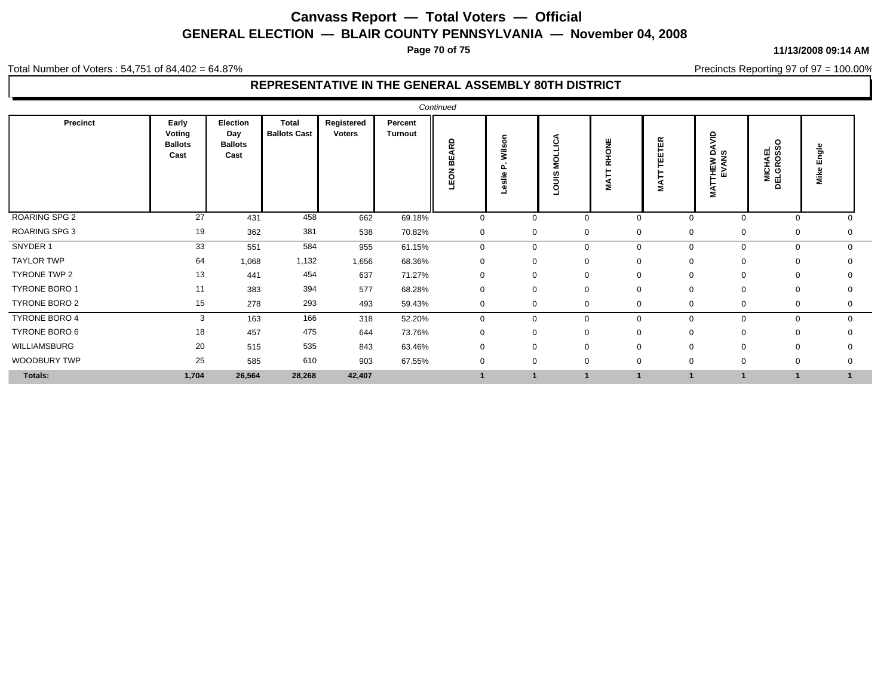**Page 70 of 75**

#### Total Number of Voters : 54,751 of 84,402 = 64.87%

### **REPRESENTATIVE IN THE GENERAL ASSEMBLY 80TH DISTRICT**

| <b>Precinct</b>      | Early                            | Election                      | Total               | Registered    | Percent        |                         |                     |                       |              |                             |                                    |                                         |                |
|----------------------|----------------------------------|-------------------------------|---------------------|---------------|----------------|-------------------------|---------------------|-----------------------|--------------|-----------------------------|------------------------------------|-----------------------------------------|----------------|
|                      | Voting<br><b>Ballots</b><br>Cast | Day<br><b>Ballots</b><br>Cast | <b>Ballots Cast</b> | <b>Voters</b> | <b>Turnout</b> | <b>ARD</b><br>뿖<br>LEON | Wilson<br>slie<br>ω | ◅<br>MOLLIC,<br>Sinor | RHONE<br>ТĂ  | <b>TEETER</b><br><b>NAT</b> | ŝ<br>∝ ≧<br>THEW I<br>EVAN:<br>MAT | $\circ$<br><b>MICHAEL<br/>DELGROSSC</b> | Engle<br>š     |
| ROARING SPG 2        | 27                               | 431                           | 458                 | 662           | 69.18%         | $\mathbf 0$             |                     | $\mathbf 0$           | $\mathbf 0$  | $\mathbf 0$                 | $\mathbf 0$                        | $\mathbf 0$                             |                |
| <b>ROARING SPG 3</b> | 19                               | 362                           | 381                 | 538           | 70.82%         | $\mathbf 0$             |                     | $\mathbf 0$           | $\mathbf 0$  | 0<br>0                      | $\mathbf 0$                        | 0                                       | 0              |
| SNYDER 1             | 33                               | 551                           | 584                 | 955           | 61.15%         | $\mathbf 0$             |                     | $\mathbf 0$           | $\mathbf 0$  | $\mathbf{0}$<br>$\Omega$    | $\mathbf 0$                        | $\mathbf 0$                             | $\mathbf{0}$   |
| <b>TAYLOR TWP</b>    | 64                               | 1,068                         | 1,132               | 1,656         | 68.36%         | $\mathbf 0$             |                     | $\mathbf 0$           | $\mathbf 0$  | $\mathbf 0$<br>0            | $\overline{0}$                     | $\mathbf 0$                             | $\Omega$       |
| TYRONE TWP 2         | 13                               | 441                           | 454                 | 637           | 71.27%         | $\mathbf 0$             | 0                   |                       | $\mathbf 0$  | $\mathbf 0$                 | $\mathbf 0$                        | $\mathbf 0$                             | 0              |
| TYRONE BORO 1        | 11                               | 383                           | 394                 | 577           | 68.28%         | 0                       | 0                   |                       | $\mathbf 0$  | 0                           | $\mathbf 0$                        | $\mathbf 0$                             | 0              |
| TYRONE BORO 2        | 15                               | 278                           | 293                 | 493           | 59.43%         | $\mathbf 0$             |                     | 0                     | $\mathbf 0$  | 0                           | $\mathbf 0$                        | 0                                       | 0              |
| TYRONE BORO 4        | 3                                | 163                           | 166                 | 318           | 52.20%         | $\mathbf 0$             |                     | $\mathbf 0$           | $\mathbf 0$  | $\Omega$                    | $\Omega$                           | $\mathbf 0$                             | $\mathbf{0}$   |
| TYRONE BORO 6        | 18                               | 457                           | 475                 | 644           | 73.76%         | $\Omega$                |                     | $\mathbf 0$           | $\mathbf 0$  | $\Omega$                    | $\Omega$                           | $\mathbf 0$                             |                |
| WILLIAMSBURG         | 20                               | 515                           | 535                 | 843           | 63.46%         | $\mathbf 0$             | $\Omega$            |                       | $\mathbf 0$  | $\Omega$                    | $\Omega$                           | $\Omega$                                | $\Omega$       |
| WOODBURY TWP         | 25                               | 585                           | 610                 | 903           | 67.55%         | $\mathbf 0$             | $\mathbf 0$         |                       | $\mathbf{0}$ | $\Omega$                    | $\Omega$                           | $\mathbf 0$                             | $\mathbf 0$    |
| Totals:              | 1,704                            | 26,564                        | 28,268              | 42,407        |                |                         |                     | 1                     |              |                             |                                    | 1                                       | $\overline{1}$ |

**11/13/2008 09:14 AM**

Precincts Reporting 97 of 97 = 100.00%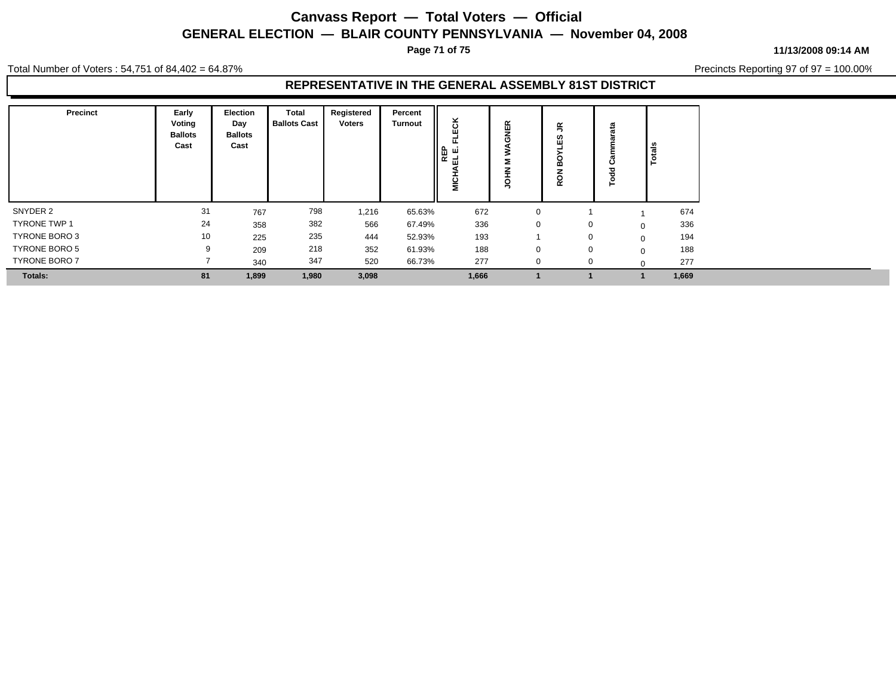**Page 71 of 75**

**11/13/2008 09:14 AM**

Precincts Reporting 97 of 97 = 100.00%

Total Number of Voters : 54,751 of 84,402 = 64.87%

| Precinct             | Early<br>Voting<br><b>Ballots</b><br>Cast | Election<br>Day<br><b>Ballots</b><br>Cast | Total<br><b>Ballots Cast</b> | Registered<br><b>Voters</b> | Percent<br><b>Turnout</b> | ×.<br>ပ<br>ш<br>щ.<br>REP<br>금<br>ᇳ<br>©<br>M | 띥<br>≂       | ≃<br>,<br>$\Omega$<br>Ш<br>ဝ္ထ<br>ဥ |          | <b>Totals</b> |
|----------------------|-------------------------------------------|-------------------------------------------|------------------------------|-----------------------------|---------------------------|-----------------------------------------------|--------------|-------------------------------------|----------|---------------|
| SNYDER 2             | 31                                        | 767                                       | 798                          | 1,216                       | 65.63%                    | 672                                           | $\mathbf{0}$ |                                     |          | 674           |
| <b>TYRONE TWP 1</b>  | 24                                        | 358                                       | 382                          | 566                         | 67.49%                    | 336                                           | $\mathbf{0}$ |                                     | $\Omega$ | 336           |
| TYRONE BORO 3        | 10                                        | 225                                       | 235                          | 444                         | 52.93%                    | 193                                           |              |                                     | $\Omega$ | 194           |
| TYRONE BORO 5        | $\mathbf{Q}$                              | 209                                       | 218                          | 352                         | 61.93%                    | 188                                           | $\mathbf{0}$ |                                     | $\Omega$ | 188           |
| <b>TYRONE BORO 7</b> |                                           | 340                                       | 347                          | 520                         | 66.73%                    | 277                                           | $\Omega$     | $\Omega$                            |          | 277           |
| <b>Totals:</b>       | 81                                        | 1,899                                     | 1,980                        | 3,098                       |                           | 1,666                                         |              |                                     |          | 1,669         |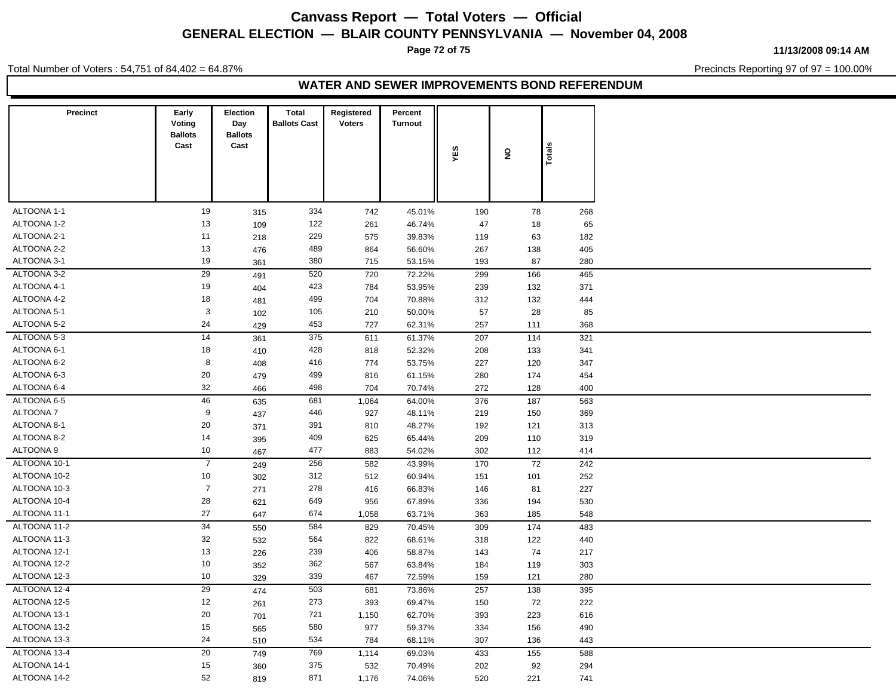**Page 72 of 75**

**11/13/2008 09:14 AM**

Total Number of Voters : 54,751 of 84,402 = 64.87%

Precincts Reporting 97 of 97 = 100.00%

### **WATER AND SEWER IMPROVEMENTS BOND REFERENDUM**

| Precinct     | Early<br>Voting<br><b>Ballots</b> | Election<br>Day<br><b>Ballots</b> | <b>Total</b><br><b>Ballots Cast</b> | Registered<br><b>Voters</b> | Percent<br>Turnout |            |                         |            |
|--------------|-----------------------------------|-----------------------------------|-------------------------------------|-----------------------------|--------------------|------------|-------------------------|------------|
|              | Cast                              | Cast                              |                                     |                             |                    | YES        | $\overline{\mathbf{z}}$ | Totals     |
|              |                                   |                                   |                                     |                             |                    |            |                         |            |
| ALTOONA 1-1  | 19                                |                                   | 334                                 | 742                         | 45.01%             | 190        | 78                      |            |
| ALTOONA 1-2  | 13                                | 315<br>109                        | 122                                 | 261                         | 46.74%             | 47         | 18                      | 268<br>65  |
| ALTOONA 2-1  | 11                                | 218                               | 229                                 | 575                         | 39.83%             | 119        | 63                      | 182        |
| ALTOONA 2-2  | 13                                | 476                               | 489                                 | 864                         | 56.60%             | 267        | 138                     | 405        |
| ALTOONA 3-1  | 19                                | 361                               | 380                                 | 715                         | 53.15%             | 193        | 87                      | 280        |
| ALTOONA 3-2  | 29                                | 491                               | 520                                 | 720                         | 72.22%             | 299        | 166                     | 465        |
| ALTOONA 4-1  | 19                                | 404                               | 423                                 | 784                         | 53.95%             | 239        | 132                     | 371        |
| ALTOONA 4-2  | 18                                | 481                               | 499                                 | 704                         | 70.88%             | 312        | 132                     | 444        |
| ALTOONA 5-1  | 3                                 | 102                               | 105                                 | 210                         | 50.00%             | 57         | 28                      | 85         |
| ALTOONA 5-2  | 24                                | 429                               | 453                                 | 727                         | 62.31%             | 257        | 111                     | 368        |
| ALTOONA 5-3  | 14                                | 361                               | 375                                 | 611                         | 61.37%             | 207        | 114                     | 321        |
| ALTOONA 6-1  | 18                                | 410                               | 428                                 | 818                         | 52.32%             | 208        | 133                     | 341        |
| ALTOONA 6-2  | 8                                 | 408                               | 416                                 | 774                         | 53.75%             | 227        | 120                     | 347        |
| ALTOONA 6-3  | $20\,$                            | 479                               | 499                                 | 816                         | 61.15%             | 280        | 174                     | 454        |
| ALTOONA 6-4  | 32                                | 466                               | 498                                 | 704                         | 70.74%             | 272        | 128                     | 400        |
| ALTOONA 6-5  | 46                                |                                   | 681                                 | 1,064                       | 64.00%             | 376        | 187                     | 563        |
| ALTOONA 7    | 9                                 | 635<br>437                        | 446                                 | 927                         | 48.11%             | 219        | 150                     | 369        |
| ALTOONA 8-1  | 20                                | 371                               | 391                                 | 810                         | 48.27%             | 192        | 121                     | 313        |
| ALTOONA 8-2  | 14                                | 395                               | 409                                 | 625                         | 65.44%             | 209        | 110                     | 319        |
| ALTOONA 9    | 10                                | 467                               | 477                                 | 883                         | 54.02%             | 302        | 112                     | 414        |
| ALTOONA 10-1 | $\overline{7}$                    |                                   | 256                                 | 582                         | 43.99%             | 170        | 72                      | 242        |
| ALTOONA 10-2 | 10                                | 249<br>302                        | 312                                 | 512                         | 60.94%             | 151        | 101                     | 252        |
| ALTOONA 10-3 | $\overline{7}$                    | 271                               | 278                                 | 416                         | 66.83%             | 146        | 81                      | 227        |
| ALTOONA 10-4 | 28                                | 621                               | 649                                 | 956                         | 67.89%             | 336        | 194                     | 530        |
| ALTOONA 11-1 | $27\,$                            | 647                               | 674                                 | 1,058                       | 63.71%             | 363        | 185                     | 548        |
| ALTOONA 11-2 | 34                                | 550                               | 584                                 | 829                         | 70.45%             | 309        | 174                     | 483        |
| ALTOONA 11-3 | 32                                |                                   | 564                                 | 822                         |                    |            |                         | 440        |
| ALTOONA 12-1 | 13                                | 532                               | 239                                 | 406                         | 68.61%<br>58.87%   | 318<br>143 | 122<br>74               | 217        |
| ALTOONA 12-2 | 10                                | 226                               | 362                                 |                             |                    |            |                         |            |
| ALTOONA 12-3 | 10                                | 352                               | 339                                 | 567<br>467                  | 63.84%<br>72.59%   | 184<br>159 | 119<br>121              | 303<br>280 |
| ALTOONA 12-4 | 29                                | 329                               | 503                                 |                             |                    |            |                         |            |
| ALTOONA 12-5 |                                   | 474                               |                                     | 681                         | 73.86%             | 257        | 138                     | 395        |
|              | $12$                              | 261                               | 273                                 | 393                         | 69.47%             | 150        | 72                      | 222        |
| ALTOONA 13-1 | 20                                | 701                               | 721                                 | 1,150                       | 62.70%             | 393        | 223                     | 616        |
| ALTOONA 13-2 | $15\,$                            | 565                               | 580                                 | 977                         | 59.37%             | 334        | 156                     | 490        |
| ALTOONA 13-3 | 24                                | 510                               | 534                                 | 784                         | 68.11%             | 307        | 136                     | 443        |
| ALTOONA 13-4 | 20                                | 749                               | 769                                 | 1,114                       | 69.03%             | 433        | 155                     | 588        |
| ALTOONA 14-1 | $15\,$                            | 360                               | 375                                 | 532                         | 70.49%             | 202        | 92                      | 294        |
| ALTOONA 14-2 | 52                                | 819                               | 871                                 | 1,176                       | 74.06%             | 520        | 221                     | 741        |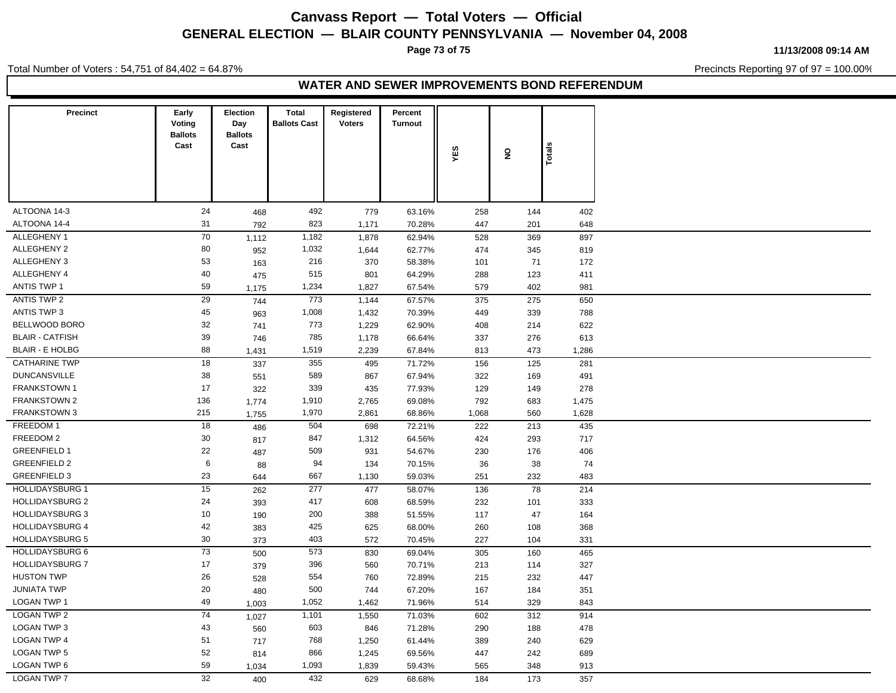# **Canvass Report — Total Voters — Official GENERAL ELECTION — BLAIR COUNTY PENNSYLVANIA — November 04, 2008**

**Page 73 of 75**

Total Number of Voters : 54,751 of 84,402 = 64.87%

**11/13/2008 09:14 AM**

Precincts Reporting 97 of 97 = 100.00%

#### **WATER AND SEWER IMPROVEMENTS BOND REFERENDUM**

| <b>Ballots</b><br><b>Ballots</b><br>Cast<br>Cast<br>Totals<br>YES<br>$\overline{\mathbf{z}}$<br>ALTOONA 14-3<br>24<br>492<br>779<br>258<br>144<br>468<br>63.16%<br>ALTOONA 14-4<br>31<br>823<br>1,171<br>447<br>201<br>70.28%<br>792<br>70<br>ALLEGHENY 1<br>1,182<br>528<br>369<br>1,878<br>62.94%<br>1,112<br>ALLEGHENY 2<br>80<br>1,032<br>1,644<br>62.77%<br>474<br>345<br>952<br>53<br>ALLEGHENY 3<br>216<br>370<br>71<br>58.38%<br>101<br>163<br>ALLEGHENY 4<br>40<br>515<br>801<br>64.29%<br>288<br>123<br>475<br>ANTIS TWP 1<br>59<br>1,234<br>1,827<br>579<br>402<br>981<br>67.54%<br>1,175<br>29<br>ANTIS TWP 2<br>773<br>1,144<br>67.57%<br>375<br>275<br>744<br>ANTIS TWP 3<br>45<br>1,008<br>1,432<br>339<br>70.39%<br>449<br>963<br>BELLWOOD BORO<br>32<br>773<br>1,229<br>62.90%<br>408<br>214<br>741<br><b>BLAIR - CATFISH</b><br>39<br>785<br>1,178<br>337<br>276<br>66.64%<br>746<br><b>BLAIR - E HOLBG</b><br>88<br>1,519<br>2,239<br>67.84%<br>813<br>473<br>1,431<br><b>CATHARINE TWP</b><br>18<br>355<br>125<br>495<br>71.72%<br>156<br>337<br><b>DUNCANSVILLE</b><br>38<br>589<br>867<br>67.94%<br>322<br>169<br>551<br>17<br>FRANKSTOWN 1<br>339<br>435<br>77.93%<br>129<br>149<br>322<br>136<br><b>FRANKSTOWN 2</b><br>1,910<br>2,765<br>792<br>69.08%<br>683<br>1,774<br><b>FRANKSTOWN 3</b><br>215<br>1,970<br>2,861<br>68.86%<br>1,068<br>560<br>1,755<br>FREEDOM 1<br>18<br>504<br>698<br>72.21%<br>222<br>213<br>486<br>FREEDOM 2<br>30<br>847<br>1,312<br>424<br>64.56%<br>293<br>817<br><b>GREENFIELD 1</b><br>22<br>509<br>931<br>54.67%<br>230<br>176<br>487<br><b>GREENFIELD 2</b><br>$6\phantom{1}6$<br>94<br>134<br>70.15%<br>36<br>38<br>88<br><b>GREENFIELD 3</b><br>23<br>667<br>232<br>1,130<br>59.03%<br>251<br>644<br><b>HOLLIDAYSBURG 1</b><br>15<br>277<br>78<br>477<br>58.07%<br>136<br>262<br>24<br><b>HOLLIDAYSBURG 2</b><br>417<br>608<br>68.59%<br>232<br>101<br>393<br><b>HOLLIDAYSBURG 3</b><br>10<br>200<br>388<br>47<br>51.55%<br>117<br>190<br>42<br><b>HOLLIDAYSBURG 4</b><br>425<br>625<br>68.00%<br>260<br>108<br>383<br>$30\,$<br><b>HOLLIDAYSBURG 5</b><br>403<br>572<br>227<br>70.45%<br>104<br>373<br>73<br><b>HOLLIDAYSBURG 6</b><br>573<br>830<br>305<br>160<br>69.04%<br>500<br>17<br><b>HOLLIDAYSBURG 7</b><br>396<br>560<br>70.71%<br>213<br>379<br>114<br><b>HUSTON TWP</b><br>26<br>554<br>760<br>72.89%<br>215<br>232<br>528<br>20<br>500<br><b>JUNIATA TWP</b><br>744<br>67.20%<br>167<br>184<br>480<br>49<br><b>LOGAN TWP 1</b><br>1,052<br>1,462<br>71.96%<br>329<br>514<br>1,003<br><b>LOGAN TWP 2</b><br>74<br>1,101<br>312<br>1,550<br>71.03%<br>602<br>1,027<br><b>LOGAN TWP 3</b><br>43<br>603<br>846<br>188<br>71.28%<br>290<br>560<br>51<br><b>LOGAN TWP 4</b><br>768<br>1,250<br>61.44%<br>389<br>240<br>717<br><b>LOGAN TWP 5</b><br>52<br>866<br>1,245<br>69.56%<br>447<br>242<br>814<br>59<br><b>LOGAN TWP 6</b><br>1,093<br>1,839<br>59.43%<br>565<br>348<br>1,034<br><b>LOGAN TWP 7</b><br>32<br>432<br>629<br>173<br>68.68%<br>184<br>400 | Precinct | Early<br>Voting | Election<br>Day | <b>Total</b><br><b>Ballots Cast</b> | Registered<br><b>Voters</b> | Percent<br>Turnout |  |  |
|----------------------------------------------------------------------------------------------------------------------------------------------------------------------------------------------------------------------------------------------------------------------------------------------------------------------------------------------------------------------------------------------------------------------------------------------------------------------------------------------------------------------------------------------------------------------------------------------------------------------------------------------------------------------------------------------------------------------------------------------------------------------------------------------------------------------------------------------------------------------------------------------------------------------------------------------------------------------------------------------------------------------------------------------------------------------------------------------------------------------------------------------------------------------------------------------------------------------------------------------------------------------------------------------------------------------------------------------------------------------------------------------------------------------------------------------------------------------------------------------------------------------------------------------------------------------------------------------------------------------------------------------------------------------------------------------------------------------------------------------------------------------------------------------------------------------------------------------------------------------------------------------------------------------------------------------------------------------------------------------------------------------------------------------------------------------------------------------------------------------------------------------------------------------------------------------------------------------------------------------------------------------------------------------------------------------------------------------------------------------------------------------------------------------------------------------------------------------------------------------------------------------------------------------------------------------------------------------------------------------------------------------------------------------------------------------------------------------------------------------------------------------------------------------------------------------------------------------------------------------------------------------------------------------------------------------------------------------------------------------------------------------------------|----------|-----------------|-----------------|-------------------------------------|-----------------------------|--------------------|--|--|
| 402<br>648<br>897<br>819<br>172<br>411<br>650<br>788<br>622<br>613<br>1,286<br>281<br>491<br>278<br>1,475<br>1,628<br>435<br>717<br>406<br>74<br>483<br>214<br>333<br>164<br>368<br>331<br>465<br>327<br>447<br>351<br>843<br>914<br>478<br>629<br>689<br>913<br>357                                                                                                                                                                                                                                                                                                                                                                                                                                                                                                                                                                                                                                                                                                                                                                                                                                                                                                                                                                                                                                                                                                                                                                                                                                                                                                                                                                                                                                                                                                                                                                                                                                                                                                                                                                                                                                                                                                                                                                                                                                                                                                                                                                                                                                                                                                                                                                                                                                                                                                                                                                                                                                                                                                                                                             |          |                 |                 |                                     |                             |                    |  |  |
|                                                                                                                                                                                                                                                                                                                                                                                                                                                                                                                                                                                                                                                                                                                                                                                                                                                                                                                                                                                                                                                                                                                                                                                                                                                                                                                                                                                                                                                                                                                                                                                                                                                                                                                                                                                                                                                                                                                                                                                                                                                                                                                                                                                                                                                                                                                                                                                                                                                                                                                                                                                                                                                                                                                                                                                                                                                                                                                                                                                                                                  |          |                 |                 |                                     |                             |                    |  |  |
|                                                                                                                                                                                                                                                                                                                                                                                                                                                                                                                                                                                                                                                                                                                                                                                                                                                                                                                                                                                                                                                                                                                                                                                                                                                                                                                                                                                                                                                                                                                                                                                                                                                                                                                                                                                                                                                                                                                                                                                                                                                                                                                                                                                                                                                                                                                                                                                                                                                                                                                                                                                                                                                                                                                                                                                                                                                                                                                                                                                                                                  |          |                 |                 |                                     |                             |                    |  |  |
|                                                                                                                                                                                                                                                                                                                                                                                                                                                                                                                                                                                                                                                                                                                                                                                                                                                                                                                                                                                                                                                                                                                                                                                                                                                                                                                                                                                                                                                                                                                                                                                                                                                                                                                                                                                                                                                                                                                                                                                                                                                                                                                                                                                                                                                                                                                                                                                                                                                                                                                                                                                                                                                                                                                                                                                                                                                                                                                                                                                                                                  |          |                 |                 |                                     |                             |                    |  |  |
|                                                                                                                                                                                                                                                                                                                                                                                                                                                                                                                                                                                                                                                                                                                                                                                                                                                                                                                                                                                                                                                                                                                                                                                                                                                                                                                                                                                                                                                                                                                                                                                                                                                                                                                                                                                                                                                                                                                                                                                                                                                                                                                                                                                                                                                                                                                                                                                                                                                                                                                                                                                                                                                                                                                                                                                                                                                                                                                                                                                                                                  |          |                 |                 |                                     |                             |                    |  |  |
|                                                                                                                                                                                                                                                                                                                                                                                                                                                                                                                                                                                                                                                                                                                                                                                                                                                                                                                                                                                                                                                                                                                                                                                                                                                                                                                                                                                                                                                                                                                                                                                                                                                                                                                                                                                                                                                                                                                                                                                                                                                                                                                                                                                                                                                                                                                                                                                                                                                                                                                                                                                                                                                                                                                                                                                                                                                                                                                                                                                                                                  |          |                 |                 |                                     |                             |                    |  |  |
|                                                                                                                                                                                                                                                                                                                                                                                                                                                                                                                                                                                                                                                                                                                                                                                                                                                                                                                                                                                                                                                                                                                                                                                                                                                                                                                                                                                                                                                                                                                                                                                                                                                                                                                                                                                                                                                                                                                                                                                                                                                                                                                                                                                                                                                                                                                                                                                                                                                                                                                                                                                                                                                                                                                                                                                                                                                                                                                                                                                                                                  |          |                 |                 |                                     |                             |                    |  |  |
|                                                                                                                                                                                                                                                                                                                                                                                                                                                                                                                                                                                                                                                                                                                                                                                                                                                                                                                                                                                                                                                                                                                                                                                                                                                                                                                                                                                                                                                                                                                                                                                                                                                                                                                                                                                                                                                                                                                                                                                                                                                                                                                                                                                                                                                                                                                                                                                                                                                                                                                                                                                                                                                                                                                                                                                                                                                                                                                                                                                                                                  |          |                 |                 |                                     |                             |                    |  |  |
|                                                                                                                                                                                                                                                                                                                                                                                                                                                                                                                                                                                                                                                                                                                                                                                                                                                                                                                                                                                                                                                                                                                                                                                                                                                                                                                                                                                                                                                                                                                                                                                                                                                                                                                                                                                                                                                                                                                                                                                                                                                                                                                                                                                                                                                                                                                                                                                                                                                                                                                                                                                                                                                                                                                                                                                                                                                                                                                                                                                                                                  |          |                 |                 |                                     |                             |                    |  |  |
|                                                                                                                                                                                                                                                                                                                                                                                                                                                                                                                                                                                                                                                                                                                                                                                                                                                                                                                                                                                                                                                                                                                                                                                                                                                                                                                                                                                                                                                                                                                                                                                                                                                                                                                                                                                                                                                                                                                                                                                                                                                                                                                                                                                                                                                                                                                                                                                                                                                                                                                                                                                                                                                                                                                                                                                                                                                                                                                                                                                                                                  |          |                 |                 |                                     |                             |                    |  |  |
|                                                                                                                                                                                                                                                                                                                                                                                                                                                                                                                                                                                                                                                                                                                                                                                                                                                                                                                                                                                                                                                                                                                                                                                                                                                                                                                                                                                                                                                                                                                                                                                                                                                                                                                                                                                                                                                                                                                                                                                                                                                                                                                                                                                                                                                                                                                                                                                                                                                                                                                                                                                                                                                                                                                                                                                                                                                                                                                                                                                                                                  |          |                 |                 |                                     |                             |                    |  |  |
|                                                                                                                                                                                                                                                                                                                                                                                                                                                                                                                                                                                                                                                                                                                                                                                                                                                                                                                                                                                                                                                                                                                                                                                                                                                                                                                                                                                                                                                                                                                                                                                                                                                                                                                                                                                                                                                                                                                                                                                                                                                                                                                                                                                                                                                                                                                                                                                                                                                                                                                                                                                                                                                                                                                                                                                                                                                                                                                                                                                                                                  |          |                 |                 |                                     |                             |                    |  |  |
|                                                                                                                                                                                                                                                                                                                                                                                                                                                                                                                                                                                                                                                                                                                                                                                                                                                                                                                                                                                                                                                                                                                                                                                                                                                                                                                                                                                                                                                                                                                                                                                                                                                                                                                                                                                                                                                                                                                                                                                                                                                                                                                                                                                                                                                                                                                                                                                                                                                                                                                                                                                                                                                                                                                                                                                                                                                                                                                                                                                                                                  |          |                 |                 |                                     |                             |                    |  |  |
|                                                                                                                                                                                                                                                                                                                                                                                                                                                                                                                                                                                                                                                                                                                                                                                                                                                                                                                                                                                                                                                                                                                                                                                                                                                                                                                                                                                                                                                                                                                                                                                                                                                                                                                                                                                                                                                                                                                                                                                                                                                                                                                                                                                                                                                                                                                                                                                                                                                                                                                                                                                                                                                                                                                                                                                                                                                                                                                                                                                                                                  |          |                 |                 |                                     |                             |                    |  |  |
|                                                                                                                                                                                                                                                                                                                                                                                                                                                                                                                                                                                                                                                                                                                                                                                                                                                                                                                                                                                                                                                                                                                                                                                                                                                                                                                                                                                                                                                                                                                                                                                                                                                                                                                                                                                                                                                                                                                                                                                                                                                                                                                                                                                                                                                                                                                                                                                                                                                                                                                                                                                                                                                                                                                                                                                                                                                                                                                                                                                                                                  |          |                 |                 |                                     |                             |                    |  |  |
|                                                                                                                                                                                                                                                                                                                                                                                                                                                                                                                                                                                                                                                                                                                                                                                                                                                                                                                                                                                                                                                                                                                                                                                                                                                                                                                                                                                                                                                                                                                                                                                                                                                                                                                                                                                                                                                                                                                                                                                                                                                                                                                                                                                                                                                                                                                                                                                                                                                                                                                                                                                                                                                                                                                                                                                                                                                                                                                                                                                                                                  |          |                 |                 |                                     |                             |                    |  |  |
|                                                                                                                                                                                                                                                                                                                                                                                                                                                                                                                                                                                                                                                                                                                                                                                                                                                                                                                                                                                                                                                                                                                                                                                                                                                                                                                                                                                                                                                                                                                                                                                                                                                                                                                                                                                                                                                                                                                                                                                                                                                                                                                                                                                                                                                                                                                                                                                                                                                                                                                                                                                                                                                                                                                                                                                                                                                                                                                                                                                                                                  |          |                 |                 |                                     |                             |                    |  |  |
|                                                                                                                                                                                                                                                                                                                                                                                                                                                                                                                                                                                                                                                                                                                                                                                                                                                                                                                                                                                                                                                                                                                                                                                                                                                                                                                                                                                                                                                                                                                                                                                                                                                                                                                                                                                                                                                                                                                                                                                                                                                                                                                                                                                                                                                                                                                                                                                                                                                                                                                                                                                                                                                                                                                                                                                                                                                                                                                                                                                                                                  |          |                 |                 |                                     |                             |                    |  |  |
|                                                                                                                                                                                                                                                                                                                                                                                                                                                                                                                                                                                                                                                                                                                                                                                                                                                                                                                                                                                                                                                                                                                                                                                                                                                                                                                                                                                                                                                                                                                                                                                                                                                                                                                                                                                                                                                                                                                                                                                                                                                                                                                                                                                                                                                                                                                                                                                                                                                                                                                                                                                                                                                                                                                                                                                                                                                                                                                                                                                                                                  |          |                 |                 |                                     |                             |                    |  |  |
|                                                                                                                                                                                                                                                                                                                                                                                                                                                                                                                                                                                                                                                                                                                                                                                                                                                                                                                                                                                                                                                                                                                                                                                                                                                                                                                                                                                                                                                                                                                                                                                                                                                                                                                                                                                                                                                                                                                                                                                                                                                                                                                                                                                                                                                                                                                                                                                                                                                                                                                                                                                                                                                                                                                                                                                                                                                                                                                                                                                                                                  |          |                 |                 |                                     |                             |                    |  |  |
|                                                                                                                                                                                                                                                                                                                                                                                                                                                                                                                                                                                                                                                                                                                                                                                                                                                                                                                                                                                                                                                                                                                                                                                                                                                                                                                                                                                                                                                                                                                                                                                                                                                                                                                                                                                                                                                                                                                                                                                                                                                                                                                                                                                                                                                                                                                                                                                                                                                                                                                                                                                                                                                                                                                                                                                                                                                                                                                                                                                                                                  |          |                 |                 |                                     |                             |                    |  |  |
|                                                                                                                                                                                                                                                                                                                                                                                                                                                                                                                                                                                                                                                                                                                                                                                                                                                                                                                                                                                                                                                                                                                                                                                                                                                                                                                                                                                                                                                                                                                                                                                                                                                                                                                                                                                                                                                                                                                                                                                                                                                                                                                                                                                                                                                                                                                                                                                                                                                                                                                                                                                                                                                                                                                                                                                                                                                                                                                                                                                                                                  |          |                 |                 |                                     |                             |                    |  |  |
|                                                                                                                                                                                                                                                                                                                                                                                                                                                                                                                                                                                                                                                                                                                                                                                                                                                                                                                                                                                                                                                                                                                                                                                                                                                                                                                                                                                                                                                                                                                                                                                                                                                                                                                                                                                                                                                                                                                                                                                                                                                                                                                                                                                                                                                                                                                                                                                                                                                                                                                                                                                                                                                                                                                                                                                                                                                                                                                                                                                                                                  |          |                 |                 |                                     |                             |                    |  |  |
|                                                                                                                                                                                                                                                                                                                                                                                                                                                                                                                                                                                                                                                                                                                                                                                                                                                                                                                                                                                                                                                                                                                                                                                                                                                                                                                                                                                                                                                                                                                                                                                                                                                                                                                                                                                                                                                                                                                                                                                                                                                                                                                                                                                                                                                                                                                                                                                                                                                                                                                                                                                                                                                                                                                                                                                                                                                                                                                                                                                                                                  |          |                 |                 |                                     |                             |                    |  |  |
|                                                                                                                                                                                                                                                                                                                                                                                                                                                                                                                                                                                                                                                                                                                                                                                                                                                                                                                                                                                                                                                                                                                                                                                                                                                                                                                                                                                                                                                                                                                                                                                                                                                                                                                                                                                                                                                                                                                                                                                                                                                                                                                                                                                                                                                                                                                                                                                                                                                                                                                                                                                                                                                                                                                                                                                                                                                                                                                                                                                                                                  |          |                 |                 |                                     |                             |                    |  |  |
|                                                                                                                                                                                                                                                                                                                                                                                                                                                                                                                                                                                                                                                                                                                                                                                                                                                                                                                                                                                                                                                                                                                                                                                                                                                                                                                                                                                                                                                                                                                                                                                                                                                                                                                                                                                                                                                                                                                                                                                                                                                                                                                                                                                                                                                                                                                                                                                                                                                                                                                                                                                                                                                                                                                                                                                                                                                                                                                                                                                                                                  |          |                 |                 |                                     |                             |                    |  |  |
|                                                                                                                                                                                                                                                                                                                                                                                                                                                                                                                                                                                                                                                                                                                                                                                                                                                                                                                                                                                                                                                                                                                                                                                                                                                                                                                                                                                                                                                                                                                                                                                                                                                                                                                                                                                                                                                                                                                                                                                                                                                                                                                                                                                                                                                                                                                                                                                                                                                                                                                                                                                                                                                                                                                                                                                                                                                                                                                                                                                                                                  |          |                 |                 |                                     |                             |                    |  |  |
|                                                                                                                                                                                                                                                                                                                                                                                                                                                                                                                                                                                                                                                                                                                                                                                                                                                                                                                                                                                                                                                                                                                                                                                                                                                                                                                                                                                                                                                                                                                                                                                                                                                                                                                                                                                                                                                                                                                                                                                                                                                                                                                                                                                                                                                                                                                                                                                                                                                                                                                                                                                                                                                                                                                                                                                                                                                                                                                                                                                                                                  |          |                 |                 |                                     |                             |                    |  |  |
|                                                                                                                                                                                                                                                                                                                                                                                                                                                                                                                                                                                                                                                                                                                                                                                                                                                                                                                                                                                                                                                                                                                                                                                                                                                                                                                                                                                                                                                                                                                                                                                                                                                                                                                                                                                                                                                                                                                                                                                                                                                                                                                                                                                                                                                                                                                                                                                                                                                                                                                                                                                                                                                                                                                                                                                                                                                                                                                                                                                                                                  |          |                 |                 |                                     |                             |                    |  |  |
|                                                                                                                                                                                                                                                                                                                                                                                                                                                                                                                                                                                                                                                                                                                                                                                                                                                                                                                                                                                                                                                                                                                                                                                                                                                                                                                                                                                                                                                                                                                                                                                                                                                                                                                                                                                                                                                                                                                                                                                                                                                                                                                                                                                                                                                                                                                                                                                                                                                                                                                                                                                                                                                                                                                                                                                                                                                                                                                                                                                                                                  |          |                 |                 |                                     |                             |                    |  |  |
|                                                                                                                                                                                                                                                                                                                                                                                                                                                                                                                                                                                                                                                                                                                                                                                                                                                                                                                                                                                                                                                                                                                                                                                                                                                                                                                                                                                                                                                                                                                                                                                                                                                                                                                                                                                                                                                                                                                                                                                                                                                                                                                                                                                                                                                                                                                                                                                                                                                                                                                                                                                                                                                                                                                                                                                                                                                                                                                                                                                                                                  |          |                 |                 |                                     |                             |                    |  |  |
|                                                                                                                                                                                                                                                                                                                                                                                                                                                                                                                                                                                                                                                                                                                                                                                                                                                                                                                                                                                                                                                                                                                                                                                                                                                                                                                                                                                                                                                                                                                                                                                                                                                                                                                                                                                                                                                                                                                                                                                                                                                                                                                                                                                                                                                                                                                                                                                                                                                                                                                                                                                                                                                                                                                                                                                                                                                                                                                                                                                                                                  |          |                 |                 |                                     |                             |                    |  |  |
|                                                                                                                                                                                                                                                                                                                                                                                                                                                                                                                                                                                                                                                                                                                                                                                                                                                                                                                                                                                                                                                                                                                                                                                                                                                                                                                                                                                                                                                                                                                                                                                                                                                                                                                                                                                                                                                                                                                                                                                                                                                                                                                                                                                                                                                                                                                                                                                                                                                                                                                                                                                                                                                                                                                                                                                                                                                                                                                                                                                                                                  |          |                 |                 |                                     |                             |                    |  |  |
|                                                                                                                                                                                                                                                                                                                                                                                                                                                                                                                                                                                                                                                                                                                                                                                                                                                                                                                                                                                                                                                                                                                                                                                                                                                                                                                                                                                                                                                                                                                                                                                                                                                                                                                                                                                                                                                                                                                                                                                                                                                                                                                                                                                                                                                                                                                                                                                                                                                                                                                                                                                                                                                                                                                                                                                                                                                                                                                                                                                                                                  |          |                 |                 |                                     |                             |                    |  |  |
|                                                                                                                                                                                                                                                                                                                                                                                                                                                                                                                                                                                                                                                                                                                                                                                                                                                                                                                                                                                                                                                                                                                                                                                                                                                                                                                                                                                                                                                                                                                                                                                                                                                                                                                                                                                                                                                                                                                                                                                                                                                                                                                                                                                                                                                                                                                                                                                                                                                                                                                                                                                                                                                                                                                                                                                                                                                                                                                                                                                                                                  |          |                 |                 |                                     |                             |                    |  |  |
|                                                                                                                                                                                                                                                                                                                                                                                                                                                                                                                                                                                                                                                                                                                                                                                                                                                                                                                                                                                                                                                                                                                                                                                                                                                                                                                                                                                                                                                                                                                                                                                                                                                                                                                                                                                                                                                                                                                                                                                                                                                                                                                                                                                                                                                                                                                                                                                                                                                                                                                                                                                                                                                                                                                                                                                                                                                                                                                                                                                                                                  |          |                 |                 |                                     |                             |                    |  |  |
|                                                                                                                                                                                                                                                                                                                                                                                                                                                                                                                                                                                                                                                                                                                                                                                                                                                                                                                                                                                                                                                                                                                                                                                                                                                                                                                                                                                                                                                                                                                                                                                                                                                                                                                                                                                                                                                                                                                                                                                                                                                                                                                                                                                                                                                                                                                                                                                                                                                                                                                                                                                                                                                                                                                                                                                                                                                                                                                                                                                                                                  |          |                 |                 |                                     |                             |                    |  |  |
|                                                                                                                                                                                                                                                                                                                                                                                                                                                                                                                                                                                                                                                                                                                                                                                                                                                                                                                                                                                                                                                                                                                                                                                                                                                                                                                                                                                                                                                                                                                                                                                                                                                                                                                                                                                                                                                                                                                                                                                                                                                                                                                                                                                                                                                                                                                                                                                                                                                                                                                                                                                                                                                                                                                                                                                                                                                                                                                                                                                                                                  |          |                 |                 |                                     |                             |                    |  |  |
|                                                                                                                                                                                                                                                                                                                                                                                                                                                                                                                                                                                                                                                                                                                                                                                                                                                                                                                                                                                                                                                                                                                                                                                                                                                                                                                                                                                                                                                                                                                                                                                                                                                                                                                                                                                                                                                                                                                                                                                                                                                                                                                                                                                                                                                                                                                                                                                                                                                                                                                                                                                                                                                                                                                                                                                                                                                                                                                                                                                                                                  |          |                 |                 |                                     |                             |                    |  |  |
|                                                                                                                                                                                                                                                                                                                                                                                                                                                                                                                                                                                                                                                                                                                                                                                                                                                                                                                                                                                                                                                                                                                                                                                                                                                                                                                                                                                                                                                                                                                                                                                                                                                                                                                                                                                                                                                                                                                                                                                                                                                                                                                                                                                                                                                                                                                                                                                                                                                                                                                                                                                                                                                                                                                                                                                                                                                                                                                                                                                                                                  |          |                 |                 |                                     |                             |                    |  |  |
|                                                                                                                                                                                                                                                                                                                                                                                                                                                                                                                                                                                                                                                                                                                                                                                                                                                                                                                                                                                                                                                                                                                                                                                                                                                                                                                                                                                                                                                                                                                                                                                                                                                                                                                                                                                                                                                                                                                                                                                                                                                                                                                                                                                                                                                                                                                                                                                                                                                                                                                                                                                                                                                                                                                                                                                                                                                                                                                                                                                                                                  |          |                 |                 |                                     |                             |                    |  |  |
|                                                                                                                                                                                                                                                                                                                                                                                                                                                                                                                                                                                                                                                                                                                                                                                                                                                                                                                                                                                                                                                                                                                                                                                                                                                                                                                                                                                                                                                                                                                                                                                                                                                                                                                                                                                                                                                                                                                                                                                                                                                                                                                                                                                                                                                                                                                                                                                                                                                                                                                                                                                                                                                                                                                                                                                                                                                                                                                                                                                                                                  |          |                 |                 |                                     |                             |                    |  |  |
|                                                                                                                                                                                                                                                                                                                                                                                                                                                                                                                                                                                                                                                                                                                                                                                                                                                                                                                                                                                                                                                                                                                                                                                                                                                                                                                                                                                                                                                                                                                                                                                                                                                                                                                                                                                                                                                                                                                                                                                                                                                                                                                                                                                                                                                                                                                                                                                                                                                                                                                                                                                                                                                                                                                                                                                                                                                                                                                                                                                                                                  |          |                 |                 |                                     |                             |                    |  |  |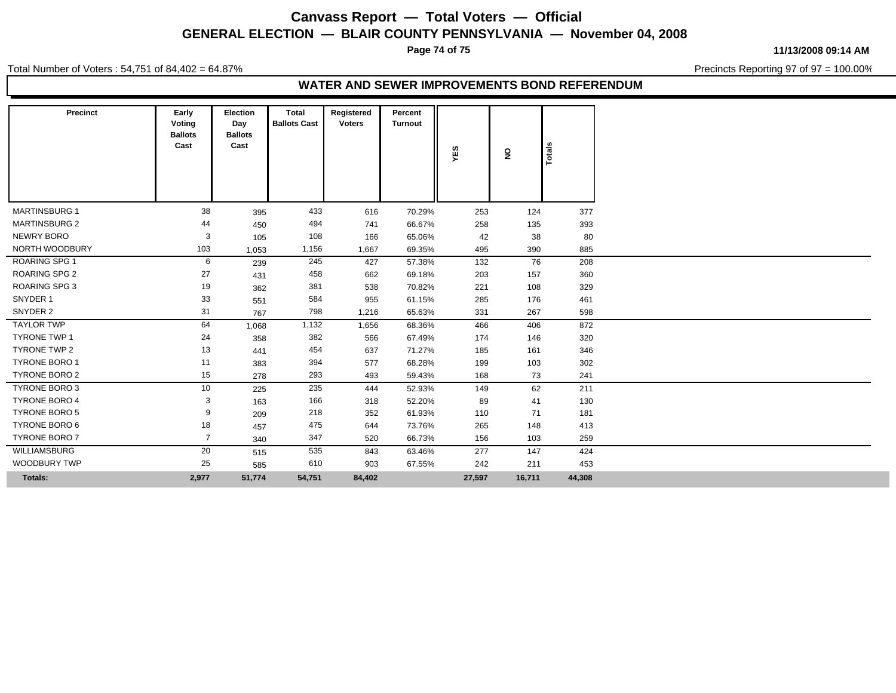## **Canvass Report — Total Voters — Official GENERAL ELECTION — BLAIR COUNTY PENNSYLVANIA — November 04, 2008**

**Page 74 of 75**

Total Number of Voters : 54,751 of 84,402 = 64.87%

**11/13/2008 09:14 AM**

Precincts Reporting 97 of 97 = 100.00%

#### **WATER AND SEWER IMPROVEMENTS BOND REFERENDUM**

| Precinct             | Early<br>Voting<br><b>Ballots</b><br>Cast | <b>Election</b><br>Day<br><b>Ballots</b><br>Cast | Total<br><b>Ballots Cast</b> | Registered<br><b>Voters</b> | Percent<br><b>Turnout</b> | YES    | $\overline{\mathbf{z}}$ | otals  |
|----------------------|-------------------------------------------|--------------------------------------------------|------------------------------|-----------------------------|---------------------------|--------|-------------------------|--------|
| <b>MARTINSBURG 1</b> | 38                                        | 395                                              | 433                          | 616                         | 70.29%                    | 253    | 124                     | 377    |
| <b>MARTINSBURG 2</b> | 44                                        | 450                                              | 494                          | 741                         | 66.67%                    | 258    | 135                     | 393    |
| NEWRY BORO           | 3                                         | 105                                              | 108                          | 166                         | 65.06%                    | 42     | 38                      | 80     |
| NORTH WOODBURY       | 103                                       | 1,053                                            | 1,156                        | 1,667                       | 69.35%                    | 495    | 390                     | 885    |
| ROARING SPG 1        | 6                                         | 239                                              | 245                          | 427                         | 57.38%                    | 132    | 76                      | 208    |
| <b>ROARING SPG 2</b> | 27                                        | 431                                              | 458                          | 662                         | 69.18%                    | 203    | 157                     | 360    |
| <b>ROARING SPG 3</b> | 19                                        | 362                                              | 381                          | 538                         | 70.82%                    | 221    | 108                     | 329    |
| SNYDER 1             | 33                                        | 551                                              | 584                          | 955                         | 61.15%                    | 285    | 176                     | 461    |
| SNYDER 2             | 31                                        | 767                                              | 798                          | 1,216                       | 65.63%                    | 331    | 267                     | 598    |
| <b>TAYLOR TWP</b>    | 64                                        | 1,068                                            | 1,132                        | 1,656                       | 68.36%                    | 466    | 406                     | 872    |
| <b>TYRONE TWP 1</b>  | 24                                        | 358                                              | 382                          | 566                         | 67.49%                    | 174    | 146                     | 320    |
| <b>TYRONE TWP 2</b>  | 13                                        | 441                                              | 454                          | 637                         | 71.27%                    | 185    | 161                     | 346    |
| <b>TYRONE BORO 1</b> | 11                                        | 383                                              | 394                          | 577                         | 68.28%                    | 199    | 103                     | 302    |
| <b>TYRONE BORO 2</b> | 15                                        | 278                                              | 293                          | 493                         | 59.43%                    | 168    | 73                      | 241    |
| TYRONE BORO 3        | 10                                        | 225                                              | 235                          | 444                         | 52.93%                    | 149    | 62                      | 211    |
| <b>TYRONE BORO 4</b> | 3                                         | 163                                              | 166                          | 318                         | 52.20%                    | 89     | 41                      | 130    |
| <b>TYRONE BORO 5</b> | 9                                         | 209                                              | 218                          | 352                         | 61.93%                    | 110    | 71                      | 181    |
| <b>TYRONE BORO 6</b> | 18                                        | 457                                              | 475                          | 644                         | 73.76%                    | 265    | 148                     | 413    |
| <b>TYRONE BORO 7</b> | $\overline{7}$                            | 340                                              | 347                          | 520                         | 66.73%                    | 156    | 103                     | 259    |
| WILLIAMSBURG         | 20                                        | 515                                              | 535                          | 843                         | 63.46%                    | 277    | 147                     | 424    |
| <b>WOODBURY TWP</b>  | 25                                        | 585                                              | 610                          | 903                         | 67.55%                    | 242    | 211                     | 453    |
| <b>Totals:</b>       | 2,977                                     | 51,774                                           | 54,751                       | 84,402                      |                           | 27,597 | 16,711                  | 44,308 |